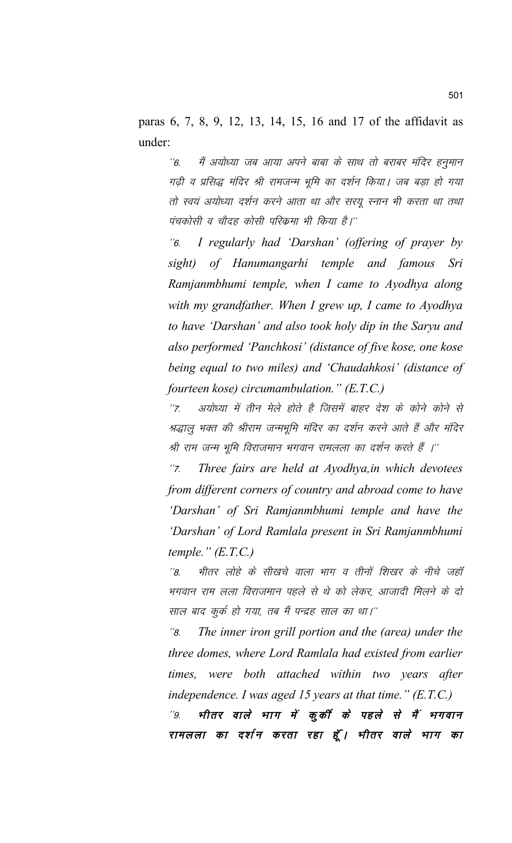paras 6, 7, 8, 9, 12, 13, 14, 15, 16 and 17 of the affidavit as under:

''6. मैं अयोध्या जब आया अपने बाबा के साथ तो बराबर मंदिर हनुमान गढी व प्रसिद्ध मंदिर श्री रामजन्म भूमि का दर्शन किया। जब बड़ा हो गया तो स्वयं अयोध्या दर्शन करने आता था और सरयू स्नान भी करता था तथा पंचकोसी व चौदह कोसी परिक्रमा भी किया है।''

\*\*6- *I regularly had 'Darshan' (offering of prayer by sight) of Hanumangarhi temple and famous Sri Ramjanmbhumi temple, when I came to Ayodhya along with my grandfather. When I grew up, I came to Ayodhya to have 'Darshan' and also took holy dip in the Saryu and also performed 'Panchkosi' (distance of five kose, one kose being equal to two miles) and 'Chaudahkosi' (distance of fourteen kose) circumambulation." (E.T.C.)*

''7. अयोध्या में तीन मेले होते है जिसमें बाहर देश के कोने कोने से श्रद्धालु भक्त की श्रीराम जन्मभूमि मंदिर का दर्शन करने आते हैं और मंदिर श्री राम जन्म भूमि विराजमान भगवान रामलला का दर्शन करते हैं ।''

\*\*7- *Three fairs are held at Ayodhya,in which devotees from different corners of country and abroad come to have 'Darshan' of Sri Ramjanmbhumi temple and have the 'Darshan' of Lord Ramlala present in Sri Ramjanmbhumi temple." (E.T.C.)*

''8. भीतर लोहे के सीखचे वाला भाग व तीनों शिखर के नीचे जहाँ भगवान राम लला विराजमान पहले से थे को लेकर, आजादी मिलने के दो साल बाद कुर्क हो गया, तब मैं पन्द्रह साल का था।''

\*\*8- *The inner iron grill portion and the (area) under the three domes, where Lord Ramlala had existed from earlier times, were both attached within two years after independence. I was aged 15 years at that time." (E.T.C.)*

"9. भीतर वाले भाग में कुर्की के पहले से मैं भगवान रामलला का दर्शन करता रहा हूँ। भीतर वाले भाग का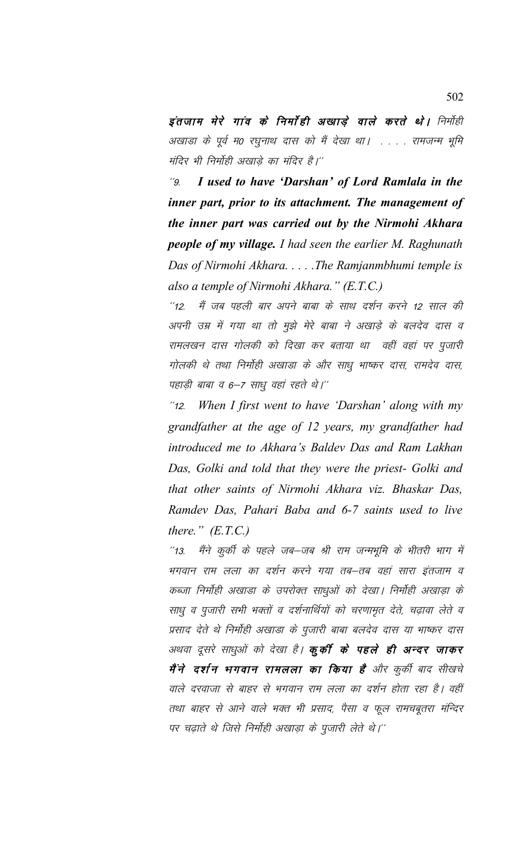इंतजाम मेरे गांव के निर्माही अखाड़े वाले करते थे। निर्माही अखाडा के पूर्व म0 रघुनाथ दास को मैं देखा था। . . . . रामजन्म भूमि मंदिर भी निर्मोही अखाडे का मंदिर है।''

\*\*9- *I used to have 'Darshan' of Lord Ramlala in the inner part, prior to its attachment. The management of the inner part was carried out by the Nirmohi Akhara people of my village. I had seen the earlier M. Raghunath Das of Nirmohi Akhara. . . . .The Ramjanmbhumi temple is also a temple of Nirmohi Akhara." (E.T.C.)*

"12. मैं जब पहली बार अपने बाबा के साथ दर्शन करने 12 साल की अपनी उम्र में गया था तो मुझे मेरे बाबा ने अखाड़े के बलदेव दास व रामलखन दास गोलकी को दिखा कर बताया था वहीं वहां पर पुजारी गोलकी थे तथा निर्मोही अखाडा के और साधु भाष्कर दास, रामदेव दास, पहाड़ी बाबा व 6-7 साधु वहां रहते थे।"

\*\*12- *When I first went to have 'Darshan' along with my grandfather at the age of 12 years, my grandfather had introduced me to Akhara's Baldev Das and Ram Lakhan Das, Golki and told that they were the priest- Golki and that other saints of Nirmohi Akhara viz. Bhaskar Das, Ramdev Das, Pahari Baba and 6-7 saints used to live there." (E.T.C.)*

"13. मैंने कुर्की के पहले जब–जब श्री राम जन्मभूमि के भीतरी भाग में भगवान राम लला का दर्शन करने गया तब–तब वहां सारा इंतजाम व कब्जा निर्माही अखाडा के उपरोक्त साधुओं को देखा। निर्माही अखाड़ा के साधु व पुजारी सभी भक्तों व दर्शनार्थियों को चरणामृत देते, चढ़ावा लेते व प्रसाद देते थे निर्मोही अखाडा के पूजारी बाबा बलदेव दास या भाष्कर दास अथवा दूसरे साधुओं को देखा है। **कूर्की के पहले ही अन्दर जाकर** मैं**ने दर्शन भगवान रामलला का किया है** और कुर्की बाद सीखचे वाले दरवाजा से बाहर से भगवान राम लला का दर्शन होता रहा है। वहीं तथा बाहर से आने वाले भक्त भी प्रसाद, पैसा व फूल रामचबूतरा मंन्दिर पर चढ़ाते थे जिसे निर्मोही अखाड़ा के पूजारी लेते थे।''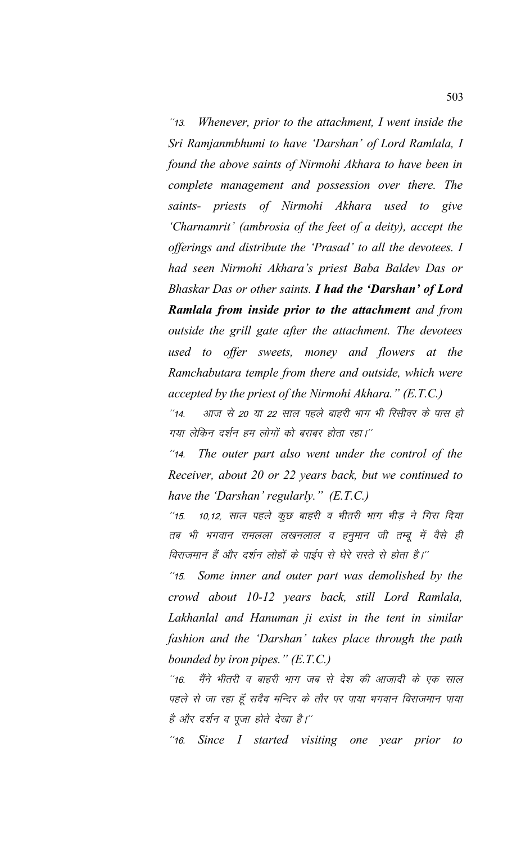\*\*13- *Whenever, prior to the attachment, I went inside the Sri Ramjanmbhumi to have 'Darshan' of Lord Ramlala, I found the above saints of Nirmohi Akhara to have been in complete management and possession over there. The saints- priests of Nirmohi Akhara used to give 'Charnamrit' (ambrosia of the feet of a deity), accept the offerings and distribute the 'Prasad' to all the devotees. I had seen Nirmohi Akhara's priest Baba Baldev Das or Bhaskar Das or other saints. I had the 'Darshan' of Lord Ramlala from inside prior to the attachment and from outside the grill gate after the attachment. The devotees used to offer sweets, money and flowers at the Ramchabutara temple from there and outside, which were accepted by the priest of the Nirmohi Akhara." (E.T.C.)*

''14. आज से 20 या 22 साल पहले बाहरी भाग भी रिसीवर के पास हो गया लेकिन दर्शन हम लोगों को बराबर होता रहा।''

"14. The outer part also went under the control of the *Receiver, about 20 or 22 years back, but we continued to have the 'Darshan' regularly." (E.T.C.)*

''15. 10,12, साल पहले कुछ बाहरी व भीतरी भाग भीड़ ने गिरा दिया तब भी भगवान रामलला लखनलाल व हनुमान जी तम्बू में वैसे ही विराजमान हैं और दर्शन लोहों के पाईप से घेरे रास्ते से होता है।''

\*\*15- *Some inner and outer part was demolished by the crowd about 10-12 years back, still Lord Ramlala, Lakhanlal and Hanuman ji exist in the tent in similar fashion and the 'Darshan' takes place through the path bounded by iron pipes." (E.T.C.)*

''16. मैंने भीतरी व बाहरी भाग जब से देश की आजादी के एक साल पहले से जा रहा हूँ सदैव मन्दिर के तौर पर पाया भगवान विराजमान पाया है और दर्शन व पूजा होते देखा है।''

\*\*16- *Since I started visiting one year prior to*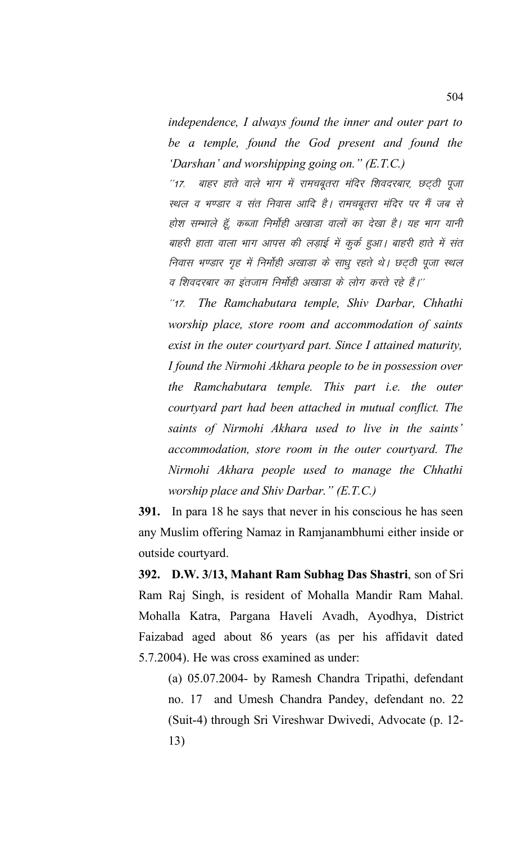*independence, I always found the inner and outer part to be a temple, found the God present and found the 'Darshan' and worshipping going on." (E.T.C.)*

''17. बाहर हाते वाले भाग में रामचबूतरा मंदिर शिवदरबार, छट्ठी पूजा स्थल व भण्डार व संत निवास आदि है। रामचबूतरा मंदिर पर मैं जब से होश सम्भाले हूँ, कब्जा निर्मोही अखाडा वालों का देखा है। यह भाग यानी बाहरी हाता वाला भाग आपस की लड़ाई में कुर्क हुआ। बाहरी हाते में संत निवास भण्डार गृह में निर्मोही अखाडा के साधू रहते थे। छट्ठी पूजा स्थल व शिवदरबार का इंतजाम निर्मोही अखाडा के लोग करते रहे हैं।''

\*\*17- *The Ramchabutara temple, Shiv Darbar, Chhathi worship place, store room and accommodation of saints exist in the outer courtyard part. Since I attained maturity, I found the Nirmohi Akhara people to be in possession over the Ramchabutara temple. This part i.e. the outer courtyard part had been attached in mutual conflict. The saints of Nirmohi Akhara used to live in the saints' accommodation, store room in the outer courtyard. The Nirmohi Akhara people used to manage the Chhathi worship place and Shiv Darbar." (E.T.C.)*

**391.** In para 18 he says that never in his conscious he has seen any Muslim offering Namaz in Ramjanambhumi either inside or outside courtyard.

**392. D.W. 3/13, Mahant Ram Subhag Das Shastri**, son of Sri Ram Raj Singh, is resident of Mohalla Mandir Ram Mahal. Mohalla Katra, Pargana Haveli Avadh, Ayodhya, District Faizabad aged about 86 years (as per his affidavit dated 5.7.2004). He was cross examined as under:

(a) 05.07.2004- by Ramesh Chandra Tripathi, defendant no. 17 and Umesh Chandra Pandey, defendant no. 22 (Suit-4) through Sri Vireshwar Dwivedi, Advocate (p. 12- 13)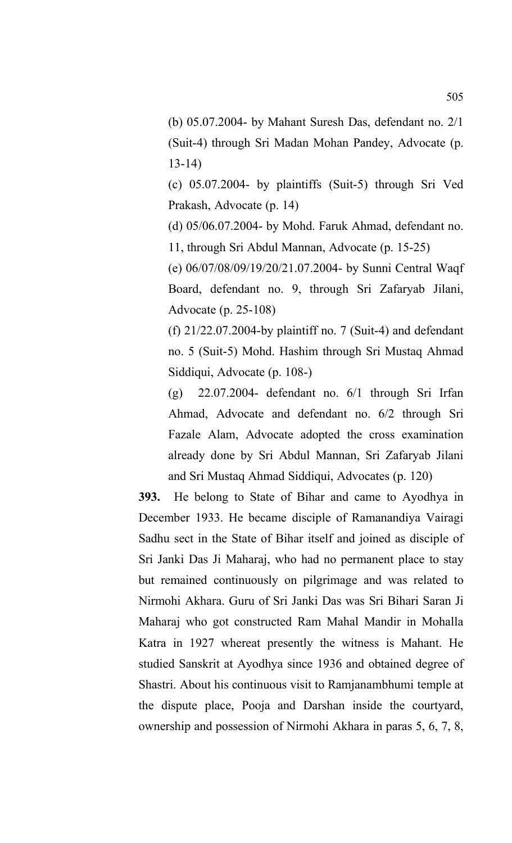(b) 05.07.2004- by Mahant Suresh Das, defendant no. 2/1 (Suit-4) through Sri Madan Mohan Pandey, Advocate (p. 13-14)

(c) 05.07.2004- by plaintiffs (Suit-5) through Sri Ved Prakash, Advocate (p. 14)

(d) 05/06.07.2004- by Mohd. Faruk Ahmad, defendant no. 11, through Sri Abdul Mannan, Advocate (p. 15-25)

(e) 06/07/08/09/19/20/21.07.2004- by Sunni Central Waqf Board, defendant no. 9, through Sri Zafaryab Jilani, Advocate (p. 25-108)

(f)  $21/22.07.2004$ -by plaintiff no. 7 (Suit-4) and defendant no. 5 (Suit-5) Mohd. Hashim through Sri Mustaq Ahmad Siddiqui, Advocate (p. 108-)

(g) 22.07.2004- defendant no. 6/1 through Sri Irfan Ahmad, Advocate and defendant no. 6/2 through Sri Fazale Alam, Advocate adopted the cross examination already done by Sri Abdul Mannan, Sri Zafaryab Jilani and Sri Mustaq Ahmad Siddiqui, Advocates (p. 120)

**393.** He belong to State of Bihar and came to Ayodhya in December 1933. He became disciple of Ramanandiya Vairagi Sadhu sect in the State of Bihar itself and joined as disciple of Sri Janki Das Ji Maharaj, who had no permanent place to stay but remained continuously on pilgrimage and was related to Nirmohi Akhara. Guru of Sri Janki Das was Sri Bihari Saran Ji Maharaj who got constructed Ram Mahal Mandir in Mohalla Katra in 1927 whereat presently the witness is Mahant. He studied Sanskrit at Ayodhya since 1936 and obtained degree of Shastri. About his continuous visit to Ramjanambhumi temple at the dispute place, Pooja and Darshan inside the courtyard, ownership and possession of Nirmohi Akhara in paras 5, 6, 7, 8,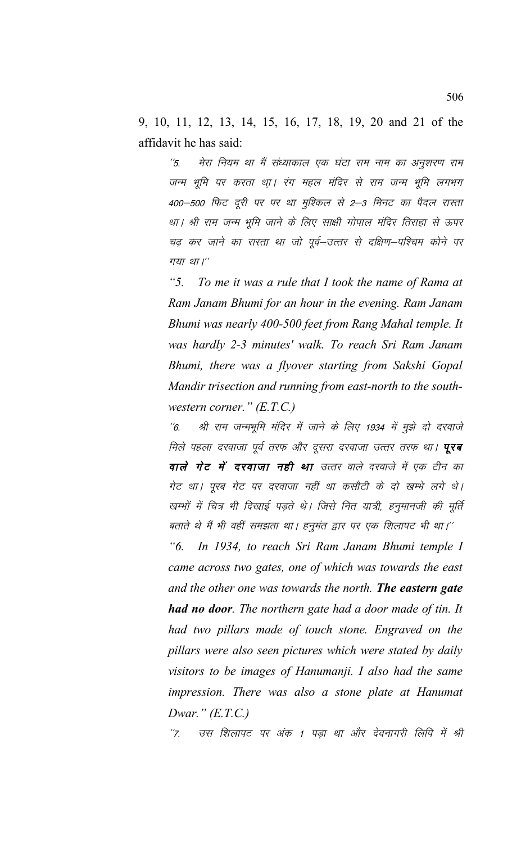9, 10, 11, 12, 13, 14, 15, 16, 17, 18, 19, 20 and 21 of the affidavit he has said:

 $\frac{7}{5}$ मेरा नियम था मैं संध्याकाल एक घंटा राम नाम का अनुशरण राम जन्म भूमि पर करता था़। रंग महल मंदिर से राम जन्म भूमि लगभग 400–500 फिट दूरी पर पर था मुश्किल से 2–3 मिनट का पैदल रास्ता था। श्री राम जन्म भूमि जाने के लिए साक्षी गोपाल मंदिर तिराहा से ऊपर चढ़ कर जाने का रास्ता था जो पूर्व–उत्तर से दक्षिण–पश्चिम कोने पर गया था।"

 $\frac{1}{2}$ To me it was a rule that I took the name of Rama at Ram Janam Bhumi for an hour in the evening. Ram Janam Bhumi was nearly 400-500 feet from Rang Mahal temple. It was hardly 2-3 minutes' walk. To reach Sri Ram Janam Bhumi, there was a flyover starting from Sakshi Gopal Mandir trisection and running from east-north to the southwestern corner."  $(E.T.C.)$ 

श्री राम जन्मभूमि मंदिर में जाने के लिए 1934 में मूझे दो दरवाजे  $\degree$ 6. मिले पहला दरवाजा पूर्व तरफ और दूसरा दरवाजा उत्तर तरफ था। **पूरब** वाले गेट में दरवाजा नही था उत्तर वाले दरवाजे में एक टीन का गेट था। पूरब गेट पर दरवाजा नहीं था कसौटी के दो खम्भे लगे थे। खम्भों में चित्र भी दिखाई पड़ते थे। जिसे नित यात्री, हनुमानजी की मूर्ति बताते थे मैं भी वहीं समझता था। हनुमंत द्वार पर एक शिलापट भी था।''

In 1934, to reach Sri Ram Janam Bhumi temple I "б. came across two gates, one of which was towards the east and the other one was towards the north. The eastern gate **had no door**. The northern gate had a door made of tin. It had two pillars made of touch stone. Engraved on the pillars were also seen pictures which were stated by daily visitors to be images of Hanumanji. I also had the same impression. There was also a stone plate at Hanumat Dwar."  $(E.T.C.)$ 

उस शिलापट पर अंक 1 पड़ा था और देवनागरी लिपि में श्री  $"7.$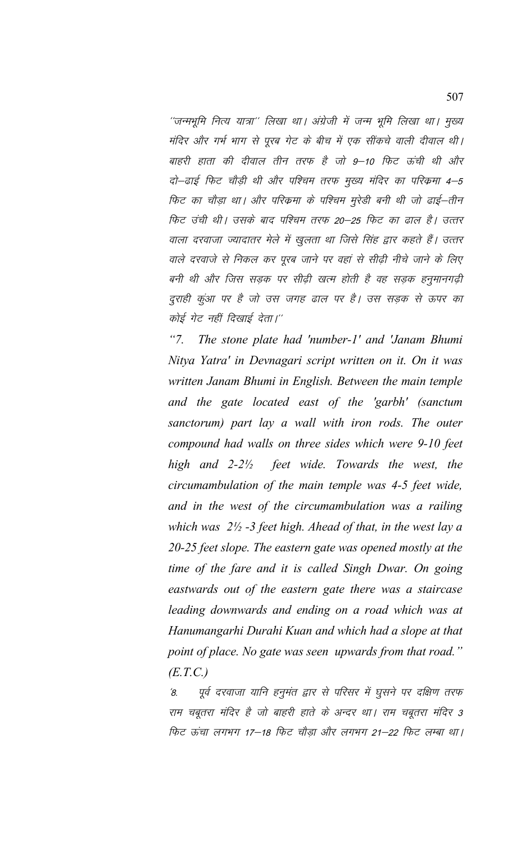''जन्मभूमि नित्य यात्रा'' लिखा था। अंग्रेजी में जन्म भूमि लिखा था। मुख्य मंदिर और गर्भ भाग से पूरब गेट के बीच में एक सींकचे वाली दीवाल थी। बाहरी हाता की दीवाल तीन तरफ है जो 9–10 फिट ऊंची थी और दो–ढाई फिट चौड़ी थी और पश्चिम तरफ मुख्य मंदिर का परिक्रमा 4–5 फिट का चौड़ा था। और परिकमा के पश्चिम मुरेडी बनी थी जो ढाई–तीन फिट उंची थी। उसके बाद पश्चिम तरफ 20–25 फिट का ढाल है। उत्तर वाला दरवाजा ज्यादातर मेले में खुलता था जिसे सिंह द्वार कहते हैं। उत्तर वाले दरवाजे से निकल कर पूरब जाने पर वहां से सीढ़ी नीचे जाने के लिए बनी थी और जिस सड़क पर सीढ़ी खत्म होती है वह सड़क हनुमानगढ़ी दुराही कुंआ पर है जो उस जगह ढाल पर है। उस सड़क से ऊपर का कोई गेट नहीं दिखाई देता।"

 $"7$ . The stone plate had 'number-1' and 'Janam Bhumi Nitya Yatra' in Devnagari script written on it. On it was written Janam Bhumi in English. Between the main temple and the gate located east of the 'garbh' (sanctum sanctorum) part lay a wall with iron rods. The outer compound had walls on three sides which were 9-10 feet high and  $2-2\frac{1}{2}$ feet wide. Towards the west, the circumambulation of the main temple was 4-5 feet wide, and in the west of the circumambulation was a railing which was  $2\frac{1}{2}$  -3 feet high. Ahead of that, in the west lay a 20-25 feet slope. The eastern gate was opened mostly at the time of the fare and it is called Singh Dwar. On going eastwards out of the eastern gate there was a staircase leading downwards and ending on a road which was at Hanumangarhi Durahi Kuan and which had a slope at that point of place. No gate was seen upwards from that road."  $(E.T.C.)$ 

पूर्व दरवाजा यानि हनुमंत द्वार से परिसर में घुसने पर दक्षिण तरफ  $\mathcal{B}$ राम चबूतरा मंदिर है जो बाहरी हाते के अन्दर था। राम चबूतरा मंदिर 3 फिट ऊंचा लगभग 17—18 फिट चौड़ा और लगभग 21—22 फिट लम्बा था।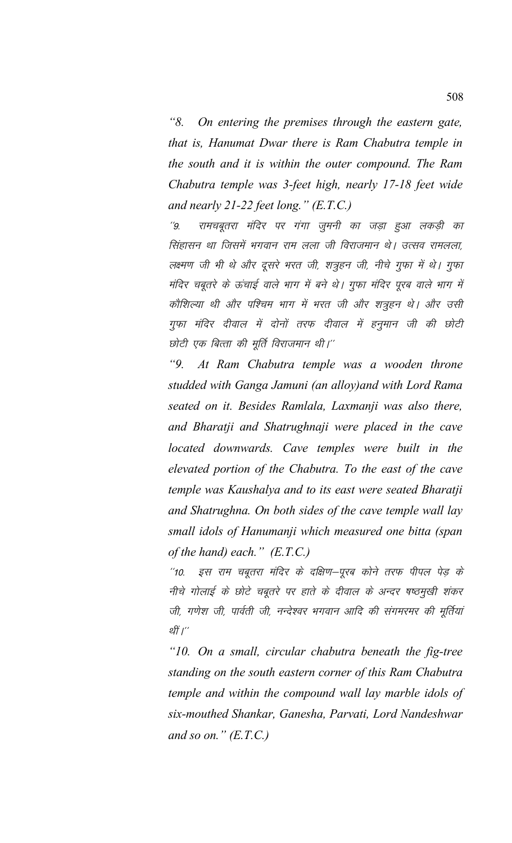*"8. On entering the premises through the eastern gate, that is, Hanumat Dwar there is Ram Chabutra temple in the south and it is within the outer compound. The Ram Chabutra temple was 3-feet high, nearly 17-18 feet wide and nearly 21-22 feet long." (E.T.C.)*

''9. रामचबूतरा मंदिर पर गंगा जुमनी का जड़ा हुआ लकड़ी का सिंहासन था जिसमें भगवान राम लला जी विराजमान थे। उत्सव रामलला, लक्ष्मण जी भी थे और दूसरे भरत जी, शत्रुहन जी, नीचे गुफा में थे। गुफा मंदिर चबूतरे के ऊंचाई वाले भाग में बने थे। गुफा मंदिर पूरब वाले भाग में कौशिल्या थी और पश्चिम भाग में भरत जी और शत्रूहन थे। और उसी गुफा मंदिर दीवाल में दोनों तरफ दीवाल में हनूमान जी की छोटी छोटी एक बित्ता की मूर्ति विराजमान थी।"

*"9. At Ram Chabutra temple was a wooden throne studded with Ganga Jamuni (an alloy)and with Lord Rama seated on it. Besides Ramlala, Laxmanji was also there, and Bharatji and Shatrughnaji were placed in the cave located downwards. Cave temples were built in the elevated portion of the Chabutra. To the east of the cave temple was Kaushalya and to its east were seated Bharatji and Shatrughna. On both sides of the cave temple wall lay small idols of Hanumanji which measured one bitta (span of the hand) each." (E.T.C.)*

''10. इस राम चबूतरा मंदिर के दक्षिण–पूरब कोने तरफ पीपल पेड़ के नीचे गोलाई के छोटे चबूतरे पर हाते के दीवाल के अन्दर षष्ठमुखी शंकर जी, गणेश जी, पार्वती जी, नन्देश्वर भगवान आदि की संगमरमर की मूर्तियां र्थी ।''

*"10. On a small, circular chabutra beneath the fig-tree standing on the south eastern corner of this Ram Chabutra temple and within the compound wall lay marble idols of six-mouthed Shankar, Ganesha, Parvati, Lord Nandeshwar and so on." (E.T.C.)*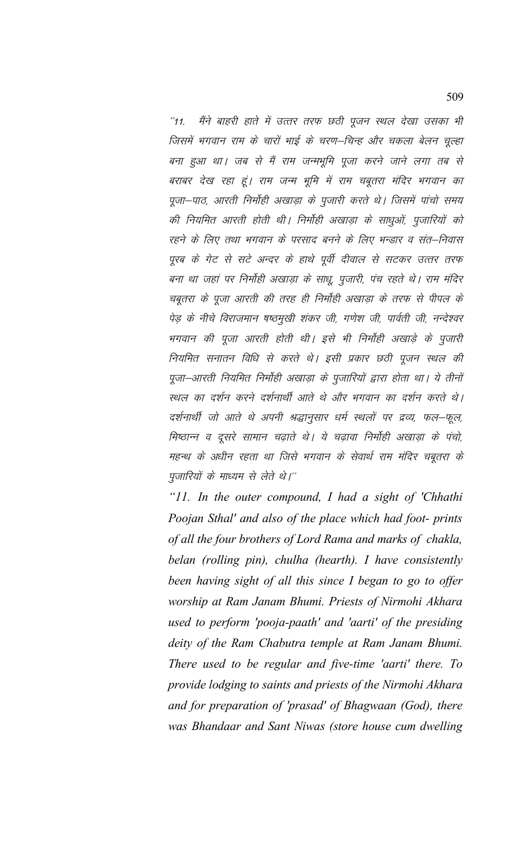मैंने बाहरी हाते में उत्तर तरफ छठी पूजन स्थल देखा उसका भी  $^{\prime\prime}$ 11. जिसमें भगवान राम के चारों भाई के चरण–चिन्ह और चकला बेलन चुल्हा बना हुआ था। जब से मैं राम जन्मभूमि पूजा करने जाने लगा तब से बराबर देख रहा हूं। राम जन्म भूमि में राम चबूतरा मंदिर भगवान का पूजा-पाठ, आरती निर्मोही अखाड़ा के पुजारी करते थे। जिसमें पांचो समय की नियमित आरती होती थी। निर्मोही अखाड़ा के साधुओं, पूजारियों को रहने के लिए तथा भगवान के परसाद बनने के लिए भन्डार व संत–निवास पूरब के गेट से सटे अन्दर के हाथे पूर्वी दीवाल से सटकर उत्तर तरफ बना था जहां पर निर्मोही अखाड़ा के साधू, पूजारी, पंच रहते थे। राम मंदिर चबुतरा के पूजा आरती की तरह ही निर्मोही अखाड़ा के तरफ से पीपल के पेड़ के नीचे विराजमान षष्ठमुखी शंकर जी, गणेश जी, पार्वती जी, नन्देश्वर भगवान की पूजा आरती होती थी। इसे भी निर्मोही अखाड़े के पुजारी नियमित सनातन विधि से करते थे। इसी प्रकार छठी पूजन स्थल की पूजा–आरती नियमित निर्मोही अखाड़ा के पुजारियों द्वारा होता था। ये तीनों स्थल का दर्शन करने दर्शनार्थी आते थे और भगवान का दर्शन करते थे। दर्शनार्थी जो आते थे अपनी श्रद्धानुसार धर्म स्थलों पर द्रव्य, फल–फूल, मिष्ठान्न व दूसरे सामान चढ़ाते थे। ये चढ़ावा निर्मोही अखाड़ा के पंचो, महन्थ के अधीन रहता था जिसे भगवान के सेवार्थ राम मंदिर चबूतरा के पुजारियों के माध्यम से लेते थे।''

"11. In the outer compound, I had a sight of 'Chhathi' Poojan Sthal' and also of the place which had foot- prints of all the four brothers of Lord Rama and marks of chakla, belan (rolling pin), chulha (hearth). I have consistently been having sight of all this since I began to go to offer worship at Ram Janam Bhumi. Priests of Nirmohi Akhara used to perform 'pooja-paath' and 'aarti' of the presiding deity of the Ram Chabutra temple at Ram Janam Bhumi. There used to be regular and five-time 'aarti' there. To provide lodging to saints and priests of the Nirmohi Akhara and for preparation of 'prasad' of Bhagwaan (God), there was Bhandaar and Sant Niwas (store house cum dwelling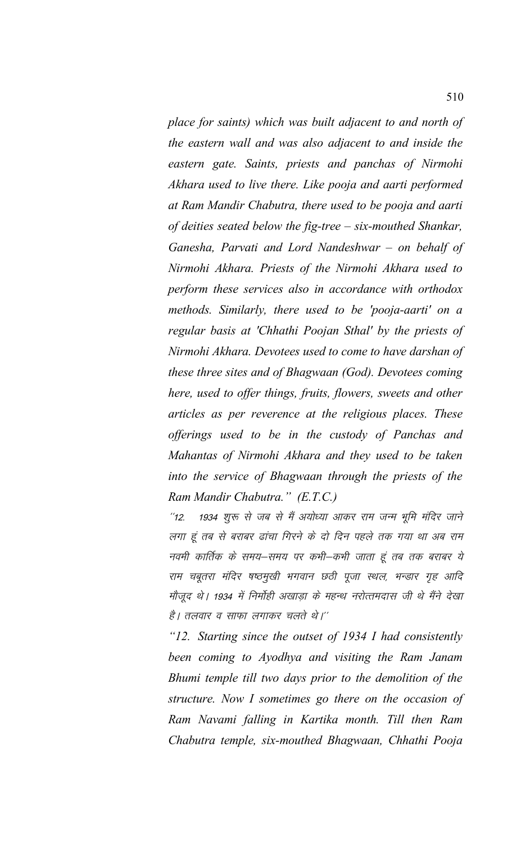place for saints) which was built adjacent to and north of the eastern wall and was also adjacent to and inside the eastern gate. Saints, priests and panchas of Nirmohi Akhara used to live there. Like pooja and aarti performed at Ram Mandir Chabutra, there used to be pooja and aarti of deities seated below the fig-tree  $-$  six-mouthed Shankar, Ganesha, Parvati and Lord Nandeshwar  $-$  on behalf of Nirmohi Akhara. Priests of the Nirmohi Akhara used to perform these services also in accordance with orthodox methods. Similarly, there used to be 'pooja-aarti' on a regular basis at 'Chhathi Poojan Sthal' by the priests of Nirmohi Akhara. Devotees used to come to have darshan of these three sites and of Bhagwaan (God). Devotees coming here, used to offer things, fruits, flowers, sweets and other articles as per reverence at the religious places. These offerings used to be in the custody of Panchas and Mahantas of Nirmohi Akhara and they used to be taken into the service of Bhagwaan through the priests of the Ram Mandir Chabutra." (E.T.C.)

1934 शुरू से जब से मैं अयोध्या आकर राम जन्म भूमि मंदिर जाने  $112$ लगा हूं तब से बराबर ढांचा गिरने के दो दिन पहले तक गया था अब राम नवमी कार्तिक के समय–समय पर कभी–कभी जाता हूं तब तक बराबर ये राम चबूतरा मंदिर षष्ठमुखी भगवान छठी पूजा स्थल, भन्डार गृह आदि मौजुद थे। 1934 में निर्मोही अखाड़ा के महन्थ नरोत्तमदास जी थे मैंने देखा है। तलवार व साफा लगाकर चलते थे।''

"12. Starting since the outset of 1934 I had consistently been coming to Ayodhya and visiting the Ram Janam Bhumi temple till two days prior to the demolition of the structure. Now I sometimes go there on the occasion of Ram Navami falling in Kartika month. Till then Ram Chabutra temple, six-mouthed Bhagwaan, Chhathi Pooja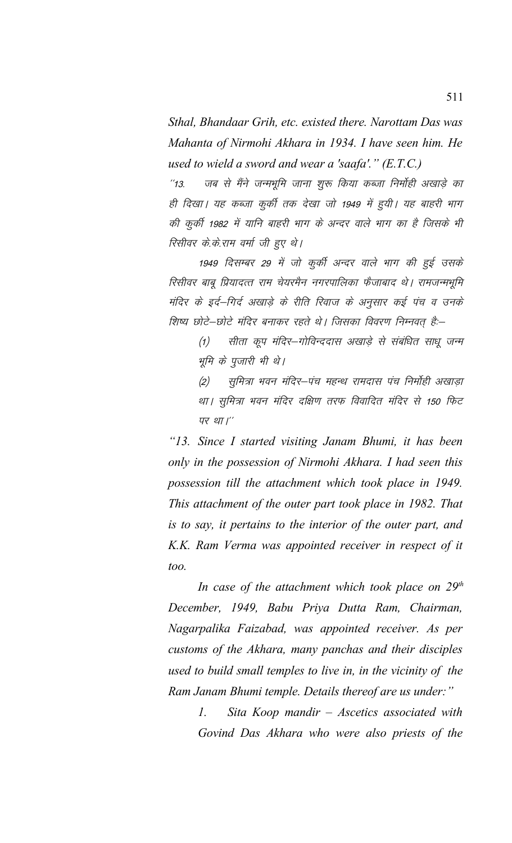Sthal, Bhandaar Grih, etc. existed there. Narottam Das was Mahanta of Nirmohi Akhara in 1934. I have seen him. He used to wield a sword and wear a 'saafa'."  $(E.T.C.)$ 

जब से मैंने जन्मभूमि जाना शुरू किया कब्जा निर्मोही अखाड़े का  $113.$ ही दिखा। यह कब्जा कुर्की तक देखा जो 1949 में हुयी। यह बाहरी भाग की कुर्की 1982 में यानि बाहरी भाग के अन्दर वाले भाग का है जिसके भी रिसीवर के.के.राम वर्मा जी हुए थे।

1949 दिसम्बर 29 में जो कुर्की अन्दर वाले भाग की हुई उसके रिसीवर बाबू प्रियादत्त राम चेयरमैन नगरपालिका फैजाबाद थे। रामजन्मभूमि मंदिर के इर्द–गिर्द अखाड़े के रीति रिवाज के अनुसार कई पंच व उनके शिष्य छोटे—छोटे मंदिर बनाकर रहते थे। जिसका विवरण निम्नवत् है:—

सीता कूप मंदिर–गोविन्ददास अखाड़े से संबंधित साधू जन्म  $(1)$ भूमि के पूजारी भी थे।

सूमित्रा भवन मंदिर–पंच महन्थ रामदास पंच निर्मोही अखाड़ा  $(2)$ था। सुमित्रा भवन मंदिर दक्षिण तरफ विवादित मंदिर से 150 फिट पर था।"

"13. Since I started visiting Janam Bhumi, it has been only in the possession of Nirmohi Akhara. I had seen this possession till the attachment which took place in 1949. This attachment of the outer part took place in 1982. That is to say, it pertains to the interior of the outer part, and K.K. Ram Verma was appointed receiver in respect of it *.* 

In case of the attachment which took place on  $29<sup>th</sup>$ December, 1949, Babu Priya Dutta Ram, Chairman, Nagarpalika Faizabad, was appointed receiver. As per customs of the Akhara, many panchas and their disciples used to build small temples to live in, in the vicinity of the Ram Janam Bhumi temple. Details thereof are us under:"

> Sita Koop mandir - Ascetics associated with  $\iota$ . Govind Das Akhara who were also priests of the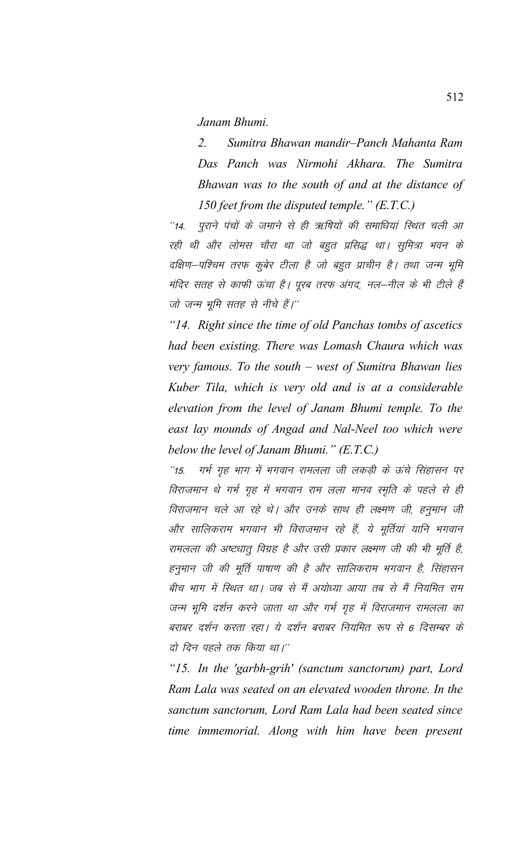*Janam Bhumi.*

*2. Sumitra Bhawan mandir–Panch Mahanta Ram Das Panch was Nirmohi Akhara. The Sumitra Bhawan was to the south of and at the distance of 150 feet from the disputed temple." (E.T.C.)* 

"14. पुराने पंचों के जमाने से ही ऋषियों की समाधियां स्थित चली आ रही थी और लोमस चौरा था जो बहुत प्रसिद्ध था। सुमित्रा भवन के दक्षिण–पश्चिम तरफ कुबेर टीला है जो बहुत प्राचीन है। तथा जन्म भूमि मंदिर सतह से काफी ऊंचा है। पूरब तरफ अंगद, नल—नील के भी टीले हैं जो जन्म भूमि सतह से नीचे हैं।"

*"14. Right since the time of old Panchas tombs of ascetics had been existing. There was Lomash Chaura which was very famous. To the south – west of Sumitra Bhawan lies Kuber Tila, which is very old and is at a considerable elevation from the level of Janam Bhumi temple. To the east lay mounds of Angad and Nal-Neel too which were below the level of Janam Bhumi." (E.T.C.)*

 $^{\prime\prime}$ 15. - गर्भ गृह भाग में भगवान रामलला जी लकड़ी के ऊंचे सिंहासन पर विराजमान थे गर्भ गृह में भगवान राम लला मानव स्मृति के पहले से ही विराजमान चले आ रहे थे। और उनके साथ ही लक्ष्मण जी, हनुमान जी ओर सालिकराम भगवान भी विराजमान रहे हैं, ये मूर्तियां यानि भगवान रामलला की अष्टधातू विग्रह है और उसी प्रकार लक्ष्मण जी की भी मूर्ति है, हनुमान जी की मूर्ति पाषाण की है और सालिकराम भगवान है, सिंहासन बीच भाग में स्थित था। जब से मैं अयोध्या आया तब से मैं नियमित राम जन्म भूमि दर्शन करने जाता था और गर्भ गृह में विराजमान रामलला का बराबर दर्शन करता रहा। ये दर्शन बराबर नियमित रूप से 6 दिसम्बर के दो दिन पहले तक किया था।"

*"15. In the 'garbh-grih' (sanctum sanctorum) part, Lord Ram Lala was seated on an elevated wooden throne. In the sanctum sanctorum, Lord Ram Lala had been seated since time immemorial. Along with him have been present*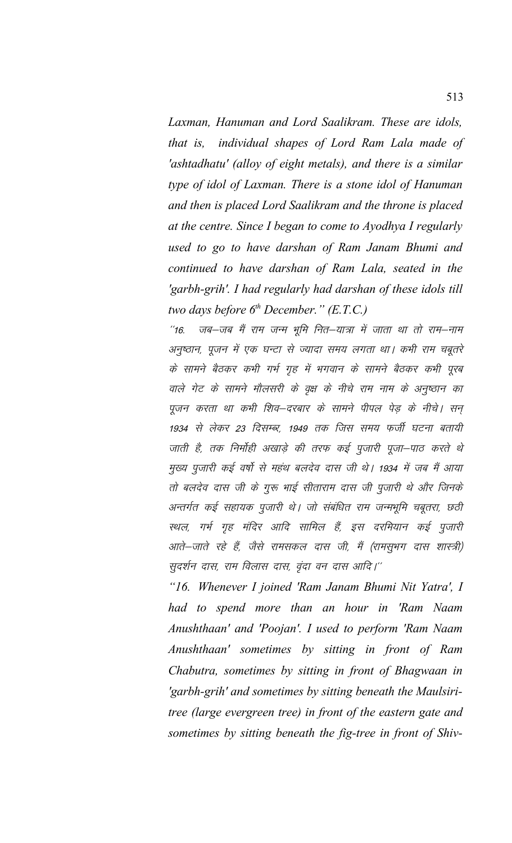Laxman, Hanuman and Lord Saalikram. These are idols, individual shapes of Lord Ram Lala made of *that is,* 'ashtadhatu' (alloy of eight metals), and there is a similar type of idol of Laxman. There is a stone idol of Hanuman and then is placed Lord Saalikram and the throne is placed at the centre. Since I began to come to Ayodhya I regularly used to go to have darshan of Ram Janam Bhumi and continued to have darshan of Ram Lala, seated in the 'garbh-grih'. I had regularly had darshan of these idols till two days before  $6<sup>th</sup>$  December." (E.T.C.)

जब–जब मैं राम जन्म भूमि नित–यात्रा में जाता था तो राम–नाम  $16'$ अनुष्ठान, पूजन में एक घन्टा से ज्यादा समय लगता था। कभी राम चबूतरे के सामने बैठकर कभी गर्भ गृह में भगवान के सामने बैठकर कभी पूरब वाले गेट के सामने मौलसरी के वृक्ष के नीचे राम नाम के अनुष्ठान का पूजन करता था कभी शिव–दरबार के सामने पीपल पेड़ के नीचे। सन् 1934 से लेकर 23 दिसम्बर, 1949 तक जिस समय फर्जी घटना बतायी जाती है, तक निर्मोही अखाड़े की तरफ कई पूजारी पूजा–पाठ करते थे मुख्य पुजारी कई वर्षो से महंथ बलदेव दास जी थे। 1934 में जब मैं आया तो बलदेव दास जी के गुरू भाई सीताराम दास जी पुजारी थे और जिनके अन्तर्गत कई सहायक पूजारी थे। जो संबंधित राम जन्मभूमि चबूतरा, छठी स्थल, गर्भ गृह मंदिर आदि सामिल हैं, इस दरमियान कई पूजारी आते–जाते रहे हैं, जैसे रामसकल दास जी, मैं (रामसुभग दास शास्त्री) सुदर्शन दास, राम विलास दास, वृंदा वन दास आदि।''

"16. Whenever I joined 'Ram Janam Bhumi Nit Yatra', I had to spend more than an hour in 'Ram Naam Anushthaan' and 'Poojan'. I used to perform 'Ram Naam Anushthaan' sometimes by sitting in front of Ram Chabutra, sometimes by sitting in front of Bhagwaan in 'garbh-grih' and sometimes by sitting beneath the Maulsiritree (large evergreen tree) in front of the eastern gate and sometimes by sitting beneath the fig-tree in front of Shiv-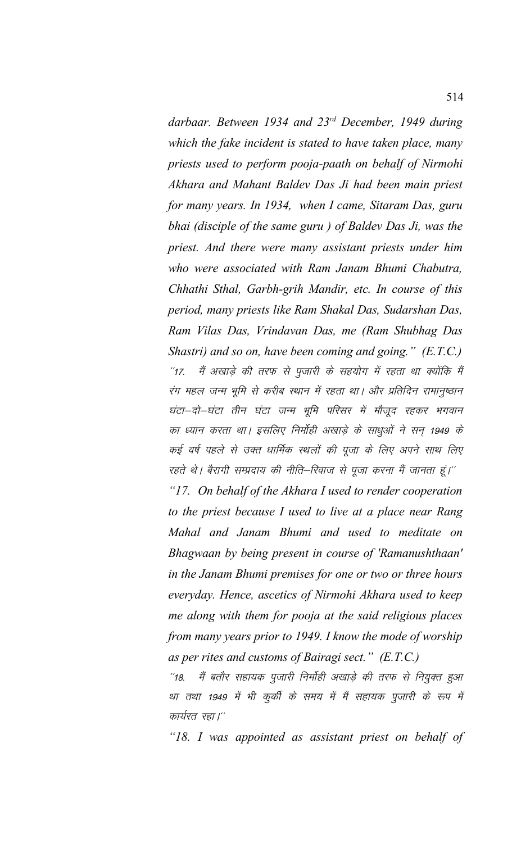*darbaar. Between 1934 and 23rd December, 1949 during which the fake incident is stated to have taken place, many priests used to perform pooja-paath on behalf of Nirmohi Akhara and Mahant Baldev Das Ji had been main priest for many years. In 1934, when I came, Sitaram Das, guru bhai (disciple of the same guru ) of Baldev Das Ji, was the priest. And there were many assistant priests under him who were associated with Ram Janam Bhumi Chabutra, Chhathi Sthal, Garbh-grih Mandir, etc. In course of this period, many priests like Ram Shakal Das, Sudarshan Das, Ram Vilas Das, Vrindavan Das, me (Ram Shubhag Das Shastri) and so on, have been coming and going." (E.T.C.)* "17. मैं अखाड़े की तरफ से पूजारी के सहयोग में रहता था क्योंकि मैं रंग महल जन्म भूमि से करीब स्थान में रहता था। और प्रतिदिन रामानुष्ठान घंटा–दो–घंटा तीन घंटा जन्म भूमि परिसर में मौजूद रहकर भगवान का ध्यान करता था। इसलिए निर्मोही अखाड़े के साधुओं ने सन् 1949 के कई वर्ष पहले से उक्त धार्मिक स्थलों की पूजा के लिए अपने साथ लिए रहते थे। बैरागी सम्प्रदाय की नीति—रिवाज से पूजा करना मैं जानता हूं।''

*"17. On behalf of the Akhara I used to render cooperation to the priest because I used to live at a place near Rang Mahal and Janam Bhumi and used to meditate on Bhagwaan by being present in course of 'Ramanushthaan' in the Janam Bhumi premises for one or two or three hours everyday. Hence, ascetics of Nirmohi Akhara used to keep me along with them for pooja at the said religious places from many years prior to 1949. I know the mode of worship as per rites and customs of Bairagi sect." (E.T.C.)*

''18. मैं बतौर सहायक पुजारी निर्मोही अखाड़े की तरफ से नियुक्त हुआ था तथा 1949 में भी कुर्की के समय में मैं सहायक पुजारी के रूप में कार्यरत रहा।''

*"18. I was appointed as assistant priest on behalf of*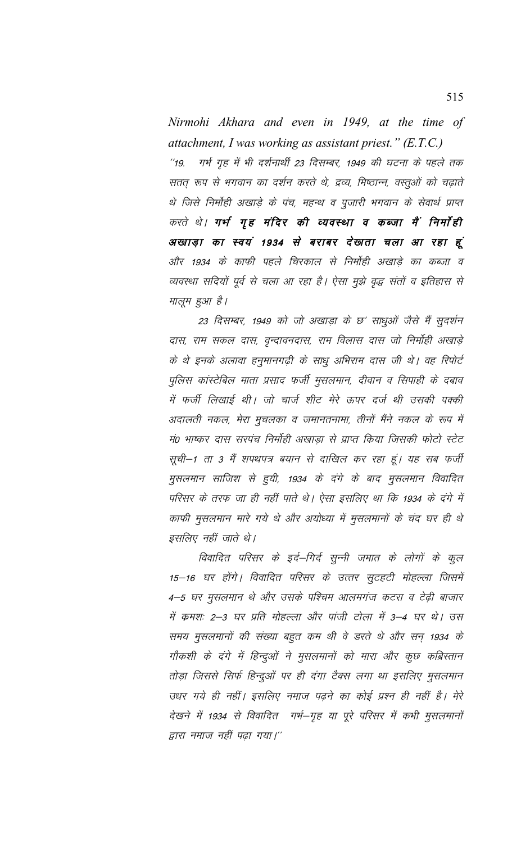Nirmohi Akhara and even in 1949, at the time of attachment, I was working as assistant priest."  $(E.T.C.)$ गर्भ गृह में भी दर्शनार्थी 23 दिसम्बर, 1949 की घटना के पहले तक  $^{\prime\prime}$ 19. सतत् रूप से भगवान का दर्शन करते थे, द्रव्य, मिष्ठान्न, वस्तुओं को चढ़ाते थे जिसे निर्मोही अखाड़े के पंच, महन्थ व पुजारी भगवान के सेवार्थ प्राप्त करते थे। गर्भ गृह मंदिर की व्यवस्था व कब्जा मैं निर्माही अखाड़ा का स्वयं 1934 से बराबर देखता चला आ रहा हूं और 1934 के काफी पहले चिरकाल से निर्मोही अखाड़े का कब्जा व व्यवस्था सदियों पूर्व से चला आ रहा है। ऐसा मुझे वृद्ध संतों व इतिहास से मालूम हुआ है।

23 दिसम्बर, 1949 को जो अखाड़ा के छ' साधुओं जैसे मैं सुदर्शन दास, राम सकल दास, वृन्दावनदास, राम विलास दास जो निर्मोही अखाड़े के थे इनके अलावा हनुमानगढ़ी के साधु अभिराम दास जी थे। वह रिपोर्ट पुलिस कांस्टेबिल माता प्रसाद फर्जी मुसलमान, दीवान व सिपाही के दबाव में फर्जी लिखाई थी। जो चार्ज शीट मेरे ऊपर दर्ज थी उसकी पक्की अदालती नकल, मेरा मुचलका व जमानतनामा, तीनों मैंने नकल के रूप में मं0 भाष्कर दास सरपंच निर्मोही अखाड़ा से प्राप्त किया जिसकी फोटो स्टेट सूची–1 ता 3 मैं शपथपत्र बयान से दाखिल कर रहा हूं। यह सब फर्जी मुसलमान साजिश से हुयी, 1934 के दंगे के बाद मुसलमान विवादित परिसर के तरफ जा ही नहीं पाते थे। ऐसा इसलिए था कि 1934 के दंगे में काफी मुसलमान मारे गये थे और अयोध्या में मुसलमानों के चंद घर ही थे इसलिए नहीं जाते थे।

विवादित परिसर के इर्द–गिर्द सुन्नी जमात के लोगों के कुल 15–16 घर होंगे। विवादित परिसर के उत्तर सुटहटी मोहल्ला जिसमें 4–5 घर मुसलमान थे और उसके पश्चिम आलमगंज कटरा व टेढ़ी बाजार में कमशः 2–3 घर प्रति मोहल्ला और पांजी टोला में 3–4 घर थे। उस समय मुसलमानों की संख्या बहुत कम थी वे डरते थे और सन् 1934 के गौकशी के दंगे में हिन्दुओं ने मुसलमानों को मारा और कुछ कब्रिस्तान तोड़ा जिससे सिर्फ हिन्दुओं पर ही दंगा टैक्स लगा था इसलिए मुसलमान उधर गये ही नहीं। इसलिए नमाज पढ़ने का कोई प्रश्न ही नहीं है। मेरे देखने में 1934 से विवादित गर्भ–गृह या पूरे परिसर में कभी मुसलमानों द्वारा नमाज नहीं पढ़ा गया।''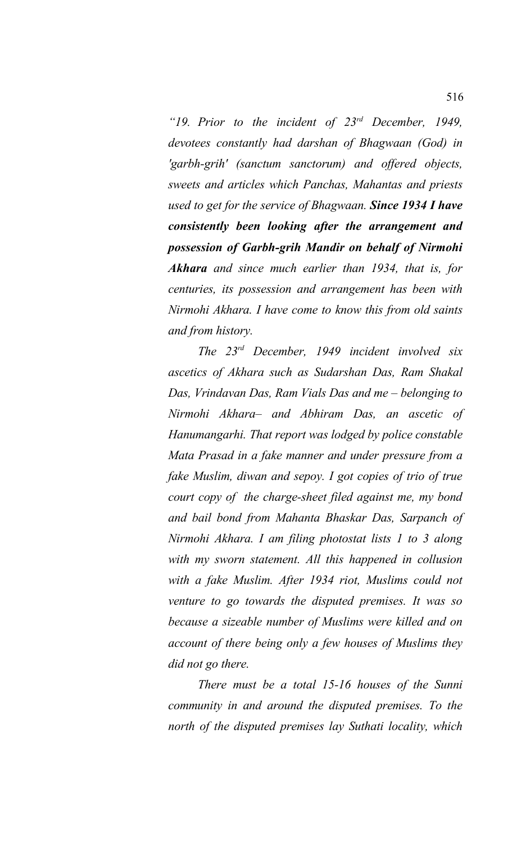*"19. Prior to the incident of 23rd December, 1949, devotees constantly had darshan of Bhagwaan (God) in 'garbh-grih' (sanctum sanctorum) and offered objects, sweets and articles which Panchas, Mahantas and priests used to get for the service of Bhagwaan. Since 1934 I have consistently been looking after the arrangement and possession of Garbh-grih Mandir on behalf of Nirmohi Akhara and since much earlier than 1934, that is, for centuries, its possession and arrangement has been with Nirmohi Akhara. I have come to know this from old saints and from history.* 

*The 23rd December, 1949 incident involved six ascetics of Akhara such as Sudarshan Das, Ram Shakal Das, Vrindavan Das, Ram Vials Das and me – belonging to Nirmohi Akhara– and Abhiram Das, an ascetic of Hanumangarhi. That report was lodged by police constable Mata Prasad in a fake manner and under pressure from a fake Muslim, diwan and sepoy. I got copies of trio of true court copy of the charge-sheet filed against me, my bond and bail bond from Mahanta Bhaskar Das, Sarpanch of Nirmohi Akhara. I am filing photostat lists 1 to 3 along with my sworn statement. All this happened in collusion with a fake Muslim. After 1934 riot, Muslims could not venture to go towards the disputed premises. It was so because a sizeable number of Muslims were killed and on account of there being only a few houses of Muslims they did not go there.*

*There must be a total 15-16 houses of the Sunni community in and around the disputed premises. To the north of the disputed premises lay Suthati locality, which*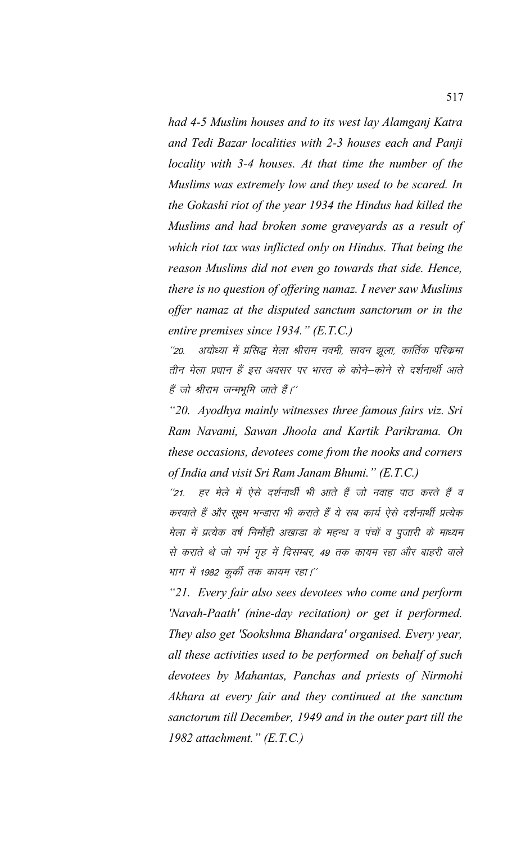had 4-5 Muslim houses and to its west lay Alamganj Katra and Tedi Bazar localities with 2-3 houses each and Panji locality with 3-4 houses. At that time the number of the Muslims was extremely low and they used to be scared. In the Gokashi riot of the year 1934 the Hindus had killed the Muslims and had broken some graveyards as a result of which riot tax was inflicted only on Hindus. That being the reason Muslims did not even go towards that side. Hence, there is no question of offering namaz. I never saw Muslims offer namaz at the disputed sanctum sanctorum or in the entire premises since  $1934$ ." (E.T.C.)

अयोध्या में प्रसिद्ध मेला श्रीराम नवमी, सावन झुला, कार्तिक परिक्रमा  $^{\prime\prime}20.$ तीन मेला प्रधान हैं इस अवसर पर भारत के कोने–कोने से दर्शनार्थी आते हैं जो श्रीराम जन्मभूमि जाते हैं।''

"20. Ayodhya mainly witnesses three famous fairs viz. Sri Ram Navami, Sawan Jhoola and Kartik Parikrama. On these occasions, devotees come from the nooks and corners of India and visit Sri Ram Janam Bhumi." (E.T.C.)

हर मेले में ऐसे दर्शनार्थी भी आते हैं जो नवाह पाठ करते हैं व  $121$ करवाते हैं और सूक्ष्म भन्डारा भी कराते हैं ये सब कार्य ऐसे दर्शनार्थी प्रत्येक मेला में प्रत्येक वर्ष निर्मोही अखाडा के महन्थ व पंचों व पुजारी के माध्यम से कराते थे जो गर्भ गृह में दिसम्बर, 49 तक कायम रहा और बाहरी वाले भाग में 1982 कुर्की तक कायम रहा।''

"21. Every fair also sees devotees who come and perform 'Navah-Paath' (nine-day recitation) or get it performed. They also get 'Sookshma Bhandara' organised. Every year, all these activities used to be performed on behalf of such devotees by Mahantas, Panchas and priests of Nirmohi Akhara at every fair and they continued at the sanctum sanctorum till December, 1949 and in the outer part till the 1982 attachment."  $(E.T.C.)$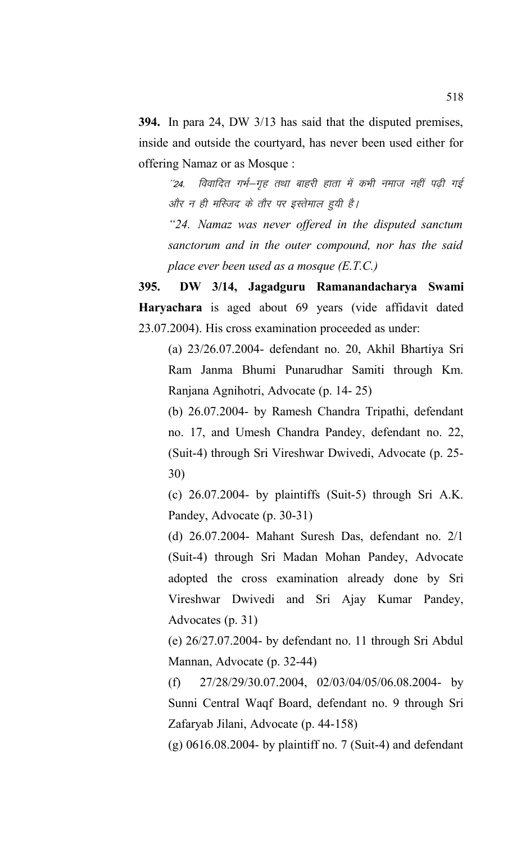**394.** In para 24, DW 3/13 has said that the disputed premises, inside and outside the courtyard, has never been used either for offering Namaz or as Mosque :

''24. विवादित गर्भ-गृह तथा बाहरी हाता में कभी नमाज नहीं पढ़ी गई और न ही मस्जिद के तौर पर इस्तेमाल हुयी है।

*"24. Namaz was never offered in the disputed sanctum sanctorum and in the outer compound, nor has the said place ever been used as a mosque (E.T.C.)*

**395. DW 3/14, Jagadguru Ramanandacharya Swami Haryachara** is aged about 69 years (vide affidavit dated 23.07.2004). His cross examination proceeded as under:

(a) 23/26.07.2004- defendant no. 20, Akhil Bhartiya Sri Ram Janma Bhumi Punarudhar Samiti through Km. Ranjana Agnihotri, Advocate (p. 14- 25)

(b) 26.07.2004- by Ramesh Chandra Tripathi, defendant no. 17, and Umesh Chandra Pandey, defendant no. 22, (Suit-4) through Sri Vireshwar Dwivedi, Advocate (p. 25- 30)

(c) 26.07.2004- by plaintiffs (Suit-5) through Sri A.K. Pandey, Advocate (p. 30-31)

(d) 26.07.2004- Mahant Suresh Das, defendant no. 2/1 (Suit-4) through Sri Madan Mohan Pandey, Advocate adopted the cross examination already done by Sri Vireshwar Dwivedi and Sri Ajay Kumar Pandey, Advocates (p. 31)

(e) 26/27.07.2004- by defendant no. 11 through Sri Abdul Mannan, Advocate (p. 32-44)

(f) 27/28/29/30.07.2004, 02/03/04/05/06.08.2004- by Sunni Central Waqf Board, defendant no. 9 through Sri Zafaryab Jilani, Advocate (p. 44-158)

 $(g)$  0616.08.2004- by plaintiff no. 7 (Suit-4) and defendant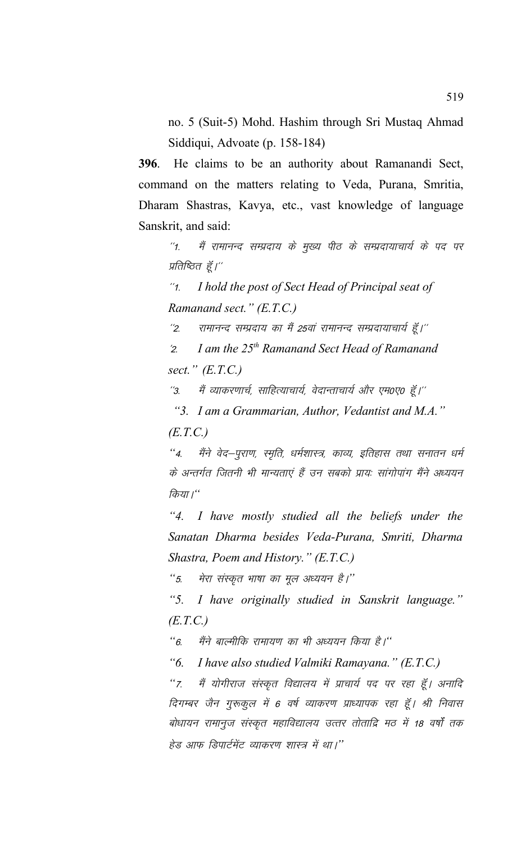no. 5 (Suit-5) Mohd. Hashim through Sri Mustaq Ahmad Siddiqui, Advoate (p. 158-184)

**396**. He claims to be an authority about Ramanandi Sect, command on the matters relating to Veda, Purana, Smritia, Dharam Shastras, Kavya, etc., vast knowledge of language Sanskrit, and said:

"1. मैं रामानन्द सम्प्रदाय के मुख्य पीठ के सम्प्रदायाचार्य के पद पर प्रतिष्ठित हूँ।"

\*\*1- *I hold the post of Sect Head of Principal seat of Ramanand sect." (E.T.C.)*

 $^{\prime\prime}$ 2. रामानन्द सम्प्रदाय का मैं 25वां रामानन्द सम्प्रदायाचार्य हैं।''

^2- *I am the 25th Ramanand Sect Head of Ramanand sect." (E.T.C.)*

''3. मैं व्याकरणार्च, साहित्याचार्य, वेदान्ताचार्य और एम0ए0 हूँ।''

*"3. I am a Grammarian, Author, Vedantist and M.A."*

*(E.T.C.)*

"4. मैंने वेद–पूराण, स्मृति, धर्मशास्त्र, काव्य, इतिहास तथा सनातन धर्म के अन्तर्गत जितनी भी मान्यताएं हैं उन सबको प्रायः सांगोपांग मैंने अध्ययन किया ।"

*"4. I have mostly studied all the beliefs under the Sanatan Dharma besides Veda-Purana, Smriti, Dharma Shastra, Poem and History." (E.T.C.)*

<sup>"</sup> 5. मेरा संस्कृत भाषा का मूल अध्ययन है।''

*"5. I have originally studied in Sanskrit language." (E.T.C.)*

*"6.* मैंने बाल्मीकि रामायण का भी अध्ययन किया है।"

*"6. I have also studied Valmiki Ramayana." (E.T.C.)*

"7. मैं योगीराज संस्कृत विद्यालय में प्राचार्य पद पर रहा हूँ। अनादि दिगम्बर जैन गुरूकुल में 6 वर्ष व्याकरण प्राध्यापक रहा हूँ। श्री निवास बोधायन रामानुज संस्कृत महाविद्यालय उत्तर तोताद्रि मठ में 18 वर्षों तक हेड आफ डिपार्टमेंट व्याकरण शास्त्र में था।''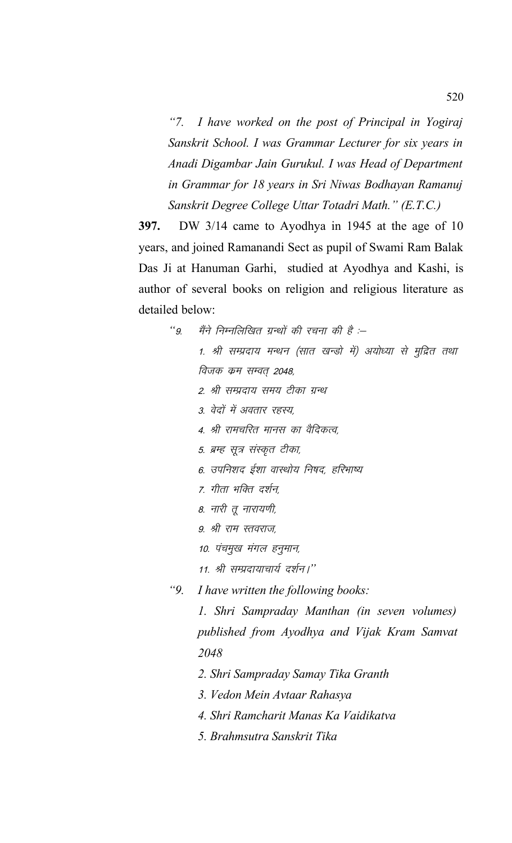*"7. I have worked on the post of Principal in Yogiraj Sanskrit School. I was Grammar Lecturer for six years in Anadi Digambar Jain Gurukul. I was Head of Department in Grammar for 18 years in Sri Niwas Bodhayan Ramanuj Sanskrit Degree College Uttar Totadri Math." (E.T.C.)*

**397.** DW 3/14 came to Ayodhya in 1945 at the age of 10 years, and joined Ramanandi Sect as pupil of Swami Ram Balak Das Ji at Hanuman Garhi, studied at Ayodhya and Kashi, is author of several books on religion and religious literature as detailed below:

..<br>"9. मैंने निम्नलिखित ग्रन्थों की रचना की है :– 1. श्री सम्प्रदाय मन्थन (सात खन्डो में) अयोध्या से मुद्रित तथा विजक कम सम्वत 2048, 2. श्री सम्प्रदाय समय टीका ग्रन्थ 3. वेदों में अवतार रहस्य, 4. श्री रामचरित मानस का वैदिकत्व, 5. ब्रम्ह सूत्र संस्कृत टीका, 6. उपनिशद ईशा वास्थोय निषद, हरिभाष्य 7. गीता भक्ति दर्शन. 8. नारी तु नारायणी, 9. श्री राम स्तवराज, 10. पंचमूख मंगल हनुमान, 11. श्री सम्प्रदायाचार्य दर्शन।" *"9. I have written the following books: 1. Shri Sampraday Manthan (in seven volumes) published from Ayodhya and Vijak Kram Samvat* 

*2048*

- *2. Shri Sampraday Samay Tika Granth*
- *3. Vedon Mein Avtaar Rahasya*
- *4. Shri Ramcharit Manas Ka Vaidikatva*
- *5. Brahmsutra Sanskrit Tika*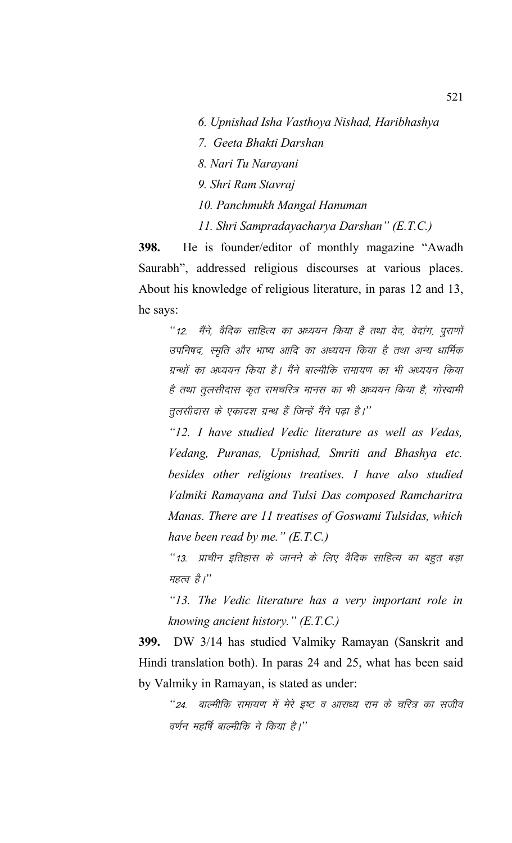- *6. Upnishad Isha Vasthoya Nishad, Haribhashya*
- *7. Geeta Bhakti Darshan*
- *8. Nari Tu Narayani*
- *9. Shri Ram Stavraj*
- *10. Panchmukh Mangal Hanuman*
- *11. Shri Sampradayacharya Darshan" (E.T.C.)*

**398.** He is founder/editor of monthly magazine "Awadh Saurabh", addressed religious discourses at various places. About his knowledge of religious literature, in paras 12 and 13, he says:

"12. मैंने, वैदिक साहित्य का अध्ययन किया है तथा वेद, वेदांग, पुराणों उपनिषद, स्मृति और भाष्य आदि का अध्ययन किया है तथा अन्य धार्मिक ग्रन्थों का अध्ययन किया है। मैंने बाल्मीकि रामायण का भी अध्ययन किया है तथा तुलसीदास कृत रामचरित्र मानस का भी अध्ययन किया है, गोस्वामी तुलसीदास के एकादश ग्रन्थ हैं जिन्हें मैंने पढ़ा है।''

*"12. I have studied Vedic literature as well as Vedas, Vedang, Puranas, Upnishad, Smriti and Bhashya etc. besides other religious treatises. I have also studied Valmiki Ramayana and Tulsi Das composed Ramcharitra Manas. There are 11 treatises of Goswami Tulsidas, which have been read by me." (E.T.C.)*

"13. प्राचीन इतिहास के जानने के लिए वैदिक साहित्य का बहुत बड़ा महत्व है।"

*"13. The Vedic literature has a very important role in knowing ancient history." (E.T.C.)*

**399.** DW 3/14 has studied Valmiky Ramayan (Sanskrit and Hindi translation both). In paras 24 and 25, what has been said by Valmiky in Ramayan, is stated as under:

*"24. बाल्मीकि रामायण में मेरे इष्ट व आराध्य राम के चरित्र का सजीव* वर्णन महर्षि बाल्मीकि ने किया है।''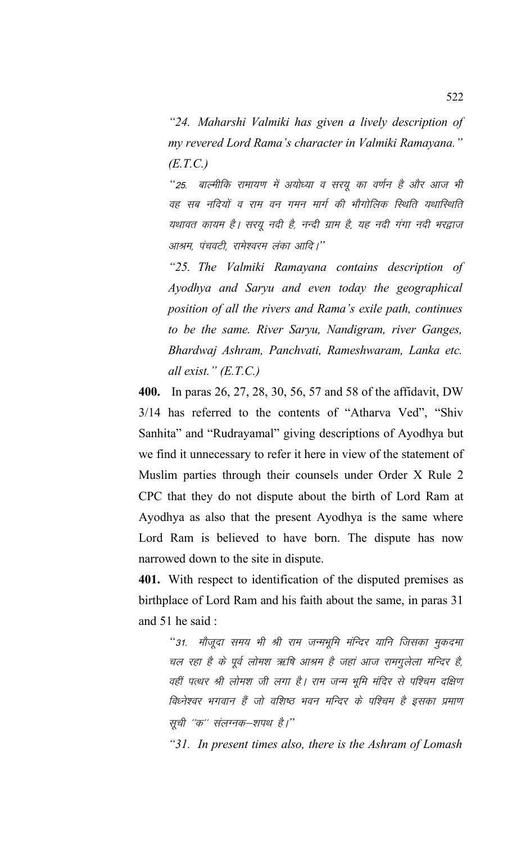*"24. Maharshi Valmiki has given a lively description of my revered Lord Rama's character in Valmiki Ramayana." (E.T.C.)*

*"25. बाल्मीकि रामायण में अयोध्या व सरयु का वर्णन है और आज भी* वह सब नदियों व राम वन गमन मार्ग की भौगोलिक स्थिति यथास्थिति यथावत कायम है। सरयू नदी है, नन्दी ग्राम है, यह नदी गंगा नदी भरद्वाज आश्रम, पंचवटी, रामेश्वरम लंका आदि।''

*"25. The Valmiki Ramayana contains description of Ayodhya and Saryu and even today the geographical position of all the rivers and Rama's exile path, continues to be the same. River Saryu, Nandigram, river Ganges, Bhardwaj Ashram, Panchvati, Rameshwaram, Lanka etc. all exist." (E.T.C.)*

**400.** In paras 26, 27, 28, 30, 56, 57 and 58 of the affidavit, DW 3/14 has referred to the contents of "Atharva Ved", "Shiv Sanhita" and "Rudrayamal" giving descriptions of Ayodhya but we find it unnecessary to refer it here in view of the statement of Muslim parties through their counsels under Order X Rule 2 CPC that they do not dispute about the birth of Lord Ram at Ayodhya as also that the present Ayodhya is the same where Lord Ram is believed to have born. The dispute has now narrowed down to the site in dispute.

**401.** With respect to identification of the disputed premises as birthplace of Lord Ram and his faith about the same, in paras 31 and 51 he said :

"31. मौजूदा समय भी श्री राम जन्मभूमि मंन्दिर यानि जिसका मुकदमा चल रहा है के पूर्व लोमश ऋषि आश्रम है जहां आज रामगुलेला मन्दिर है, वहीं पत्थर श्री लोमश जी लगा है। राम जन्म भूमि मंदिर से पश्चिम दक्षिण विध्नेश्वर भगवान हैं जो वशिष्ठ भवन मन्दिर के पश्चिम है इसका प्रमाण सूची "क" संलग्नक–शपथ है।"

*"31. In present times also, there is the Ashram of Lomash*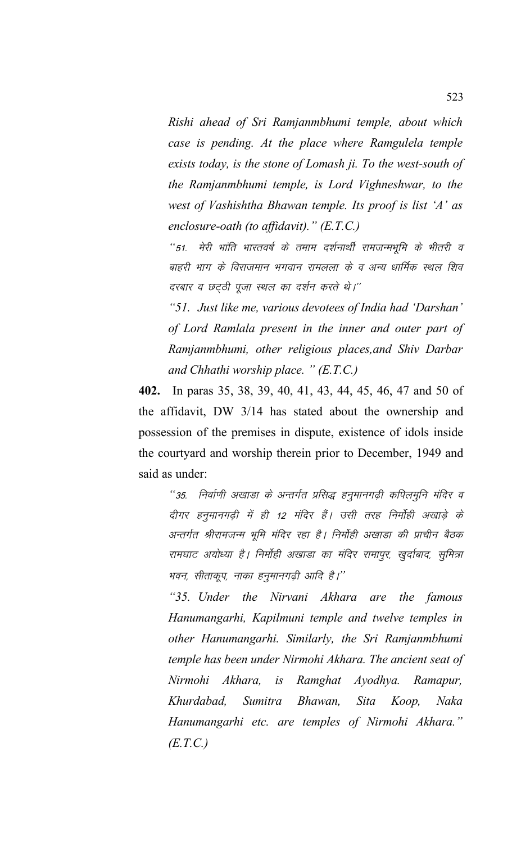*Rishi ahead of Sri Ramjanmbhumi temple, about which case is pending. At the place where Ramgulela temple exists today, is the stone of Lomash ji. To the west-south of the Ramjanmbhumi temple, is Lord Vighneshwar, to the west of Vashishtha Bhawan temple. Its proof is list 'A' as enclosure-oath (to affidavit)." (E.T.C.)*

"51. मेरी भांति भारतवर्ष के तमाम दर्शनार्थी रामजन्मभूमि के भीतरी व बाहरी भाग के विराजमान भगवान रामलला के व अन्य धार्मिक स्थल शिव दरबार व छटठी पूजा स्थल का दर्शन करते थे।''

*"51. Just like me, various devotees of India had 'Darshan' of Lord Ramlala present in the inner and outer part of Ramjanmbhumi, other religious places,and Shiv Darbar and Chhathi worship place. " (E.T.C.)*

**402.** In paras 35, 38, 39, 40, 41, 43, 44, 45, 46, 47 and 50 of the affidavit, DW 3/14 has stated about the ownership and possession of the premises in dispute, existence of idols inside the courtyard and worship therein prior to December, 1949 and said as under:

"35. निर्वाणी अखाडा के अन्तर्गत प्रसिद्ध हनूमानगढ़ी कपिलमूनि मंदिर व दीगर हनुमानगढी में ही 12 मंदिर हैं। उसी तरह निर्मोही अखाडे के अन्तर्गत श्रीरामजन्म भूमि मंदिर रहा है। निर्मोही अखाडा की प्राचीन बैठक रामघाट अयोध्या है। निर्मोही अखाडा का मंदिर रामापुर, खुर्दाबाद, सुमित्रा भवन, सीताकूप, नाका हनुमानगढ़ी आदि है।''

*"35. Under the Nirvani Akhara are the famous Hanumangarhi, Kapilmuni temple and twelve temples in other Hanumangarhi. Similarly, the Sri Ramjanmbhumi temple has been under Nirmohi Akhara. The ancient seat of Nirmohi Akhara, is Ramghat Ayodhya. Ramapur, Khurdabad, Sumitra Bhawan, Sita Koop, Naka Hanumangarhi etc. are temples of Nirmohi Akhara." (E.T.C.)*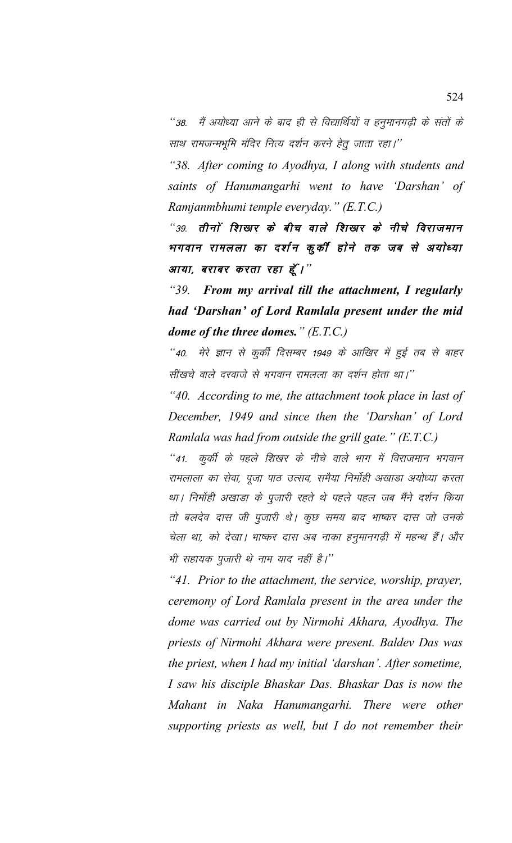"38. मैं अयोध्या आने के बाद ही से विद्यार्थियों व हनुमानगढ़ी के संतों के साथ रामजन्मभूमि मंदिर नित्य दर्शन करने हेतु जाता रहा।''

*"38. After coming to Ayodhya, I along with students and saints of Hanumangarhi went to have 'Darshan' of Ramjanmbhumi temple everyday." (E.T.C.)*

"39. तीनों शिखर के बीच वाले शिखर के नीचे विराजमान भगवान रामलला का दर्शन कुकी होने तक जब से अयोध्या आया, बराबर करता रहा हूँ।"

*"39. From my arrival till the attachment, I regularly had 'Darshan' of Lord Ramlala present under the mid dome of the three domes." (E.T.C.)*

*"40. मेरे ज्ञान से कुर्की दिसम्बर 1949 के आखिर में हुई तब से बाहर* सींखचे वाले दरवाजे से भगवान रामलला का दर्शन होता था।''

*"40. According to me, the attachment took place in last of December, 1949 and since then the 'Darshan' of Lord Ramlala was had from outside the grill gate." (E.T.C.)*

*"41. कुर्की के पहले शिखर के नीचे वाले भाग में विराजमान भगवान* रामलाला का सेवा, पूजा पाठ उत्सव, समैया निर्मोही अखाडा अयोध्या करता था। निर्मोही अखाडा के पूजारी रहते थे पहले पहल जब मैंने दर्शन किया तो बलदेव दास जी पूजारी थे। कुछ समय बाद भाष्कर दास जो उनके चेला था, को देखा। भाष्कर दास अब नाका हनुमानगढ़ी में महन्थ हैं। और भी सहायक पूजारी थे नाम याद नहीं है।''

*"41. Prior to the attachment, the service, worship, prayer, ceremony of Lord Ramlala present in the area under the dome was carried out by Nirmohi Akhara, Ayodhya. The priests of Nirmohi Akhara were present. Baldev Das was the priest, when I had my initial 'darshan'. After sometime, I saw his disciple Bhaskar Das. Bhaskar Das is now the Mahant in Naka Hanumangarhi. There were other supporting priests as well, but I do not remember their*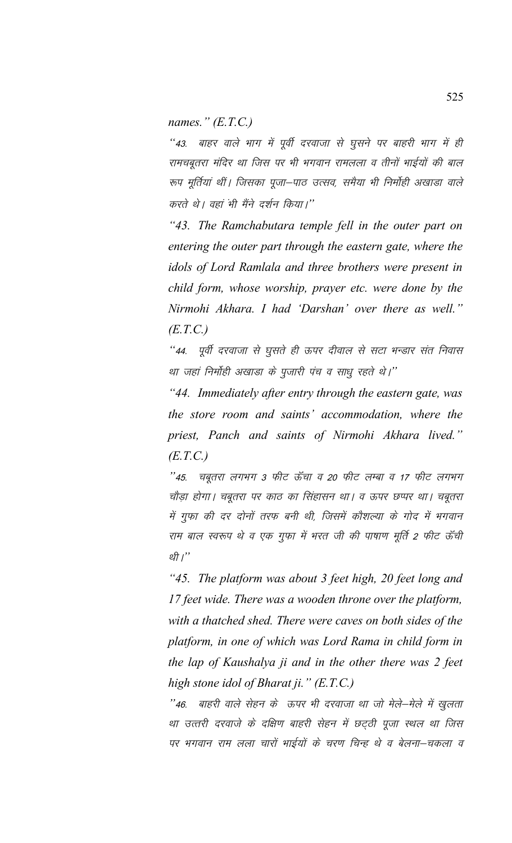names."  $(E.T.C.)$ 

''43. बाहर वाले भाग में पूर्वी दरवाजा से घुसने पर बाहरी भाग में ही रामचबृतरा मंदिर था जिस पर भी भगवान रामलला व तीनों भाईयों की बाल रूप मूर्तियां थीं। जिसका पूजा-पाठ उत्सव, समैया भी निर्मोही अखाड़ा वाले करते थे। वहां भी मैंने दर्शन किया।''

"43. The Ramchabutara temple fell in the outer part on entering the outer part through the eastern gate, where the idols of Lord Ramlala and three brothers were present in child form, whose worship, prayer etc. were done by the Nirmohi Akhara. I had 'Darshan' over there as well."  $(E.T.C.)$ 

''44. पूर्वी दरवाजा से घूसते ही ऊपर दीवाल से सटा भन्डार संत निवास था जहां निर्मोही अखाडा के पूजारी पंच व साधू रहते थे।''

"44. Immediately after entry through the eastern gate, was the store room and saints' accommodation, where the priest, Panch and saints of Nirmohi Akhara lived."  $(E.T.C.)$ 

"45. चबूतरा लगभग 3 फीट ऊँचा व 20 फीट लम्बा व 17 फीट लगभग चौड़ा होगा। चबूतरा पर काठ का सिंहासन था। व ऊपर छप्पर था। चबूतरा में गुफा की दर दोनों तरफ बनी थी, जिसमें कौशल्या के गोद में भगवान राम बाल स्वरूप थे व एक गुफा में भरत जी की पाषाण मूर्ति 2 फीट ऊँची थी।"

"45. The platform was about 3 feet high, 20 feet long and 17 feet wide. There was a wooden throne over the platform, with a thatched shed. There were caves on both sides of the platform, in one of which was Lord Rama in child form in the lap of Kaushalya ji and in the other there was 2 feet high stone idol of Bharat ji."  $(E.T.C.)$ 

''46. बाहरी वाले सेहन के ऊपर भी दरवाजा था जो मेले-मेले में खुलता था उत्तरी दरवाजे के दक्षिण बाहरी सेहन में छट्ठी पूजा स्थल था जिस पर भगवान राम लला चारों भाईयों के चरण चिन्ह थे व बेलना-चकला व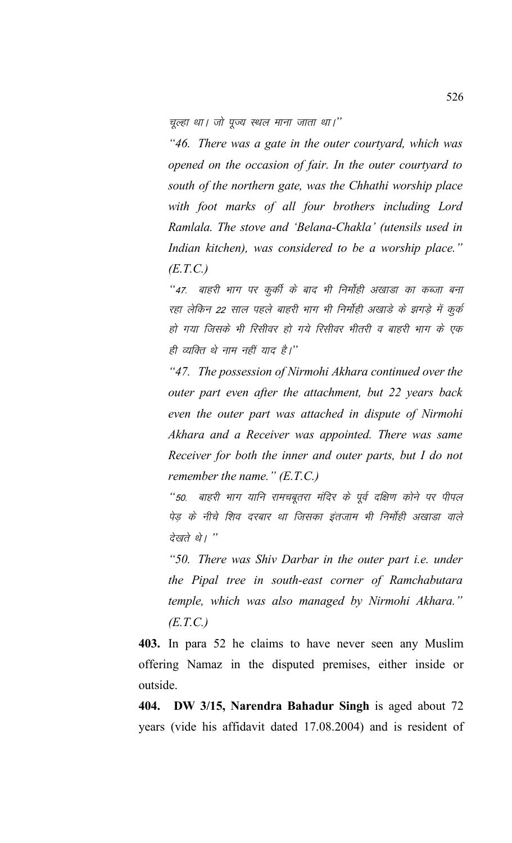चुल्हा था। जो पूज्य स्थल माना जाता था।''

*"46. There was a gate in the outer courtyard, which was opened on the occasion of fair. In the outer courtyard to south of the northern gate, was the Chhathi worship place with foot marks of all four brothers including Lord Ramlala. The stove and 'Belana-Chakla' (utensils used in Indian kitchen), was considered to be a worship place." (E.T.C.)*

*"47. बाहरी भाग पर कुर्की के बाद भी निर्मोही अखाडा का कब्जा बना* रहा लेकिन 22 साल पहले बाहरी भाग भी निर्मोही अखाड़े के झगड़े में कुर्क हो गया जिसके भी रिसीवर हो गये रिसीवर भीतरी व बाहरी भाग के एक ही व्यक्ति थे नाम नहीं याद है।''

*"47. The possession of Nirmohi Akhara continued over the outer part even after the attachment, but 22 years back even the outer part was attached in dispute of Nirmohi Akhara and a Receiver was appointed. There was same Receiver for both the inner and outer parts, but I do not remember the name." (E.T.C.)*

"50. बाहरी भाग यानि रामचबूतरा मंदिर के पूर्व दक्षिण कोने पर पीपल पेड़ के नीचे शिव दरबार था जिसका इंतजाम भी निर्मोही अखाडा वाले *देखते थे। "* 

*"50. There was Shiv Darbar in the outer part i.e. under the Pipal tree in south-east corner of Ramchabutara temple, which was also managed by Nirmohi Akhara." (E.T.C.)*

**403.** In para 52 he claims to have never seen any Muslim offering Namaz in the disputed premises, either inside or outside.

**404. DW 3/15, Narendra Bahadur Singh** is aged about 72 years (vide his affidavit dated 17.08.2004) and is resident of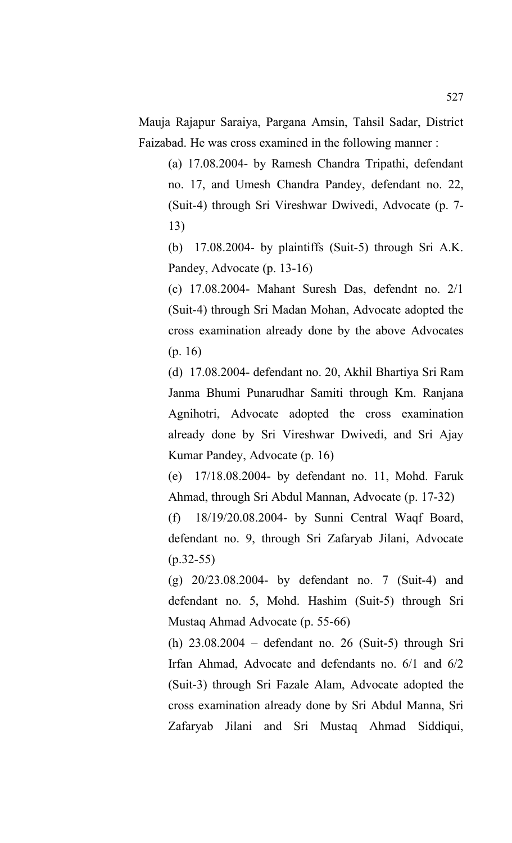Mauja Rajapur Saraiya, Pargana Amsin, Tahsil Sadar, District Faizabad. He was cross examined in the following manner :

(a) 17.08.2004- by Ramesh Chandra Tripathi, defendant no. 17, and Umesh Chandra Pandey, defendant no. 22, (Suit-4) through Sri Vireshwar Dwivedi, Advocate (p. 7- 13)

(b) 17.08.2004- by plaintiffs (Suit-5) through Sri A.K. Pandey, Advocate (p. 13-16)

(c) 17.08.2004- Mahant Suresh Das, defendnt no. 2/1 (Suit-4) through Sri Madan Mohan, Advocate adopted the cross examination already done by the above Advocates (p. 16)

(d) 17.08.2004- defendant no. 20, Akhil Bhartiya Sri Ram Janma Bhumi Punarudhar Samiti through Km. Ranjana Agnihotri, Advocate adopted the cross examination already done by Sri Vireshwar Dwivedi, and Sri Ajay Kumar Pandey, Advocate (p. 16)

(e) 17/18.08.2004- by defendant no. 11, Mohd. Faruk Ahmad, through Sri Abdul Mannan, Advocate (p. 17-32)

(f) 18/19/20.08.2004- by Sunni Central Waqf Board, defendant no. 9, through Sri Zafaryab Jilani, Advocate  $(p.32-55)$ 

(g) 20/23.08.2004- by defendant no. 7 (Suit-4) and defendant no. 5, Mohd. Hashim (Suit-5) through Sri Mustaq Ahmad Advocate (p. 55-66)

(h) 23.08.2004 – defendant no. 26 (Suit-5) through Sri Irfan Ahmad, Advocate and defendants no. 6/1 and 6/2 (Suit-3) through Sri Fazale Alam, Advocate adopted the cross examination already done by Sri Abdul Manna, Sri Zafaryab Jilani and Sri Mustaq Ahmad Siddiqui,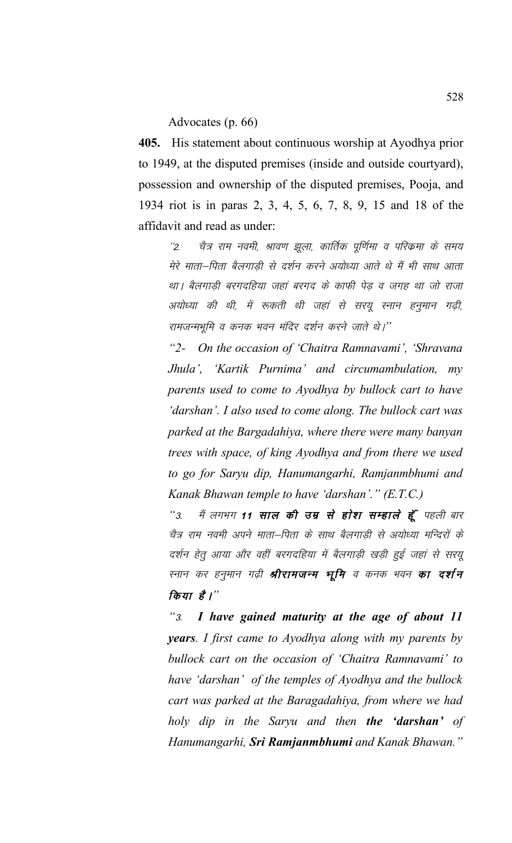## Advocates (p. 66)

**405.** His statement about continuous worship at Ayodhya prior to 1949, at the disputed premises (inside and outside courtyard), possession and ownership of the disputed premises, Pooja, and 1934 riot is in paras 2, 3, 4, 5, 6, 7, 8, 9, 15 and 18 of the affidavit and read as under:

''2. चैत्र राम नवमी, श्रावण झुला, कार्तिक पूर्णिमा व परिक्रमा के समय मेरे माता—पिता बैलगाडी से दर्शन करने अयोध्या आते थे मैं भी साथ आता था। बैलगाड़ी बरगदहिया जहां बरगद के काफी पेड़ व जगह था जो राजा अयोध्या की थी, में रूकती थी जहां से सरयू स्नान हनुमान गढ़ी, रामजन्मभूमि व कनक भवन मंदिर दर्शन करने जाते थे।''

*"2- On the occasion of 'Chaitra Ramnavami', 'Shravana Jhula', 'Kartik Purnima' and circumambulation, my parents used to come to Ayodhya by bullock cart to have 'darshan'. I also used to come along. The bullock cart was parked at the Bargadahiya, where there were many banyan trees with space, of king Ayodhya and from there we used to go for Saryu dip, Hanumangarhi, Ramjanmbhumi and Kanak Bhawan temple to have 'darshan'." (E.T.C.)*

"3. मैं लगभग **11 साल की उम्र से होश सम्हाले हूँ** पहली बार चैत्र राम नवमी अपने माता–पिता के साथ बैलगाड़ी से अयोध्या मन्दिरों के दर्शन हेतू आया और वहीं बरगदहिया में बैलगाड़ी खड़ी हुई जहां से सरयू स्नान कर हनुमान गढ़ी **श्रीरामजन्म भूमि** व कनक भवन **का दर्शन** *किया* है।"

*"*3- *I have gained maturity at the age of about 11 years. I first came to Ayodhya along with my parents by bullock cart on the occasion of 'Chaitra Ramnavami' to have 'darshan' of the temples of Ayodhya and the bullock cart was parked at the Baragadahiya, from where we had holy dip in the Saryu and then the 'darshan' of Hanumangarhi, Sri Ramjanmbhumi and Kanak Bhawan."*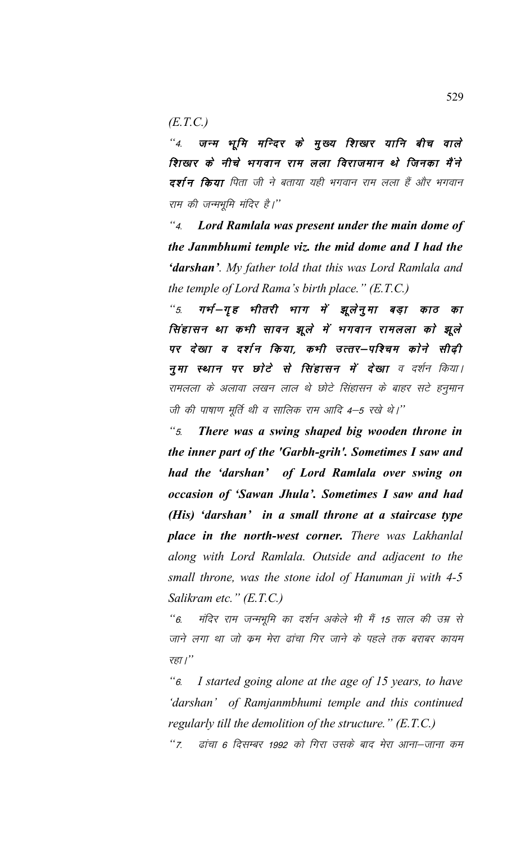*(E.T.C.)*

"4. जन्म भूमि मन्दिर के <u>मु</u>ख्य शिखार यानि बीच वाले शिखार के नीचे भगवान राम लला विराजमान थे जिनका मैंने दर्शन किया पिता जी ने बताया यही भगवान राम लला हैं और भगवान राम की जन्मभूमि मंदिर है।''

*"*4- *Lord Ramlala was present under the main dome of the Janmbhumi temple viz. the mid dome and I had the 'darshan'. My father told that this was Lord Ramlala and the temple of Lord Rama's birth place." (E.T.C.)*

"5. गर्भ-गृह भीतरी भाग में झूलेनूमा बड़ा काठ का सिंहासन था कभी सावन झूले में भगवान रामलला को झूले पर देखा व दर्शन किया, कभी उत्तर–पश्चिम कोने सीढ़ी नुमा स्थान पर छोटे से सिंहासन में देखा व दर्शन किया। रामलला के अलावा लखन लाल थे छोटे सिंहासन के बाहर सटे हनुमान जी की पाषाण मर्ति थी व सालिक राम आदि 4–5 रखे थे।''

*"*5- *There was a swing shaped big wooden throne in the inner part of the 'Garbh-grih'. Sometimes I saw and had the 'darshan' of Lord Ramlala over swing on occasion of 'Sawan Jhula'. Sometimes I saw and had (His) 'darshan' in a small throne at a staircase type place in the north-west corner. There was Lakhanlal along with Lord Ramlala. Outside and adjacent to the small throne, was the stone idol of Hanuman ji with 4-5 Salikram etc." (E.T.C.)*

*"6. मंदिर राम जन्मभुमि का दर्शन अकेले भी मैं 15 साल की उम्र से* जाने लगा था जो कम मेरा ढांचा गिर जाने के पहले तक बराबर कायम रहा।"

*"*6- *I started going alone at the age of 15 years, to have 'darshan' of Ramjanmbhumi temple and this continued regularly till the demolition of the structure." (E.T.C.)*

"7. बांचा 6 दिसम्बर 1992 को गिरा उसके बाद मेरा आना–जाना कम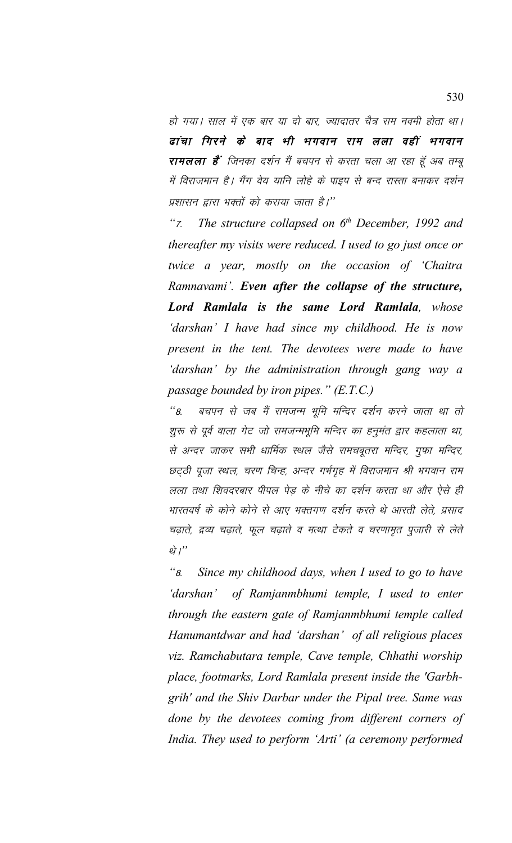हो गया। साल में एक बार या दो बार, ज्यादातर चैत्र राम नवमी होता था। ढांचा गिरने के बाद भी भगवान राम लला वहीं भगवान **रामलला है**' जिनका दर्शन मैं बचपन से करता चला आ रहा हूँ अब तम्बू में विराजमान है। गैंग वेय यानि लोहे के पाइप से बन्द रास्ता बनाकर दर्शन प्रशासन द्वारा भक्तों को कराया जाता है।''

 $\mathcal{F}$ The structure collapsed on  $6<sup>th</sup>$  December, 1992 and thereafter my visits were reduced. I used to go just once or twice a year, mostly on the occasion of 'Chaitra Ramnavami'. Even after the collapse of the structure, Lord Ramlala is the same Lord Ramlala, whose 'darshan' I have had since my childhood. He is now present in the tent. The devotees were made to have 'darshan' by the administration through gang way a passage bounded by iron pipes."  $(E.T.C.)$ 

 $\mathcal{L}_{B}$ बचपन से जब मैं रामजन्म भूमि मन्दिर दर्शन करने जाता था तो शुरू से पूर्व वाला गेट जो रामजन्मभूमि मन्दिर का हनूमंत द्वार कहलाता था, से अन्दर जाकर सभी धार्मिक स्थल जैसे रामचबृतरा मन्दिर, गुफा मन्दिर, छट्ठी पूजा स्थल, चरण चिन्ह, अन्दर गर्भगृह में विराजमान श्री भगवान राम लला तथा शिवदरबार पीपल पेड़ के नीचे का दर्शन करता था और ऐसे ही भारतवर्ष के कोने कोने से आए भक्तगण दर्शन करते थे आरती लेते. प्रसाद चढ़ाते, द्रव्य चढ़ाते, फूल चढ़ाते व मत्था टेकते व चरणामृत पुजारी से लेते थे।"

 $``<sub>8.</sub>$ Since my childhood days, when I used to go to have 'darshan' of Ramjanmbhumi temple, I used to enter through the eastern gate of Ramjanmbhumi temple called Hanumantdwar and had 'darshan' of all religious places viz. Ramchabutara temple, Cave temple, Chhathi worship place, footmarks, Lord Ramlala present inside the 'Garbhgrih' and the Shiv Darbar under the Pipal tree. Same was done by the devotees coming from different corners of India. They used to perform 'Arti' (a ceremony performed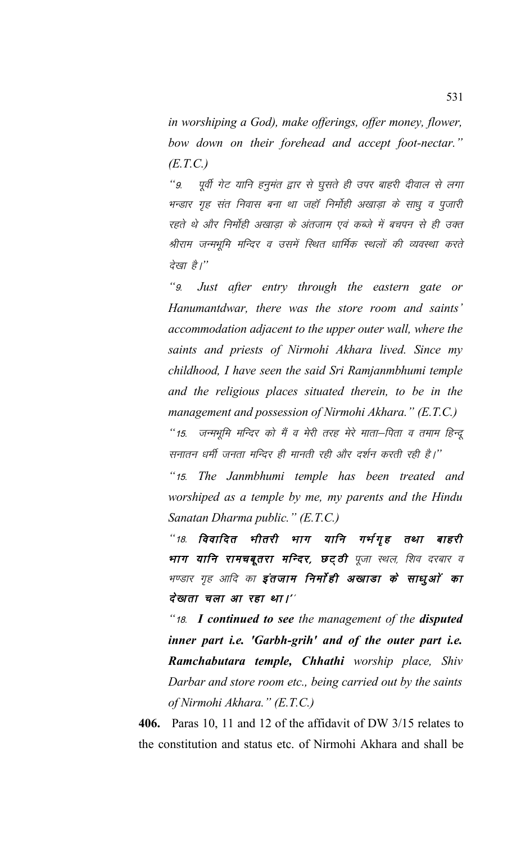*in worshiping a God), make offerings, offer money, flower, bow down on their forehead and accept foot-nectar." (E.T.C.)*

"9. पूर्वी गेट यानि हनूमंत द्वार से घूसते ही उपर बाहरी दीवाल से लगा भन्डार गृह संत निवास बना था जहाँ निर्मोही अखाड़ा के साधू व पूजारी रहते थे और निर्मोही अखाडा के अंतजाम एवं कब्जे में बचपन से ही उक्त श्रीराम जन्मभूमि मन्दिर व उसमें स्थित धार्मिक स्थलों की व्यवस्था करते *देखा* है।"

*"*9- *Just after entry through the eastern gate or Hanumantdwar, there was the store room and saints' accommodation adjacent to the upper outer wall, where the saints and priests of Nirmohi Akhara lived. Since my childhood, I have seen the said Sri Ramjanmbhumi temple and the religious places situated therein, to be in the management and possession of Nirmohi Akhara." (E.T.C.)*

"15. जन्मभूमि मन्दिर को मैं व मेरी तरह मेरे माता—पिता व तमाम हिन्दू सनातन धर्मी जनता मन्दिर ही मानती रही और दर्शन करती रही है।''

*"*15- *The Janmbhumi temple has been treated and worshiped as a temple by me, my parents and the Hindu Sanatan Dharma public." (E.T.C.)*

"18. विवादित भीतरी भाग यानि गर्भगृह तथा बाहरी भाग यानि रामचबूतरा मन्दिर, छट्ठी पूजा स्थल, शिव दरबार व भण्डार गृह आदि का **इंतजाम निर्माही अखाडा के साधुओं का** देखता चला आ रहा था।''

*"*18- *I continued to see the management of the disputed inner part i.e. 'Garbh-grih' and of the outer part i.e. Ramchabutara temple, Chhathi worship place, Shiv Darbar and store room etc., being carried out by the saints of Nirmohi Akhara." (E.T.C.)*

**406.** Paras 10, 11 and 12 of the affidavit of DW 3/15 relates to the constitution and status etc. of Nirmohi Akhara and shall be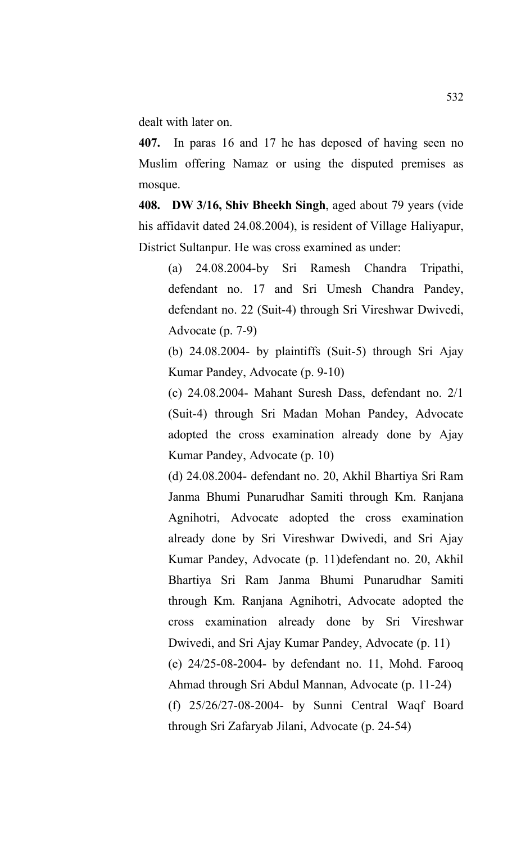dealt with later on.

**407.** In paras 16 and 17 he has deposed of having seen no Muslim offering Namaz or using the disputed premises as mosque.

**408. DW 3/16, Shiv Bheekh Singh**, aged about 79 years (vide his affidavit dated 24.08.2004), is resident of Village Haliyapur, District Sultanpur. He was cross examined as under:

(a) 24.08.2004-by Sri Ramesh Chandra Tripathi, defendant no. 17 and Sri Umesh Chandra Pandey, defendant no. 22 (Suit-4) through Sri Vireshwar Dwivedi, Advocate (p. 7-9)

(b) 24.08.2004- by plaintiffs (Suit-5) through Sri Ajay Kumar Pandey, Advocate (p. 9-10)

(c) 24.08.2004- Mahant Suresh Dass, defendant no. 2/1 (Suit-4) through Sri Madan Mohan Pandey, Advocate adopted the cross examination already done by Ajay Kumar Pandey, Advocate (p. 10)

(d) 24.08.2004- defendant no. 20, Akhil Bhartiya Sri Ram Janma Bhumi Punarudhar Samiti through Km. Ranjana Agnihotri, Advocate adopted the cross examination already done by Sri Vireshwar Dwivedi, and Sri Ajay Kumar Pandey, Advocate (p. 11)defendant no. 20, Akhil Bhartiya Sri Ram Janma Bhumi Punarudhar Samiti through Km. Ranjana Agnihotri, Advocate adopted the cross examination already done by Sri Vireshwar Dwivedi, and Sri Ajay Kumar Pandey, Advocate (p. 11) (e) 24/25-08-2004- by defendant no. 11, Mohd. Farooq Ahmad through Sri Abdul Mannan, Advocate (p. 11-24) (f) 25/26/27-08-2004- by Sunni Central Waqf Board through Sri Zafaryab Jilani, Advocate (p. 24-54)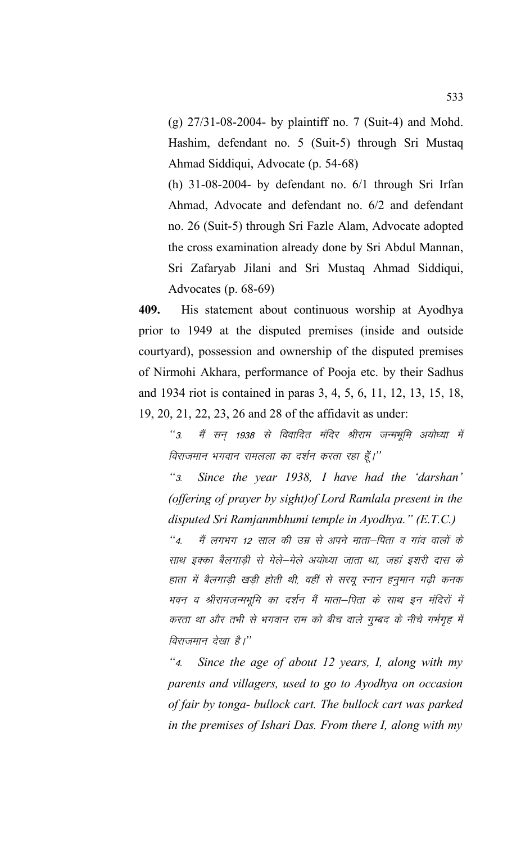(g) 27/31-08-2004- by plaintiff no. 7 (Suit-4) and Mohd. Hashim, defendant no. 5 (Suit-5) through Sri Mustaq Ahmad Siddiqui, Advocate (p. 54-68)

(h) 31-08-2004- by defendant no. 6/1 through Sri Irfan Ahmad, Advocate and defendant no. 6/2 and defendant no. 26 (Suit-5) through Sri Fazle Alam, Advocate adopted the cross examination already done by Sri Abdul Mannan, Sri Zafaryab Jilani and Sri Mustaq Ahmad Siddiqui, Advocates (p. 68-69)

**409.** His statement about continuous worship at Ayodhya prior to 1949 at the disputed premises (inside and outside courtyard), possession and ownership of the disputed premises of Nirmohi Akhara, performance of Pooja etc. by their Sadhus and 1934 riot is contained in paras 3, 4, 5, 6, 11, 12, 13, 15, 18, 19, 20, 21, 22, 23, 26 and 28 of the affidavit as under:

*"3. मैं सन् 1938 से विवादित मंदिर श्रीराम जन्मभूमि अयोध्या में* <u>विराजमान भगवान रामलला का दर्शन करता रहा ह</u>ैं।''

*"*3- *Since the year 1938, I have had the 'darshan' (offering of prayer by sight)of Lord Ramlala present in the disputed Sri Ramjanmbhumi temple in Ayodhya." (E.T.C.)*

"4. मैं लगभग 12 साल की उम्र से अपने माता–पिता व गांव वालों के साथ इक्का बैलगाडी से मेले-मेले अयोध्या जाता था, जहां इशरी दास के हाता में बैलगाडी खडी होती थी, वहीं से सरयू स्नान हनुमान गढी कनक भवन व श्रीरामजन्मभूमि का दर्शन मैं माता–पिता के साथ इन मंदिरों में करता था और तभी से भगवान राम को बीच वाले गुम्बद के नीचे गर्भगृह में *विराजमान देखा है।*"

*"*4- *Since the age of about 12 years, I, along with my parents and villagers, used to go to Ayodhya on occasion of fair by tonga- bullock cart. The bullock cart was parked in the premises of Ishari Das. From there I, along with my*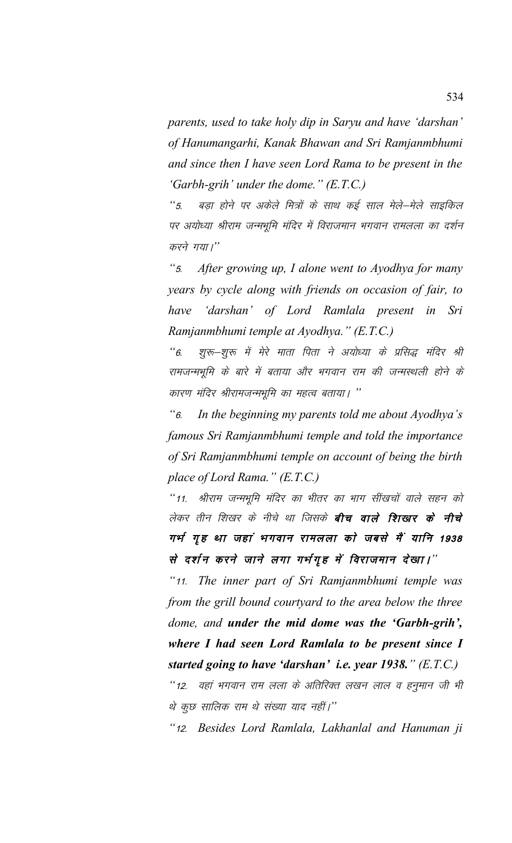parents, used to take holy dip in Saryu and have 'darshan' of Hanumangarhi, Kanak Bhawan and Sri Ramjanmbhumi and since then I have seen Lord Rama to be present in the 'Garbh-grih' under the dome."  $(E.T.C.)$ 

 $\frac{1}{2}$ बड़ा होने पर अकेले मित्रों के साथ कई साल मेले—मेले साइकिल पर अयोध्या श्रीराम जन्मभूमि मंदिर में विराजमान भगवान रामलला का दर्शन करने गया।"

 $\frac{1}{2}$ After growing up, I alone went to Ayodhya for many years by cycle along with friends on occasion of fair, to 'darshan' of Lord Ramlala present in Sri have Ramjanmbhumi temple at Ayodhya." (E.T.C.)

शुरू–शुरू में मेरे माता पिता ने अयोध्या के प्रसिद्ध मंदिर श्री  $\mathfrak{c}$   $\mathfrak{c}$ रामजन्मभूमि के बारे में बताया और भगवान राम की जन्मस्थली होने के कारण मंदिर श्रीरामजन्मभूमि का महत्व बताया। ''

In the beginning my parents told me about Ayodhya's  $\mathcal{C}_6$ famous Sri Ramjanmbhumi temple and told the importance of Sri Ramjanmbhumi temple on account of being the birth place of Lord Rama."  $(E.T.C.)$ 

"11. श्रीराम जन्मभूमि मंदिर का भीतर का भाग सींखचों वाले सहन को लेकर तीन शिखर के नीचे था जिसके **बीच वाले शिखार के नीचे** गर्भ गृह था जहां भगवान रामलला को जबसे मैं यानि 1938 से दर्शन करने जाने लगा गर्भगृह में विराजमान देखा।"

"11. The inner part of Sri Ramjanmbhumi temple was from the grill bound courtyard to the area below the three dome, and under the mid dome was the 'Garbh-grih', where I had seen Lord Ramlala to be present since I started going to have 'darshan' i.e. year 1938."  $(E.T.C.)$ 

''12. वहां भगवान राम लला के अतिरिक्त लखन लाल व हनुमान जी भी थे कुछ सालिक राम थे संख्या याद नहीं।''

"12. Besides Lord Ramlala, Lakhanlal and Hanuman ji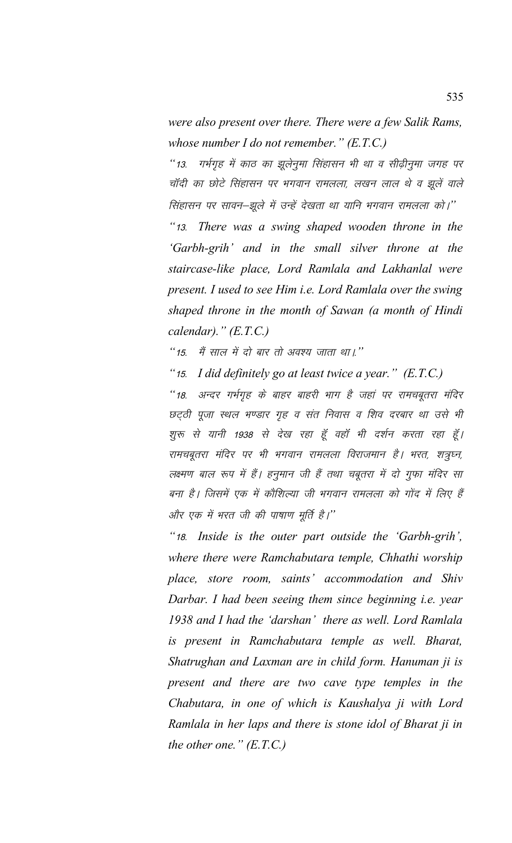*were also present over there. There were a few Salik Rams, whose number I do not remember." (E.T.C.)*

"13. गर्भगृह में काठ का झूलेनुमा सिंहासन भी था व सीढ़ीनुमा जगह पर चॉदी का छोटे सिंहासन पर भगवान रामलला, लखन लाल थे व झूलें वाले सिंहासन पर सावन–झूले में उन्हें देखता था यानि भगवान रामलला को।'' *"*13- *There was a swing shaped wooden throne in the 'Garbh-grih' and in the small silver throne at the staircase-like place, Lord Ramlala and Lakhanlal were present. I used to see Him i.e. Lord Ramlala over the swing shaped throne in the month of Sawan (a month of Hindi calendar)." (E.T.C.)*

*"15. मैं साल में दो बार तो अवश्य जाता था।.*"

*"*15- *I did definitely go at least twice a year." (E.T.C.)*

*"18. अन्दर गर्भगृह के बाहर बाहरी भाग है जहां पर रामचबूतरा मंदिर* छट्ठी पूजा स्थल भण्डार गृह व संत निवास व शिव दरबार था उसे भी शुरू से यानी 1938 से देख रहा हूँ वहाँ भी दर्शन करता रहा हूँ। रामचबूतरा मंदिर पर भी भगवान रामलला विराजमान है। भरत, शत्रुघ्न, लक्ष्मण बाल रूप में हैं। हनुमान जी हैं तथा चबूतरा में दो गुफा मंदिर सा बना है। जिसमें एक में कौशिल्या जी भगवान रामलला को गोंद में लिए हैं <u>और एक में भरत जी की पाषाण मूर्ति है।''</u>

*"*18- *Inside is the outer part outside the 'Garbh-grih', where there were Ramchabutara temple, Chhathi worship place, store room, saints' accommodation and Shiv Darbar. I had been seeing them since beginning i.e. year 1938 and I had the 'darshan' there as well. Lord Ramlala is present in Ramchabutara temple as well. Bharat, Shatrughan and Laxman are in child form. Hanuman ji is present and there are two cave type temples in the Chabutara, in one of which is Kaushalya ji with Lord Ramlala in her laps and there is stone idol of Bharat ji in the other one." (E.T.C.)*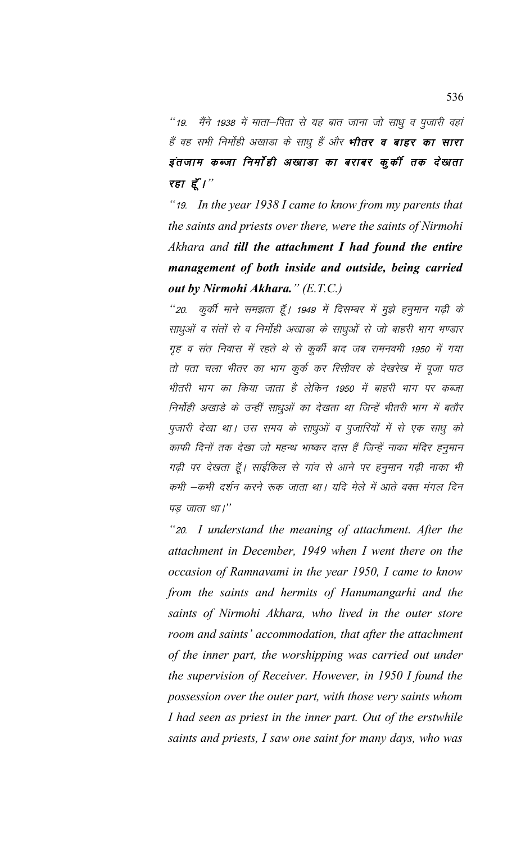"19. मैंने 1938 में माता–पिता से यह बात जाना जो साधू व पूजारी वहां हैं वह सभी निर्मोही अखाडा के साधू हैं और **भीतर व बाहर का सारा** इंतजाम कब्जा निर्मोही अखाडा का बराबर कुकी तक देखाता रहा $\vec{\xi}'$ ।"

"19. In the year  $1938$  I came to know from my parents that the saints and priests over there, were the saints of Nirmohi Akhara and till the attachment I had found the entire management of both inside and outside, being carried out by Nirmohi Akhara." (E.T.C.)

''20. कुर्की माने समझता हूँ। 1949 में दिसम्बर में मुझे हनुमान गढ़ी के साधुओं व संतों से व निर्मोही अखाडा के साधुओं से जो बाहरी भाग भण्डार गृह व संत निवास में रहते थे से कुर्की बाद जब रामनवमी 1950 में गया तो पता चला भीतर का भाग कुर्क कर रिसीवर के देखरेख में पूजा पाठ भीतरी भाग का किया जाता है लेकिन 1950 में बाहरी भाग पर कब्जा निर्मोही अखाड़े के उन्हीं साधुओं का देखता था जिन्हें भीतरी भाग में बतौर पुजारी देखा था। उस समय के साधुओं व पुजारियों में से एक साधु को काफी दिनों तक देखा जो महन्थ भाष्कर दास हैं जिन्हें नाका मंदिर हनुमान गढ़ी पर देखता हूँ। साईकिल से गांव से आने पर हनुमान गढ़ी नाका भी कभी —कभी दर्शन करने रूक जाता था। यदि मेले में आते वक्त मंगल दिन पड़ जाता था।"

"20. I understand the meaning of attachment. After the attachment in December, 1949 when I went there on the occasion of Ramnavami in the year 1950, I came to know from the saints and hermits of Hanumangarhi and the saints of Nirmohi Akhara, who lived in the outer store room and saints' accommodation, that after the attachment of the inner part, the worshipping was carried out under the supervision of Receiver. However, in 1950 I found the possession over the outer part, with those very saints whom I had seen as priest in the inner part. Out of the erstwhile saints and priests, I saw one saint for many days, who was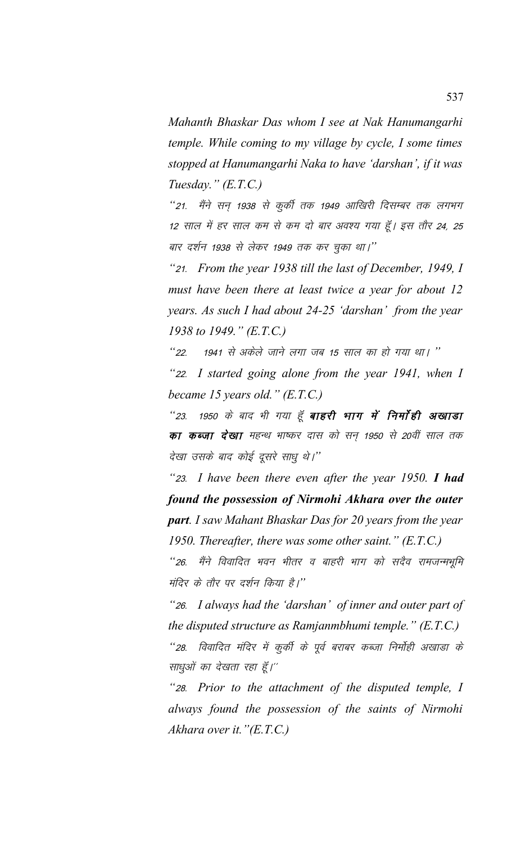*Mahanth Bhaskar Das whom I see at Nak Hanumangarhi temple. While coming to my village by cycle, I some times stopped at Hanumangarhi Naka to have 'darshan', if it was Tuesday." (E.T.C.)*

*"21. मैंने सन् 1938 से कुर्की तक 1949 आखिरी दिसम्बर तक लगभग* 12 साल में हर साल कम से कम दो बार अवश्य गया हूँ। इस तौर 24, 25 बार दर्शन 1938 से लेकर 1949 तक कर चुका था।''

*"*21- *From the year 1938 till the last of December, 1949, I must have been there at least twice a year for about 12 years. As such I had about 24-25 'darshan' from the year 1938 to 1949." (E.T.C.)*

<u>"22. 1941 से अकेले जाने लगा जब 15 साल का हो गया था। ''</u>

*"*22- *I started going alone from the year 1941, when I became 15 years old." (E.T.C.)*

*"23. 1950 के बाद भी गया हूँ बाहरी भाग में निर्मोही अखाडा* का कब्जा देखा महन्थ भाष्कर दास को सन् 1950 से 20वीं साल तक देखा उसके बाद कोई दूसरे साधु थे*।*''

*"*23- *I have been there even after the year 1950. I had found the possession of Nirmohi Akhara over the outer part. I saw Mahant Bhaskar Das for 20 years from the year 1950. Thereafter, there was some other saint." (E.T.C.)*

*"26. मैंने विवादित भवन भीतर व बाहरी भाग को सदैव रामजन्मभूमि* मंदिर के तौर पर दर्शन किया है।''

*"*26- *I always had the 'darshan' of inner and outer part of the disputed structure as Ramjanmbhumi temple." (E.T.C.) "28. विवादित मंदिर में कुर्की के पूर्व बराबर कब्जा निर्माही अखाडा के* साधुओं का देखता रहा हूँ।"

*"*28- *Prior to the attachment of the disputed temple, I always found the possession of the saints of Nirmohi Akhara over it."(E.T.C.)*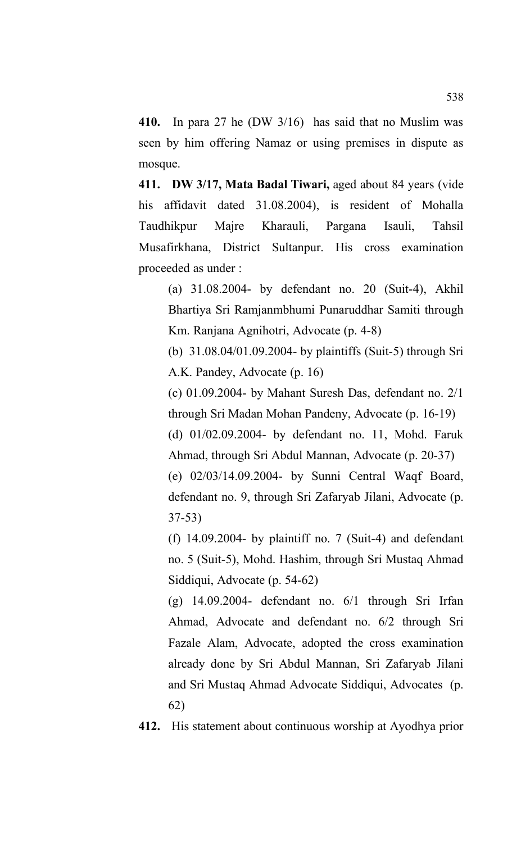**410.** In para 27 he (DW 3/16) has said that no Muslim was seen by him offering Namaz or using premises in dispute as mosque.

**411. DW 3/17, Mata Badal Tiwari,** aged about 84 years (vide his affidavit dated 31.08.2004), is resident of Mohalla Taudhikpur Majre Kharauli, Pargana Isauli, Tahsil Musafirkhana, District Sultanpur. His cross examination proceeded as under :

(a) 31.08.2004- by defendant no. 20 (Suit-4), Akhil Bhartiya Sri Ramjanmbhumi Punaruddhar Samiti through Km. Ranjana Agnihotri, Advocate (p. 4-8)

(b) 31.08.04/01.09.2004- by plaintiffs (Suit-5) through Sri A.K. Pandey, Advocate (p. 16)

(c) 01.09.2004- by Mahant Suresh Das, defendant no. 2/1 through Sri Madan Mohan Pandeny, Advocate (p. 16-19)

(d) 01/02.09.2004- by defendant no. 11, Mohd. Faruk Ahmad, through Sri Abdul Mannan, Advocate (p. 20-37)

(e) 02/03/14.09.2004- by Sunni Central Waqf Board, defendant no. 9, through Sri Zafaryab Jilani, Advocate (p. 37-53)

(f)  $14.09.2004$ - by plaintiff no. 7 (Suit-4) and defendant no. 5 (Suit-5), Mohd. Hashim, through Sri Mustaq Ahmad Siddiqui, Advocate (p. 54-62)

(g) 14.09.2004- defendant no. 6/1 through Sri Irfan Ahmad, Advocate and defendant no. 6/2 through Sri Fazale Alam, Advocate, adopted the cross examination already done by Sri Abdul Mannan, Sri Zafaryab Jilani and Sri Mustaq Ahmad Advocate Siddiqui, Advocates (p. 62)

**412.** His statement about continuous worship at Ayodhya prior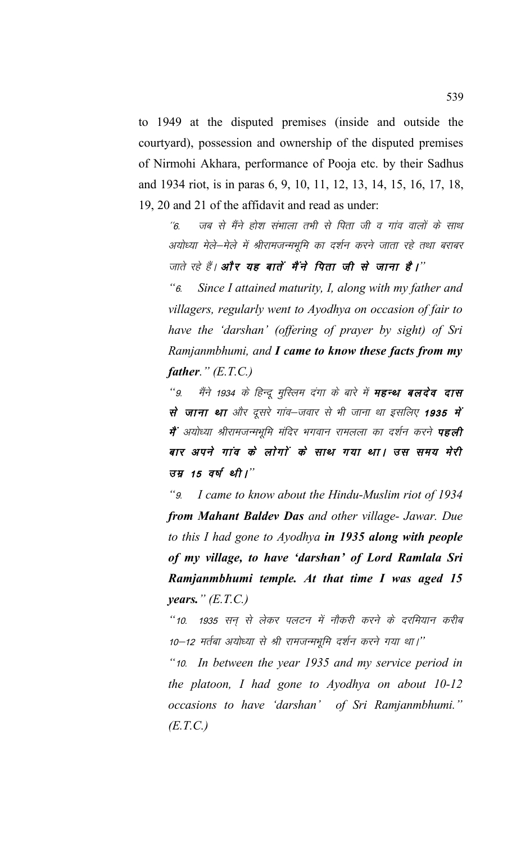to 1949 at the disputed premises (inside and outside the courtyard), possession and ownership of the disputed premises of Nirmohi Akhara, performance of Pooja etc. by their Sadhus and 1934 riot, is in paras 6, 9, 10, 11, 12, 13, 14, 15, 16, 17, 18, 19, 20 and 21 of the affidavit and read as under:

 $^\prime\!$ 6. जब से मैंने होश संभाला तभी से पिता जी व गांव वालों के साथ अयोध्या मेले—मेले में श्रीरामजन्मभूमि का दर्शन करने जाता रहे तथा बराबर जाते रहे हैं। **और यह बातें मैंने पिता जी से जाना है।**"

*"*6- *Since I attained maturity, I, along with my father and villagers, regularly went to Ayodhya on occasion of fair to have the 'darshan' (offering of prayer by sight) of Sri Ramjanmbhumi, and I came to know these facts from my father." (E.T.C.)*

"9. मैंने 1934 के हिन्दू मुस्लिम दंगा के बारे में **महन्थ बलदेव दास** से जाना था और दूसरे गांव–जवार से भी जाना था इसलिए 1935 में मैं अयोध्या श्रीरामजन्मभूमि मंदिर भगवान रामलला का दर्शन करने **पहली** बार अपने गांव के लोगों के साथ गया था। उस समय मेरी उ*म्र 15 वर्ष थी।*"

*"*9- *I came to know about the Hindu-Muslim riot of 1934 from Mahant Baldev Das and other village- Jawar. Due to this I had gone to Ayodhya in 1935 along with people of my village, to have 'darshan' of Lord Ramlala Sri Ramjanmbhumi temple. At that time I was aged 15 years." (E.T.C.)*

"10. 1935 सन से लेकर पलटन में नौकरी करने के दरमियान करीब 10-12 मर्तबा अयोध्या से श्री रामजन्मभूमि दर्शन करने गया था।''

*"*10- *In between the year 1935 and my service period in the platoon, I had gone to Ayodhya on about 10-12 occasions to have 'darshan' of Sri Ramjanmbhumi." (E.T.C.)*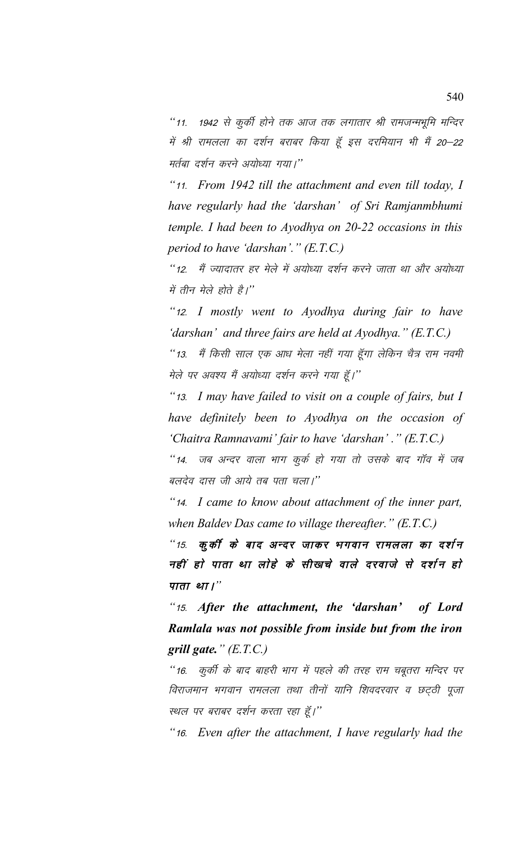"11. 1942 से कूर्की होने तक आज तक लगातार श्री रामजन्मभूमि मन्दिर में श्री रामलला का दर्शन बराबर किया हूँ इस दरमियान भी मैं 20–22 मर्तबा दर्शन करने अयोध्या गया।''

*"*11- *From 1942 till the attachment and even till today, I have regularly had the 'darshan' of Sri Ramjanmbhumi temple. I had been to Ayodhya on 20-22 occasions in this period to have 'darshan'." (E.T.C.)*

"12. मैं ज्यादातर हर मेले में अयोध्या दर्शन करने जाता था और अयोध्या में तीन मेले होते है*।*"

*"*12- *I mostly went to Ayodhya during fair to have 'darshan' and three fairs are held at Ayodhya." (E.T.C.)*

"13. मैं किसी साल एक आध मेला नहीं गया हूँगा लेकिन चैत्र राम नवमी मेले पर अवश्य मैं अयोध्या दर्शन करने गया हूँ।''

*"*13- *I may have failed to visit on a couple of fairs, but I have definitely been to Ayodhya on the occasion of 'Chaitra Ramnavami' fair to have 'darshan' ." (E.T.C.)*

"14. जब अन्दर वाला भाग कुर्क हो गया तो उसके बाद गाँव में जब बलदेव दास जी आये तब पता चला।''

*"*14- *I came to know about attachment of the inner part, when Baldev Das came to village thereafter." (E.T.C.)*

"15. कूकी के बाद अन्दर जाकर भगवान रामलला का दर्शन नहीं हो पाता था लोहे के सीखचे वाले दरवाजे से दर्शन हो *पाता था।*"

*"*15- *After the attachment, the 'darshan' of Lord Ramlala was not possible from inside but from the iron grill gate." (E.T.C.)*

"16. कुर्की के बाद बाहरी भाग में पहले की तरह राम चबूतरा मन्दिर पर विराजमान भगवान रामलला तथा तीनों यानि शिवदरवार व छट्ठी पूजा स्थल पर बराबर दर्शन करता रहा हूँ।"

*"*16- *Even after the attachment, I have regularly had the*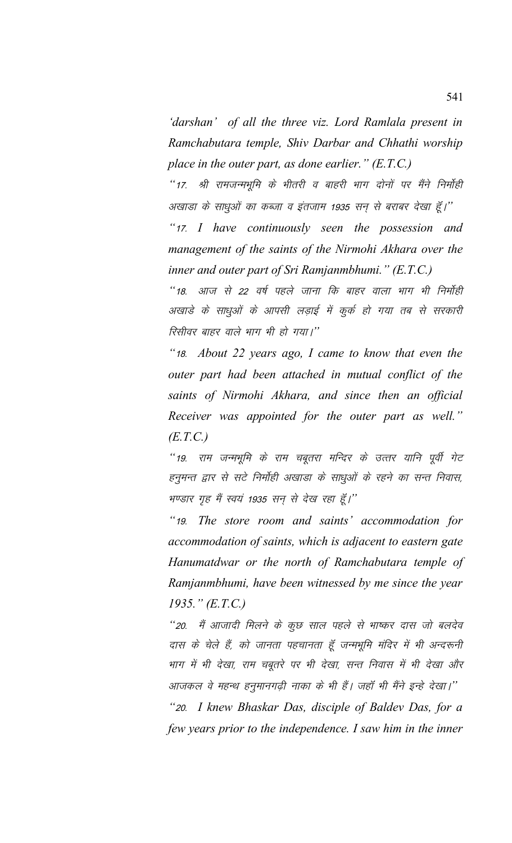*'darshan' of all the three viz. Lord Ramlala present in Ramchabutara temple, Shiv Darbar and Chhathi worship place in the outer part, as done earlier." (E.T.C.)*

"17. श्री रामजन्मभूमि के भीतरी व बाहरी भाग दोनों पर मैंने निर्मोही अखाडा के साधुओं का कब्जा व इंतजाम 1935 सन् से बराबर देखा हूँ।'' *"*17- *I have continuously seen the possession and management of the saints of the Nirmohi Akhara over the inner and outer part of Sri Ramjanmbhumi." (E.T.C.)*

*"18. आज से 22 वर्ष पहले जाना कि बाहर वाला भाग भी निर्मोही* अखाडे के साधुओं के आपसी लड़ाई में कुर्क हो गया तब से सरकारी <u>रिसीवर बाहर वाले भाग भी हो गया।''</u>

*"*18- *About 22 years ago, I came to know that even the outer part had been attached in mutual conflict of the saints of Nirmohi Akhara, and since then an official Receiver was appointed for the outer part as well." (E.T.C.)*

"19. राम जन्मभूमि के राम चबूतरा मन्दिर के उत्तर यानि पूर्वी गेट हनुमन्त द्वार से सटे निर्मोही अखाडा के साधुओं के रहने का सन्त निवास, भण्डार गृह मैं स्वयं 1935 सन से देख रहा हूँ।"

*"*19- *The store room and saints' accommodation for accommodation of saints, which is adjacent to eastern gate Hanumatdwar or the north of Ramchabutara temple of Ramjanmbhumi, have been witnessed by me since the year 1935." (E.T.C.)*

*"20. मैं आजादी मिलने के कूछ साल पहले से भाष्कर दास जो बलदेव* दास के चेले हैं, को जानता पहचानता हूँ जन्मभूमि मंदिर में भी अन्दरूनी भाग में भी देखा, राम चबूतरे पर भी देखा, सन्त निवास में भी देखा और आजकल वे महन्थ हनुमानगढ़ी नाका के भी हैं। जहाँ भी मैंने इन्हे देखा।''

*"*20- *I knew Bhaskar Das, disciple of Baldev Das, for a few years prior to the independence. I saw him in the inner*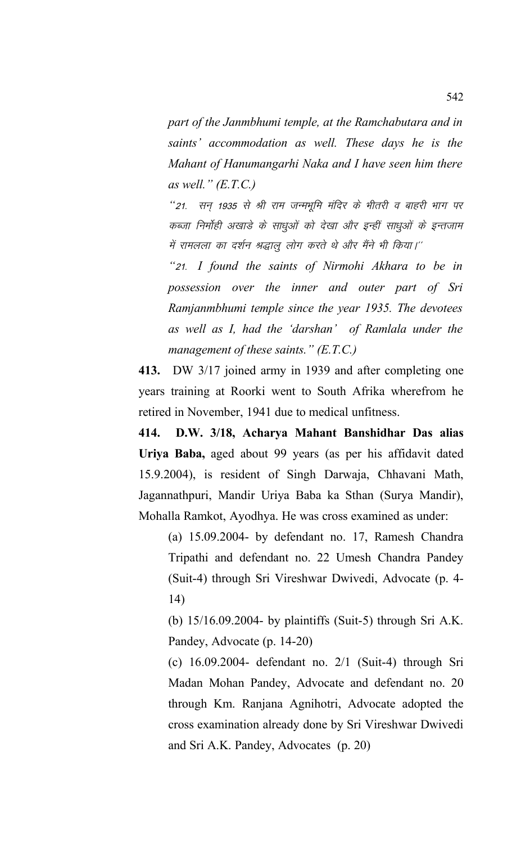*part of the Janmbhumi temple, at the Ramchabutara and in saints' accommodation as well. These days he is the Mahant of Hanumangarhi Naka and I have seen him there as well." (E.T.C.)*

*"21. सन् 1935 से श्री राम जन्मभूमि मंदिर के भीतरी व बाहरी भाग पर* कब्जा निर्माही अखाडे के साधुओं को देखा और इन्हीं साधुओं के इन्तजाम में रामलला का दर्शन श्रद्धालू लोग करते थे और मैंने भी किया।''

*"*21- *I found the saints of Nirmohi Akhara to be in possession over the inner and outer part of Sri Ramjanmbhumi temple since the year 1935. The devotees as well as I, had the 'darshan' of Ramlala under the management of these saints." (E.T.C.)*

**413.** DW 3/17 joined army in 1939 and after completing one years training at Roorki went to South Afrika wherefrom he retired in November, 1941 due to medical unfitness.

**414. D.W. 3/18, Acharya Mahant Banshidhar Das alias Uriya Baba,** aged about 99 years (as per his affidavit dated 15.9.2004), is resident of Singh Darwaja, Chhavani Math, Jagannathpuri, Mandir Uriya Baba ka Sthan (Surya Mandir), Mohalla Ramkot, Ayodhya. He was cross examined as under:

(a) 15.09.2004- by defendant no. 17, Ramesh Chandra Tripathi and defendant no. 22 Umesh Chandra Pandey (Suit-4) through Sri Vireshwar Dwivedi, Advocate (p. 4- 14)

(b) 15/16.09.2004- by plaintiffs (Suit-5) through Sri A.K. Pandey, Advocate (p. 14-20)

(c) 16.09.2004- defendant no. 2/1 (Suit-4) through Sri Madan Mohan Pandey, Advocate and defendant no. 20 through Km. Ranjana Agnihotri, Advocate adopted the cross examination already done by Sri Vireshwar Dwivedi and Sri A.K. Pandey, Advocates (p. 20)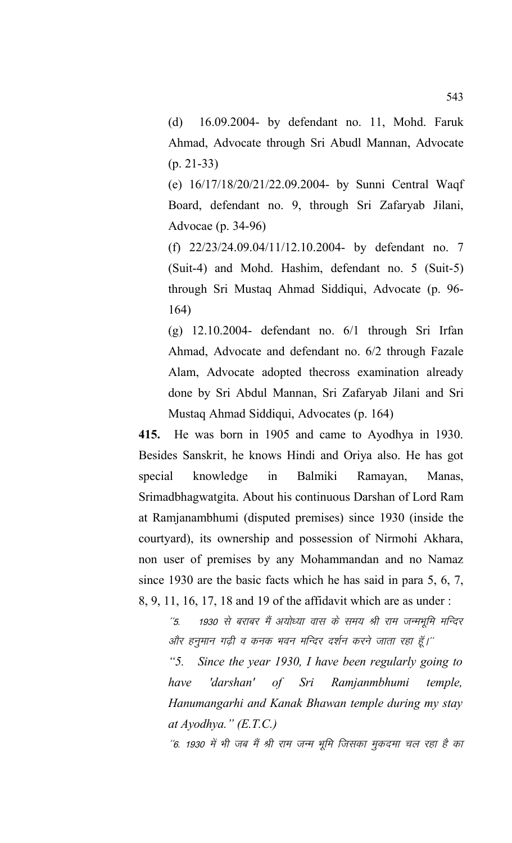(d) 16.09.2004- by defendant no. 11, Mohd. Faruk Ahmad, Advocate through Sri Abudl Mannan, Advocate (p. 21-33)

(e) 16/17/18/20/21/22.09.2004- by Sunni Central Waqf Board, defendant no. 9, through Sri Zafaryab Jilani, Advocae (p. 34-96)

(f) 22/23/24.09.04/11/12.10.2004- by defendant no. 7 (Suit-4) and Mohd. Hashim, defendant no. 5 (Suit-5) through Sri Mustaq Ahmad Siddiqui, Advocate (p. 96- 164)

(g) 12.10.2004- defendant no. 6/1 through Sri Irfan Ahmad, Advocate and defendant no. 6/2 through Fazale Alam, Advocate adopted thecross examination already done by Sri Abdul Mannan, Sri Zafaryab Jilani and Sri Mustaq Ahmad Siddiqui, Advocates (p. 164)

**415.** He was born in 1905 and came to Ayodhya in 1930. Besides Sanskrit, he knows Hindi and Oriya also. He has got special knowledge in Balmiki Ramayan, Manas, Srimadbhagwatgita. About his continuous Darshan of Lord Ram at Ramjanambhumi (disputed premises) since 1930 (inside the courtyard), its ownership and possession of Nirmohi Akhara, non user of premises by any Mohammandan and no Namaz since 1930 are the basic facts which he has said in para 5, 6, 7, 8, 9, 11, 16, 17, 18 and 19 of the affidavit which are as under :

''5. 1930 से बराबर मैं अयोध्या वास के समय श्री राम जन्मभूमि मन्दिर ओर हनुमान गढ़ी व कनक भवन मन्दिर दर्शन करने जाता रहा हूँ।''

*"5. Since the year 1930, I have been regularly going to have 'darshan' of Sri Ramjanmbhumi temple, Hanumangarhi and Kanak Bhawan temple during my stay at Ayodhya." (E.T.C.)*

''6. 1930 में भी जब मैं श्री राम जन्म भूमि जिसका मुकदमा चल रहा है का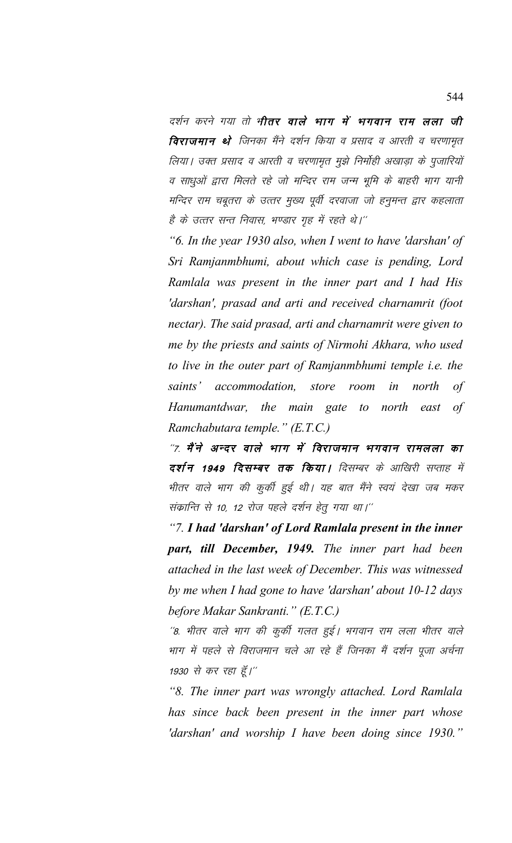दर्शन करने गया तो भी**तर वाले भाग में भगवान राम लला जी विराजमान थे** जिनका मैंने दर्शन किया व प्रसाद व आरती व चरणामृत लिया। उक्त प्रसाद व आरती व चरणामृत मुझे निर्मोही अखाड़ा के पुजारियों व साधुओं द्वारा मिलते रहे जो मन्दिर राम जन्म भूमि के बाहरी भाग यानी मन्दिर राम चबूतरा के उत्तर मुख्य पूर्वी दरवाजा जो हनुमन्त द्वार कहलाता है के उत्तर सन्त निवास, भण्डार गृह में रहते थे।''

*"6. In the year 1930 also, when I went to have 'darshan' of Sri Ramjanmbhumi, about which case is pending, Lord Ramlala was present in the inner part and I had His 'darshan', prasad and arti and received charnamrit (foot nectar). The said prasad, arti and charnamrit were given to me by the priests and saints of Nirmohi Akhara, who used to live in the outer part of Ramjanmbhumi temple i.e. the saints' accommodation, store room in north of Hanumantdwar, the main gate to north east of Ramchabutara temple." (E.T.C.)*

"7. मैंने अन्दर वाले भाग में विराजमान भगवान रामलला का दर्शन 1949 दिसम्बर तक किया। दिसम्बर के आखिरी सप्ताह में भीतर वाले भाग की कुर्की हुई थी। यह बात मैंने स्वयं देखा जब मकर संकान्ति से 10, 12 रोज पहले दर्शन हेतू गया था।''

*"7. I had 'darshan' of Lord Ramlala present in the inner part, till December, 1949. The inner part had been attached in the last week of December. This was witnessed by me when I had gone to have 'darshan' about 10-12 days before Makar Sankranti." (E.T.C.)*

''8. भीतर वाले भाग की कुर्की गलत हुई। भगवान राम लला भीतर वाले भाग में पहले से विराजमान चले आ रहे हैं जिनका मैं दर्शन पूजा अर्चना 1930 से कर रहा हूँ।''

*"8. The inner part was wrongly attached. Lord Ramlala has since back been present in the inner part whose 'darshan' and worship I have been doing since 1930."*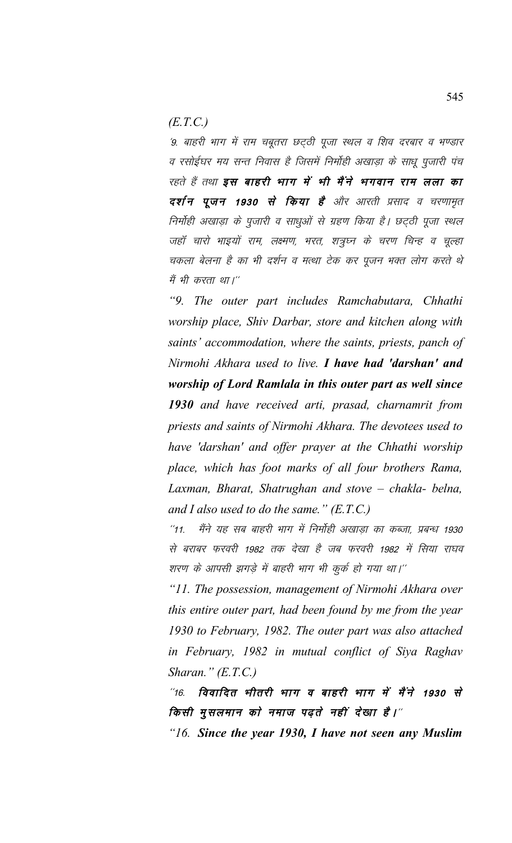*(E.T.C.)*

'9. बाहरी भाग में राम चबूतरा छट्ठी पूजा स्थल व शिव दरबार व भण्डार व रसोईघर मय सन्त निवास है जिसमें निर्मोही अखाड़ा के साधू पूजारी पंच रहते हैं तथा **इस बाहरी भाग में भी मैंने भगवान राम लला का** दर्शन पूजन 1930 से किया है और आरती प्रसाद व चरणामृत निर्मोही अखाड़ा के पुजारी व साधुओं से ग्रहण किया है। छट्ठी पूजा स्थल जहॉ चारो भाइयों राम, लक्ष्मण, भरत, शत्रुघ्न के चरण चिन्ह व चूल्हा चकला बेलना है का भी दर्शन व मत्था टेक कर पूजन भक्त लोग करते थे मैं भी करता था।''

*"9. The outer part includes Ramchabutara, Chhathi worship place, Shiv Darbar, store and kitchen along with saints' accommodation, where the saints, priests, panch of Nirmohi Akhara used to live. I have had 'darshan' and worship of Lord Ramlala in this outer part as well since 1930 and have received arti, prasad, charnamrit from priests and saints of Nirmohi Akhara. The devotees used to have 'darshan' and offer prayer at the Chhathi worship place, which has foot marks of all four brothers Rama, Laxman, Bharat, Shatrughan and stove – chakla- belna, and I also used to do the same." (E.T.C.)*

 $^\prime\mskip-5mu.$  मैंने यह सब बाहरी भाग में निर्मोही अखाड़ा का कब्जा, प्रबन्ध 1930 से बराबर फरवरी 1982 तक देखा है जब फरवरी 1982 में सिया राघव शरण के आपसी झगड़े में बाहरी भाग भी कुर्क हो गया था।''

*"11. The possession, management of Nirmohi Akhara over this entire outer part, had been found by me from the year 1930 to February, 1982. The outer part was also attached in February, 1982 in mutual conflict of Siya Raghav Sharan." (E.T.C.)*

 $^{\prime\prime}$ 16. विवादित भीतरी भाग व बाहरी भाग में मैंने 1930 से किसी मुसलमान को नमाज पढ़ते नहीं देखा है।"

*"16. Since the year 1930, I have not seen any Muslim*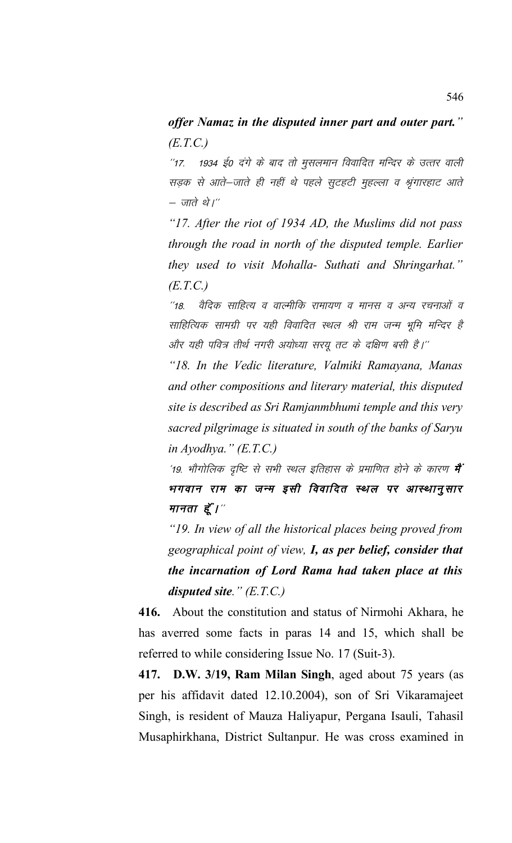## *offer Namaz in the disputed inner part and outer part." (E.T.C.)*

''17. 1934 ई0 दंगे के बाद तो मुसलमान विवादित मन्दिर के उत्तर वाली सड़क से आते-जाते ही नहीं थे पहले सुटहटी मुहल्ला व श्रृंगारहाट आते – जाते थे।''

*"17. After the riot of 1934 AD, the Muslims did not pass through the road in north of the disputed temple. Earlier they used to visit Mohalla- Suthati and Shringarhat." (E.T.C.)*

"18. वैदिक साहित्य व वाल्मीकि रामायण व मानस व अन्य रचनाओं व साहित्यिक सामग्री पर यही विवादित स्थल श्री राम जन्म भूमि मन्दिर है और यही पवित्र तीर्थ नगरी अयोध्या सरयू तट के दक्षिण बसी है।''

*"18. In the Vedic literature, Valmiki Ramayana, Manas and other compositions and literary material, this disputed site is described as Sri Ramjanmbhumi temple and this very sacred pilgrimage is situated in south of the banks of Saryu in Ayodhya." (E.T.C.)*

'19. भौगोलिक दृष्टि से सभी स्थल इतिहास के प्रमाणित होने के कारण **में** भगवान राम का जन्म इसी विवादित स्थल पर आस्थानुसार मानता हूँ $V''$ 

*"19. In view of all the historical places being proved from geographical point of view, I, as per belief, consider that the incarnation of Lord Rama had taken place at this disputed site." (E.T.C.)*

**416.** About the constitution and status of Nirmohi Akhara, he has averred some facts in paras 14 and 15, which shall be referred to while considering Issue No. 17 (Suit-3).

**417. D.W. 3/19, Ram Milan Singh**, aged about 75 years (as per his affidavit dated 12.10.2004), son of Sri Vikaramajeet Singh, is resident of Mauza Haliyapur, Pergana Isauli, Tahasil Musaphirkhana, District Sultanpur. He was cross examined in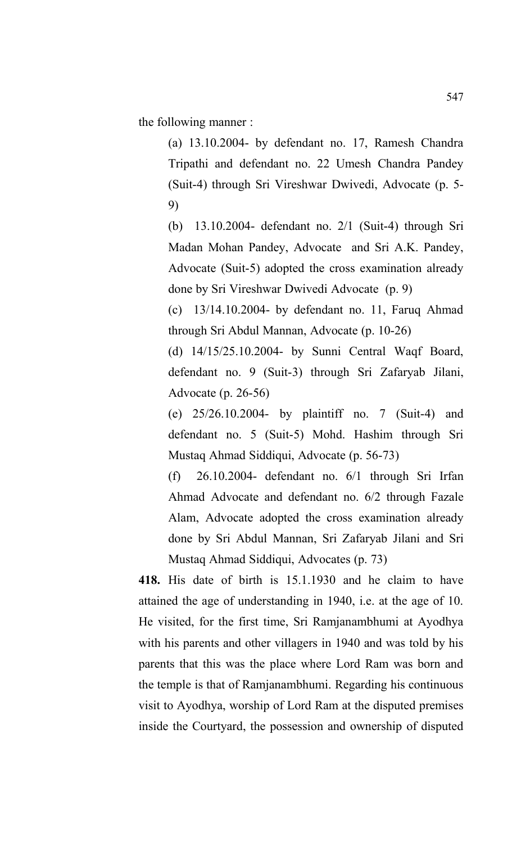the following manner :

(a) 13.10.2004- by defendant no. 17, Ramesh Chandra Tripathi and defendant no. 22 Umesh Chandra Pandey (Suit-4) through Sri Vireshwar Dwivedi, Advocate (p. 5- 9)

(b) 13.10.2004- defendant no. 2/1 (Suit-4) through Sri Madan Mohan Pandey, Advocate and Sri A.K. Pandey, Advocate (Suit-5) adopted the cross examination already done by Sri Vireshwar Dwivedi Advocate (p. 9)

(c) 13/14.10.2004- by defendant no. 11, Faruq Ahmad through Sri Abdul Mannan, Advocate (p. 10-26)

(d) 14/15/25.10.2004- by Sunni Central Waqf Board, defendant no. 9 (Suit-3) through Sri Zafaryab Jilani, Advocate (p. 26-56)

(e) 25/26.10.2004- by plaintiff no. 7 (Suit-4) and defendant no. 5 (Suit-5) Mohd. Hashim through Sri Mustaq Ahmad Siddiqui, Advocate (p. 56-73)

(f) 26.10.2004- defendant no. 6/1 through Sri Irfan Ahmad Advocate and defendant no. 6/2 through Fazale Alam, Advocate adopted the cross examination already done by Sri Abdul Mannan, Sri Zafaryab Jilani and Sri Mustaq Ahmad Siddiqui, Advocates (p. 73)

**418.** His date of birth is 15.1.1930 and he claim to have attained the age of understanding in 1940, i.e. at the age of 10. He visited, for the first time, Sri Ramjanambhumi at Ayodhya with his parents and other villagers in 1940 and was told by his parents that this was the place where Lord Ram was born and the temple is that of Ramjanambhumi. Regarding his continuous visit to Ayodhya, worship of Lord Ram at the disputed premises inside the Courtyard, the possession and ownership of disputed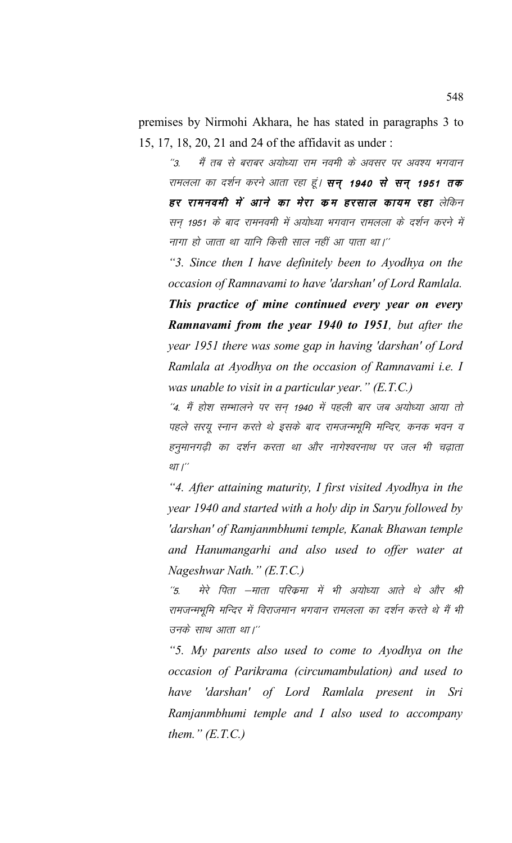premises by Nirmohi Akhara, he has stated in paragraphs 3 to 15, 17, 18, 20, 21 and 24 of the affidavit as under :

"3. मैं तब से बराबर अयोध्या राम नवमी के अवसर पर अवश्य भगवान रामलला का दर्शन करने आता रहा हूं। **सन् 1940 से सन् 1951 तक** हर रामनवमी में आने का मेरा कम हरसाल कायम रहा लेकिन सन 1951 के बाद रामनवमी में अयोध्या भगवान रामलला के दर्शन करने में नागा हो जाता था यानि किसी साल नहीं आ पाता था।''

*"3. Since then I have definitely been to Ayodhya on the occasion of Ramnavami to have 'darshan' of Lord Ramlala. This practice of mine continued every year on every Ramnavami from the year 1940 to 1951, but after the year 1951 there was some gap in having 'darshan' of Lord Ramlala at Ayodhya on the occasion of Ramnavami i.e. I was unable to visit in a particular year." (E.T.C.)*

 $^\prime\!$ 4. मैं होश सम्भालने पर सन 1940 में पहली बार जब अयोध्या आया तो पहले सरयू स्नान करते थे इसके बाद रामजन्मभूमि मन्दिर, कनक भवन व हनुमानगढ़ी का दर्शन करता था और नागेश्वरनाथ पर जल भी चढ़ाता था। $^{\prime\prime}$ 

*"4. After attaining maturity, I first visited Ayodhya in the year 1940 and started with a holy dip in Saryu followed by 'darshan' of Ramjanmbhumi temple, Kanak Bhawan temple and Hanumangarhi and also used to offer water at Nageshwar Nath." (E.T.C.)*

''5. मेरे पिता –माता परिकमा में भी अयोध्या आते थे और श्री रामजन्मभूमि मन्दिर में विराजमान भगवान रामलला का दर्शन करते थे मैं भी उनके साथ आता था।''

*"5. My parents also used to come to Ayodhya on the occasion of Parikrama (circumambulation) and used to have 'darshan' of Lord Ramlala present in Sri Ramjanmbhumi temple and I also used to accompany them." (E.T.C.)*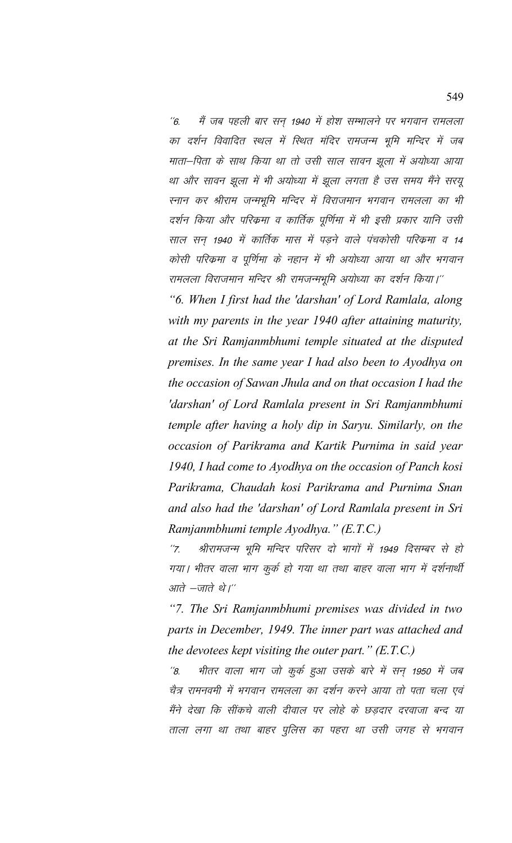''6. मैं जब पहली बार सन् 1940 में होश सम्भालने पर भगवान रामलला का दर्शन विवादित स्थल में स्थित मंदिर रामजन्म भूमि मन्दिर में जब माता–पिता के साथ किया था तो उसी साल सावन झूला में अयोध्या आया था और सावन झूला में भी अयोध्या में झूला लगता है उस समय मैंने सरयू स्नान कर श्रीराम जन्मभूमि मन्दिर में विराजमान भगवान रामलला का भी दर्शन किया और परिक्रमा व कार्तिक पूर्णिमा में भी इसी प्रकार यानि उसी साल सन 1940 में कार्तिक मास में पडने वाले पंचकोसी परिक्रमा व 14 कोसी परिक्रमा व पूर्णिमा के नहान में भी अयोध्या आया था और भगवान रामलला विराजमान मन्दिर श्री रामजन्मभूमि अयोध्या का दर्शन किया।''

*"6. When I first had the 'darshan' of Lord Ramlala, along with my parents in the year 1940 after attaining maturity, at the Sri Ramjanmbhumi temple situated at the disputed premises. In the same year I had also been to Ayodhya on the occasion of Sawan Jhula and on that occasion I had the 'darshan' of Lord Ramlala present in Sri Ramjanmbhumi temple after having a holy dip in Saryu. Similarly, on the occasion of Parikrama and Kartik Purnima in said year 1940, I had come to Ayodhya on the occasion of Panch kosi Parikrama, Chaudah kosi Parikrama and Purnima Snan and also had the 'darshan' of Lord Ramlala present in Sri Ramjanmbhumi temple Ayodhya." (E.T.C.)*

''7. श्रीरामजन्म भूमि मन्दिर परिसर दो भागों में 1949 दिसम्बर से हो गया। भीतर वाला भाग कुर्क हो गया था तथा बाहर वाला भाग में दर्शनार्थी आते  $-\pi$ तो थे।''

*"7. The Sri Ramjanmbhumi premises was divided in two parts in December, 1949. The inner part was attached and the devotees kept visiting the outer part." (E.T.C.)*

 $^{\prime\prime}\!$ 8. भीतर वाला भाग जो कुर्क हुआ उसके बारे में सन् 1950 में जब चेत्र रामनवमी में भगवान रामलला का दर्शन करने आया तो पता चला एवं मैंने देखा कि सींकचे वाली दीवाल पर लोहे के छड़दार दरवाजा बन्द या ताला लगा था तथा बाहर पुलिस का पहरा था उसी जगह से भगवान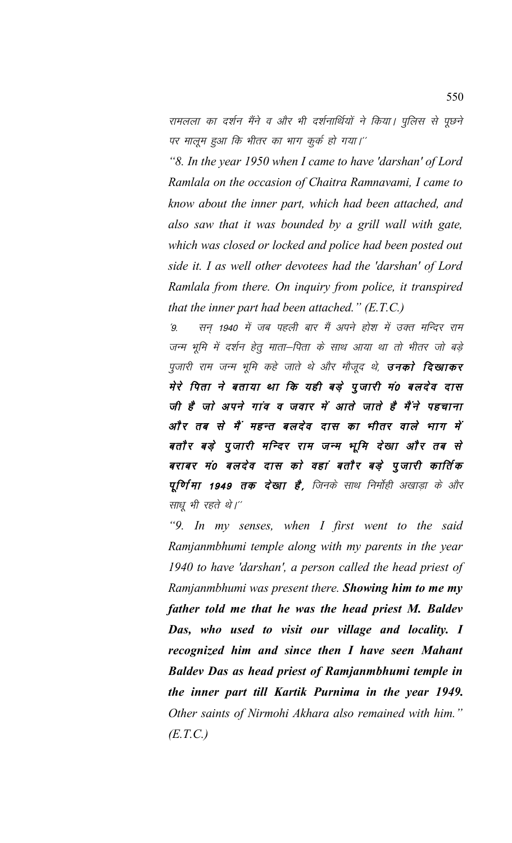रामलला का दर्शन मैंने व और भी दर्शनार्थियों ने किया। पुलिस से पूछने पर मालूम हुआ कि भीतर का भाग कुर्क हो गया।''

*"8. In the year 1950 when I came to have 'darshan' of Lord Ramlala on the occasion of Chaitra Ramnavami, I came to know about the inner part, which had been attached, and also saw that it was bounded by a grill wall with gate, which was closed or locked and police had been posted out side it. I as well other devotees had the 'darshan' of Lord Ramlala from there. On inquiry from police, it transpired that the inner part had been attached." (E.T.C.)*

 $\dot{9}$ - सन 1940 में जब पहली बार मैं अपने होश में उक्त मन्दिर राम जन्म भूमि में दर्शन हेतु माता-पिता के साथ आया था तो भीतर जो बड़े पूजारी राम जन्म भूमि कहे जाते थे और मौजूद थे, **उनको दिखाकर** मेरे पिता ने बताया था कि यही बड़े पूजारी मं0 बलदेव दास जी है जो अपने गांव व जवार में आते जाते है मैंने पहचाना ओं र तब से मैं महन्त बलदेव दास का भीतर वाले भाग में बतौर बड़े पुजारी मन्दिर राम जन्म भूमि देखा और तब से बराबर मं0 बलदेव दास को वहां बतौर बड़े पूजारी कार्तिक प्**णिमा 1949 तक देखा है**, जिनके साथ निर्माही अखाडा के और साधू भी रहते थे।"

*"9. In my senses, when I first went to the said Ramjanmbhumi temple along with my parents in the year 1940 to have 'darshan', a person called the head priest of Ramjanmbhumi was present there. Showing him to me my father told me that he was the head priest M. Baldev Das, who used to visit our village and locality. I recognized him and since then I have seen Mahant Baldev Das as head priest of Ramjanmbhumi temple in the inner part till Kartik Purnima in the year 1949. Other saints of Nirmohi Akhara also remained with him." (E.T.C.)*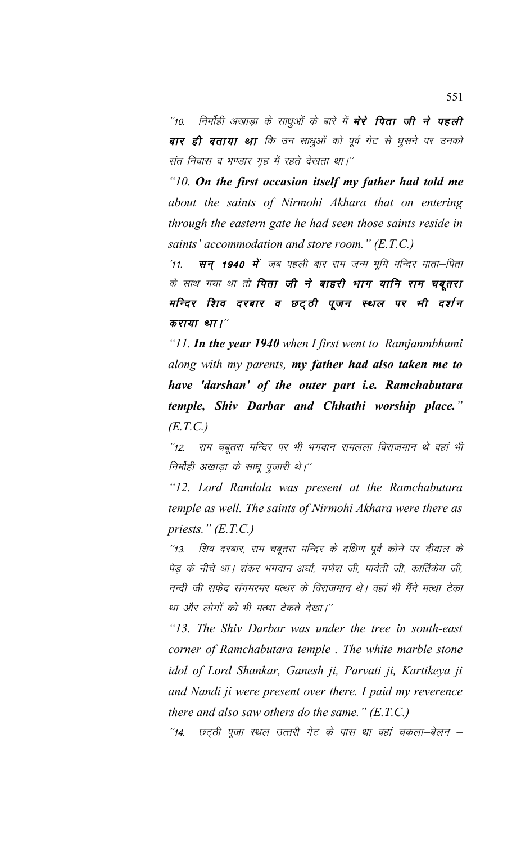''10. निर्मोही अखाड़ा के साधुओं के बारे में **मेरे पिता जी ने पहली** बार ही बताया था कि उन साधुओं को पूर्व गेट से घुसने पर उनको संत निवास व भण्डार गृह में रहते देखता था।"

*"10. On the first occasion itself my father had told me about the saints of Nirmohi Akhara that on entering through the eastern gate he had seen those saints reside in saints' accommodation and store room." (E.T.C.)*

 $^{\prime}$ 11. सन् 1940 में जब पहली बार राम जन्म भूमि मन्दिर माता–पिता के साथ गया था तो **पिता जी ने बाहरी भाग यानि राम चबूतरा** मन्दिर शिव दरबार व छट्ठी पूजन स्थल पर भी दर्शन कराया था।"

*"11. In the year 1940 when I first went to Ramjanmbhumi along with my parents, my father had also taken me to have 'darshan' of the outer part i.e. Ramchabutara temple, Shiv Darbar and Chhathi worship place." (E.T.C.)*

"12. राम चबूतरा मन्दिर पर भी भगवान रामलला विराजमान थे वहां भी निर्मोही अखाड़ा के साधू पूजारी थे।''

*"12. Lord Ramlala was present at the Ramchabutara temple as well. The saints of Nirmohi Akhara were there as priests." (E.T.C.)*

"13. शिव दरबार, राम चबूतरा मन्दिर के दक्षिण पूर्व कोने पर दीवाल के पेड़ के नीचे था। शंकर भगवान अर्घा, गणेश जी, पार्वती जी, कार्तिकेय जी, नन्दी जी सफेद संगमरमर पत्थर के विराजमान थे। वहां भी मैंने मत्था टेका था और लोगों को भी मत्था टेकते देखा।''

*"13. The Shiv Darbar was under the tree in south-east corner of Ramchabutara temple . The white marble stone idol of Lord Shankar, Ganesh ji, Parvati ji, Kartikeya ji and Nandi ji were present over there. I paid my reverence there and also saw others do the same." (E.T.C.)*

"14. छट्ठी पूजा स्थल उत्तरी गेट के पास था वहां चकला–बेलन –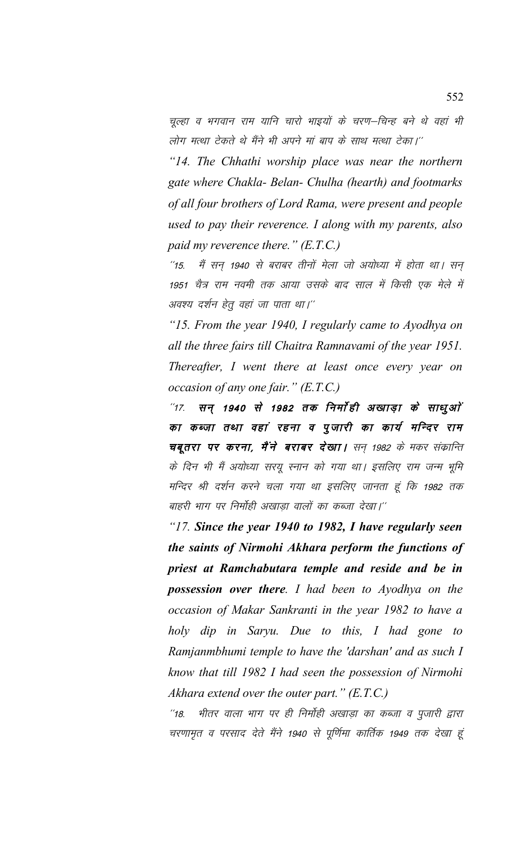चूल्हा व भगवान राम यानि चारो भाइयों के चरण–चिन्ह बने थे वहां भी लोग मत्था टेकते थे मैंने भी अपने मां बाप के साथ मत्था टेका।''

*"14. The Chhathi worship place was near the northern gate where Chakla- Belan- Chulha (hearth) and footmarks of all four brothers of Lord Rama, were present and people used to pay their reverence. I along with my parents, also paid my reverence there." (E.T.C.)*

 $^{\prime\prime}$ 15. मैं सन् 1940 से बराबर तीनों मेला जो अयोध्या में होता था। सन् 1951 चैत्र राम नवमी तक आया उसके बाद साल में किसी एक मेले में अवश्य दर्शन हेतु वहां जा पाता था।''

*"15. From the year 1940, I regularly came to Ayodhya on all the three fairs till Chaitra Ramnavami of the year 1951. Thereafter, I went there at least once every year on occasion of any one fair." (E.T.C.)*

 $^{\prime\prime}$ 17. सन् 1940 से 1982 तक निर्मोही अखाड़ा के साधुओं का कब्जा तथा वहां रहना व पूजारी का कार्य मन्दिर राम चबूतरा पर करना, मैंने बराबर देखा। सन् 1982 के मकर संक्रान्ति के दिन भी मैं अयोध्या सरयू स्नान को गया था। इसलिए राम जन्म भूमि मन्दिर श्री दर्शन करने चला गया था इसलिए जानता हूं कि 1982 तक बाहरी भाग पर निर्मोही अखाडा वालों का कब्जा देखा।''

*"17. Since the year 1940 to 1982, I have regularly seen the saints of Nirmohi Akhara perform the functions of priest at Ramchabutara temple and reside and be in possession over there. I had been to Ayodhya on the occasion of Makar Sankranti in the year 1982 to have a holy dip in Saryu. Due to this, I had gone to Ramjanmbhumi temple to have the 'darshan' and as such I know that till 1982 I had seen the possession of Nirmohi Akhara extend over the outer part." (E.T.C.)*

"18. भीतर वाला भाग पर ही निर्मोही अखाड़ा का कब्जा व पूजारी द्वारा चरणामृत व परसाद देते मैंने 1940 से पूर्णिमा कार्तिक 1949 तक देखा हूं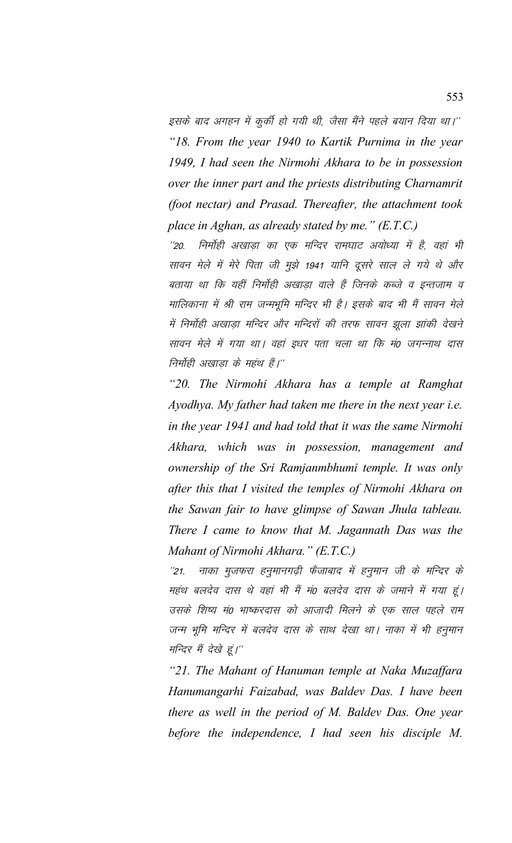इसके बाद अगहन में कुर्की हो गयी थी, जैसा मैंने पहले बयान दिया था।'' *"18. From the year 1940 to Kartik Purnima in the year 1949, I had seen the Nirmohi Akhara to be in possession over the inner part and the priests distributing Charnamrit (foot nectar) and Prasad. Thereafter, the attachment took place in Aghan, as already stated by me." (E.T.C.)*

''20. निर्मोही अखाडा का एक मन्दिर रामघाट अयोध्या में है, वहां भी सावन मेले में मेरे पिता जी मुझे 1941 यानि दूसरे साल ले गये थे और बताया था कि यहीं निर्मोही अखाडा वाले हैं जिनके कब्जे व इन्तजाम व मालिकाना में श्री राम जन्मभूमि मन्दिर भी है। इसके बाद भी मैं सावन मेले में निर्मोही अखाड़ा मन्दिर और मन्दिरों की तरफ सावन झूला झांकी देखने सावन मेले में गया था। वहां इधर पता चला था कि मं0 जगन्नाथ दास निर्माही अखाडा के महंथ हैं।''

*"20. The Nirmohi Akhara has a temple at Ramghat Ayodhya. My father had taken me there in the next year i.e. in the year 1941 and had told that it was the same Nirmohi Akhara, which was in possession, management and ownership of the Sri Ramjanmbhumi temple. It was only after this that I visited the temples of Nirmohi Akhara on the Sawan fair to have glimpse of Sawan Jhula tableau. There I came to know that M. Jagannath Das was the Mahant of Nirmohi Akhara." (E.T.C.)*

''21. नाका मुजफरा हनुमानगढ़ी फैजाबाद में हनुमान जी के मन्दिर के महंथ बलदेव दास थे वहां भी मैं मं0 बलदेव दास के जमाने में गया हूं। उसके शिष्य मं0 भाष्करदास को आजादी मिलने के एक साल पहले राम जन्म भूमि मन्दिर में बलदेव दास के साथ देखा था। नाका में भी हनुमान मन्दिर मैं देखे हूं।''

*"21. The Mahant of Hanuman temple at Naka Muzaffara Hanumangarhi Faizabad, was Baldev Das. I have been there as well in the period of M. Baldev Das. One year before the independence, I had seen his disciple M.*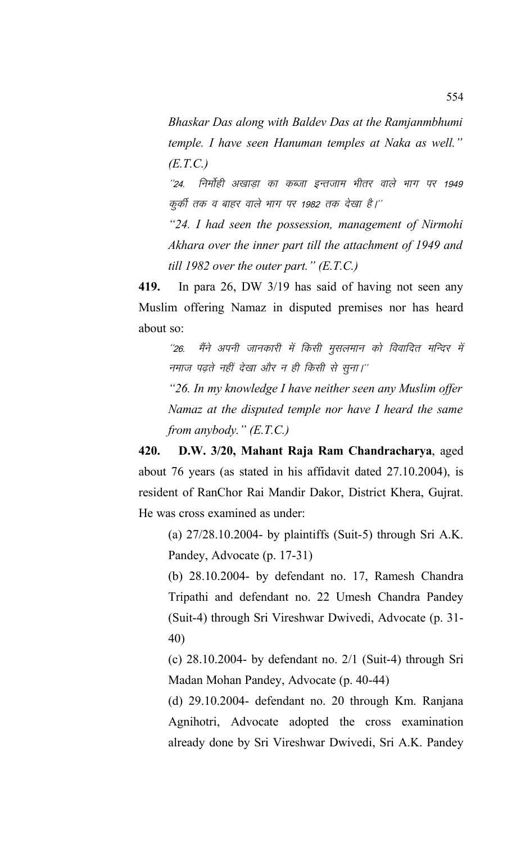*Bhaskar Das along with Baldev Das at the Ramjanmbhumi temple. I have seen Hanuman temples at Naka as well." (E.T.C.)*

"24. निर्मोही अखाडा का कब्जा इन्तजाम भीतर वाले भाग पर 1949 कुर्की तक व बाहर वाले भाग पर 1982 तक देखा है।''

*"24. I had seen the possession, management of Nirmohi Akhara over the inner part till the attachment of 1949 and till 1982 over the outer part." (E.T.C.)*

**419.** In para 26, DW 3/19 has said of having not seen any Muslim offering Namaz in disputed premises nor has heard about so:

''26. मैंने अपनी जानकारी में किसी मुसलमान को विवादित मन्दिर में नमाज पढते नहीं देखा और न ही किसी से सुना।''

*"26. In my knowledge I have neither seen any Muslim offer Namaz at the disputed temple nor have I heard the same from anybody." (E.T.C.)*

**420. D.W. 3/20, Mahant Raja Ram Chandracharya**, aged about 76 years (as stated in his affidavit dated 27.10.2004), is resident of RanChor Rai Mandir Dakor, District Khera, Gujrat. He was cross examined as under:

(a) 27/28.10.2004- by plaintiffs (Suit-5) through Sri A.K. Pandey, Advocate (p. 17-31)

(b) 28.10.2004- by defendant no. 17, Ramesh Chandra Tripathi and defendant no. 22 Umesh Chandra Pandey (Suit-4) through Sri Vireshwar Dwivedi, Advocate (p. 31- 40)

(c) 28.10.2004- by defendant no. 2/1 (Suit-4) through Sri Madan Mohan Pandey, Advocate (p. 40-44)

(d) 29.10.2004- defendant no. 20 through Km. Ranjana Agnihotri, Advocate adopted the cross examination already done by Sri Vireshwar Dwivedi, Sri A.K. Pandey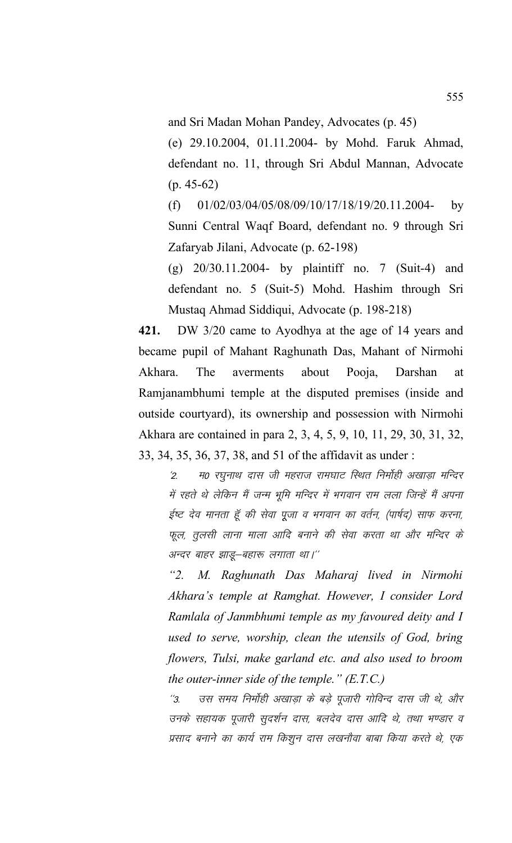and Sri Madan Mohan Pandey, Advocates (p. 45)

(e) 29.10.2004, 01.11.2004- by Mohd. Faruk Ahmad, defendant no. 11, through Sri Abdul Mannan, Advocate (p. 45-62)

 $(f)$  01/02/03/04/05/08/09/10/17/18/19/20.11.2004- by Sunni Central Waqf Board, defendant no. 9 through Sri Zafaryab Jilani, Advocate (p. 62-198)

(g) 20/30.11.2004- by plaintiff no. 7 (Suit-4) and defendant no. 5 (Suit-5) Mohd. Hashim through Sri Mustaq Ahmad Siddiqui, Advocate (p. 198-218)

**421.** DW 3/20 came to Ayodhya at the age of 14 years and became pupil of Mahant Raghunath Das, Mahant of Nirmohi Akhara. The averments about Pooja, Darshan at Ramjanambhumi temple at the disputed premises (inside and outside courtyard), its ownership and possession with Nirmohi Akhara are contained in para 2, 3, 4, 5, 9, 10, 11, 29, 30, 31, 32, 33, 34, 35, 36, 37, 38, and 51 of the affidavit as under :

'2. म0 रघुनाथ दास जी महराज रामघाट स्थित निर्माही अखाड़ा मन्दिर में रहते थे लेकिन मैं जन्म भूमि मन्दिर में भगवान राम लला जिन्हें मैं अपना ईष्ट देव मानता हूँ की सेवा पूजा व भगवान का वर्तन, (पार्षद) साफ करना, फूल, तूलसी लाना माला आदि बनाने की सेवा करता था और मन्दिर के अन्दर बाहर झाडू-बहारू लगाता था।"

*"2. M. Raghunath Das Maharaj lived in Nirmohi Akhara's temple at Ramghat. However, I consider Lord Ramlala of Janmbhumi temple as my favoured deity and I used to serve, worship, clean the utensils of God, bring flowers, Tulsi, make garland etc. and also used to broom the outer-inner side of the temple." (E.T.C.)*

''3. जस समय निर्मोही अखाड़ा के बड़े पूजारी गोविन्द दास जी थे, और उनके सहायक पूजारी सुदर्शन दास, बलदेव दास आदि थे, तथा भण्डार व प्रसाद बनाने का कार्य राम किशुन दास लखनौवा बाबा किया करते थे, एक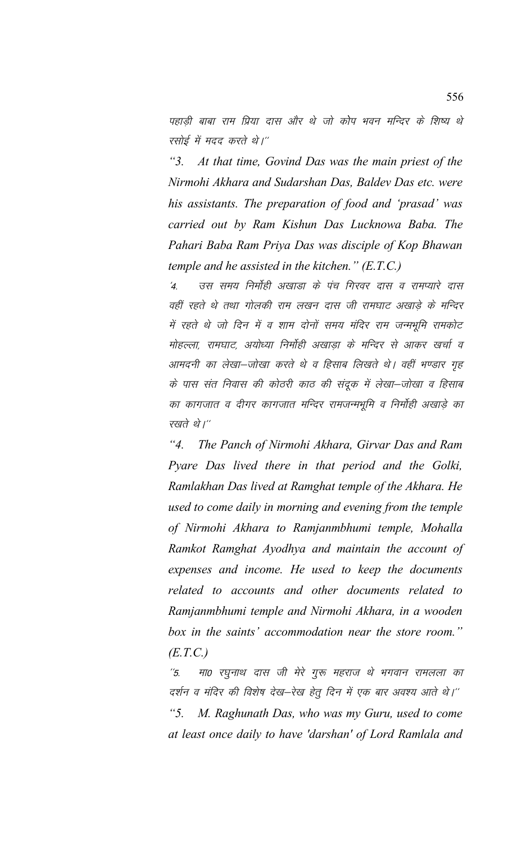पहाडी बाबा राम प्रिया दास और थे जो कोप भवन मन्दिर के शिष्य थे रसोई में मदद करते थे।''

*"3. At that time, Govind Das was the main priest of the Nirmohi Akhara and Sudarshan Das, Baldev Das etc. were his assistants. The preparation of food and 'prasad' was carried out by Ram Kishun Das Lucknowa Baba. The Pahari Baba Ram Priya Das was disciple of Kop Bhawan temple and he assisted in the kitchen." (E.T.C.)*

'4. जस समय निर्मोही अखाडा के पंच गिरवर दास व रामप्यारे दास वहीं रहते थे तथा गोलकी राम लखन दास जी रामघाट अखाड़े के मन्दिर में रहते थे जो दिन में व शाम दोनों समय मंदिर राम जन्मभूमि रामकोट मोहल्ला, रामघाट, अयोध्या निर्मोही अखाडा के मन्दिर से आकर खर्चा व आमदनी का लेखा-जोखा करते थे व हिसाब लिखते थे। वहीं भण्डार गृह के पास संत निवास की कोठरी काठ की संदूक में लेखा–जोखा व हिसाब का कागजात व दीगर कागजात मन्दिर रामजन्मभूमि व निर्मोही अखाड़े का रखते थे।"

*"4. The Panch of Nirmohi Akhara, Girvar Das and Ram Pyare Das lived there in that period and the Golki, Ramlakhan Das lived at Ramghat temple of the Akhara. He used to come daily in morning and evening from the temple of Nirmohi Akhara to Ramjanmbhumi temple, Mohalla Ramkot Ramghat Ayodhya and maintain the account of expenses and income. He used to keep the documents related to accounts and other documents related to Ramjanmbhumi temple and Nirmohi Akhara, in a wooden box in the saints' accommodation near the store room." (E.T.C.)*

''5. मा0 रघुनाथ दास जी मेरे गुरू महराज थे भगवान रामलला का दर्शन व मंदिर की विशेष देख—रेख हेतु दिन में एक बार अवश्य आते थे।'' *"5. M. Raghunath Das, who was my Guru, used to come at least once daily to have 'darshan' of Lord Ramlala and*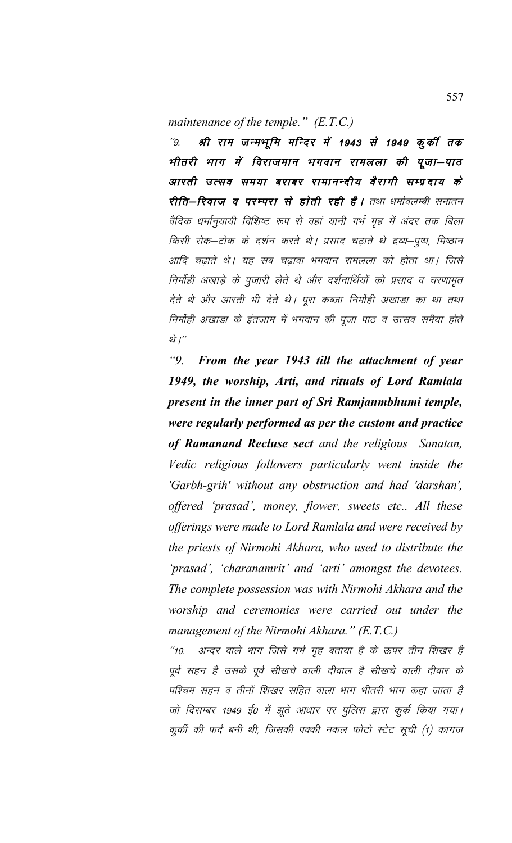*maintenance of the temple." (E.T.C.)*

"9. श्री राम जन्मभूमि मन्दिर में 1943 से 1949 कुर्की तक भीतरी भाग में विराजमान भगवान रामलला की पूजा–पाठ आरती उत्सव समया बराबर रामानन्दीय वैरागी सम्प्रदाय के रीति-रिवाज व परम्परा से होती रही है। तथा धर्मावलम्बी सनातन वैदिक धर्मानुयायी विशिष्ट रूप से वहां यानी गर्भ गृह में अंदर तक बिला किसी रोक–टोक के दर्शन करते थे। प्रसाद चढ़ाते थे द्रव्य–पुष्प, मिष्ठान आदि चढ़ाते थे। यह सब चढ़ावा भगवान रामलला को होता था। जिसे निर्मोही अखाड़े के पूजारी लेते थे और दर्शनार्थियों को प्रसाद व चरणामृत देते थे और आरती भी देते थे। पूरा कब्जा निर्मोही अखाडा का था तथा निर्मोही अखाडा के इंतजाम में भगवान की पूजा पाठ व उत्सव समैया होते थे $\overline{I}$  / $^{\prime\prime}$ 

*"9. From the year 1943 till the attachment of year 1949, the worship, Arti, and rituals of Lord Ramlala present in the inner part of Sri Ramjanmbhumi temple, were regularly performed as per the custom and practice of Ramanand Recluse sect and the religious Sanatan, Vedic religious followers particularly went inside the 'Garbh-grih' without any obstruction and had 'darshan', offered 'prasad', money, flower, sweets etc.. All these offerings were made to Lord Ramlala and were received by the priests of Nirmohi Akhara, who used to distribute the 'prasad', 'charanamrit' and 'arti' amongst the devotees. The complete possession was with Nirmohi Akhara and the worship and ceremonies were carried out under the management of the Nirmohi Akhara." (E.T.C.)*

''10. अन्दर वाले भाग जिसे गर्भ गृह बताया है के ऊपर तीन शिखर है पूर्व सहन है उसके पूर्व सीखचे वाली दीवाल है सीखचे वाली दीवार के पश्चिम सहन व तीनों शिखर सहित वाला भाग भीतरी भाग कहा जाता है जो दिसम्बर 1949 ई0 में झूठे आधार पर पुलिस द्वारा कुर्क किया गया। कुकी की फर्द बनी थी, जिसकी पक्की नकल फोटो स्टेट सूची (1) कागज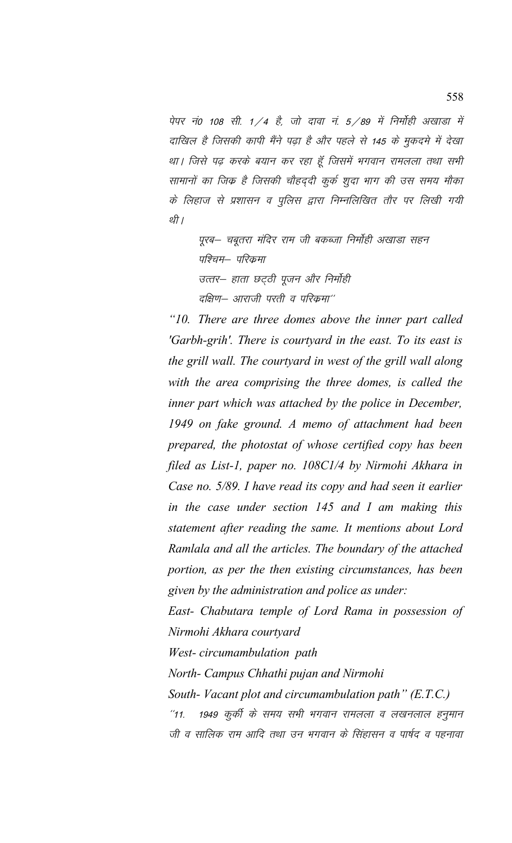पेपर नं0 108 सी. 1/4 है, जो दावा नं. 5/89 में निर्मोही अखाड़ा में दाखिल है जिसकी कापी मैंने पढ़ा है और पहले से 145 के मुकदमे में देखा था। जिसे पढ़ करके बयान कर रहा हूँ जिसमें भगवान रामलला तथा सभी सामानों का जिक है जिसकी चौहददी कुर्क शूदा भाग की उस समय मौका के लिहाज से प्रशासन व पुलिस द्वारा निम्नलिखित तौर पर लिखी गयी र्थी ।

पुरब– चबुतरा मंदिर राम जी बकब्जा निर्मोही अखाडा सहन पश्चिम— परिक्रमा उत्तर– हाता छट्ठी पूजन और निर्मोही दक्षिण– आराजी परती व परिक्रमा $^{\prime\prime}$ 

*"10. There are three domes above the inner part called 'Garbh-grih'. There is courtyard in the east. To its east is the grill wall. The courtyard in west of the grill wall along with the area comprising the three domes, is called the inner part which was attached by the police in December, 1949 on fake ground. A memo of attachment had been prepared, the photostat of whose certified copy has been filed as List-1, paper no. 108C1/4 by Nirmohi Akhara in Case no. 5/89. I have read its copy and had seen it earlier in the case under section 145 and I am making this statement after reading the same. It mentions about Lord Ramlala and all the articles. The boundary of the attached portion, as per the then existing circumstances, has been given by the administration and police as under:* 

*East- Chabutara temple of Lord Rama in possession of Nirmohi Akhara courtyard*

*West- circumambulation path*

*North- Campus Chhathi pujan and Nirmohi*

*South- Vacant plot and circumambulation path" (E.T.C.)* "11. 1949 कुर्की के समय सभी भगवान रामलला व लखनलाल हनुमान जी व सालिक राम आदि तथा उन भगवान के सिंहासन व पार्षद व पहनावा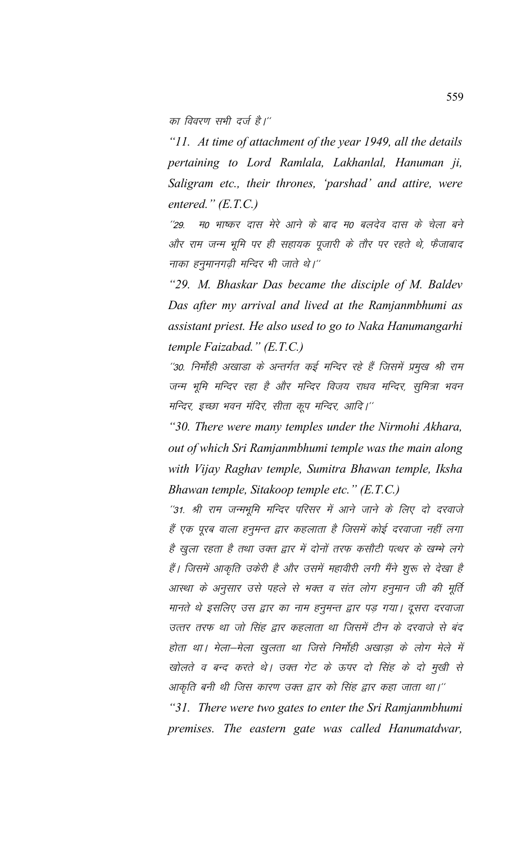का विवरण सभी दर्ज है।''

*"11. At time of attachment of the year 1949, all the details pertaining to Lord Ramlala, Lakhanlal, Hanuman ji, Saligram etc., their thrones, 'parshad' and attire, were entered." (E.T.C.)*

''29. म0 भाष्कर दास मेरे आने के बाद म0 बलदेव दास के चेला बने और राम जन्म भूमि पर ही सहायक पूजारी के तौर पर रहते थे, फैजाबाद नाका हनुमानगढी मन्दिर भी जाते थे।''

*"29. M. Bhaskar Das became the disciple of M. Baldev Das after my arrival and lived at the Ramjanmbhumi as assistant priest. He also used to go to Naka Hanumangarhi temple Faizabad." (E.T.C.)*

''30. निर्मोही अखाडा के अन्तर्गत कई मन्दिर रहे हैं जिसमें प्रमुख श्री राम जन्म भूमि मन्दिर रहा है और मन्दिर विजय राधव मन्दिर, सूमित्रा भवन मन्दिर, इच्छा भवन मंदिर, सीता कूप मन्दिर, आदि।''

*"30. There were many temples under the Nirmohi Akhara, out of which Sri Ramjanmbhumi temple was the main along with Vijay Raghav temple, Sumitra Bhawan temple, Iksha Bhawan temple, Sitakoop temple etc." (E.T.C.)*

"31. श्री राम जन्मभूमि मन्दिर परिसर में आने जाने के लिए दो दरवाजे हैं एक पूरब वाला हनुमन्त द्वार कहलाता है जिसमें कोई दरवाजा नहीं लगा है खुला रहता है तथा उक्त द्वार में दोनों तरफ कसौटी पत्थर के खम्भे लगे हैं। जिसमें आकृति उकेरी है और उसमें महावीरी लगी मैंने शुरू से देखा है आस्था के अनुसार उसे पहले से भक्त व संत लोग हनुमान जी की मूर्ति मानते थे इसलिए उस द्वार का नाम हनुमन्त द्वार पड़ गया। दूसरा दरवाजा उत्तर तरफ था जो सिंह द्वार कहलाता था जिसमें टीन के दरवाजे से बंद होता था। मेला–मेला खुलता था जिसे निर्मोही अखाड़ा के लोग मेले में खोलते व बन्द करते थे। उक्त गेट के ऊपर दो सिंह के दो मुखी से आकृति बनी थी जिस कारण उक्त द्वार को सिंह द्वार कहा जाता था।''

*"31. There were two gates to enter the Sri Ramjanmbhumi premises. The eastern gate was called Hanumatdwar,*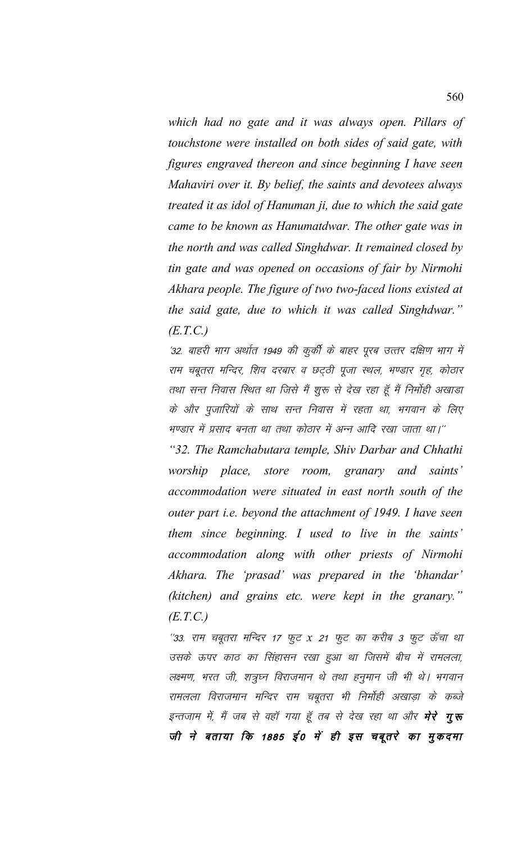*which had no gate and it was always open. Pillars of touchstone were installed on both sides of said gate, with figures engraved thereon and since beginning I have seen Mahaviri over it. By belief, the saints and devotees always treated it as idol of Hanuman ji, due to which the said gate came to be known as Hanumatdwar. The other gate was in the north and was called Singhdwar. It remained closed by tin gate and was opened on occasions of fair by Nirmohi Akhara people. The figure of two two-faced lions existed at the said gate, due to which it was called Singhdwar." (E.T.C.)*

'32. बाहरी भाग अर्थात 1949 की कूर्की के बाहर पूरब उत्तर दक्षिण भाग में राम चबूतरा मन्दिर, शिव दरबार व छट्ठी पूजा स्थल, भण्डार गृह, कोठार तथा सन्त निवास स्थित था जिसे मैं शुरू से देख रहा हूँ मैं निर्मोही अखाड़ा के और पुजारियों के साथ सन्त निवास में रहता था, भगवान के लिए भण्डार में प्रसाद बनता था तथा कोठार में अन्न आदि रखा जाता था।''

*"32. The Ramchabutara temple, Shiv Darbar and Chhathi worship place, store room, granary and saints' accommodation were situated in east north south of the outer part i.e. beyond the attachment of 1949. I have seen them since beginning. I used to live in the saints' accommodation along with other priests of Nirmohi Akhara. The 'prasad' was prepared in the 'bhandar' (kitchen) and grains etc. were kept in the granary." (E.T.C.)*

''33. राम चबूतरा मन्दिर 17 फुट x 21 फुट का करीब 3 फुट ऊँचा था उसके ऊपर काठ का सिंहासन रखा हुआ था जिसमें बीच में रामलला, लक्ष्मण, भरत जी, शत्रुघ्न विराजमान थे तथा हनुमान जी भी थे। भगवान रामलला विराजमान मन्दिर राम चबूतरा भी निर्मोही अखाड़ा के कब्जे इन्तजाम में, मैं जब से वहॉ गया हूँ तब से देख रहा था और **मेरे गुरू** जी ने बताया कि 1885 ई0 में ही इस चबूतरे का मुकदमा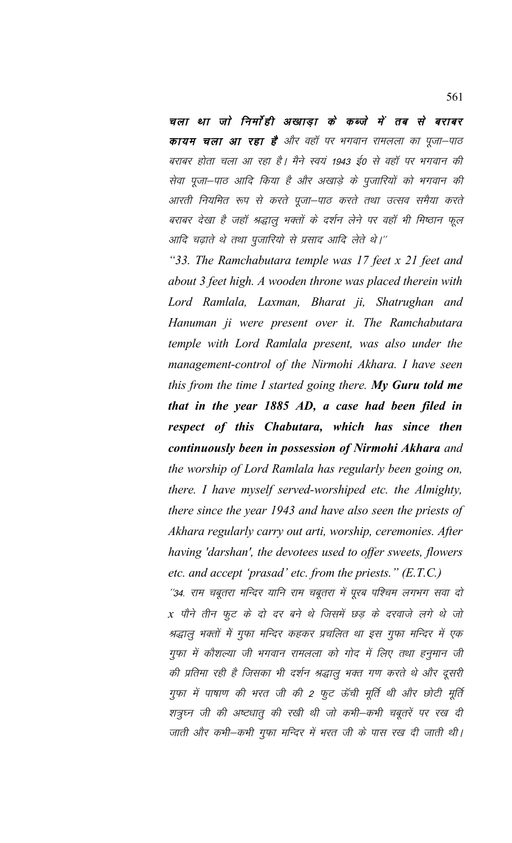चला था जो निर्मोही अखाड़ा के कब्जे में तब से बराबर **कायम चला आ रहा है** और वहाँ पर भगवान रामलला का पूजा—पाठ बराबर होता चला आ रहा है। मैने स्वयं 1943 ई0 से वहाँ पर भगवान की सेवा पूजा-पाठ आदि किया है और अखाड़े के पूजारियों को भगवान की आरती नियमित रूप से करते पूजा–पाठ करते तथा उत्सव समैया करते बराबर देखा है जहाँ श्रद्धालू भक्तों के दर्शन लेने पर वहाँ भी मिष्ठान फूल आदि चढ़ाते थे तथा पूजारियो से प्रसाद आदि लेते थे।''

*"33. The Ramchabutara temple was 17 feet x 21 feet and about 3 feet high. A wooden throne was placed therein with Lord Ramlala, Laxman, Bharat ji, Shatrughan and Hanuman ji were present over it. The Ramchabutara temple with Lord Ramlala present, was also under the management-control of the Nirmohi Akhara. I have seen this from the time I started going there. My Guru told me that in the year 1885 AD, a case had been filed in respect of this Chabutara, which has since then continuously been in possession of Nirmohi Akhara and the worship of Lord Ramlala has regularly been going on, there. I have myself served-worshiped etc. the Almighty, there since the year 1943 and have also seen the priests of Akhara regularly carry out arti, worship, ceremonies. After having 'darshan', the devotees used to offer sweets, flowers etc. and accept 'prasad' etc. from the priests." (E.T.C.)*

''34. राम चबूतरा मन्दिर यानि राम चबूतरा में पूरब पश्चिम लगभग सवा दो  $x$  पौने तीन फूट के दो दर बने थे जिसमें छड़ के दरवाजे लगे थे जो श्रद्धालु भक्तों में गुफा मन्दिर कहकर प्रचलित था इस गुफा मन्दिर में एक गुफा में कौशल्या जी भगवान रामलला को गोद में लिए तथा हनूमान जी की प्रतिमा रही है जिसका भी दर्शन श्रद्धालू भक्त गण करते थे और दूसरी गुफा में पाषाण की भरत जी की 2 फुट ऊँची मूर्ति थी और छोटी मूर्ति शत्रुघ्न जी की अष्टधातु की रखी थी जो कभी–कभी चबूतरें पर रख दी जाती और कभी–कभी गुफा मन्दिर में भरत जी के पास रख दी जाती थी।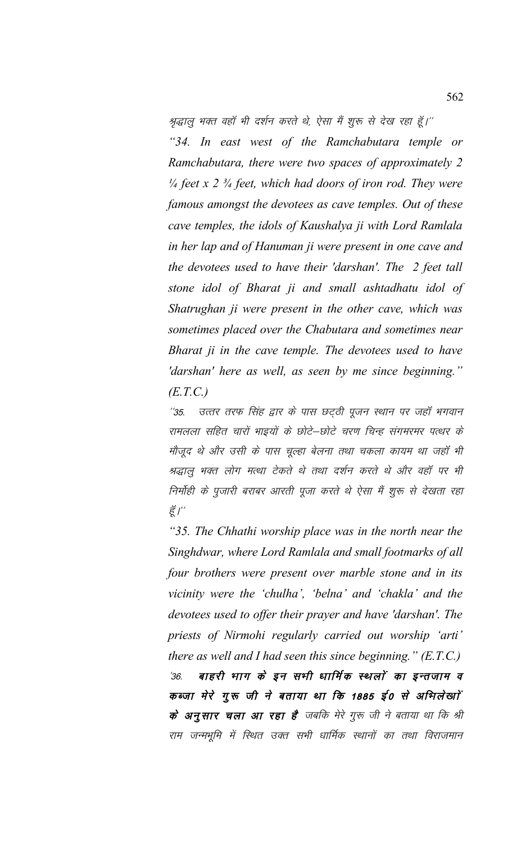श्रद्धालु भक्त वहाँ भी दर्शन करते थे, ऐसा मैं शुरू से देख रहा हूँ।''

*"34. In east west of the Ramchabutara temple or Ramchabutara, there were two spaces of approximately 2 ¼ feet x 2 ¾ feet, which had doors of iron rod. They were famous amongst the devotees as cave temples. Out of these cave temples, the idols of Kaushalya ji with Lord Ramlala in her lap and of Hanuman ji were present in one cave and the devotees used to have their 'darshan'. The 2 feet tall stone idol of Bharat ji and small ashtadhatu idol of Shatrughan ji were present in the other cave, which was sometimes placed over the Chabutara and sometimes near Bharat ji in the cave temple. The devotees used to have 'darshan' here as well, as seen by me since beginning." (E.T.C.)*

''35. उत्तर तरफ सिंह द्वार के पास छट्ठी पूजन स्थान पर जहाँ भगवान रामलला सहित चारों भाइयों के छोटे–छोटे चरण चिन्ह संगमरमर पत्थर के मौजूद थे और उसी के पास चूल्हा बेलना तथा चकला कायम था जहाँ भी श्रद्धालु भक्त लोग मत्था टेकते थे तथा दर्शन करते थे और वहाँ पर भी निर्मोही के पुजारी बराबर आरती पूजा करते थे ऐसा मैं शुरू से देखता रहा हूँ $I^{\prime\prime}$ 

*"35. The Chhathi worship place was in the north near the Singhdwar, where Lord Ramlala and small footmarks of all four brothers were present over marble stone and in its vicinity were the 'chulha', 'belna' and 'chakla' and the devotees used to offer their prayer and have 'darshan'. The priests of Nirmohi regularly carried out worship 'arti' there as well and I had seen this since beginning." (E.T.C.)* '36. बाहरी भाग के इन सभी धार्मिक स्थलों का इन्तजाम व कब्जा मेरे गूरू जी ने बताया था कि 1885 ई0 से अभिलेखाों के अनुसार चला आ रहा है जबकि मेरे गुरू जी ने बताया था कि श्री राम जन्मभूमि में स्थित उक्त सभी धार्मिक स्थानों का तथा विराजमान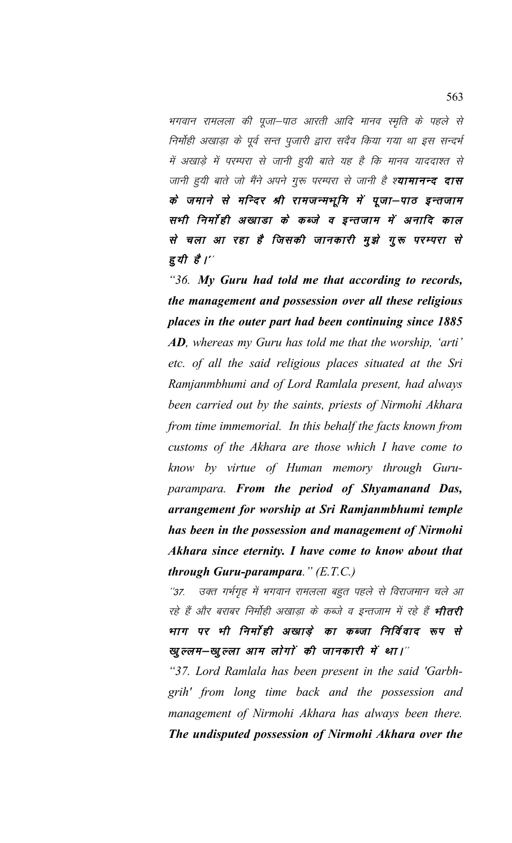भगवान रामलला की पूजा–पाठ आरती आदि मानव स्मृति के पहले से निर्मोही अखाड़ा के पूर्व सन्त पुजारी द्वारा सदैव किया गया था इस सन्दर्भ में अखाड़े में परम्परा से जानी हुयी बाते यह है कि मानव याददाश्त से जानी हुयी बाते जो मैंने अपने गुरू परम्परा से जानी है श्**यामानन्द दास** के जमाने से मन्दिर श्री रामजन्मभूमि में पूजा–पाठ इन्तजाम सभी निर्मोही अखाडा के कब्जे व इन्तजाम में अनादि काल से चला आ रहा है जिसकी जानकारी मूझे गूरू परम्परा से हुयी है।''

*"36. My Guru had told me that according to records, the management and possession over all these religious places in the outer part had been continuing since 1885 AD, whereas my Guru has told me that the worship, 'arti' etc. of all the said religious places situated at the Sri Ramjanmbhumi and of Lord Ramlala present, had always been carried out by the saints, priests of Nirmohi Akhara from time immemorial. In this behalf the facts known from customs of the Akhara are those which I have come to know by virtue of Human memory through Guruparampara. From the period of Shyamanand Das, arrangement for worship at Sri Ramjanmbhumi temple has been in the possession and management of Nirmohi Akhara since eternity. I have come to know about that through Guru-parampara." (E.T.C.)*

"37. उक्त गर्भगृह में भगवान रामलला बहुत पहले से विराजमान चले आ रहे हैं और बराबर निर्मोही अखाड़ा के कब्जे व इन्तजाम में रहे हैं **भीतरी** भाग पर भी निर्मांही अखाडे का कब्जा निर्विवाद रूप से खुल्लम—खुल्ला आम लोगों की जानकारी में था।"

*"37. Lord Ramlala has been present in the said 'Garbhgrih' from long time back and the possession and management of Nirmohi Akhara has always been there. The undisputed possession of Nirmohi Akhara over the*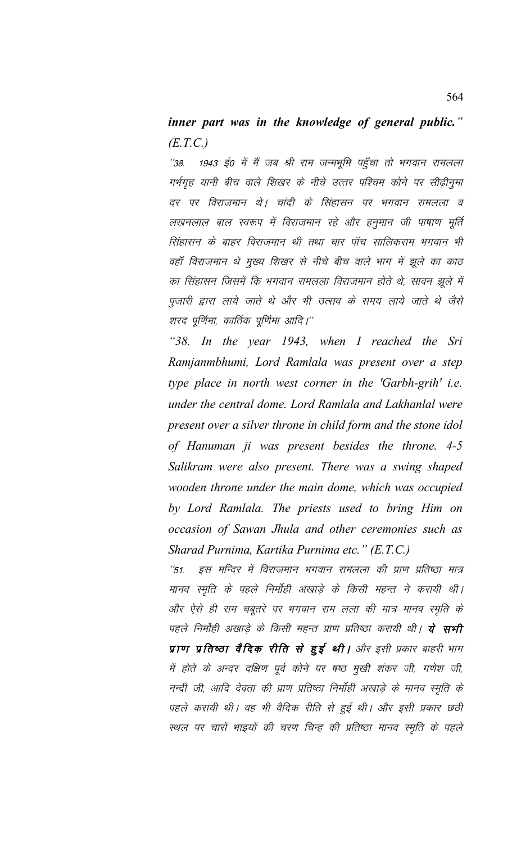## *inner part was in the knowledge of general public." (E.T.C.)*

"38. 1943 ई0 में मैं जब श्री राम जन्मभूमि पहुँचा तो भगवान रामलला गर्भगृह यानी बीच वाले शिखर के नीचे उत्तर पश्चिम कोने पर सीढ़ीनुमा दर पर विराजमान थे। चांदी के सिंहासन पर भगवान रामलला व लखनलाल बाल स्वरूप में विराजमान रहे और हनुमान जी पाषाण मूर्ति सिंहासन के बाहर विराजमान थी तथा चार पॉच सालिकराम भगवान भी वहॉ विराजमान थे मुख्य शिखर से नीचे बीच वाले भाग में झुले का काठ का सिंहासन जिसमें कि भगवान रामलला विराजमान होते थे, सावन झूले में पूजारी द्वारा लाये जाते थे और भी उत्सव के समय लाये जाते थे जैसे शरद पूर्णिमा, कार्तिक पूर्णिमा आदि।''

*"38. In the year 1943, when I reached the Sri Ramjanmbhumi, Lord Ramlala was present over a step type place in north west corner in the 'Garbh-grih' i.e. under the central dome. Lord Ramlala and Lakhanlal were present over a silver throne in child form and the stone idol of Hanuman ji was present besides the throne. 4-5 Salikram were also present. There was a swing shaped wooden throne under the main dome, which was occupied by Lord Ramlala. The priests used to bring Him on occasion of Sawan Jhula and other ceremonies such as Sharad Purnima, Kartika Purnima etc." (E.T.C.)*

''51. इस मन्दिर में विराजमान भगवान रामलला की प्राण प्रतिष्ठा मात्र मानव स्मृति के पहले निर्मोही अखाड़े के किसी महन्त ने करायी थी। और ऐसे ही राम चबूतरे पर भगवान राम लला की मात्र मानव स्मृति के पहले निर्मोही अखाडे के किसी महन्त प्राण प्रतिष्ठा करायी थी। **ये सभी** प्राण प्रतिष्ठा वैदिक रीति से हुई थी। और इसी प्रकार बाहरी भाग में होते के अन्दर दक्षिण पूर्व कोने पर षष्ठ मुखी शंकर जी, गणेश जी, नन्दी जी, आदि देवता की प्राण प्रतिष्ठा निर्मोही अखाड़े के मानव स्मृति के पहले करायी थी। वह भी वैदिक रीति से हुई थी। और इसी प्रकार छठी स्थल पर चारों भाइयों की चरण चिन्ह की प्रतिष्ठा मानव स्मृति के पहले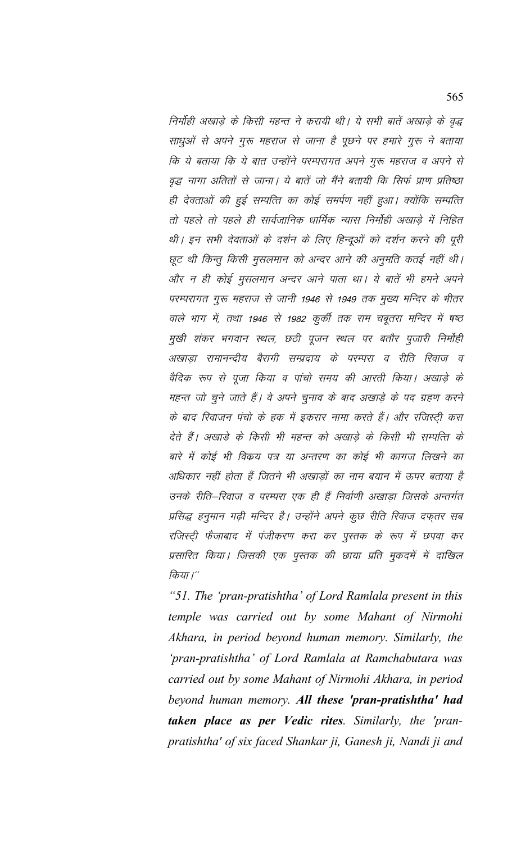निर्मोही अखाड़े के किसी महन्त ने करायी थी। ये सभी बातें अखाड़े के वृद्ध साधुओं से अपने गुरू महराज से जाना है पूछने पर हमारे गुरू ने बताया कि ये बताया कि ये बात उन्होंने परम्परागत अपने गुरू महराज व अपने से वृद्ध नागा अतितों से जाना। ये बातें जो मैंने बतायी कि सिर्फ प्राण प्रतिष्ठा ही देवताओं की हुई सम्पत्ति का कोई समर्पण नहीं हुआ। क्योंकि सम्पत्ति तो पहले तो पहले ही सार्वजानिक धार्मिक न्यास निर्मोही अखाडे में निहित थी। इन सभी देवताओं के दर्शन के लिए हिन्दुओं को दर्शन करने की पुरी छूट थी किन्तु किसी मुसलमान को अन्दर आने की अनुमति कतई नहीं थी। ओर न ही कोई मुसलमान अन्दर आने पाता था। ये बातें भी हमने अपने परम्परागत गुरू महराज से जानी 1946 से 1949 तक मुख्य मन्दिर के भीतर वाले भाग में, तथा 1946 से 1982 कुर्की तक राम चबूतरा मन्दिर में षष्ठ मुखी शंकर भगवान स्थल, छठी पूजन स्थल पर बतौर पुजारी निर्मोही अखाडा रामानन्दीय बैरागी सम्प्रदाय के परम्परा व रीति रिवाज व वैदिक रूप से पूजा किया व पांचो समय की आरती किया। अखाड़े के महन्त जो चुने जाते हैं। वे अपने चुनाव के बाद अखाड़े के पद ग्रहण करने के बाद रिवाजन पंचो के हक में इकरार नामा करते हैं। और रजिस्टी करा देते हैं। अखाड़े के किसी भी महन्त को अखाड़े के किसी भी सम्पत्ति के बारे में कोई भी विकय पत्र या अन्तरण का कोई भी कागज लिखने का अधिकार नहीं होता हैं जितने भी अखाडों का नाम बयान में ऊपर बताया है उनके रीति–रिवाज व परम्परा एक ही हैं निर्वाणी अखाडा जिसके अन्तर्गत प्रसिद्ध हनुमान गढ़ी मन्दिर है। उन्होंने अपने कुछ रीति रिवाज दफ्तर सब रजिस्ट्री फैजाबाद में पंजीकरण करा कर पुस्तक के रूप में छपवा कर प्रसारित किया। जिसकी एक पुस्तक की छाया प्रति मुकदमें में दाखिल किया।''

*"51. The 'pran-pratishtha' of Lord Ramlala present in this temple was carried out by some Mahant of Nirmohi Akhara, in period beyond human memory. Similarly, the 'pran-pratishtha' of Lord Ramlala at Ramchabutara was carried out by some Mahant of Nirmohi Akhara, in period beyond human memory. All these 'pran-pratishtha' had taken place as per Vedic rites. Similarly, the 'pranpratishtha' of six faced Shankar ji, Ganesh ji, Nandi ji and*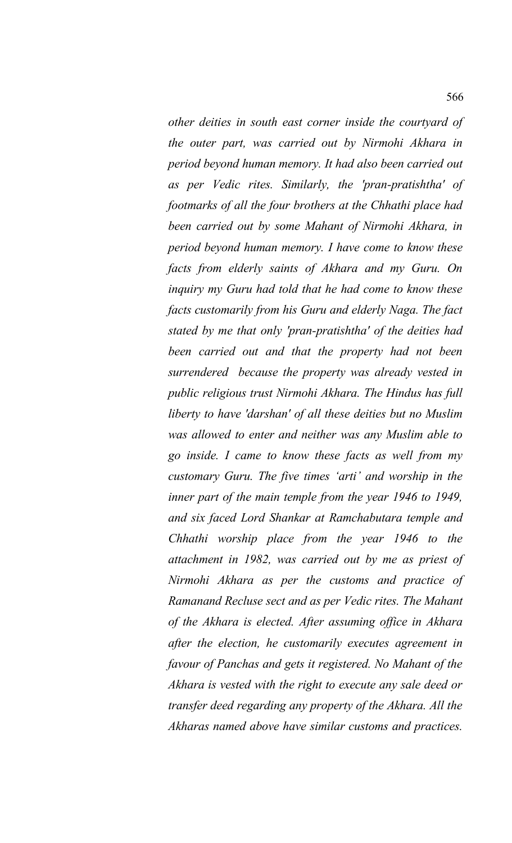*other deities in south east corner inside the courtyard of the outer part, was carried out by Nirmohi Akhara in period beyond human memory. It had also been carried out as per Vedic rites. Similarly, the 'pran-pratishtha' of footmarks of all the four brothers at the Chhathi place had been carried out by some Mahant of Nirmohi Akhara, in period beyond human memory. I have come to know these facts from elderly saints of Akhara and my Guru. On inquiry my Guru had told that he had come to know these facts customarily from his Guru and elderly Naga. The fact stated by me that only 'pran-pratishtha' of the deities had been carried out and that the property had not been surrendered because the property was already vested in public religious trust Nirmohi Akhara. The Hindus has full liberty to have 'darshan' of all these deities but no Muslim was allowed to enter and neither was any Muslim able to go inside. I came to know these facts as well from my customary Guru. The five times 'arti' and worship in the inner part of the main temple from the year 1946 to 1949, and six faced Lord Shankar at Ramchabutara temple and Chhathi worship place from the year 1946 to the attachment in 1982, was carried out by me as priest of Nirmohi Akhara as per the customs and practice of Ramanand Recluse sect and as per Vedic rites. The Mahant of the Akhara is elected. After assuming office in Akhara after the election, he customarily executes agreement in favour of Panchas and gets it registered. No Mahant of the Akhara is vested with the right to execute any sale deed or transfer deed regarding any property of the Akhara. All the Akharas named above have similar customs and practices.*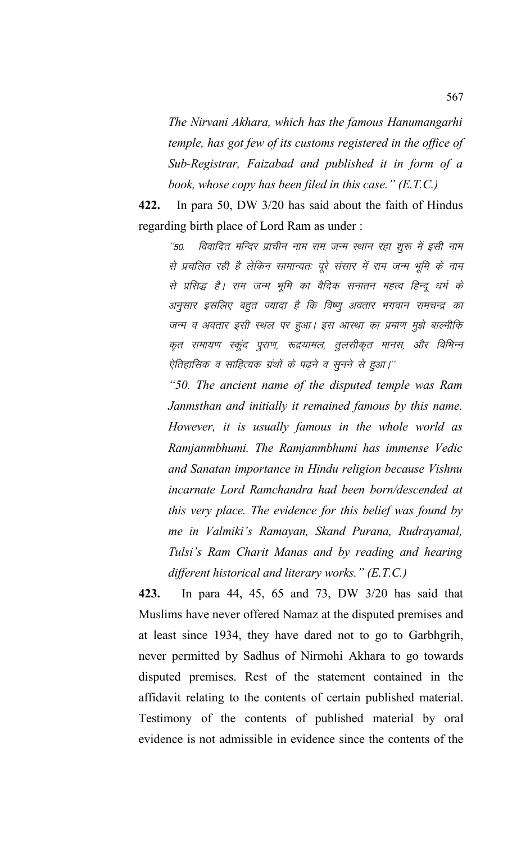*The Nirvani Akhara, which has the famous Hanumangarhi temple, has got few of its customs registered in the office of Sub-Registrar, Faizabad and published it in form of a book, whose copy has been filed in this case." (E.T.C.)*

**422.** In para 50, DW 3/20 has said about the faith of Hindus regarding birth place of Lord Ram as under :

"50. विवादित मन्दिर प्राचीन नाम राम जन्म स्थान रहा शुरू में इसी नाम से प्रचलित रही है लेकिन सामान्यतः पूरे संसार में राम जन्म भूमि के नाम से प्रसिद्ध है। राम जन्म भूमि का वैदिक सनातन महत्व हिन्दू धर्म के अनुसार इसलिए बहुत ज्यादा है कि विष्णु अवतार भगवान रामचन्द्र का जन्म व अवतार इसी स्थल पर हुआ। इस आस्था का प्रमाण मुझे बाल्मीकि कृत रामायण स्कूंद पुराण, रूद्रयामल, तूलसीकृत मानस, और विभिन्न ऐतिहासिक व साहित्यक ग्रंथों के पढ़ने व सुनने से हुआ।''

*"50. The ancient name of the disputed temple was Ram Janmsthan and initially it remained famous by this name. However, it is usually famous in the whole world as Ramjanmbhumi. The Ramjanmbhumi has immense Vedic and Sanatan importance in Hindu religion because Vishnu incarnate Lord Ramchandra had been born/descended at this very place. The evidence for this belief was found by me in Valmiki's Ramayan, Skand Purana, Rudrayamal, Tulsi's Ram Charit Manas and by reading and hearing different historical and literary works." (E.T.C.)*

**423.** In para 44, 45, 65 and 73, DW 3/20 has said that Muslims have never offered Namaz at the disputed premises and at least since 1934, they have dared not to go to Garbhgrih, never permitted by Sadhus of Nirmohi Akhara to go towards disputed premises. Rest of the statement contained in the affidavit relating to the contents of certain published material. Testimony of the contents of published material by oral evidence is not admissible in evidence since the contents of the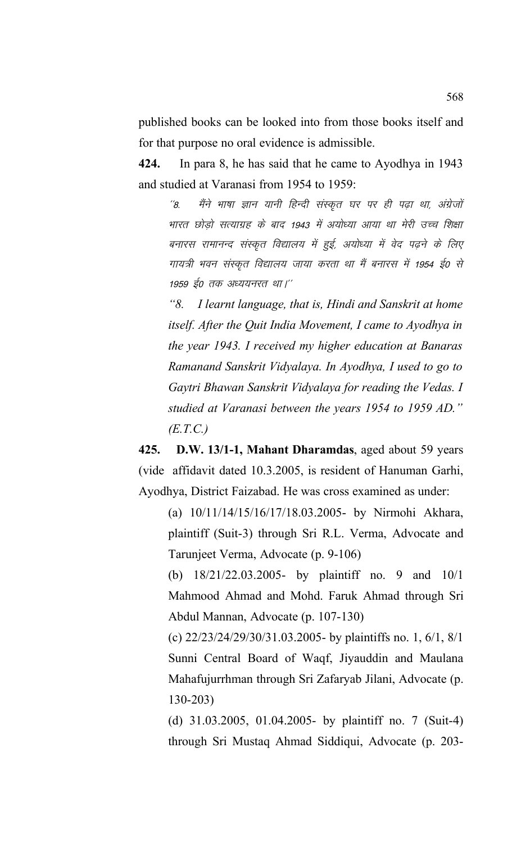published books can be looked into from those books itself and for that purpose no oral evidence is admissible.

**424.** In para 8, he has said that he came to Ayodhya in 1943 and studied at Varanasi from 1954 to 1959:

''8. मैंने भाषा ज्ञान यानी हिन्दी संस्कृत घर पर ही पढ़ा था, अंग्रेजों भारत छोड़ो सत्याग्रह के बाद 1943 में अयोध्या आया था मेरी उच्च शिक्षा बनारस रामानन्द संस्कृत विद्यालय में हुई, अयोध्या में वेद पढ़ने के लिए गायत्री भवन संस्कृत विद्यालय जाया करता था मैं बनारस में 1954 ई0 से 1959 ई0 तक अध्ययनरत था।''

*"8. I learnt language, that is, Hindi and Sanskrit at home itself. After the Quit India Movement, I came to Ayodhya in the year 1943. I received my higher education at Banaras Ramanand Sanskrit Vidyalaya. In Ayodhya, I used to go to Gaytri Bhawan Sanskrit Vidyalaya for reading the Vedas. I studied at Varanasi between the years 1954 to 1959 AD." (E.T.C.)*

**425.****D.W. 13/1-1, Mahant Dharamdas**, aged about 59 years (vide affidavit dated 10.3.2005, is resident of Hanuman Garhi, Ayodhya, District Faizabad. He was cross examined as under:

(a) 10/11/14/15/16/17/18.03.2005- by Nirmohi Akhara, plaintiff (Suit-3) through Sri R.L. Verma, Advocate and Tarunjeet Verma, Advocate (p. 9-106)

(b) 18/21/22.03.2005- by plaintiff no. 9 and 10/1 Mahmood Ahmad and Mohd. Faruk Ahmad through Sri Abdul Mannan, Advocate (p. 107-130)

(c) 22/23/24/29/30/31.03.2005- by plaintiffs no. 1, 6/1, 8/1 Sunni Central Board of Waqf, Jiyauddin and Maulana Mahafujurrhman through Sri Zafaryab Jilani, Advocate (p. 130-203)

(d) 31.03.2005, 01.04.2005- by plaintiff no. 7 (Suit-4) through Sri Mustaq Ahmad Siddiqui, Advocate (p. 203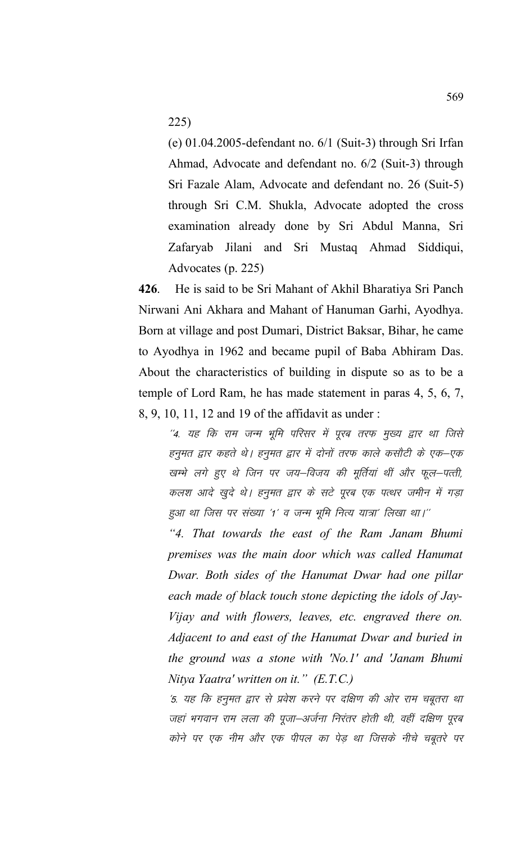225)

(e) 01.04.2005-defendant no. 6/1 (Suit-3) through Sri Irfan Ahmad, Advocate and defendant no. 6/2 (Suit-3) through Sri Fazale Alam, Advocate and defendant no. 26 (Suit-5) through Sri C.M. Shukla, Advocate adopted the cross examination already done by Sri Abdul Manna, Sri Zafaryab Jilani and Sri Mustaq Ahmad Siddiqui, Advocates (p. 225)

**426**. He is said to be Sri Mahant of Akhil Bharatiya Sri Panch Nirwani Ani Akhara and Mahant of Hanuman Garhi, Ayodhya. Born at village and post Dumari, District Baksar, Bihar, he came to Ayodhya in 1962 and became pupil of Baba Abhiram Das. About the characteristics of building in dispute so as to be a temple of Lord Ram, he has made statement in paras 4, 5, 6, 7, 8, 9, 10, 11, 12 and 19 of the affidavit as under :

 $^\prime$ 4. यह कि राम जन्म भूमि परिसर में पूरब तरफ मुख्य द्वार था जिसे हनुमत द्वार कहते थे। हनुमत द्वार में दोनों तरफ काले कसौटी के एक–एक खम्भे लगे हुए थे जिन पर जय–विजय की मूर्तियां थीं और फूल–पत्ती, कलश आदे खुदे थे। हनुमत द्वार के सटे पूरब एक पत्थर जमीन में गड़ा हुआ था जिस पर संख्या '1' व जन्म भूमि नित्य यात्रा' लिखा था।''

*"4. That towards the east of the Ram Janam Bhumi premises was the main door which was called Hanumat Dwar. Both sides of the Hanumat Dwar had one pillar each made of black touch stone depicting the idols of Jay-Vijay and with flowers, leaves, etc. engraved there on. Adjacent to and east of the Hanumat Dwar and buried in the ground was a stone with 'No.1' and 'Janam Bhumi Nitya Yaatra' written on it." (E.T.C.)*

'5. यह कि हनुमत द्वार से प्रवेश करने पर दक्षिण की ओर राम चबूतरा था जहां भगवान राम लला की पूजा–अर्जना निरंतर होती थी, वहीं दक्षिण पूरब कोने पर एक नीम और एक पीपल का पेड़ था जिसके नीचे चबूतरे पर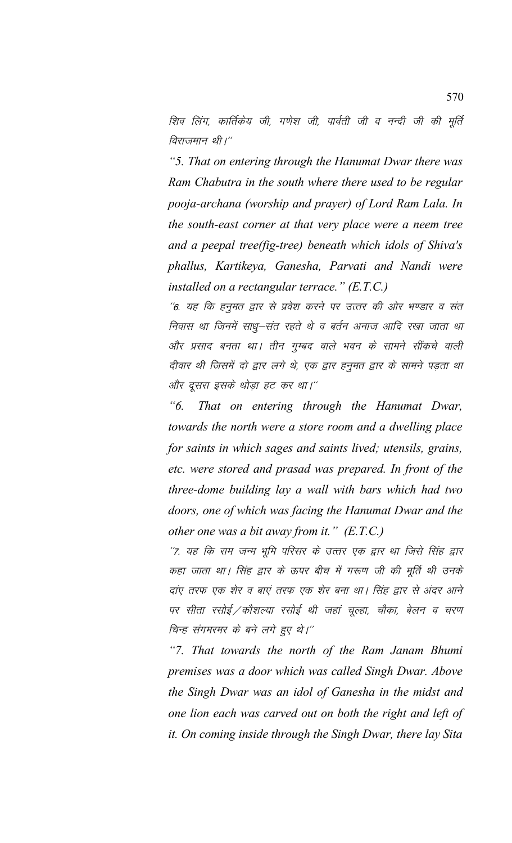शिव लिंग, कार्तिकेय जी, गणेश जी, पार्वती जी व नन्दी जी की मूर्ति विराजमान थी।''

*"5. That on entering through the Hanumat Dwar there was Ram Chabutra in the south where there used to be regular pooja-archana (worship and prayer) of Lord Ram Lala. In the south-east corner at that very place were a neem tree and a peepal tree(fig-tree) beneath which idols of Shiva's phallus, Kartikeya, Ganesha, Parvati and Nandi were installed on a rectangular terrace." (E.T.C.)*

''6. यह कि हनुमत द्वार से प्रवेश करने पर उत्तर की ओर भण्डार व संत निवास था जिनमें साधू–संत रहते थे व बर्तन अनाज आदि रखा जाता था ओर प्रसाद बनता था। तीन गुम्बद वाले भवन के सामने सींकचे वाली दीवार थी जिसमें दो द्वार लगे थे, एक द्वार हनूमत द्वार के सामने पड़ता था और दूसरा इसके थोड़ा हट कर था।''

*"6. That on entering through the Hanumat Dwar, towards the north were a store room and a dwelling place for saints in which sages and saints lived; utensils, grains, etc. were stored and prasad was prepared. In front of the three-dome building lay a wall with bars which had two doors, one of which was facing the Hanumat Dwar and the other one was a bit away from it." (E.T.C.)*

''7. यह कि राम जन्म भूमि परिसर के उत्तर एक द्वार था जिसे सिंह द्वार कहा जाता था। सिंह द्वार के ऊपर बीच में गरूण जी की मूर्ति थी उनके दाए तरफ एक शेर व बाएं तरफ एक शेर बना था। सिंह द्वार से अंदर आने पर सीता रसोई ⁄ कौशल्या रसोई थी जहां चूल्हा, चौका, बेलन व चरण चिन्ह संगमरमर के बने लगे हुए थे।''

*"7. That towards the north of the Ram Janam Bhumi premises was a door which was called Singh Dwar. Above the Singh Dwar was an idol of Ganesha in the midst and one lion each was carved out on both the right and left of it. On coming inside through the Singh Dwar, there lay Sita*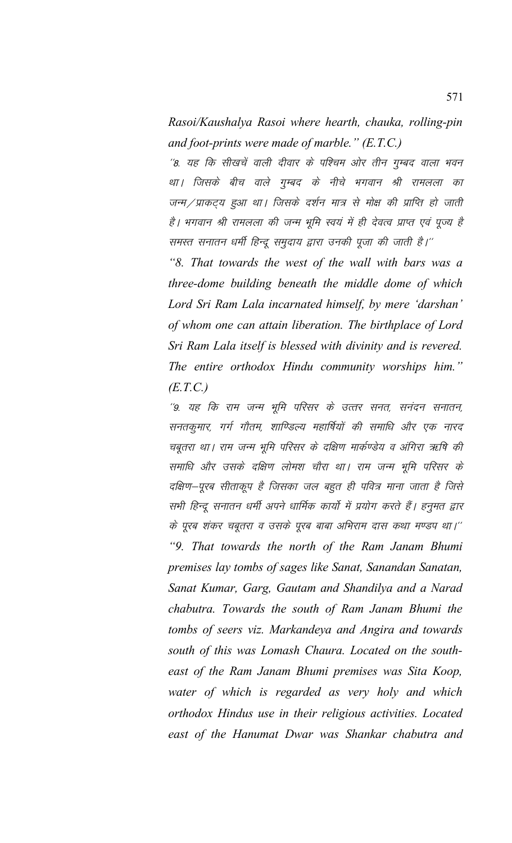*Rasoi/Kaushalya Rasoi where hearth, chauka, rolling-pin and foot-prints were made of marble." (E.T.C.)*

''8. यह कि सीखचें वाली दीवार के पश्चिम ओर तीन गुम्बद वाला भवन था। जिसके बीच वाले गुम्बद के नीचे भगवान श्री रामलला का जन्म / प्राकट्य हुआ था। जिसके दर्शन मात्र से मोक्ष की प्राप्ति हो जाती है। भगवान श्री रामलला की जन्म भूमि स्वयं में ही देवत्व प्राप्त एवं पूज्य है समस्त सनातन धर्मी हिन्दू समुदाय द्वारा उनकी पूजा की जाती है।''

*"8. That towards the west of the wall with bars was a three-dome building beneath the middle dome of which Lord Sri Ram Lala incarnated himself, by mere 'darshan' of whom one can attain liberation. The birthplace of Lord Sri Ram Lala itself is blessed with divinity and is revered. The entire orthodox Hindu community worships him." (E.T.C.)*

''9. यह कि राम जन्म भूमि परिसर के उत्तर सनत, सनंदन सनातन, सनतकुमार, गर्ग गौतम, शाण्डिल्य महार्षियों की समाधि और एक नारद चबूतरा था। राम जन्म भूमि परिसर के दक्षिण मार्कण्डेय व अंगिरा ऋषि की समाधि और उसके दक्षिण लोमश चौरा था। राम जन्म भूमि परिसर के दक्षिण–पूरब सीताकूप है जिसका जल बहुत ही पवित्र माना जाता है जिसे सभी हिन्दू सनातन धर्मी अपने धार्मिक कार्यो में प्रयोग करते हैं। हनुमत द्वार के पूरब शंकर चबूतरा व उसके पूरब बाबा अभिराम दास कथा मण्डप था।'' *"9. That towards the north of the Ram Janam Bhumi premises lay tombs of sages like Sanat, Sanandan Sanatan, Sanat Kumar, Garg, Gautam and Shandilya and a Narad chabutra. Towards the south of Ram Janam Bhumi the tombs of seers viz. Markandeya and Angira and towards south of this was Lomash Chaura. Located on the southeast of the Ram Janam Bhumi premises was Sita Koop, water of which is regarded as very holy and which orthodox Hindus use in their religious activities. Located east of the Hanumat Dwar was Shankar chabutra and*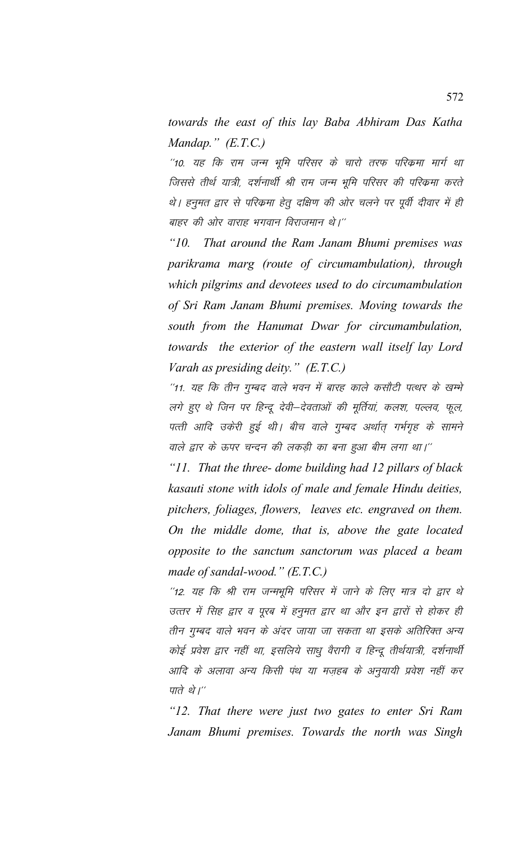*towards the east of this lay Baba Abhiram Das Katha Mandap." (E.T.C.)*

 $^{\prime\prime}$ 10. यह कि राम जन्म भूमि परिसर के चारो तरफ परिकमा मार्ग था जिससे तीर्थ यात्री, दर्शनार्थी श्री राम जन्म भूमि परिसर की परिक्रमा करते थे। हनुमत द्वार से परिक्रमा हेतू दक्षिण की ओर चलने पर पूर्वी दीवार में ही बाहर की ओर वाराह भगवान विराजमान थे।''

*"10. That around the Ram Janam Bhumi premises was parikrama marg (route of circumambulation), through which pilgrims and devotees used to do circumambulation of Sri Ram Janam Bhumi premises. Moving towards the south from the Hanumat Dwar for circumambulation, towards the exterior of the eastern wall itself lay Lord Varah as presiding deity." (E.T.C.)*

"11. यह कि तीन गुम्बद वाले भवन में बारह काले कसौटी पत्थर के खम्भे लगे हुए थे जिन पर हिन्दू देवी–देवताओं की मूर्तियां, कलश, पल्लव, फूल, पत्ती आदि उकेरी हुई थी। बीच वाले गुम्बद अर्थात् गर्भगृह के सामने वाले द्वार के ऊपर चन्दन की लकड़ी का बना हुआ बीम लगा था।''

*"11. That the three- dome building had 12 pillars of black kasauti stone with idols of male and female Hindu deities, pitchers, foliages, flowers, leaves etc. engraved on them. On the middle dome, that is, above the gate located opposite to the sanctum sanctorum was placed a beam made of sandal-wood." (E.T.C.)*

 $^{\prime\prime}$ 12. यह कि श्री राम जन्मभूमि परिसर में जाने के लिए मात्र दो द्वार थे उत्तर में सिह द्वार व पूरब में हनुमत द्वार था और इन द्वारों से होकर ही तीन गुम्बद वाले भवन के अंदर जाया जा सकता था इसके अतिरिक्त अन्य कोई प्रवेश द्वार नहीं था, इसलिये साधु वैरागी व हिन्दू तीर्थयात्री, दर्शनार्थी आदि के अलावा अन्य किसी पंथ या मज़हब के अनुयायी प्रवेश नहीं कर पाते थे। $^{\prime\prime}$ 

*"12. That there were just two gates to enter Sri Ram Janam Bhumi premises. Towards the north was Singh*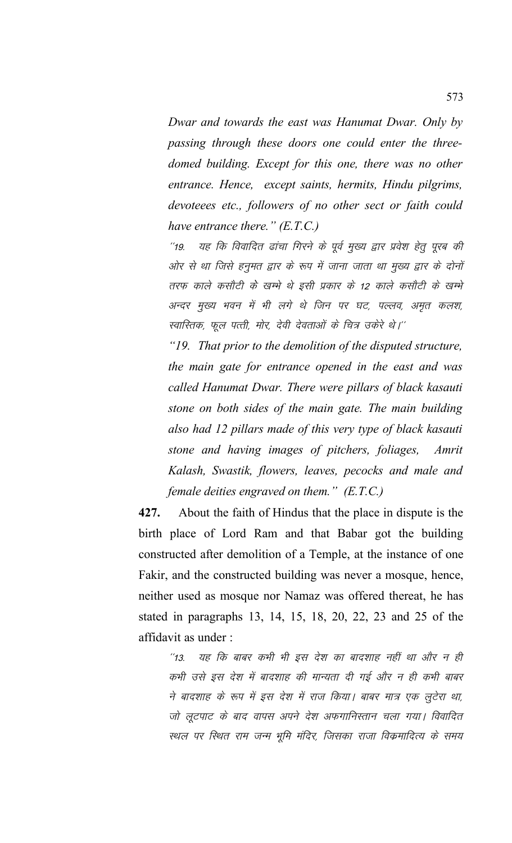*Dwar and towards the east was Hanumat Dwar. Only by passing through these doors one could enter the threedomed building. Except for this one, there was no other entrance. Hence, except saints, hermits, Hindu pilgrims, devoteees etc., followers of no other sect or faith could have entrance there." (E.T.C.)*

''19. यह कि विवादित ढांचा गिरने के पूर्व मुख्य द्वार प्रवेश हेतु पुरब की ओर से था जिसे हनुमत द्वार के रूप में जाना जाता था मुख्य द्वार के दोनों तरफ काले कसौटी के खम्भे थे इसी प्रकार के 12 काले कसौटी के खम्भे अन्दर मुख्य भवन में भी लगे थे जिन पर घट, पल्लव, अमृत कलश, स्वास्तिक, फूल पत्ती, मोर, देवी देवताओं के चित्र उकेरे थे।''

*"19. That prior to the demolition of the disputed structure, the main gate for entrance opened in the east and was called Hanumat Dwar. There were pillars of black kasauti stone on both sides of the main gate. The main building also had 12 pillars made of this very type of black kasauti stone and having images of pitchers, foliages, Amrit Kalash, Swastik, flowers, leaves, pecocks and male and female deities engraved on them." (E.T.C.)*

**427.** About the faith of Hindus that the place in dispute is the birth place of Lord Ram and that Babar got the building constructed after demolition of a Temple, at the instance of one Fakir, and the constructed building was never a mosque, hence, neither used as mosque nor Namaz was offered thereat, he has stated in paragraphs 13, 14, 15, 18, 20, 22, 23 and 25 of the affidavit as under :

''13. यह कि बाबर कभी भी इस देश का बादशाह नहीं था और न ही कभी उसे इस देश में बादशाह की मान्यता दी गई और न ही कभी बाबर ने बादशाह के रूप में इस देश में राज किया। बाबर मात्र एक लुटेरा था, जो लूटपाट के बाद वापस अपने देश अफगानिस्तान चला गया। विवादित स्थल पर स्थित राम जन्म भूमि मंदिर, जिसका राजा विक्रमादित्य के समय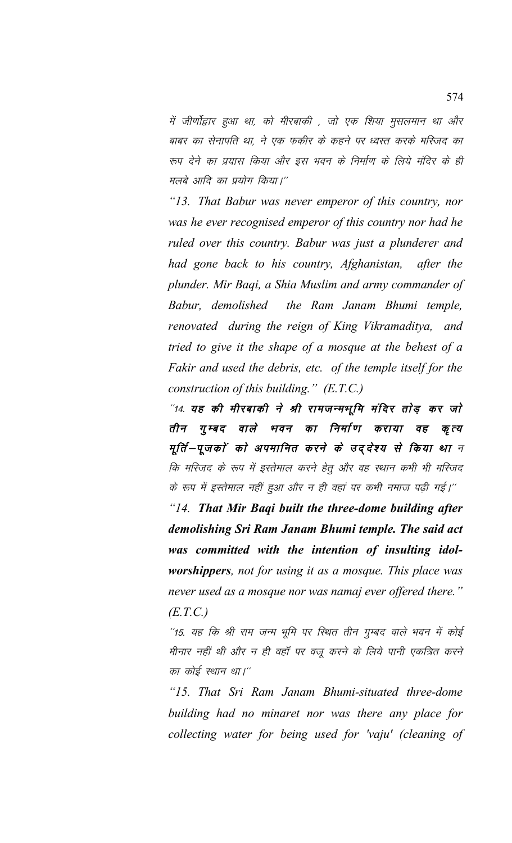में जीर्णोद्वार हुआ था, को मीरबाकी , जो एक शिया मुसलमान था और बाबर का सेनापति था, ने एक फकीर के कहने पर ध्वस्त करके मस्जिद का रूप देने का प्रयास किया और इस भवन के निर्माण के लिये मंदिर के ही मलबे आदि का प्रयोग किया।"

*"13. That Babur was never emperor of this country, nor was he ever recognised emperor of this country nor had he ruled over this country. Babur was just a plunderer and had gone back to his country, Afghanistan, after the plunder. Mir Baqi, a Shia Muslim and army commander of Babur, demolished the Ram Janam Bhumi temple, renovated during the reign of King Vikramaditya, and tried to give it the shape of a mosque at the behest of a Fakir and used the debris, etc. of the temple itself for the construction of this building." (E.T.C.)*

"14. यह की मीरबाकी ने श्री रामजन्मभूमि मंदिर तोड़ कर जो तीन गुम्बद वाले भवन का निर्माण कराया वह कृत्य मूर्ति—पूजकों को अपमानित करने के उद्देश्य से किया था न कि मस्जिद के रूप में इस्तेमाल करने हेतु और वह स्थान कभी भी मस्जिद के रूप में इस्तेमाल नहीं हुआ और न ही वहां पर कभी नमाज पढ़ी गई।''

*"14. That Mir Baqi built the three-dome building after demolishing Sri Ram Janam Bhumi temple. The said act was committed with the intention of insulting idolworshippers, not for using it as a mosque. This place was never used as a mosque nor was namaj ever offered there." (E.T.C.)*

"15. यह कि श्री राम जन्म भूमि पर रिथत तीन गुम्बद वाले भवन में कोई मीनार नहीं थी और न ही वहाँ पर वजू करने के लिये पानी एकत्रित करने का कोई स्थान था।''

*"15. That Sri Ram Janam Bhumi-situated three-dome building had no minaret nor was there any place for collecting water for being used for 'vaju' (cleaning of*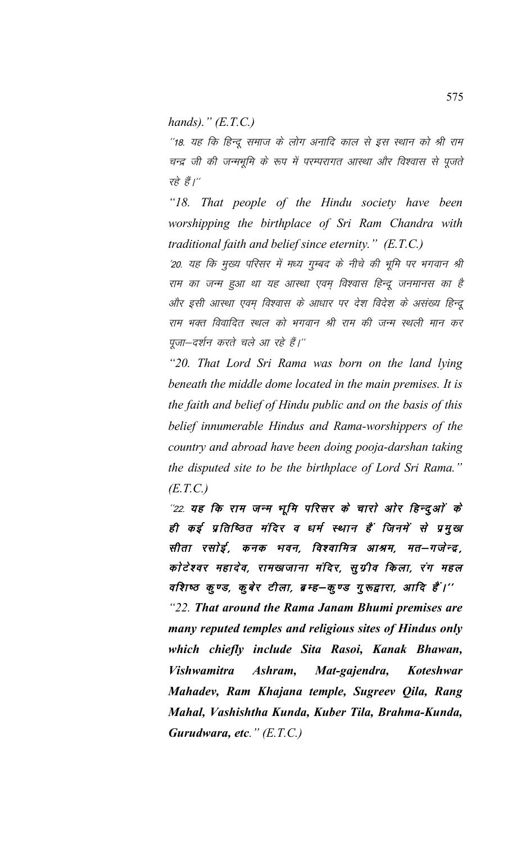*hands)." (E.T.C.)*

"18. यह कि हिन्दू समाज के लोग अनादि काल से इस स्थान को श्री राम चन्द्र जी की जन्मभूमि के रूप में परम्परागत आस्था और विश्वास से पूजते रहे हैं। $^{\prime\prime}$ 

*"18. That people of the Hindu society have been worshipping the birthplace of Sri Ram Chandra with traditional faith and belief since eternity." (E.T.C.)*

'20. यह कि मुख्य परिसर में मध्य गुम्बद के नीचे की भूमि पर भगवान श्री राम का जन्म हुआ था यह आस्था एवम् विश्वास हिन्दू जनमानस का है ओर इसी आस्था एवम विश्वास के आधार पर देश विदेश के असंख्य हिन्दू राम भक्त विवादित स्थल को भगवान श्री राम की जन्म स्थली मान कर पूजा-दर्शन करते चले आ रहे हैं।"

*"20. That Lord Sri Rama was born on the land lying beneath the middle dome located in the main premises. It is the faith and belief of Hindu public and on the basis of this belief innumerable Hindus and Rama-worshippers of the country and abroad have been doing pooja-darshan taking the disputed site to be the birthplace of Lord Sri Rama." (E.T.C.)*

"22. यह कि राम जन्म भूमि परिसर के चारो ओर हिन्दुओं के ही कई प्रतिष्ठित मंदिर व धर्म स्थान हैं जिनमें से प्रमुख सीता रसोई, कनक भवन, विश्वामित्र आश्रम, मत–गजेन्द्र, कोटेश्वर महादेव, रामखजाना मंदिर, सूग्रीव किला, रंग महल वशिष्ठ कृण्ड, कुबेर टीला, ब्रम्ह–कृण्ड गुरूद्वारा, आदि हैं।''

*"22. That around the Rama Janam Bhumi premises are many reputed temples and religious sites of Hindus only which chiefly include Sita Rasoi, Kanak Bhawan, Vishwamitra Ashram, Mat-gajendra, Koteshwar Mahadev, Ram Khajana temple, Sugreev Qila, Rang Mahal, Vashishtha Kunda, Kuber Tila, Brahma-Kunda, Gurudwara, etc." (E.T.C.)*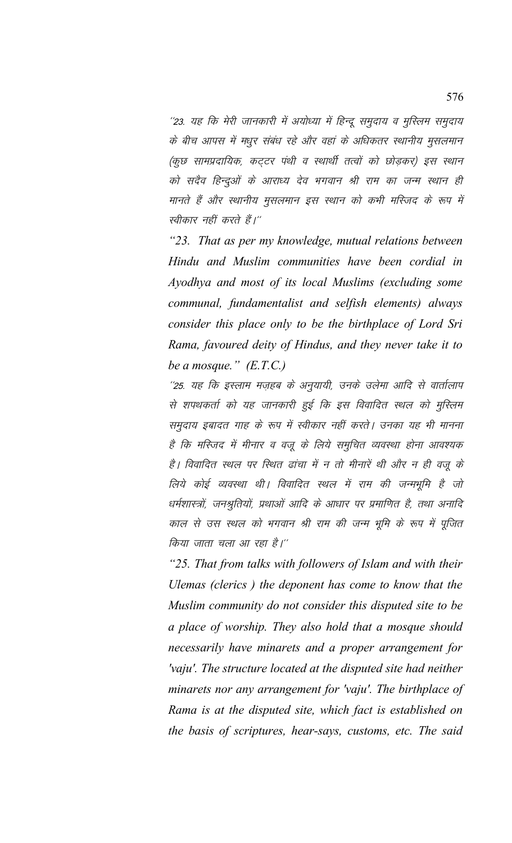''23. यह कि मेरी जानकारी में अयोध्या में हिन्दू समुदाय व मुस्लिम समुदाय के बीच आपस में मधुर संबंध रहे और वहां के अधिकतर स्थानीय मुसलमान (कुछ सामप्रदायिक, कट्टर पंथी व स्थार्थी तत्वों को छोड़कर) इस स्थान को सदैव हिन्दुओं के आराध्य देव भगवान श्री राम का जन्म स्थान ही मानते हैं और स्थानीय मुसलमान इस स्थान को कभी मस्जिद के रूप में स्वीकार नहीं करते हैं।''

*"23. That as per my knowledge, mutual relations between Hindu and Muslim communities have been cordial in Ayodhya and most of its local Muslims (excluding some communal, fundamentalist and selfish elements) always consider this place only to be the birthplace of Lord Sri Rama, favoured deity of Hindus, and they never take it to be a mosque." (E.T.C.)*

''25. यह कि इस्लाम मज़हब के अनुयायी, उनके उलेमा आदि से वार्तालाप से शपथकर्ता को यह जानकारी हुई कि इस विवादित स्थल को मुस्लिम समुदाय इबादत गाह के रूप में स्वीकार नहीं करते। उनका यह भी मानना है कि मस्जिद में मीनार व वजू के लिये समुचित व्यवस्था होना आवश्यक है। विवादित स्थल पर स्थित ढांचा में न तो मीनारें थी और न ही वजू के लिये कोई व्यवस्था थी। विवादित स्थल में राम की जन्मभूमि है जो धर्मशास्त्रों, जनश्रुतियों, प्रथाओं आदि के आधार पर प्रमाणित है, तथा अनादि काल से उस स्थल को भगवान श्री राम की जन्म भूमि के रूप में पूजित किया जाता चला आ रहा है।''

*"25. That from talks with followers of Islam and with their Ulemas (clerics ) the deponent has come to know that the Muslim community do not consider this disputed site to be a place of worship. They also hold that a mosque should necessarily have minarets and a proper arrangement for 'vaju'. The structure located at the disputed site had neither minarets nor any arrangement for 'vaju'. The birthplace of Rama is at the disputed site, which fact is established on the basis of scriptures, hear-says, customs, etc. The said*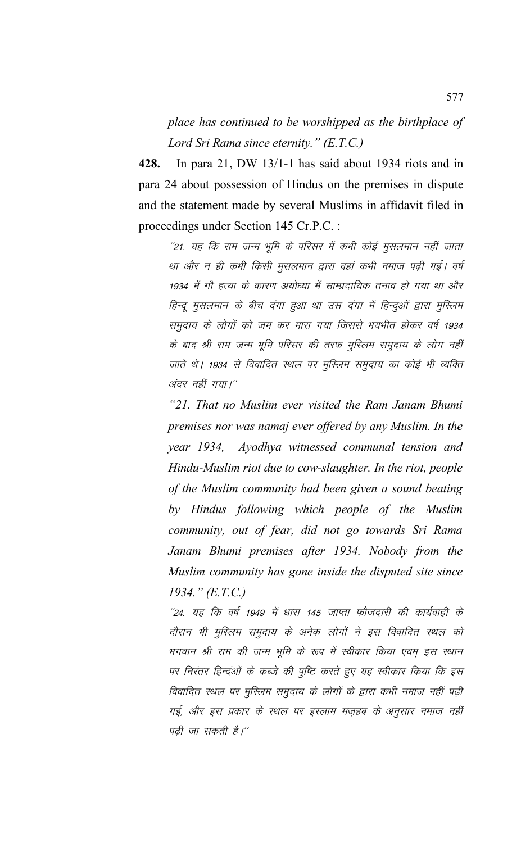*place has continued to be worshipped as the birthplace of Lord Sri Rama since eternity." (E.T.C.)*

**428.** In para 21, DW 13/1-1 has said about 1934 riots and in para 24 about possession of Hindus on the premises in dispute and the statement made by several Muslims in affidavit filed in proceedings under Section 145 Cr.P.C. :

''21. यह कि राम जन्म भूमि के परिसर में कभी कोई मुसलमान नहीं जाता था और न ही कभी किसी मुसलमान द्वारा वहां कभी नमाज पढ़ी गई। वर्ष 1934 में गौ हत्या के कारण अयोध्या में साम्प्रदायिक तनाव हो गया था और हिन्दू मुसलमान के बीच दंगा हुआ था उस दंगा में हिन्दुओं द्वारा मुस्लिम समुदाय के लोगों को जम कर मारा गया जिससे भयभीत होकर वर्ष 1934 के बाद श्री राम जन्म भूमि परिसर की तरफ मुस्लिम समुदाय के लोग नहीं जाते थे। 1934 से विवादित स्थल पर मुस्लिम समुदाय का कोई भी व्यक्ति अंदर नहीं गया।"

*"21. That no Muslim ever visited the Ram Janam Bhumi premises nor was namaj ever offered by any Muslim. In the year 1934, Ayodhya witnessed communal tension and Hindu-Muslim riot due to cow-slaughter. In the riot, people of the Muslim community had been given a sound beating by Hindus following which people of the Muslim community, out of fear, did not go towards Sri Rama Janam Bhumi premises after 1934. Nobody from the Muslim community has gone inside the disputed site since 1934." (E.T.C.)*

 $^{\prime\prime}$ 24. यह कि वर्ष 1949 में धारा 145 जाप्ता फौजदारी की कार्यवाही के दौरान भी मुस्लिम समुदाय के अनेक लोगों ने इस विवादित स्थल को भगवान श्री राम की जन्म भूमि के रूप में स्वीकार किया एवम् इस स्थान पर निरंतर हिन्दओं के कब्जे की पृष्टि करते हुए यह स्वीकार किया कि इस विवादित स्थल पर मुस्लिम समुदाय के लोगों के द्वारा कभी नमाज नहीं पढ़ी गई, और इस प्रकार के स्थल पर इस्लाम मज़हब के अनुसार नमाज नहीं पढी जा सकती है।''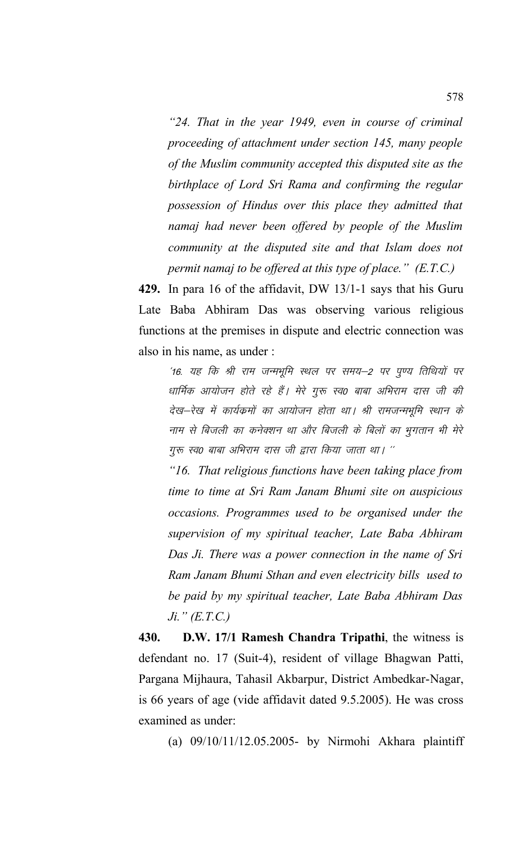*"24. That in the year 1949, even in course of criminal proceeding of attachment under section 145, many people of the Muslim community accepted this disputed site as the birthplace of Lord Sri Rama and confirming the regular possession of Hindus over this place they admitted that namaj had never been offered by people of the Muslim community at the disputed site and that Islam does not permit namaj to be offered at this type of place." (E.T.C.)*

**429.** In para 16 of the affidavit, DW 13/1-1 says that his Guru Late Baba Abhiram Das was observing various religious functions at the premises in dispute and electric connection was also in his name, as under :

'16. यह कि श्री राम जन्मभूमि स्थल पर समय–2 पर पुण्य तिथियों पर धार्मिक आयोजन होते रहे हैं। मेरे गुरू स्व0 बाबा अभिराम दास जी की देख–रेख में कार्यक्रमों का आयोजन होता था। श्री रामजन्मभूमि स्थान के नाम से बिजली का कनेक्शन था और बिजली के बिलों का भुगतान भी मेरे गुरू स्व0 बाबा अभिराम दास जी द्वारा किया जाता था। ''

*"16. That religious functions have been taking place from time to time at Sri Ram Janam Bhumi site on auspicious occasions. Programmes used to be organised under the supervision of my spiritual teacher, Late Baba Abhiram Das Ji. There was a power connection in the name of Sri Ram Janam Bhumi Sthan and even electricity bills used to be paid by my spiritual teacher, Late Baba Abhiram Das Ji." (E.T.C.)*

**430. D.W. 17/1 Ramesh Chandra Tripathi**, the witness is defendant no. 17 (Suit-4), resident of village Bhagwan Patti, Pargana Mijhaura, Tahasil Akbarpur, District Ambedkar-Nagar, is 66 years of age (vide affidavit dated 9.5.2005). He was cross examined as under:

(a) 09/10/11/12.05.2005- by Nirmohi Akhara plaintiff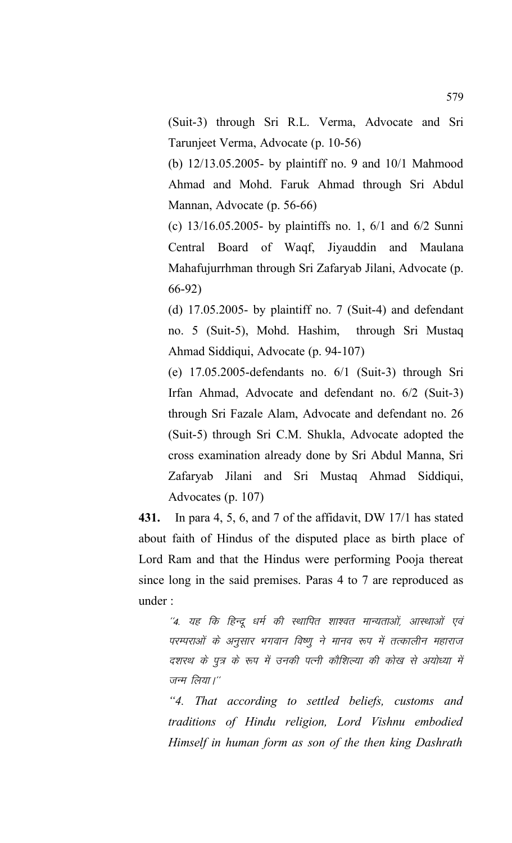(Suit-3) through Sri R.L. Verma, Advocate and Sri Tarunjeet Verma, Advocate (p. 10-56)

(b) 12/13.05.2005- by plaintiff no. 9 and 10/1 Mahmood Ahmad and Mohd. Faruk Ahmad through Sri Abdul Mannan, Advocate (p. 56-66)

(c) 13/16.05.2005- by plaintiffs no. 1, 6/1 and 6/2 Sunni Central Board of Waqf, Jiyauddin and Maulana Mahafujurrhman through Sri Zafaryab Jilani, Advocate (p. 66-92)

(d)  $17.05.2005$ - by plaintiff no. 7 (Suit-4) and defendant no. 5 (Suit-5), Mohd. Hashim, through Sri Mustaq Ahmad Siddiqui, Advocate (p. 94-107)

(e) 17.05.2005-defendants no. 6/1 (Suit-3) through Sri Irfan Ahmad, Advocate and defendant no. 6/2 (Suit-3) through Sri Fazale Alam, Advocate and defendant no. 26 (Suit-5) through Sri C.M. Shukla, Advocate adopted the cross examination already done by Sri Abdul Manna, Sri Zafaryab Jilani and Sri Mustaq Ahmad Siddiqui, Advocates (p. 107)

**431.** In para 4, 5, 6, and 7 of the affidavit, DW 17/1 has stated about faith of Hindus of the disputed place as birth place of Lord Ram and that the Hindus were performing Pooja thereat since long in the said premises. Paras 4 to 7 are reproduced as under :

''4. यह कि हिन्दू धर्म की स्थापित शाश्वत मान्यताओं, आस्थाओं एवं परम्पराओं के अनुसार भगवान विष्णू ने मानव रूप में तत्कालीन महाराज दशरथ के पुत्र के रूप में उनकी पत्नी कौशिल्या की कोख से अयोध्या में जन्म लिया।"

*"4. That according to settled beliefs, customs and traditions of Hindu religion, Lord Vishnu embodied Himself in human form as son of the then king Dashrath*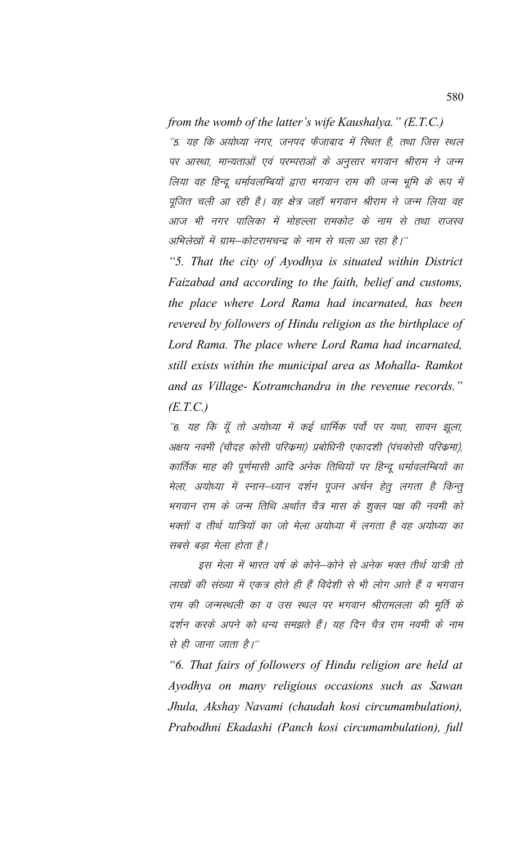## *from the womb of the latter's wife Kaushalya." (E.T.C.)*

''5. यह कि अयोध्या नगर, जनपद फैजाबाद में स्थित है, तथा जिस स्थल पर आस्था, मान्यताओं एवं परम्पराओं के अनुसार भगवान श्रीराम ने जन्म लिया वह हिन्दू धर्मावलम्बियों द्वारा भगवान राम की जन्म भूमि के रूप में पूजित चली आ रही है। वह क्षेत्र जहाँ भगवान श्रीराम ने जन्म लिया वह आज भी नगर पालिका में मोहल्ला रामकोट के नाम से तथा राजस्व अभिलेखों में ग्राम-कोटरामचन्द्र के नाम से चला आ रहा है।''

*"5. That the city of Ayodhya is situated within District Faizabad and according to the faith, belief and customs, the place where Lord Rama had incarnated, has been revered by followers of Hindu religion as the birthplace of Lord Rama. The place where Lord Rama had incarnated, still exists within the municipal area as Mohalla- Ramkot and as Village- Kotramchandra in the revenue records." (E.T.C.)*

''6. यह कि यूँ तो अयोध्या में कई धार्मिक पर्वो पर यथा, सावन झूला, अक्षय नवमी (चौदह कोसी परिक्रमा) प्रबोधिनी एकादशी (पंचकोसी परिक्रमा), कार्तिक माह की पूर्णमासी आदि अनेक तिथियों पर हिन्दू धर्मावलम्बियों का मेला, अयोध्या में स्नान–ध्यान दर्शन पूजन अर्चन हेतु लगता है किन्तु भगवान राम के जन्म तिथि अर्थात चैत्र मास के शुक्ल पक्ष की नवमी को भक्तों व तीर्थ यात्रियों का जो मेला अयोध्या में लगता है वह अयोध्या का सबसे बड़ा मेला होता है।

इस मेला में भारत वर्ष के कोने–कोने से अनेक भक्त तीर्थ यात्री तो लाखों की संख्या में एकत्र होते ही हैं विदेशी से भी लोग आते हैं व भगवान राम की जन्मस्थली का व उस स्थल पर भगवान श्रीरामलला की मूर्ति के दर्शन करके अपने को धन्य समझते हैं। यह दिन चैत्र राम नवमी के नाम से ही जाना जाता है।''

*"6. That fairs of followers of Hindu religion are held at Ayodhya on many religious occasions such as Sawan Jhula, Akshay Navami (chaudah kosi circumambulation), Prabodhni Ekadashi (Panch kosi circumambulation), full*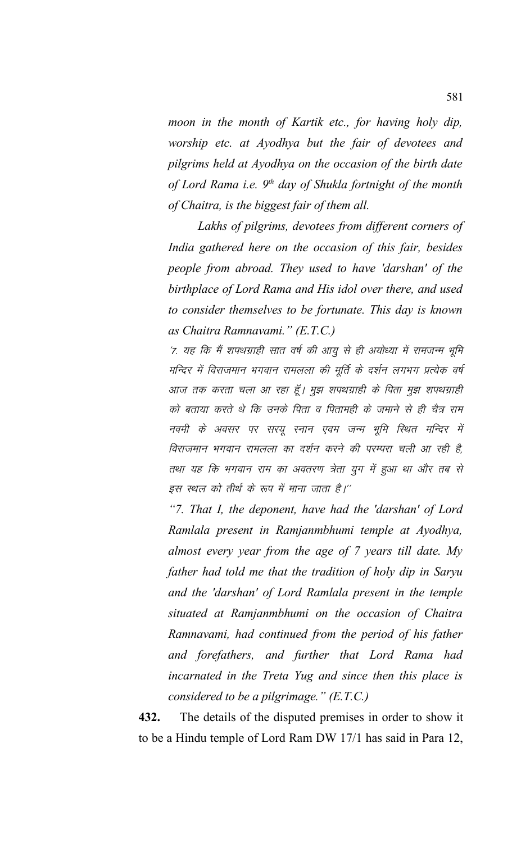*moon in the month of Kartik etc., for having holy dip, worship etc. at Ayodhya but the fair of devotees and pilgrims held at Ayodhya on the occasion of the birth date of Lord Rama i.e. 9th day of Shukla fortnight of the month of Chaitra, is the biggest fair of them all.* 

*Lakhs of pilgrims, devotees from different corners of India gathered here on the occasion of this fair, besides people from abroad. They used to have 'darshan' of the birthplace of Lord Rama and His idol over there, and used to consider themselves to be fortunate. This day is known as Chaitra Ramnavami." (E.T.C.)*

'7. यह कि मैं शपथग्राही सात वर्ष की आयु से ही अयोध्या में रामजन्म भूमि मन्दिर में विराजमान भगवान रामलला की मूर्ति के दर्शन लगभग प्रत्येक वर्ष आज तक करता चला आ रहा हूँ। मुझ शपथग्राही के पिता मुझ शपथग्राही को बताया करते थे कि उनके पिता व पितामही के जमाने से ही चैत्र राम नवमी के अवसर पर सरयू स्नान एवम जन्म भूमि स्थित मन्दिर में विराजमान भगवान रामलला का दर्शन करने की परम्परा चली आ रही है, तथा यह कि भगवान राम का अवतरण त्रेता युग में हुआ था और तब से इस स्थल को तीर्थ के रूप में माना जाता है।''

*"7. That I, the deponent, have had the 'darshan' of Lord Ramlala present in Ramjanmbhumi temple at Ayodhya, almost every year from the age of 7 years till date. My father had told me that the tradition of holy dip in Saryu and the 'darshan' of Lord Ramlala present in the temple situated at Ramjanmbhumi on the occasion of Chaitra Ramnavami, had continued from the period of his father and forefathers, and further that Lord Rama had incarnated in the Treta Yug and since then this place is considered to be a pilgrimage." (E.T.C.)*

**432.** The details of the disputed premises in order to show it to be a Hindu temple of Lord Ram DW 17/1 has said in Para 12,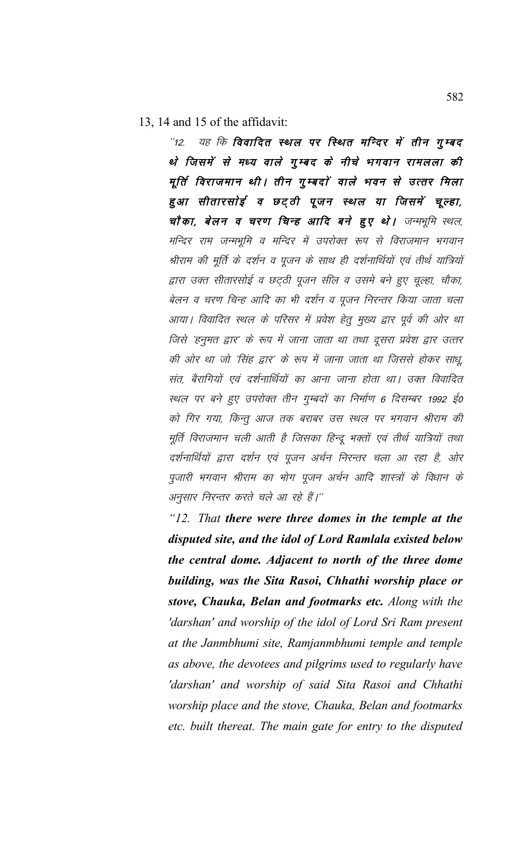13, 14 and 15 of the affidavit:

 $\degree$ 12. यह कि विवादित स्थल पर स्थित मन्दिर में तीन गुम्बद थे जिसमें से मध्य वाले गुम्बद के नीचे भगवान रामलला की मूर्ति विराजमान थी। तीन गुम्बदों वाले भवन से उत्तर मिला हुआ सीतारसोई व छट्ठी पूजन स्थल या जिसमें चूल्हा, चौका, बेलन व चरण चिन्ह आदि बने हुए थे। जन्मभूमि स्थल, मन्दिर राम जन्मभूमि व मन्दिर में उपरोक्त रूप से विराजमान भगवान श्रीराम की मूर्ति के दर्शन व पूजन के साथ ही दर्शनार्थियों एवं तीर्थ यात्रियों द्वारा उक्त सीतारसोई व छट्ठी पूजन सील व उसमे बने हुए चूल्हा, चौका, बेलन व चरण चिन्ह आदि का भी दर्शन व पूजन निरन्तर किया जाता चला आया। विवादित स्थल के परिसर में प्रवेश हेतू मुख्य द्वार पूर्व की ओर था जिसे 'हनुमत द्वार' के रूप में जाना जाता था तथा दूसरा प्रवेश द्वार उत्तर की ओर था जो 'सिंह द्वार' के रूप में जाना जाता था जिससे होकर साधू संत, बैरागियों एवं दर्शनार्थियों का आना जाना होता था। उक्त विवादित स्थल पर बने हुए उपरोक्त तीन गुम्बदों का निर्माण 6 दिसम्बर 1992 ई0 को गिर गया, किन्तू आज तक बराबर उस स्थल पर भगवान श्रीराम की मूर्ति विराजमान चली आती है जिसका हिन्दू भक्तों एवं तीर्थ यात्रियों तथा दर्शनार्थियों द्वारा दर्शन एवं पूजन अर्चन निरन्तर चला आ रहा है, ओर पुजारी भगवान श्रीराम का भोग पूजन अर्चन आदि शास्त्रों के विधान के अनुसार निरन्तर करते चले आ रहे हैं।''

*"12. That there were three domes in the temple at the disputed site, and the idol of Lord Ramlala existed below the central dome. Adjacent to north of the three dome building, was the Sita Rasoi, Chhathi worship place or stove, Chauka, Belan and footmarks etc. Along with the 'darshan' and worship of the idol of Lord Sri Ram present at the Janmbhumi site, Ramjanmbhumi temple and temple as above, the devotees and pilgrims used to regularly have 'darshan' and worship of said Sita Rasoi and Chhathi worship place and the stove, Chauka, Belan and footmarks etc. built thereat. The main gate for entry to the disputed*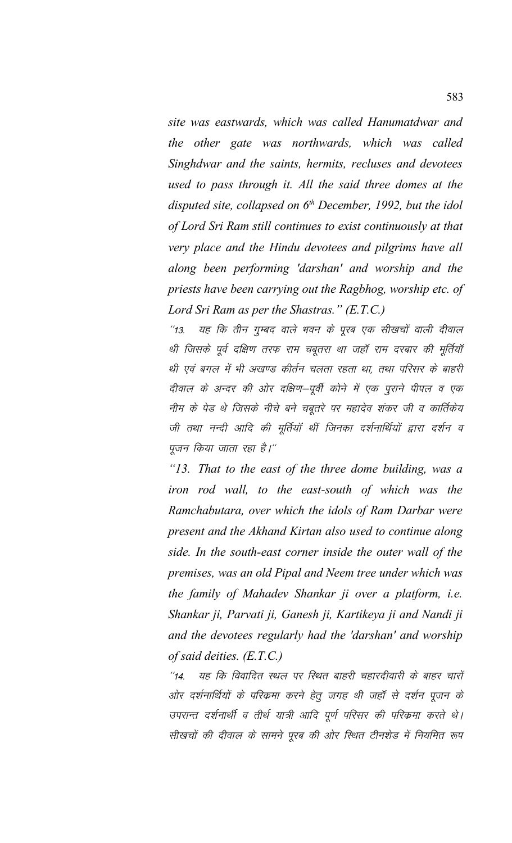*site was eastwards, which was called Hanumatdwar and the other gate was northwards, which was called Singhdwar and the saints, hermits, recluses and devotees used to pass through it. All the said three domes at the disputed site, collapsed on 6th December, 1992, but the idol of Lord Sri Ram still continues to exist continuously at that very place and the Hindu devotees and pilgrims have all along been performing 'darshan' and worship and the priests have been carrying out the Ragbhog, worship etc. of Lord Sri Ram as per the Shastras." (E.T.C.)*

''13. यह कि तीन गुम्बद वाले भवन के पूरब एक सीखचों वाली दीवाल थी जिसके पूर्व दक्षिण तरफ राम चबूतरा था जहाँ राम दरबार की मूर्तियाँ थी एवं बगल में भी अखण्ड कीर्तन चलता रहता था, तथा परिसर के बाहरी दीवाल के अन्दर की ओर दक्षिण–पूर्वी कोने में एक पूराने पीपल व एक नीम के पेड थे जिसके नीचे बने चबूतरे पर महादेव शंकर जी व कार्तिकेय जी तथा नन्दी आदि की मूर्तियाँ थीं जिनका दर्शनार्थियों द्वारा दर्शन व पूजन किया जाता रहा है।"

*"13. That to the east of the three dome building, was a iron rod wall, to the east-south of which was the Ramchabutara, over which the idols of Ram Darbar were present and the Akhand Kirtan also used to continue along side. In the south-east corner inside the outer wall of the premises, was an old Pipal and Neem tree under which was the family of Mahadev Shankar ji over a platform, i.e. Shankar ji, Parvati ji, Ganesh ji, Kartikeya ji and Nandi ji and the devotees regularly had the 'darshan' and worship of said deities. (E.T.C.)*

 $^{\prime\prime}$ 14. यह कि विवादित स्थल पर स्थित बाहरी चहारदीवारी के बाहर चारों ओर दर्शनार्थियों के परिकमा करने हेतू जगह थी जहाँ से दर्शन पूजन के उपरान्त दर्शनार्थी व तीर्थ यात्री आदि पूर्ण परिसर की परिक्रमा करते थे। सीखचों की दीवाल के सामने पूरब की ओर स्थित टीनशेड में नियमित रूप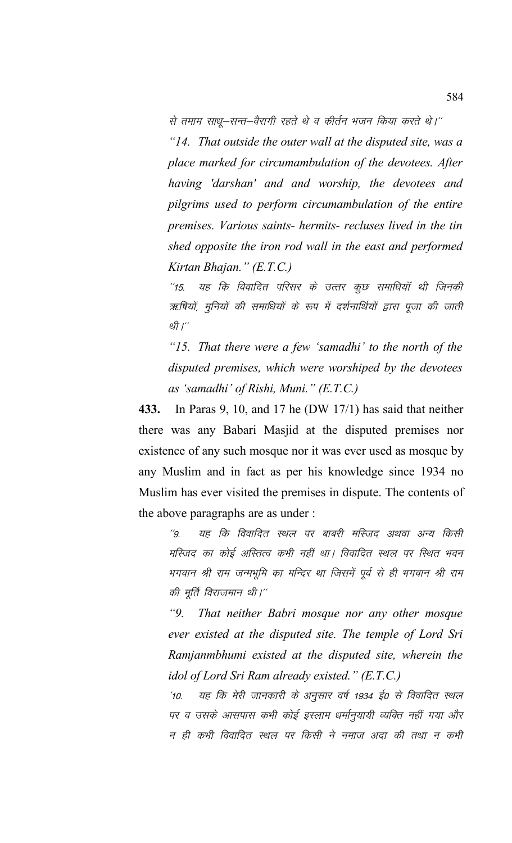से तमाम साधू-सन्त-वैरागी रहते थे व कीर्तन भजन किया करते थे।''

*"14. That outside the outer wall at the disputed site, was a place marked for circumambulation of the devotees. After having 'darshan' and and worship, the devotees and pilgrims used to perform circumambulation of the entire premises. Various saints- hermits- recluses lived in the tin shed opposite the iron rod wall in the east and performed Kirtan Bhajan." (E.T.C.)*

"15. यह कि विवादित परिसर के उत्तर कूछ समाधियाँ थी जिनकी ऋषियों, मुनियों की समाधियों के रूप में दर्शनार्थियों द्वारा पूजा की जाती थी $'$ 

*"15. That there were a few 'samadhi' to the north of the disputed premises, which were worshiped by the devotees as 'samadhi' of Rishi, Muni." (E.T.C.)*

**433.** In Paras 9, 10, and 17 he (DW 17/1) has said that neither there was any Babari Masjid at the disputed premises nor existence of any such mosque nor it was ever used as mosque by any Muslim and in fact as per his knowledge since 1934 no Muslim has ever visited the premises in dispute. The contents of the above paragraphs are as under :

''9. यह कि विवादित स्थल पर बाबरी मस्जिद अथवा अन्य किसी मस्जिद का कोई अस्तित्व कभी नहीं था। विवादित स्थल पर स्थित भवन भगवान श्री राम जन्मभूमि का मन्दिर था जिसमें पूर्व से ही भगवान श्री राम की मूर्ति विराजमान थी।"

*"9. That neither Babri mosque nor any other mosque ever existed at the disputed site. The temple of Lord Sri Ramjanmbhumi existed at the disputed site, wherein the idol of Lord Sri Ram already existed." (E.T.C.)*

'10. यह कि मेरी जानकारी के अनुसार वर्ष 1934 ई0 से विवादित स्थल पर व उसके आसपास कभी कोई इस्लाम धर्मानुयायी व्यक्ति नहीं गया और न ही कभी विवादित स्थल पर किसी ने नमाज अदा की तथा न कभी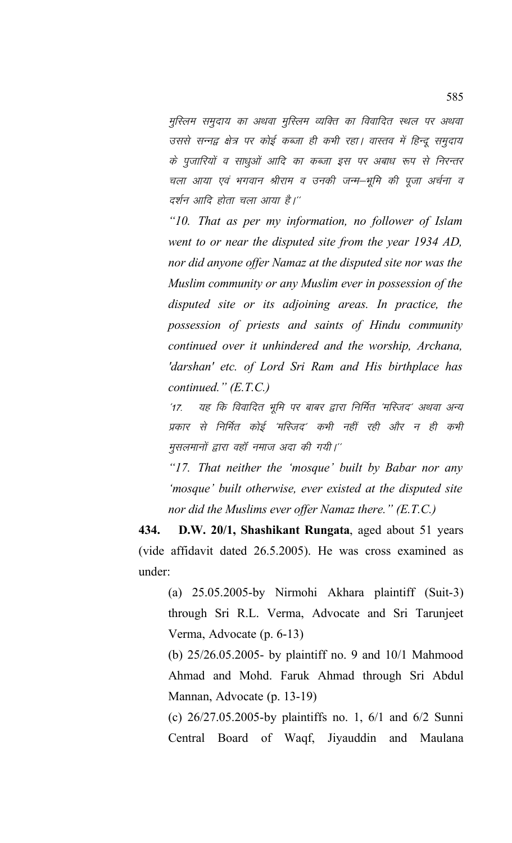मुस्लिम समुदाय का अथवा मुस्लिम व्यक्ति का विवादित स्थल पर अथवा उससे सन्नद्व क्षेत्र पर कोई कब्जा ही कभी रहा। वास्तव में हिन्दू समुदाय के पुजारियों व साधुओं आदि का कब्जा इस पर अबाध रूप से निरन्तर चला आया एवं भगवान श्रीराम व उनकी जन्म–भूमि की पूजा अर्चना व दर्शन आदि होता चला आया है।''

*"10. That as per my information, no follower of Islam went to or near the disputed site from the year 1934 AD, nor did anyone offer Namaz at the disputed site nor was the Muslim community or any Muslim ever in possession of the disputed site or its adjoining areas. In practice, the possession of priests and saints of Hindu community continued over it unhindered and the worship, Archana, 'darshan' etc. of Lord Sri Ram and His birthplace has continued." (E.T.C.)*

'17. यह कि विवादित भूमि पर बाबर द्वारा निर्मित 'मस्जिद' अथवा अन्य प्रकार से निर्मित कोई 'मस्जिद' कभी नहीं रही और न ही कभी मुसलमानों द्वारा वहाँ नमाज अदा की गयी।''

*"17. That neither the 'mosque' built by Babar nor any 'mosque' built otherwise, ever existed at the disputed site nor did the Muslims ever offer Namaz there." (E.T.C.)*

**434. D.W. 20/1, Shashikant Rungata**, aged about 51 years (vide affidavit dated 26.5.2005). He was cross examined as under:

(a) 25.05.2005-by Nirmohi Akhara plaintiff (Suit-3) through Sri R.L. Verma, Advocate and Sri Tarunjeet Verma, Advocate (p. 6-13)

(b) 25/26.05.2005- by plaintiff no. 9 and 10/1 Mahmood Ahmad and Mohd. Faruk Ahmad through Sri Abdul Mannan, Advocate (p. 13-19)

(c) 26/27.05.2005-by plaintiffs no. 1, 6/1 and 6/2 Sunni Central Board of Waqf, Jiyauddin and Maulana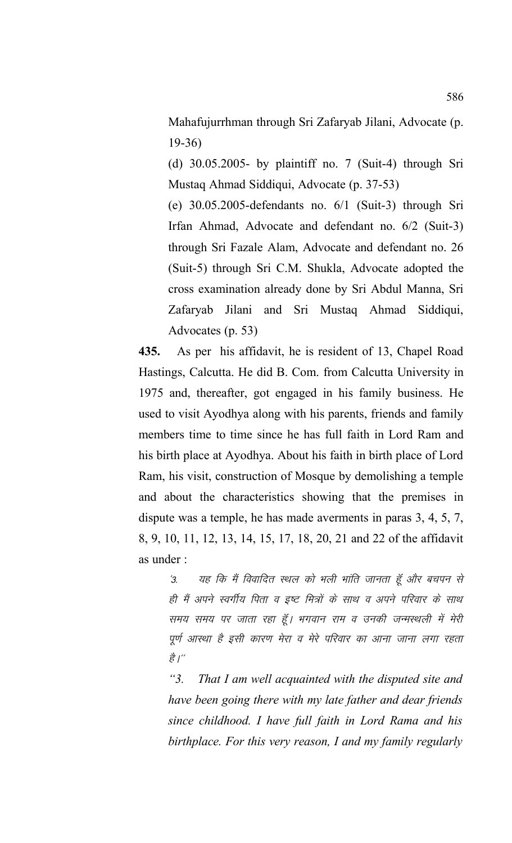Mahafujurrhman through Sri Zafaryab Jilani, Advocate (p. 19-36)

(d) 30.05.2005- by plaintiff no. 7 (Suit-4) through Sri Mustaq Ahmad Siddiqui, Advocate (p. 37-53)

(e) 30.05.2005-defendants no. 6/1 (Suit-3) through Sri Irfan Ahmad, Advocate and defendant no. 6/2 (Suit-3) through Sri Fazale Alam, Advocate and defendant no. 26 (Suit-5) through Sri C.M. Shukla, Advocate adopted the cross examination already done by Sri Abdul Manna, Sri Zafaryab Jilani and Sri Mustaq Ahmad Siddiqui, Advocates (p. 53)

**435.** As per his affidavit, he is resident of 13, Chapel Road Hastings, Calcutta. He did B. Com. from Calcutta University in 1975 and, thereafter, got engaged in his family business. He used to visit Ayodhya along with his parents, friends and family members time to time since he has full faith in Lord Ram and his birth place at Ayodhya. About his faith in birth place of Lord Ram, his visit, construction of Mosque by demolishing a temple and about the characteristics showing that the premises in dispute was a temple, he has made averments in paras 3, 4, 5, 7, 8, 9, 10, 11, 12, 13, 14, 15, 17, 18, 20, 21 and 22 of the affidavit as under :

'3. यह कि मैं विवादित स्थल को भली भांति जानता हूँ और बचपन से ही मैं अपने स्वर्गीय पिता व इष्ट मित्रों के साथ व अपने परिवार के साथ समय समय पर जाता रहा हूँ। भगवान राम व उनकी जन्मस्थली में मेरी पूर्ण आस्था है इसी कारण मेरा व मेरे परिवार का आना जाना लगा रहता  $\overrightarrow{g}^{\prime}$ 

*"3. That I am well acquainted with the disputed site and have been going there with my late father and dear friends since childhood. I have full faith in Lord Rama and his birthplace. For this very reason, I and my family regularly*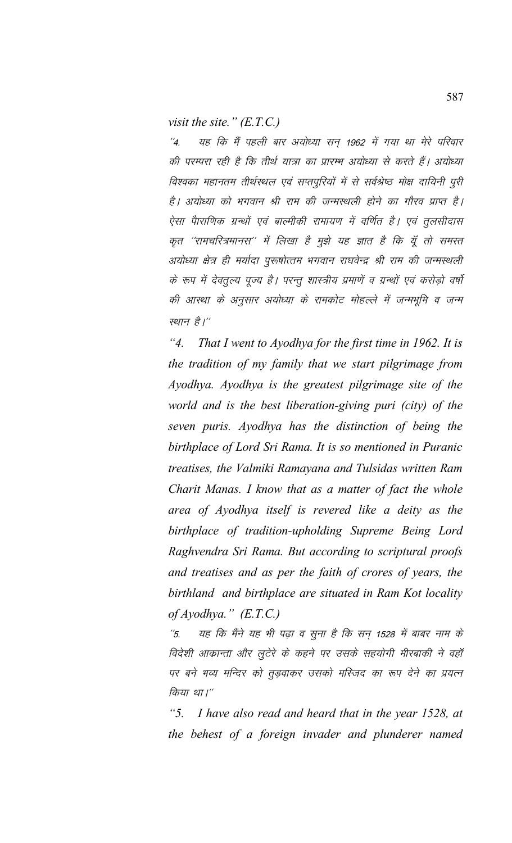*visit the site." (E.T.C.)*

"4. यह कि मैं पहली बार अयोध्या सन् 1962 में गया था मेरे परिवार की परम्परा रही है कि तीर्थ यात्रा का प्रारम्भ अयोध्या से करते हैं। अयोध्या विश्वका महानतम तीर्थस्थल एवं सप्तपूरियों में से सर्वश्रेष्ठ मोक्ष दायिनी पूरी है। अयोध्या को भगवान श्री राम की जन्मस्थली होने का गौरव प्राप्त है। ऐसा पैाराणिक ग्रन्थों एवं बाल्मीकी रामायण में वर्णित है। एवं तूलसीदास कृत ''रामचरित्रमानस'' में लिखा है मुझे यह ज्ञात है कि यूँ तो समस्त अयोध्या क्षेत्र ही मर्यादा पुरूषोत्तम भगवान राघवेन्द्र श्री राम की जन्मस्थली के रूप में देवतूल्य पूज्य है। परन्तू शास्त्रीय प्रमाणें व ग्रन्थों एवं करोड़ो वर्षो की आस्था के अनुसार अयोध्या के रामकोट मोहल्ले में जन्मभूमि व जन्म स्थान है।''

*"4. That I went to Ayodhya for the first time in 1962. It is the tradition of my family that we start pilgrimage from Ayodhya. Ayodhya is the greatest pilgrimage site of the world and is the best liberation-giving puri (city) of the seven puris. Ayodhya has the distinction of being the birthplace of Lord Sri Rama. It is so mentioned in Puranic treatises, the Valmiki Ramayana and Tulsidas written Ram Charit Manas. I know that as a matter of fact the whole area of Ayodhya itself is revered like a deity as the birthplace of tradition-upholding Supreme Being Lord Raghvendra Sri Rama. But according to scriptural proofs and treatises and as per the faith of crores of years, the birthland and birthplace are situated in Ram Kot locality of Ayodhya." (E.T.C.)*

 $^\prime$ 5. यह कि मैंने यह भी पढ़ा व सुना है कि सन् 1528 में बाबर नाम के विदेशी आक्रान्ता और लूटेरे के कहने पर उसके सहयोगी मीरबाकी ने वहाँ पर बने भव्य मन्दिर को तूड़वाकर उसको मस्जिद का रूप देने का प्रयत्न किया था।"

*"5. I have also read and heard that in the year 1528, at the behest of a foreign invader and plunderer named*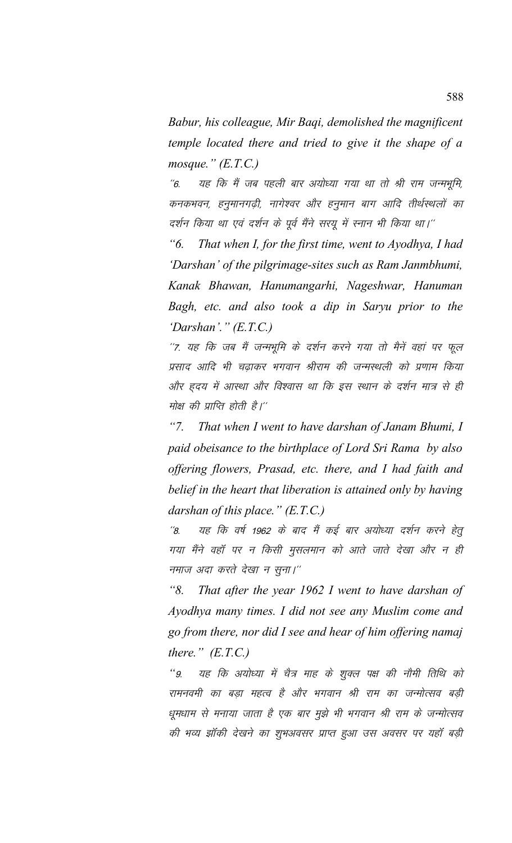*Babur, his colleague, Mir Baqi, demolished the magnificent temple located there and tried to give it the shape of a mosque." (E.T.C.)*

"6. यह कि मैं जब पहली बार अयोध्या गया था तो श्री राम जन्मभूमि, कनकभवन, हनुमानगढ़ी, नागेश्वर और हनुमान बाग आदि तीर्थस्थलों का दर्शन किया था एवं दर्शन के पूर्व मैंने सरयू में स्नान भी किया था।''

*"6. That when I, for the first time, went to Ayodhya, I had 'Darshan' of the pilgrimage-sites such as Ram Janmbhumi, Kanak Bhawan, Hanumangarhi, Nageshwar, Hanuman Bagh, etc. and also took a dip in Saryu prior to the 'Darshan'." (E.T.C.)*

"7. यह कि जब मैं जन्मभूमि के दर्शन करने गया तो मैनें वहां पर फूल प्रसाद आदि भी चढ़ाकर भगवान श्रीराम की जन्मस्थली को प्रणाम किया ओर हृदय में आस्था और विश्वास था कि इस स्थान के दर्शन मात्र से ही मोक्ष की प्राप्ति होती है।''

*"7. That when I went to have darshan of Janam Bhumi, I paid obeisance to the birthplace of Lord Sri Rama by also offering flowers, Prasad, etc. there, and I had faith and belief in the heart that liberation is attained only by having darshan of this place." (E.T.C.)*

''8. यह कि वर्ष 1962 के बाद मैं कई बार अयोध्या दर्शन करने हेतू गया मैंने वहाँ पर न किसी मुसलमान को आते जाते देखा और न ही नमाज अदा करते देखा न सूना।''

*"8. That after the year 1962 I went to have darshan of Ayodhya many times. I did not see any Muslim come and go from there, nor did I see and hear of him offering namaj there." (E.T.C.)*

''9. यह कि अयोध्या में चैत्र माह के शुक्ल पक्ष की नौमी तिथि को रामनवमी का बड़ा महत्व है और भगवान श्री राम का जन्मोत्सव बड़ी धुमधाम से मनाया जाता है एक बार मूझे भी भगवान श्री राम के जन्मोत्सव की भव्य झॉकी देखने का शुभअवसर प्राप्त हुआ उस अवसर पर यहाँ बड़ी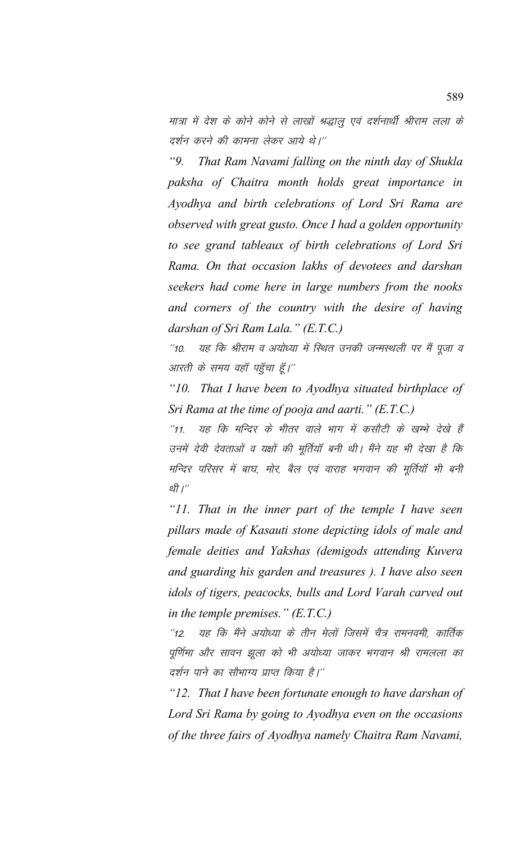मात्रा में देश के कोने कोने से लाखों श्रद्धालु एवं दर्शनार्थी श्रीराम लला के दर्शन करने की कामना लेकर आये थे।''

*"9. That Ram Navami falling on the ninth day of Shukla paksha of Chaitra month holds great importance in Ayodhya and birth celebrations of Lord Sri Rama are observed with great gusto. Once I had a golden opportunity to see grand tableaux of birth celebrations of Lord Sri Rama. On that occasion lakhs of devotees and darshan seekers had come here in large numbers from the nooks and corners of the country with the desire of having darshan of Sri Ram Lala." (E.T.C.)*

"10. यह कि श्रीराम व अयोध्या में स्थित उनकी जन्मस्थली पर मैं पूजा व आरती के समय वहाँ पहुँचा हूँ।''

*"10. That I have been to Ayodhya situated birthplace of Sri Rama at the time of pooja and aarti." (E.T.C.)*

"11. यह कि मन्दिर के भीतर वाले भाग में कसौटी के खम्भे देखे हैं उनमें देवी देवताओं व यक्षों की मूर्तियाँ बनी थी। मैंने यह भी देखा है कि मन्दिर परिसर में बाघ, मोर, बैल एवं वाराह भगवान की मूर्तियाँ भी बनी थी $\eta^{\prime\prime}$ 

*"11. That in the inner part of the temple I have seen pillars made of Kasauti stone depicting idols of male and female deities and Yakshas (demigods attending Kuvera and guarding his garden and treasures ). I have also seen idols of tigers, peacocks, bulls and Lord Varah carved out in the temple premises." (E.T.C.)*

"12. यह कि मैंने अयोध्या के तीन मेलों जिसमें चैत्र रामनवमी, कार्तिक पूर्णिमा और सावन झूला को भी अयोध्या जाकर भगवान श्री रामलला का दर्शन पाने का सौभाग्य प्राप्त किया है।''

*"12. That I have been fortunate enough to have darshan of Lord Sri Rama by going to Ayodhya even on the occasions of the three fairs of Ayodhya namely Chaitra Ram Navami,*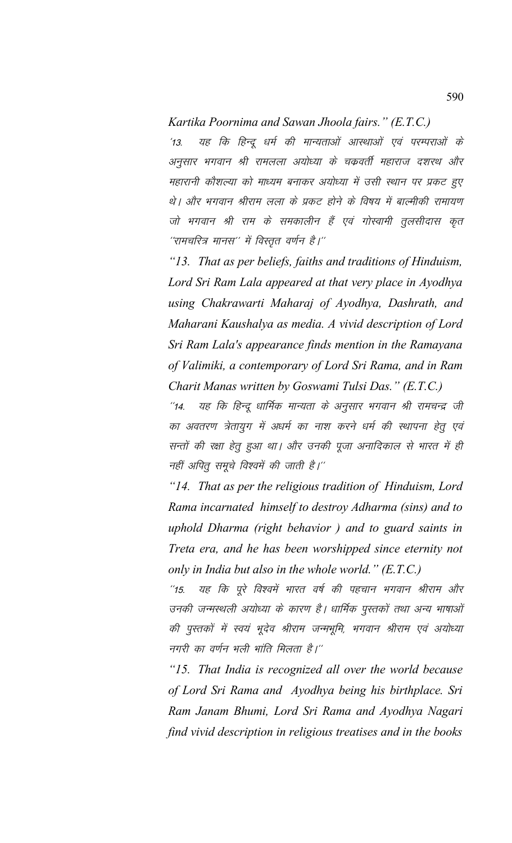*Kartika Poornima and Sawan Jhoola fairs." (E.T.C.)*

'13. यह कि हिन्दू धर्म की मान्यताओं आस्थाओं एवं परम्पराओं के अनुसार भगवान श्री रामलला अयोध्या के चकवर्ती महाराज दशरथ और महारानी कौशल्या को माध्यम बनाकर अयोध्या में उसी स्थान पर प्रकट हुए थे। और भगवान श्रीराम लला के प्रकट होने के विषय में बाल्मीकी रामायण जो भगवान श्री राम के समकालीन हैं एवं गोस्वामी तुलसीदास कृत ''रामचरित्र मानस'' में विस्तृत वर्णन है।''

*"13. That as per beliefs, faiths and traditions of Hinduism, Lord Sri Ram Lala appeared at that very place in Ayodhya using Chakrawarti Maharaj of Ayodhya, Dashrath, and Maharani Kaushalya as media. A vivid description of Lord Sri Ram Lala's appearance finds mention in the Ramayana of Valimiki, a contemporary of Lord Sri Rama, and in Ram Charit Manas written by Goswami Tulsi Das." (E.T.C.)*

"14. यह कि हिन्दू धार्मिक मान्यता के अनुसार भगवान श्री रामचन्द्र जी का अवतरण त्रेतायुग में अधर्म का नाश करने धर्म की स्थापना हेतू एवं सन्तों की रक्षा हेतु हुआ था। और उनकी पूजा अनादिकाल से भारत में ही नहीं अपितू समूचे विश्वमें की जाती है।"

*"14. That as per the religious tradition of Hinduism, Lord Rama incarnated himself to destroy Adharma (sins) and to uphold Dharma (right behavior ) and to guard saints in Treta era, and he has been worshipped since eternity not only in India but also in the whole world." (E.T.C.)*

"15. यह कि पूरे विश्वमें भारत वर्ष की पहचान भगवान श्रीराम और उनकी जन्मस्थली अयोध्या के कारण है। धार्मिक पुस्तकों तथा अन्य भाषाओं की पुस्तकों में स्वयं भूदेव श्रीराम जन्मभूमि, भगवान श्रीराम एवं अयोध्या नगरी का वर्णन भली भांति मिलता है।''

*"15. That India is recognized all over the world because of Lord Sri Rama and Ayodhya being his birthplace. Sri Ram Janam Bhumi, Lord Sri Rama and Ayodhya Nagari find vivid description in religious treatises and in the books*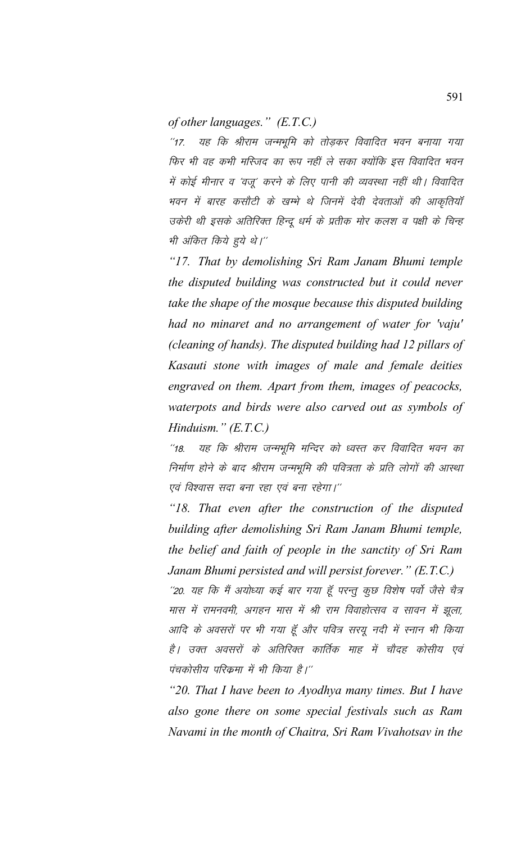*of other languages." (E.T.C.)*

"17. यह कि श्रीराम जन्मभूमि को तोड़कर विवादित भवन बनाया गया फिर भी वह कभी मस्जिद का रूप नहीं ले सका क्योंकि इस विवादित भवन में कोई मीनार व 'वजू' करने के लिए पानी की व्यवस्था नहीं थी। विवादित भवन में बारह कसौटी के खम्भे थे जिनमें देवी देवताओं की आकृतियाँ उकेरी थी इसके अतिरिक्त हिन्दू धर्म के प्रतीक मोर कलश व पक्षी के चिन्ह भी अंकित किये हुये थे।''

*"17. That by demolishing Sri Ram Janam Bhumi temple the disputed building was constructed but it could never take the shape of the mosque because this disputed building had no minaret and no arrangement of water for 'vaju' (cleaning of hands). The disputed building had 12 pillars of Kasauti stone with images of male and female deities engraved on them. Apart from them, images of peacocks, waterpots and birds were also carved out as symbols of Hinduism." (E.T.C.)*

"18. यह कि श्रीराम जन्मभूमि मन्दिर को ध्वस्त कर विवादित भवन का निर्माण होने के बाद श्रीराम जन्मभूमि की पवित्रता के प्रति लोगों की आस्था एवं विश्वास सदा बना रहा एवं बना रहेगा।''

*"18. That even after the construction of the disputed building after demolishing Sri Ram Janam Bhumi temple, the belief and faith of people in the sanctity of Sri Ram Janam Bhumi persisted and will persist forever." (E.T.C.)*

''20. यह कि मैं अयोध्या कई बार गया हूँ परन्तु कुछ विशेष पर्वो जैसे चैत्र मास में रामनवमी, अगहन मास में श्री राम विवाहोत्सव व सावन में झूला, आदि के अवसरों पर भी गया हूँ और पवित्र सरयू नदी में स्नान भी किया है। उक्त अवसरों के अतिरिक्त कार्तिक माह में चौदह कोसीय एवं पंचकोसीय परिकमा में भी किया है।''

*"20. That I have been to Ayodhya many times. But I have also gone there on some special festivals such as Ram Navami in the month of Chaitra, Sri Ram Vivahotsav in the*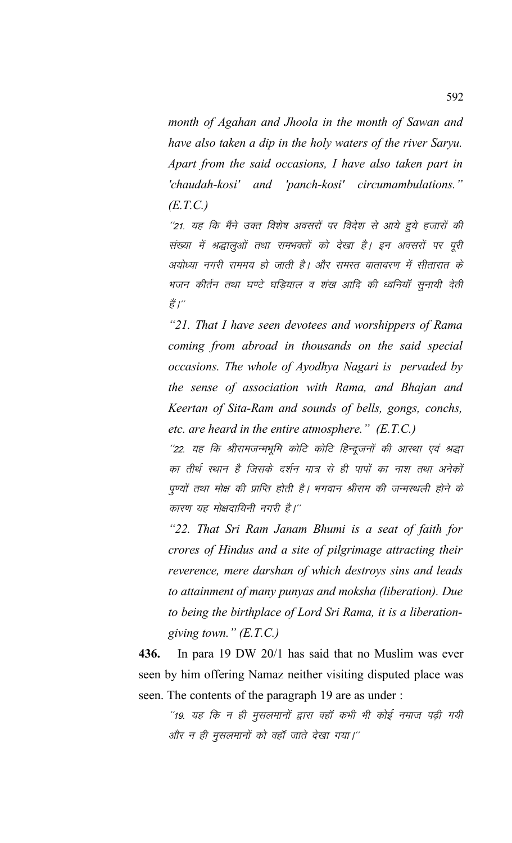*month of Agahan and Jhoola in the month of Sawan and have also taken a dip in the holy waters of the river Saryu. Apart from the said occasions, I have also taken part in 'chaudah-kosi' and 'panch-kosi' circumambulations." (E.T.C.)*

''21. यह कि मैंने उक्त विशेष अवसरों पर विदेश से आये हुये हजारों की संख्या में श्रद्धालुओं तथा रामभक्तों को देखा है। इन अवसरों पर पूरी अयोध्या नगरी राममय हो जाती है। और समस्त वातावरण में सीतारात के भजन कीर्तन तथा घण्टे घडियाल व शंख आदि की ध्वनियॉ सुनायी देती ੜ੍ਹੇਂ $\int_0^\infty$ 

*"21. That I have seen devotees and worshippers of Rama coming from abroad in thousands on the said special occasions. The whole of Ayodhya Nagari is pervaded by the sense of association with Rama, and Bhajan and Keertan of Sita-Ram and sounds of bells, gongs, conchs, etc. are heard in the entire atmosphere." (E.T.C.)*

''22. यह कि श्रीरामजन्मभूमि कोटि कोटि हिन्दूजनों की आस्था एवं श्रद्धा का तीर्थ स्थान है जिसके दर्शन मात्र से ही पापों का नाश तथा अनेकों पुण्यों तथा मोक्ष की प्राप्ति होती है। भगवान श्रीराम की जन्मस्थली होने के कारण यह मोक्षदायिनी नगरी है।''

*"22. That Sri Ram Janam Bhumi is a seat of faith for crores of Hindus and a site of pilgrimage attracting their reverence, mere darshan of which destroys sins and leads to attainment of many punyas and moksha (liberation). Due to being the birthplace of Lord Sri Rama, it is a liberationgiving town." (E.T.C.)*

**436.** In para 19 DW 20/1 has said that no Muslim was ever seen by him offering Namaz neither visiting disputed place was seen. The contents of the paragraph 19 are as under :

''19. यह कि न ही मुसलमानों द्वारा वहाँ कभी भी कोई नमाज पढ़ी गयी और न ही मुसलमानों को वहाँ जाते देखा गया।"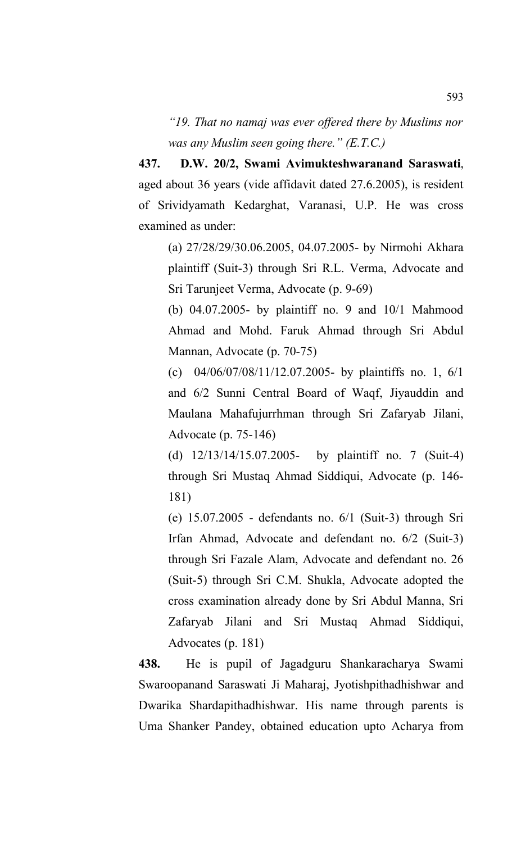*"19. That no namaj was ever offered there by Muslims nor was any Muslim seen going there." (E.T.C.)*

**437. D.W. 20/2, Swami Avimukteshwaranand Saraswati**, aged about 36 years (vide affidavit dated 27.6.2005), is resident of Srividyamath Kedarghat, Varanasi, U.P. He was cross examined as under:

(a) 27/28/29/30.06.2005, 04.07.2005- by Nirmohi Akhara plaintiff (Suit-3) through Sri R.L. Verma, Advocate and Sri Tarunjeet Verma, Advocate (p. 9-69)

(b) 04.07.2005- by plaintiff no. 9 and 10/1 Mahmood Ahmad and Mohd. Faruk Ahmad through Sri Abdul Mannan, Advocate (p. 70-75)

(c) 04/06/07/08/11/12.07.2005- by plaintiffs no. 1, 6/1 and 6/2 Sunni Central Board of Waqf, Jiyauddin and Maulana Mahafujurrhman through Sri Zafaryab Jilani, Advocate (p. 75-146)

(d) 12/13/14/15.07.2005- by plaintiff no. 7 (Suit-4) through Sri Mustaq Ahmad Siddiqui, Advocate (p. 146- 181)

(e) 15.07.2005 - defendants no. 6/1 (Suit-3) through Sri Irfan Ahmad, Advocate and defendant no. 6/2 (Suit-3) through Sri Fazale Alam, Advocate and defendant no. 26 (Suit-5) through Sri C.M. Shukla, Advocate adopted the cross examination already done by Sri Abdul Manna, Sri Zafaryab Jilani and Sri Mustaq Ahmad Siddiqui, Advocates (p. 181)

**438.** He is pupil of Jagadguru Shankaracharya Swami Swaroopanand Saraswati Ji Maharaj, Jyotishpithadhishwar and Dwarika Shardapithadhishwar. His name through parents is Uma Shanker Pandey, obtained education upto Acharya from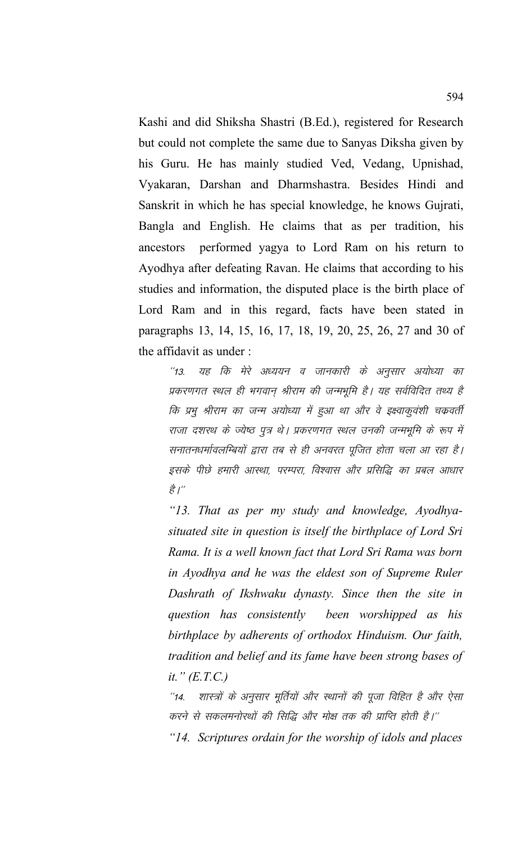Kashi and did Shiksha Shastri (B.Ed.), registered for Research but could not complete the same due to Sanyas Diksha given by his Guru. He has mainly studied Ved, Vedang, Upnishad, Vyakaran, Darshan and Dharmshastra. Besides Hindi and Sanskrit in which he has special knowledge, he knows Gujrati, Bangla and English. He claims that as per tradition, his ancestors performed yagya to Lord Ram on his return to Ayodhya after defeating Ravan. He claims that according to his studies and information, the disputed place is the birth place of Lord Ram and in this regard, facts have been stated in paragraphs 13, 14, 15, 16, 17, 18, 19, 20, 25, 26, 27 and 30 of the affidavit as under :

594

"13. यह कि मेरे अध्ययन व जानकारी के अनुसार अयोध्या का प्रकरणगत स्थल ही भगवान श्रीराम की जन्मभूमि है। यह सर्वविदित तथ्य है कि प्रभु श्रीराम का जन्म अयोध्या में हुआ था और वे इक्ष्वाकुवंशी चक्रवर्ती राजा दशरथ के ज्येष्ठ पूत्र थे। प्रकरणगत स्थल उनकी जन्मभूमि के रूप में सनातनधर्मावलम्बियों द्वारा तब से ही अनवरत पुजित होता चला आ रहा है। इसके पीछे हमारी आस्था, परम्परा, विश्वास और प्रसिद्धि का प्रबल आधार ੜੇ $\int^{\omega}$ 

*"13. That as per my study and knowledge, Ayodhyasituated site in question is itself the birthplace of Lord Sri Rama. It is a well known fact that Lord Sri Rama was born in Ayodhya and he was the eldest son of Supreme Ruler Dashrath of Ikshwaku dynasty. Since then the site in question has consistently been worshipped as his birthplace by adherents of orthodox Hinduism. Our faith, tradition and belief and its fame have been strong bases of it." (E.T.C.)*

''14. शास्त्रों के अनुसार मूर्तियों और स्थानों की पूजा विहित है और ऐसा करने से सकलमनोरथों की सिद्धि और मोक्ष तक की प्राप्ति होती है।'' *"14. Scriptures ordain for the worship of idols and places*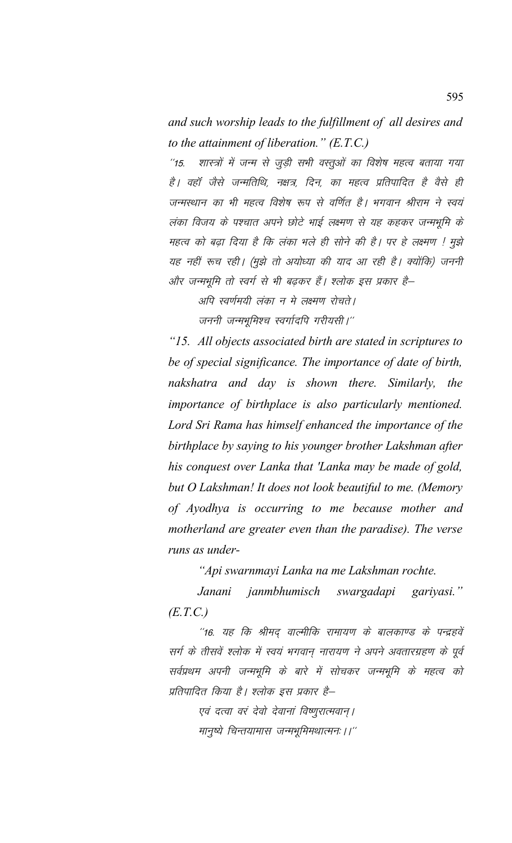*and such worship leads to the fulfillment of all desires and to the attainment of liberation." (E.T.C.)*

''15. शास्त्रों में जन्म से जूड़ी सभी वस्तूओं का विशेष महत्व बताया गया है। वहाँ जैसे जन्मतिथि, नक्षत्र, दिन, का महत्व प्रतिपादित है वैसे ही जन्मस्थान का भी महत्व विशेष रूप से वर्णित है। भगवान श्रीराम ने स्वयं लंका विजय के पश्चात अपने छोटे भाई लक्ष्मण से यह कहकर जन्मभूमि के महत्व को बढ़ा दिया है कि लंका भले ही सोने की है। पर हे लक्ष्मण ! मुझे यह नहीं रूच रही। (मूझे तो अयोध्या की याद आ रही है। क्योंकि) जननी ओर जन्मभूमि तो स्वर्ग से भी बढकर हैं। श्लोक इस प्रकार है—

अपि स्वर्णमयी लंका न मे लक्ष्मण रोचते। जननी जन्मभूमिश्च स्वर्गादपि गरीयसी।"

*"15. All objects associated birth are stated in scriptures to be of special significance. The importance of date of birth, nakshatra and day is shown there. Similarly, the importance of birthplace is also particularly mentioned. Lord Sri Rama has himself enhanced the importance of the birthplace by saying to his younger brother Lakshman after his conquest over Lanka that 'Lanka may be made of gold, but O Lakshman! It does not look beautiful to me. (Memory of Ayodhya is occurring to me because mother and motherland are greater even than the paradise). The verse runs as under-*

*"Api swarnmayi Lanka na me Lakshman rochte.*

*Janani janmbhumisch swargadapi gariyasi." (E.T.C.)*

''16. यह कि श्रीमद वाल्मीकि रामायण के बालकाण्ड के पन्द्रहवें सर्ग के तीसवें श्लोक में स्वयं भगवान नारायण ने अपने अवतारग्रहण के पूर्व सर्वप्रथम अपनी जन्मभूमि के बारे में सोचकर जन्मभूमि के महत्व को प्रतिपादित किया है। श्लोक इस प्रकार है–

एवं दत्वा वरं देवो देवानां विष्णूरात्मवान् । मानुष्ये चिन्तयामास जन्मभूमिमथात्मनः ।।"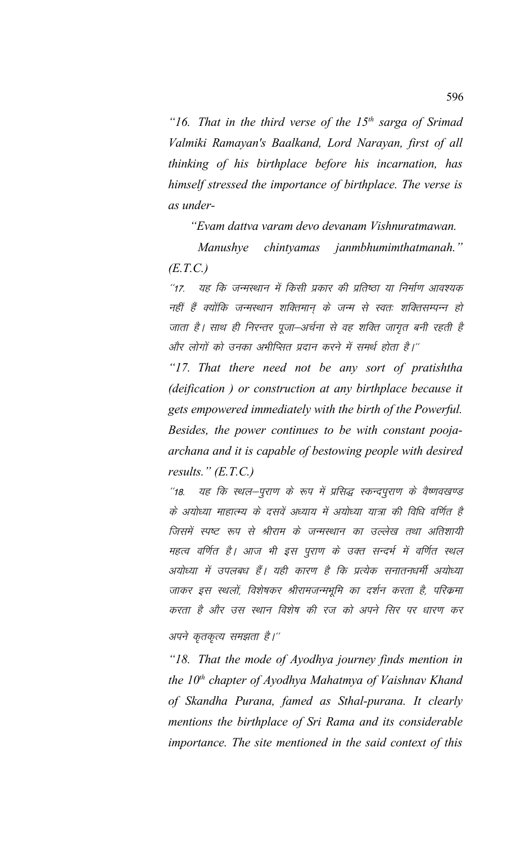*"16. That in the third verse of the 15th sarga of Srimad Valmiki Ramayan's Baalkand, Lord Narayan, first of all thinking of his birthplace before his incarnation, has himself stressed the importance of birthplace. The verse is as under-* 

 *"Evam dattva varam devo devanam Vishnuratmawan.*

*Manushye chintyamas janmbhumimthatmanah." (E.T.C.)*

"17. यह कि जन्मस्थान में किसी प्रकार की प्रतिष्ठा या निर्माण आवश्यक नहीं हैं क्योंकि जन्मस्थान शक्तिमान के जन्म से स्वतः शक्तिसम्पन्न हो जाता है। साथ ही निरन्तर पूजा–अर्चना से वह शक्ति जागृत बनी रहती है और लोगों को उनका अभीप्सित प्रदान करने में समर्थ होता है।''

*"17. That there need not be any sort of pratishtha (deification ) or construction at any birthplace because it gets empowered immediately with the birth of the Powerful. Besides, the power continues to be with constant poojaarchana and it is capable of bestowing people with desired results." (E.T.C.)*

''18. यह कि स्थल-पुराण के रूप में प्रसिद्ध स्कन्दपुराण के वैष्णवखण्ड के अयोध्या माहात्म्य के दसवें अध्याय में अयोध्या यात्रा की विधि वर्णित है जिसमें स्पष्ट रूप से श्रीराम के जन्मस्थान का उल्लेख तथा अतिशायी महत्व वर्णित है। आज भी इस पुराण के उक्त सन्दर्भ में वर्णित स्थल अयोध्या में उपलबध हैं। यही कारण है कि प्रत्येक सनातनधर्मी अयोध्या जाकर इस स्थलों, विशेषकर श्रीरामजन्मभूमि का दर्शन करता है, परिक्रमा करता है और उस स्थान विशेष की रज को अपने सिर पर धारण कर अपने कृतकृत्य समझता है।''

*"18. That the mode of Ayodhya journey finds mention in the 10th chapter of Ayodhya Mahatmya of Vaishnav Khand of Skandha Purana, famed as Sthal-purana. It clearly mentions the birthplace of Sri Rama and its considerable importance. The site mentioned in the said context of this*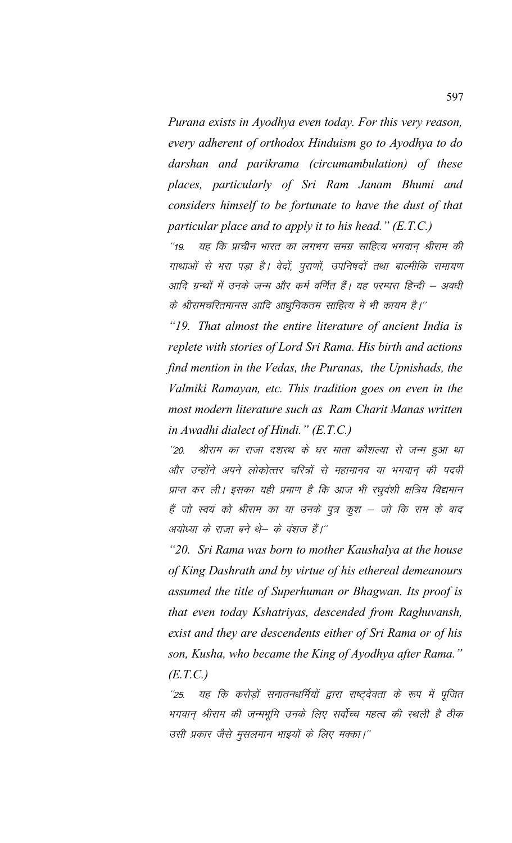*Purana exists in Ayodhya even today. For this very reason, every adherent of orthodox Hinduism go to Ayodhya to do darshan and parikrama (circumambulation) of these places, particularly of Sri Ram Janam Bhumi and considers himself to be fortunate to have the dust of that particular place and to apply it to his head." (E.T.C.)*

^^19. यह कि प्राचीन भारत का लगभग समग्र साहित्य भगवान श्रीराम की गाथाओं से भरा पड़ा है। वेदों, पुराणों, उपनिषदों तथा बाल्मीकि रामायण आदि ग्रन्थों में उनके जन्म और कर्म वर्णित हैं। यह परम्परा हिन्दी – अवधी के श्रीरामचरितमानस आदि आधुनिकतम साहित्य में भी कायम है।''

*"19. That almost the entire literature of ancient India is replete with stories of Lord Sri Rama. His birth and actions find mention in the Vedas, the Puranas, the Upnishads, the Valmiki Ramayan, etc. This tradition goes on even in the most modern literature such as Ram Charit Manas written in Awadhi dialect of Hindi." (E.T.C.)*

''20. श्रीराम का राजा दशरथ के घर माता कौशल्या से जन्म हुआ था ओर उन्होंने अपने लोकोत्तर चरित्रों से महामानव या भगवान की पदवी प्राप्त कर ली। इसका यही प्रमाण है कि आज भी रघुवंशी क्षत्रिय विद्यमान हैं जो स्वयं को श्रीराम का या उनके पुत्र कुश – जो कि राम के बाद अयोध्या के राजा बने थे– के वंशज हैं।''

*"20. Sri Rama was born to mother Kaushalya at the house of King Dashrath and by virtue of his ethereal demeanours assumed the title of Superhuman or Bhagwan. Its proof is that even today Kshatriyas, descended from Raghuvansh, exist and they are descendents either of Sri Rama or of his son, Kusha, who became the King of Ayodhya after Rama." (E.T.C.)*

''25. यह कि करोड़ों सनातनधर्मियों द्वारा राष्ट्देवता के रूप में पूजित भगवान् श्रीराम की जन्मभूमि उनके लिए सर्वोच्च महत्व की स्थली है ठीक उसी प्रकार जैसे मुसलमान भाइयों के लिए मक्का।''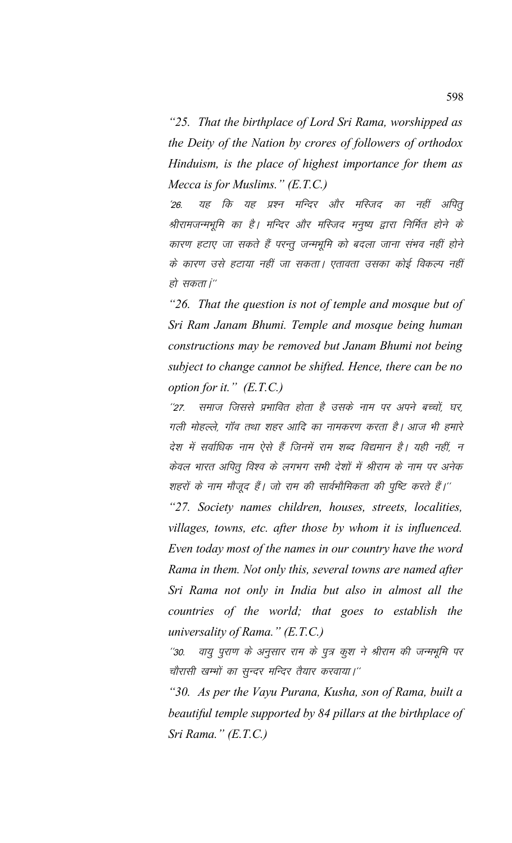*"25. That the birthplace of Lord Sri Rama, worshipped as the Deity of the Nation by crores of followers of orthodox Hinduism, is the place of highest importance for them as Mecca is for Muslims." (E.T.C.)*

'26. यह कि यह प्रश्न मन्दिर और मस्जिद का नहीं अपित् श्रीरामजन्मभूमि का है। मन्दिर और मस्जिद मनुष्य द्वारा निर्मित होने के कारण हटाए जा सकते हैं परन्तू जन्मभूमि को बदला जाना संभव नहीं होने के कारण उसे हटाया नहीं जा सकता। एतावता उसका कोई विकल्प नहीं हो सकता i''

*"26. That the question is not of temple and mosque but of Sri Ram Janam Bhumi. Temple and mosque being human constructions may be removed but Janam Bhumi not being subject to change cannot be shifted. Hence, there can be no option for it." (E.T.C.)*

"27. समाज जिससे प्रभावित होता है उसके नाम पर अपने बच्चों, घर, गली मोहल्ले. गॉव तथा शहर आदि का नामकरण करता है। आज भी हमारे देश में सर्वाधिक नाम ऐसे हैं जिनमें राम शब्द विद्यमान है। यही नहीं, न केवल भारत अपितू विश्व के लगभग सभी देशों में श्रीराम के नाम पर अनेक शहरों के नाम मौजूद हैं। जो राम की सार्वभौमिकता की पुष्टि करते हैं।''

*"27. Society names children, houses, streets, localities, villages, towns, etc. after those by whom it is influenced. Even today most of the names in our country have the word Rama in them. Not only this, several towns are named after Sri Rama not only in India but also in almost all the countries of the world; that goes to establish the universality of Rama." (E.T.C.)*

.<br>'30. वायु पुराण के अनुसार राम के पुत्र कुश ने श्रीराम की जन्मभूमि पर चौरासी खम्भों का सुन्दर मन्दिर तैयार करवाया।''

*"30. As per the Vayu Purana, Kusha, son of Rama, built a beautiful temple supported by 84 pillars at the birthplace of Sri Rama." (E.T.C.)*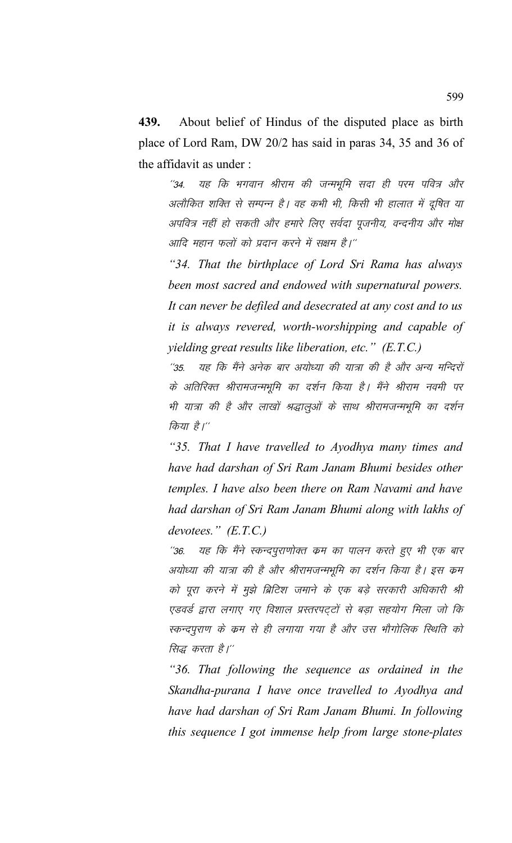**439.** About belief of Hindus of the disputed place as birth place of Lord Ram, DW 20/2 has said in paras 34, 35 and 36 of the affidavit as under :

''34. यह कि भगवान श्रीराम की जन्मभूमि सदा ही परम पवित्र और अलौकित शक्ति से सम्पन्न है। वह कभी भी, किसी भी हालात में दुषित या अपवित्र नहीं हो सकती और हमारे लिए सर्वदा पूजनीय, वन्दनीय और मोक्ष आदि महान फलों को प्रदान करने में सक्षम है।''

*"34. That the birthplace of Lord Sri Rama has always been most sacred and endowed with supernatural powers. It can never be defiled and desecrated at any cost and to us it is always revered, worth-worshipping and capable of yielding great results like liberation, etc." (E.T.C.)*

"35. यह कि मैंने अनेक बार अयोध्या की यात्रा की है और अन्य मन्दिरों के अतिरिक्त श्रीरामजन्मभूमि का दर्शन किया है। मैंने श्रीराम नवमी पर भी यात्रा की है और लाखों श्रद्धालुओं के साथ श्रीरामजन्मभूमि का दर्शन किया है।''

*"35. That I have travelled to Ayodhya many times and have had darshan of Sri Ram Janam Bhumi besides other temples. I have also been there on Ram Navami and have had darshan of Sri Ram Janam Bhumi along with lakhs of devotees." (E.T.C.)*

"36. यह कि मैंने स्कन्दपुराणोक्त कम का पालन करते हुए भी एक बार अयोध्या की यात्रा की है और श्रीरामजन्मभूमि का दर्शन किया है। इस क्रम को पूरा करने में मूझे ब्रिटिश जमाने के एक बड़े सरकारी अधिकारी श्री एडवर्ड द्वारा लगाए गए विशाल प्रस्तरपट्टों से बड़ा सहयोग मिला जो कि स्कन्दपुराण के क्रम से ही लगाया गया है और उस भौगोलिक स्थिति को सिद्ध करता है।''

*"36. That following the sequence as ordained in the Skandha-purana I have once travelled to Ayodhya and have had darshan of Sri Ram Janam Bhumi. In following this sequence I got immense help from large stone-plates*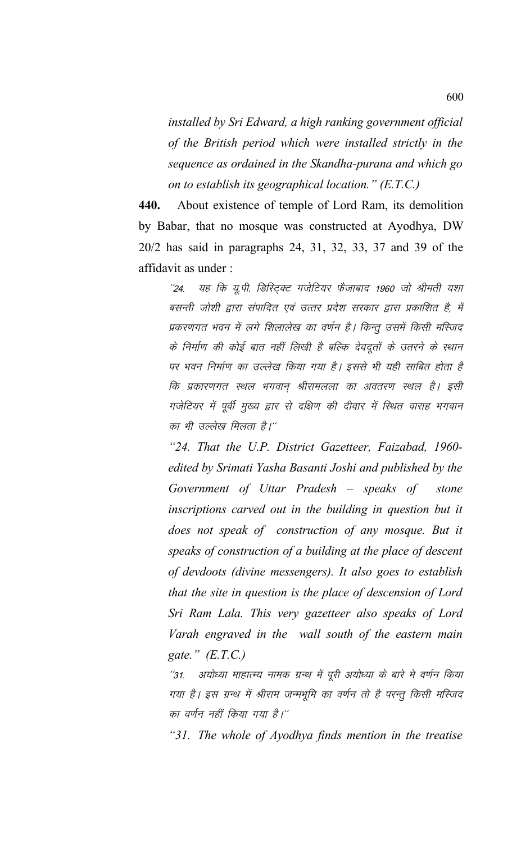*installed by Sri Edward, a high ranking government official of the British period which were installed strictly in the sequence as ordained in the Skandha-purana and which go on to establish its geographical location." (E.T.C.)*

**440.** About existence of temple of Lord Ram, its demolition by Babar, that no mosque was constructed at Ayodhya, DW 20/2 has said in paragraphs 24, 31, 32, 33, 37 and 39 of the affidavit as under :

''24. यह कि यू.पी. डिस्ट्रिक्ट गजेटियर फैजाबाद 1960 जो श्रीमती यशा बसन्ती जोशी द्वारा संपादित एवं उत्तर प्रदेश सरकार द्वारा प्रकाशित है, में प्रकरणगत भवन में लगे शिलालेख का वर्णन है। किन्तु उसमें किसी मस्जिद के निर्माण की कोई बात नहीं लिखी है बल्कि देवदूतों के उतरने के स्थान पर भवन निर्माण का उल्लेख किया गया है। इससे भी यही साबित होता है कि प्रकारणगत स्थल भगवान् श्रीरामलला का अवतरण स्थल है। इसी गजेटियर में पूर्वी मुख्य द्वार से दक्षिण की दीवार में स्थित वाराह भगवान का भी उल्लेख मिलता है।''

*"24. That the U.P. District Gazetteer, Faizabad, 1960 edited by Srimati Yasha Basanti Joshi and published by the Government of Uttar Pradesh – speaks of stone inscriptions carved out in the building in question but it does not speak of construction of any mosque. But it speaks of construction of a building at the place of descent of devdoots (divine messengers). It also goes to establish that the site in question is the place of descension of Lord Sri Ram Lala. This very gazetteer also speaks of Lord Varah engraved in the wall south of the eastern main gate." (E.T.C.)*

''31. अयोध्या माहात्म्य नामक ग्रन्थ में पूरी अयोध्या के बारे मे वर्णन किया गया है। इस ग्रन्थ में श्रीराम जन्मभूमि का वर्णन तो है परन्तु किसी मस्जिद का वर्णन नहीं किया गया है।''

*"31. The whole of Ayodhya finds mention in the treatise*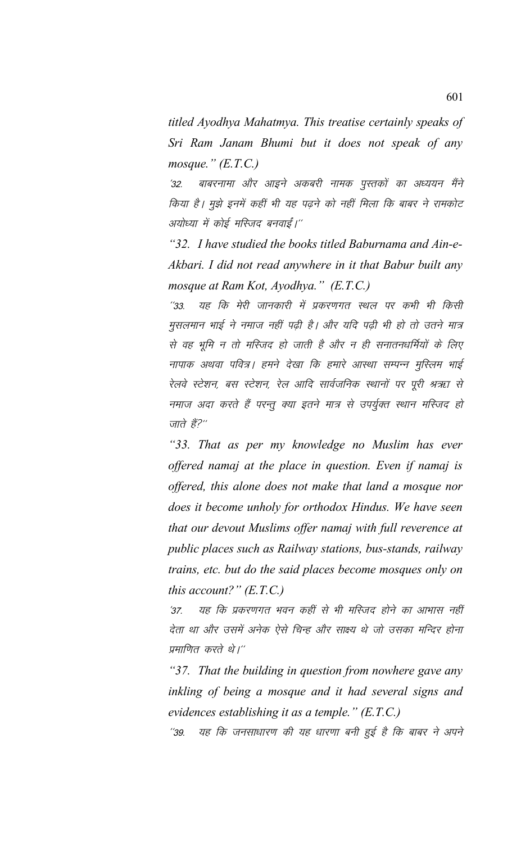*titled Ayodhya Mahatmya. This treatise certainly speaks of Sri Ram Janam Bhumi but it does not speak of any mosque." (E.T.C.)*

'32. बाबरनामा और आइने अकबरी नामक पुस्तकों का अध्ययन मैंने किया है। मुझे इनमें कहीं भी यह पढ़ने को नहीं मिला कि बाबर ने रामकोट अयोध्या में कोई मस्जिद बनवाई।''

*"32. I have studied the books titled Baburnama and Ain-e-Akbari. I did not read anywhere in it that Babur built any mosque at Ram Kot, Ayodhya." (E.T.C.)*

''33. यह कि मेरी जानकारी में प्रकरणगत स्थल पर कभी भी किसी मुसलमान भाई ने नमाज नहीं पढ़ी है। और यदि पढ़ी भी हो तो उतने मात्र से वह भूमि न तो मस्जिद हो जाती है और न ही सनातनधर्मियों के लिए नापाक अथवा पवित्र। हमने देखा कि हमारे आस्था सम्पन्न मुस्लिम भाई रेलवे स्टेशन, बस स्टेशन, रेल आदि सार्वजनिक स्थानों पर पूरी श्रऋा से नमाज अदा करते हैं परन्तु क्या इतने मात्र से उपर्युक्त स्थान मस्जिद हो जाते हैं?"

*"33. That as per my knowledge no Muslim has ever offered namaj at the place in question. Even if namaj is offered, this alone does not make that land a mosque nor does it become unholy for orthodox Hindus. We have seen that our devout Muslims offer namaj with full reverence at public places such as Railway stations, bus-stands, railway trains, etc. but do the said places become mosques only on this account?" (E.T.C.)*

'37. यह कि प्रकरणगत भवन कहीं से भी मस्जिद होने का आभास नहीं देता था और उसमें अनेक ऐसे चिन्ह और साक्ष्य थे जो उसका मन्दिर होना प्रमाणित करते थे।''

*"37. That the building in question from nowhere gave any inkling of being a mosque and it had several signs and evidences establishing it as a temple." (E.T.C.)*

''39. यह कि जनसाधारण की यह धारणा बनी हुई है कि बाबर ने अपने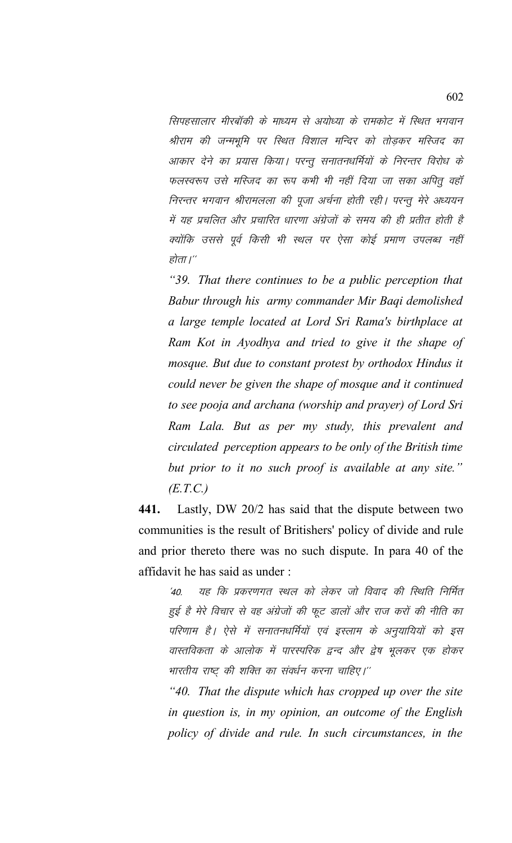सिपहसालार मीरबॉकी के माध्यम से अयोध्या के रामकोट में स्थित भगवान श्रीराम की जन्मभूमि पर स्थित विशाल मन्दिर को तोड़कर मस्जिद का आकार देने का प्रयास किया। परन्तु सनातनधर्मियों के निरन्तर विरोध के फलस्वरूप उसे मस्जिद का रूप कभी भी नहीं दिया जा सका अपितू वहाँ निरन्तर भगवान श्रीरामलला की पूजा अर्चना होती रही। परन्तू मेरे अध्ययन में यह प्रचलित और प्रचारित धारणा अंग्रेजों के समय की ही प्रतीत होती है क्योंकि उससे पूर्व किसी भी स्थल पर ऐसा कोई प्रमाण उपलब्ध नहीं होता ।''

*"39. That there continues to be a public perception that Babur through his army commander Mir Baqi demolished a large temple located at Lord Sri Rama's birthplace at Ram Kot in Ayodhya and tried to give it the shape of mosque. But due to constant protest by orthodox Hindus it could never be given the shape of mosque and it continued to see pooja and archana (worship and prayer) of Lord Sri Ram Lala. But as per my study, this prevalent and circulated perception appears to be only of the British time but prior to it no such proof is available at any site." (E.T.C.)*

**441.** Lastly, DW 20/2 has said that the dispute between two communities is the result of Britishers' policy of divide and rule and prior thereto there was no such dispute. In para 40 of the affidavit he has said as under :

 $\dot{\mathcal{A}}$ 0. यह कि प्रकरणगत स्थल को लेकर जो विवाद की स्थिति निर्मित हुई है मेरे विचार से वह अंग्रेजों की फूट डालों और राज करों की नीति का परिणाम है। ऐसे में सनातनधर्मियों एवं इस्लाम के अनुयायियों को इस वास्तविकता के आलोक में पारस्परिक द्वन्द और द्वेष भूलकर एक होकर भारतीय राष्ट्र की शक्ति का संवर्धन करना चाहिए।''

*"40. That the dispute which has cropped up over the site in question is, in my opinion, an outcome of the English policy of divide and rule. In such circumstances, in the*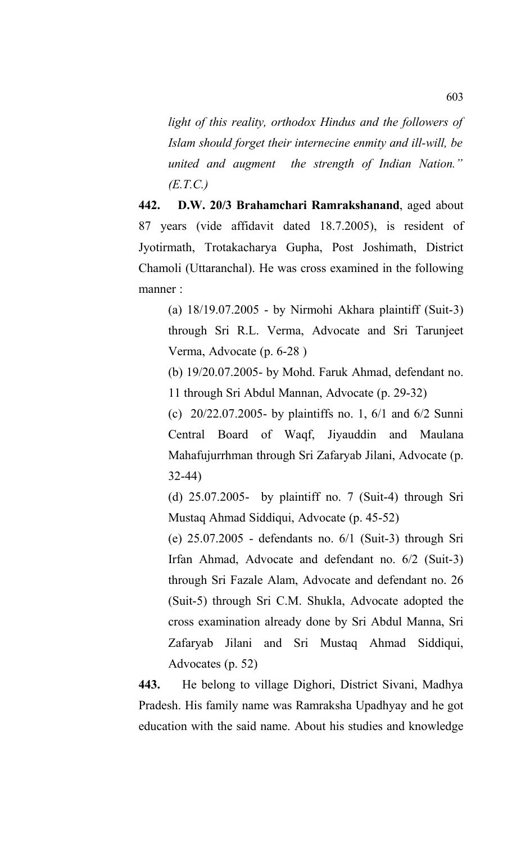*light of this reality, orthodox Hindus and the followers of Islam should forget their internecine enmity and ill-will, be united and augment the strength of Indian Nation." (E.T.C.)*

**442. D.W. 20/3 Brahamchari Ramrakshanand**, aged about 87 years (vide affidavit dated 18.7.2005), is resident of Jyotirmath, Trotakacharya Gupha, Post Joshimath, District Chamoli (Uttaranchal). He was cross examined in the following manner :

(a) 18/19.07.2005 - by Nirmohi Akhara plaintiff (Suit-3) through Sri R.L. Verma, Advocate and Sri Tarunjeet Verma, Advocate (p. 6-28 )

(b) 19/20.07.2005- by Mohd. Faruk Ahmad, defendant no. 11 through Sri Abdul Mannan, Advocate (p. 29-32)

(c) 20/22.07.2005- by plaintiffs no. 1, 6/1 and 6/2 Sunni Central Board of Waqf, Jiyauddin and Maulana Mahafujurrhman through Sri Zafaryab Jilani, Advocate (p. 32-44)

(d) 25.07.2005- by plaintiff no. 7 (Suit-4) through Sri Mustaq Ahmad Siddiqui, Advocate (p. 45-52)

(e) 25.07.2005 - defendants no. 6/1 (Suit-3) through Sri Irfan Ahmad, Advocate and defendant no. 6/2 (Suit-3) through Sri Fazale Alam, Advocate and defendant no. 26 (Suit-5) through Sri C.M. Shukla, Advocate adopted the cross examination already done by Sri Abdul Manna, Sri Zafaryab Jilani and Sri Mustaq Ahmad Siddiqui, Advocates (p. 52)

**443.** He belong to village Dighori, District Sivani, Madhya Pradesh. His family name was Ramraksha Upadhyay and he got education with the said name. About his studies and knowledge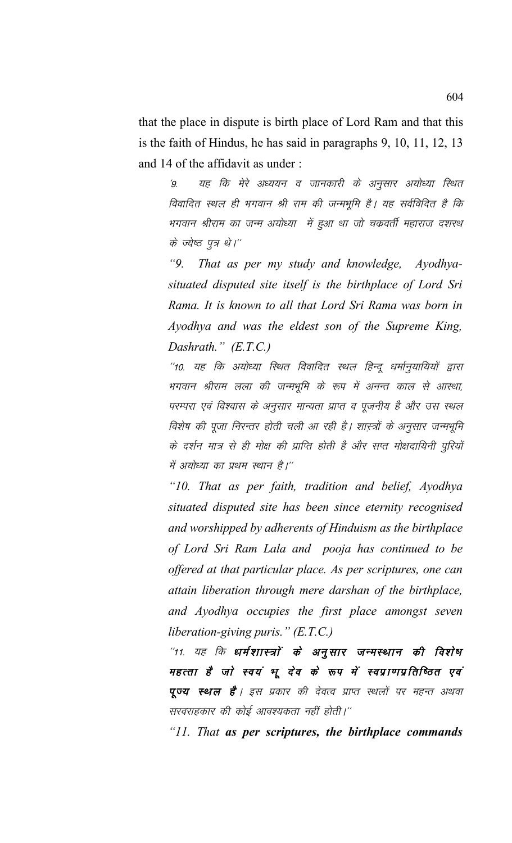that the place in dispute is birth place of Lord Ram and that this is the faith of Hindus, he has said in paragraphs 9, 10, 11, 12, 13 and 14 of the affidavit as under :

'9. यह कि मेरे अध्ययन व जानकारी के अनुसार अयोध्या स्थित विवादित स्थल ही भगवान श्री राम की जन्मभूमि है। यह सर्वविदित है कि भगवान श्रीराम का जन्म अयोध्या में हुआ था जो चक्रवर्ती महाराज दशरथ के ज्येष्ठ पुत्र थे।"

*"9. That as per my study and knowledge, Ayodhyasituated disputed site itself is the birthplace of Lord Sri Rama. It is known to all that Lord Sri Rama was born in Ayodhya and was the eldest son of the Supreme King, Dashrath." (E.T.C.)*

"10. यह कि अयोध्या स्थित विवादित स्थल हिन्दू धर्मानुयायियों द्वारा भगवान श्रीराम लला की जन्मभूमि के रूप में अनन्त काल से आस्था, परम्परा एवं विश्वास के अनुसार मान्यता प्राप्त व पूजनीय है और उस स्थल विशेष की पूजा निरन्तर होती चली आ रही है। शास्त्रों के अनुसार जन्मभूमि के दर्शन मात्र से ही मोक्ष की प्राप्ति होती है और सप्त मोक्षदायिनी पुरियों में अयोध्या का प्रथम स्थान है।''

*"10. That as per faith, tradition and belief, Ayodhya situated disputed site has been since eternity recognised and worshipped by adherents of Hinduism as the birthplace of Lord Sri Ram Lala and pooja has continued to be offered at that particular place. As per scriptures, one can attain liberation through mere darshan of the birthplace, and Ayodhya occupies the first place amongst seven liberation-giving puris." (E.T.C.)*

 $^{\prime\prime}$ 11. यह कि धर्मशास्त्रों के अनुसार जन्मस्थान की विशेष महत्ता है जो स्वयं भू देव के रूप में स्वप्राणप्रतिष्ठित एवं **पूज्य स्थल है**। इस प्रकार की देवत्व प्राप्त स्थलों पर महन्त अथवा सरवराहकार की कोई आवश्यकता नहीं होती।"

*"11. That as per scriptures, the birthplace commands*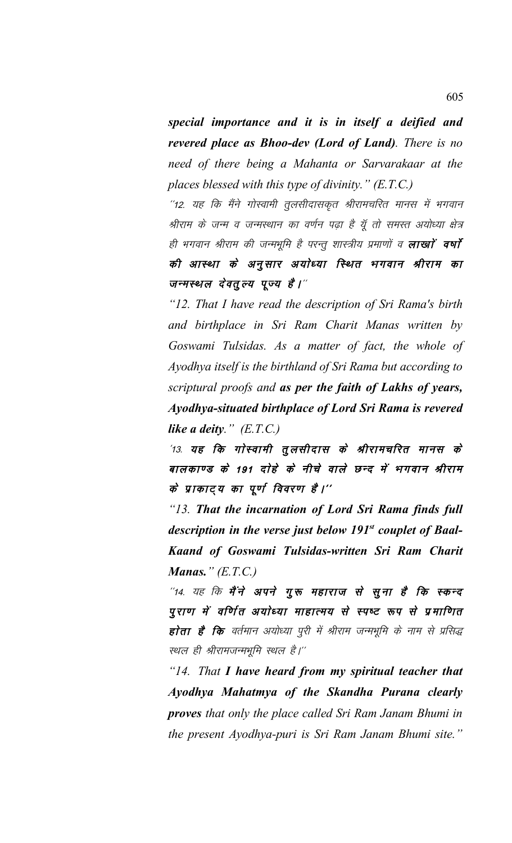*special importance and it is in itself a deified and revered place as Bhoo-dev (Lord of Land). There is no need of there being a Mahanta or Sarvarakaar at the places blessed with this type of divinity." (E.T.C.)*

"12. यह कि मैंने गोस्वामी तूलसीदासकृत श्रीरामचरित मानस में भगवान श्रीराम के जन्म व जन्मस्थान का वर्णन पढ़ा है यूँ तो समस्त अयोध्या क्षेत्र ही भगवान श्रीराम की जन्मभूमि है परन्तू शास्त्रीय प्रमाणों व **लाखां वर्षा** की आस्था के अनुसार अयोध्या स्थित भगवान श्रीराम का जन्मस्थल देवतुल्य पूज्य है।"

*"12. That I have read the description of Sri Rama's birth and birthplace in Sri Ram Charit Manas written by Goswami Tulsidas. As a matter of fact, the whole of Ayodhya itself is the birthland of Sri Rama but according to scriptural proofs and as per the faith of Lakhs of years, Ayodhya-situated birthplace of Lord Sri Rama is revered like a deity." (E.T.C.)*

 $13.$  यह कि गोस्वामी तुलसीदास के श्रीरामचरित मानस के बालकाण्ड के 191 दोहे के नीचे वाले छन्द में भगवान श्रीराम के प्राकाट्य का पूर्ण विवरण है।''

*"13. That the incarnation of Lord Sri Rama finds full description in the verse just below 191st couplet of Baal-Kaand of Goswami Tulsidas-written Sri Ram Charit Manas." (E.T.C.)*

"14. यह कि मैंने अपने गुरू महाराज से सुना है कि स्कन्द पुराण में वर्णित अयोध्या माहात्मय से स्पष्ट रूप से प्रमाणित होता है कि वर्तमान अयोध्या पूरी में श्रीराम जन्मभूमि के नाम से प्रसिद्ध स्थल ही श्रीरामजन्मभूमि स्थल है।''

*"14. That I have heard from my spiritual teacher that Ayodhya Mahatmya of the Skandha Purana clearly proves that only the place called Sri Ram Janam Bhumi in the present Ayodhya-puri is Sri Ram Janam Bhumi site."*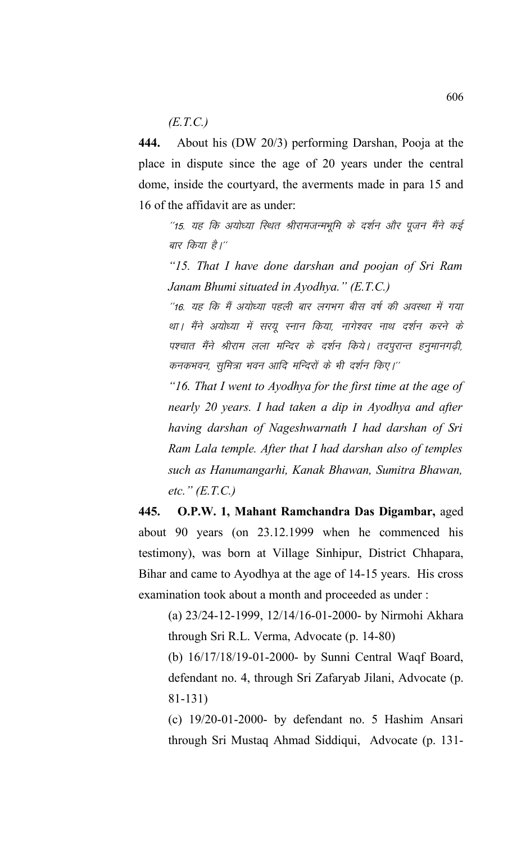*(E.T.C.)*

**444.** About his (DW 20/3) performing Darshan, Pooja at the place in dispute since the age of 20 years under the central dome, inside the courtyard, the averments made in para 15 and 16 of the affidavit are as under:

"15. यह कि अयोध्या स्थित श्रीरामजन्मभूमि के दर्शन और पूजन मैंने कई बार किया है।''

*"15. That I have done darshan and poojan of Sri Ram Janam Bhumi situated in Ayodhya." (E.T.C.)*

"16. यह कि मैं अयोध्या पहली बार लगभग बीस वर्ष की अवस्था में गया था। मैंने अयोध्या में सरयु स्नान किया, नागेश्वर नाथ दर्शन करने के पश्चात मैंने श्रीराम लला मन्दिर के दर्शन किये। तदपुरान्त हनुमानगढ़ी, कनकभवन, सुमित्रा भवन आदि मन्दिरों के भी दर्शन किए।''

*"16. That I went to Ayodhya for the first time at the age of nearly 20 years. I had taken a dip in Ayodhya and after having darshan of Nageshwarnath I had darshan of Sri Ram Lala temple. After that I had darshan also of temples such as Hanumangarhi, Kanak Bhawan, Sumitra Bhawan, etc." (E.T.C.)*

**445. O.P.W. 1, Mahant Ramchandra Das Digambar,** aged about 90 years (on 23.12.1999 when he commenced his testimony), was born at Village Sinhipur, District Chhapara, Bihar and came to Ayodhya at the age of 14-15 years. His cross examination took about a month and proceeded as under :

(a) 23/24-12-1999, 12/14/16-01-2000- by Nirmohi Akhara through Sri R.L. Verma, Advocate (p. 14-80)

(b) 16/17/18/19-01-2000- by Sunni Central Waqf Board, defendant no. 4, through Sri Zafaryab Jilani, Advocate (p. 81-131)

(c) 19/20-01-2000- by defendant no. 5 Hashim Ansari through Sri Mustaq Ahmad Siddiqui, Advocate (p. 131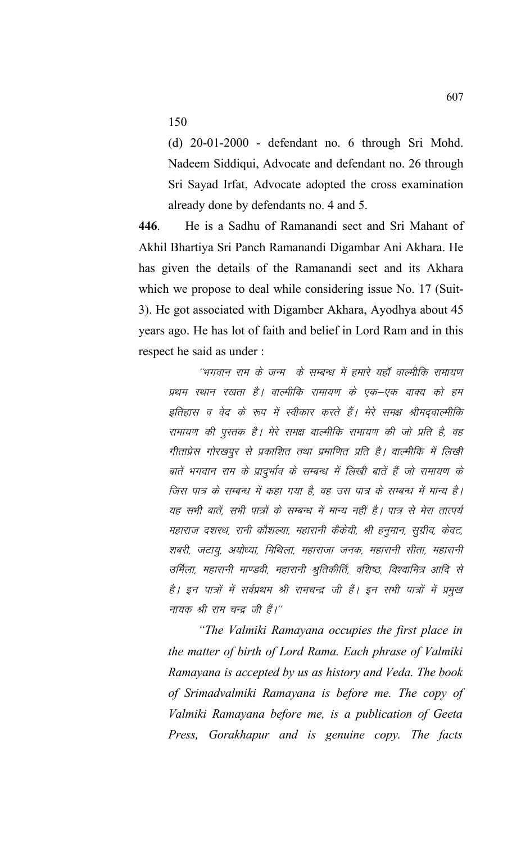150

(d) 20-01-2000 - defendant no. 6 through Sri Mohd. Nadeem Siddiqui, Advocate and defendant no. 26 through Sri Sayad Irfat, Advocate adopted the cross examination already done by defendants no. 4 and 5.

**446**. He is a Sadhu of Ramanandi sect and Sri Mahant of Akhil Bhartiya Sri Panch Ramanandi Digambar Ani Akhara. He has given the details of the Ramanandi sect and its Akhara which we propose to deal while considering issue No. 17 (Suit-3). He got associated with Digamber Akhara, Ayodhya about 45 years ago. He has lot of faith and belief in Lord Ram and in this respect he said as under :

''भगवान राम के जन्म के सम्बन्ध में हमारे यहाँ वाल्मीकि रामायण प्रथम स्थान रखता है। वाल्मीकि रामायण के एक–एक वाक्य को हम इतिहास व वेद के रूप में स्वीकार करते हैं। मेरे समक्ष श्रीमद्वाल्मीकि रामायण की पुस्तक है। मेरे समक्ष वाल्मीकि रामायण की जो प्रति है, वह गीताप्रेस गोरखपुर से प्रकाशित तथा प्रमाणित प्रति है। वाल्मीकि में लिखी बातें भगवान राम के प्रादुर्भाव के सम्बन्ध में लिखी बातें हैं जो रामायण के जिस पात्र के सम्बन्ध में कहा गया है, वह उस पात्र के सम्बन्ध में मान्य है। यह सभी बातें, सभी पात्रों के सम्बन्ध में मान्य नहीं है। पात्र से मेरा तात्पर्य महाराज दशरथ, रानी कौशल्या, महारानी कैंकेयी, श्री हनुमान, सूग्रीव, केवट, शबरी, जटायू, अयोध्या, मिथिला, महाराजा जनक, महारानी सीता, महारानी उर्मिला, महारानी माण्डवी, महारानी श्रुतिकीर्ति, वशिष्ठ, विश्वामित्र आदि से है। इन पात्रों में सर्वप्रथम श्री रामचन्द्र जी हैं। इन सभी पात्रों में प्रमुख नायक श्री राम चन्द्र जी हैं।"

*"The Valmiki Ramayana occupies the first place in the matter of birth of Lord Rama. Each phrase of Valmiki Ramayana is accepted by us as history and Veda. The book of Srimadvalmiki Ramayana is before me. The copy of Valmiki Ramayana before me, is a publication of Geeta Press, Gorakhapur and is genuine copy. The facts*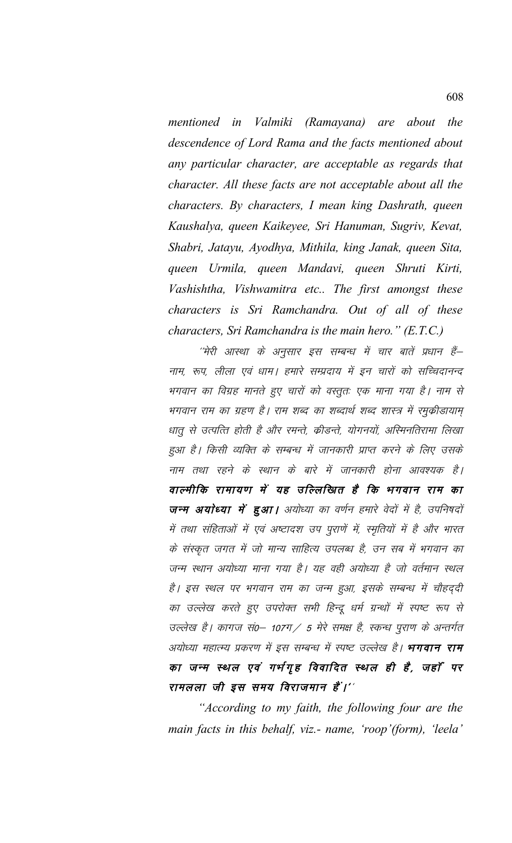*mentioned in Valmiki (Ramayana) are about the descendence of Lord Rama and the facts mentioned about any particular character, are acceptable as regards that character. All these facts are not acceptable about all the characters. By characters, I mean king Dashrath, queen Kaushalya, queen Kaikeyee, Sri Hanuman, Sugriv, Kevat, Shabri, Jatayu, Ayodhya, Mithila, king Janak, queen Sita, queen Urmila, queen Mandavi, queen Shruti Kirti, Vashishtha, Vishwamitra etc.. The first amongst these characters is Sri Ramchandra. Out of all of these characters, Sri Ramchandra is the main hero." (E.T.C.)*

''मेरी आस्था के अनुसार इस सम्बन्ध में चार बातें प्रधान हैं– नाम, रूप, लीला एवं धाम। हमारे सम्प्रदाय में इन चारों को सच्चिदानन्द भगवान का विग्रह मानते हुए चारों को वस्तूत: एक माना गया है। नाम से भगवान राम का ग्रहण है। राम शब्द का शब्दार्थ शब्द शास्त्र में रमुकीडायाम् धातू से उत्पत्ति होती है और रमन्ते, क्रीडन्ते, योगनयों, अस्मिनतिरामा लिखा हुआ है। किसी व्यक्ति के सम्बन्ध में जानकारी प्राप्त करने के लिए उसके नाम तथा रहने के स्थान के बारे में जानकारी होना आवश्यक है। वाल्मीकि रामायण में यह उल्लिखित है कि भगवान राम का जन्म अयोध्या में हुआ। अयोध्या का वर्णन हमारे वेदों में है, उपनिषदों में तथा संहिताओं में एवं अष्टादश उप पुराणें में, स्मृतियों में है और भारत के संस्कृत जगत में जो मान्य साहित्य उपलब्ध है, उन सब में भगवान का जन्म स्थान अयोध्या माना गया है। यह वही अयोध्या है जो वर्तमान स्थल है। इस स्थल पर भगवान राम का जन्म हुआ, इसके सम्बन्ध में चौहददी का उल्लेख करते हुए उपरोक्त सभी हिन्दू धर्म ग्रन्थों में स्पष्ट रूप से उल्लेख है। कागज सं0-107ग/ 5 मेरे समक्ष है, स्कन्ध पुराण के अन्तर्गत अयोध्या महात्म्य प्रकरण में इस सम्बन्ध में स्पष्ट उल्लेख है। **भगवान राम** का जन्म स्थल एवं गर्भगृह विवादित स्थल ही है, जहाँ पर रामलला जी इस समय विराजमान हैं।''

*"According to my faith, the following four are the main facts in this behalf, viz.- name, 'roop'(form), 'leela'*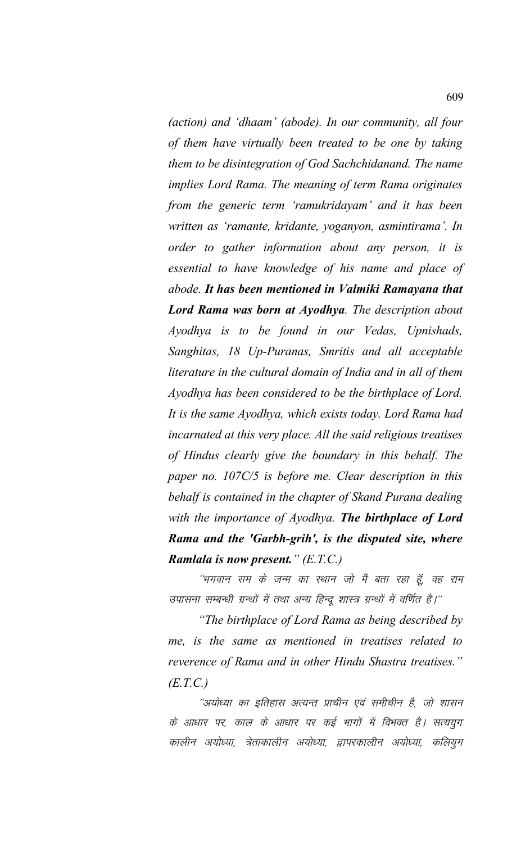*(action) and 'dhaam' (abode). In our community, all four of them have virtually been treated to be one by taking them to be disintegration of God Sachchidanand. The name implies Lord Rama. The meaning of term Rama originates from the generic term 'ramukridayam' and it has been written as 'ramante, kridante, yoganyon, asmintirama'. In order to gather information about any person, it is essential to have knowledge of his name and place of abode. It has been mentioned in Valmiki Ramayana that Lord Rama was born at Ayodhya. The description about Ayodhya is to be found in our Vedas, Upnishads, Sanghitas, 18 Up-Puranas, Smritis and all acceptable literature in the cultural domain of India and in all of them Ayodhya has been considered to be the birthplace of Lord. It is the same Ayodhya, which exists today. Lord Rama had incarnated at this very place. All the said religious treatises of Hindus clearly give the boundary in this behalf. The paper no. 107C/5 is before me. Clear description in this behalf is contained in the chapter of Skand Purana dealing with the importance of Ayodhya. The birthplace of Lord Rama and the 'Garbh-grih', is the disputed site, where Ramlala is now present." (E.T.C.)*

''भगवान राम के जन्म का स्थान जो मैं बता रहा हूँ, वह राम उपासना सम्बन्धी ग्रन्थों में तथा अन्य हिन्दू शास्त्र ग्रन्थों में वर्णित है।''

*"The birthplace of Lord Rama as being described by me, is the same as mentioned in treatises related to reverence of Rama and in other Hindu Shastra treatises." (E.T.C.)*

''अयोध्या का इतिहास अत्यन्त प्राचीन एवं समीचीन है, जो शासन के आधार पर, काल के आधार पर कई भागों में विभक्त है। सत्ययुग कालीन अयोध्या, त्रेताकालीन अयोध्या, द्वापरकालीन अयोध्या, कलियुग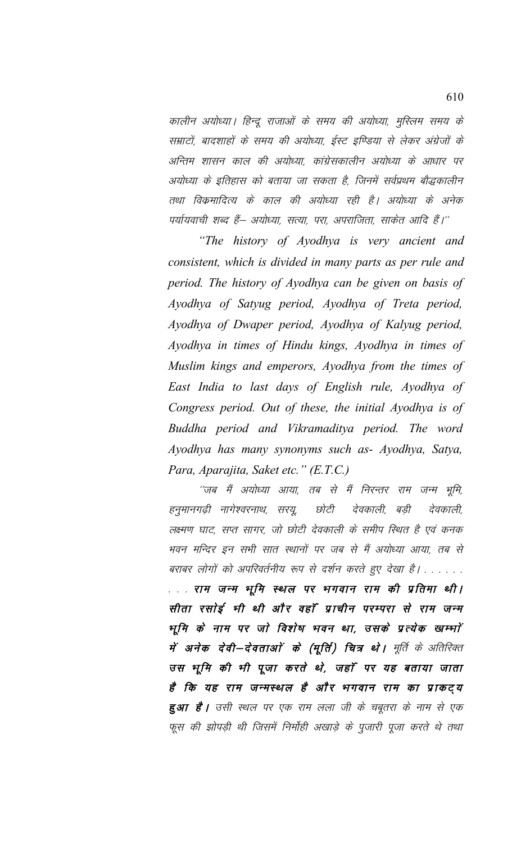कालीन अयोध्या। हिन्दू राजाओं के समय की अयोध्या, मुस्लिम समय के सम्राटों, बादशाहों के समय की अयोध्या, ईस्ट इण्डिया से लेकर अंग्रेजों के अन्तिम शासन काल की अयोध्या, कांग्रेसकालीन अयोध्या के आधार पर अयोध्या के इतिहास को बताया जा सकता है, जिनमें सर्वप्रथम बौद्धकालीन तथा विक्रमादित्य के काल की अयोध्या रही है। अयोध्या के अनेक पर्यायवाची शब्द हैं– अयोध्या, सत्या, परा, अपराजिता, साकेत आदि हैं।''

*"The history of Ayodhya is very ancient and consistent, which is divided in many parts as per rule and period. The history of Ayodhya can be given on basis of Ayodhya of Satyug period, Ayodhya of Treta period, Ayodhya of Dwaper period, Ayodhya of Kalyug period, Ayodhya in times of Hindu kings, Ayodhya in times of Muslim kings and emperors, Ayodhya from the times of East India to last days of English rule, Ayodhya of Congress period. Out of these, the initial Ayodhya is of Buddha period and Vikramaditya period. The word Ayodhya has many synonyms such as- Ayodhya, Satya, Para, Aparajita, Saket etc." (E.T.C.)*

"जब मैं अयोध्या आया, तब से मैं निरन्तर राम जन्म भूमि, हनुमानगढ़ी नागेश्वरनाथ, सरयू, छोटी देवकाली, बड़ी देवकाली, लक्ष्मण घाट, सप्त सागर, जो छोटी देवकाली के समीप स्थित है एवं कनक भवन मन्दिर इन सभी सात स्थानों पर जब से मैं अयोध्या आया, तब से बराबर लोगों को अपरिवर्तनीय रूप से दर्शन करते हुए देखा है। . . . . . . . . . राम जन्म भूमि स्थल पर भगवान राम की प्रतिमा थी। सीता रसोई भी थी और वहाँ प्राचीन परम्परा से राम जन्म भूमि के नाम पर जो विशेष भवन था, उसके प्रत्येक खम्भाें में अनेक देवी—देवताओं के (मूर्ति) चित्र थे। मूर्ति के अतिरिक्त उस भूमि की भी पूजा करते थे, जहाँ पर यह बताया जाता है कि यह राम जन्मस्थल है और भगवान राम का प्राकट्य **हुआ है।** उसी स्थल पर एक राम लला जी के चबूतरा के नाम से एक फूस की झोपड़ी थी जिसमें निर्मोही अखाड़े के पुजारी पूजा करते थे तथा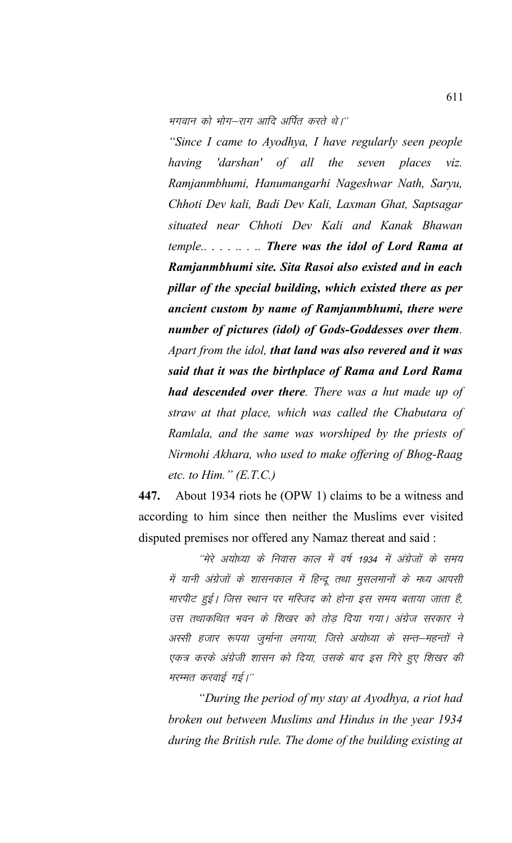भगवान को भोग–राग आदि अर्पित करते थे।''

"Since I came to Ayodhya, I have regularly seen people 'darshan' of all the seven places having  $\overline{viz}$ . Ramjanmbhumi, Hanumangarhi Nageshwar Nath, Saryu, Chhoti Dev kali, Badi Dev Kali, Laxman Ghat, Saptsagar situated near Chhoti Dev Kali and Kanak Bhawan temple........ There was the idol of Lord Rama at Ramjanmbhumi site. Sita Rasoi also existed and in each pillar of the special building, which existed there as per ancient custom by name of Ramjanmbhumi, there were number of pictures (idol) of Gods-Goddesses over them. Apart from the idol, that land was also revered and it was said that it was the birthplace of Rama and Lord Rama **had descended over there.** There was a hut made up of straw at that place, which was called the Chabutara of Ramlala, and the same was worshiped by the priests of Nirmohi Akhara, who used to make offering of Bhog-Raag etc. to Him."  $(E.T.C.)$ 

About 1934 riots he (OPW 1) claims to be a witness and 447. according to him since then neither the Muslims ever visited disputed premises nor offered any Namaz thereat and said:

"मेरे अयोध्या के निवास काल में वर्ष 1934 में अंग्रेजों के समय में यानी अंग्रेजों के शासनकाल में हिन्दू तथा मुसलमानों के मध्य आपसी मारपीट हुई। जिस स्थान पर मस्जिद को होना इस समय बताया जाता है, उस तथाकथित भवन के शिखर को तोड़ दिया गया। अंग्रेज सरकार ने अस्सी हजार रूपया जुर्माना लगाया, जिसे अयोध्या के सन्त—महन्तों ने एकत्र करके अंग्रेजी शासन को दिया, उसके बाद इस गिरे हुए शिखर की मरम्मत करवाई गई।"

"During the period of my stay at Ayodhya, a riot had broken out between Muslims and Hindus in the year 1934 during the British rule. The dome of the building existing at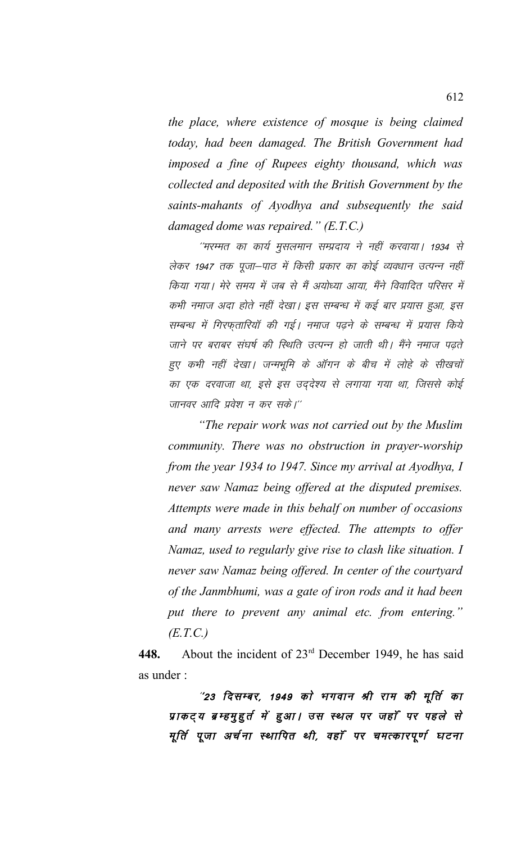*the place, where existence of mosque is being claimed today, had been damaged. The British Government had imposed a fine of Rupees eighty thousand, which was collected and deposited with the British Government by the saints-mahants of Ayodhya and subsequently the said damaged dome was repaired." (E.T.C.)*

"मरम्मत का कार्य मुसलमान सम्प्रदाय ने नहीं करवाया। 1934 से लेकर 1947 तक पूजा–पाठ में किसी प्रकार का कोई व्यवधान उत्पन्न नहीं किया गया। मेरे समय में जब से मैं अयोध्या आया, मैंने विवादित परिसर में कभी नमाज अदा होते नहीं देखा। इस सम्बन्ध में कई बार प्रयास हुआ, इस सम्बन्ध में गिरफ़तारियॉ की गई। नमाज पढ़ने के सम्बन्ध में प्रयास किये जाने पर बराबर संघर्ष की स्थिति उत्पन्न हो जाती थी। मैंने नमाज पढते हुए कभी नहीं देखा। जन्मभूमि के ऑगन के बीच में लोहे के सीखचों का एक दरवाजा था, इसे इस उद्देश्य से लगाया गया था, जिससे कोई जानवर आदि प्रवेश न कर सके।''

*"The repair work was not carried out by the Muslim community. There was no obstruction in prayer-worship from the year 1934 to 1947. Since my arrival at Ayodhya, I never saw Namaz being offered at the disputed premises. Attempts were made in this behalf on number of occasions and many arrests were effected. The attempts to offer Namaz, used to regularly give rise to clash like situation. I never saw Namaz being offered. In center of the courtyard of the Janmbhumi, was a gate of iron rods and it had been put there to prevent any animal etc. from entering." (E.T.C.)*

**448.** About the incident of 23rd December 1949, he has said as under :

"23 दिसम्बर, 1949 को भगवान श्री राम की मूर्ति का प्राकट्य ब्रम्हमुहुर्त में हुआ। उस स्थल पर जहाँ पर पहले से मूर्ति पूजा अर्चना स्थापित थी, वहाँ पर चमत्कारपूर्ण घटना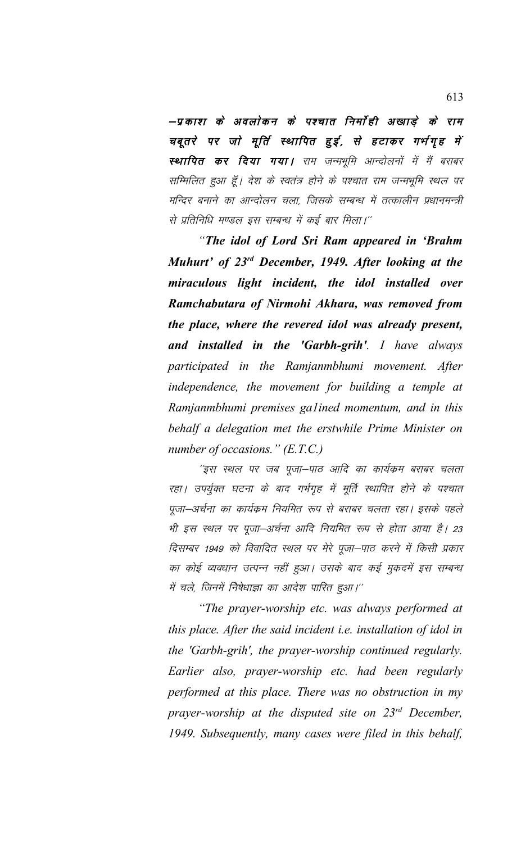–प्रकाश के अवलोकन के पश्चात निर्मोही अखाड़े के राम चबूतरे पर जो मूर्ति स्थापित हुई, से हटाकर गर्भगृह में स्थापित कर दिया गया। राम जन्मभूमि आन्दोलनों में मैं बराबर सम्मिलित हुआ हूँ। देश के स्वतंत्र होने के पश्चात राम जन्मभूमि स्थल पर मन्दिर बनाने का आन्दोलन चला. जिसके सम्बन्ध में तत्कालीन प्रधानमन्त्री से प्रतिनिधि मण्डल इस सम्बन्ध में कई बार मिला।"

*"The idol of Lord Sri Ram appeared in 'Brahm Muhurt' of 23rd December, 1949. After looking at the miraculous light incident, the idol installed over Ramchabutara of Nirmohi Akhara, was removed from the place, where the revered idol was already present, and installed in the 'Garbh-grih'. I have always participated in the Ramjanmbhumi movement. After independence, the movement for building a temple at Ramjanmbhumi premises ga1ined momentum, and in this behalf a delegation met the erstwhile Prime Minister on number of occasions." (E.T.C.)*

''इस स्थल पर जब पूजा–पाठ आदि का कार्यक्रम बराबर चलता रहा। उपर्युक्त घटना के बाद गर्भगृह में मूर्ति स्थापित होने के पश्चात पूजा–अर्चना का कार्यक्रम नियमित रूप से बराबर चलता रहा। इसके पहले भी इस स्थल पर पूजा-अर्चना आदि नियमित रूप से होता आया है। 23 दिसम्बर 1949 को विवादित स्थल पर मेरे पूजा–पाठ करने में किसी प्रकार का कोई व्यवधान उत्पन्न नहीं हुआ। उसके बाद कई मुकदमें इस सम्बन्ध में चले, जिनमें निेषेधाज्ञा का आदेश पारित हुआ।''

*"The prayer-worship etc. was always performed at this place. After the said incident i.e. installation of idol in the 'Garbh-grih', the prayer-worship continued regularly. Earlier also, prayer-worship etc. had been regularly performed at this place. There was no obstruction in my prayer-worship at the disputed site on 23rd December, 1949. Subsequently, many cases were filed in this behalf,*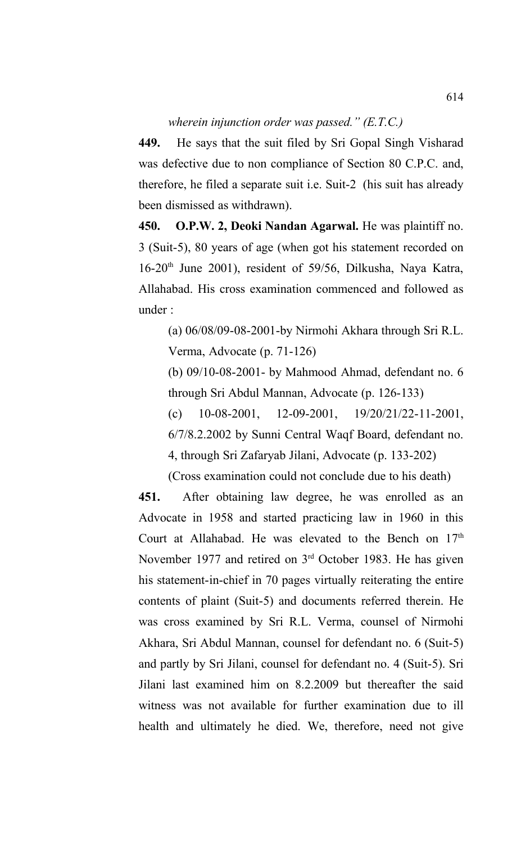## *wherein injunction order was passed." (E.T.C.)*

**449.** He says that the suit filed by Sri Gopal Singh Visharad was defective due to non compliance of Section 80 C.P.C. and, therefore, he filed a separate suit i.e. Suit-2 (his suit has already been dismissed as withdrawn).

**450. O.P.W. 2, Deoki Nandan Agarwal.** He was plaintiff no. 3 (Suit-5), 80 years of age (when got his statement recorded on 16-20th June 2001), resident of 59/56, Dilkusha, Naya Katra, Allahabad. His cross examination commenced and followed as under :

(a) 06/08/09-08-2001-by Nirmohi Akhara through Sri R.L. Verma, Advocate (p. 71-126)

(b) 09/10-08-2001- by Mahmood Ahmad, defendant no. 6 through Sri Abdul Mannan, Advocate (p. 126-133)

(c) 10-08-2001, 12-09-2001, 19/20/21/22-11-2001, 6/7/8.2.2002 by Sunni Central Waqf Board, defendant no. 4, through Sri Zafaryab Jilani, Advocate (p. 133-202)

(Cross examination could not conclude due to his death)

**451.** After obtaining law degree, he was enrolled as an Advocate in 1958 and started practicing law in 1960 in this Court at Allahabad. He was elevated to the Bench on 17<sup>th</sup> November 1977 and retired on 3<sup>rd</sup> October 1983. He has given his statement-in-chief in 70 pages virtually reiterating the entire contents of plaint (Suit-5) and documents referred therein. He was cross examined by Sri R.L. Verma, counsel of Nirmohi Akhara, Sri Abdul Mannan, counsel for defendant no. 6 (Suit-5) and partly by Sri Jilani, counsel for defendant no. 4 (Suit-5). Sri Jilani last examined him on 8.2.2009 but thereafter the said witness was not available for further examination due to ill health and ultimately he died. We, therefore, need not give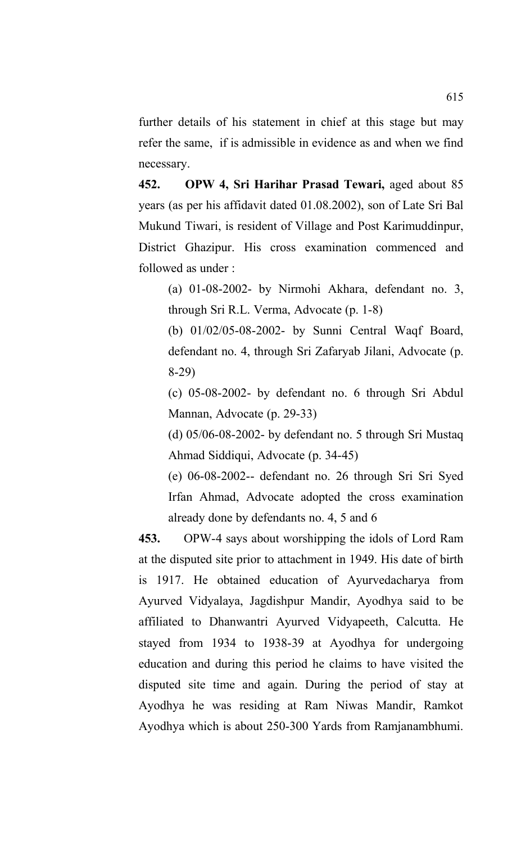further details of his statement in chief at this stage but may refer the same, if is admissible in evidence as and when we find necessary.

**452. OPW 4, Sri Harihar Prasad Tewari,** aged about 85 years (as per his affidavit dated 01.08.2002), son of Late Sri Bal Mukund Tiwari, is resident of Village and Post Karimuddinpur, District Ghazipur. His cross examination commenced and followed as under :

(a) 01-08-2002- by Nirmohi Akhara, defendant no. 3, through Sri R.L. Verma, Advocate (p. 1-8)

(b) 01/02/05-08-2002- by Sunni Central Waqf Board, defendant no. 4, through Sri Zafaryab Jilani, Advocate (p. 8-29)

(c) 05-08-2002- by defendant no. 6 through Sri Abdul Mannan, Advocate (p. 29-33)

(d) 05/06-08-2002- by defendant no. 5 through Sri Mustaq Ahmad Siddiqui, Advocate (p. 34-45)

(e) 06-08-2002-- defendant no. 26 through Sri Sri Syed Irfan Ahmad, Advocate adopted the cross examination already done by defendants no. 4, 5 and 6

**453.** OPW-4 says about worshipping the idols of Lord Ram at the disputed site prior to attachment in 1949. His date of birth is 1917. He obtained education of Ayurvedacharya from Ayurved Vidyalaya, Jagdishpur Mandir, Ayodhya said to be affiliated to Dhanwantri Ayurved Vidyapeeth, Calcutta. He stayed from 1934 to 1938-39 at Ayodhya for undergoing education and during this period he claims to have visited the disputed site time and again. During the period of stay at Ayodhya he was residing at Ram Niwas Mandir, Ramkot Ayodhya which is about 250-300 Yards from Ramjanambhumi.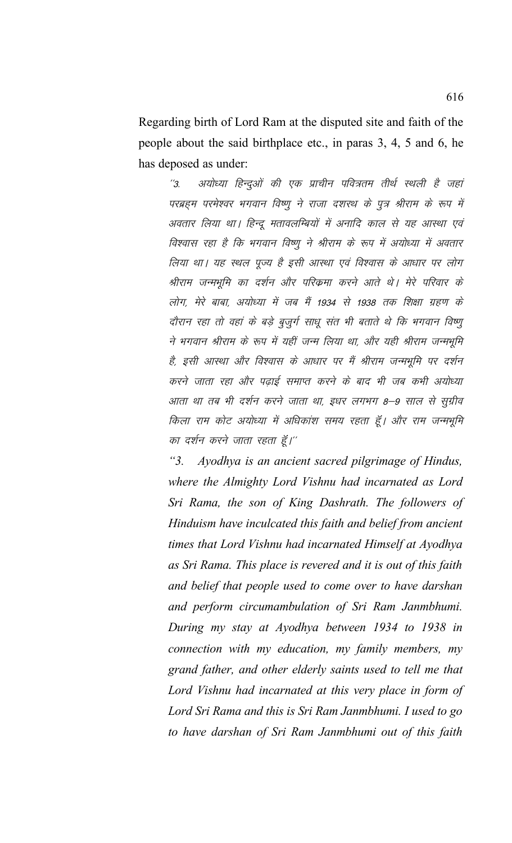Regarding birth of Lord Ram at the disputed site and faith of the people about the said birthplace etc., in paras 3, 4, 5 and 6, he has deposed as under:

अयोध्या हिन्दुओं की एक प्राचीन पवित्रतम तीर्थ स्थली है जहां  $^{\prime\prime}$ 3 परब्रहम परमेश्वर भगवान विष्णु ने राजा दशरथ के पुत्र श्रीराम के रूप में अवतार लिया था। हिन्दू मतावलम्बियों में अनादि काल से यह आस्था एवं विश्वास रहा है कि भगवान विष्णु ने श्रीराम के रूप में अयोध्या में अवतार लिया था। यह स्थल पूज्य है इसी आस्था एवं विश्वास के आधार पर लोग श्रीराम जन्मभूमि का दर्शन और परिक्रमा करने आते थे। मेरे परिवार के लोग, मेरे बाबा, अयोध्या में जब मैं 1934 से 1938 तक शिक्षा ग्रहण के दौरान रहा तो वहां के बड़े बूजूर्ग साधू संत भी बताते थे कि भगवान विष्णू ने भगवान श्रीराम के रूप में यहीं जन्म लिया था, और यही श्रीराम जन्मभूमि है, इसी आस्था और विश्वास के आधार पर मैं श्रीराम जन्मभूमि पर दर्शन करने जाता रहा और पढाई समाप्त करने के बाद भी जब कभी अयोध्या आता था तब भी दर्शन करने जाता था, इधर लगभग 8–9 साल से सूग्रीव किला राम कोट अयोध्या में अधिकांश समय रहता हूँ। और राम जन्मभूमि का दर्शन करने जाता रहता हूँ।''

Ayodhya is an ancient sacred pilgrimage of Hindus,  $"3.$ where the Almighty Lord Vishnu had incarnated as Lord Sri Rama, the son of King Dashrath. The followers of Hinduism have inculcated this faith and belief from ancient times that Lord Vishnu had incarnated Himself at Ayodhya as Sri Rama. This place is revered and it is out of this faith and belief that people used to come over to have darshan and perform circumambulation of Sri Ram Janmbhumi. During my stay at Ayodhya between 1934 to 1938 in connection with my education, my family members, my grand father, and other elderly saints used to tell me that Lord Vishnu had incarnated at this very place in form of Lord Sri Rama and this is Sri Ram Janmbhumi. I used to go to have darshan of Sri Ram Janmbhumi out of this faith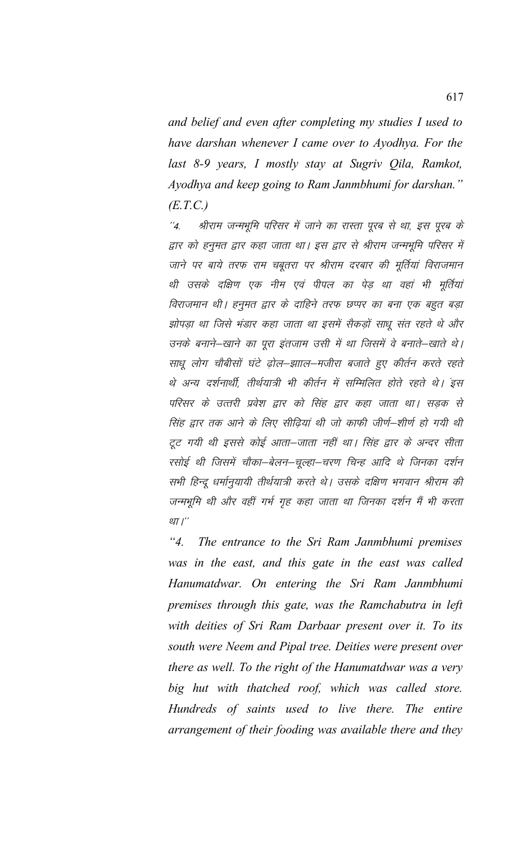and belief and even after completing my studies I used to have darshan whenever I came over to Ayodhya. For the last 8-9 years, I mostly stay at Sugriv Qila, Ramkot, Ayodhya and keep going to Ram Janmbhumi for darshan."  $(E.T.C.)$ 

श्रीराम जन्मभूमि परिसर में जाने का रास्ता पूरब से था, इस पूरब के  $^{\prime\prime}$ 4. द्वार को हनुमत द्वार कहा जाता था। इस द्वार से श्रीराम जन्मभूमि परिसर में जाने पर बाये तरफ राम चबूतरा पर श्रीराम दरबार की मूर्तियां विराजमान थी उसके दक्षिण एक नीम एवं पीपल का पेड़ था वहां भी मूर्तियां विराजमान थी। हनुमत द्वार के दाहिने तरफ छप्पर का बना एक बहुत बड़ा झोपड़ा था जिसे भंडार कहा जाता था इसमें सैकड़ों साधू संत रहते थे और उनके बनाने–खाने का पूरा इंतजाम उसी में था जिसमें वे बनाते–खाते थे। साधू लोग चौबीसों घंटे ढ़ोल–झााल–मजीरा बजाते हुए कीर्तन करते रहते थे अन्य दर्शनार्थी, तीर्थयात्री भी कीर्तन में सम्मिलित होते रहते थे। इस परिसर के उत्तरी प्रवेश द्वार को सिंह द्वार कहा जाता था। सडक से सिंह द्वार तक आने के लिए सीढ़ियां थी जो काफी जीर्ण–शीर्ण हो गयी थी टूट गयी थी इससे कोई आता–जाता नहीं था। सिंह द्वार के अन्दर सीता रसोई थी जिसमें चौका–बेलन–चूल्हा–चरण चिन्ह आदि थे जिनका दर्शन सभी हिन्दू धर्मानुयायी तीर्थयात्री करते थे। उसके दक्षिण भगवान श्रीराम की जन्मभूमि थी और वहीं गर्भ गृह कहा जाता था जिनका दर्शन मैं भी करता था।"

 $"4"$ The entrance to the Sri Ram Janmbhumi premises was in the east, and this gate in the east was called Hanumatdwar. On entering the Sri Ram Janmbhumi premises through this gate, was the Ramchabutra in left with deities of Sri Ram Darbaar present over it. To its south were Neem and Pipal tree. Deities were present over there as well. To the right of the Hanumatdwar was a very big hut with thatched roof, which was called store. Hundreds of saints used to live there. The entire arrangement of their fooding was available there and they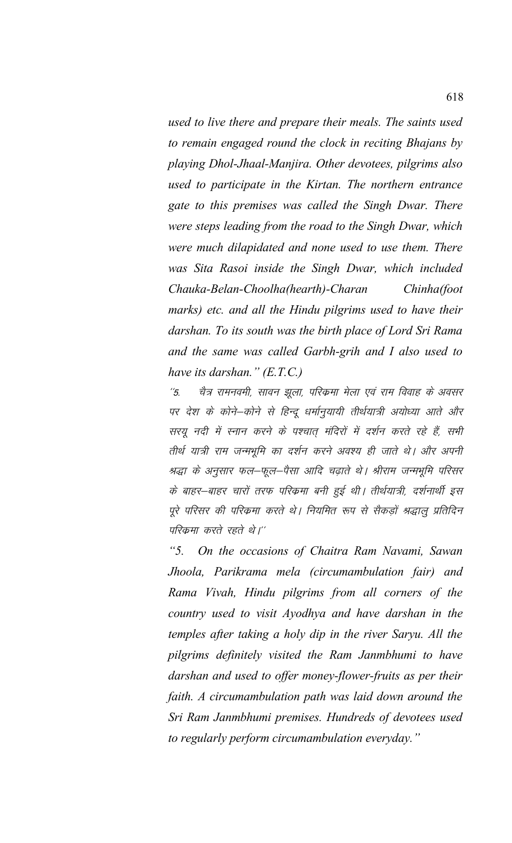used to live there and prepare their meals. The saints used to remain engaged round the clock in reciting Bhajans by playing Dhol-Jhaal-Manjira. Other devotees, pilgrims also used to participate in the Kirtan. The northern entrance gate to this premises was called the Singh Dwar. There were steps leading from the road to the Singh Dwar, which were much dilapidated and none used to use them. There was Sita Rasoi inside the Singh Dwar, which included Chauka-Belan-Choolha(hearth)-Charan Chinha(foot marks) etc. and all the Hindu pilgrims used to have their darshan. To its south was the birth place of Lord Sri Rama and the same was called Garbh-grih and I also used to have its darshan."  $(E.T.C.)$ 

चैत्र रामनवमी, सावन झूला, परिक्रमा मेला एवं राम विवाह के अवसर  $\frac{7}{5}$ पर देश के कोने–कोने से हिन्दू धर्मानुयायी तीर्थयात्री अयोध्या आते और सरयू नदी में स्नान करने के पश्चात् मंदिरों में दर्शन करते रहे हैं, सभी तीर्थ यात्री राम जन्मभूमि का दर्शन करने अवश्य ही जाते थे। और अपनी श्रद्धा के अनुसार फल–फूल–पैसा आदि चढ़ाते थे। श्रीराम जन्मभूमि परिसर के बाहर-बाहर चारों तरफ परिकमा बनी हुई थी। तीर्थयात्री, दर्शनार्थी इस पूरे परिसर की परिक्रमा करते थे। नियमित रूप से सैकड़ों श्रद्धालु प्रतिदिन परिक्रमा करते रहते थे।''

 $\mathcal{L}$  5. On the occasions of Chaitra Ram Navami, Sawan Jhoola, Parikrama mela (circumambulation fair) and Rama Vivah, Hindu pilgrims from all corners of the country used to visit Ayodhya and have darshan in the temples after taking a holy dip in the river Saryu. All the pilgrims definitely visited the Ram Janmbhumi to have darshan and used to offer money-flower-fruits as per their faith. A circumambulation path was laid down around the Sri Ram Janmbhumi premises. Hundreds of devotees used to regularly perform circumambulation everyday."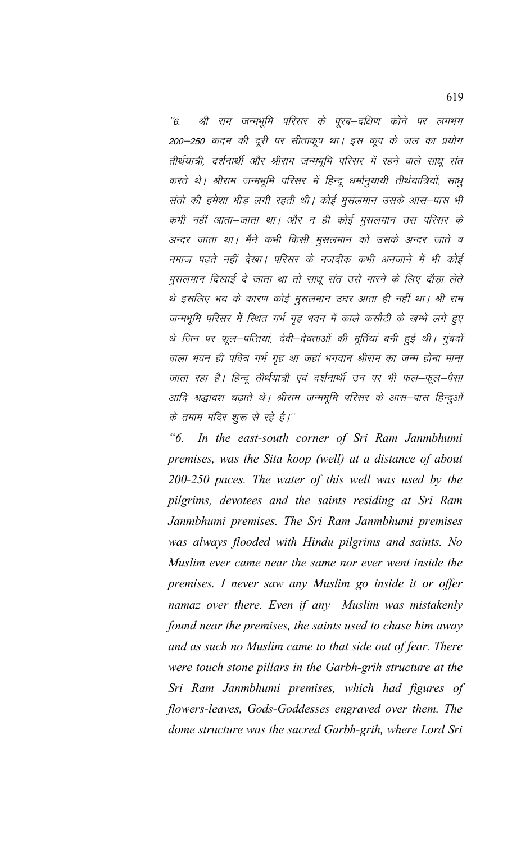श्री राम जन्मभूमि परिसर के पूरब–दक्षिण कोने पर लगभग  $\degree$ 6. 200–250 कदम की दूरी पर सीताकूप था। इस कूप के जल का प्रयोग तीर्थयात्री, दर्शनार्थी और श्रीराम जन्मभूमि परिसर में रहने वाले साधू संत करते थे। श्रीराम जन्मभूमि परिसर में हिन्दू धर्मानूयायी तीर्थयात्रियों, साधु संतो की हमेशा भीड़ लगी रहती थी। कोई मुसलमान उसके आस–पास भी कभी नहीं आता–जाता था। और न ही कोई मुसलमान उस परिसर के अन्दर जाता था। मैंने कभी किसी मुसलमान को उसके अन्दर जाते व नमाज पढ़ते नहीं देखा। परिसर के नजदीक कभी अनजाने में भी कोई मुसलमान दिखाई दे जाता था तो साधू संत उसे मारने के लिए दौड़ा लेते थे इसलिए भय के कारण कोई मुसलमान उधर आता ही नहीं था। श्री राम जन्मभूमि परिसर में स्थित गर्भ गृह भवन में काले कसौटी के खम्भे लगे हुए थे जिन पर फूल–पत्तियां, देवी–देवताओं की मूर्तियां बनी हुई थी। गुंबदों वाला भवन ही पवित्र गर्भ गृह था जहां भगवान श्रीराम का जन्म होना माना जाता रहा है। हिन्दू तीर्थयात्री एवं दर्शनार्थी उन पर भी फल–फूल–पैसा आदि श्रद्धावश चढ़ाते थे। श्रीराम जन्मभूमि परिसर के आस–पास हिन्दुओं के तमाम मंदिर शुरू से रहे है।''

 $\mathcal{L}$  6. In the east-south corner of Sri Ram Janmbhumi premises, was the Sita koop (well) at a distance of about 200-250 paces. The water of this well was used by the pilgrims, devotees and the saints residing at Sri Ram Janmbhumi premises. The Sri Ram Janmbhumi premises was always flooded with Hindu pilgrims and saints. No Muslim ever came near the same nor ever went inside the premises. I never saw any Muslim go inside it or offer namaz over there. Even if any Muslim was mistakenly found near the premises, the saints used to chase him away and as such no Muslim came to that side out of fear. There were touch stone pillars in the Garbh-grih structure at the Sri Ram Janmbhumi premises, which had figures of flowers-leaves, Gods-Goddesses engraved over them. The dome structure was the sacred Garbh-grih, where Lord Sri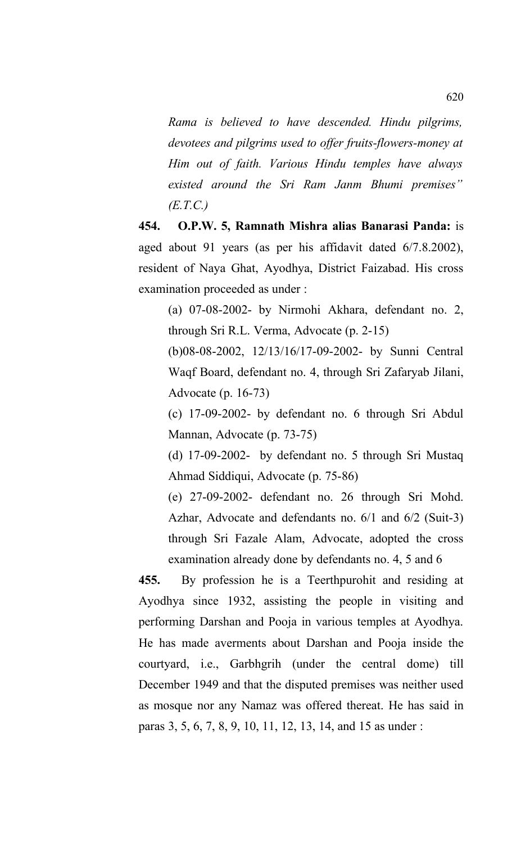*Rama is believed to have descended. Hindu pilgrims, devotees and pilgrims used to offer fruits-flowers-money at Him out of faith. Various Hindu temples have always existed around the Sri Ram Janm Bhumi premises" (E.T.C.)*

**454. O.P.W. 5, Ramnath Mishra alias Banarasi Panda:** is aged about 91 years (as per his affidavit dated 6/7.8.2002), resident of Naya Ghat, Ayodhya, District Faizabad. His cross examination proceeded as under :

(a) 07-08-2002- by Nirmohi Akhara, defendant no. 2, through Sri R.L. Verma, Advocate (p. 2-15)

(b)08-08-2002, 12/13/16/17-09-2002- by Sunni Central Waqf Board, defendant no. 4, through Sri Zafaryab Jilani, Advocate (p. 16-73)

(c) 17-09-2002- by defendant no. 6 through Sri Abdul Mannan, Advocate (p. 73-75)

(d) 17-09-2002- by defendant no. 5 through Sri Mustaq Ahmad Siddiqui, Advocate (p. 75-86)

(e) 27-09-2002- defendant no. 26 through Sri Mohd. Azhar, Advocate and defendants no. 6/1 and 6/2 (Suit-3) through Sri Fazale Alam, Advocate, adopted the cross examination already done by defendants no. 4, 5 and 6

**455.** By profession he is a Teerthpurohit and residing at Ayodhya since 1932, assisting the people in visiting and performing Darshan and Pooja in various temples at Ayodhya. He has made averments about Darshan and Pooja inside the courtyard, i.e., Garbhgrih (under the central dome) till December 1949 and that the disputed premises was neither used as mosque nor any Namaz was offered thereat. He has said in paras 3, 5, 6, 7, 8, 9, 10, 11, 12, 13, 14, and 15 as under :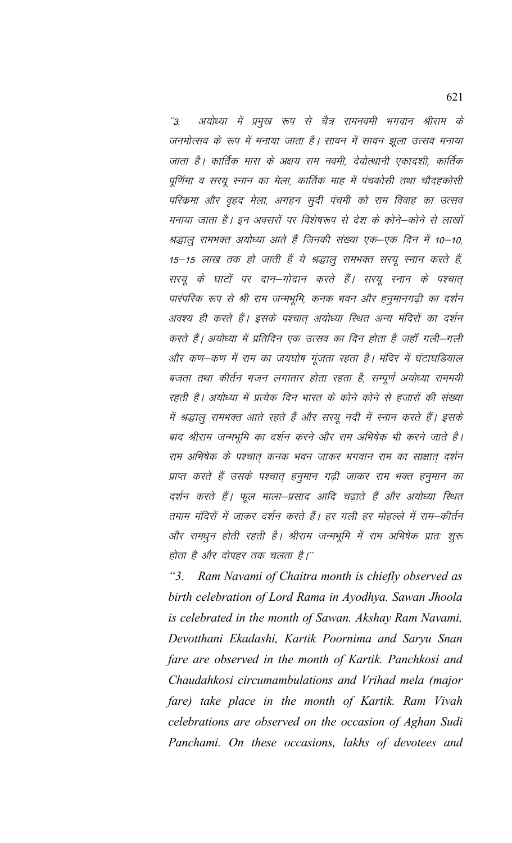अयोध्या में प्रमुख रूप से चैत्र रामनवमी भगवान श्रीराम के  $"3.$ जनमोत्सव के रूप में मनाया जाता है। सावन में सावन झूला उत्सव मनाया जाता है। कार्तिक मास के अक्षय राम नवमी, देवोत्थानी एकादशी, कार्तिक पूर्णिमा व सरयू स्नान का मेला, कार्तिक माह में पंचकोसी तथा चौदहकोसी परिक्रमा और वृहद मेला, अगहन सुदी पंचमी को राम विवाह का उत्सव मनाया जाता है। इन अवसरों पर विशेषरूप से देश के कोने–कोने से लाखों श्रद्धालु रामभक्त अयोध्या आते हैं जिनकी संख्या एक–एक दिन में 10–10, 15–15 लाख तक हो जाती हैं ये श्रद्धालु रामभक्त सरयू स्नान करते हैं, सरयू के घाटों पर दान–गोदान करते हैं। सरयू स्नान के पश्चात् पारंपरिक रूप से श्री राम जन्मभूमि, कनक भवन और हनुमानगढ़ी का दर्शन अवश्य ही करते हैं। इसके पश्चात् अयोध्या स्थित अन्य मंदिरों का दर्शन करते हैं। अयोध्या में प्रतिदिन एक उत्सव का दिन होता है जहाँ गली–गली और कण-कण में राम का जयघोष गूंजता रहता है। मंदिर में घंटाघडियाल बजता तथा कीर्तन भजन लगातार होता रहता है, सम्पूर्ण अयोध्या राममयी रहती है। अयोध्या में प्रत्येक दिन भारत के कोने कोने से हजारों की संख्या में श्रद्धालु रामभक्त आते रहते हैं और सरयू नदी में स्नान करते हैं। इसके बाद श्रीराम जन्मभूमि का दर्शन करने और राम अभिषेक भी करने जाते है। राम अभिषेक के पश्चात् कनक भवन जाकर भगवान राम का साक्षात् दर्शन प्राप्त करते हैं उसके पश्चात् हनुमान गढ़ी जाकर राम भक्त हनुमान का दर्शन करते हैं। फूल माला–प्रसाद आदि चढ़ाते हैं और अयोध्या स्थित तमाम मंदिरों में जाकर दर्शन करते हैं। हर गली हर मोहल्ले में राम–कीर्तन और रामधुन होती रहती है। श्रीराम जन्मभूमि में राम अभिषेक प्रातः शुरू होता है और दोपहर तक चलता है।''

 $"3.$ Ram Navami of Chaitra month is chiefly observed as birth celebration of Lord Rama in Ayodhya. Sawan Jhoola is celebrated in the month of Sawan. Akshay Ram Navami, Devotthani Ekadashi, Kartik Poornima and Saryu Snan fare are observed in the month of Kartik. Panchkosi and Chaudahkosi circumambulations and Vrihad mela (major fare) take place in the month of Kartik. Ram Vivah celebrations are observed on the occasion of Aghan Sudi Panchami. On these occasions, lakhs of devotees and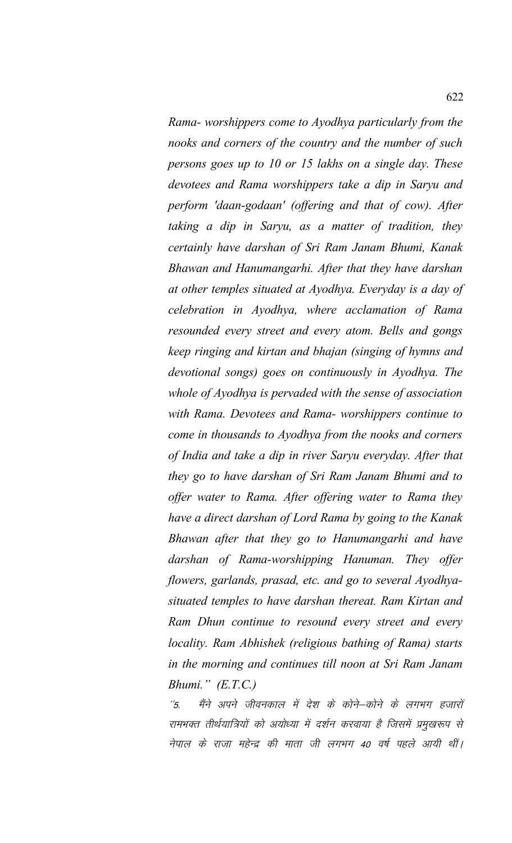*Rama- worshippers come to Ayodhya particularly from the nooks and corners of the country and the number of such persons goes up to 10 or 15 lakhs on a single day. These devotees and Rama worshippers take a dip in Saryu and perform 'daan-godaan' (offering and that of cow). After taking a dip in Saryu, as a matter of tradition, they certainly have darshan of Sri Ram Janam Bhumi, Kanak Bhawan and Hanumangarhi. After that they have darshan at other temples situated at Ayodhya. Everyday is a day of celebration in Ayodhya, where acclamation of Rama resounded every street and every atom. Bells and gongs keep ringing and kirtan and bhajan (singing of hymns and devotional songs) goes on continuously in Ayodhya. The whole of Ayodhya is pervaded with the sense of association with Rama. Devotees and Rama- worshippers continue to come in thousands to Ayodhya from the nooks and corners of India and take a dip in river Saryu everyday. After that they go to have darshan of Sri Ram Janam Bhumi and to offer water to Rama. After offering water to Rama they have a direct darshan of Lord Rama by going to the Kanak Bhawan after that they go to Hanumangarhi and have darshan of Rama-worshipping Hanuman. They offer flowers, garlands, prasad, etc. and go to several Ayodhyasituated temples to have darshan thereat. Ram Kirtan and Ram Dhun continue to resound every street and every locality. Ram Abhishek (religious bathing of Rama) starts in the morning and continues till noon at Sri Ram Janam Bhumi." (E.T.C.)*

''5. मैंने अपने जीवनकाल में देश के कोने–कोने के लगभग हजारों रामभक्त तीर्थयात्रियों को अयोध्या में दर्शन करवाया है जिसमें प्रमुखरूप से नेपाल के राजा महेन्द्र की माता जी लगभग 40 वर्ष पहले आयी थीं।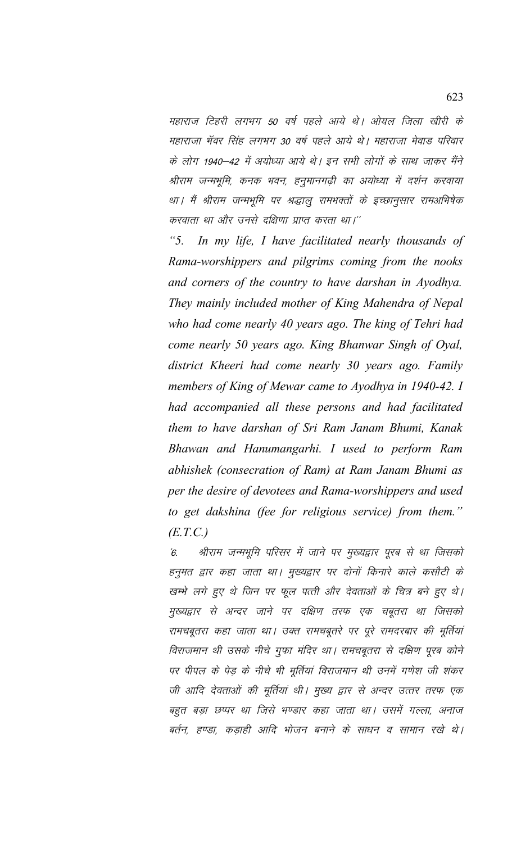महाराज टिहरी लगभग 50 वर्ष पहले आये थे। ओयल जिला खीरी के महाराजा भॅवर सिंह लगभग 30 वर्ष पहले आये थे। महाराजा मेवाड परिवार के लोग 1940–42 में अयोध्या आये थे। इन सभी लोगों के साथ जाकर मैंने श्रीराम जन्मभूमि, कनक भवन, हनुमानगढ़ी का अयोध्या में दर्शन करवाया था। मैं श्रीराम जन्मभूमि पर श्रद्धालु रामभक्तों के इच्छानुसार रामअभिषेक करवाता था और उनसे दक्षिणा प्राप्त करता था।''

*"5. In my life, I have facilitated nearly thousands of Rama-worshippers and pilgrims coming from the nooks and corners of the country to have darshan in Ayodhya. They mainly included mother of King Mahendra of Nepal who had come nearly 40 years ago. The king of Tehri had come nearly 50 years ago. King Bhanwar Singh of Oyal, district Kheeri had come nearly 30 years ago. Family members of King of Mewar came to Ayodhya in 1940-42. I had accompanied all these persons and had facilitated them to have darshan of Sri Ram Janam Bhumi, Kanak Bhawan and Hanumangarhi. I used to perform Ram abhishek (consecration of Ram) at Ram Janam Bhumi as per the desire of devotees and Rama-worshippers and used to get dakshina (fee for religious service) from them." (E.T.C.)*

 $6$ - श्रीराम जन्मभूमि परिसर में जाने पर मुख्यद्वार पूरब से था जिसको हनुमत द्वार कहा जाता था। मुख्यद्वार पर दोनों किनारे काले कसौटी के खम्भे लगे हुए थे जिन पर फूल पत्ती और देवताओं के चित्र बने हुए थे। मुख्यद्वार से अन्दर जाने पर दक्षिण तरफ एक चबूतरा था जिसको रामचबूतरा कहा जाता था। उक्त रामचबूतरे पर पूरे रामदरबार की मूर्तियां विराजमान थी उसके नीचे गुफा मंदिर था। रामचबूतरा से दक्षिण पूरब कोने पर पीपल के पेड़ के नीचे भी मूर्तियां विराजमान थी उनमें गणेश जी शंकर जी आदि देवताओं की मूर्तियां थी। मुख्य द्वार से अन्दर उत्तर तरफ एक बहुत बड़ा छप्पर था जिसे भण्डार कहा जाता था। उसमें गल्ला, अनाज बर्तन, हण्डा, कड़ाही आदि भोजन बनाने के साधन व सामान रखे थे।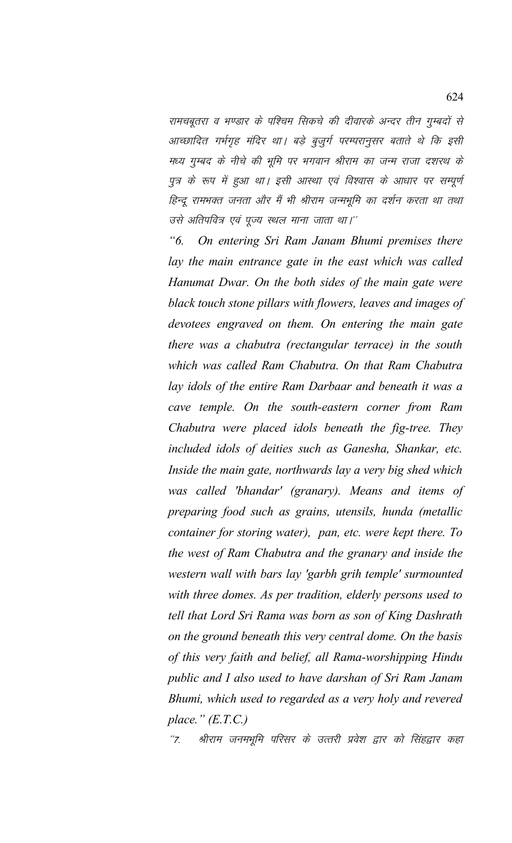रामचबूतरा व भण्डार के पश्चिम सिकचे की दीवारके अन्दर तीन गुम्बदों से आच्छादित गर्भगृह मंदिर था। बड़े बुजुर्ग परम्परानुसर बताते थे कि इसी मध्य गुम्बद के नीचे की भूमि पर भगवान श्रीराम का जन्म राजा दशरथ के पुत्र के रूप में हुआ था। इसी आस्था एवं विश्वास के आधार पर सम्पूर्ण हिन्दू रामभक्त जनता और मैं भी श्रीराम जन्मभूमि का दर्शन करता था तथा उसे अतिपवित्र एवं पूज्य स्थल माना जाता था।''

*"6. On entering Sri Ram Janam Bhumi premises there lay the main entrance gate in the east which was called Hanumat Dwar. On the both sides of the main gate were black touch stone pillars with flowers, leaves and images of devotees engraved on them. On entering the main gate there was a chabutra (rectangular terrace) in the south which was called Ram Chabutra. On that Ram Chabutra lay idols of the entire Ram Darbaar and beneath it was a cave temple. On the south-eastern corner from Ram Chabutra were placed idols beneath the fig-tree. They included idols of deities such as Ganesha, Shankar, etc. Inside the main gate, northwards lay a very big shed which was called 'bhandar' (granary). Means and items of preparing food such as grains, utensils, hunda (metallic container for storing water), pan, etc. were kept there. To the west of Ram Chabutra and the granary and inside the western wall with bars lay 'garbh grih temple' surmounted with three domes. As per tradition, elderly persons used to tell that Lord Sri Rama was born as son of King Dashrath on the ground beneath this very central dome. On the basis of this very faith and belief, all Rama-worshipping Hindu public and I also used to have darshan of Sri Ram Janam Bhumi, which used to regarded as a very holy and revered place." (E.T.C.)*

''7. श्रीराम जनमभूमि परिसर के उत्तरी प्रवेश द्वार को सिंहद्वार कहा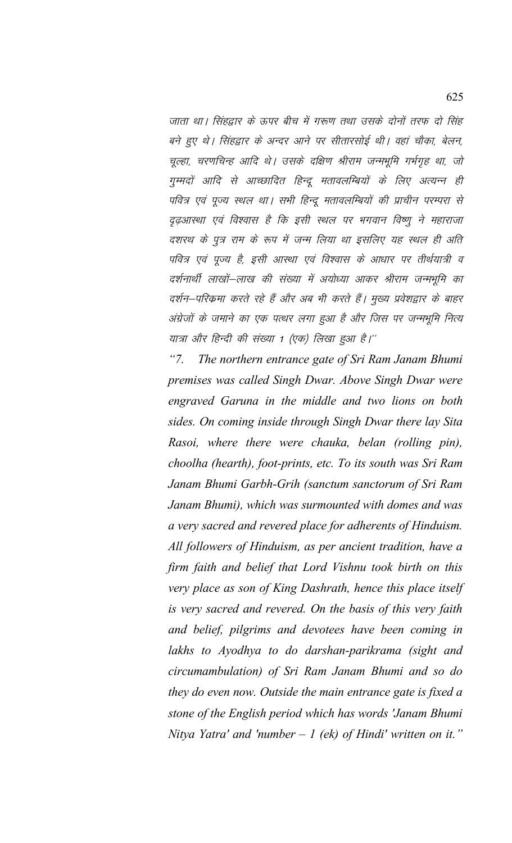जाता था। सिंहद्वार के ऊपर बीच में गरूण तथा उसके दोनों तरफ दो सिंह बने हुए थे। सिंहद्वार के अन्दर आने पर सीतारसोई थी। वहां चौका, बेलन, चूल्हा, चरणचिन्ह आदि थे। उसके दक्षिण श्रीराम जन्मभूमि गर्भगृह था, जो गुम्मदों आदि से आच्छादित हिन्दू मतावलम्बियों के लिए अत्यन्न ही पवित्र एवं पूज्य स्थल था। सभी हिन्दू मतावलम्बियों की प्राचीन परम्परा से दृढ़आस्था एवं विश्वास है कि इसी स्थल पर भगवान विष्णू ने महाराजा दशरथ के पत्र राम के रूप में जन्म लिया था इसलिए यह स्थल ही अति पवित्र एवं पूज्य है, इसी आस्था एवं विश्वास के आधार पर तीर्थयात्री व दर्शनार्थी लाखों–लाख की संख्या में अयोध्या आकर श्रीराम जन्मभूमि का दर्शन–परिकमा करते रहे हैं और अब भी करते हैं। मुख्य प्रवेशद्वार के बाहर अंग्रेजों के जमाने का एक पत्थर लगा हुआ है और जिस पर जन्मभूमि नित्य यात्रा और हिन्दी की संख्या 1 (एक) लिखा हुआ है।''

 $"7.$ The northern entrance gate of Sri Ram Janam Bhumi premises was called Singh Dwar. Above Singh Dwar were engraved Garuna in the middle and two lions on both sides. On coming inside through Singh Dwar there lay Sita Rasoi, where there were chauka, belan (rolling pin), choolha (hearth), foot-prints, etc. To its south was Sri Ram Janam Bhumi Garbh-Grih (sanctum sanctorum of Sri Ram Janam Bhumi), which was surmounted with domes and was a very sacred and revered place for adherents of Hinduism. All followers of Hinduism, as per ancient tradition, have a firm faith and belief that Lord Vishnu took birth on this very place as son of King Dashrath, hence this place itself is very sacred and revered. On the basis of this very faith and belief, pilgrims and devotees have been coming in lakhs to Ayodhya to do darshan-parikrama (sight and circumambulation) of Sri Ram Janam Bhumi and so do they do even now. Outside the main entrance gate is fixed a stone of the English period which has words 'Janam Bhumi Nitya Yatra' and 'number  $-1$  (ek) of Hindi' written on it."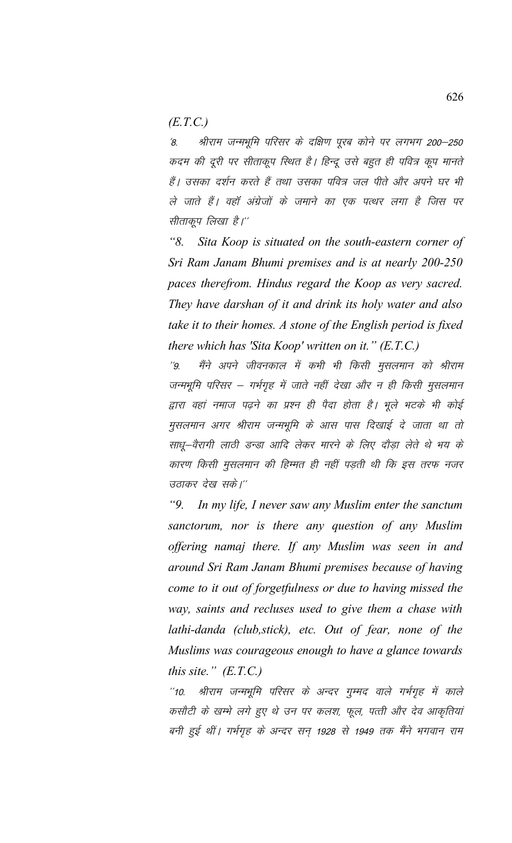*(E.T.C.)*

'8. श्रीराम जन्मभूमि परिसर के दक्षिण पूरब कोने पर लगभग 200–250 कदम की दूरी पर सीताकूप रिथित है। हिन्दू उसे बहुत ही पवित्र कूप मानते हैं। उसका दर्शन करते हैं तथा उसका पवित्र जल पीते और अपने घर भी ले जाते हैं। वहाँ अंग्रेजों के जमाने का एक पत्थर लगा है जिस पर सीताकूप लिखा है।''

*"8. Sita Koop is situated on the south-eastern corner of Sri Ram Janam Bhumi premises and is at nearly 200-250 paces therefrom. Hindus regard the Koop as very sacred. They have darshan of it and drink its holy water and also take it to their homes. A stone of the English period is fixed there which has 'Sita Koop' written on it." (E.T.C.)*

''9. मैंने अपने जीवनकाल में कभी भी किसी मुसलमान को श्रीराम जन्मभूमि परिसर – गर्भगृह में जाते नहीं देखा और न ही किसी मुसलमान द्वारा वहां नमाज पढ़ने का प्रश्न ही पैदा होता है। भूले भटके भी कोई मुसलमान अगर श्रीराम जन्मभूमि के आस पास दिखाई दे जाता था तो साधू-वैरागी लाठी डन्डा आदि लेकर मारने के लिए दौड़ा लेते थे भय के कारण किसी मुसलमान की हिम्मत ही नहीं पड़ती थी कि इस तरफ नजर उठाकर देख सके।''

*"9. In my life, I never saw any Muslim enter the sanctum sanctorum, nor is there any question of any Muslim offering namaj there. If any Muslim was seen in and around Sri Ram Janam Bhumi premises because of having come to it out of forgetfulness or due to having missed the way, saints and recluses used to give them a chase with lathi-danda (club,stick), etc. Out of fear, none of the Muslims was courageous enough to have a glance towards this site." (E.T.C.)*

"10. श्रीराम जन्मभूमि परिसर के अन्दर गुम्मद वाले गर्भगृह में काले कसौटी के खम्भे लगे हुए थे उन पर कलश, फूल, पत्ती और देव आकृतियां बनी हुई थीं। गर्भगृह के अन्दर सन् 1928 से 1949 तक मैंने भगवान राम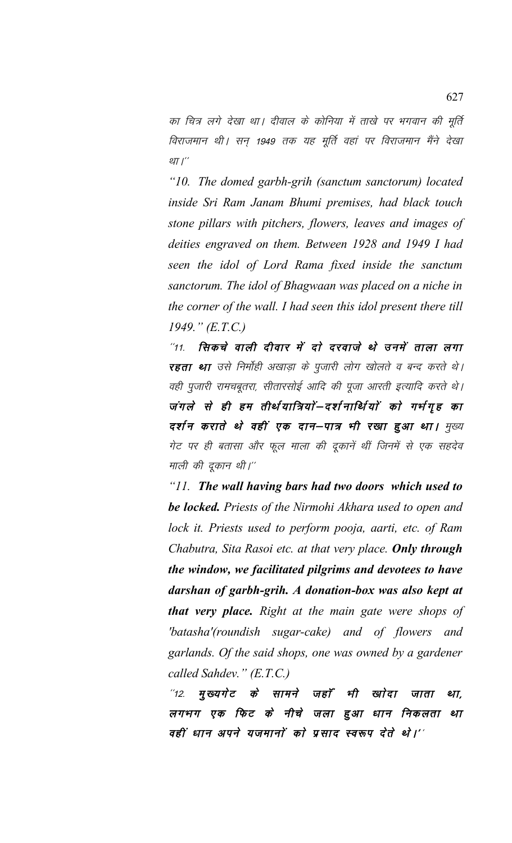का चित्र लगे देखा था। दीवाल के कोनिया में ताखे पर भगवान की मूर्ति विराजमान थी। सन् 1949 तक यह मूर्ति वहां पर विराजमान मैंने देखा था $I^{\prime}$ 

*"10. The domed garbh-grih (sanctum sanctorum) located inside Sri Ram Janam Bhumi premises, had black touch stone pillars with pitchers, flowers, leaves and images of deities engraved on them. Between 1928 and 1949 I had seen the idol of Lord Rama fixed inside the sanctum sanctorum. The idol of Bhagwaan was placed on a niche in the corner of the wall. I had seen this idol present there till 1949." (E.T.C.)*

 $^{\prime\prime}$ 11. सिकचे वाली दीवार में दो दरवाजे थे उनमें ताला लगा रहता था उसे निर्मोही अखाड़ा के पूजारी लोग खोलते व बन्द करते थे। वही पूजारी रामचबूतरा, सीतारसोई आदि की पूजा आरती इत्यादि करते थे। जंगले से ही हम तीर्थयात्रियों–दर्शनार्थियों को गर्भगृह का दर्शन कराते थे वहीं एक दान–पात्र भी रखा हुआ था। मुख्य गेट पर ही बतासा और फूल माला की दूकानें थीं जिनमें से एक सहदेव माली की दूकान थी।''

*"11. The wall having bars had two doors which used to be locked. Priests of the Nirmohi Akhara used to open and lock it. Priests used to perform pooja, aarti, etc. of Ram Chabutra, Sita Rasoi etc. at that very place. Only through the window, we facilitated pilgrims and devotees to have darshan of garbh-grih. A donation-box was also kept at that very place. Right at the main gate were shops of 'batasha'(roundish sugar-cake) and of flowers and garlands. Of the said shops, one was owned by a gardener called Sahdev." (E.T.C.)*

 $^{\prime\prime}$ 12. मुख्यगेट के सामने जहाँ भी खोदा जाता था, लगभग एक फिट के नीचे जला हुआ धान निकलता था वहीं धान अपने यजमानों को प्रसाद स्वरूप देते थे।''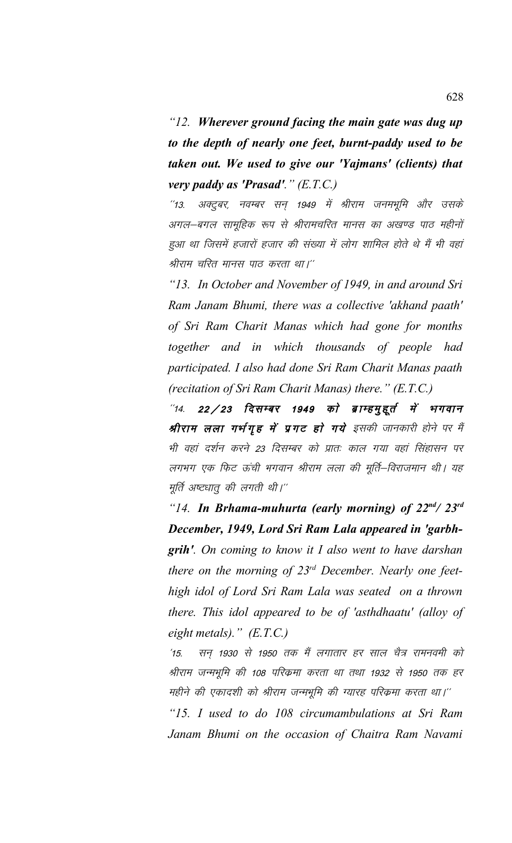*"12. Wherever ground facing the main gate was dug up to the depth of nearly one feet, burnt-paddy used to be taken out. We used to give our 'Yajmans' (clients) that very paddy as 'Prasad'." (E.T.C.)*

 $^{\prime\prime}$ 13. अक्टूबर, नवम्बर सन 1949 में श्रीराम जनमभूमि और उसके अगल–बगल सामूहिक रूप से श्रीरामचरित मानस का अखण्ड पाठ महीनों हुआ था जिसमें हजारों हजार की संख्या में लोग शामिल होते थे मैं भी वहां श्रीराम चरित मानस पाठ करता था।''

*"13. In October and November of 1949, in and around Sri Ram Janam Bhumi, there was a collective 'akhand paath' of Sri Ram Charit Manas which had gone for months together and in which thousands of people had participated. I also had done Sri Ram Charit Manas paath (recitation of Sri Ram Charit Manas) there." (E.T.C.)*

 $^{\prime\prime}$ 14. 22/23 दिसम्बर 1949 को ब्राम्हमुद्दुर्त में भगवान श्रीराम लला गर्भगृह में प्रगट हो गये इसकी जानकारी होने पर मैं भी वहां दर्शन करने 23 दिसम्बर को प्रातः काल गया वहां सिंहासन पर लगभग एक फिट ऊंची भगवान श्रीराम लला की मूर्ति–विराजमान थी। यह मूर्ति अष्टधातू की लगती थी।''

*"14. In Brhama-muhurta (early morning) of 22nd/ 23rd December, 1949, Lord Sri Ram Lala appeared in 'garbhgrih'. On coming to know it I also went to have darshan there on the morning of 23rd December. Nearly one feethigh idol of Lord Sri Ram Lala was seated on a thrown there. This idol appeared to be of 'asthdhaatu' (alloy of eight metals)." (E.T.C.)*

'15. सन् 1930 से 1950 तक मैं लगातार हर साल चैत्र रामनवमी को श्रीराम जन्मभूमि की 108 परिक्रमा करता था तथा 1932 से 1950 तक हर महीने की एकादशी को श्रीराम जन्मभूमि की ग्यारह परिक्रमा करता था।''

*"15. I used to do 108 circumambulations at Sri Ram Janam Bhumi on the occasion of Chaitra Ram Navami*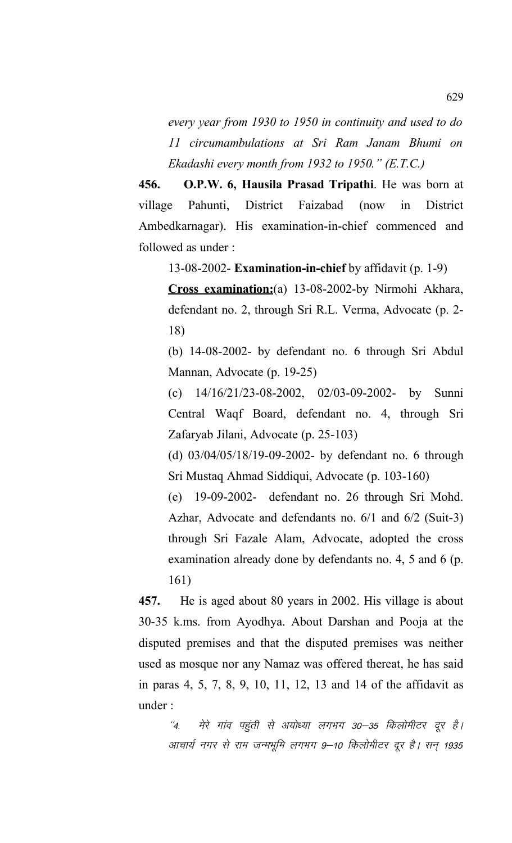*every year from 1930 to 1950 in continuity and used to do 11 circumambulations at Sri Ram Janam Bhumi on Ekadashi every month from 1932 to 1950." (E.T.C.)*

**456. O.P.W. 6, Hausila Prasad Tripathi**. He was born at village Pahunti, District Faizabad (now in District Ambedkarnagar). His examination-in-chief commenced and followed as under :

13-08-2002- **Examination-in-chief** by affidavit (p. 1-9)

**Cross examination:**(a) 13-08-2002-by Nirmohi Akhara, defendant no. 2, through Sri R.L. Verma, Advocate (p. 2- 18)

(b) 14-08-2002- by defendant no. 6 through Sri Abdul Mannan, Advocate (p. 19-25)

(c) 14/16/21/23-08-2002, 02/03-09-2002- by Sunni Central Waqf Board, defendant no. 4, through Sri Zafaryab Jilani, Advocate (p. 25-103)

(d) 03/04/05/18/19-09-2002- by defendant no. 6 through Sri Mustaq Ahmad Siddiqui, Advocate (p. 103-160)

(e) 19-09-2002- defendant no. 26 through Sri Mohd. Azhar, Advocate and defendants no. 6/1 and 6/2 (Suit-3) through Sri Fazale Alam, Advocate, adopted the cross examination already done by defendants no. 4, 5 and 6 (p. 161)

**457.** He is aged about 80 years in 2002. His village is about 30-35 k.ms. from Ayodhya. About Darshan and Pooja at the disputed premises and that the disputed premises was neither used as mosque nor any Namaz was offered thereat, he has said in paras 4, 5, 7, 8, 9, 10, 11, 12, 13 and 14 of the affidavit as under :

 $^{\prime\prime}$ 4. मेरे गांव पहुंती से अयोध्या लगभग 30–35 किलोमीटर दूर है। आचार्य नगर से राम जन्मभूमि लगभग 9–10 किलोमीटर दूर है। सन् 1935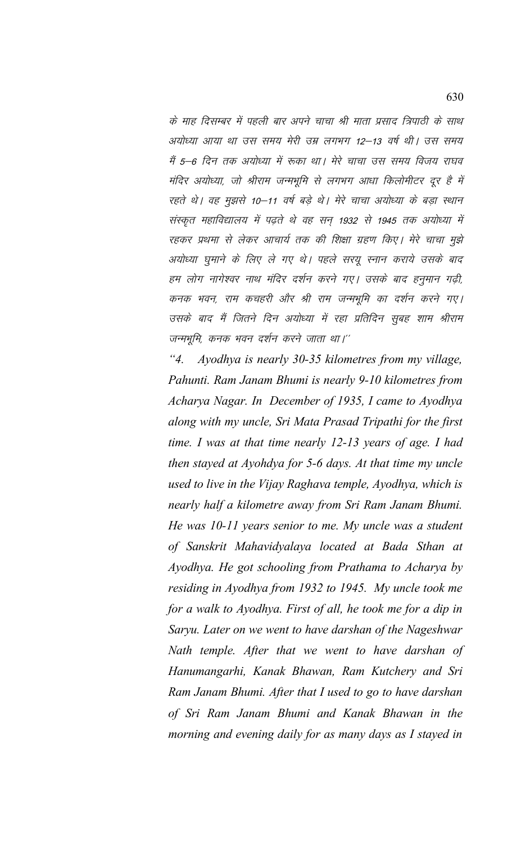के माह दिसम्बर में पहली बार अपने चाचा श्री माता प्रसाद त्रिपाठी के साथ अयोध्या आया था उस समय मेरी उम्र लगभग 12–13 वर्ष थी। उस समय मैं 5–6 दिन तक अयोध्या में रूका था। मेरे चाचा उस समय विजय राघव मंदिर अयोध्या, जो श्रीराम जन्मभूमि से लगभग आधा किलोमीटर दूर है में रहते थे। वह मुझसे 10-11 वर्ष बड़े थे। मेरे चाचा अयोध्या के बड़ा स्थान संस्कृत महाविद्यालय में पढ़ते थे वह सन् 1932 से 1945 तक अयोध्या में रहकर प्रथमा से लेकर आचार्य तक की शिक्षा ग्रहण किए। मेरे चाचा मुझे अयोध्या घुमाने के लिए ले गए थे। पहले सरयू स्नान कराये उसके बाद हम लोग नागेश्वर नाथ मंदिर दर्शन करने गए। उसके बाद हनुमान गढी, कनक भवन, राम कचहरी और श्री राम जन्मभूमि का दर्शन करने गए। उसके बाद मैं जितने दिन अयोध्या में रहा प्रतिदिन सूबह शाम श्रीराम जन्मभूमि, कनक भवन दर्शन करने जाता था।''

 $"4.$ Ayodhya is nearly 30-35 kilometres from my village, Pahunti. Ram Janam Bhumi is nearly 9-10 kilometres from Acharya Nagar. In December of 1935, I came to Ayodhya along with my uncle, Sri Mata Prasad Tripathi for the first time. I was at that time nearly  $12$ -13 years of age. I had then stayed at Ayohdya for 5-6 days. At that time my uncle used to live in the Vijay Raghava temple, Ayodhya, which is nearly half a kilometre away from Sri Ram Janam Bhumi. He was 10-11 years senior to me. My uncle was a student of Sanskrit Mahavidyalaya located at Bada Sthan at Ayodhya. He got schooling from Prathama to Acharya by residing in Ayodhya from 1932 to 1945. My uncle took me for a walk to Ayodhya. First of all, he took me for a dip in Saryu. Later on we went to have darshan of the Nageshwar Nath temple. After that we went to have darshan of Hanumangarhi, Kanak Bhawan, Ram Kutchery and Sri Ram Janam Bhumi. After that I used to go to have darshan of Sri Ram Janam Bhumi and Kanak Bhawan in the morning and evening daily for as many days as I stayed in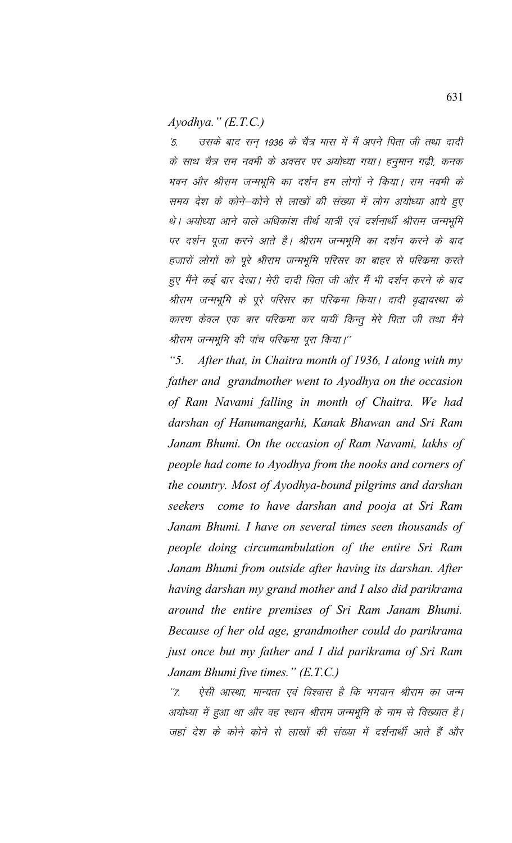*Ayodhya." (E.T.C.)*

'5. जसके बाद सन् 1936 के चैत्र मास में मैं अपने पिता जी तथा दादी के साथ चैत्र राम नवमी के अवसर पर अयोध्या गया। हनुमान गढ़ी, कनक भवन और श्रीराम जन्मभूमि का दर्शन हम लोगों ने किया। राम नवमी के समय देश के कोने–कोने से लाखों की संख्या में लोग अयोध्या आये हुए थे। अयोध्या आने वाले अधिकांश तीर्थ यात्री एवं दर्शनार्थी श्रीराम जन्मभूमि पर दर्शन पूजा करने आते है। श्रीराम जन्मभूमि का दर्शन करने के बाद हजारों लोगों को पूरे श्रीराम जन्मभूमि परिसर का बाहर से परिक्रमा करते हुए मैंने कई बार देखा। मेरी दादी पिता जी और मैं भी दर्शन करने के बाद श्रीराम जन्मभूमि के पूरे परिसर का परिक्रमा किया। दादी वृद्धावस्था के कारण केवल एक बार परिक्रमा कर पायीं किन्तू मेरे पिता जी तथा मैंने श्रीराम जन्मभूमि की पांच परिकमा पूरा किया।''

*"5. After that, in Chaitra month of 1936, I along with my father and grandmother went to Ayodhya on the occasion of Ram Navami falling in month of Chaitra. We had darshan of Hanumangarhi, Kanak Bhawan and Sri Ram Janam Bhumi. On the occasion of Ram Navami, lakhs of people had come to Ayodhya from the nooks and corners of the country. Most of Ayodhya-bound pilgrims and darshan seekers come to have darshan and pooja at Sri Ram Janam Bhumi. I have on several times seen thousands of people doing circumambulation of the entire Sri Ram Janam Bhumi from outside after having its darshan. After having darshan my grand mother and I also did parikrama around the entire premises of Sri Ram Janam Bhumi. Because of her old age, grandmother could do parikrama just once but my father and I did parikrama of Sri Ram Janam Bhumi five times." (E.T.C.)*

''7. ऐसी आस्था, मान्यता एवं विश्वास है कि भगवान श्रीराम का जन्म अयोध्या में हुआ था और वह स्थान श्रीराम जन्मभूमि के नाम से विख्यात है। जहां देश के कोने कोने से लाखों की संख्या में दर्शनार्थी आते हैं और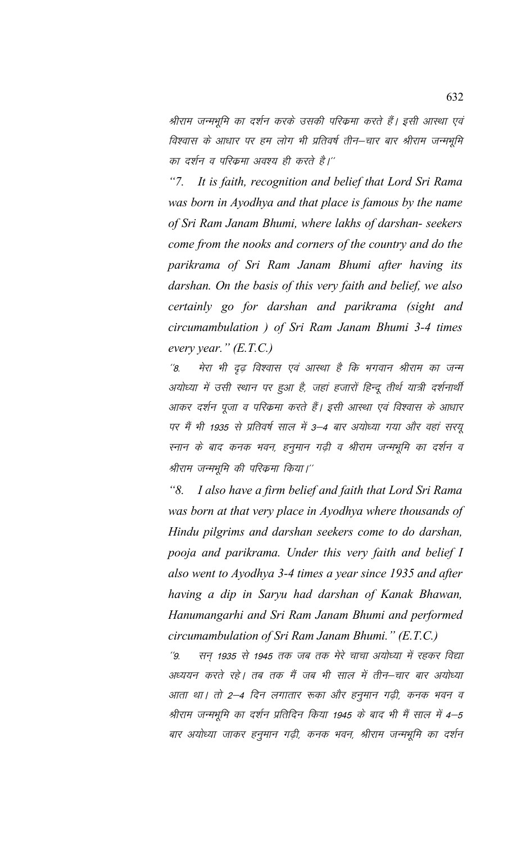श्रीराम जन्मभूमि का दर्शन करके उसकी परिक्रमा करते हैं। इसी आस्था एवं विश्वास के आधार पर हम लोग भी प्रतिवर्ष तीन—चार बार श्रीराम जन्मभूमि का दर्शन व परिक्रमा अवश्य ही करते है।''

 $"7.$ It is faith, recognition and belief that Lord Sri Rama was born in Ayodhya and that place is famous by the name of Sri Ram Janam Bhumi, where lakhs of darshan- seekers come from the nooks and corners of the country and do the parikrama of Sri Ram Janam Bhumi after having its darshan. On the basis of this very faith and belief, we also certainly go for darshan and parikrama (sight and circumambulation ) of Sri Ram Janam Bhumi 3-4 times every year."  $(E.T.C.)$ 

मेरा भी दुढ विश्वास एवं आस्था है कि भगवान श्रीराम का जन्म  $^{\prime\prime}$ 8. अयोध्या में उसी स्थान पर हुआ है, जहां हजारों हिन्दू तीर्थ यात्री दर्शनार्थी आकर दर्शन पूजा व परिक्रमा करते हैं। इसी आस्था एवं विश्वास के आधार पर मैं भी 1935 से प्रतिवर्ष साल में 3–4 बार अयोध्या गया और वहां सरयू स्नान के बाद कनक भवन, हनुमान गढ़ी व श्रीराम जन्मभूमि का दर्शन व श्रीराम जन्मभूमि की परिकमा किया।''

"8. I also have a firm belief and faith that Lord Sri Rama was born at that very place in Ayodhya where thousands of Hindu pilgrims and darshan seekers come to do darshan, pooja and parikrama. Under this very faith and belief I also went to Ayodhya 3-4 times a year since 1935 and after having a dip in Saryu had darshan of Kanak Bhawan, Hanumangarhi and Sri Ram Janam Bhumi and performed circumambulation of Sri Ram Janam Bhumi."  $(E.T.C.)$ 

सन 1935 से 1945 तक जब तक मेरे चाचा अयोध्या में रहकर विद्या  $^{\prime\prime}$ 9 अध्ययन करते रहे। तब तक मैं जब भी साल में तीन–चार बार अयोध्या आता था। तो 2—4 दिन लगातार रूका और हनुमान गढ़ी, कनक भवन व श्रीराम जन्मभूमि का दर्शन प्रतिदिन किया 1945 के बाद भी मैं साल में 4–5 बार अयोध्या जाकर हनुमान गढ़ी, कनक भवन, श्रीराम जन्मभूमि का दर्शन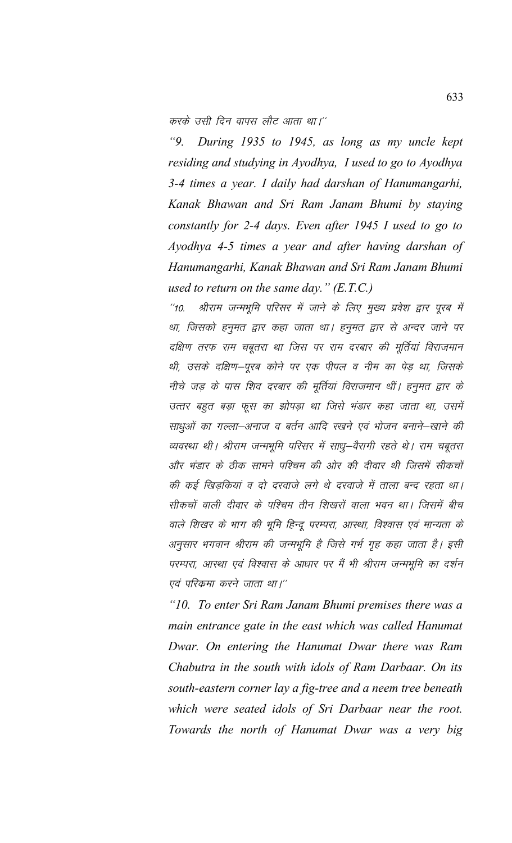करके उसी दिन वापस लौट आता था।''

*"9. During 1935 to 1945, as long as my uncle kept residing and studying in Ayodhya, I used to go to Ayodhya 3-4 times a year. I daily had darshan of Hanumangarhi, Kanak Bhawan and Sri Ram Janam Bhumi by staying constantly for 2-4 days. Even after 1945 I used to go to Ayodhya 4-5 times a year and after having darshan of Hanumangarhi, Kanak Bhawan and Sri Ram Janam Bhumi used to return on the same day." (E.T.C.)*

''10. श्रीराम जन्मभूमि परिसर में जाने के लिए मुख्य प्रवेश द्वार पूरब में था, जिसको हनुमत द्वार कहा जाता था। हनुमत द्वार से अन्दर जाने पर दक्षिण तरफ राम चबूतरा था जिस पर राम दरबार की मूर्तियां विराजमान थी, उसके दक्षिण–पूरब कोने पर एक पीपल व नीम का पेड़ था, जिसके नीचे जड़ के पास शिव दरबार की मूर्तियां विराजमान थीं। हनूमत द्वार के उत्तर बहुत बड़ा फूस का झोपड़ा था जिसे भंडार कहा जाता था, उसमें साधुओं का गल्ला–अनाज व बर्तन आदि रखने एवं भोजन बनाने–खाने की व्यवस्था थी। श्रीराम जन्मभूमि परिसर में साधू-वैरागी रहते थे। राम चबूतरा और भंडार के ठीक सामने पश्चिम की ओर की दीवार थी जिसमें सीकचों की कई खिडकियां व दो दरवाजे लगे थे दरवाजे में ताला बन्द रहता था। सीकचों वाली दीवार के पश्चिम तीन शिखरों वाला भवन था। जिसमें बीच वाले शिखर के भाग की भूमि हिन्दू परम्परा, आस्था, विश्वास एवं मान्यता के अनुसार भगवान श्रीराम की जन्मभूमि है जिसे गर्भ गृह कहा जाता है। इसी परम्परा, आस्था एवं विश्वास के आधार पर मैं भी श्रीराम जन्मभूमि का दर्शन एवं परिक्रमा करने जाता था।''

*"10. To enter Sri Ram Janam Bhumi premises there was a main entrance gate in the east which was called Hanumat Dwar. On entering the Hanumat Dwar there was Ram Chabutra in the south with idols of Ram Darbaar. On its south-eastern corner lay a fig-tree and a neem tree beneath which were seated idols of Sri Darbaar near the root. Towards the north of Hanumat Dwar was a very big*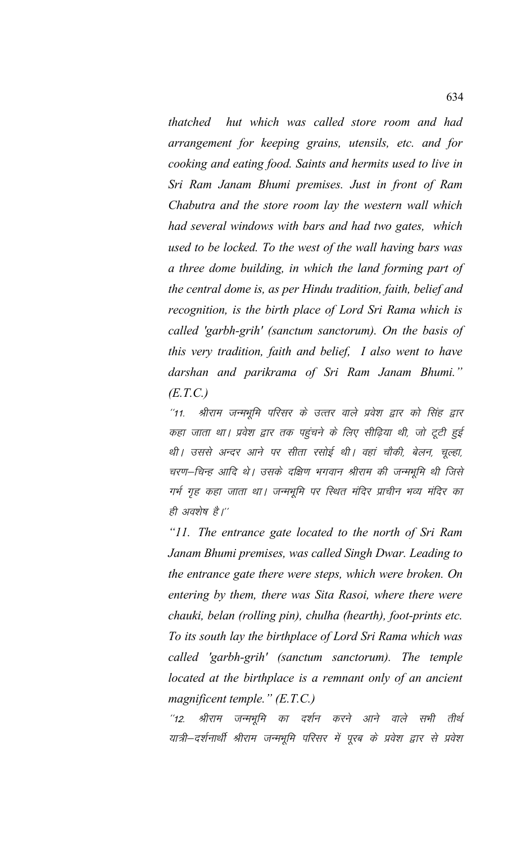*thatched hut which was called store room and had arrangement for keeping grains, utensils, etc. and for cooking and eating food. Saints and hermits used to live in Sri Ram Janam Bhumi premises. Just in front of Ram Chabutra and the store room lay the western wall which had several windows with bars and had two gates, which used to be locked. To the west of the wall having bars was a three dome building, in which the land forming part of the central dome is, as per Hindu tradition, faith, belief and recognition, is the birth place of Lord Sri Rama which is called 'garbh-grih' (sanctum sanctorum). On the basis of this very tradition, faith and belief, I also went to have darshan and parikrama of Sri Ram Janam Bhumi." (E.T.C.)*

"11. श्रीराम जन्मभूमि परिसर के उत्तर वाले प्रवेश द्वार को सिंह द्वार कहा जाता था। प्रवेश द्वार तक पहुंचने के लिए सीढ़िया थी, जो टूटी हुई थी। उससे अन्दर आने पर सीता रसोई थी। वहां चौकी, बेलन, चुल्हा, चरण–चिन्ह आदि थे। उसके दक्षिण भगवान श्रीराम की जन्मभूमि थी जिसे गर्भ गृह कहा जाता था। जन्मभूमि पर स्थित मंदिर प्राचीन भव्य मंदिर का ही अवशेष है।''

*"11. The entrance gate located to the north of Sri Ram Janam Bhumi premises, was called Singh Dwar. Leading to the entrance gate there were steps, which were broken. On entering by them, there was Sita Rasoi, where there were chauki, belan (rolling pin), chulha (hearth), foot-prints etc. To its south lay the birthplace of Lord Sri Rama which was called 'garbh-grih' (sanctum sanctorum). The temple located at the birthplace is a remnant only of an ancient magnificent temple." (E.T.C.)*

"12. श्रीराम जन्मभूमि का दर्शन करने आने वाले सभी तीर्थ यात्री–दर्शनार्थी श्रीराम जन्मभूमि परिसर में पूरब के प्रवेश द्वार से प्रवेश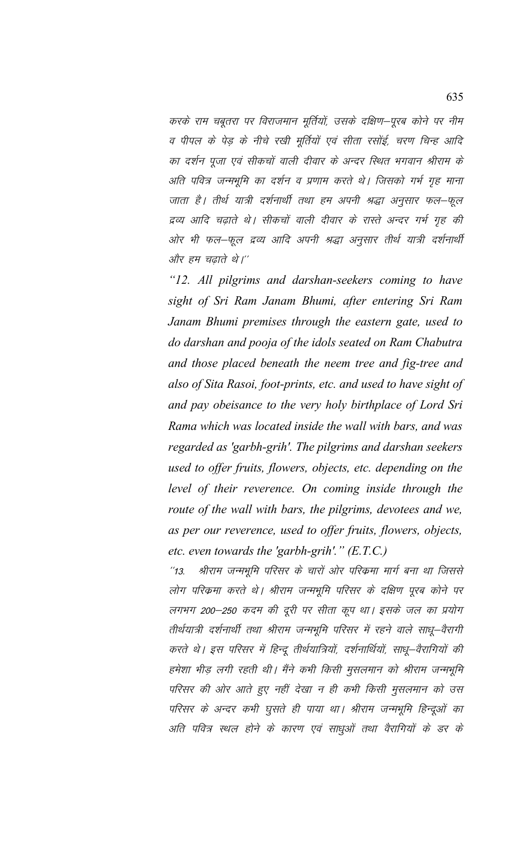करके राम चबूतरा पर विराजमान मूर्तियों, उसके दक्षिण–पूरब कोने पर नीम व पीपल के पेड़ के नीचे रखी मूर्तियों एवं सीता रसोई, चरण चिन्ह आदि का दर्शन पूजा एवं सीकचों वाली दीवार के अन्दर स्थित भगवान श्रीराम के अति पवित्र जन्मभूमि का दर्शन व प्रणाम करते थे। जिसको गर्भ गृह माना जाता है। तीर्थ यात्री दर्शनार्थी तथा हम अपनी श्रद्धा अनुसार फल–फूल द्रव्य आदि चढ़ाते थे। सीकचों वाली दीवार के रास्ते अन्दर गर्भ गृह की ओर भी फल–फूल द्रव्य आदि अपनी श्रद्धा अनूसार तीर्थ यात्री दर्शनार्थी और हम चढाते थे।''

*"12. All pilgrims and darshan-seekers coming to have sight of Sri Ram Janam Bhumi, after entering Sri Ram Janam Bhumi premises through the eastern gate, used to do darshan and pooja of the idols seated on Ram Chabutra and those placed beneath the neem tree and fig-tree and also of Sita Rasoi, foot-prints, etc. and used to have sight of and pay obeisance to the very holy birthplace of Lord Sri Rama which was located inside the wall with bars, and was regarded as 'garbh-grih'. The pilgrims and darshan seekers used to offer fruits, flowers, objects, etc. depending on the level of their reverence. On coming inside through the route of the wall with bars, the pilgrims, devotees and we, as per our reverence, used to offer fruits, flowers, objects, etc. even towards the 'garbh-grih'." (E.T.C.)* 

''13. श्रीराम जन्मभूमि परिसर के चारों ओर परिक्रमा मार्ग बना था जिससे लोग परिकमा करते थे। श्रीराम जन्मभूमि परिसर के दक्षिण पूरब कोने पर लगभग 200–250 कदम की दूरी पर सीता कूप था। इसके जल का प्रयोग तीर्थयात्री दर्शनार्थी तथा श्रीराम जन्मभूमि परिसर में रहने वाले साधू–वैरागी करते थे। इस परिसर में हिन्दू तीर्थयात्रियों, दर्शनार्थियों, साधू–वैरागियों की हमेशा भीड़ लगी रहती थी। मैंने कभी किसी मुसलमान को श्रीराम जन्मभूमि परिसर की ओर आते हुए नहीं देखा न ही कभी किसी मुसलमान को उस परिसर के अन्दर कभी घुसते ही पाया था। श्रीराम जन्मभूमि हिन्दूओं का अति पवित्र स्थल होने के कारण एवं साधुओं तथा वैरागियों के डर के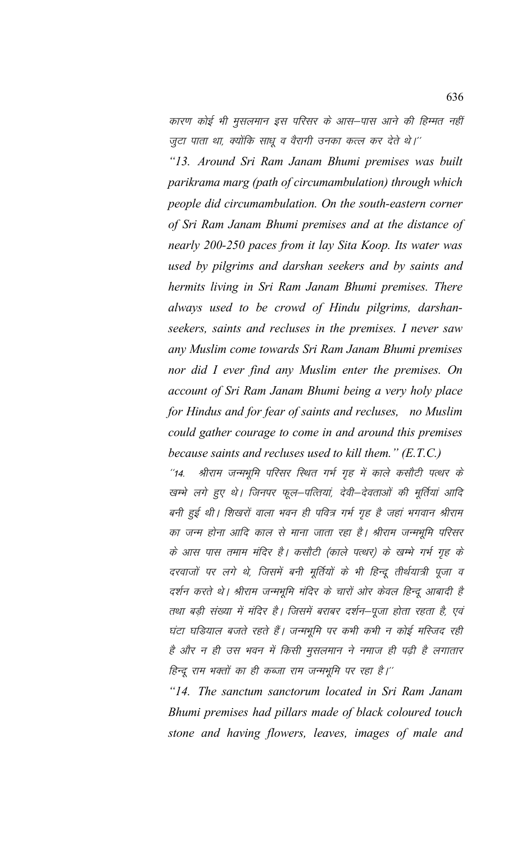कारण कोई भी मुसलमान इस परिसर के आस–पास आने की हिम्मत नहीं जुटा पाता था, क्योंकि साधू व वैरागी उनका कत्ल कर देते थे।''

*"13. Around Sri Ram Janam Bhumi premises was built parikrama marg (path of circumambulation) through which people did circumambulation. On the south-eastern corner of Sri Ram Janam Bhumi premises and at the distance of nearly 200-250 paces from it lay Sita Koop. Its water was used by pilgrims and darshan seekers and by saints and hermits living in Sri Ram Janam Bhumi premises. There always used to be crowd of Hindu pilgrims, darshanseekers, saints and recluses in the premises. I never saw any Muslim come towards Sri Ram Janam Bhumi premises nor did I ever find any Muslim enter the premises. On account of Sri Ram Janam Bhumi being a very holy place for Hindus and for fear of saints and recluses, no Muslim could gather courage to come in and around this premises because saints and recluses used to kill them." (E.T.C.)*

''14. श्रीराम जन्मभूमि परिसर स्थित गर्भ गृह में काले कसौटी पत्थर के खम्भे लगे हुए थे। जिनपर फूल–पत्तियां, देवी–देवताओं की मूर्तियां आदि बनी हुई थी। शिखरों वाला भवन ही पवित्र गर्भ गृह है जहां भगवान श्रीराम का जन्म होना आदि काल से माना जाता रहा है। श्रीराम जन्मभूमि परिसर के आस पास तमाम मंदिर है। कसौटी (काले पत्थर) के खम्भे गर्भ गृह के दरवाजों पर लगे थे, जिसमें बनी मूर्तियों के भी हिन्दू तीर्थयात्री पूजा व दर्शन करते थे। श्रीराम जन्मभूमि मंदिर के चारों ओर केवल हिन्दू आबादी है तथा बड़ी संख्या में मंदिर है। जिसमें बराबर दर्शन–पूजा होता रहता है, एवं घंटा घडियाल बजते रहते हैं। जन्मभूमि पर कभी कभी न कोई मस्जिद रही है और न ही उस भवन में किसी मुसलमान ने नमाज ही पढ़ी है लगातार हिन्दू राम भक्तों का ही कब्जा राम जन्मभूमि पर रहा है।''

*"14. The sanctum sanctorum located in Sri Ram Janam Bhumi premises had pillars made of black coloured touch stone and having flowers, leaves, images of male and*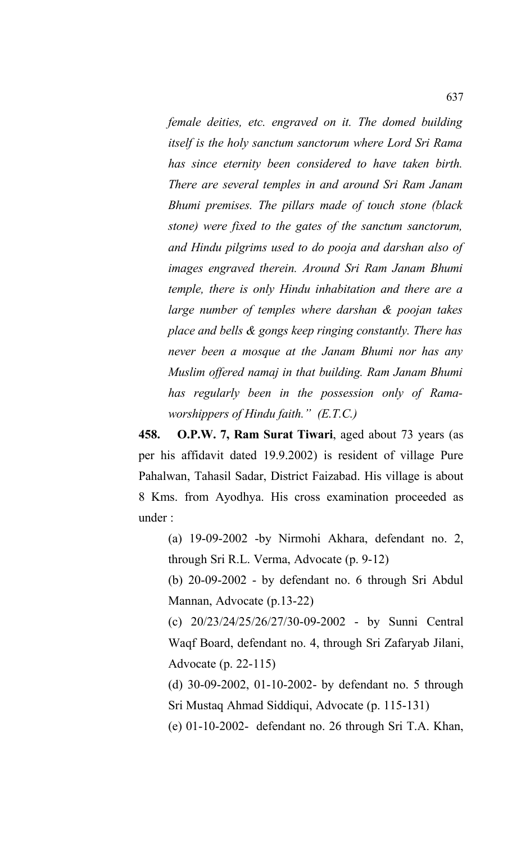*female deities, etc. engraved on it. The domed building itself is the holy sanctum sanctorum where Lord Sri Rama has since eternity been considered to have taken birth. There are several temples in and around Sri Ram Janam Bhumi premises. The pillars made of touch stone (black stone) were fixed to the gates of the sanctum sanctorum, and Hindu pilgrims used to do pooja and darshan also of images engraved therein. Around Sri Ram Janam Bhumi temple, there is only Hindu inhabitation and there are a large number of temples where darshan & poojan takes place and bells & gongs keep ringing constantly. There has never been a mosque at the Janam Bhumi nor has any Muslim offered namaj in that building. Ram Janam Bhumi has regularly been in the possession only of Ramaworshippers of Hindu faith." (E.T.C.)*

**458. O.P.W. 7, Ram Surat Tiwari**, aged about 73 years (as per his affidavit dated 19.9.2002) is resident of village Pure Pahalwan, Tahasil Sadar, District Faizabad. His village is about 8 Kms. from Ayodhya. His cross examination proceeded as under :

(a) 19-09-2002 -by Nirmohi Akhara, defendant no. 2, through Sri R.L. Verma, Advocate (p. 9-12)

(b) 20-09-2002 - by defendant no. 6 through Sri Abdul Mannan, Advocate (p.13-22)

(c) 20/23/24/25/26/27/30-09-2002 - by Sunni Central Waqf Board, defendant no. 4, through Sri Zafaryab Jilani, Advocate (p. 22-115)

(d) 30-09-2002, 01-10-2002- by defendant no. 5 through Sri Mustaq Ahmad Siddiqui, Advocate (p. 115-131)

(e) 01-10-2002- defendant no. 26 through Sri T.A. Khan,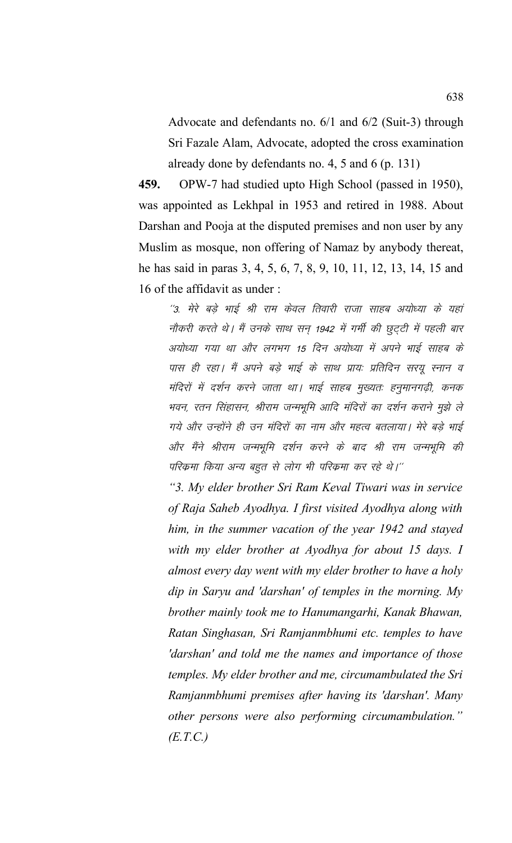Advocate and defendants no. 6/1 and 6/2 (Suit-3) through Sri Fazale Alam, Advocate, adopted the cross examination already done by defendants no. 4, 5 and 6 (p. 131)

459. OPW-7 had studied upto High School (passed in 1950), was appointed as Lekhpal in 1953 and retired in 1988. About Darshan and Pooja at the disputed premises and non user by any Muslim as mosque, non offering of Namaz by anybody thereat, he has said in paras 3, 4, 5, 6, 7, 8, 9, 10, 11, 12, 13, 14, 15 and 16 of the affidavit as under:

''3. मेरे बड़े भाई श्री राम केवल तिवारी राजा साहब अयोध्या के यहां नौकरी करते थे। मैं उनके साथ सन् 1942 में गर्मी की छूट्टी में पहली बार अयोध्या गया था और लगभग 15 दिन अयोध्या में अपने भाई साहब के पास ही रहा। मैं अपने बड़े भाई के साथ प्रायः प्रतिदिन सरयु स्नान व मंदिरों में दर्शन करने जाता था। भाई साहब मुख्यतः हनुमानगढ़ी, कनक भवन, रतन सिंहासन, श्रीराम जन्मभूमि आदि मंदिरों का दर्शन कराने मुझे ले गये और उन्होंने ही उन मंदिरों का नाम और महत्व बतलाया। मेरे बड़े भाई और मैंने श्रीराम जन्मभूमि दर्शन करने के बाद श्री राम जन्मभूमि की परिक्रमा किया अन्य बहुत से लोग भी परिक्रमा कर रहे थे।''

"3. My elder brother Sri Ram Keval Tiwari was in service of Raja Saheb Ayodhya. I first visited Ayodhya along with him, in the summer vacation of the year 1942 and stayed with my elder brother at Ayodhya for about 15 days. I almost every day went with my elder brother to have a holy dip in Saryu and 'darshan' of temples in the morning. My brother mainly took me to Hanumangarhi, Kanak Bhawan, Ratan Singhasan, Sri Ramjanmbhumi etc. temples to have 'darshan' and told me the names and importance of those temples. My elder brother and me, circumambulated the Sri Ramjanmbhumi premises after having its 'darshan'. Many other persons were also performing circumambulation."  $(E.T.C.)$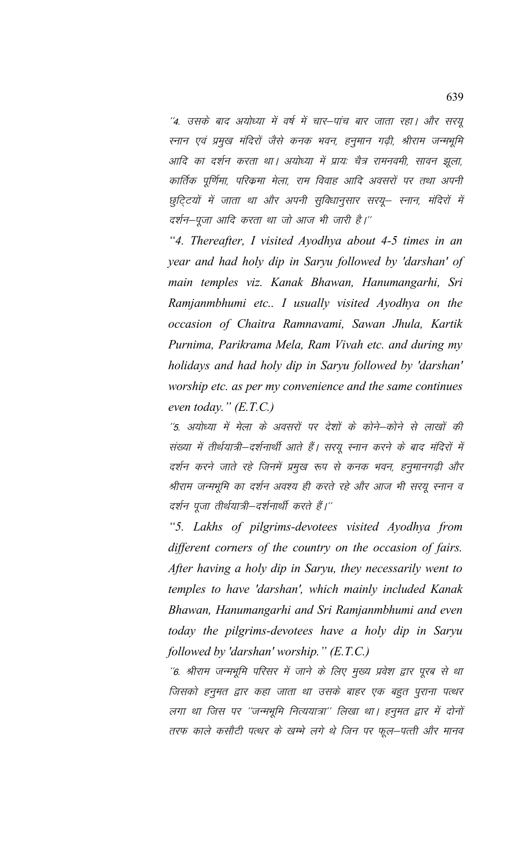''4. उसके बाद अयोध्या में वर्ष में चार–पांच बार जाता रहा। और सरयू स्नान एवं प्रमुख मंदिरों जैसे कनक भवन, हनुमान गढ़ी, श्रीराम जन्मभूमि आदि का दर्शन करता था। अयोध्या में प्रायः चैत्र रामनवमी, सावन झूला, कार्तिक पूर्णिमा, परिक्रमा मेला, राम विवाह आदि अवसरों पर तथा अपनी छुट्टियों में जाता था और अपनी सुविधानुसार सरयू– स्नान, मंदिरों में दर्शन–पूजा आदि करता था जो आज भी जारी है।''

*"4. Thereafter, I visited Ayodhya about 4-5 times in an year and had holy dip in Saryu followed by 'darshan' of main temples viz. Kanak Bhawan, Hanumangarhi, Sri Ramjanmbhumi etc.. I usually visited Ayodhya on the occasion of Chaitra Ramnavami, Sawan Jhula, Kartik Purnima, Parikrama Mela, Ram Vivah etc. and during my holidays and had holy dip in Saryu followed by 'darshan' worship etc. as per my convenience and the same continues even today." (E.T.C.)*

 $^\prime$ 5. अयोध्या में मेला के अवसरों पर देशों के कोने–कोने से लाखों की संख्या में तीर्थयात्री-दर्शनार्थी आते हैं। सरयू स्नान करने के बाद मंदिरों में दर्शन करने जाते रहे जिनमें प्रमुख रूप से कनक भवन, हनुमानगढ़ी और श्रीराम जन्मभूमि का दर्शन अवश्य ही करते रहे और आज भी सरयू स्नान व दर्शन पूजा तीर्थयात्री—दर्शनार्थी करते हैं।''

*"5. Lakhs of pilgrims-devotees visited Ayodhya from different corners of the country on the occasion of fairs. After having a holy dip in Saryu, they necessarily went to temples to have 'darshan', which mainly included Kanak Bhawan, Hanumangarhi and Sri Ramjanmbhumi and even today the pilgrims-devotees have a holy dip in Saryu followed by 'darshan' worship." (E.T.C.)*

 $^\prime$ 6. श्रीराम जन्मभूमि परिसर में जाने के लिए मुख्य प्रवेश द्वार पूरब से था जिसको हनुमत द्वार कहा जाता था उसके बाहर एक बहुत पुराना पत्थर लगा था जिस पर "जन्मभूमि नित्ययात्रा" लिखा था। हनूमत द्वार में दोनों तरफ काले कसौटी पत्थर के खम्भे लगे थे जिन पर फूल–पत्ती और मानव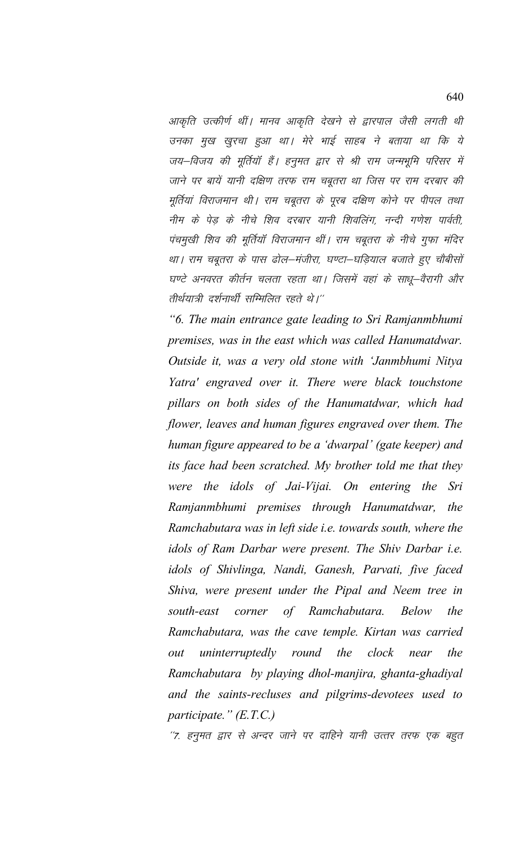आकृति उत्कीर्ण थीं। मानव आकृति देखने से द्वारपाल जैसी लगती थी उनका मुख खुरचा हुआ था। मेरे भाई साहब ने बताया था कि ये जय–विजय की मूर्तियाँ हैं। हनुमत द्वार से श्री राम जन्मभूमि परिसर में जाने पर बायें यानी दक्षिण तरफ राम चबूतरा था जिस पर राम दरबार की मूर्तियां विराजमान थी। राम चबूतरा के पूरब दक्षिण कोने पर पीपल तथा नीम के पेड़ के नीचे शिव दरबार यानी शिवलिंग, नन्दी गणेश पार्वती, पंचमुखी शिव की मूर्तियाँ विराजमान थीं। राम चबूतरा के नीचे गुफा मंदिर था। राम चबूतरा के पास ढोल–मंजीरा, घण्टा–घड़ियाल बजाते हुए चौबीसों घण्टे अनवरत कीर्तन चलता रहता था। जिसमें वहां के साधू–वैरागी और तीर्थयात्री दर्शनार्थी सम्मिलित रहते थे।''

*"6. The main entrance gate leading to Sri Ramjanmbhumi premises, was in the east which was called Hanumatdwar. Outside it, was a very old stone with 'Janmbhumi Nitya Yatra' engraved over it. There were black touchstone pillars on both sides of the Hanumatdwar, which had flower, leaves and human figures engraved over them. The human figure appeared to be a 'dwarpal' (gate keeper) and its face had been scratched. My brother told me that they were the idols of Jai-Vijai. On entering the Sri Ramjanmbhumi premises through Hanumatdwar, the Ramchabutara was in left side i.e. towards south, where the idols of Ram Darbar were present. The Shiv Darbar i.e. idols of Shivlinga, Nandi, Ganesh, Parvati, five faced Shiva, were present under the Pipal and Neem tree in south-east corner of Ramchabutara. Below the Ramchabutara, was the cave temple. Kirtan was carried out uninterruptedly round the clock near the Ramchabutara by playing dhol-manjira, ghanta-ghadiyal and the saints-recluses and pilgrims-devotees used to participate." (E.T.C.)*

''7. हनूमत द्वार से अन्दर जाने पर दाहिने यानी उत्तर तरफ एक बहुत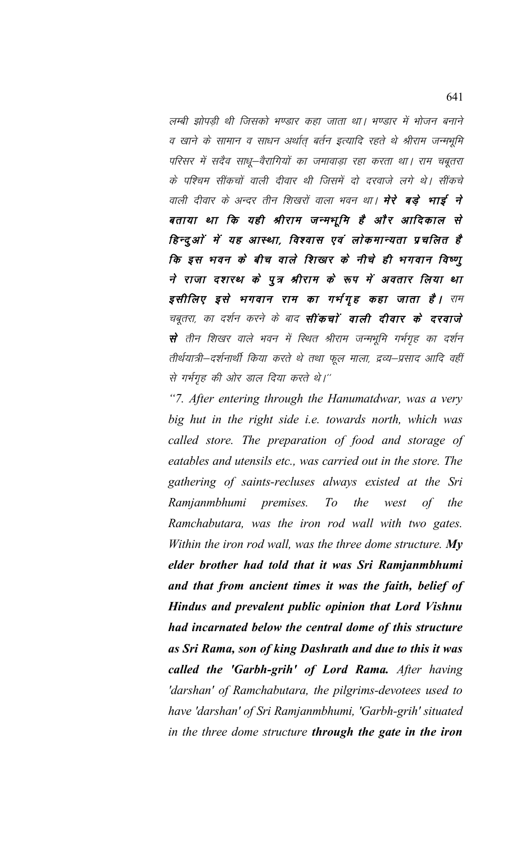लम्बी झोपडी थी जिसको भण्डार कहा जाता था। भण्डार में भोजन बनाने व खाने के सामान व साधन अर्थात बर्तन इत्यादि रहते थे श्रीराम जन्मभूमि परिसर में सदैव साधू-वैरागियों का जमावाड़ा रहा करता था। राम चबूतरा के पश्चिम सींकचों वाली दीवार थी जिसमें दो दरवाजे लगे थे। सींकचे वाली दीवार के अन्दर तीन शिखरों वाला भवन था। **मेरे बड़े भाई ने** बताया था कि यही श्रीराम जन्मभूमि है और आदिकाल से हिन्दुओं में यह आस्था, विश्वास एवं लोकमान्यता प्रचलित है कि इस भवन के बीच वाले शिखर के नीचे ही भगवान विष्णू ने राजा दशरथ के पूत्र श्रीराम के रूप में अवतार लिया था इसीलिए इसे भगवान राम का गर्भगृह कहा जाता है। राम चबूतरा, का दर्शन करने के बाद **सींकचों वाली दीवार के दरवाजे** से तीन शिखर वाले भवन में स्थित श्रीराम जन्मभूमि गर्भगृह का दर्शन तीर्थयात्री–दर्शनार्थी किया करते थे तथा फूल माला, द्रव्य–प्रसाद आदि वहीं से गर्भगृह की ओर डाल दिया करते थे।"

"7. After entering through the Hanumatdwar, was a very big hut in the right side *i.e.* towards north, which was called store. The preparation of food and storage of eatables and utensils etc., was carried out in the store. The gathering of saints-recluses always existed at the Sri Ramjanmbhumi premises.  $To$ the  $of$ the west Ramchabutara, was the iron rod wall with two gates. Within the iron rod wall, was the three dome structure.  $Mv$ elder brother had told that it was Sri Ramjanmbhumi and that from ancient times it was the faith, belief of Hindus and prevalent public opinion that Lord Vishnu had incarnated below the central dome of this structure as Sri Rama, son of king Dashrath and due to this it was called the 'Garbh-grih' of Lord Rama. After having 'darshan' of Ramchabutara, the pilgrims-devotees used to have 'darshan' of Sri Ramjanmbhumi, 'Garbh-grih' situated in the three dome structure through the gate in the iron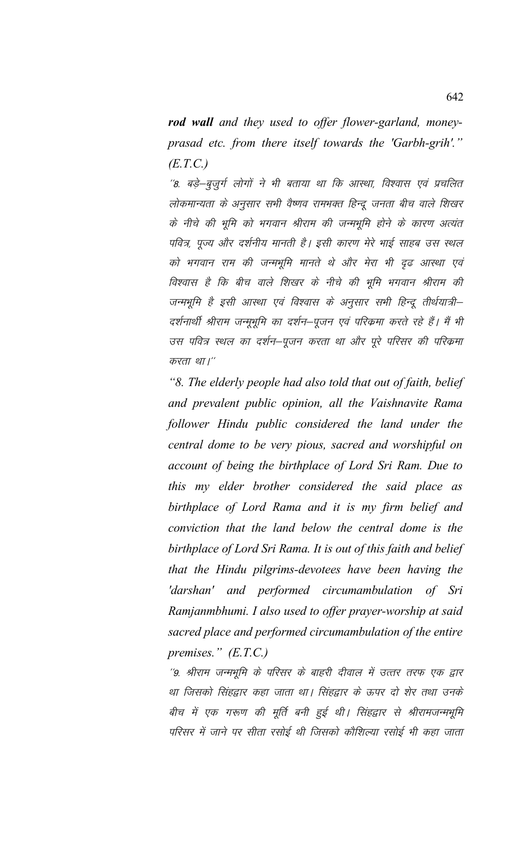*rod wall and they used to offer flower-garland, moneyprasad etc. from there itself towards the 'Garbh-grih'." (E.T.C.)*

''8. बड़े-बूजुर्ग लोगों ने भी बताया था कि आरथा, विश्वास एवं प्रचलित लोकमान्यता के अनुसार सभी वैष्णव रामभक्त हिन्दू जनता बीच वाले शिखर के नीचे की भूमि को भगवान श्रीराम की जन्मभूमि होने के कारण अत्यंत पवित्र, पूज्य और दर्शनीय मानती है। इसी कारण मेरे भाई साहब उस स्थल को भगवान राम की जन्मभूमि मानते थे और मेरा भी दृढ आरथा एवं विश्वास है कि बीच वाले शिखर के नीचे की भूमि भगवान श्रीराम की जन्मभूमि है इसी आस्था एवं विश्वास के अनूसार सभी हिन्दू तीर्थयात्री– दर्शनार्थी श्रीराम जन्मुभूमि का दर्शन–पूजन एवं परिकमा करते रहे हैं। मैं भी उस पवित्र स्थल का दर्शन–पूजन करता था और पूरे परिसर की परिक्रमा करता था।"

*"8. The elderly people had also told that out of faith, belief and prevalent public opinion, all the Vaishnavite Rama follower Hindu public considered the land under the central dome to be very pious, sacred and worshipful on account of being the birthplace of Lord Sri Ram. Due to this my elder brother considered the said place as birthplace of Lord Rama and it is my firm belief and conviction that the land below the central dome is the birthplace of Lord Sri Rama. It is out of this faith and belief that the Hindu pilgrims-devotees have been having the 'darshan' and performed circumambulation of Sri Ramjanmbhumi. I also used to offer prayer-worship at said sacred place and performed circumambulation of the entire premises." (E.T.C.)*

''9. श्रीराम जन्मभूमि के परिसर के बाहरी दीवाल में उत्तर तरफ एक द्वार था जिसको सिंहद्वार कहा जाता था। सिंहद्वार के ऊपर दो शेर तथा उनके बीच में एक गरूण की मूर्ति बनी हुई थी। सिंहद्वार से श्रीरामजन्मभूमि परिसर में जाने पर सीता रसोई थी जिसको कौशिल्या रसोई भी कहा जाता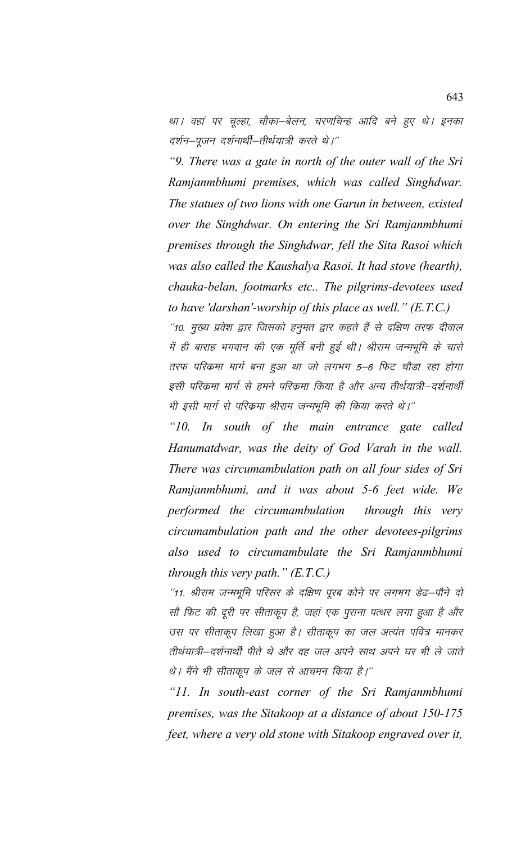था। वहां पर चूल्हा, चौका–बेलन, चरणचिन्ह आदि बने हुए थे। इनका दर्शन–पूजन दर्शनार्थी–तीर्थयात्री करते थे।''

*"9. There was a gate in north of the outer wall of the Sri Ramjanmbhumi premises, which was called Singhdwar. The statues of two lions with one Garun in between, existed over the Singhdwar. On entering the Sri Ramjanmbhumi premises through the Singhdwar, fell the Sita Rasoi which was also called the Kaushalya Rasoi. It had stove (hearth), chauka-belan, footmarks etc.. The pilgrims-devotees used to have 'darshan'-worship of this place as well." (E.T.C.)*

''10. मुख्य प्रवेश द्वार जिसको हनुमत द्वार कहते हैं से दक्षिण तरफ दीवाल में ही बाराह भगवान की एक मूर्ति बनी हुई थी। श्रीराम जन्मभूमि के चारो तरफ परिकमा मार्ग बना हुआ था जो लगभग 5–6 फिट चौड़ा रहा होगा इसी परिक्रमा मार्ग से हमने परिक्रमा किया है और अन्य तीर्थयात्री–दर्शनार्थी भी इसी मार्ग से परिक्रमा श्रीराम जन्मभूमि की किया करते थे।''

*"10. In south of the main entrance gate called Hanumatdwar, was the deity of God Varah in the wall. There was circumambulation path on all four sides of Sri Ramjanmbhumi, and it was about 5-6 feet wide. We performed the circumambulation through this very circumambulation path and the other devotees-pilgrims also used to circumambulate the Sri Ramjanmbhumi through this very path." (E.T.C.)*

''11. श्रीराम जन्मभूमि परिसर के दक्षिण पूरब कोने पर लगभग डेढ–पौने दो सौ फिट की दूरी पर सीताकूप है, जहां एक पुराना पत्थर लगा हुआ है और उस पर सीताकूप लिखा हुआ है। सीताकूप का जल अत्यंत पवित्र मानकर तीर्थयात्री–दर्शनार्थी पीते थे और वह जल अपने साथ अपने घर भी ले जाते थे। मैंने भी सीताकूप के जल से आचमन किया है।''

*"11. In south-east corner of the Sri Ramjanmbhumi premises, was the Sitakoop at a distance of about 150-175 feet, where a very old stone with Sitakoop engraved over it,*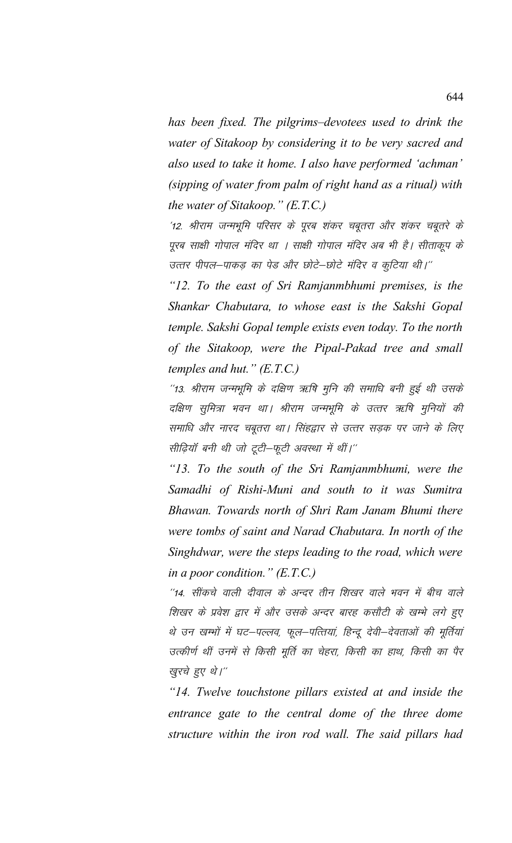*has been fixed. The pilgrims–devotees used to drink the water of Sitakoop by considering it to be very sacred and also used to take it home. I also have performed 'achman' (sipping of water from palm of right hand as a ritual) with the water of Sitakoop." (E.T.C.)*

'12. श्रीराम जन्मभूमि परिसर के पूरब शंकर चबूतरा और शंकर चबूतरे के पूरब साक्षी गोपाल मंदिर था । साक्षी गोपाल मंदिर अब भी है। सीताकूप के उत्तर पीपल—पाकड़ का पेड और छोटे—छोटे मंदिर व कुटिया थी।''

*"12. To the east of Sri Ramjanmbhumi premises, is the Shankar Chabutara, to whose east is the Sakshi Gopal temple. Sakshi Gopal temple exists even today. To the north of the Sitakoop, were the Pipal-Pakad tree and small temples and hut." (E.T.C.)*

"13. श्रीराम जन्मभूमि के दक्षिण ऋषि मूनि की समाधि बनी हुई थी उसके दक्षिण सुमित्रा भवन था। श्रीराम जन्मभूमि के उत्तर ऋषि मुनियों की समाधि और नारद चबूतरा था। सिंहद्वार से उत्तर सड़क पर जाने के लिए सीढ़ियॉ बनी थी जो टूटी-फूटी अवस्था में थीं।"

*"13. To the south of the Sri Ramjanmbhumi, were the Samadhi of Rishi-Muni and south to it was Sumitra Bhawan. Towards north of Shri Ram Janam Bhumi there were tombs of saint and Narad Chabutara. In north of the Singhdwar, were the steps leading to the road, which were in a poor condition." (E.T.C.)*

''14. सींकचे वाली दीवाल के अन्दर तीन शिखर वाले भवन में बीच वाले शिखर के प्रवेश द्वार में और उसके अन्दर बारह कसौटी के खम्भे लगे हुए थे उन खम्भों में घट–पल्लव, फूल–पत्तियां, हिन्दू देवी–देवताओं की मूर्तियां उत्कीर्ण थीं उनमें से किसी मूर्ति का चेहरा, किसी का हाथ, किसी का पैर खुरचे हुए थे।"

*"14. Twelve touchstone pillars existed at and inside the entrance gate to the central dome of the three dome structure within the iron rod wall. The said pillars had*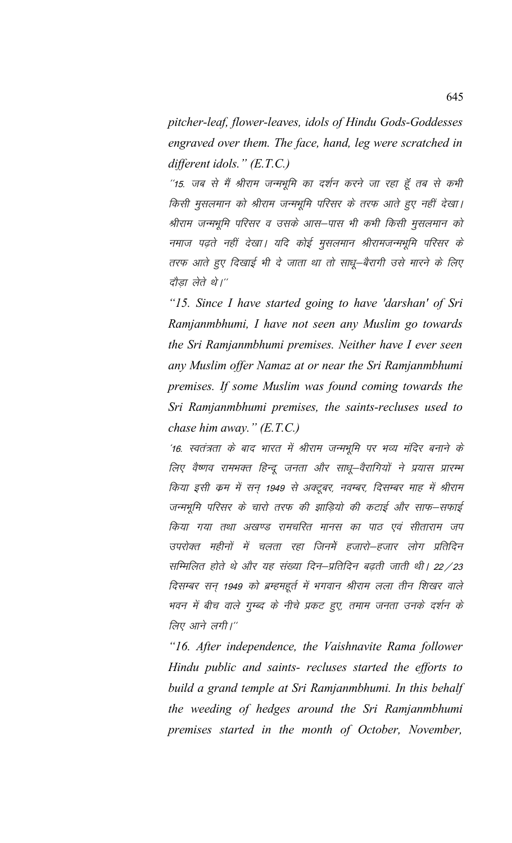*pitcher-leaf, flower-leaves, idols of Hindu Gods-Goddesses engraved over them. The face, hand, leg were scratched in different idols." (E.T.C.)*

''15. जब से मैं श्रीराम जन्मभूमि का दर्शन करने जा रहा हूँ तब से कभी किसी मुसलमान को श्रीराम जन्मभूमि परिसर के तरफ आते हुए नहीं देखा। श्रीराम जन्मभूमि परिसर व उसके आस–पास भी कभी किसी मुसलमान को नमाज पढ़ते नहीं देखा। यदि कोई मुसलमान श्रीरामजन्मभूमि परिसर के तरफ आते हुए दिखाई भी दे जाता था तो साधू–बैरागी उसे मारने के लिए दौड़ा लेते थे।''

*"15. Since I have started going to have 'darshan' of Sri Ramjanmbhumi, I have not seen any Muslim go towards the Sri Ramjanmbhumi premises. Neither have I ever seen any Muslim offer Namaz at or near the Sri Ramjanmbhumi premises. If some Muslim was found coming towards the Sri Ramjanmbhumi premises, the saints-recluses used to chase him away." (E.T.C.)*

'16. स्वतंत्रता के बाद भारत में श्रीराम जन्मभूमि पर भव्य मंदिर बनाने के लिए वैष्णव रामभक्त हिन्दू जनता और साधू—वैरागियों ने प्रयास प्रारम्भ किया इसी कम में सन् 1949 से अक्टूबर, नवम्बर, दिसम्बर माह में श्रीराम जन्मभूमि परिसर के चारो तरफ की झाड़ियो की कटाई और साफ–सफाई किया गया तथा अखण्ड रामचरित मानस का पाठ एवं सीताराम जप उपरोक्त महीनों में चलता रहा जिनमें हजारो–हजार लोग प्रतिदिन सम्मिलित होते थे और यह संख्या दिन–प्रतिदिन बढ़ती जाती थी। 22/23 दिसम्बर सन् 1949 को ब्रम्हमहूर्त में भगवान श्रीराम लला तीन शिखर वाले भवन में बीच वाले गुम्ब्द के नीचे प्रकट हुए, तमाम जनता उनके दर्शन के लिए आने लगी।"

*"16. After independence, the Vaishnavite Rama follower Hindu public and saints- recluses started the efforts to build a grand temple at Sri Ramjanmbhumi. In this behalf the weeding of hedges around the Sri Ramjanmbhumi premises started in the month of October, November,*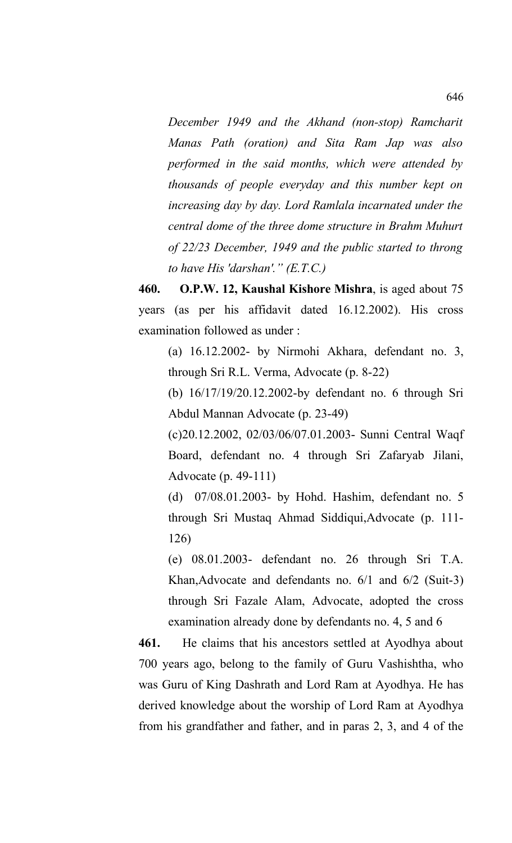*December 1949 and the Akhand (non-stop) Ramcharit Manas Path (oration) and Sita Ram Jap was also performed in the said months, which were attended by thousands of people everyday and this number kept on increasing day by day. Lord Ramlala incarnated under the central dome of the three dome structure in Brahm Muhurt of 22/23 December, 1949 and the public started to throng to have His 'darshan'." (E.T.C.)*

**460. O.P.W. 12, Kaushal Kishore Mishra**, is aged about 75 years (as per his affidavit dated 16.12.2002). His cross examination followed as under :

(a) 16.12.2002- by Nirmohi Akhara, defendant no. 3, through Sri R.L. Verma, Advocate (p. 8-22)

(b) 16/17/19/20.12.2002-by defendant no. 6 through Sri Abdul Mannan Advocate (p. 23-49)

(c)20.12.2002, 02/03/06/07.01.2003- Sunni Central Waqf Board, defendant no. 4 through Sri Zafaryab Jilani, Advocate (p. 49-111)

(d) 07/08.01.2003- by Hohd. Hashim, defendant no. 5 through Sri Mustaq Ahmad Siddiqui,Advocate (p. 111- 126)

(e) 08.01.2003- defendant no. 26 through Sri T.A. Khan,Advocate and defendants no. 6/1 and 6/2 (Suit-3) through Sri Fazale Alam, Advocate, adopted the cross examination already done by defendants no. 4, 5 and 6

**461.** He claims that his ancestors settled at Ayodhya about 700 years ago, belong to the family of Guru Vashishtha, who was Guru of King Dashrath and Lord Ram at Ayodhya. He has derived knowledge about the worship of Lord Ram at Ayodhya from his grandfather and father, and in paras 2, 3, and 4 of the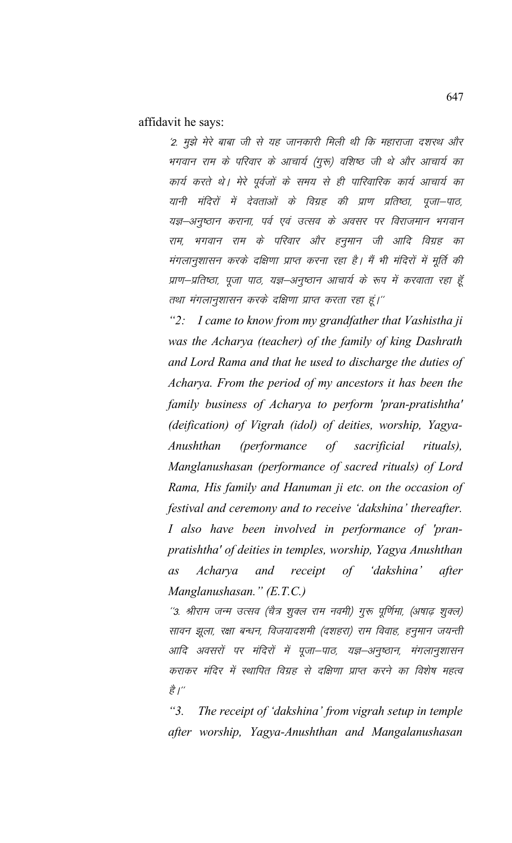affidavit he says:

'2. मुझे मेरे बाबा जी से यह जानकारी मिली थी कि महाराजा दशरथ और भगवान राम के परिवार के आचार्य (गुरू) वशिष्ठ जी थे और आचार्य का कार्य करते थे। मेरे पूर्वजों के समय से ही पारिवारिक कार्य आचार्य का यानी मंदिरों में देवताओं के विग्रह की प्राण प्रतिष्ठा, पूजा–पाठ, यज्ञ–अनुष्ठान कराना, पर्व एवं उत्सव के अवसर पर विराजमान भगवान राम, भगवान राम के परिवार और हनुमान जी आदि विग्रह का मंगलानुशासन करके दक्षिणा प्राप्त करना रहा है। मैं भी मंदिरों में मूर्ति की प्राण–प्रतिष्ठा, पूजा पाठ, यज्ञ–अनुष्ठान आचार्य के रूप में करवाता रहा हूँ तथा मंगलानुशासन करके दक्षिणा प्राप्त करता रहा हूं।''

*"2: I came to know from my grandfather that Vashistha ji was the Acharya (teacher) of the family of king Dashrath and Lord Rama and that he used to discharge the duties of Acharya. From the period of my ancestors it has been the family business of Acharya to perform 'pran-pratishtha' (deification) of Vigrah (idol) of deities, worship, Yagya-Anushthan (performance of sacrificial rituals), Manglanushasan (performance of sacred rituals) of Lord Rama, His family and Hanuman ji etc. on the occasion of festival and ceremony and to receive 'dakshina' thereafter. I also have been involved in performance of 'pranpratishtha' of deities in temples, worship, Yagya Anushthan as Acharya and receipt of 'dakshina' after Manglanushasan." (E.T.C.)*

''3. श्रीराम जन्म उत्सव (चैत्र शुक्ल राम नवमी) गुरू पूर्णिमा, (अषाढ़ शुक्ल) सावन झूला, रक्षा बन्धन, विजयादशमी (दशहरा) राम विवाह, हनुमान जयन्ती आदि अवसरों पर मंदिरों में पूजा–पाठ, यज्ञ–अनुष्ठान, मंगलानुशासन कराकर मंदिर में स्थापित विग्रह से दक्षिणा प्राप्त करने का विशेष महत्व है। $^{\prime\prime}$ 

*"3. The receipt of 'dakshina' from vigrah setup in temple after worship, Yagya-Anushthan and Mangalanushasan*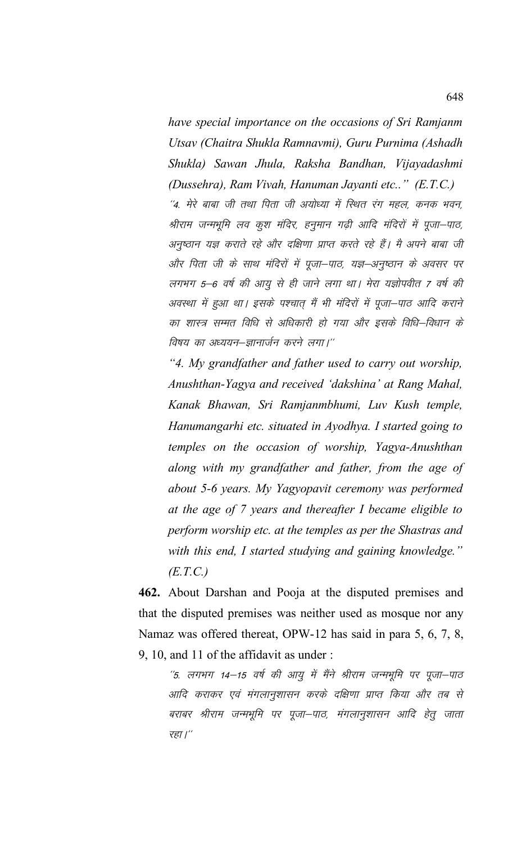*have special importance on the occasions of Sri Ramjanm Utsav (Chaitra Shukla Ramnavmi), Guru Purnima (Ashadh Shukla) Sawan Jhula, Raksha Bandhan, Vijayadashmi (Dussehra), Ram Vivah, Hanuman Jayanti etc.." (E.T.C.)* ''4. मेरे बाबा जी तथा पिता जी अयोध्या में स्थित रंग महल, कनक भवन, श्रीराम जन्मभूमि लव कूश मंदिर, हनुमान गढ़ी आदि मंदिरों में पूजा–पाठ, अनुष्ठान यज्ञ कराते रहे और दक्षिणा प्राप्त करते रहे हैं। मै अपने बाबा जी ओर पिता जी के साथ मंदिरों में पूजा–पाठ, यज्ञ–अनुष्ठान के अवसर पर लगभग 5–6 वर्ष की आयू से ही जाने लगा था। मेरा यज्ञोपवीत 7 वर्ष की अवस्था में हुआ था। इसके पश्चात् मैं भी मंदिरों में पूजा—पाठ आदि कराने का शास्त्र सम्मत विधि से अधिकारी हो गया और इसके विधि–विधान के विषय का अध्ययन–ज्ञानार्जन करने लगा।''

*"4. My grandfather and father used to carry out worship, Anushthan-Yagya and received 'dakshina' at Rang Mahal, Kanak Bhawan, Sri Ramjanmbhumi, Luv Kush temple, Hanumangarhi etc. situated in Ayodhya. I started going to temples on the occasion of worship, Yagya-Anushthan along with my grandfather and father, from the age of about 5-6 years. My Yagyopavit ceremony was performed at the age of 7 years and thereafter I became eligible to perform worship etc. at the temples as per the Shastras and with this end, I started studying and gaining knowledge." (E.T.C.)*

**462.** About Darshan and Pooja at the disputed premises and that the disputed premises was neither used as mosque nor any Namaz was offered thereat, OPW-12 has said in para 5, 6, 7, 8, 9, 10, and 11 of the affidavit as under :

''5. लगभग 14–15 वर्ष की आयु में मैंने श्रीराम जन्मभूमि पर पूजा–पाठ आदि कराकर एवं मंगलानुशासन करके दक्षिणा प्राप्त किया और तब से बराबर श्रीराम जन्मभूमि पर पूजा—पाठ, मंगलानुशासन आदि हेतु जाता रहा $\mu^{\prime\prime}$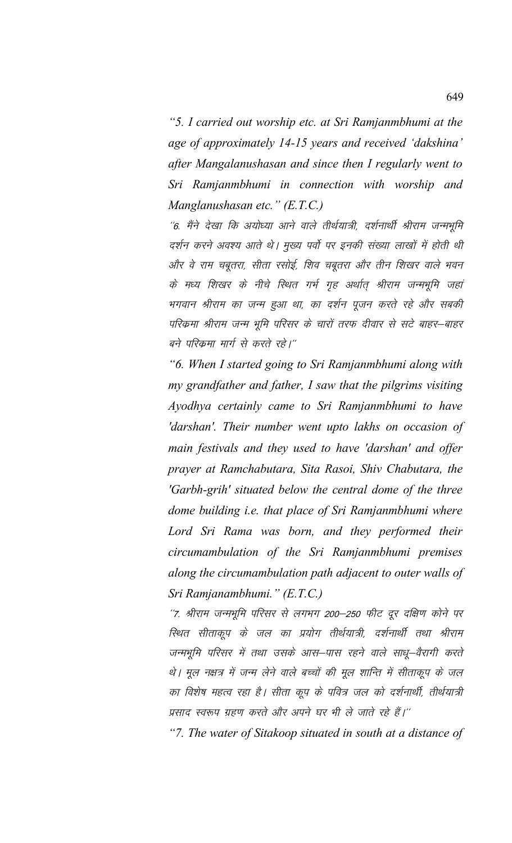*"5. I carried out worship etc. at Sri Ramjanmbhumi at the age of approximately 14-15 years and received 'dakshina' after Mangalanushasan and since then I regularly went to Sri Ramjanmbhumi in connection with worship and Manglanushasan etc." (E.T.C.)*

''6. मैंने देखा कि अयोध्या आने वाले तीर्थयात्री, दर्शनार्थी श्रीराम जन्मभूमि दर्शन करने अवश्य आते थे। मुख्य पर्वो पर इनकी संख्या लाखों में होती थी ओर वे राम चबूतरा, सीता रसोई, शिव चबूतरा और तीन शिखर वाले भवन के मध्य शिखर के नीचे रिथत गर्भ गृह अर्थात् श्रीराम जन्मभूमि जहां भगवान श्रीराम का जन्म हुआ था, का दर्शन पूजन करते रहे और सबकी परिक्रमा श्रीराम जन्म भूमि परिसर के चारों तरफ दीवार से सटे बाहर–बाहर बने परिक्रमा मार्ग से करते रहे।''

*"6. When I started going to Sri Ramjanmbhumi along with my grandfather and father, I saw that the pilgrims visiting Ayodhya certainly came to Sri Ramjanmbhumi to have 'darshan'. Their number went upto lakhs on occasion of main festivals and they used to have 'darshan' and offer prayer at Ramchabutara, Sita Rasoi, Shiv Chabutara, the 'Garbh-grih' situated below the central dome of the three dome building i.e. that place of Sri Ramjanmbhumi where Lord Sri Rama was born, and they performed their circumambulation of the Sri Ramjanmbhumi premises along the circumambulation path adjacent to outer walls of Sri Ramjanambhumi." (E.T.C.)*

"7. श्रीराम जन्मभूमि परिसर से लगभग 200–250 फीट दूर दक्षिण कोने पर रिथत सीताकूप के जल का प्रयोग तीर्थयात्री, दर्शनार्थी तथा श्रीराम जन्मभूमि परिसर में तथा उसके आस–पास रहने वाले साधू–वैरागी करते थे। मूल नक्षत्र में जन्म लेने वाले बच्चों की मूल शान्ति में सीताकूप के जल का विशेष महत्व रहा है। सीता कूप के पवित्र जल को दर्शनार्थी, तीर्थयात्री प्रसाद स्वरूप ग्रहण करते और अपने घर भी ले जाते रहे हैं।''

*"7. The water of Sitakoop situated in south at a distance of*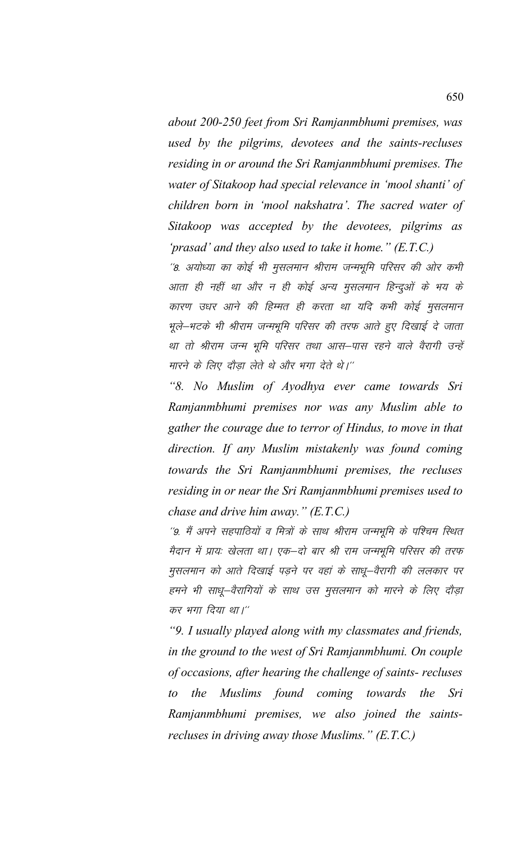*about 200-250 feet from Sri Ramjanmbhumi premises, was used by the pilgrims, devotees and the saints-recluses residing in or around the Sri Ramjanmbhumi premises. The water of Sitakoop had special relevance in 'mool shanti' of children born in 'mool nakshatra'. The sacred water of Sitakoop was accepted by the devotees, pilgrims as 'prasad' and they also used to take it home." (E.T.C.)*

''8. अयोध्या का कोई भी मुसलमान श्रीराम जन्मभूमि परिसर की ओर कभी आता ही नहीं था और न ही कोई अन्य मुसलमान हिन्दुओं के भय के कारण उधर आने की हिम्मत ही करता था यदि कभी कोई मुसलमान भूले–भटके भी श्रीराम जन्मभूमि परिसर की तरफ आते हुए दिखाई दे जाता था तो श्रीराम जन्म भूमि परिसर तथा आस–पास रहने वाले वैरागी उन्हें मारने के लिए दौड़ा लेते थे और भगा देते थे।''

*"8. No Muslim of Ayodhya ever came towards Sri Ramjanmbhumi premises nor was any Muslim able to gather the courage due to terror of Hindus, to move in that direction. If any Muslim mistakenly was found coming towards the Sri Ramjanmbhumi premises, the recluses residing in or near the Sri Ramjanmbhumi premises used to chase and drive him away." (E.T.C.)*

''9. मैं अपने सहपाठियों व मित्रों के साथ श्रीराम जन्मभूमि के पश्चिम स्थित मैदान में प्रायः खेलता था। एक–दो बार श्री राम जन्मभूमि परिसर की तरफ मुसलमान को आते दिखाई पड़ने पर वहां के साधू–वैरागी की ललकार पर हमने भी साधू-वैरागियों के साथ उस मुसलमान को मारने के लिए दौड़ा कर भगा दिया था।''

*"9. I usually played along with my classmates and friends, in the ground to the west of Sri Ramjanmbhumi. On couple of occasions, after hearing the challenge of saints- recluses to the Muslims found coming towards the Sri Ramjanmbhumi premises, we also joined the saintsrecluses in driving away those Muslims." (E.T.C.)*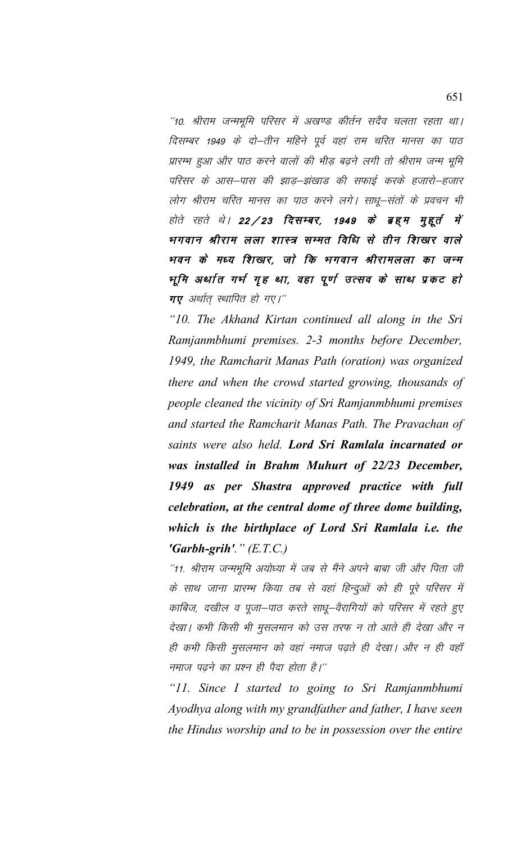"10. श्रीराम जन्मभूमि परिसर में अखण्ड कीर्तन सदैव चलता रहता था। दिसम्बर 1949 के दो–तीन महिने पूर्व वहां राम चरित मानस का पाठ प्रारम्भ हुआ और पाठ करने वालों की भीड़ बढ़ने लगी तो श्रीराम जन्म भूमि परिसर के आस–पास की झाड–झंखाड की सफाई करके हजारो–हजार लोग श्रीराम चरित मानस का पाठ करने लगे। साधू–संतों के प्रवचन भी होते रहते थे। 22/23 **दिसम्बर, 1949 के ब्रहम मुहूर्त में** भगवान श्रीराम लला शास्त्र सम्मत विधि से तीन शिखार वाले भवन के मध्य शिखार, जो कि भगवान श्रीरामलला का जन्म भूमि अर्थात गर्भ गृह था, वहा पूर्ण उत्सव के साथ प्रकट हो  $\pi$ ए अर्थात स्थापित हो गए।"

*"10. The Akhand Kirtan continued all along in the Sri Ramjanmbhumi premises. 2-3 months before December, 1949, the Ramcharit Manas Path (oration) was organized there and when the crowd started growing, thousands of people cleaned the vicinity of Sri Ramjanmbhumi premises and started the Ramcharit Manas Path. The Pravachan of saints were also held. Lord Sri Ramlala incarnated or was installed in Brahm Muhurt of 22/23 December, 1949 as per Shastra approved practice with full celebration, at the central dome of three dome building, which is the birthplace of Lord Sri Ramlala i.e. the 'Garbh-grih'." (E.T.C.)*

"11. श्रीराम जन्मभूमि अयोध्या में जब से मैंने अपने बाबा जी और पिता जी के साथ जाना प्रारम्भ किया तब से वहां हिन्दुओं को ही पूरे परिसर में काबिज, दखील व पूजा–पाठ करते साधू–वैरागियों को परिसर में रहते हुए देखा। कभी किसी भी मुसलमान को उस तरफ न तो आते ही देखा और न ही कभी किसी मुसलमान को वहां नमाज पढ़ते ही देखा। और न ही वहाँ नमाज पढने का प्रश्न ही पैदा होता है।''

*"11. Since I started to going to Sri Ramjanmbhumi Ayodhya along with my grandfather and father, I have seen the Hindus worship and to be in possession over the entire*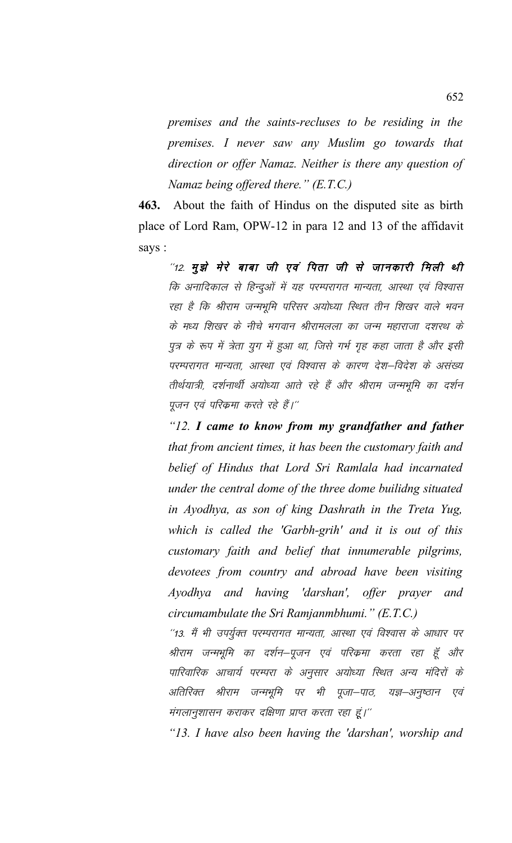*premises and the saints-recluses to be residing in the premises. I never saw any Muslim go towards that direction or offer Namaz. Neither is there any question of Namaz being offered there." (E.T.C.)*

**463.** About the faith of Hindus on the disputed site as birth place of Lord Ram, OPW-12 in para 12 and 13 of the affidavit says :

 $^{\prime\prime}$ 12. मुझे मेरे बाबा जी एवं पिता जी से जानकारी मिली थी कि अनादिकाल से हिन्दुओं में यह परम्परागत मान्यता, आस्था एवं विश्वास रहा है कि श्रीराम जन्मभूमि परिसर अयोध्या रिथत तीन शिखर वाले भवन के मध्य शिखर के नीचे भगवान श्रीरामलला का जन्म महाराजा दशरथ के पुत्र के रूप में त्रेता युग में हुआ था, जिसे गर्भ गृह कहा जाता है और इसी परम्परागत मान्यता, आस्था एवं विश्वास के कारण देश–विदेश के असंख्य तीर्थयात्री, दर्शनार्थी अयोध्या आते रहे हैं और श्रीराम जन्मभूमि का दर्शन पुजन एवं परिकमा करते रहे हैं।''

*"12. I came to know from my grandfather and father that from ancient times, it has been the customary faith and belief of Hindus that Lord Sri Ramlala had incarnated under the central dome of the three dome builidng situated in Ayodhya, as son of king Dashrath in the Treta Yug, which is called the 'Garbh-grih' and it is out of this customary faith and belief that innumerable pilgrims, devotees from country and abroad have been visiting Ayodhya and having 'darshan', offer prayer and circumambulate the Sri Ramjanmbhumi." (E.T.C.)*

"13. मैं भी उपर्युक्त परम्परागत मान्यता, आस्था एवं विश्वास के आधार पर श्रीराम जन्मभूमि का दर्शन–पूजन एवं परिक्रमा करता रहा हूँ और पारिवारिक आचार्य परम्परा के अनुसार अयोध्या स्थित अन्य मंदिरों के अतिरिक्त श्रीराम जन्मभूमि पर भी पूजा–पाठ, यज्ञ–अनुष्ठान एवं मंगलानुशासन कराकर दक्षिणा प्राप्त करता रहा हूं।''

*"13. I have also been having the 'darshan', worship and*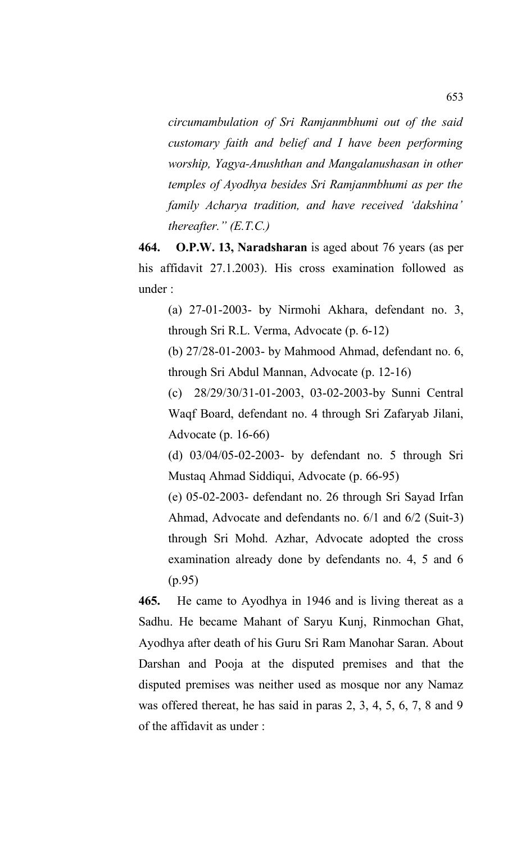*circumambulation of Sri Ramjanmbhumi out of the said customary faith and belief and I have been performing worship, Yagya-Anushthan and Mangalanushasan in other temples of Ayodhya besides Sri Ramjanmbhumi as per the family Acharya tradition, and have received 'dakshina' thereafter." (E.T.C.)*

**464. O.P.W. 13, Naradsharan** is aged about 76 years (as per his affidavit 27.1.2003). His cross examination followed as under :

(a) 27-01-2003- by Nirmohi Akhara, defendant no. 3, through Sri R.L. Verma, Advocate (p. 6-12)

(b) 27/28-01-2003- by Mahmood Ahmad, defendant no. 6, through Sri Abdul Mannan, Advocate (p. 12-16)

(c) 28/29/30/31-01-2003, 03-02-2003-by Sunni Central Waqf Board, defendant no. 4 through Sri Zafaryab Jilani, Advocate (p. 16-66)

(d) 03/04/05-02-2003- by defendant no. 5 through Sri Mustaq Ahmad Siddiqui, Advocate (p. 66-95)

(e) 05-02-2003- defendant no. 26 through Sri Sayad Irfan Ahmad, Advocate and defendants no. 6/1 and 6/2 (Suit-3) through Sri Mohd. Azhar, Advocate adopted the cross examination already done by defendants no. 4, 5 and 6 (p.95)

**465.** He came to Ayodhya in 1946 and is living thereat as a Sadhu. He became Mahant of Saryu Kunj, Rinmochan Ghat, Ayodhya after death of his Guru Sri Ram Manohar Saran. About Darshan and Pooja at the disputed premises and that the disputed premises was neither used as mosque nor any Namaz was offered thereat, he has said in paras 2, 3, 4, 5, 6, 7, 8 and 9 of the affidavit as under :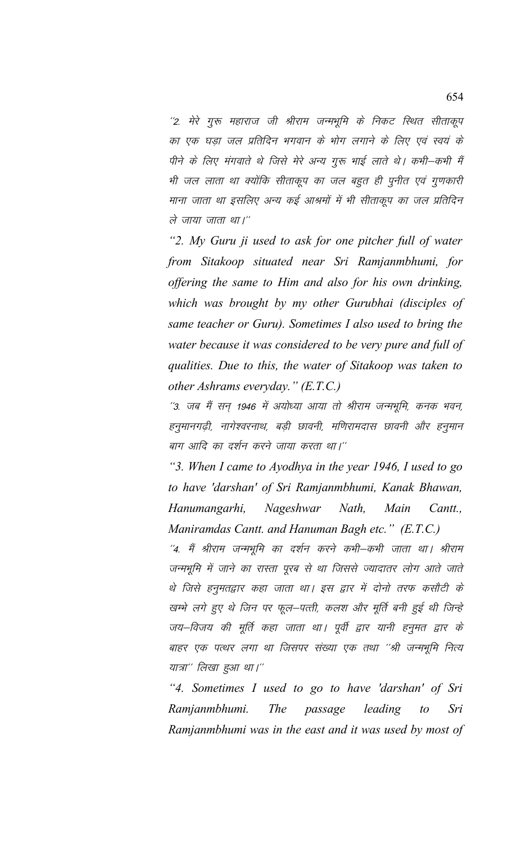''2. मेरे गुरू महाराज जी श्रीराम जन्मभूमि के निकट स्थित सीताकूप का एक घडा जल प्रतिदिन भगवान के भोग लगाने के लिए एवं स्वयं के पीने के लिए मंगवाते थे जिसे मेरे अन्य गुरू भाई लाते थे। कभी–कभी मैं भी जल लाता था क्योंकि सीताकूप का जल बहुत ही पूनीत एवं गुणकारी माना जाता था इसलिए अन्य कई आश्रमों में भी सीताकूप का जल प्रतिदिन ले जाया जाता था।''

*"2. My Guru ji used to ask for one pitcher full of water from Sitakoop situated near Sri Ramjanmbhumi, for offering the same to Him and also for his own drinking, which was brought by my other Gurubhai (disciples of same teacher or Guru). Sometimes I also used to bring the water because it was considered to be very pure and full of qualities. Due to this, the water of Sitakoop was taken to other Ashrams everyday." (E.T.C.)*

''3. जब मैं सन् 1946 में अयोध्या आया तो श्रीराम जन्मभूमि, कनक भवन, हनूमानगढ़ी, नागेश्वरनाथ, बड़ी छावनी, मणिरामदास छावनी और हनूमान बाग आदि का दर्शन करने जाया करता था।''

*"3. When I came to Ayodhya in the year 1946, I used to go to have 'darshan' of Sri Ramjanmbhumi, Kanak Bhawan, Hanumangarhi, Nageshwar Nath, Main Cantt., Maniramdas Cantt. and Hanuman Bagh etc." (E.T.C.)*

 $^{\prime\prime}$ 4. मैं श्रीराम जन्मभूमि का दर्शन करने कभी–कभी जाता था। श्रीराम जन्मभूमि में जाने का रास्ता पूरब से था जिससे ज्यादातर लोग आते जाते थे जिसे हनुमतद्वार कहा जाता था। इस द्वार में दोनो तरफ कसौटी के खम्भे लगे हुए थे जिन पर फूल–पत्ती, कलश और मूर्ति बनी हुई थी जिन्हे जय–विजय की मूर्ति कहा जाता था। पूर्वी द्वार यानी हनुमत द्वार के बाहर एक पत्थर लगा था जिसपर संख्या एक तथा ''श्री जन्मभूमि नित्य यात्रा'' लिखा हुआ था।''

*"4. Sometimes I used to go to have 'darshan' of Sri Ramjanmbhumi. The passage leading to Sri Ramjanmbhumi was in the east and it was used by most of*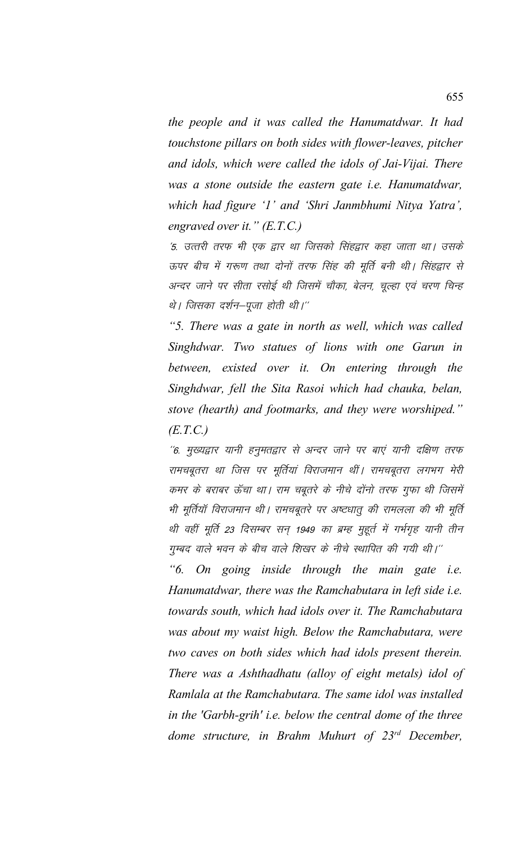*the people and it was called the Hanumatdwar. It had touchstone pillars on both sides with flower-leaves, pitcher and idols, which were called the idols of Jai-Vijai. There was a stone outside the eastern gate i.e. Hanumatdwar, which had figure '1' and 'Shri Janmbhumi Nitya Yatra', engraved over it." (E.T.C.)*

'5. उत्तरी तरफ भी एक द्वार था जिसको सिंहद्वार कहा जाता था। उसके ऊपर बीच में गरूण तथा दोनों तरफ सिंह की मूर्ति बनी थी। सिंहद्वार से अन्दर जाने पर सीता रसोई थी जिसमें चौका, बेलन, चूल्हा एवं चरण चिन्ह थे। जिसका दर्शन–पूजा होती थी।''

*"5. There was a gate in north as well, which was called Singhdwar. Two statues of lions with one Garun in between, existed over it. On entering through the Singhdwar, fell the Sita Rasoi which had chauka, belan, stove (hearth) and footmarks, and they were worshiped." (E.T.C.)*

 $^{\prime\prime}$ 6. मुख्यद्वार यानी हनुमतद्वार से अन्दर जाने पर बाएं यानी दक्षिण तरफ रामचबूतरा था जिस पर मूर्तियां विराजमान थीं। रामचबूतरा लगभग मेरी कमर के बराबर ऊँचा था। राम चबूतरे के नीचे दोंनो तरफ गुफा थी जिसमें भी मूर्तियॉ विराजमान थी। रामचबुतरे पर अष्टधात की रामलला की भी मूर्ति थी वहीं मूर्ति 23 दिसम्बर सन् 1949 का ब्रम्ह मुहूर्त में गर्भगृह यानी तीन गुम्बद वाले भवन के बीच वाले शिखर के नीचे स्थापित की गयी थी।''

*"6. On going inside through the main gate i.e. Hanumatdwar, there was the Ramchabutara in left side i.e. towards south, which had idols over it. The Ramchabutara was about my waist high. Below the Ramchabutara, were two caves on both sides which had idols present therein. There was a Ashthadhatu (alloy of eight metals) idol of Ramlala at the Ramchabutara. The same idol was installed in the 'Garbh-grih' i.e. below the central dome of the three dome structure, in Brahm Muhurt of 23rd December,*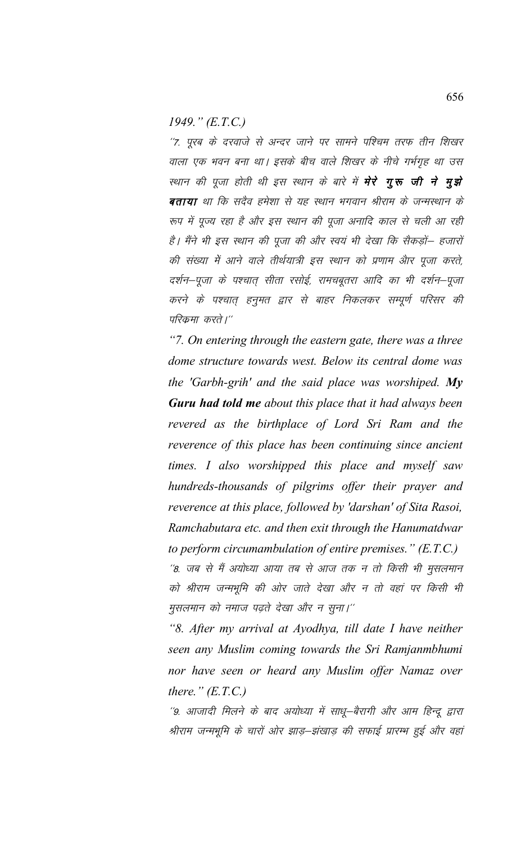1949."  $(E.T.C.)$ 

"7. पूरब के दरवाजे से अन्दर जाने पर सामने पश्चिम तरफ तीन शिखर वाला एक भवन बना था। इसके बीच वाले शिखर के नीचे गर्भगृह था उस स्थान की पूजा होती थी इस स्थान के बारे में **मेरे गूरू जी ने मूझे** बताया था कि सदैव हमेशा से यह स्थान भगवान श्रीराम के जन्मस्थान के रूप में पूज्य रहा है और इस स्थान की पूजा अनादि काल से चली आ रही है। मैंने भी इस स्थान की पूजा की और स्वयं भी देखा कि सैकड़ों— हजारों की संख्या में आने वाले तीर्थयात्री इस स्थान को प्रणाम और पूजा करते, दर्शन–पूजा के पश्चात् सीता रसोई, रामचबूतरा आदि का भी दर्शन–पूजा करने के पश्चात् हनुमत द्वार से बाहर निकलकर सम्पूर्ण परिसर की परिक्रमा करते।''

"7. On entering through the eastern gate, there was a three dome structure towards west. Below its central dome was the 'Garbh-grih' and the said place was worshiped. My **Guru had told me** about this place that it had always been revered as the birthplace of Lord Sri Ram and the reverence of this place has been continuing since ancient times. I also worshipped this place and myself saw hundreds-thousands of pilgrims offer their prayer and reverence at this place, followed by 'darshan' of Sita Rasoi, Ramchabutara etc. and then exit through the Hanumatdwar to perform circumambulation of entire premises."  $(E.T.C.)$ 

''8. जब से मैं अयोध्या आया तब से आज तक न तो किसी भी मुसलमान को श्रीराम जन्मभूमि की ओर जाते देखा और न तो वहां पर किसी भी मुसलमान को नमाज पढ़ते देखा और न सुना।''

"8. After my arrival at Ayodhya, till date I have neither seen any Muslim coming towards the Sri Ramjanmbhumi nor have seen or heard any Muslim offer Namaz over there."  $(E.T.C.)$ 

''9. आजादी मिलने के बाद अयोध्या में साधू–बैरागी और आम हिन्दू द्वारा श्रीराम जन्मभूमि के चारों ओर झाड़–झंखाड़ की सफाई प्रारम्भ हुई और वहां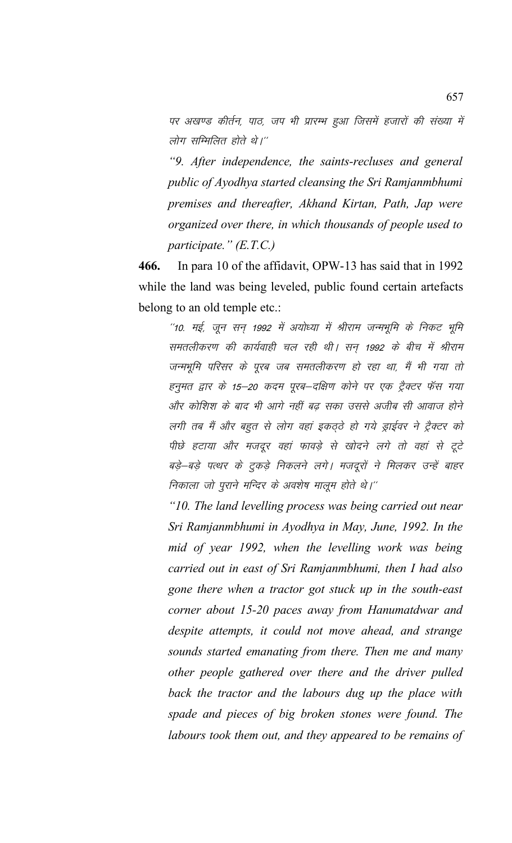पर अखण्ड कीर्तन, पाठ, जप भी प्रारम्भ हुआ जिसमें हजारों की संख्या में लोग सम्मिलित होते थे।"

"9. After independence, the saints-recluses and general public of Ayodhya started cleansing the Sri Ramjanmbhumi premises and thereafter, Akhand Kirtan, Path, Jap were organized over there, in which thousands of people used to participate."  $(E.T.C.)$ 

466. In para 10 of the affidavit, OPW-13 has said that in 1992 while the land was being leveled, public found certain artefacts belong to an old temple etc.:

"10. मई, जून सन् 1992 में अयोध्या में श्रीराम जन्मभूमि के निकट भूमि समतलीकरण की कार्यवाही चल रही थी। सन् 1992 के बीच में श्रीराम जन्मभूमि परिसर के पूरब जब समतलीकरण हो रहा था, मैं भी गया तो हनूमत द्वार के 15–20 कदम पूरब–दक्षिण कोने पर एक ट्रैक्टर फॅस गया और कोशिश के बाद भी आगे नहीं बढ सका उससे अजीब सी आवाज होने लगी तब मैं और बहुत से लोग वहां इकठ्ठे हो गये ड्राईवर ने ट्रैक्टर को पीछे हटाया और मजदूर वहां फावड़े से खोदने लगे तो वहां से टूटे बड़े–बड़े पत्थर के टूकड़े निकलने लगे। मजदूरों ने मिलकर उन्हें बाहर निकाला जो पुराने मन्दिर के अवशेष मालूम होते थे।''

"10. The land levelling process was being carried out near Sri Ramjanmbhumi in Ayodhya in May, June, 1992. In the mid of year 1992, when the levelling work was being carried out in east of Sri Ramjanmbhumi, then I had also gone there when a tractor got stuck up in the south-east corner about 15-20 paces away from Hanumatdwar and despite attempts, it could not move ahead, and strange sounds started emanating from there. Then me and many other people gathered over there and the driver pulled back the tractor and the labours dug up the place with spade and pieces of big broken stones were found. The labours took them out, and they appeared to be remains of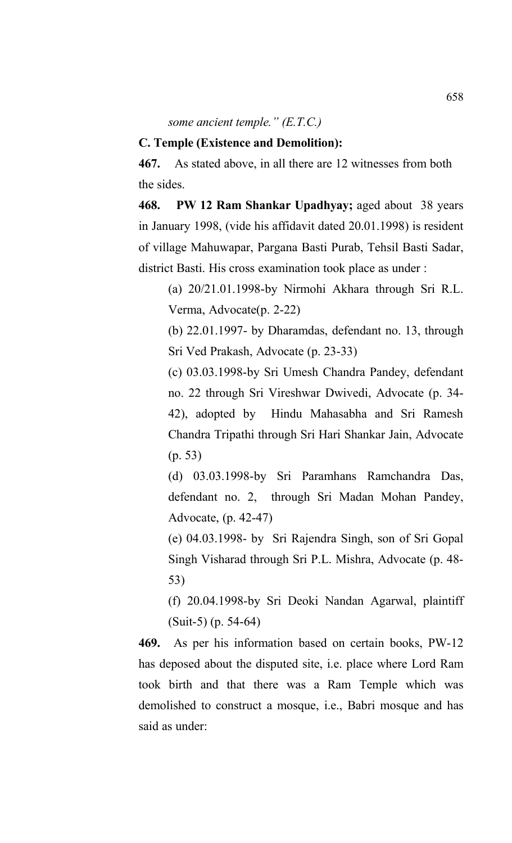*some ancient temple." (E.T.C.)*

## **C. Temple (Existence and Demolition):**

**467.** As stated above, in all there are 12 witnesses from both the sides.

**468. PW 12 Ram Shankar Upadhyay;** aged about 38 years in January 1998, (vide his affidavit dated 20.01.1998) is resident of village Mahuwapar, Pargana Basti Purab, Tehsil Basti Sadar, district Basti. His cross examination took place as under :

(a) 20/21.01.1998-by Nirmohi Akhara through Sri R.L. Verma, Advocate(p. 2-22)

(b) 22.01.1997- by Dharamdas, defendant no. 13, through Sri Ved Prakash, Advocate (p. 23-33)

(c) 03.03.1998-by Sri Umesh Chandra Pandey, defendant no. 22 through Sri Vireshwar Dwivedi, Advocate (p. 34- 42), adopted by Hindu Mahasabha and Sri Ramesh Chandra Tripathi through Sri Hari Shankar Jain, Advocate (p. 53)

(d) 03.03.1998-by Sri Paramhans Ramchandra Das, defendant no. 2, through Sri Madan Mohan Pandey, Advocate, (p. 42-47)

(e) 04.03.1998- by Sri Rajendra Singh, son of Sri Gopal Singh Visharad through Sri P.L. Mishra, Advocate (p. 48- 53)

(f) 20.04.1998-by Sri Deoki Nandan Agarwal, plaintiff (Suit-5) (p. 54-64)

**469.** As per his information based on certain books, PW-12 has deposed about the disputed site, i.e. place where Lord Ram took birth and that there was a Ram Temple which was demolished to construct a mosque, i.e., Babri mosque and has said as under: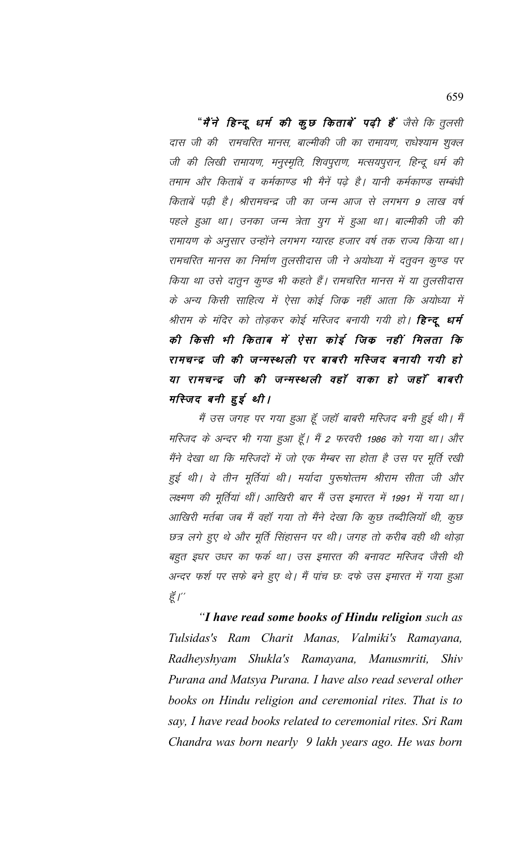"मैंने हिन्दू धर्म की कूछ किताबें पढ़ी हैं जैसे कि तुलसी दास जी की रामचरित मानस, बाल्मीकी जी का रामायण, राधेश्याम शुक्ल जी की लिखी रामायण, मनुस्मृति, शिवपुराण, मत्सयपुरान, हिन्दू धर्म की तमाम और किताबें व कर्मकाण्ड भी मैनें पढ़े है। यानी कर्मकाण्ड सम्बंधी किताबें पढ़ी है। श्रीरामचन्द्र जी का जन्म आज से लगभग 9 लाख वर्ष पहले हुआ था। उनका जन्म त्रेता युग में हुआ था। बाल्मीकी जी की रामायण के अनुसार उन्होंने लगभग ग्यारह हजार वर्ष तक राज्य किया था। रामचरित मानस का निर्माण तूलसीदास जी ने अयोध्या में दत्तूवन कूण्ड पर किया था उसे दातून कूण्ड भी कहते हैं। रामचरित मानस में या तूलसीदास के अन्य किसी साहित्य में ऐसा कोई जिक्र नहीं आता कि अयोध्या में श्रीराम के मंदिर को तोड़कर कोई मस्जिद बनायी गयी हो। **हिन्दू धर्म** की किसी भी किताब में ऐसा कोई जिंक नहीं मिलता कि रामचन्द्र जी की जन्मस्थली पर बाबरी मस्जिद बनायी गयी हो या रामचन्द्र जी की जन्मस्थली वहाँ वाका हो जहाँ बाबरी मस्जिद बनी हुई थी।

मैं उस जगह पर गया हुआ हूँ जहाँ बाबरी मस्जिद बनी हुई थी। मैं मस्जिद के अन्दर भी गया हुआ हूँ। मैं 2 फरवरी 1986 को गया था। और मैंने देखा था कि मस्जिदों में जो एक मैम्बर सा होता है उस पर मूर्ति रखी हुई थी। वे तीन मूर्तियां थी। मर्यादा पुरूषोत्तम श्रीराम सीता जी और लक्ष्मण की मूर्तियां थीं। आखिरी बार मैं उस इमारत में 1991 में गया था। आखिरी मर्तबा जब मैं वहाँ गया तो मैंने देखा कि कुछ तब्दीलियाँ थी, कुछ छत्र लगे हुए थे और मूर्ति सिंहासन पर थी। जगह तो करीब वही थी थोड़ा बहुत इधर उधर का फर्क था। उस इमारत की बनावट मस्जिद जैसी थी अन्दर फर्श पर सफे बने हुए थे। मैं पांच छः दफे उस इमारत में गया हुआ हूँ /"

"I have read some books of Hindu religion such as Tulsidas's Ram Charit Manas, Valmiki's Ramayana, Radheyshyam Shukla's Ramayana, Manusmriti, Shiv Purana and Matsya Purana. I have also read several other books on Hindu religion and ceremonial rites. That is to say, I have read books related to ceremonial rites. Sri Ram Chandra was born nearly 9 lakh years ago. He was born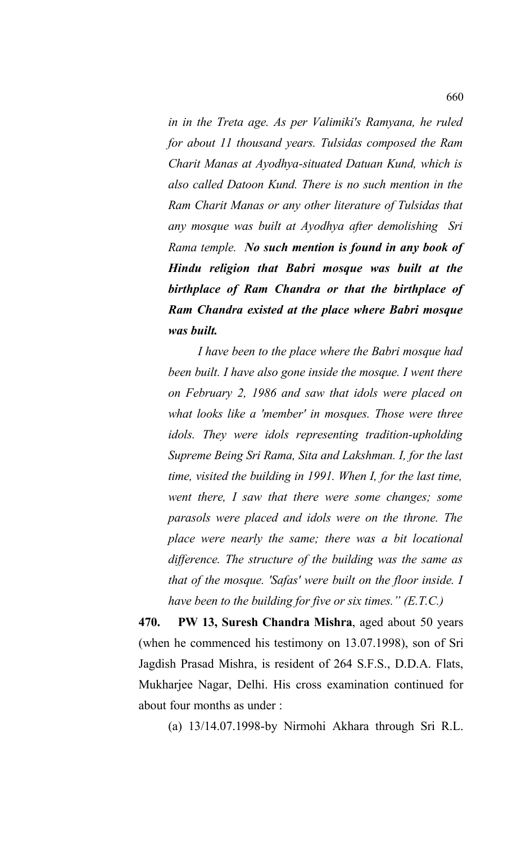*in in the Treta age. As per Valimiki's Ramyana, he ruled for about 11 thousand years. Tulsidas composed the Ram Charit Manas at Ayodhya-situated Datuan Kund, which is also called Datoon Kund. There is no such mention in the Ram Charit Manas or any other literature of Tulsidas that any mosque was built at Ayodhya after demolishing Sri Rama temple. No such mention is found in any book of Hindu religion that Babri mosque was built at the birthplace of Ram Chandra or that the birthplace of Ram Chandra existed at the place where Babri mosque was built.* 

*I have been to the place where the Babri mosque had been built. I have also gone inside the mosque. I went there on February 2, 1986 and saw that idols were placed on what looks like a 'member' in mosques. Those were three idols. They were idols representing tradition-upholding Supreme Being Sri Rama, Sita and Lakshman. I, for the last time, visited the building in 1991. When I, for the last time, went there, I saw that there were some changes; some parasols were placed and idols were on the throne. The place were nearly the same; there was a bit locational difference. The structure of the building was the same as that of the mosque. 'Safas' were built on the floor inside. I have been to the building for five or six times." (E.T.C.)*

**470. PW 13, Suresh Chandra Mishra**, aged about 50 years (when he commenced his testimony on 13.07.1998), son of Sri Jagdish Prasad Mishra, is resident of 264 S.F.S., D.D.A. Flats, Mukharjee Nagar, Delhi. His cross examination continued for about four months as under :

(a) 13/14.07.1998-by Nirmohi Akhara through Sri R.L.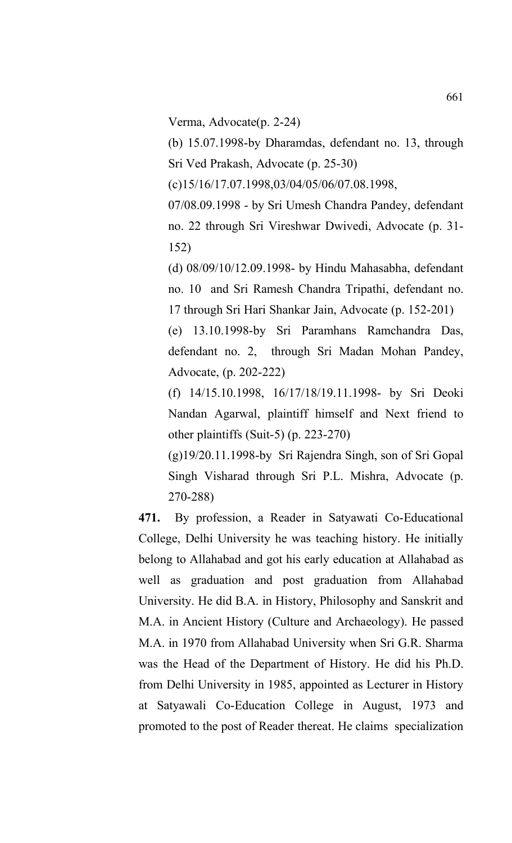Verma, Advocate(p. 2-24)

(b) 15.07.1998-by Dharamdas, defendant no. 13, through Sri Ved Prakash, Advocate (p. 25-30)

(c)15/16/17.07.1998,03/04/05/06/07.08.1998,

07/08.09.1998 - by Sri Umesh Chandra Pandey, defendant no. 22 through Sri Vireshwar Dwivedi, Advocate (p. 31- 152)

(d) 08/09/10/12.09.1998- by Hindu Mahasabha, defendant no. 10 and Sri Ramesh Chandra Tripathi, defendant no. 17 through Sri Hari Shankar Jain, Advocate (p. 152-201)

(e) 13.10.1998-by Sri Paramhans Ramchandra Das, defendant no. 2, through Sri Madan Mohan Pandey, Advocate, (p. 202-222)

(f) 14/15.10.1998, 16/17/18/19.11.1998- by Sri Deoki Nandan Agarwal, plaintiff himself and Next friend to other plaintiffs (Suit-5) (p. 223-270)

(g)19/20.11.1998-by Sri Rajendra Singh, son of Sri Gopal Singh Visharad through Sri P.L. Mishra, Advocate (p. 270-288)

**471.** By profession, a Reader in Satyawati Co-Educational College, Delhi University he was teaching history. He initially belong to Allahabad and got his early education at Allahabad as well as graduation and post graduation from Allahabad University. He did B.A. in History, Philosophy and Sanskrit and M.A. in Ancient History (Culture and Archaeology). He passed M.A. in 1970 from Allahabad University when Sri G.R. Sharma was the Head of the Department of History. He did his Ph.D. from Delhi University in 1985, appointed as Lecturer in History at Satyawali Co-Education College in August, 1973 and promoted to the post of Reader thereat. He claims specialization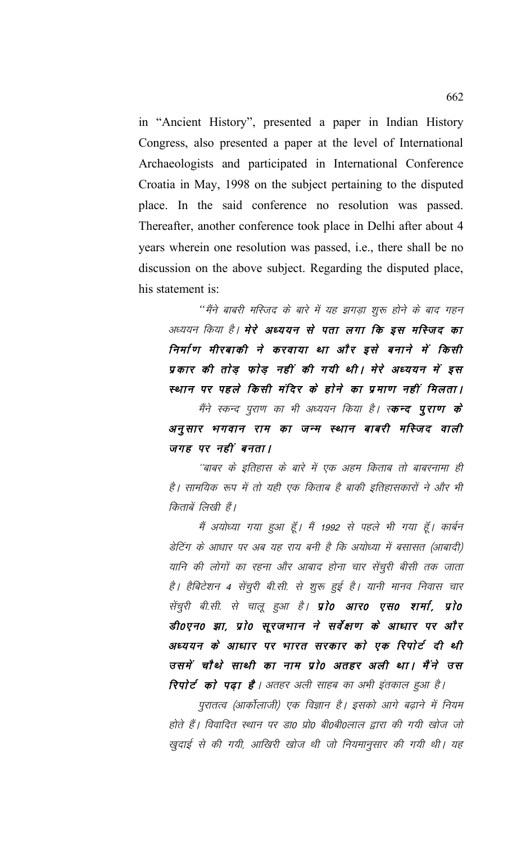in "Ancient History", presented a paper in Indian History Congress, also presented a paper at the level of International Archaeologists and participated in International Conference Croatia in May, 1998 on the subject pertaining to the disputed place. In the said conference no resolution was passed. Thereafter, another conference took place in Delhi after about 4 years wherein one resolution was passed, i.e., there shall be no discussion on the above subject. Regarding the disputed place, his statement is:

''मैंने बाबरी मस्जिद के बारे में यह झगड़ा शुरू होने के बाद गहन अध्ययन किया है। मेरे अध्ययन से पता लगा कि इस मस्जिद का निर्माण मीरबाकी ने करवाया था और इसे बनाने में किसी प्रकार की तोड़ फोड़ नहीं की गयी थी। मेरे अध्ययन में इस स्थान पर पहले किसी मंदिर के होने का प्रमाण नहीं मिलता। मैंने स्कन्द पुराण का भी अध्ययन किया है। स्**कन्द पुराण के** अनुसार भगवान राम का जन्म स्थान बाबरी मस्जिद वाली जगह पर नहीं बनता।

''बाबर के इतिहास के बारे में एक अहम किताब तो बाबरनामा ही है। सामयिक रूप में तो यही एक किताब है बाकी इतिहासकारों ने और भी किताबें लिखी हैं।

मैं अयोध्या गया हुआ हूँ। मैं 1992 से पहले भी गया हूँ। कार्बन डेटिंग के आधार पर अब यह राय बनी है कि अयोध्या में बसासत (आबादी) यानि की लोगों का रहना और आबाद होना चार सेंचुरी बीसी तक जाता है। हैबिटेशन 4 सेंचुरी बी.सी. से शुरू हुई है। यानी मानव निवास चार सेंचुरी बी.सी. से चालू हुआ है। प्रो0 आर0 एस0 शर्मा, प्रो0 डी०एन० झा, प्रो० सूरजभान ने सर्वेक्षण के आधार पर और अध्ययन के आधार पर भारत सरकार को एक रिपोर्ट दी थी उसमें चौथे साथी का नाम प्रो0 अतहर अली था। मैंने उस **रिपोर्ट को पढ़ा है**। अतहर अली साहब का अभी इंतकाल हुआ है।

पुरातत्व (आर्कोलाजी) एक विज्ञान है। इसको आगे बढ़ाने में नियम होते हैं। विवादित स्थान पर डा0 प्रो0 बी0बी0लाल द्वारा की गयी खोज जो खुदाई से की गयी, आखिरी खोज थी जो नियमानुसार की गयी थी। यह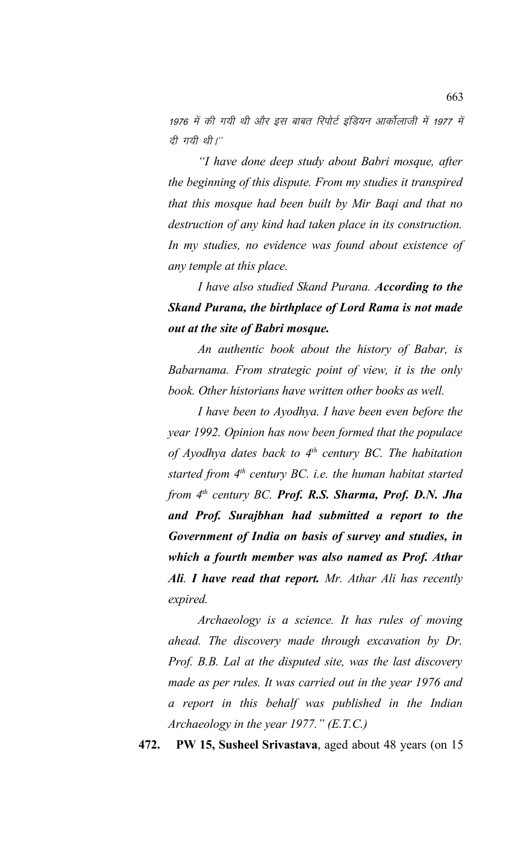1976 में की गयी थी और इस बाबत रिपोर्ट इंडियन आर्कोलाजी में 1977 में दी गयी थी।"

*"I have done deep study about Babri mosque, after the beginning of this dispute. From my studies it transpired that this mosque had been built by Mir Baqi and that no destruction of any kind had taken place in its construction. In my studies, no evidence was found about existence of any temple at this place.*

*I have also studied Skand Purana. According to the Skand Purana, the birthplace of Lord Rama is not made out at the site of Babri mosque.*

*An authentic book about the history of Babar, is Babarnama. From strategic point of view, it is the only book. Other historians have written other books as well.* 

*I have been to Ayodhya. I have been even before the year 1992. Opinion has now been formed that the populace of Ayodhya dates back to 4th century BC. The habitation started from 4th century BC. i.e. the human habitat started from 4th century BC. Prof. R.S. Sharma, Prof. D.N. Jha and Prof. Surajbhan had submitted a report to the Government of India on basis of survey and studies, in which a fourth member was also named as Prof. Athar Ali. I have read that report. Mr. Athar Ali has recently expired.*

*Archaeology is a science. It has rules of moving ahead. The discovery made through excavation by Dr. Prof. B.B. Lal at the disputed site, was the last discovery made as per rules. It was carried out in the year 1976 and a report in this behalf was published in the Indian Archaeology in the year 1977." (E.T.C.)*

**472. PW 15, Susheel Srivastava**, aged about 48 years (on 15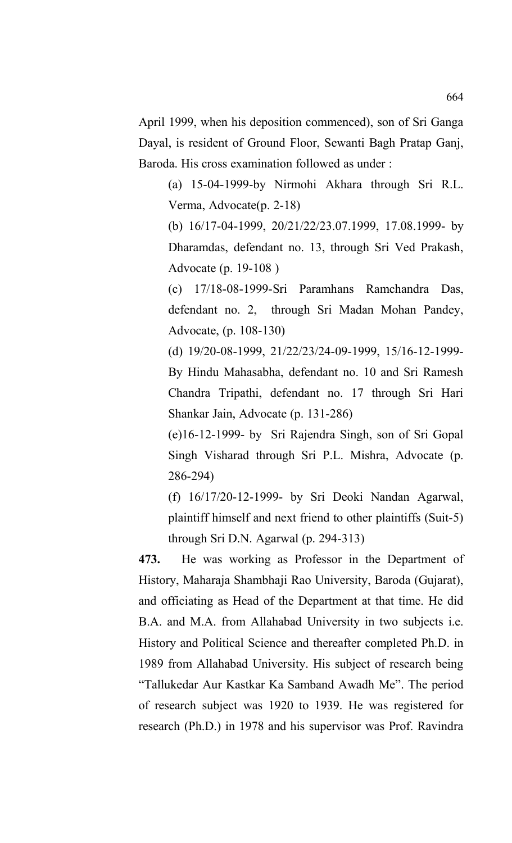April 1999, when his deposition commenced), son of Sri Ganga Dayal, is resident of Ground Floor, Sewanti Bagh Pratap Ganj, Baroda. His cross examination followed as under :

(a) 15-04-1999-by Nirmohi Akhara through Sri R.L. Verma, Advocate(p. 2-18)

(b) 16/17-04-1999, 20/21/22/23.07.1999, 17.08.1999- by Dharamdas, defendant no. 13, through Sri Ved Prakash, Advocate (p. 19-108 )

(c) 17/18-08-1999-Sri Paramhans Ramchandra Das, defendant no. 2, through Sri Madan Mohan Pandey, Advocate, (p. 108-130)

(d) 19/20-08-1999, 21/22/23/24-09-1999, 15/16-12-1999- By Hindu Mahasabha, defendant no. 10 and Sri Ramesh Chandra Tripathi, defendant no. 17 through Sri Hari Shankar Jain, Advocate (p. 131-286)

(e)16-12-1999- by Sri Rajendra Singh, son of Sri Gopal Singh Visharad through Sri P.L. Mishra, Advocate (p. 286-294)

(f) 16/17/20-12-1999- by Sri Deoki Nandan Agarwal, plaintiff himself and next friend to other plaintiffs (Suit-5) through Sri D.N. Agarwal (p. 294-313)

**473.** He was working as Professor in the Department of History, Maharaja Shambhaji Rao University, Baroda (Gujarat), and officiating as Head of the Department at that time. He did B.A. and M.A. from Allahabad University in two subjects i.e. History and Political Science and thereafter completed Ph.D. in 1989 from Allahabad University. His subject of research being "Tallukedar Aur Kastkar Ka Samband Awadh Me". The period of research subject was 1920 to 1939. He was registered for research (Ph.D.) in 1978 and his supervisor was Prof. Ravindra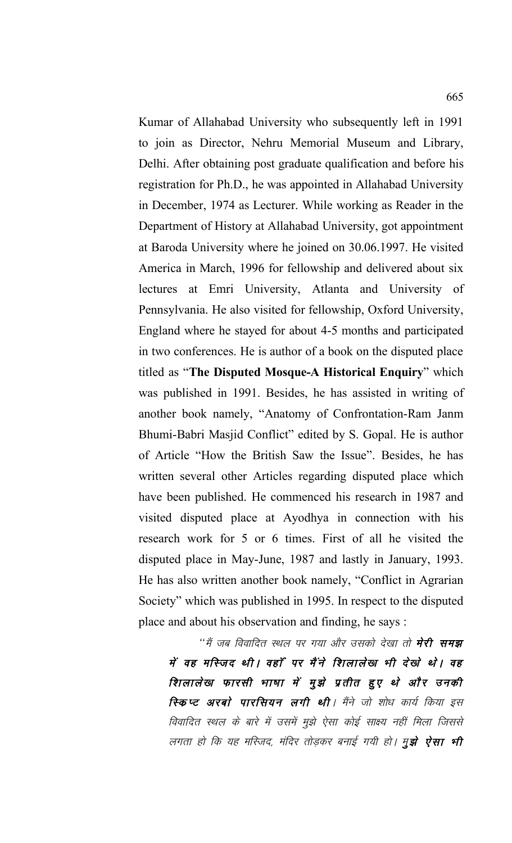Kumar of Allahabad University who subsequently left in 1991 to join as Director, Nehru Memorial Museum and Library, Delhi. After obtaining post graduate qualification and before his registration for Ph.D., he was appointed in Allahabad University in December, 1974 as Lecturer. While working as Reader in the Department of History at Allahabad University, got appointment at Baroda University where he joined on 30.06.1997. He visited America in March, 1996 for fellowship and delivered about six lectures at Emri University, Atlanta and University of Pennsylvania. He also visited for fellowship, Oxford University, England where he stayed for about 4-5 months and participated in two conferences. He is author of a book on the disputed place titled as "**The Disputed Mosque-A Historical Enquiry**" which was published in 1991. Besides, he has assisted in writing of another book namely, "Anatomy of Confrontation-Ram Janm Bhumi-Babri Masjid Conflict" edited by S. Gopal. He is author of Article "How the British Saw the Issue". Besides, he has written several other Articles regarding disputed place which have been published. He commenced his research in 1987 and visited disputed place at Ayodhya in connection with his research work for 5 or 6 times. First of all he visited the disputed place in May-June, 1987 and lastly in January, 1993. He has also written another book namely, "Conflict in Agrarian Society" which was published in 1995. In respect to the disputed place and about his observation and finding, he says :

"मैं जब विवादित स्थल पर गया और उसको देखा तो **मेरी समझ** में वह मस्जिद थी। वहाँ पर मैंने शिलालेख भी देखे थे। वह शिलालेख फारसी भाषा में मूझे प्रतीत हुए थे और उनकी **स्किप्ट अरबो पारसियन लगी थी**। मैंने जो शोध कार्य किया इस विवादित स्थल के बारे में उसमें मुझे ऐसा कोई साक्ष्य नहीं मिला जिससे लगता हो कि यह मस्जिद, मंदिर तोड़कर बनाई गयी हो। मु**झे ऐसा भी**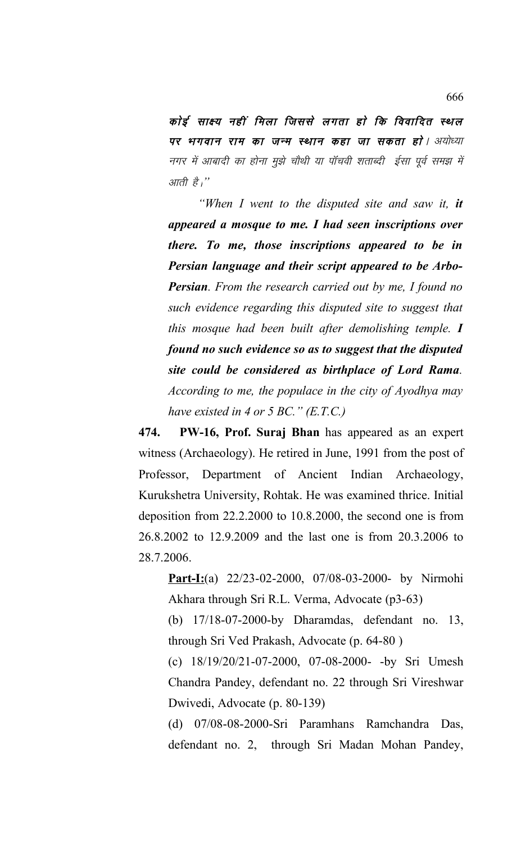कोई साक्ष्य नहीं मिला जिससे लगता हो कि विवादित स्थल पर भगवान राम का जन्म स्थान कहा जा सकता हो। अयोध्या नगर में आबादी का होना मुझे चौथी या पॉचवी शताब्दी ईसा पूर्व समझ में आती है।''

*"When I went to the disputed site and saw it, it appeared a mosque to me. I had seen inscriptions over there. To me, those inscriptions appeared to be in Persian language and their script appeared to be Arbo-Persian. From the research carried out by me, I found no such evidence regarding this disputed site to suggest that this mosque had been built after demolishing temple. I found no such evidence so as to suggest that the disputed site could be considered as birthplace of Lord Rama. According to me, the populace in the city of Ayodhya may have existed in 4 or 5 BC." (E.T.C.)*

**474. PW-16, Prof. Suraj Bhan** has appeared as an expert witness (Archaeology). He retired in June, 1991 from the post of Professor, Department of Ancient Indian Archaeology, Kurukshetra University, Rohtak. He was examined thrice. Initial deposition from 22.2.2000 to 10.8.2000, the second one is from 26.8.2002 to 12.9.2009 and the last one is from 20.3.2006 to 28.7.2006.

**Part-I:**(a) 22/23-02-2000, 07/08-03-2000- by Nirmohi Akhara through Sri R.L. Verma, Advocate (p3-63)

(b) 17/18-07-2000-by Dharamdas, defendant no. 13, through Sri Ved Prakash, Advocate (p. 64-80 )

(c) 18/19/20/21-07-2000, 07-08-2000- -by Sri Umesh Chandra Pandey, defendant no. 22 through Sri Vireshwar Dwivedi, Advocate (p. 80-139)

(d) 07/08-08-2000-Sri Paramhans Ramchandra Das, defendant no. 2, through Sri Madan Mohan Pandey,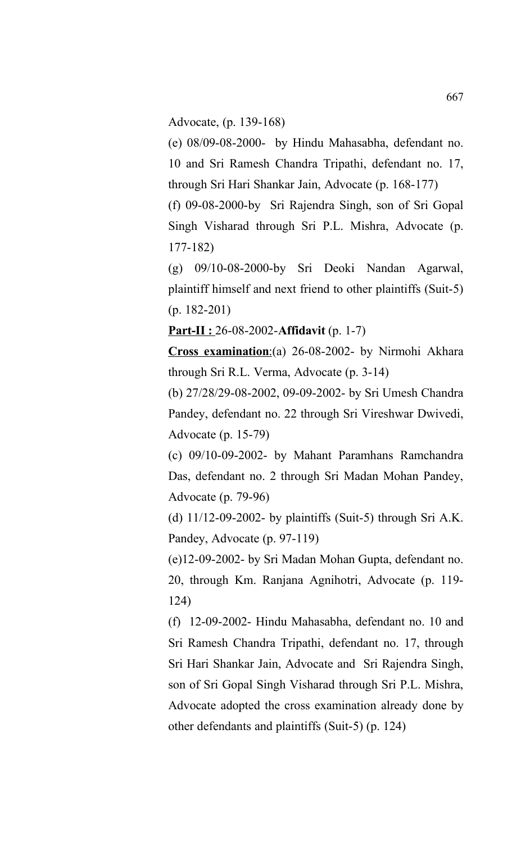Advocate, (p. 139-168)

(e) 08/09-08-2000- by Hindu Mahasabha, defendant no. 10 and Sri Ramesh Chandra Tripathi, defendant no. 17, through Sri Hari Shankar Jain, Advocate (p. 168-177)

(f) 09-08-2000-by Sri Rajendra Singh, son of Sri Gopal Singh Visharad through Sri P.L. Mishra, Advocate (p. 177-182)

(g) 09/10-08-2000-by Sri Deoki Nandan Agarwal, plaintiff himself and next friend to other plaintiffs (Suit-5) (p. 182-201)

**Part-II :** 26-08-2002-**Affidavit** (p. 1-7)

Cross examination:(a) 26-08-2002- by Nirmohi Akhara through Sri R.L. Verma, Advocate (p. 3-14)

(b) 27/28/29-08-2002, 09-09-2002- by Sri Umesh Chandra Pandey, defendant no. 22 through Sri Vireshwar Dwivedi, Advocate (p. 15-79)

(c) 09/10-09-2002- by Mahant Paramhans Ramchandra Das, defendant no. 2 through Sri Madan Mohan Pandey, Advocate (p. 79-96)

(d) 11/12-09-2002- by plaintiffs (Suit-5) through Sri A.K. Pandey, Advocate (p. 97-119)

(e)12-09-2002- by Sri Madan Mohan Gupta, defendant no. 20, through Km. Ranjana Agnihotri, Advocate (p. 119- 124)

(f) 12-09-2002- Hindu Mahasabha, defendant no. 10 and Sri Ramesh Chandra Tripathi, defendant no. 17, through Sri Hari Shankar Jain, Advocate and Sri Rajendra Singh, son of Sri Gopal Singh Visharad through Sri P.L. Mishra, Advocate adopted the cross examination already done by other defendants and plaintiffs (Suit-5) (p. 124)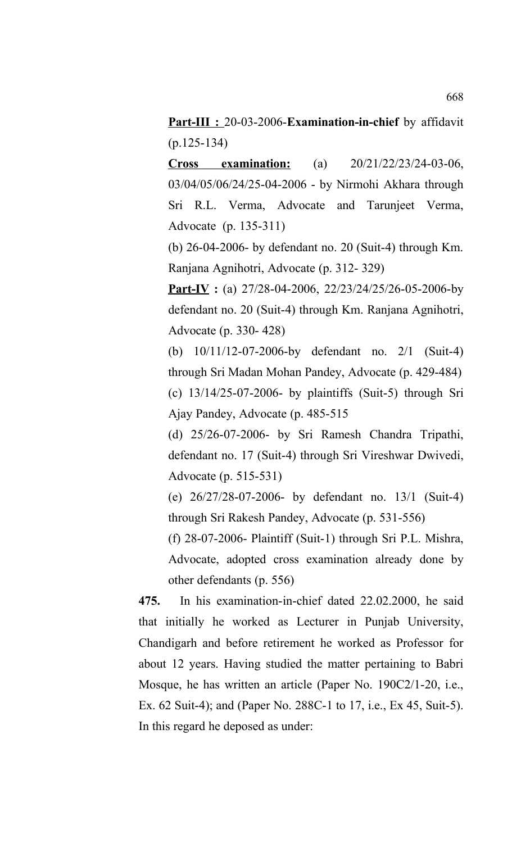**Part-III :** 20-03-2006-**Examination-in-chief** by affidavit (p.125-134)

**Cross examination:** (a) 20/21/22/23/24-03-06, 03/04/05/06/24/25-04-2006 - by Nirmohi Akhara through Sri R.L. Verma, Advocate and Tarunjeet Verma, Advocate (p. 135-311)

(b) 26-04-2006- by defendant no. 20 (Suit-4) through Km. Ranjana Agnihotri, Advocate (p. 312- 329)

**Part-IV** : (a) 27/28-04-2006, 22/23/24/25/26-05-2006-by defendant no. 20 (Suit-4) through Km. Ranjana Agnihotri, Advocate (p. 330- 428)

(b) 10/11/12-07-2006-by defendant no. 2/1 (Suit-4) through Sri Madan Mohan Pandey, Advocate (p. 429-484) (c) 13/14/25-07-2006- by plaintiffs (Suit-5) through Sri Ajay Pandey, Advocate (p. 485-515

(d) 25/26-07-2006- by Sri Ramesh Chandra Tripathi, defendant no. 17 (Suit-4) through Sri Vireshwar Dwivedi, Advocate (p. 515-531)

(e) 26/27/28-07-2006- by defendant no. 13/1 (Suit-4) through Sri Rakesh Pandey, Advocate (p. 531-556)

(f) 28-07-2006- Plaintiff (Suit-1) through Sri P.L. Mishra, Advocate, adopted cross examination already done by other defendants (p. 556)

**475.** In his examination-in-chief dated 22.02.2000, he said that initially he worked as Lecturer in Punjab University, Chandigarh and before retirement he worked as Professor for about 12 years. Having studied the matter pertaining to Babri Mosque, he has written an article (Paper No. 190C2/1-20, i.e., Ex. 62 Suit-4); and (Paper No. 288C-1 to 17, i.e., Ex 45, Suit-5). In this regard he deposed as under: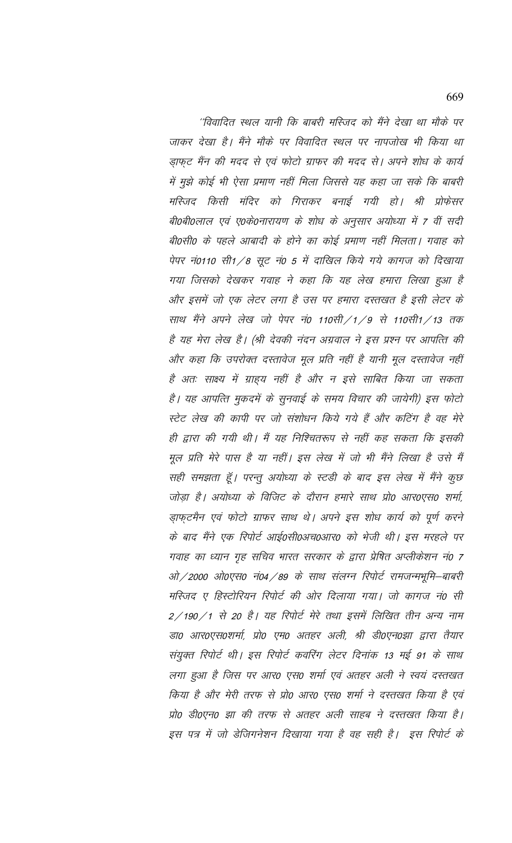''विवादित स्थल यानी कि बाबरी मस्जिद को मैंने देखा था मौके पर जाकर देखा है। मैंने मौके पर विवादित स्थल पर नापजोख भी किया था ड़ाफ़ूट मैंन की मदद से एवं फोटो ग्राफर की मदद से। अपने शोध के कार्य में मुझे कोई भी ऐसा प्रमाण नहीं मिला जिससे यह कहा जा सके कि बाबरी मस्जिद किसी मंदिर को गिराकर बनाई गयी हो। श्री प्रोफेसर बी0बी0लाल एवं ए0के0नारायण के शोध के अनुसार अयोध्या में 7 वीं सदी बी0सी0 के पहले आबादी के होने का कोई प्रमाण नहीं मिलता। गवाह को पेपर नं0110 सी1/8 सूट नं0 5 में दाखिल किये गये कागज को दिखाया गया जिसको देखकर गवाह ने कहा कि यह लेख हमारा लिखा हुआ है और इसमें जो एक लेटर लगा है उस पर हमारा दस्तखत है इसी लेटर के साथ मैंने अपने लेख जो पेपर नं0 110सी/1/9 से 110सी1/13 तक है यह मेरा लेख है। (श्री देवकी नंदन अग्रवाल ने इस प्रश्न पर आपत्ति की और कहा कि उपरोक्त दस्तावेज मूल प्रति नहीं है यानी मूल दस्तावेज नहीं है अतः साक्ष्य में ग्राहय नहीं है और न इसे साबित किया जा सकता है। यह आपत्ति मुकदमें के सुनवाई के समय विचार की जायेगी) इस फोटो स्टेट लेख की कापी पर जो संशोधन किये गये हैं और कटिंग है वह मेरे ही द्वारा की गयी थी। मैं यह निश्चितरूप से नहीं कह सकता कि इसकी मूल प्रति मेरे पास है या नहीं। इस लेख में जो भी मैंने लिखा है उसे मैं सही समझता हूँ। परन्तु अयोध्या के स्टडी के बाद इस लेख में मैंने कुछ जोड़ा है। अयोध्या के विजिट के दौरान हमारे साथ प्रो0 आर0एस0 शर्मा, ड़ाफ़्टमैन एवं फोटो ग्राफर साथ थे। अपने इस शोध कार्य को पूर्ण करने के बाद मैंने एक रिपोर्ट आई0सी0अच0आर0 को भेजी थी। इस मरहले पर गवाह का ध्यान गृह सचिव भारत सरकार के द्वारा प्रेषित अप्लीकेशन नं0 7 ओ/2000 ओ0एस0 नं04/89 के साथ संलग्न रिपोर्ट रामजन्मभूमि–बाबरी मस्जिद ए हिस्टोरियन रिपोर्ट की ओर दिलाया गया। जो कागज नं0 सी 2/190/1 से 20 है। यह रिपोर्ट मेरे तथा इसमें लिखित तीन अन्य नाम डा० आर०एस०शर्मा, प्रो० एम० अतहर अली, श्री डी०एन०झा द्वारा तैयार संयुक्त रिपोर्ट थी। इस रिपोर्ट कवरिंग लेटर दिनांक 13 मई 91 के साथ लगा हुआ है जिस पर आर0 एस0 शर्मा एवं अतहर अली ने स्वयं दस्तखत किया है और मेरी तरफ से प्रो0 आर0 एस0 शर्मा ने दस्तखत किया है एवं प्रो0 डी0एन0 झा की तरफ से अतहर अली साहब ने दस्तखत किया है। इस पत्र में जो डेजिगनेशन दिखाया गया है वह सही है। इस रिपोर्ट के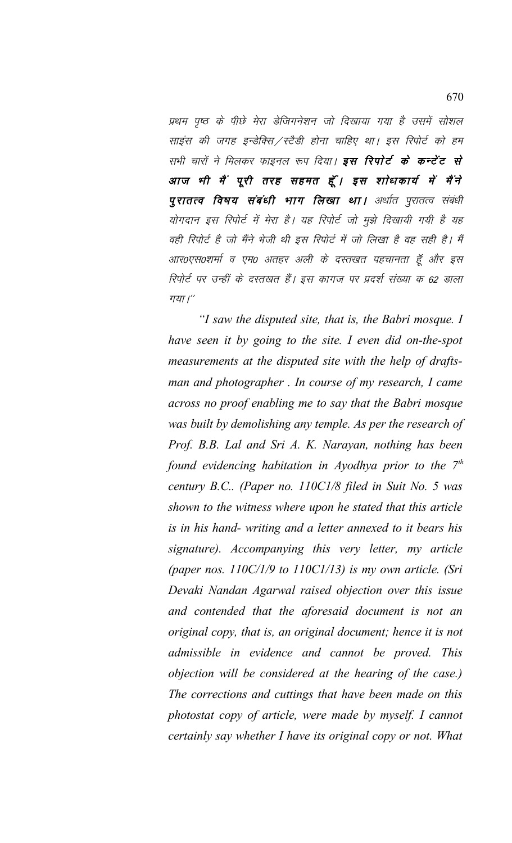प्रथम पृष्ठ के पीछे मेरा डेजिगनेशन जो दिखाया गया है उसमें सोशल साइंस की जगह इन्डेक्सि / स्टैडी होना चाहिए था। इस रिपोर्ट को हम सभी चारों ने मिलकर फाइनल रूप दिया। इस रिपोर्ट के कन्टेंट से आज भी मैं पूरी तरह सहमत हूँ। इस शोधकार्य में मैंने पुरातत्व विषय संबंधी भाग लिखा था। अर्थात पुरातत्व संबंधी योगदान इस रिपोर्ट में मेरा है। यह रिपोर्ट जो मुझे दिखायी गयी है यह वही रिपोर्ट है जो मैंने भेजी थी इस रिपोर्ट में जो लिखा है वह सही है। मैं आर0एस0शर्मा व एम0 अतहर अली के दस्तखत पहचानता हूँ और इस रिपोर्ट पर उन्हीं के दस्तखत हैं। इस कागज पर प्रदर्श संख्या क 62 डाला गया।"

"I saw the disputed site, that is, the Babri mosque. I have seen it by going to the site. I even did on-the-spot measurements at the disputed site with the help of draftsman and photographer. In course of my research, I came across no proof enabling me to say that the Babri mosque was built by demolishing any temple. As per the research of Prof. B.B. Lal and Sri A. K. Narayan, nothing has been found evidencing habitation in Ayodhya prior to the  $7<sup>th</sup>$ century B.C.. (Paper no. 110C1/8 filed in Suit No. 5 was shown to the witness where upon he stated that this article is in his hand- writing and a letter annexed to it bears his signature). Accompanying this very letter, my article (paper nos.  $110C/1/9$  to  $110C1/13$ ) is my own article. (Sri Devaki Nandan Agarwal raised objection over this issue and contended that the aforesaid document is not an original copy, that is, an original document; hence it is not admissible in evidence and cannot be proved. This objection will be considered at the hearing of the case.) The corrections and cuttings that have been made on this photostat copy of article, were made by myself. I cannot certainly say whether I have its original copy or not. What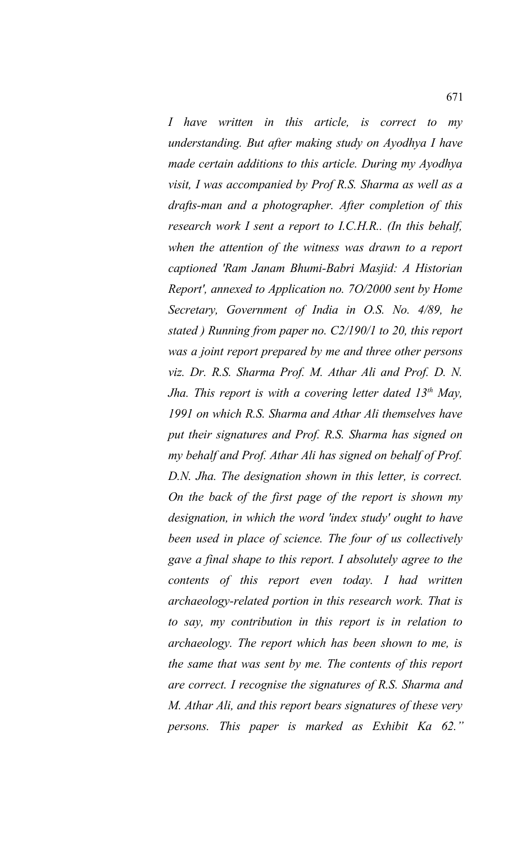*I have written in this article, is correct to my understanding. But after making study on Ayodhya I have made certain additions to this article. During my Ayodhya visit, I was accompanied by Prof R.S. Sharma as well as a drafts-man and a photographer. After completion of this research work I sent a report to I.C.H.R.. (In this behalf, when the attention of the witness was drawn to a report captioned 'Ram Janam Bhumi-Babri Masjid: A Historian Report', annexed to Application no. 7O/2000 sent by Home Secretary, Government of India in O.S. No. 4/89, he stated ) Running from paper no. C2/190/1 to 20, this report was a joint report prepared by me and three other persons viz. Dr. R.S. Sharma Prof. M. Athar Ali and Prof. D. N. Jha. This report is with a covering letter dated 13th May, 1991 on which R.S. Sharma and Athar Ali themselves have put their signatures and Prof. R.S. Sharma has signed on my behalf and Prof. Athar Ali has signed on behalf of Prof. D.N. Jha. The designation shown in this letter, is correct. On the back of the first page of the report is shown my designation, in which the word 'index study' ought to have been used in place of science. The four of us collectively gave a final shape to this report. I absolutely agree to the contents of this report even today. I had written archaeology-related portion in this research work. That is to say, my contribution in this report is in relation to archaeology. The report which has been shown to me, is the same that was sent by me. The contents of this report are correct. I recognise the signatures of R.S. Sharma and M. Athar Ali, and this report bears signatures of these very persons. This paper is marked as Exhibit Ka 62."*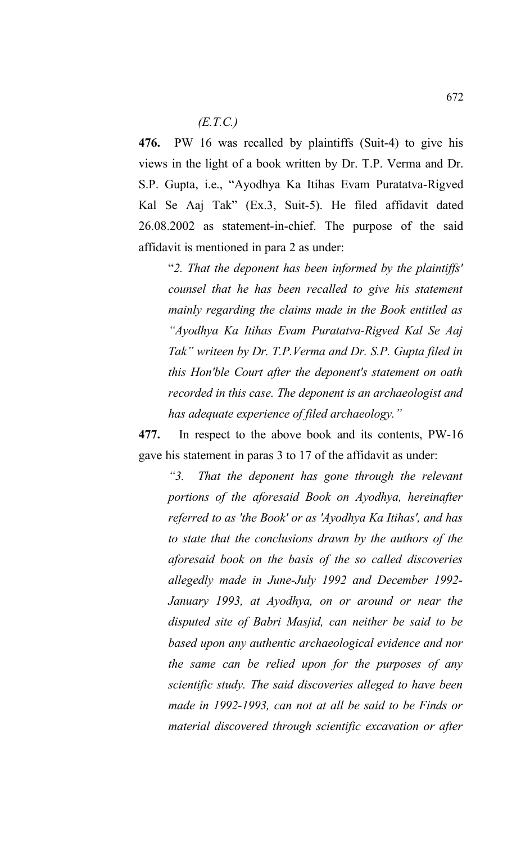## *(E.T.C.)*

**476.** PW 16 was recalled by plaintiffs (Suit-4) to give his views in the light of a book written by Dr. T.P. Verma and Dr. S.P. Gupta, i.e., "Ayodhya Ka Itihas Evam Puratatva-Rigved Kal Se Aaj Tak" (Ex.3, Suit-5). He filed affidavit dated 26.08.2002 as statement-in-chief. The purpose of the said affidavit is mentioned in para 2 as under:

"*2. That the deponent has been informed by the plaintiffs' counsel that he has been recalled to give his statement mainly regarding the claims made in the Book entitled as "Ayodhya Ka Itihas Evam Puratatva-Rigved Kal Se Aaj Tak" writeen by Dr. T.P.Verma and Dr. S.P. Gupta filed in this Hon'ble Court after the deponent's statement on oath recorded in this case. The deponent is an archaeologist and has adequate experience of filed archaeology."* 

**477.** In respect to the above book and its contents, PW-16 gave his statement in paras 3 to 17 of the affidavit as under:

*"3. That the deponent has gone through the relevant portions of the aforesaid Book on Ayodhya, hereinafter referred to as 'the Book' or as 'Ayodhya Ka Itihas', and has to state that the conclusions drawn by the authors of the aforesaid book on the basis of the so called discoveries allegedly made in June-July 1992 and December 1992- January 1993, at Ayodhya, on or around or near the disputed site of Babri Masjid, can neither be said to be based upon any authentic archaeological evidence and nor the same can be relied upon for the purposes of any scientific study. The said discoveries alleged to have been made in 1992-1993, can not at all be said to be Finds or material discovered through scientific excavation or after*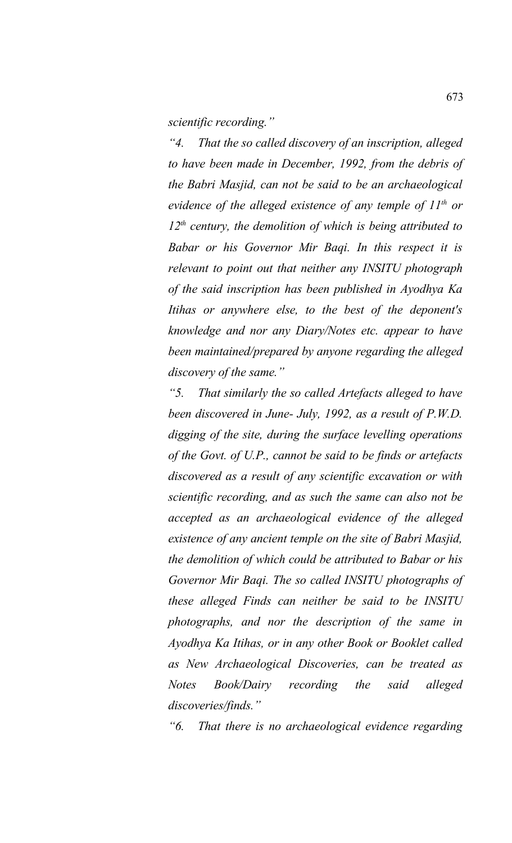*scientific recording."* 

*"4. That the so called discovery of an inscription, alleged to have been made in December, 1992, from the debris of the Babri Masjid, can not be said to be an archaeological evidence of the alleged existence of any temple of 11th or 12th century, the demolition of which is being attributed to Babar or his Governor Mir Baqi. In this respect it is relevant to point out that neither any INSITU photograph of the said inscription has been published in Ayodhya Ka Itihas or anywhere else, to the best of the deponent's knowledge and nor any Diary/Notes etc. appear to have been maintained/prepared by anyone regarding the alleged discovery of the same."* 

*"5. That similarly the so called Artefacts alleged to have been discovered in June- July, 1992, as a result of P.W.D. digging of the site, during the surface levelling operations of the Govt. of U.P., cannot be said to be finds or artefacts discovered as a result of any scientific excavation or with scientific recording, and as such the same can also not be accepted as an archaeological evidence of the alleged existence of any ancient temple on the site of Babri Masjid, the demolition of which could be attributed to Babar or his Governor Mir Baqi. The so called INSITU photographs of these alleged Finds can neither be said to be INSITU photographs, and nor the description of the same in Ayodhya Ka Itihas, or in any other Book or Booklet called as New Archaeological Discoveries, can be treated as Notes Book/Dairy recording the said alleged discoveries/finds."* 

*"6. That there is no archaeological evidence regarding*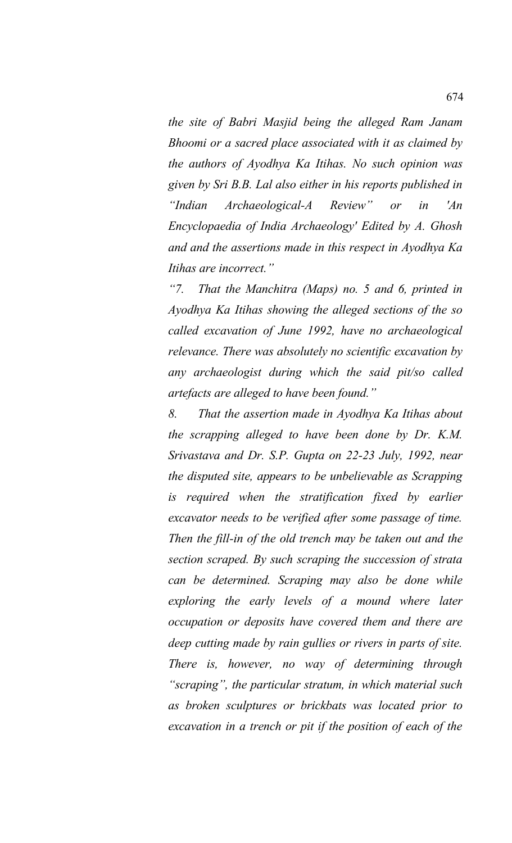*the site of Babri Masjid being the alleged Ram Janam Bhoomi or a sacred place associated with it as claimed by the authors of Ayodhya Ka Itihas. No such opinion was given by Sri B.B. Lal also either in his reports published in "Indian Archaeological-A Review" or in 'An Encyclopaedia of India Archaeology' Edited by A. Ghosh and and the assertions made in this respect in Ayodhya Ka Itihas are incorrect."* 

*"7. That the Manchitra (Maps) no. 5 and 6, printed in Ayodhya Ka Itihas showing the alleged sections of the so called excavation of June 1992, have no archaeological relevance. There was absolutely no scientific excavation by any archaeologist during which the said pit/so called artefacts are alleged to have been found."* 

*8. That the assertion made in Ayodhya Ka Itihas about the scrapping alleged to have been done by Dr. K.M. Srivastava and Dr. S.P. Gupta on 22-23 July, 1992, near the disputed site, appears to be unbelievable as Scrapping is required when the stratification fixed by earlier excavator needs to be verified after some passage of time. Then the fill-in of the old trench may be taken out and the section scraped. By such scraping the succession of strata can be determined. Scraping may also be done while exploring the early levels of a mound where later occupation or deposits have covered them and there are deep cutting made by rain gullies or rivers in parts of site. There is, however, no way of determining through "scraping", the particular stratum, in which material such as broken sculptures or brickbats was located prior to excavation in a trench or pit if the position of each of the*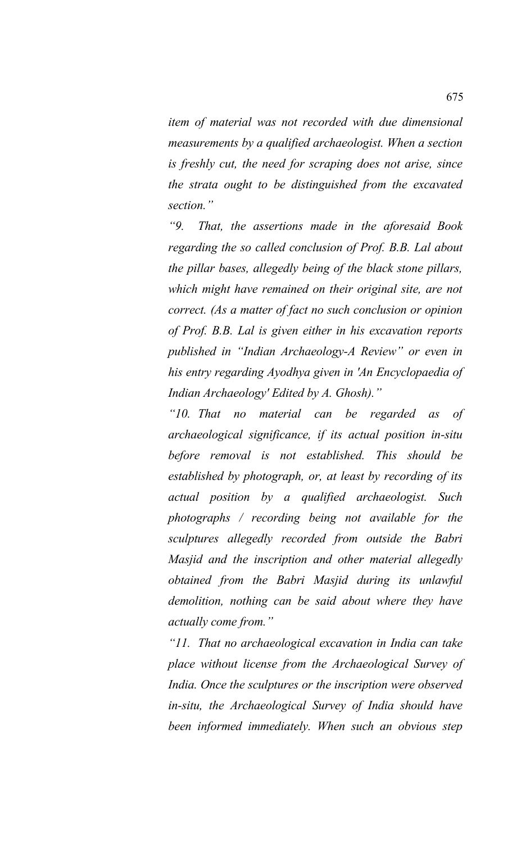*item of material was not recorded with due dimensional measurements by a qualified archaeologist. When a section is freshly cut, the need for scraping does not arise, since the strata ought to be distinguished from the excavated section."* 

*"9. That, the assertions made in the aforesaid Book regarding the so called conclusion of Prof. B.B. Lal about the pillar bases, allegedly being of the black stone pillars, which might have remained on their original site, are not correct. (As a matter of fact no such conclusion or opinion of Prof. B.B. Lal is given either in his excavation reports published in "Indian Archaeology-A Review" or even in his entry regarding Ayodhya given in 'An Encyclopaedia of Indian Archaeology' Edited by A. Ghosh)."* 

*"10. That no material can be regarded as of archaeological significance, if its actual position in-situ before removal is not established. This should be established by photograph, or, at least by recording of its actual position by a qualified archaeologist. Such photographs / recording being not available for the sculptures allegedly recorded from outside the Babri Masjid and the inscription and other material allegedly obtained from the Babri Masjid during its unlawful demolition, nothing can be said about where they have actually come from."* 

*"11. That no archaeological excavation in India can take place without license from the Archaeological Survey of India. Once the sculptures or the inscription were observed in-situ, the Archaeological Survey of India should have been informed immediately. When such an obvious step*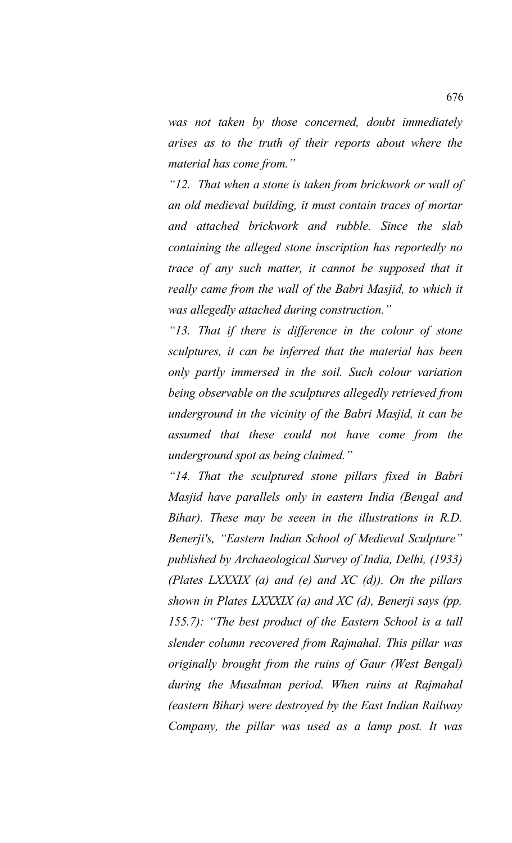*was not taken by those concerned, doubt immediately arises as to the truth of their reports about where the material has come from."*

*"12. That when a stone is taken from brickwork or wall of an old medieval building, it must contain traces of mortar and attached brickwork and rubble. Since the slab containing the alleged stone inscription has reportedly no trace of any such matter, it cannot be supposed that it really came from the wall of the Babri Masjid, to which it was allegedly attached during construction."*

*"13. That if there is difference in the colour of stone sculptures, it can be inferred that the material has been only partly immersed in the soil. Such colour variation being observable on the sculptures allegedly retrieved from underground in the vicinity of the Babri Masjid, it can be assumed that these could not have come from the underground spot as being claimed."*

*"14. That the sculptured stone pillars fixed in Babri Masjid have parallels only in eastern India (Bengal and Bihar). These may be seeen in the illustrations in R.D. Benerji's, "Eastern Indian School of Medieval Sculpture" published by Archaeological Survey of India, Delhi, (1933) (Plates LXXXIX (a) and (e) and XC (d)). On the pillars shown in Plates LXXXIX (a) and XC (d), Benerji says (pp. 155.7): "The best product of the Eastern School is a tall slender column recovered from Rajmahal. This pillar was originally brought from the ruins of Gaur (West Bengal) during the Musalman period. When ruins at Rajmahal (eastern Bihar) were destroyed by the East Indian Railway Company, the pillar was used as a lamp post. It was*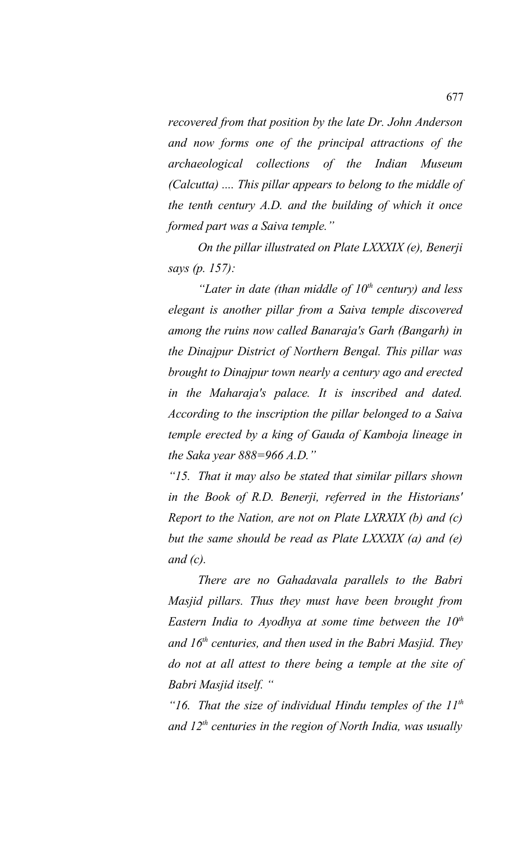*recovered from that position by the late Dr. John Anderson and now forms one of the principal attractions of the archaeological collections of the Indian Museum (Calcutta) .... This pillar appears to belong to the middle of the tenth century A.D. and the building of which it once formed part was a Saiva temple."*

*On the pillar illustrated on Plate LXXXIX (e), Benerji says (p. 157):*

*"Later in date (than middle of 10th century) and less elegant is another pillar from a Saiva temple discovered among the ruins now called Banaraja's Garh (Bangarh) in the Dinajpur District of Northern Bengal. This pillar was brought to Dinajpur town nearly a century ago and erected in the Maharaja's palace. It is inscribed and dated. According to the inscription the pillar belonged to a Saiva temple erected by a king of Gauda of Kamboja lineage in the Saka year 888=966 A.D."*

*"15. That it may also be stated that similar pillars shown in the Book of R.D. Benerji, referred in the Historians' Report to the Nation, are not on Plate LXRXIX (b) and (c) but the same should be read as Plate LXXXIX (a) and (e) and (c).*

*There are no Gahadavala parallels to the Babri Masjid pillars. Thus they must have been brought from Eastern India to Ayodhya at some time between the 10th and 16th centuries, and then used in the Babri Masjid. They do not at all attest to there being a temple at the site of Babri Masjid itself. "*

*"16. That the size of individual Hindu temples of the 11th and 12th centuries in the region of North India, was usually*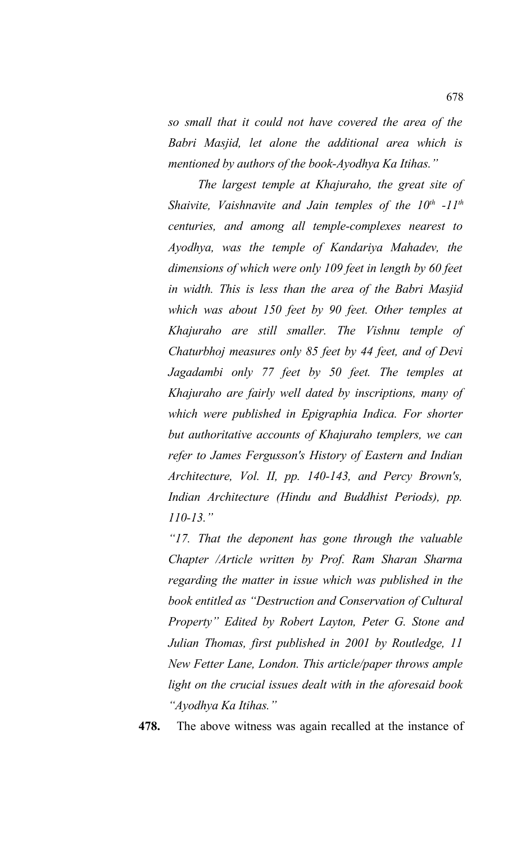*so small that it could not have covered the area of the Babri Masjid, let alone the additional area which is mentioned by authors of the book-Ayodhya Ka Itihas."*

*The largest temple at Khajuraho, the great site of Shaivite, Vaishnavite and Jain temples of the 10th -11th centuries, and among all temple-complexes nearest to Ayodhya, was the temple of Kandariya Mahadev, the dimensions of which were only 109 feet in length by 60 feet in width. This is less than the area of the Babri Masjid which was about 150 feet by 90 feet. Other temples at Khajuraho are still smaller. The Vishnu temple of Chaturbhoj measures only 85 feet by 44 feet, and of Devi Jagadambi only 77 feet by 50 feet. The temples at Khajuraho are fairly well dated by inscriptions, many of which were published in Epigraphia Indica. For shorter but authoritative accounts of Khajuraho templers, we can refer to James Fergusson's History of Eastern and Indian Architecture, Vol. II, pp. 140-143, and Percy Brown's, Indian Architecture (Hindu and Buddhist Periods), pp. 110-13."*

*"17. That the deponent has gone through the valuable Chapter /Article written by Prof. Ram Sharan Sharma regarding the matter in issue which was published in the book entitled as "Destruction and Conservation of Cultural Property" Edited by Robert Layton, Peter G. Stone and Julian Thomas, first published in 2001 by Routledge, 11 New Fetter Lane, London. This article/paper throws ample light on the crucial issues dealt with in the aforesaid book "Ayodhya Ka Itihas."*

**478.** The above witness was again recalled at the instance of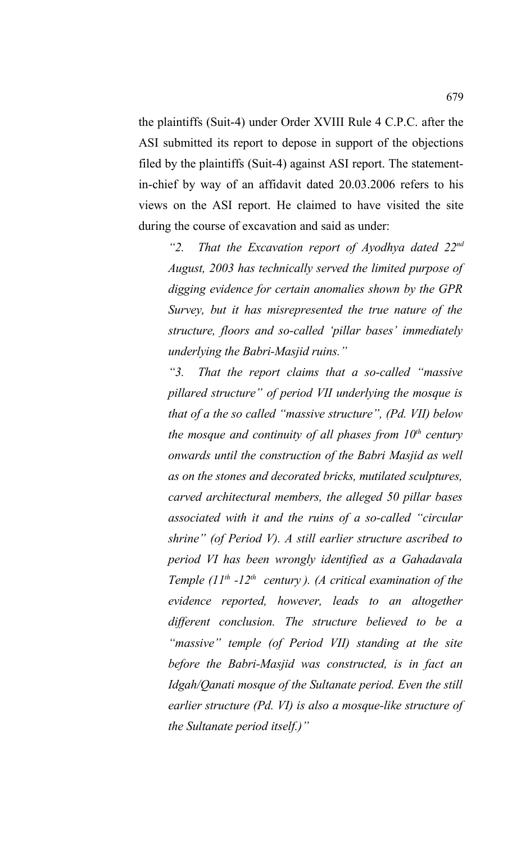the plaintiffs (Suit-4) under Order XVIII Rule 4 C.P.C. after the ASI submitted its report to depose in support of the objections filed by the plaintiffs (Suit-4) against ASI report. The statementin-chief by way of an affidavit dated 20.03.2006 refers to his views on the ASI report. He claimed to have visited the site during the course of excavation and said as under:

*"2. That the Excavation report of Ayodhya dated 22nd August, 2003 has technically served the limited purpose of digging evidence for certain anomalies shown by the GPR Survey, but it has misrepresented the true nature of the structure, floors and so-called 'pillar bases' immediately underlying the Babri-Masjid ruins."*

*"3. That the report claims that a so-called "massive pillared structure" of period VII underlying the mosque is that of a the so called "massive structure", (Pd. VII) below the mosque and continuity of all phases from 10th century onwards until the construction of the Babri Masjid as well as on the stones and decorated bricks, mutilated sculptures, carved architectural members, the alleged 50 pillar bases associated with it and the ruins of a so-called "circular shrine" (of Period V). A still earlier structure ascribed to period VI has been wrongly identified as a Gahadavala Temple (11th -12th century ). (A critical examination of the evidence reported, however, leads to an altogether different conclusion. The structure believed to be a "massive" temple (of Period VII) standing at the site before the Babri-Masjid was constructed, is in fact an Idgah/Qanati mosque of the Sultanate period. Even the still earlier structure (Pd. VI) is also a mosque-like structure of the Sultanate period itself.)"*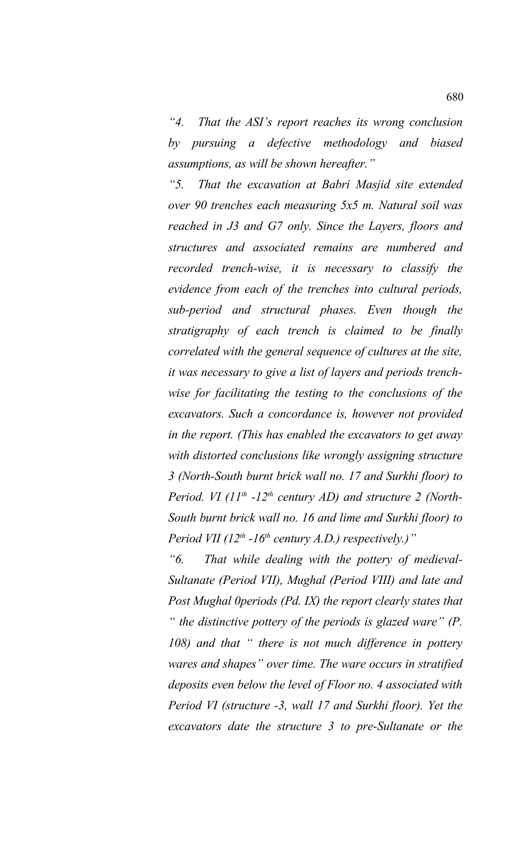*"4. That the ASI's report reaches its wrong conclusion by pursuing a defective methodology and biased assumptions, as will be shown hereafter."*

*"5. That the excavation at Babri Masjid site extended over 90 trenches each measuring 5x5 m. Natural soil was reached in J3 and G7 only. Since the Layers, floors and structures and associated remains are numbered and recorded trench-wise, it is necessary to classify the evidence from each of the trenches into cultural periods, sub-period and structural phases. Even though the stratigraphy of each trench is claimed to be finally correlated with the general sequence of cultures at the site, it was necessary to give a list of layers and periods trenchwise for facilitating the testing to the conclusions of the excavators. Such a concordance is, however not provided in the report. (This has enabled the excavators to get away with distorted conclusions like wrongly assigning structure 3 (North-South burnt brick wall no. 17 and Surkhi floor) to Period. VI (11th -12th century AD) and structure 2 (North-South burnt brick wall no. 16 and lime and Surkhi floor) to Period VII (12th -16th century A.D.) respectively.)"*

*"6. That while dealing with the pottery of medieval-Sultanate (Period VII), Mughal (Period VIII) and late and Post Mughal 0periods (Pd. IX) the report clearly states that " the distinctive pottery of the periods is glazed ware" (P. 108) and that " there is not much difference in pottery wares and shapes" over time. The ware occurs in stratified deposits even below the level of Floor no. 4 associated with Period VI (structure -3, wall 17 and Surkhi floor). Yet the excavators date the structure 3 to pre-Sultanate or the*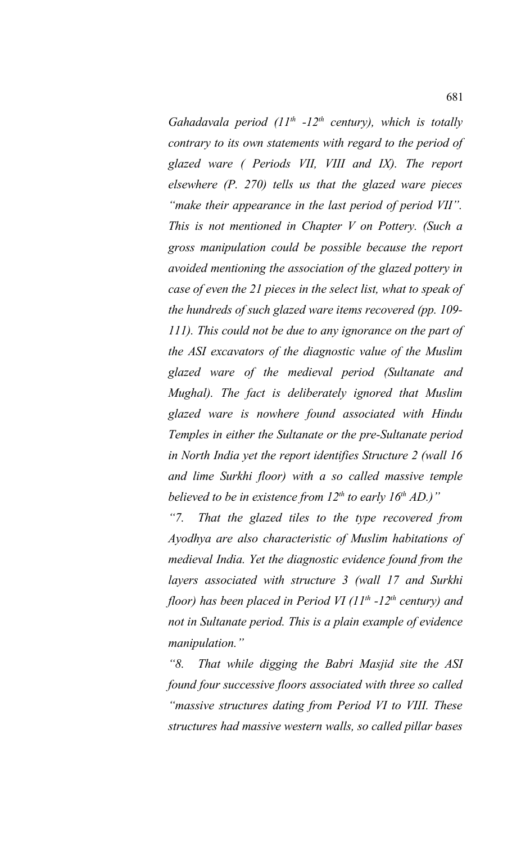*Gahadavala period (11th -12th century), which is totally contrary to its own statements with regard to the period of glazed ware ( Periods VII, VIII and IX). The report elsewhere (P. 270) tells us that the glazed ware pieces "make their appearance in the last period of period VII". This is not mentioned in Chapter V on Pottery. (Such a gross manipulation could be possible because the report avoided mentioning the association of the glazed pottery in case of even the 21 pieces in the select list, what to speak of the hundreds of such glazed ware items recovered (pp. 109- 111). This could not be due to any ignorance on the part of the ASI excavators of the diagnostic value of the Muslim glazed ware of the medieval period (Sultanate and Mughal). The fact is deliberately ignored that Muslim glazed ware is nowhere found associated with Hindu Temples in either the Sultanate or the pre-Sultanate period in North India yet the report identifies Structure 2 (wall 16 and lime Surkhi floor) with a so called massive temple believed to be in existence from 12th to early 16th AD.)"*

*"7. That the glazed tiles to the type recovered from Ayodhya are also characteristic of Muslim habitations of medieval India. Yet the diagnostic evidence found from the layers associated with structure 3 (wall 17 and Surkhi floor) has been placed in Period VI (11th -12th century) and not in Sultanate period. This is a plain example of evidence manipulation."*

*"8. That while digging the Babri Masjid site the ASI found four successive floors associated with three so called "massive structures dating from Period VI to VIII. These structures had massive western walls, so called pillar bases*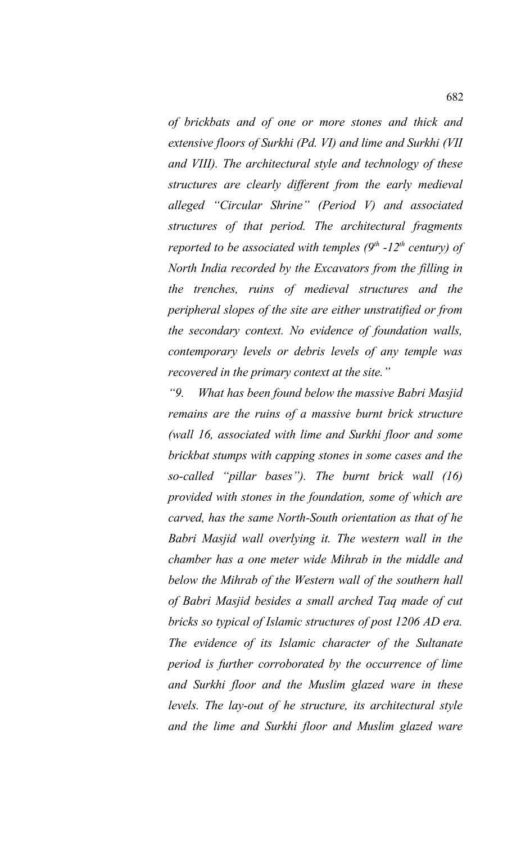*of brickbats and of one or more stones and thick and extensive floors of Surkhi (Pd. VI) and lime and Surkhi (VII and VIII). The architectural style and technology of these structures are clearly different from the early medieval alleged "Circular Shrine" (Period V) and associated structures of that period. The architectural fragments reported to be associated with temples (9th -12th century) of North India recorded by the Excavators from the filling in the trenches, ruins of medieval structures and the peripheral slopes of the site are either unstratified or from the secondary context. No evidence of foundation walls, contemporary levels or debris levels of any temple was recovered in the primary context at the site."*

*"9. What has been found below the massive Babri Masjid remains are the ruins of a massive burnt brick structure (wall 16, associated with lime and Surkhi floor and some brickbat stumps with capping stones in some cases and the so-called "pillar bases"). The burnt brick wall (16) provided with stones in the foundation, some of which are carved, has the same North-South orientation as that of he Babri Masjid wall overlying it. The western wall in the chamber has a one meter wide Mihrab in the middle and below the Mihrab of the Western wall of the southern hall of Babri Masjid besides a small arched Taq made of cut bricks so typical of Islamic structures of post 1206 AD era. The evidence of its Islamic character of the Sultanate period is further corroborated by the occurrence of lime and Surkhi floor and the Muslim glazed ware in these levels. The lay-out of he structure, its architectural style and the lime and Surkhi floor and Muslim glazed ware*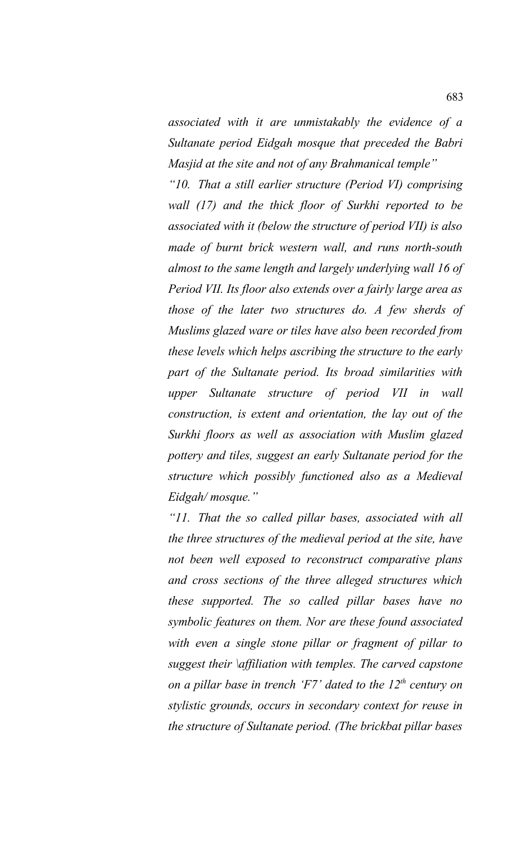*associated with it are unmistakably the evidence of a Sultanate period Eidgah mosque that preceded the Babri Masjid at the site and not of any Brahmanical temple"*

*"10. That a still earlier structure (Period VI) comprising wall (17) and the thick floor of Surkhi reported to be associated with it (below the structure of period VII) is also made of burnt brick western wall, and runs north-south almost to the same length and largely underlying wall 16 of Period VII. Its floor also extends over a fairly large area as those of the later two structures do. A few sherds of Muslims glazed ware or tiles have also been recorded from these levels which helps ascribing the structure to the early part of the Sultanate period. Its broad similarities with upper Sultanate structure of period VII in wall construction, is extent and orientation, the lay out of the Surkhi floors as well as association with Muslim glazed pottery and tiles, suggest an early Sultanate period for the structure which possibly functioned also as a Medieval Eidgah/ mosque."*

*"11. That the so called pillar bases, associated with all the three structures of the medieval period at the site, have not been well exposed to reconstruct comparative plans and cross sections of the three alleged structures which these supported. The so called pillar bases have no symbolic features on them. Nor are these found associated with even a single stone pillar or fragment of pillar to suggest their \affiliation with temples. The carved capstone on a pillar base in trench 'F7' dated to the 12th century on stylistic grounds, occurs in secondary context for reuse in the structure of Sultanate period. (The brickbat pillar bases*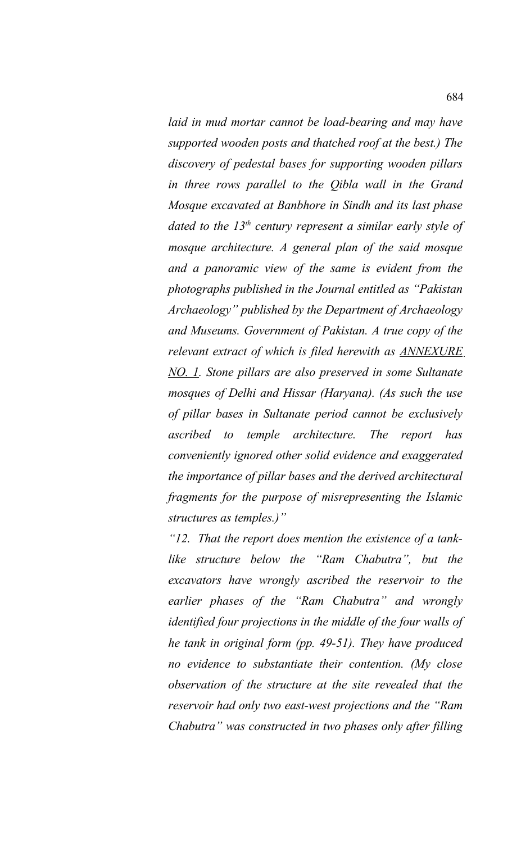*laid in mud mortar cannot be load-bearing and may have supported wooden posts and thatched roof at the best.) The discovery of pedestal bases for supporting wooden pillars in three rows parallel to the Qibla wall in the Grand Mosque excavated at Banbhore in Sindh and its last phase dated to the 13th century represent a similar early style of mosque architecture. A general plan of the said mosque and a panoramic view of the same is evident from the photographs published in the Journal entitled as "Pakistan Archaeology" published by the Department of Archaeology and Museums. Government of Pakistan. A true copy of the relevant extract of which is filed herewith as ANNEXURE NO. 1. Stone pillars are also preserved in some Sultanate mosques of Delhi and Hissar (Haryana). (As such the use of pillar bases in Sultanate period cannot be exclusively ascribed to temple architecture. The report has conveniently ignored other solid evidence and exaggerated the importance of pillar bases and the derived architectural fragments for the purpose of misrepresenting the Islamic structures as temples.)"*

*"12. That the report does mention the existence of a tanklike structure below the "Ram Chabutra", but the excavators have wrongly ascribed the reservoir to the earlier phases of the "Ram Chabutra" and wrongly identified four projections in the middle of the four walls of he tank in original form (pp. 49-51). They have produced no evidence to substantiate their contention. (My close observation of the structure at the site revealed that the reservoir had only two east-west projections and the "Ram Chabutra" was constructed in two phases only after filling*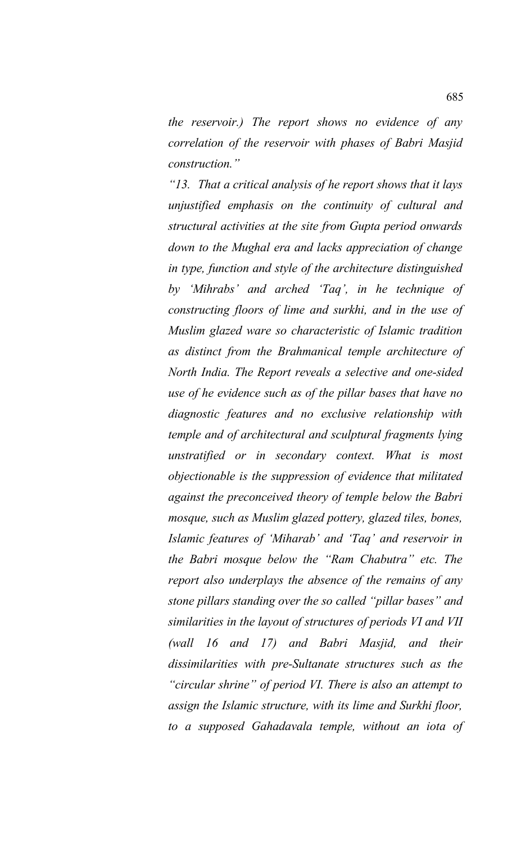*the reservoir.) The report shows no evidence of any correlation of the reservoir with phases of Babri Masjid construction."* 

*"13. That a critical analysis of he report shows that it lays unjustified emphasis on the continuity of cultural and structural activities at the site from Gupta period onwards down to the Mughal era and lacks appreciation of change in type, function and style of the architecture distinguished by 'Mihrabs' and arched 'Taq', in he technique of constructing floors of lime and surkhi, and in the use of Muslim glazed ware so characteristic of Islamic tradition as distinct from the Brahmanical temple architecture of North India. The Report reveals a selective and one-sided use of he evidence such as of the pillar bases that have no diagnostic features and no exclusive relationship with temple and of architectural and sculptural fragments lying unstratified or in secondary context. What is most objectionable is the suppression of evidence that militated against the preconceived theory of temple below the Babri mosque, such as Muslim glazed pottery, glazed tiles, bones, Islamic features of 'Miharab' and 'Taq' and reservoir in the Babri mosque below the "Ram Chabutra" etc. The report also underplays the absence of the remains of any stone pillars standing over the so called "pillar bases" and similarities in the layout of structures of periods VI and VII (wall 16 and 17) and Babri Masjid, and their dissimilarities with pre-Sultanate structures such as the "circular shrine" of period VI. There is also an attempt to assign the Islamic structure, with its lime and Surkhi floor, to a supposed Gahadavala temple, without an iota of*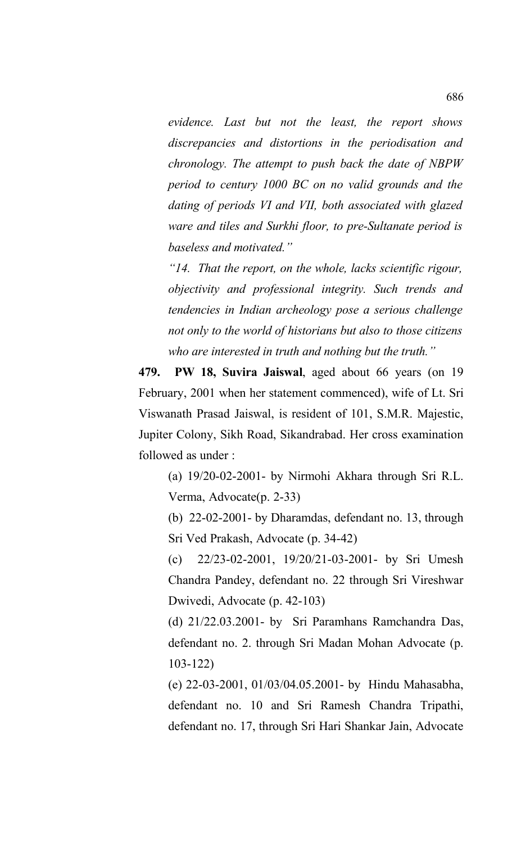*evidence. Last but not the least, the report shows discrepancies and distortions in the periodisation and chronology. The attempt to push back the date of NBPW period to century 1000 BC on no valid grounds and the dating of periods VI and VII, both associated with glazed ware and tiles and Surkhi floor, to pre-Sultanate period is baseless and motivated."*

*"14. That the report, on the whole, lacks scientific rigour, objectivity and professional integrity. Such trends and tendencies in Indian archeology pose a serious challenge not only to the world of historians but also to those citizens who are interested in truth and nothing but the truth."*

**479. PW 18, Suvira Jaiswal**, aged about 66 years (on 19 February, 2001 when her statement commenced), wife of Lt. Sri Viswanath Prasad Jaiswal, is resident of 101, S.M.R. Majestic, Jupiter Colony, Sikh Road, Sikandrabad. Her cross examination followed as under :

(a) 19/20-02-2001- by Nirmohi Akhara through Sri R.L. Verma, Advocate(p. 2-33)

(b) 22-02-2001- by Dharamdas, defendant no. 13, through Sri Ved Prakash, Advocate (p. 34-42)

(c) 22/23-02-2001, 19/20/21-03-2001- by Sri Umesh Chandra Pandey, defendant no. 22 through Sri Vireshwar Dwivedi, Advocate (p. 42-103)

(d) 21/22.03.2001- by Sri Paramhans Ramchandra Das, defendant no. 2. through Sri Madan Mohan Advocate (p. 103-122)

(e) 22-03-2001, 01/03/04.05.2001- by Hindu Mahasabha, defendant no. 10 and Sri Ramesh Chandra Tripathi, defendant no. 17, through Sri Hari Shankar Jain, Advocate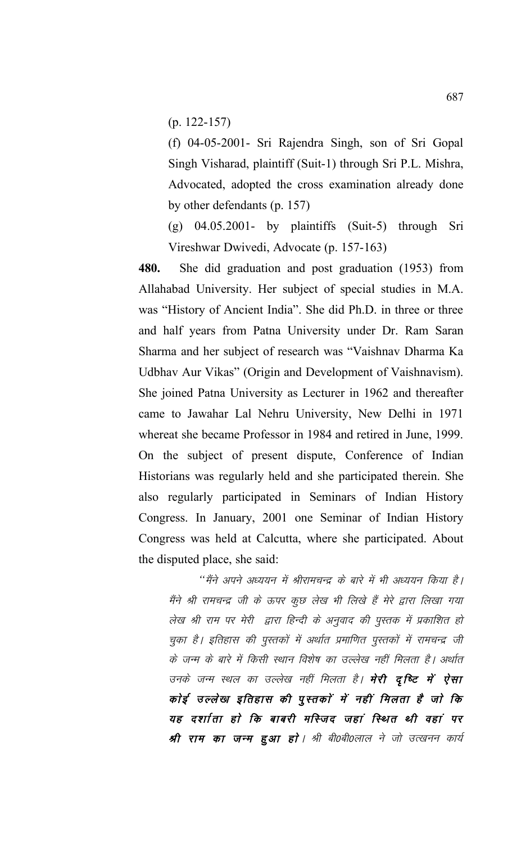(p. 122-157)

(f) 04-05-2001- Sri Rajendra Singh, son of Sri Gopal Singh Visharad, plaintiff (Suit-1) through Sri P.L. Mishra, Advocated, adopted the cross examination already done by other defendants (p. 157)

 $(g)$  04.05.2001- by plaintiffs (Suit-5) through Sri Vireshwar Dwivedi, Advocate (p. 157-163)

**480.** She did graduation and post graduation (1953) from Allahabad University. Her subject of special studies in M.A. was "History of Ancient India". She did Ph.D. in three or three and half years from Patna University under Dr. Ram Saran Sharma and her subject of research was "Vaishnav Dharma Ka Udbhav Aur Vikas" (Origin and Development of Vaishnavism). She joined Patna University as Lecturer in 1962 and thereafter came to Jawahar Lal Nehru University, New Delhi in 1971 whereat she became Professor in 1984 and retired in June, 1999. On the subject of present dispute, Conference of Indian Historians was regularly held and she participated therein. She also regularly participated in Seminars of Indian History Congress. In January, 2001 one Seminar of Indian History Congress was held at Calcutta, where she participated. About the disputed place, she said:

"मैंने अपने अध्ययन में श्रीरामचन्द्र के बारे में भी अध्ययन किया है। मैंने श्री रामचन्द्र जी के ऊपर कुछ लेख भी लिखे हैं मेरे द्वारा लिखा गया लेख श्री राम पर मेरी द्वारा हिन्दी के अनुवाद की पुस्तक में प्रकाशित हो चुका है। इतिहास की पुस्तकों में अर्थात प्रमाणित पुस्तकों में रामचन्द्र जी के जन्म के बारे में किसी स्थान विशेष का उल्लेख नहीं मिलता है। अर्थात उनके जन्म स्थल का उल्लेख नहीं मिलता है। **मेरी दृष्टि में ऐसा** कोई उल्लेख इतिहास की पुस्तकों में नहीं मिलता है जो कि यह दर्शाता हो कि बाबरी मस्जिद जहां स्थित थी वहां पर श्री राम का जन्म हुआ हो। श्री बी0बी0लाल ने जो उत्खनन कार्य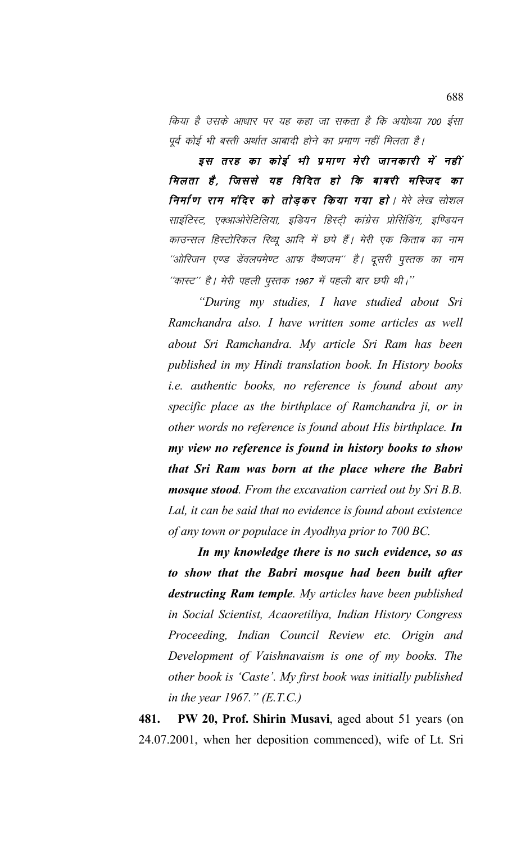किया है उसके आधार पर यह कहा जा सकता है कि अयोध्या 700 ईसा पूर्व कोई भी बस्ती अर्थात आबादी होने का प्रमाण नहीं मिलता है।

इस तरह का कोई भी प्रमाण मेरी जानकारी में नहीं मिलता है, जिससे यह विदित हो कि बाबरी मस्जिद का निर्माण राम मंदिर को तोड़कर किया गया हो। मेरे लेख सोशल साइंटिस्ट, एक्आओरेटिलिया, इंडियन हिस्ट्री कांग्रेस प्रोसिंडिंग, इण्डियन काउन्सल हिस्टोरिकल रिव्यू आदि में छपे हैं। मेरी एक किताब का नाम ''ओरिजन एण्ड डेंवलपमेण्ट आफ वैष्णजम'' है। दूसरी पुस्तक का नाम "कास्ट" है। मेरी पहली पुस्तक 1967 में पहली बार छपी थी।"

"During my studies, I have studied about Sri Ramchandra also. I have written some articles as well about Sri Ramchandra. My article Sri Ram has been published in my Hindi translation book. In History books *i.e.* authentic books, no reference is found about any specific place as the birthplace of Ramchandra ji, or in other words no reference is found about His birthplace. In my view no reference is found in history books to show that Sri Ram was born at the place where the Babri **mosque stood.** From the excavation carried out by Sri B.B. Lal, it can be said that no evidence is found about existence of any town or populace in Ayodhya prior to 700 BC.

In my knowledge there is no such evidence, so as to show that the Babri mosque had been built after destructing Ram temple. My articles have been published in Social Scientist, Acaoretiliya, Indian History Congress Proceeding, Indian Council Review etc. Origin and Development of Vaishnavaism is one of my books. The other book is 'Caste'. My first book was initially published in the year 1967."  $(E.T.C.)$ 

481. PW 20, Prof. Shirin Musavi, aged about 51 years (on 24.07.2001, when her deposition commenced), wife of Lt. Sri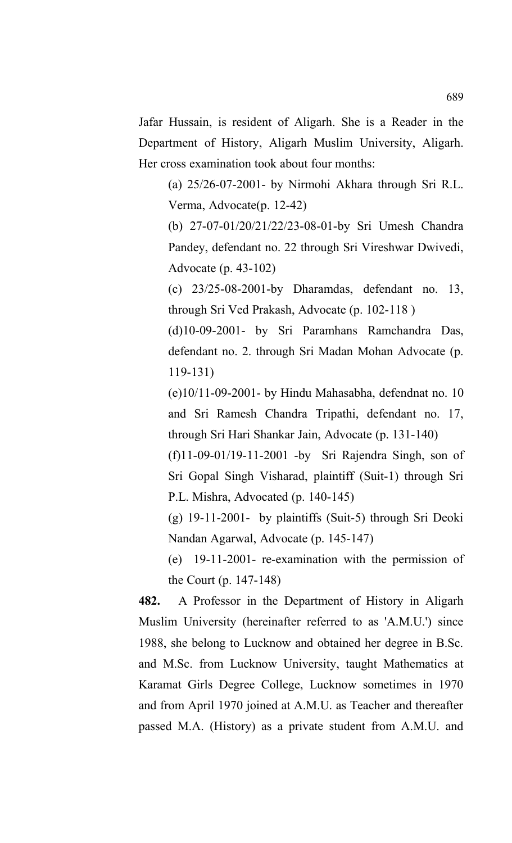Jafar Hussain, is resident of Aligarh. She is a Reader in the Department of History, Aligarh Muslim University, Aligarh. Her cross examination took about four months:

(a) 25/26-07-2001- by Nirmohi Akhara through Sri R.L. Verma, Advocate(p. 12-42)

(b) 27-07-01/20/21/22/23-08-01-by Sri Umesh Chandra Pandey, defendant no. 22 through Sri Vireshwar Dwivedi, Advocate (p. 43-102)

(c) 23/25-08-2001-by Dharamdas, defendant no. 13, through Sri Ved Prakash, Advocate (p. 102-118 )

(d)10-09-2001- by Sri Paramhans Ramchandra Das, defendant no. 2. through Sri Madan Mohan Advocate (p. 119-131)

(e)10/11-09-2001- by Hindu Mahasabha, defendnat no. 10 and Sri Ramesh Chandra Tripathi, defendant no. 17, through Sri Hari Shankar Jain, Advocate (p. 131-140)

(f)11-09-01/19-11-2001 -by Sri Rajendra Singh, son of Sri Gopal Singh Visharad, plaintiff (Suit-1) through Sri P.L. Mishra, Advocated (p. 140-145)

(g) 19-11-2001- by plaintiffs (Suit-5) through Sri Deoki Nandan Agarwal, Advocate (p. 145-147)

(e) 19-11-2001- re-examination with the permission of the Court (p. 147-148)

**482.** A Professor in the Department of History in Aligarh Muslim University (hereinafter referred to as 'A.M.U.') since 1988, she belong to Lucknow and obtained her degree in B.Sc. and M.Sc. from Lucknow University, taught Mathematics at Karamat Girls Degree College, Lucknow sometimes in 1970 and from April 1970 joined at A.M.U. as Teacher and thereafter passed M.A. (History) as a private student from A.M.U. and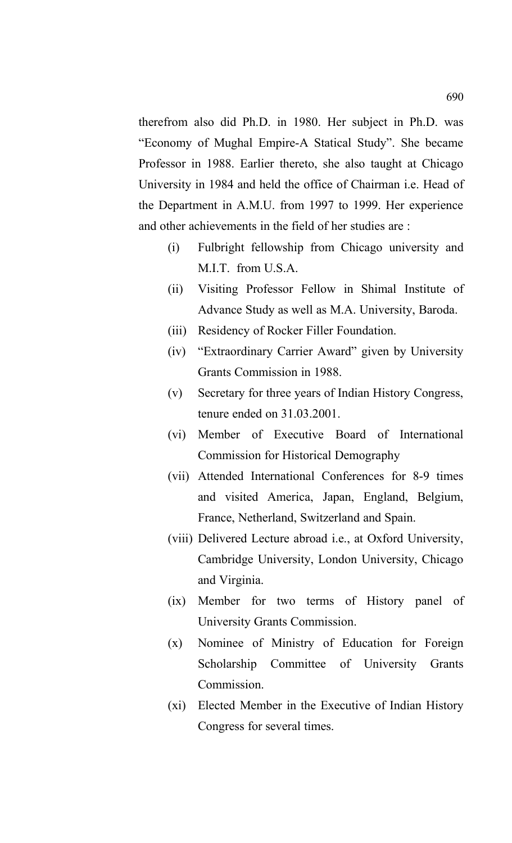therefrom also did Ph.D. in 1980. Her subject in Ph.D. was "Economy of Mughal Empire-A Statical Study". She became Professor in 1988. Earlier thereto, she also taught at Chicago University in 1984 and held the office of Chairman i.e. Head of the Department in A.M.U. from 1997 to 1999. Her experience and other achievements in the field of her studies are :

- (i) Fulbright fellowship from Chicago university and M.I.T. from U.S.A.
- (ii) Visiting Professor Fellow in Shimal Institute of Advance Study as well as M.A. University, Baroda.
- (iii) Residency of Rocker Filler Foundation.
- (iv) "Extraordinary Carrier Award" given by University Grants Commission in 1988.
- (v) Secretary for three years of Indian History Congress, tenure ended on 31.03.2001.
- (vi) Member of Executive Board of International Commission for Historical Demography
- (vii) Attended International Conferences for 8-9 times and visited America, Japan, England, Belgium, France, Netherland, Switzerland and Spain.
- (viii) Delivered Lecture abroad i.e., at Oxford University, Cambridge University, London University, Chicago and Virginia.
- (ix) Member for two terms of History panel of University Grants Commission.
- (x) Nominee of Ministry of Education for Foreign Scholarship Committee of University Grants Commission.
- (xi) Elected Member in the Executive of Indian History Congress for several times.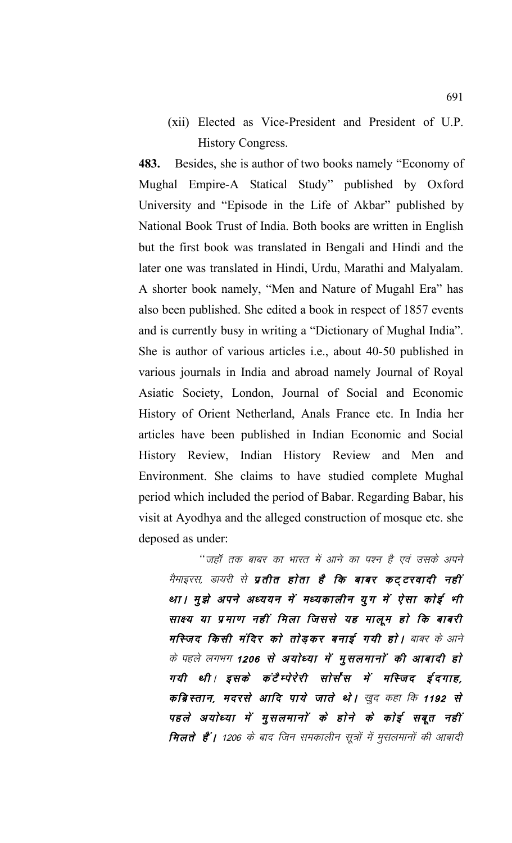(xii) Elected as Vice-President and President of U.P. **History Congress.** 

483. Besides, she is author of two books namely "Economy of Mughal Empire-A Statical Study" published by Oxford University and "Episode in the Life of Akbar" published by National Book Trust of India. Both books are written in English but the first book was translated in Bengali and Hindi and the later one was translated in Hindi, Urdu, Marathi and Malyalam. A shorter book namely, "Men and Nature of Mugahl Era" has also been published. She edited a book in respect of 1857 events and is currently busy in writing a "Dictionary of Mughal India". She is author of various articles *i.e.*, about 40-50 published in various journals in India and abroad namely Journal of Royal Asiatic Society, London, Journal of Social and Economic History of Orient Netherland, Anals France etc. In India her articles have been published in Indian Economic and Social History Review, Indian History Review and Men and Environment. She claims to have studied complete Mughal period which included the period of Babar. Regarding Babar, his visit at Ayodhya and the alleged construction of mosque etc. she deposed as under:

''जहाँ तक बाबर का भारत में आने का पश्न है एवं उसके अपने मैमाइरस, डायरी से **प्रतीत होता है कि बाबर कट्टरवादी नहीं** था। मुझे अपने अध्ययन में मध्यकालीन युग में ऐसा कोई भी साक्ष्य या प्रमाण नहीं मिला जिससे यह मालूम हो कि बाबरी मस्जिद किसी मंदिर को तोड़कर बनाई गयी हो। बाबर के आने के पहले लगभग 1206 से अयोध्या में मुसलमानों की आबादी हो गयी थी। इसके कटैम्पेरेरी सोर्स'स में मस्जिद ईदगाह, कब्रिस्तान, मदरसे आदि पाये जाते थे। खुद कहा कि 1192 से पहले अयोध्या में मुसलमानों के होने के कोई सबूत नहीं **मिलते हैं |** 1206 के बाद जिन समकालीन सूत्रों में मुसलमानों की आबादी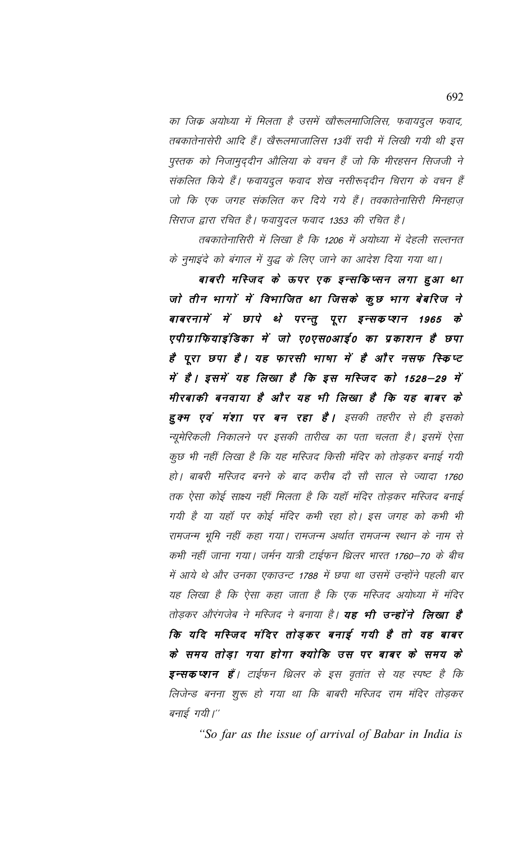का जिक अयोध्या में मिलता है उसमें खौरूलमाजिलिस, फवायदुल फवाद, तबकातेनासेरी आदि हैं। खैरूलमाजालिस 13वीं सदी में लिखी गयी थी इस पुस्तक को निजामुद्दीन औलिया के वचन हैं जो कि मीरहसन सिजजी ने संकलित किये हैं। फवायदूल फवाद शेख नसीरूद्दीन चिराग के वचन हैं जो कि एक जगह संकलित कर दिये गये हैं। तवकातेनासिरी मिनहाज़ सिराज द्वारा रचित है। फवायुदल फवाद 1353 की रचित है।

तबकातेनासिरी में लिखा है कि 1206 में अयोध्या में देहली सल्तनत के नुमाइंदे को बंगाल में युद्ध के लिए जाने का आदेश दिया गया था।

बाबरी मस्जिद के ऊपर एक इन्सकिप्सन लगा हुआ था जो तीन भागों में विभाजित था जिसके कुछ भाग बेबरिज ने बाबरनामें में छापे थे परन्तु पूरा इन्सकप्शन 1965  $\vec{\phi}$ एपीग्राफियाइंडिका में जो ए०एस०आई० का प्रकाशन है छपा है पूरा छपा है। यह फारसी भाषा में है और नसफ स्किप्ट में है। इसमें यह लिखा है कि इस मस्जिद को 1528–29 में मीरबाकी बनवाया है और यह भी लिखा है कि यह बाबर के **हुक्म एवं मंशा पर बन रहा है।** इसकी तहरीर से ही इसको न्यूमेरिकली निकालने पर इसकी तारीख का पता चलता है। इसमें ऐसा कूछ भी नहीं लिखा है कि यह मस्जिद किसी मंदिर को तोड़कर बनाई गयी हो | बाबरी मस्जिद बनने के बाद करीब दो सो साल से ज्यादा 1760 तक ऐसा कोई साक्ष्य नहीं मिलता है कि यहाँ मंदिर तोड़कर मस्जिद बनाई गयी है या यहाँ पर कोई मंदिर कभी रहा हो। इस जगह को कभी भी रामजन्म भूमि नहीं कहा गया। रामजन्म अर्थात रामजन्म स्थान के नाम से कभी नहीं जाना गया। जर्मन यात्री टाईफन थ्रिलर भारत 1760–70 के बीच में आये थे और उनका एकाउन्ट 1788 में छपा था उसमें उन्होंने पहली बार यह लिखा है कि ऐसा कहा जाता है कि एक मस्जिद अयोध्या में मंदिर तोडकर औरंगजेब ने मस्जिद ने बनाया है। **यह भी उन्होंने लिखा है** कि यदि मस्जिद मंदिर तोड़कर बनाई गयी है तो वह बाबर के समय तोडा गया होगा क्योकि उस पर बाबर के समय के **इन्सकप्शन हैं**। टाईफन थ्रिलर के इस वृतांत से यह स्पष्ट है कि लिजेन्ड बनना शुरू हो गया था कि बाबरी मस्जिद राम मंदिर तोड़कर बनाई गयी।"

"So far as the issue of arrival of Babar in India is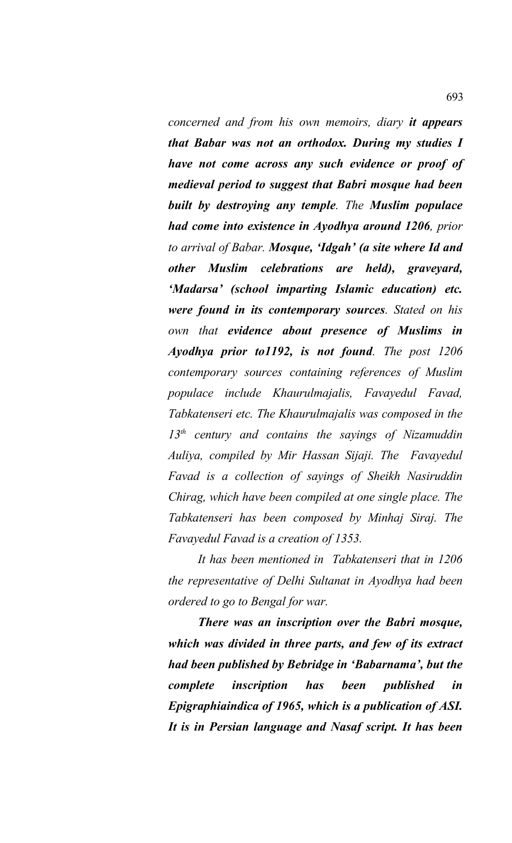*concerned and from his own memoirs, diary it appears that Babar was not an orthodox. During my studies I have not come across any such evidence or proof of medieval period to suggest that Babri mosque had been built by destroying any temple. The Muslim populace had come into existence in Ayodhya around 1206, prior to arrival of Babar. Mosque, 'Idgah' (a site where Id and other Muslim celebrations are held), graveyard, 'Madarsa' (school imparting Islamic education) etc. were found in its contemporary sources. Stated on his own that evidence about presence of Muslims in Ayodhya prior to1192, is not found. The post 1206 contemporary sources containing references of Muslim populace include Khaurulmajalis, Favayedul Favad, Tabkatenseri etc. The Khaurulmajalis was composed in the 13th century and contains the sayings of Nizamuddin Auliya, compiled by Mir Hassan Sijaji. The Favayedul Favad is a collection of sayings of Sheikh Nasiruddin Chirag, which have been compiled at one single place. The Tabkatenseri has been composed by Minhaj Siraj. The Favayedul Favad is a creation of 1353.*

*It has been mentioned in Tabkatenseri that in 1206 the representative of Delhi Sultanat in Ayodhya had been ordered to go to Bengal for war.*

*There was an inscription over the Babri mosque, which was divided in three parts, and few of its extract had been published by Bebridge in 'Babarnama', but the complete inscription has been published in Epigraphiaindica of 1965, which is a publication of ASI. It is in Persian language and Nasaf script. It has been*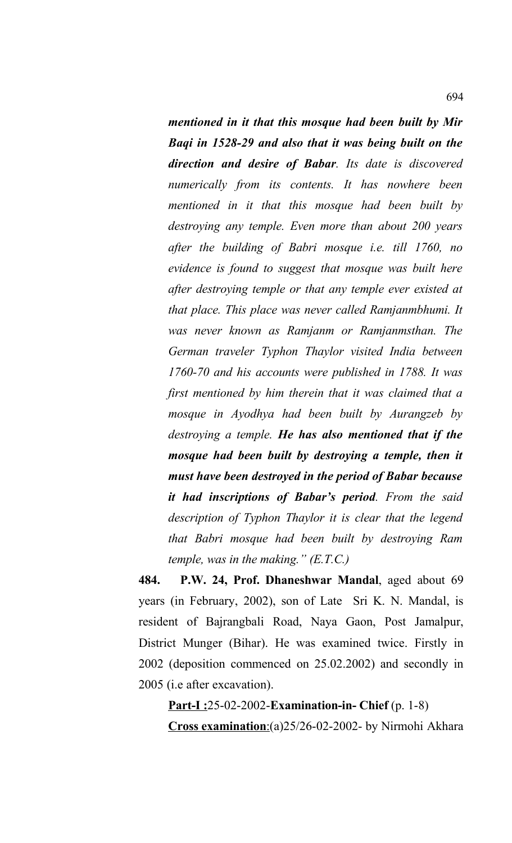*mentioned in it that this mosque had been built by Mir Baqi in 1528-29 and also that it was being built on the direction and desire of Babar. Its date is discovered numerically from its contents. It has nowhere been mentioned in it that this mosque had been built by destroying any temple. Even more than about 200 years after the building of Babri mosque i.e. till 1760, no evidence is found to suggest that mosque was built here after destroying temple or that any temple ever existed at that place. This place was never called Ramjanmbhumi. It was never known as Ramjanm or Ramjanmsthan. The German traveler Typhon Thaylor visited India between 1760-70 and his accounts were published in 1788. It was first mentioned by him therein that it was claimed that a mosque in Ayodhya had been built by Aurangzeb by destroying a temple. He has also mentioned that if the mosque had been built by destroying a temple, then it must have been destroyed in the period of Babar because it had inscriptions of Babar's period. From the said description of Typhon Thaylor it is clear that the legend that Babri mosque had been built by destroying Ram temple, was in the making." (E.T.C.)*

**484. P.W. 24, Prof. Dhaneshwar Mandal**, aged about 69 years (in February, 2002), son of Late Sri K. N. Mandal, is resident of Bajrangbali Road, Naya Gaon, Post Jamalpur, District Munger (Bihar). He was examined twice. Firstly in 2002 (deposition commenced on 25.02.2002) and secondly in 2005 (i.e after excavation).

**Part-I :**25-02-2002-**Examination-in- Chief** (p. 1-8) **Cross examination**: (a) 25/26-02-2002- by Nirmohi Akhara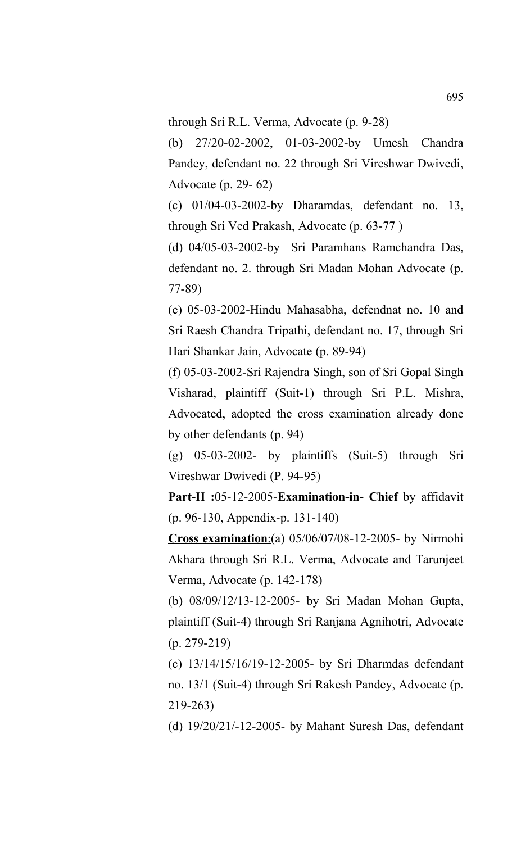through Sri R.L. Verma, Advocate (p. 9-28)

(b) 27/20-02-2002, 01-03-2002-by Umesh Chandra Pandey, defendant no. 22 through Sri Vireshwar Dwivedi, Advocate (p. 29- 62)

(c) 01/04-03-2002-by Dharamdas, defendant no. 13, through Sri Ved Prakash, Advocate (p. 63-77 )

(d) 04/05-03-2002-by Sri Paramhans Ramchandra Das, defendant no. 2. through Sri Madan Mohan Advocate (p. 77-89)

(e) 05-03-2002-Hindu Mahasabha, defendnat no. 10 and Sri Raesh Chandra Tripathi, defendant no. 17, through Sri Hari Shankar Jain, Advocate (p. 89-94)

(f) 05-03-2002-Sri Rajendra Singh, son of Sri Gopal Singh Visharad, plaintiff (Suit-1) through Sri P.L. Mishra, Advocated, adopted the cross examination already done by other defendants (p. 94)

(g) 05-03-2002- by plaintiffs (Suit-5) through Sri Vireshwar Dwivedi (P. 94-95)

**Part-II :**05-12-2005-**Examination-in- Chief** by affidavit (p. 96-130, Appendix-p. 131-140)

**Cross examination:**(a) 05/06/07/08-12-2005- by Nirmohi Akhara through Sri R.L. Verma, Advocate and Tarunjeet Verma, Advocate (p. 142-178)

(b) 08/09/12/13-12-2005- by Sri Madan Mohan Gupta, plaintiff (Suit-4) through Sri Ranjana Agnihotri, Advocate (p. 279-219)

(c) 13/14/15/16/19-12-2005- by Sri Dharmdas defendant no. 13/1 (Suit-4) through Sri Rakesh Pandey, Advocate (p. 219-263)

(d) 19/20/21/-12-2005- by Mahant Suresh Das, defendant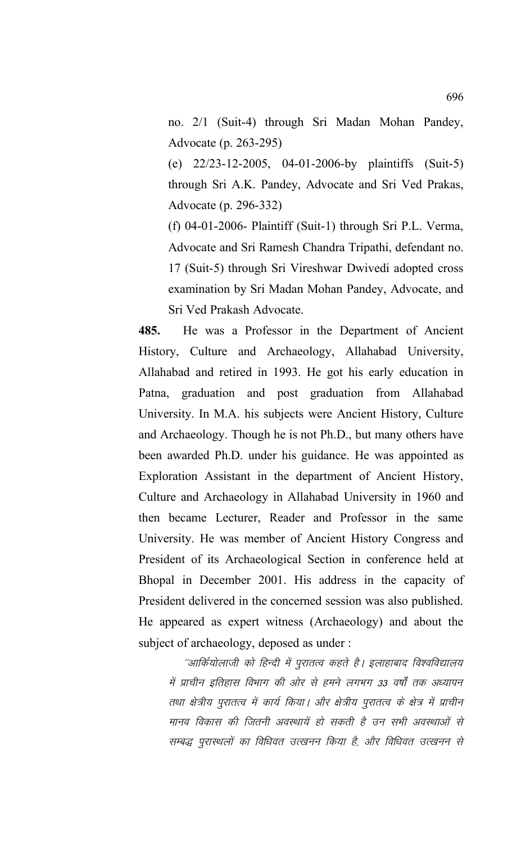no. 2/1 (Suit-4) through Sri Madan Mohan Pandey, Advocate (p. 263-295)

(e) 22/23-12-2005, 04-01-2006-by plaintiffs (Suit-5) through Sri A.K. Pandey, Advocate and Sri Ved Prakas, Advocate (p. 296-332)

(f) 04-01-2006- Plaintiff (Suit-1) through Sri P.L. Verma, Advocate and Sri Ramesh Chandra Tripathi, defendant no. 17 (Suit-5) through Sri Vireshwar Dwivedi adopted cross examination by Sri Madan Mohan Pandey, Advocate, and Sri Ved Prakash Advocate.

**485.** He was a Professor in the Department of Ancient History, Culture and Archaeology, Allahabad University, Allahabad and retired in 1993. He got his early education in Patna, graduation and post graduation from Allahabad University. In M.A. his subjects were Ancient History, Culture and Archaeology. Though he is not Ph.D., but many others have been awarded Ph.D. under his guidance. He was appointed as Exploration Assistant in the department of Ancient History, Culture and Archaeology in Allahabad University in 1960 and then became Lecturer, Reader and Professor in the same University. He was member of Ancient History Congress and President of its Archaeological Section in conference held at Bhopal in December 2001. His address in the capacity of President delivered in the concerned session was also published. He appeared as expert witness (Archaeology) and about the subject of archaeology, deposed as under :

''आर्कियोलाजी को हिन्दी में पुरातत्व कहते है। इलाहाबाद विश्वविद्यालय में प्राचीन इतिहास विभाग की ओर से हमने लगभग 33 वर्षों तक अध्यापन तथा क्षेत्रीय पुरातत्व में कार्य किया। और क्षेत्रीय पुरातत्व के क्षेत्र में प्राचीन मानव विकास की जितनी अवस्थायें हो सकती है उन सभी अवस्थाओं से सम्बद्ध पुरास्थलों का विधिवत उत्खनन किया है, और विधिवत उत्खनन से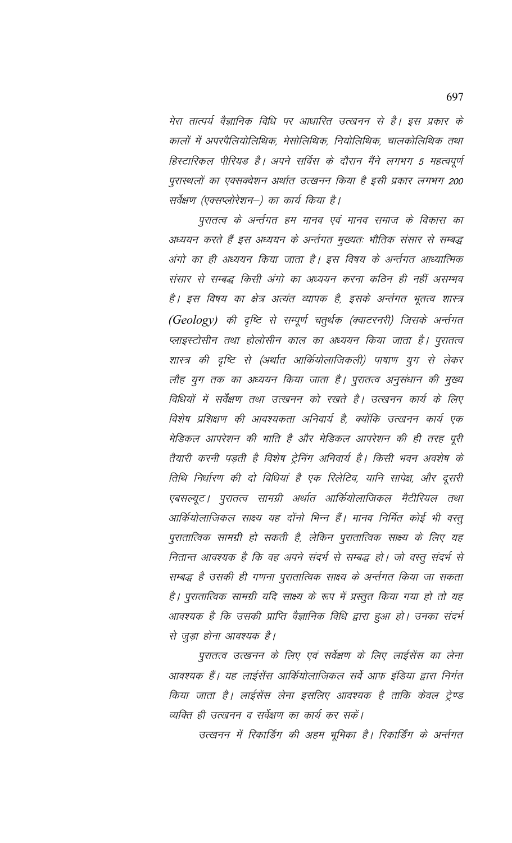मेरा तात्पर्य वैज्ञानिक विधि पर आधारित उत्खनन से है। इस प्रकार के कालों में अपरपैलियोलिथिक, मेसोलिथिक, नियोलिथिक, चालकोलिथिक तथा हिस्टारिकल पीरियड है। अपने सर्विस के दौरान मैंने लगभग 5 महत्वपूर्ण पुरास्थलों का एक्सक्वेशन अर्थात उत्खनन किया है इसी प्रकार लगभग 200 सर्वेक्षण (एक्सप्लोरेशन–) का कार्य किया है।

पुरातत्व के अर्न्तगत हम मानव एवं मानव समाज के विकास का अध्ययन करते हैं इस अध्ययन के अर्न्तगत मुख्यतः भौतिक संसार से सम्बद्ध अंगो का ही अध्ययन किया जाता है। इस विषय के अर्न्तगत आध्यात्मिक संसार से सम्बद्ध किसी अंगो का अध्ययन करना कठिन ही नहीं असम्भव है। इस विषय का क्षेत्र अत्यंत व्यापक है, इसके अर्न्तगत भूतत्व शास्त्र (Geology) की दृष्टि से सम्पूर्ण चतुर्थक (क्वाटरनरी) जिसके अर्न्तगत प्लाइस्टोसीन तथा होलोसीन काल का अध्ययन किया जाता है। पुरातत्व शास्त्र की दृष्टि से (अर्थात आर्कियोलाजिकली) पाषाण युग से लेकर लौह युग तक का अध्ययन किया जाता है। पुरातत्व अनुसंधान की मुख्य विधियों में सर्वेक्षण तथा उत्खनन को रखते है। उत्खनन कार्य के लिए विशेष प्रशिक्षण की आवश्यकता अनिवार्य है, क्योंकि उत्खनन कार्य एक मेडिकल आपरेशन की भाति है और मेडिकल आपरेशन की ही तरह पूरी तैयारी करनी पड़ती है विशेष ट्रेनिंग अनिवार्य है। किसी भवन अवशेष के तिथि निर्धारण की दो विधियां है एक रिलेटिव, यानि सापेक्ष, और दूसरी एबसल्यूट। पुरातत्व सामग्री अर्थात आर्कियोलाजिकल मैटीरियल तथा आर्कियोलाजिकल साक्ष्य यह दोंनो भिन्न हैं। मानव निर्मित कोई भी वस्तु पुरातात्विक सामग्री हो सकती है, लेकिन पुरातात्विक साक्ष्य के लिए यह नितान्त आवश्यक है कि वह अपने संदर्भ से सम्बद्ध हो। जो वस्तु संदर्भ से सम्बद्ध है उसकी ही गणना पुरातात्विक साक्ष्य के अर्न्तगत किया जा सकता है। पुरातात्विक सामग्री यदि साक्ष्य के रूप में प्रस्तुत किया गया हो तो यह आवश्यक है कि उसकी प्राप्ति वैज्ञानिक विधि द्वारा हुआ हो। उनका संदर्भ से जुड़ा होना आवश्यक है।

पुरातत्व उत्खनन के लिए एवं सर्वेक्षण के लिए लाईसेंस का लेना आवश्यक हैं। यह लाईसेंस आर्कियोलाजिकल सर्वे आफ इंडिया द्वारा निर्गत किया जाता है। लाईसेंस लेना इसलिए आवश्यक है ताकि केवल ट्रेण्ड व्यक्ति ही उत्खनन व सर्वेक्षण का कार्य कर सकें।

उत्खनन में रिकार्डिंग की अहम भूमिका है। रिकार्डिंग के अर्न्तगत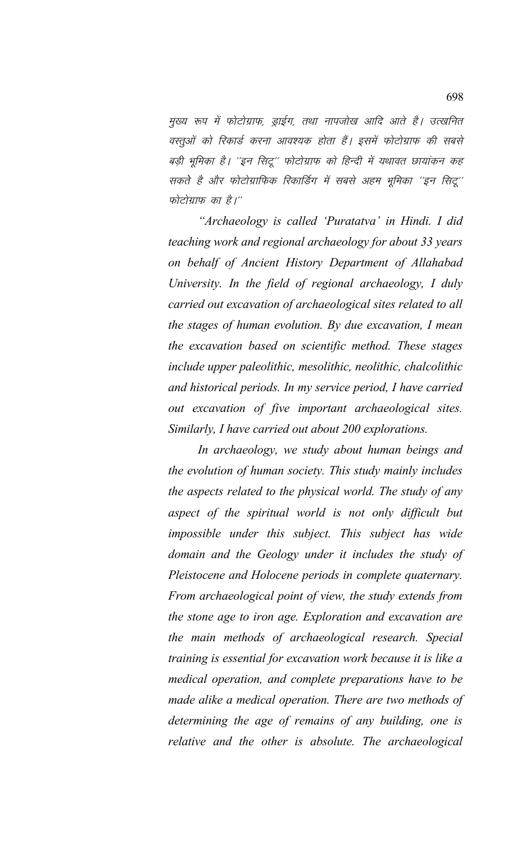मुख्य रूप में फोटोग्राफ, ड्राईग, तथा नापजोख आदि आते है। उत्खनित वस्तुओं को रिकार्ड करना आवश्यक होता हैं। इसमें फोटोग्राफ की सबसे बड़ी भूमिका है। ''इन सिटू'' फोटोग्राफ को हिन्दी में यथावत छायांकन कह सकते है और फोटोग्राफिक रिकार्डिंग में सबसे अहम भूमिका ''इन सिटू'' फोटोग्राफ का है।"

*"Archaeology is called 'Puratatva' in Hindi. I did teaching work and regional archaeology for about 33 years on behalf of Ancient History Department of Allahabad University. In the field of regional archaeology, I duly carried out excavation of archaeological sites related to all the stages of human evolution. By due excavation, I mean the excavation based on scientific method. These stages include upper paleolithic, mesolithic, neolithic, chalcolithic and historical periods. In my service period, I have carried out excavation of five important archaeological sites. Similarly, I have carried out about 200 explorations.*

*In archaeology, we study about human beings and the evolution of human society. This study mainly includes the aspects related to the physical world. The study of any aspect of the spiritual world is not only difficult but impossible under this subject. This subject has wide domain and the Geology under it includes the study of Pleistocene and Holocene periods in complete quaternary. From archaeological point of view, the study extends from the stone age to iron age. Exploration and excavation are the main methods of archaeological research. Special training is essential for excavation work because it is like a medical operation, and complete preparations have to be made alike a medical operation. There are two methods of determining the age of remains of any building, one is relative and the other is absolute. The archaeological*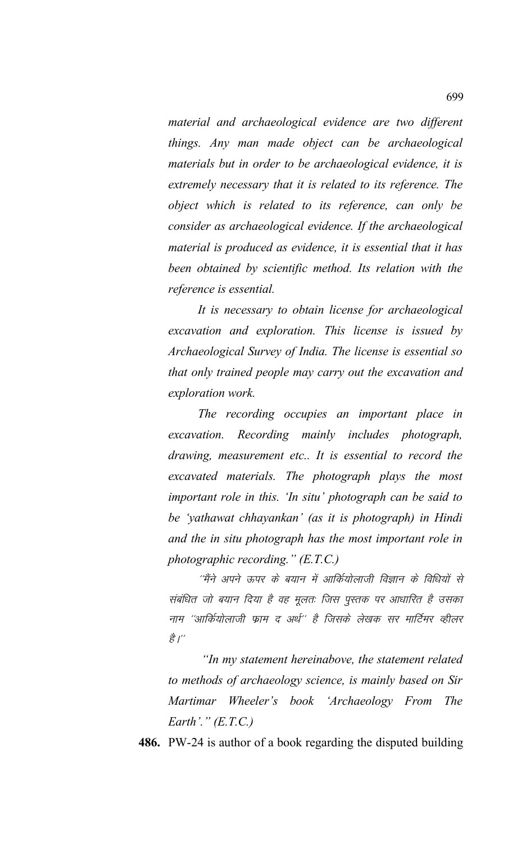*material and archaeological evidence are two different things. Any man made object can be archaeological materials but in order to be archaeological evidence, it is extremely necessary that it is related to its reference. The object which is related to its reference, can only be consider as archaeological evidence. If the archaeological material is produced as evidence, it is essential that it has been obtained by scientific method. Its relation with the reference is essential.* 

*It is necessary to obtain license for archaeological excavation and exploration. This license is issued by Archaeological Survey of India. The license is essential so that only trained people may carry out the excavation and exploration work.*

*The recording occupies an important place in excavation. Recording mainly includes photograph, drawing, measurement etc.. It is essential to record the excavated materials. The photograph plays the most important role in this. 'In situ' photograph can be said to be 'yathawat chhayankan' (as it is photograph) in Hindi and the in situ photograph has the most important role in photographic recording." (E.T.C.)*

''मैंने अपने ऊपर के बयान में आर्कियोलाजी विज्ञान के विधियों से संबंधित जो बयान दिया है वह मूलतः जिस पुस्तक पर आधारित है उसका नाम ''आर्कियोलाजी फ्राम द अर्थ'' है जिसके लेखक सर मार्टिमर व्हीलर ੜ੍ਹੇ $\frac{a}{b}$ /"

 *"In my statement hereinabove, the statement related to methods of archaeology science, is mainly based on Sir Martimar Wheeler's book 'Archaeology From The Earth'." (E.T.C.)*

**486.** PW-24 is author of a book regarding the disputed building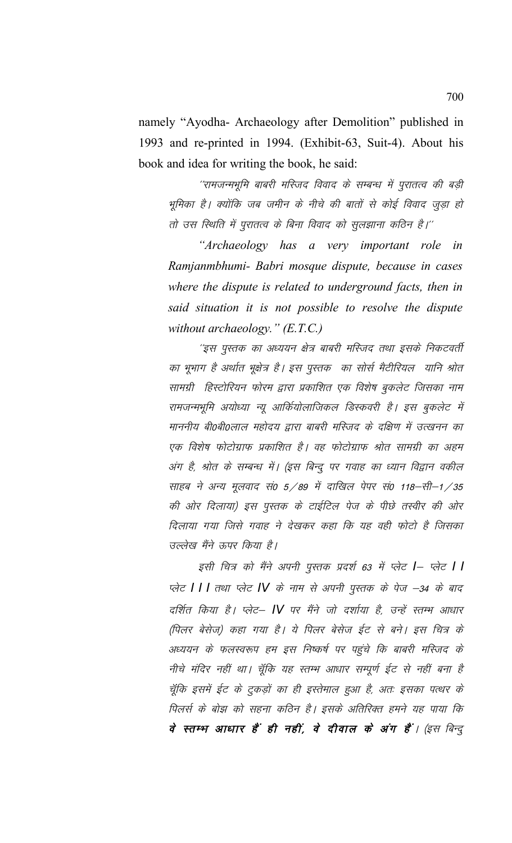namely "Ayodha- Archaeology after Demolition" published in 1993 and re-printed in 1994. (Exhibit-63, Suit-4). About his book and idea for writing the book, he said:

''रामजन्मभूमि बाबरी मस्जिद विवाद के सम्बन्ध में पुरातत्व की बड़ी भूमिका है। क्योंकि जब जमीन के नीचे की बातों से कोई विवाद जुड़ा हो तो उस स्थिति में पुरातत्व के बिना विवाद को सुलझाना कठिन है।''

"Archaeology has a very important role  $in$ Ramjanmbhumi- Babri mosque dispute, because in cases where the dispute is related to underground facts, then in said situation it is not possible to resolve the dispute without archaeology."  $(E.T.C.)$ 

''इस पुस्तक का अध्ययन क्षेत्र बाबरी मस्जिद तथा इसके निकटवर्ती का भूभाग है अर्थात भूक्षेत्र है। इस पुस्तक का सोर्स मैटीरियल यानि श्रोत सामग्री हिस्टोरियन फोरम द्वारा प्रकाशित एक विशेष बुकलेट जिसका नाम रामजन्मभूमि अयोध्या न्यू आर्कियोलाजिकल डिस्कवरी है। इस बुकलेट में माननीय बी0बी0लाल महोदय द्वारा बाबरी मस्जिद के दक्षिण में उत्खनन का एक विशेष फोटोग्राफ प्रकाशित है। वह फोटोग्राफ श्रोत सामग्री का अहम अंग है, श्रोत के सम्बन्ध में। (इस बिन्दू पर गवाह का ध्यान विद्वान वकील साहब ने अन्य मूलवाद सं0 5/89 में दाखिल पेपर सं0 118-सी-1/35 की ओर दिलाया) इस पुस्तक के टाईटिल पेज के पीछे तस्वीर की ओर दिलाया गया जिसे गवाह ने देखकर कहा कि यह वही फोटो है जिसका उल्लेख मैंने ऊपर किया है।

इसी चित्र को मैंने अपनी पुस्तक प्रदर्श 63 में प्लेट |– प्लेट | | प्लेट | | | तथा प्लेट |V के नाम से अपनी पुस्तक के पेज -34 के बाद दर्शित किया है। प्लेट– IV पर मैंने जो दर्शाया है, उन्हें स्तम्भ आधार (पिलर बेसेज) कहा गया है। ये पिलर बेसेज ईट से बने। इस चित्र के अध्ययन के फलस्वरूप हम इस निष्कर्ष पर पहुंचे कि बाबरी मस्जिद के नीचे मंदिर नहीं था। चूँकि यह स्तम्भ आधार सम्पूर्ण ईट से नहीं बना है चूँकि इसमें ईट के टुकड़ों का ही इस्तेमाल हुआ है, अतः इसका पत्थर के पिलर्स के बोझ को सहना कठिन है। इसके अतिरिक्त हमने यह पाया कि वे स्तम्भ आधार हैं ही नहीं, वे दीवाल के अंग हैं। (इस बिन्दु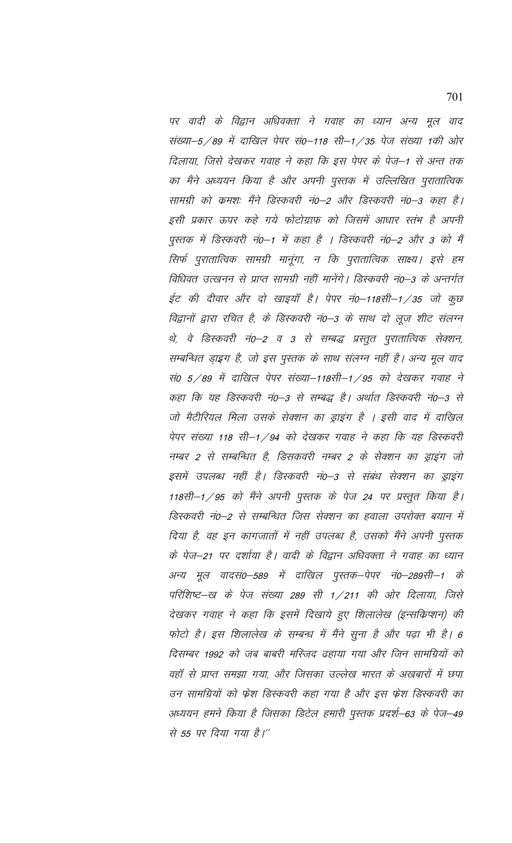पर वादी के विद्वान अधिवक्ता ने गवाह का ध्यान अन्य मूल वाद संख्या–5 / 89 में दाखिल पेपर सं0–118 सी–1 / 35 पेज संख्या 1की ओर दिलाया, जिसे देखकर गवाह ने कहा कि इस पेपर के पेज–1 से अन्त तक का मैंने अध्ययन किया है और अपनी पुस्तक में उल्लिखित पुरातात्विक सामग्री को क्रमश: मैंने डिस्कवरी नं0–2 और डिस्कवरी नं0–3 कहा है। इसी प्रकार ऊपर कहे गये फोटोग्राफ को जिसमें आधार स्तंभ है अपनी पुस्तक में डिस्कवरी नं0-1 में कहा है । डिस्कवरी नं0-2 और 3 को मैं सिर्फ पुरातात्विक सामग्री मानूंगा, न कि पुरातात्विक साक्ष्य। इसे हम विधिवत उत्खनन से प्राप्त सामग्री नहीं मानेंगे। डिस्कवरी नं0–3 के अन्तर्गत ईट की दीवार और दो खाइयाँ है। पेपर नं0–118सी–1/35 जो कुछ विद्वानों द्वारा रचित है, के डिस्कवरी नं0–3 के साथ दो लूज शीट संलग्न थे, वे डिस्कवरी नं0–2 व 3 से सम्बद्ध प्रस्तुत पुरातात्विक सेक्शन, सम्बन्धित ड़ाइग है, जो इस पुस्तक के साथ संलग्न नहीं है। अन्य मूल वाद सं0 5/89 में दाखिल पेपर संख्या–118सी–1/95 को देखकर गवाह ने कहा कि यह डिस्कवरी नं0-3 से सम्बद्ध है। अर्थात डिस्कवरी नं0-3 से जो मैटीरियल मिला उसके सेक्शन का ड्राइंग है । इसी वाद में दाखिल पेपर संख्या 118 सी–1 / 94 को देखकर गवाह ने कहा कि यह डिस्कवरी नम्बर 2 से सम्बन्धित है, डिसकवरी नम्बर 2 के सेक्शन का ड्राइंग जो इसमें उपलब्ध नहीं है। डिस्कवरी नं0–3 से संबंध सेक्शन का ड्राइंग 118सी–1 / 95 को मैंने अपनी पुस्तक के पेज 24 पर प्रस्तुत किया है। डिस्कवरी नं0–2 से सम्बन्धित जिस सेक्शन का हवाला उपरोक्त बयान में दिया है, वह इन कागजातों में नहीं उपलब्ध है, उसको मैंने अपनी पुस्तक के पेज–21 पर दर्शाया है। वादी के विद्वान अधिवक्ता ने गवाह का ध्यान अन्य मूल वादसं0–589 में दाखिल पुस्तक–पेपर नं0–289सी–1 के परिशिष्ट–ख के पेज संख्या 289 सी 1/211 की ओर दिलाया, जिसे देखकर गवाह ने कहा कि इसमें दिखाये हुए शिलालेख (इन्सक्रिप्शन) की फोटो है। इस शिलालेख के सम्बन्ध में मैंने सुना है और पढ़ा भी है। 6 दिसम्बर 1992 को जब बाबरी मस्जिद ढहाया गया और जिन सामग्रियों को वहाँ से प्राप्त समझा गया, और जिसका उल्लेख भारत के अखबारों में छपा उन सामग्रियों को फ्रेश डिस्कवरी कहा गया है और इस फ्रेश डिस्कवरी का अध्ययन हमने किया है जिसका डिटेल हमारी पुस्तक प्रदर्श–63 के पेज–49 से 55 पर दिया गया है।"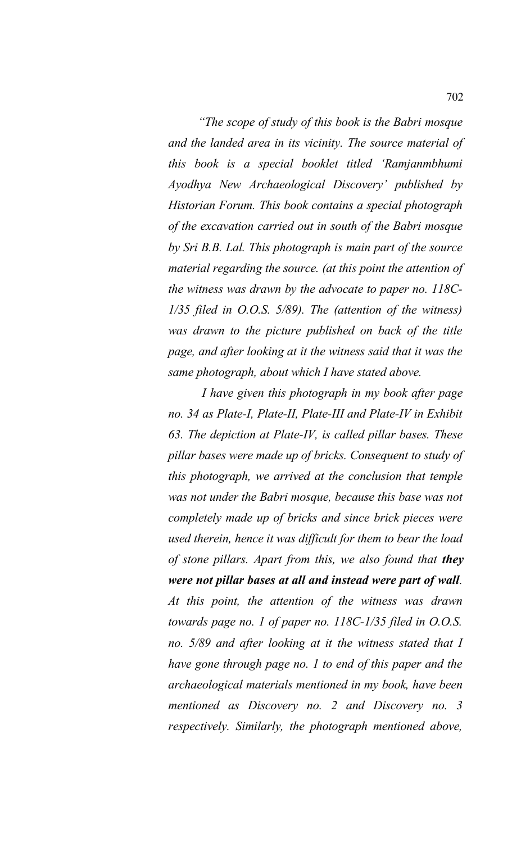*"The scope of study of this book is the Babri mosque and the landed area in its vicinity. The source material of this book is a special booklet titled 'Ramjanmbhumi Ayodhya New Archaeological Discovery' published by Historian Forum. This book contains a special photograph of the excavation carried out in south of the Babri mosque by Sri B.B. Lal. This photograph is main part of the source material regarding the source. (at this point the attention of the witness was drawn by the advocate to paper no. 118C-1/35 filed in O.O.S. 5/89). The (attention of the witness) was drawn to the picture published on back of the title page, and after looking at it the witness said that it was the same photograph, about which I have stated above.*

 *I have given this photograph in my book after page no. 34 as Plate-I, Plate-II, Plate-III and Plate-IV in Exhibit 63. The depiction at Plate-IV, is called pillar bases. These pillar bases were made up of bricks. Consequent to study of this photograph, we arrived at the conclusion that temple was not under the Babri mosque, because this base was not completely made up of bricks and since brick pieces were used therein, hence it was difficult for them to bear the load of stone pillars. Apart from this, we also found that they were not pillar bases at all and instead were part of wall. At this point, the attention of the witness was drawn towards page no. 1 of paper no. 118C-1/35 filed in O.O.S. no. 5/89 and after looking at it the witness stated that I have gone through page no. 1 to end of this paper and the archaeological materials mentioned in my book, have been mentioned as Discovery no. 2 and Discovery no. 3 respectively. Similarly, the photograph mentioned above,*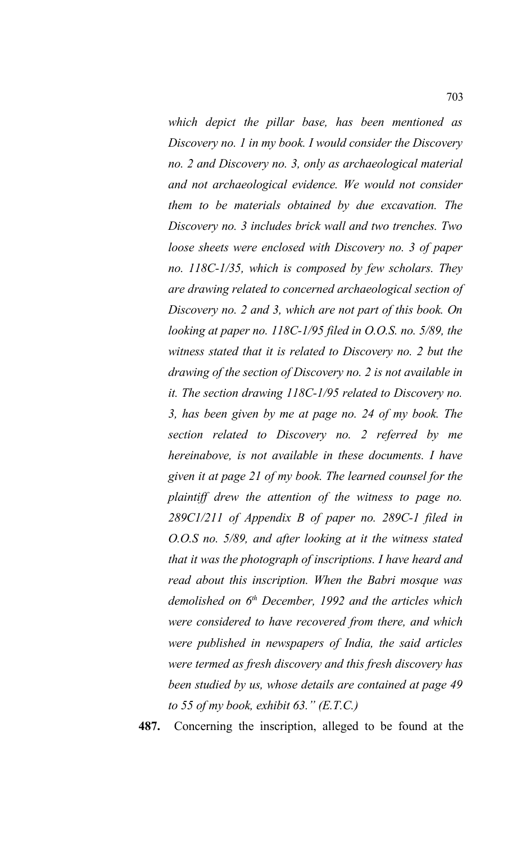*which depict the pillar base, has been mentioned as Discovery no. 1 in my book. I would consider the Discovery no. 2 and Discovery no. 3, only as archaeological material and not archaeological evidence. We would not consider them to be materials obtained by due excavation. The Discovery no. 3 includes brick wall and two trenches. Two loose sheets were enclosed with Discovery no. 3 of paper no. 118C-1/35, which is composed by few scholars. They are drawing related to concerned archaeological section of Discovery no. 2 and 3, which are not part of this book. On looking at paper no. 118C-1/95 filed in O.O.S. no. 5/89, the witness stated that it is related to Discovery no. 2 but the drawing of the section of Discovery no. 2 is not available in it. The section drawing 118C-1/95 related to Discovery no. 3, has been given by me at page no. 24 of my book. The section related to Discovery no. 2 referred by me hereinabove, is not available in these documents. I have given it at page 21 of my book. The learned counsel for the plaintiff drew the attention of the witness to page no. 289C1/211 of Appendix B of paper no. 289C-1 filed in O.O.S no. 5/89, and after looking at it the witness stated that it was the photograph of inscriptions. I have heard and read about this inscription. When the Babri mosque was demolished on 6th December, 1992 and the articles which were considered to have recovered from there, and which were published in newspapers of India, the said articles were termed as fresh discovery and this fresh discovery has been studied by us, whose details are contained at page 49 to 55 of my book, exhibit 63." (E.T.C.)*

**487.** Concerning the inscription, alleged to be found at the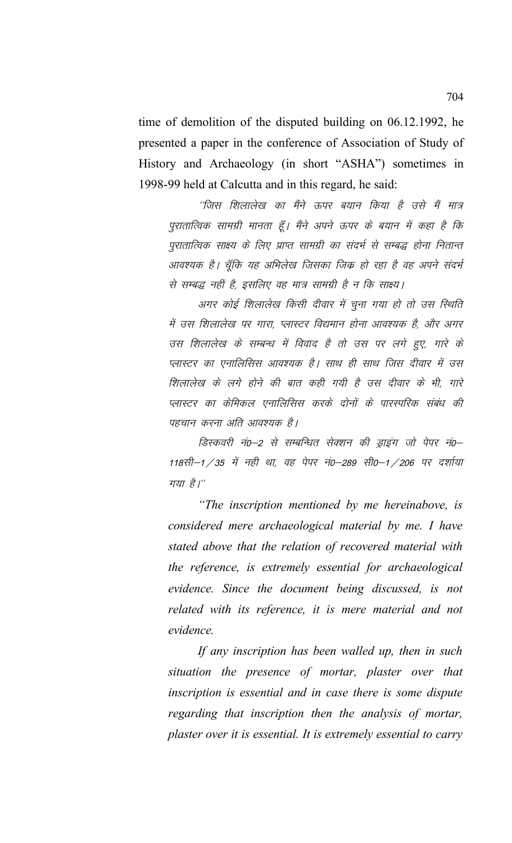time of demolition of the disputed building on 06.12.1992, he presented a paper in the conference of Association of Study of History and Archaeology (in short "ASHA") sometimes in 1998-99 held at Calcutta and in this regard, he said:

 $^{\prime\prime}$ जिस शिलालेख का मैंने ऊपर बयान किया है उसे मैं मात्र पुरातात्विक सामग्री मानता हूँ। मैंने अपने ऊपर के बयान में कहा है कि पुरातात्विक साक्ष्य के लिए प्राप्त सामग्री का संदर्भ से सम्बद्ध होना नितान्त आवश्यक है। चूँकि यह अभिलेख जिसका जिक हो रहा है वह अपने संदर्भ से सम्बद्ध नहीं है, इसलिए वह मात्र सामग्री है न कि साक्ष्य।

अगर कोई शिलालेख किसी दीवार में चुना गया हो तो उस स्थिति में उस शिलालेख पर गारा, प्लास्टर विद्यमान होना आवश्यक है, और अगर उस शिलालेख के सम्बन्ध में विवाद है तो उस पर लगे हुए, गारे के प्लास्टर का एनालिसिस आवश्यक है। साथ ही साथ जिस दीवार में उस शिलालेख के लगे होने की बात कही गयी है उस दीवार के भी, गारे प्लास्टर का केमिकल एनालिसिस करके दोनों के पारस्परिक संबंध की पहचान करना अति आवश्यक है।

हिस्कवरी नं0−2 से सम्बन्धित सेक्शन की ड्राइंग जो पेपर नं0−  $118$ सी $-1/35$  में नही था, वह पेपर नं0-289 सी0-1/206 पर दर्शाया गया है।"

*"The inscription mentioned by me hereinabove, is considered mere archaeological material by me. I have stated above that the relation of recovered material with the reference, is extremely essential for archaeological evidence. Since the document being discussed, is not related with its reference, it is mere material and not evidence.*

*If any inscription has been walled up, then in such situation the presence of mortar, plaster over that inscription is essential and in case there is some dispute regarding that inscription then the analysis of mortar, plaster over it is essential. It is extremely essential to carry*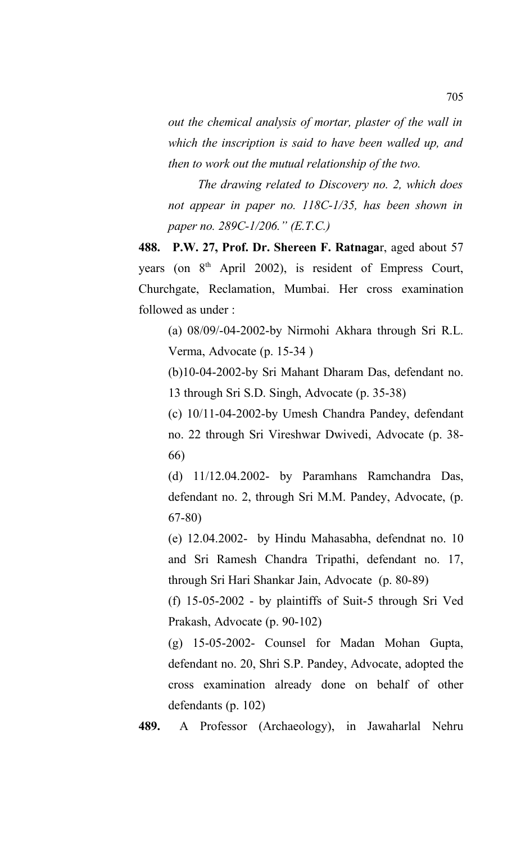*out the chemical analysis of mortar, plaster of the wall in which the inscription is said to have been walled up, and then to work out the mutual relationship of the two.*

*The drawing related to Discovery no. 2, which does not appear in paper no. 118C-1/35, has been shown in paper no. 289C-1/206." (E.T.C.)*

**488. P.W. 27, Prof. Dr. Shereen F. Ratnaga**r, aged about 57 years (on 8<sup>th</sup> April 2002), is resident of Empress Court, Churchgate, Reclamation, Mumbai. Her cross examination followed as under :

(a) 08/09/-04-2002-by Nirmohi Akhara through Sri R.L. Verma, Advocate (p. 15-34 )

(b)10-04-2002-by Sri Mahant Dharam Das, defendant no. 13 through Sri S.D. Singh, Advocate (p. 35-38)

(c) 10/11-04-2002-by Umesh Chandra Pandey, defendant no. 22 through Sri Vireshwar Dwivedi, Advocate (p. 38- 66)

(d) 11/12.04.2002- by Paramhans Ramchandra Das, defendant no. 2, through Sri M.M. Pandey, Advocate, (p. 67-80)

(e) 12.04.2002- by Hindu Mahasabha, defendnat no. 10 and Sri Ramesh Chandra Tripathi, defendant no. 17, through Sri Hari Shankar Jain, Advocate (p. 80-89)

(f) 15-05-2002 - by plaintiffs of Suit-5 through Sri Ved Prakash, Advocate (p. 90-102)

(g) 15-05-2002- Counsel for Madan Mohan Gupta, defendant no. 20, Shri S.P. Pandey, Advocate, adopted the cross examination already done on behalf of other defendants (p. 102)

**489.** A Professor (Archaeology), in Jawaharlal Nehru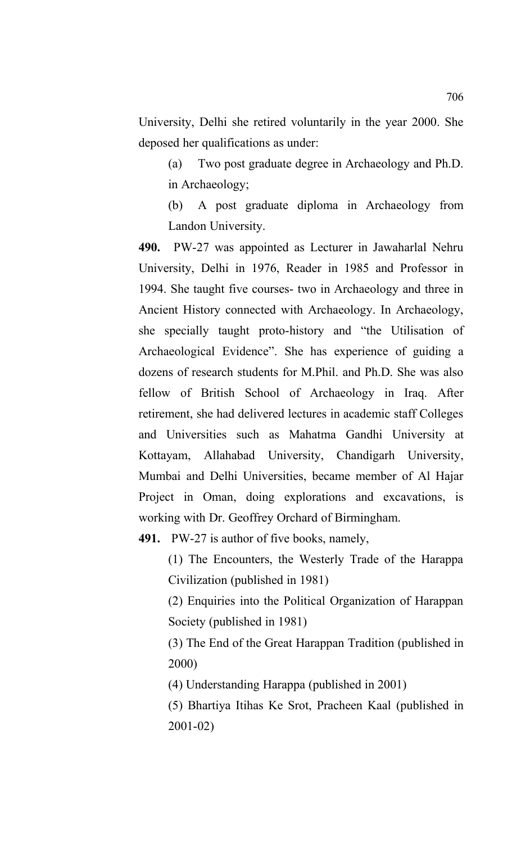University, Delhi she retired voluntarily in the year 2000. She deposed her qualifications as under:

(a) Two post graduate degree in Archaeology and Ph.D. in Archaeology;

(b) A post graduate diploma in Archaeology from Landon University.

**490.** PW-27 was appointed as Lecturer in Jawaharlal Nehru University, Delhi in 1976, Reader in 1985 and Professor in 1994. She taught five courses- two in Archaeology and three in Ancient History connected with Archaeology. In Archaeology, she specially taught proto-history and "the Utilisation of Archaeological Evidence". She has experience of guiding a dozens of research students for M.Phil. and Ph.D. She was also fellow of British School of Archaeology in Iraq. After retirement, she had delivered lectures in academic staff Colleges and Universities such as Mahatma Gandhi University at Kottayam, Allahabad University, Chandigarh University, Mumbai and Delhi Universities, became member of Al Hajar Project in Oman, doing explorations and excavations, is working with Dr. Geoffrey Orchard of Birmingham.

**491.** PW-27 is author of five books, namely,

(1) The Encounters, the Westerly Trade of the Harappa Civilization (published in 1981)

(2) Enquiries into the Political Organization of Harappan Society (published in 1981)

(3) The End of the Great Harappan Tradition (published in 2000)

(4) Understanding Harappa (published in 2001)

(5) Bhartiya Itihas Ke Srot, Pracheen Kaal (published in 2001-02)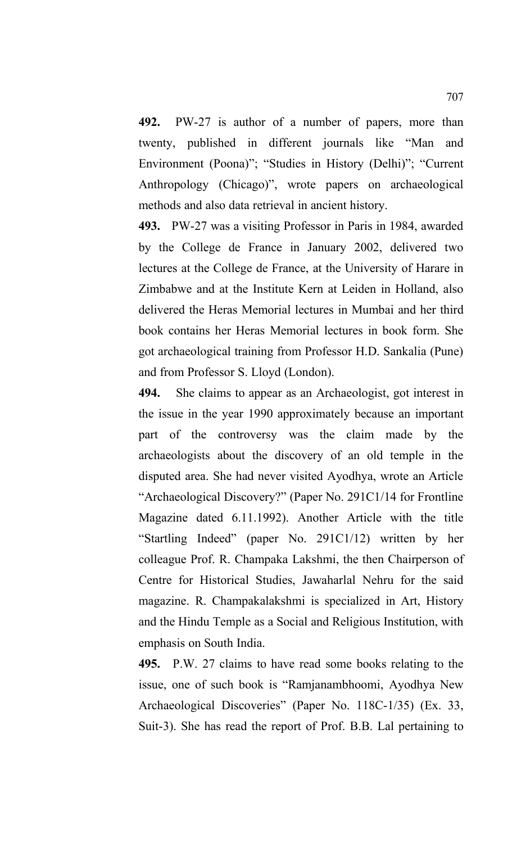**492.** PW-27 is author of a number of papers, more than twenty, published in different journals like "Man and Environment (Poona)"; "Studies in History (Delhi)"; "Current Anthropology (Chicago)", wrote papers on archaeological methods and also data retrieval in ancient history.

**493.** PW-27 was a visiting Professor in Paris in 1984, awarded by the College de France in January 2002, delivered two lectures at the College de France, at the University of Harare in Zimbabwe and at the Institute Kern at Leiden in Holland, also delivered the Heras Memorial lectures in Mumbai and her third book contains her Heras Memorial lectures in book form. She got archaeological training from Professor H.D. Sankalia (Pune) and from Professor S. Lloyd (London).

**494.** She claims to appear as an Archaeologist, got interest in the issue in the year 1990 approximately because an important part of the controversy was the claim made by the archaeologists about the discovery of an old temple in the disputed area. She had never visited Ayodhya, wrote an Article "Archaeological Discovery?" (Paper No. 291C1/14 for Frontline Magazine dated 6.11.1992). Another Article with the title "Startling Indeed" (paper No. 291C1/12) written by her colleague Prof. R. Champaka Lakshmi, the then Chairperson of Centre for Historical Studies, Jawaharlal Nehru for the said magazine. R. Champakalakshmi is specialized in Art, History and the Hindu Temple as a Social and Religious Institution, with emphasis on South India.

**495.** P.W. 27 claims to have read some books relating to the issue, one of such book is "Ramjanambhoomi, Ayodhya New Archaeological Discoveries" (Paper No. 118C-1/35) (Ex. 33, Suit-3). She has read the report of Prof. B.B. Lal pertaining to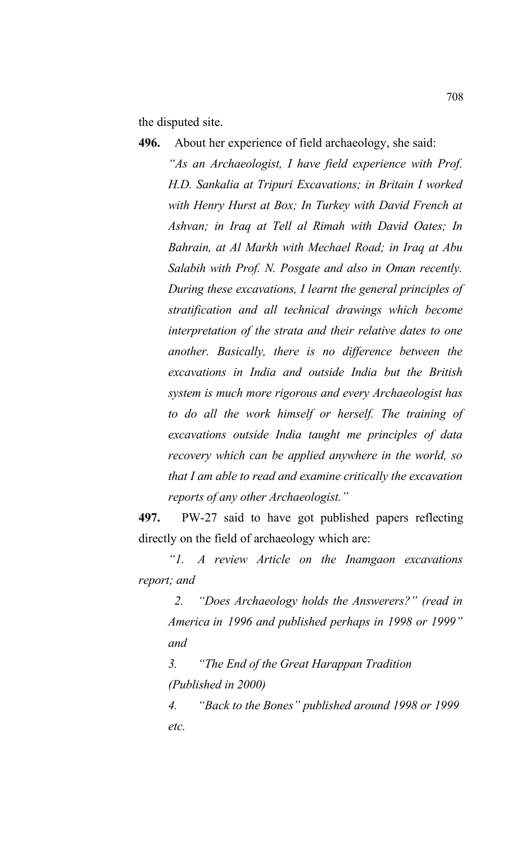the disputed site.

**496.** About her experience of field archaeology, she said: *"As an Archaeologist, I have field experience with Prof. H.D. Sankalia at Tripuri Excavations; in Britain I worked with Henry Hurst at Box; In Turkey with David French at Ashvan; in Iraq at Tell al Rimah with David Oates; In Bahrain, at Al Markh with Mechael Road; in Iraq at Abu Salabih with Prof. N. Posgate and also in Oman recently. During these excavations, I learnt the general principles of stratification and all technical drawings which become interpretation of the strata and their relative dates to one another. Basically, there is no difference between the excavations in India and outside India but the British system is much more rigorous and every Archaeologist has to do all the work himself or herself. The training of excavations outside India taught me principles of data recovery which can be applied anywhere in the world, so that I am able to read and examine critically the excavation reports of any other Archaeologist."*

**497.** PW-27 said to have got published papers reflecting directly on the field of archaeology which are:

*"1. A review Article on the Inamgaon excavations report; and* 

 *2. "Does Archaeology holds the Answerers?" (read in America in 1996 and published perhaps in 1998 or 1999" and* 

*3. "The End of the Great Harappan Tradition (Published in 2000)*

*4. "Back to the Bones" published around 1998 or 1999 etc.*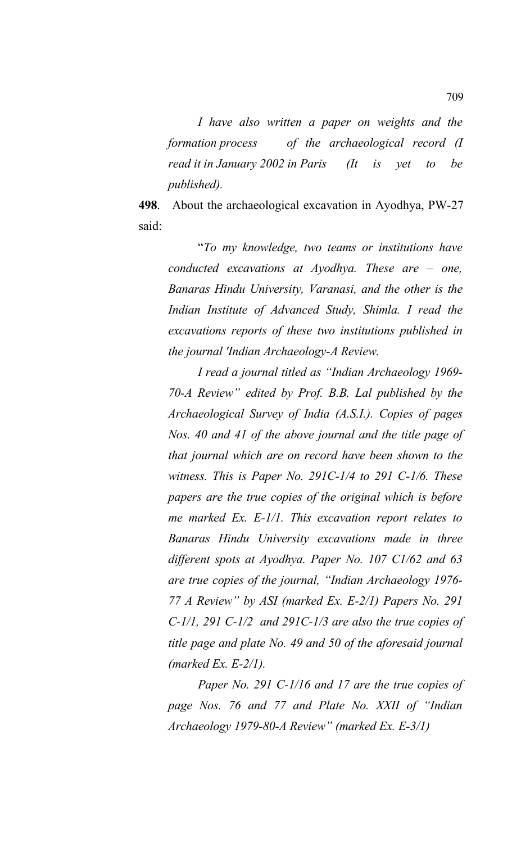*I have also written a paper on weights and the formation process of the archaeological record (I read it in January 2002 in Paris (It is yet to be published).* 

**498**. About the archaeological excavation in Ayodhya, PW-27 said:

"*To my knowledge, two teams or institutions have conducted excavations at Ayodhya. These are – one, Banaras Hindu University, Varanasi, and the other is the Indian Institute of Advanced Study, Shimla. I read the excavations reports of these two institutions published in the journal 'Indian Archaeology-A Review.*

*I read a journal titled as "Indian Archaeology 1969- 70-A Review" edited by Prof. B.B. Lal published by the Archaeological Survey of India (A.S.I.). Copies of pages Nos. 40 and 41 of the above journal and the title page of that journal which are on record have been shown to the witness. This is Paper No. 291C-1/4 to 291 C-1/6. These papers are the true copies of the original which is before me marked Ex. E-1/1. This excavation report relates to Banaras Hindu University excavations made in three different spots at Ayodhya. Paper No. 107 C1/62 and 63 are true copies of the journal, "Indian Archaeology 1976- 77 A Review" by ASI (marked Ex. E-2/1) Papers No. 291 C-1/1, 291 C-1/2 and 291C-1/3 are also the true copies of title page and plate No. 49 and 50 of the aforesaid journal (marked Ex. E-2/1).*

*Paper No. 291 C-1/16 and 17 are the true copies of page Nos. 76 and 77 and Plate No. XXII of "Indian Archaeology 1979-80-A Review" (marked Ex. E-3/1)*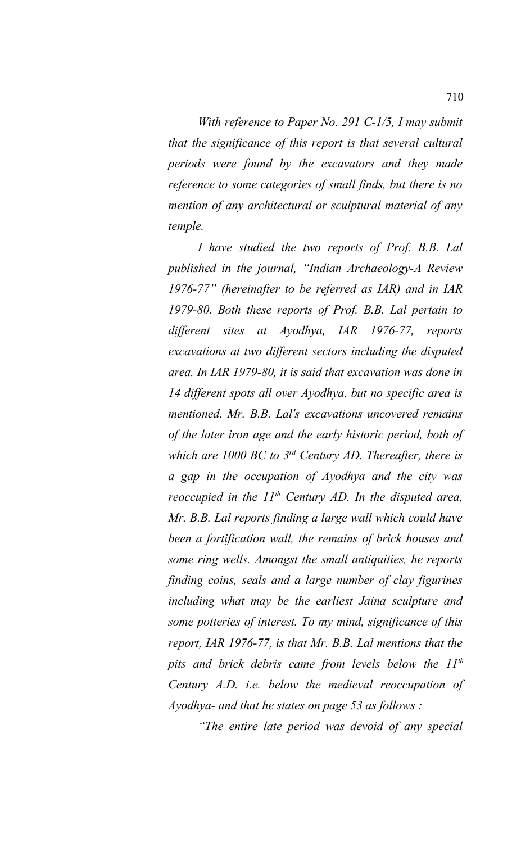*With reference to Paper No. 291 C-1/5, I may submit that the significance of this report is that several cultural periods were found by the excavators and they made reference to some categories of small finds, but there is no mention of any architectural or sculptural material of any temple.*

*I have studied the two reports of Prof. B.B. Lal published in the journal, "Indian Archaeology-A Review 1976-77" (hereinafter to be referred as IAR) and in IAR 1979-80. Both these reports of Prof. B.B. Lal pertain to different sites at Ayodhya, IAR 1976-77, reports excavations at two different sectors including the disputed area. In IAR 1979-80, it is said that excavation was done in 14 different spots all over Ayodhya, but no specific area is mentioned. Mr. B.B. Lal's excavations uncovered remains of the later iron age and the early historic period, both of which are 1000 BC to 3rd Century AD. Thereafter, there is a gap in the occupation of Ayodhya and the city was reoccupied in the 11th Century AD. In the disputed area, Mr. B.B. Lal reports finding a large wall which could have been a fortification wall, the remains of brick houses and some ring wells. Amongst the small antiquities, he reports finding coins, seals and a large number of clay figurines including what may be the earliest Jaina sculpture and some potteries of interest. To my mind, significance of this report, IAR 1976-77, is that Mr. B.B. Lal mentions that the pits and brick debris came from levels below the 11th Century A.D. i.e. below the medieval reoccupation of Ayodhya- and that he states on page 53 as follows :*

*"The entire late period was devoid of any special*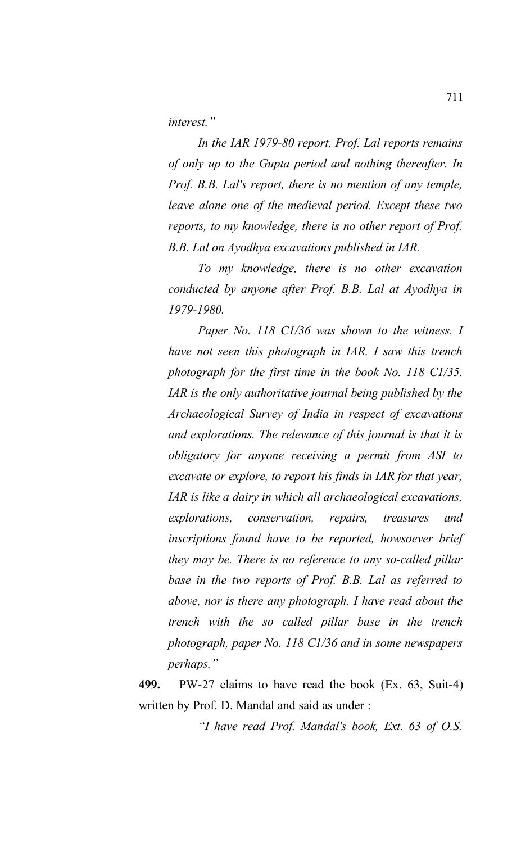*interest."*

*In the IAR 1979-80 report, Prof. Lal reports remains of only up to the Gupta period and nothing thereafter. In Prof. B.B. Lal's report, there is no mention of any temple, leave alone one of the medieval period. Except these two reports, to my knowledge, there is no other report of Prof. B.B. Lal on Ayodhya excavations published in IAR.* 

*To my knowledge, there is no other excavation conducted by anyone after Prof. B.B. Lal at Ayodhya in 1979-1980.* 

*Paper No. 118 C1/36 was shown to the witness. I have not seen this photograph in IAR. I saw this trench photograph for the first time in the book No. 118 C1/35. IAR is the only authoritative journal being published by the Archaeological Survey of India in respect of excavations and explorations. The relevance of this journal is that it is obligatory for anyone receiving a permit from ASI to excavate or explore, to report his finds in IAR for that year, IAR is like a dairy in which all archaeological excavations, explorations, conservation, repairs, treasures and inscriptions found have to be reported, howsoever brief they may be. There is no reference to any so-called pillar base in the two reports of Prof. B.B. Lal as referred to above, nor is there any photograph. I have read about the trench with the so called pillar base in the trench photograph, paper No. 118 C1/36 and in some newspapers perhaps."* 

**499.** PW-27 claims to have read the book (Ex. 63, Suit-4) written by Prof. D. Mandal and said as under :

*"I have read Prof. Mandal's book, Ext. 63 of O.S.*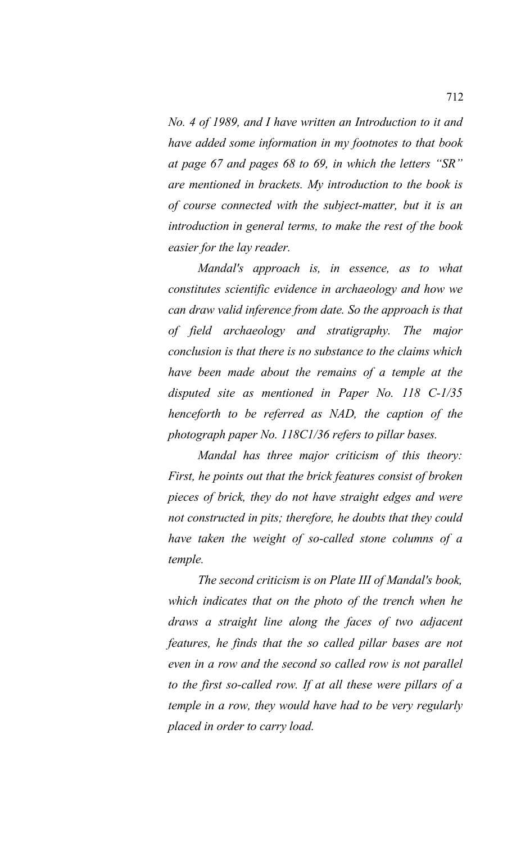*No. 4 of 1989, and I have written an Introduction to it and have added some information in my footnotes to that book at page 67 and pages 68 to 69, in which the letters "SR" are mentioned in brackets. My introduction to the book is of course connected with the subject-matter, but it is an introduction in general terms, to make the rest of the book easier for the lay reader.* 

*Mandal's approach is, in essence, as to what constitutes scientific evidence in archaeology and how we can draw valid inference from date. So the approach is that of field archaeology and stratigraphy. The major conclusion is that there is no substance to the claims which have been made about the remains of a temple at the disputed site as mentioned in Paper No. 118 C-1/35 henceforth to be referred as NAD, the caption of the photograph paper No. 118C1/36 refers to pillar bases.*

*Mandal has three major criticism of this theory: First, he points out that the brick features consist of broken pieces of brick, they do not have straight edges and were not constructed in pits; therefore, he doubts that they could have taken the weight of so-called stone columns of a temple.* 

*The second criticism is on Plate III of Mandal's book, which indicates that on the photo of the trench when he draws a straight line along the faces of two adjacent features, he finds that the so called pillar bases are not even in a row and the second so called row is not parallel to the first so-called row. If at all these were pillars of a temple in a row, they would have had to be very regularly placed in order to carry load.*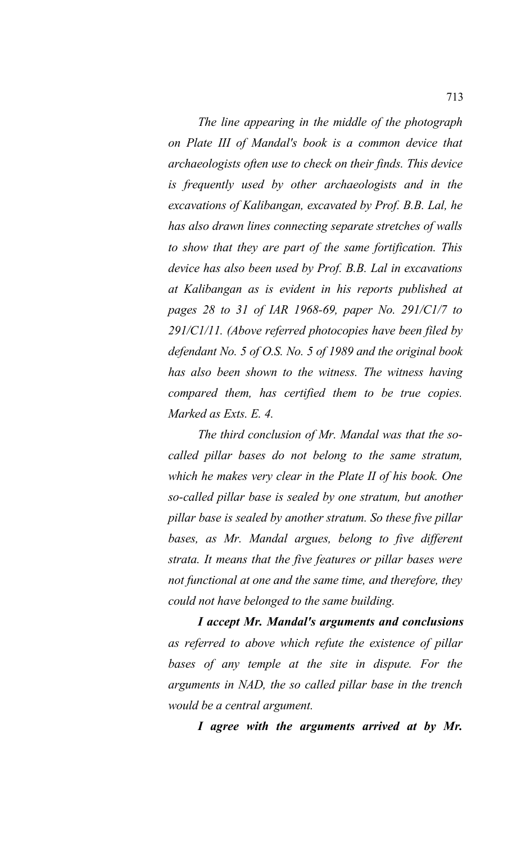*The line appearing in the middle of the photograph on Plate III of Mandal's book is a common device that archaeologists often use to check on their finds. This device is frequently used by other archaeologists and in the excavations of Kalibangan, excavated by Prof. B.B. Lal, he has also drawn lines connecting separate stretches of walls to show that they are part of the same fortification. This device has also been used by Prof. B.B. Lal in excavations at Kalibangan as is evident in his reports published at pages 28 to 31 of IAR 1968-69, paper No. 291/C1/7 to 291/C1/11. (Above referred photocopies have been filed by defendant No. 5 of O.S. No. 5 of 1989 and the original book has also been shown to the witness. The witness having compared them, has certified them to be true copies. Marked as Exts. E. 4.*

*The third conclusion of Mr. Mandal was that the socalled pillar bases do not belong to the same stratum, which he makes very clear in the Plate II of his book. One so-called pillar base is sealed by one stratum, but another pillar base is sealed by another stratum. So these five pillar bases, as Mr. Mandal argues, belong to five different strata. It means that the five features or pillar bases were not functional at one and the same time, and therefore, they could not have belonged to the same building.* 

*I accept Mr. Mandal's arguments and conclusions as referred to above which refute the existence of pillar bases of any temple at the site in dispute. For the arguments in NAD, the so called pillar base in the trench would be a central argument.* 

*I agree with the arguments arrived at by Mr.*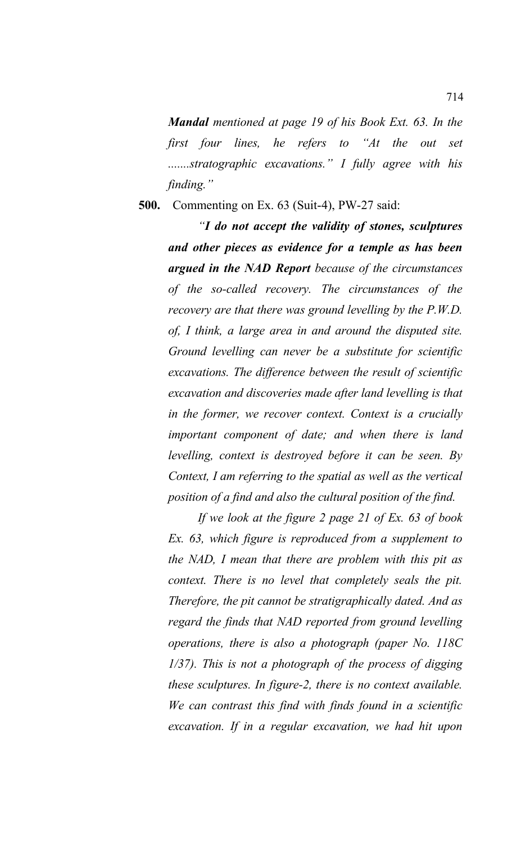*Mandal mentioned at page 19 of his Book Ext. 63. In the first four lines, he refers to "At the out set .......stratographic excavations." I fully agree with his finding."*

## **500.** Commenting on Ex. 63 (Suit-4), PW-27 said:

*"I do not accept the validity of stones, sculptures and other pieces as evidence for a temple as has been argued in the NAD Report because of the circumstances of the so-called recovery. The circumstances of the recovery are that there was ground levelling by the P.W.D. of, I think, a large area in and around the disputed site. Ground levelling can never be a substitute for scientific excavations. The difference between the result of scientific excavation and discoveries made after land levelling is that in the former, we recover context. Context is a crucially important component of date; and when there is land levelling, context is destroyed before it can be seen. By Context, I am referring to the spatial as well as the vertical position of a find and also the cultural position of the find.* 

*If we look at the figure 2 page 21 of Ex. 63 of book Ex. 63, which figure is reproduced from a supplement to the NAD, I mean that there are problem with this pit as context. There is no level that completely seals the pit. Therefore, the pit cannot be stratigraphically dated. And as regard the finds that NAD reported from ground levelling operations, there is also a photograph (paper No. 118C 1/37). This is not a photograph of the process of digging these sculptures. In figure-2, there is no context available. We can contrast this find with finds found in a scientific excavation. If in a regular excavation, we had hit upon*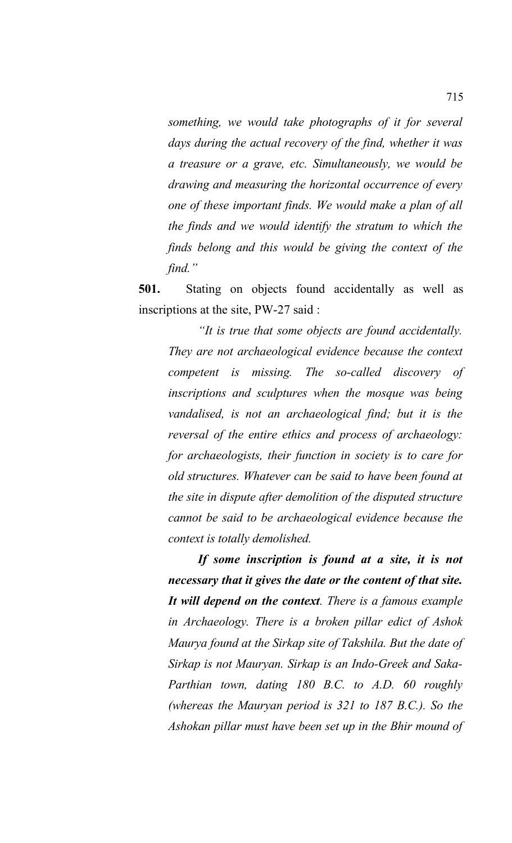*something, we would take photographs of it for several days during the actual recovery of the find, whether it was a treasure or a grave, etc. Simultaneously, we would be drawing and measuring the horizontal occurrence of every one of these important finds. We would make a plan of all the finds and we would identify the stratum to which the finds belong and this would be giving the context of the find."* 

**501.** Stating on objects found accidentally as well as inscriptions at the site, PW-27 said :

*"It is true that some objects are found accidentally. They are not archaeological evidence because the context competent is missing. The so-called discovery of inscriptions and sculptures when the mosque was being vandalised, is not an archaeological find; but it is the reversal of the entire ethics and process of archaeology: for archaeologists, their function in society is to care for old structures. Whatever can be said to have been found at the site in dispute after demolition of the disputed structure cannot be said to be archaeological evidence because the context is totally demolished.* 

*If some inscription is found at a site, it is not necessary that it gives the date or the content of that site. It will depend on the context. There is a famous example in Archaeology. There is a broken pillar edict of Ashok Maurya found at the Sirkap site of Takshila. But the date of Sirkap is not Mauryan. Sirkap is an Indo-Greek and Saka-Parthian town, dating 180 B.C. to A.D. 60 roughly (whereas the Mauryan period is 321 to 187 B.C.). So the Ashokan pillar must have been set up in the Bhir mound of*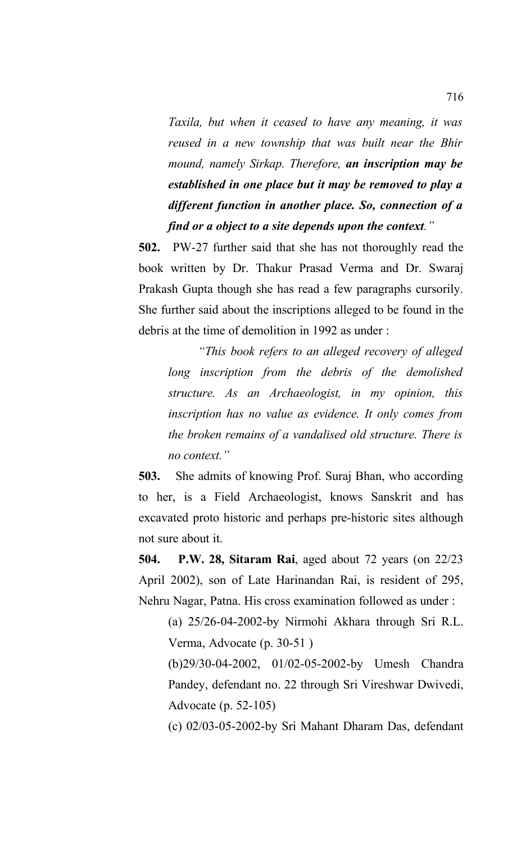*Taxila, but when it ceased to have any meaning, it was reused in a new township that was built near the Bhir mound, namely Sirkap. Therefore, an inscription may be established in one place but it may be removed to play a different function in another place. So, connection of a find or a object to a site depends upon the context."* 

**502.** PW-27 further said that she has not thoroughly read the book written by Dr. Thakur Prasad Verma and Dr. Swaraj Prakash Gupta though she has read a few paragraphs cursorily. She further said about the inscriptions alleged to be found in the debris at the time of demolition in 1992 as under :

*"This book refers to an alleged recovery of alleged long inscription from the debris of the demolished structure. As an Archaeologist, in my opinion, this inscription has no value as evidence. It only comes from the broken remains of a vandalised old structure. There is no context."*

**503.** She admits of knowing Prof. Suraj Bhan, who according to her, is a Field Archaeologist, knows Sanskrit and has excavated proto historic and perhaps pre-historic sites although not sure about it.

**504. P.W. 28, Sitaram Rai**, aged about 72 years (on 22/23 April 2002), son of Late Harinandan Rai, is resident of 295, Nehru Nagar, Patna. His cross examination followed as under :

(a) 25/26-04-2002-by Nirmohi Akhara through Sri R.L. Verma, Advocate (p. 30-51 )

(b)29/30-04-2002, 01/02-05-2002-by Umesh Chandra Pandey, defendant no. 22 through Sri Vireshwar Dwivedi, Advocate (p. 52-105)

(c) 02/03-05-2002-by Sri Mahant Dharam Das, defendant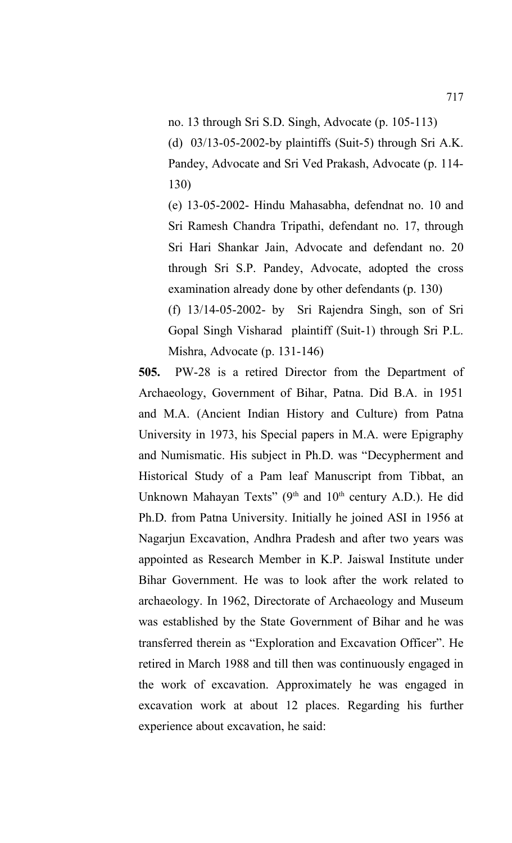no. 13 through Sri S.D. Singh, Advocate (p. 105-113)

(d) 03/13-05-2002-by plaintiffs (Suit-5) through Sri A.K. Pandey, Advocate and Sri Ved Prakash, Advocate (p. 114- 130)

(e) 13-05-2002- Hindu Mahasabha, defendnat no. 10 and Sri Ramesh Chandra Tripathi, defendant no. 17, through Sri Hari Shankar Jain, Advocate and defendant no. 20 through Sri S.P. Pandey, Advocate, adopted the cross examination already done by other defendants (p. 130) (f) 13/14-05-2002- by Sri Rajendra Singh, son of Sri Gopal Singh Visharad plaintiff (Suit-1) through Sri P.L. Mishra, Advocate (p. 131-146)

**505.** PW-28 is a retired Director from the Department of Archaeology, Government of Bihar, Patna. Did B.A. in 1951 and M.A. (Ancient Indian History and Culture) from Patna University in 1973, his Special papers in M.A. were Epigraphy and Numismatic. His subject in Ph.D. was "Decypherment and Historical Study of a Pam leaf Manuscript from Tibbat, an Unknown Mahayan Texts" (9<sup>th</sup> and 10<sup>th</sup> century A.D.). He did Ph.D. from Patna University. Initially he joined ASI in 1956 at Nagarjun Excavation, Andhra Pradesh and after two years was appointed as Research Member in K.P. Jaiswal Institute under Bihar Government. He was to look after the work related to archaeology. In 1962, Directorate of Archaeology and Museum was established by the State Government of Bihar and he was transferred therein as "Exploration and Excavation Officer". He retired in March 1988 and till then was continuously engaged in the work of excavation. Approximately he was engaged in excavation work at about 12 places. Regarding his further experience about excavation, he said: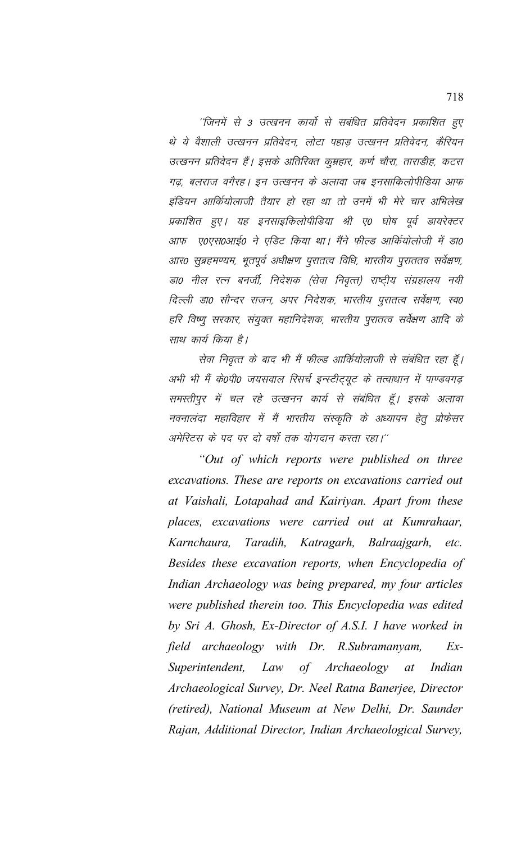''जिनमें से 3 उत्खनन कार्यो से सबंधित प्रतिवेदन प्रकाशित हुए थे ये वैशाली उत्खनन प्रतिवेदन, लोटा पहाड उत्खनन प्रतिवेदन, कैरियन उत्खनन प्रतिवेदन हैं। इसके अतिरिक्त कुम्रहार, कर्ण चौरा, ताराडीह, कटरा गढ़, बलराज वगैरह। इन उत्खनन के अलावा जब इनसाकिलोपीडिया आफ इंडियन आर्कियोलाजी तैयार हो रहा था तो उनमें भी मेरे चार अभिलेख प्रकाशित हुए। यह इनसाइकिलोपीडिया श्री ए0 घोष पूर्व डायरेक्टर आफ ए०एस०आई० ने एडिट किया था। मैंने फील्ड आर्कियोलोजी में डा० आर0 सुब्रहमण्यम, भूतपूर्व अधीक्षण पुरातत्व विधि, भारतीय पुराततव सर्वेक्षण, डा0 नील रत्न बनर्जी, निदेशक (सेवा निवृत्त) राष्ट्रीय संग्रहालय नयी दिल्ली डा0 सौन्दर राजन, अपर निदेशक, भारतीय पुरातत्व सर्वेक्षण, स्व0 हरि विष्णू सरकार, संयुक्त महानिदेशक, भारतीय पुरातत्व सर्वेक्षण आदि के साथ कार्य किया है।

सेवा निवृत्त के बाद भी मैं फील्ड आर्कियोलाजी से संबंधित रहा हूँ। अभी भी मैं के0पी0 जयसवाल रिसर्च इन्स्टीट्यूट के तत्वाधान में पाण्डवगढ़ समस्तीपुर में चल रहे उत्खनन कार्य से संबंधित हूँ। इसके अलावा नवनालंदा महाविहार में मैं भारतीय संस्कृति के अध्यापन हेतू प्रोफेसर अमेरिटस के पद पर दो वर्षो तक योगदान करता रहा।''

"Out of which reports were published on three excavations. These are reports on excavations carried out at Vaishali, Lotapahad and Kairiyan. Apart from these places, excavations were carried out at Kumrahaar, Karnchaura, Taradih, Katragarh, Balraajgarh, etc. Besides these excavation reports, when Encyclopedia of Indian Archaeology was being prepared, my four articles were published therein too. This Encyclopedia was edited by Sri A. Ghosh, Ex-Director of A.S.I. I have worked in field archaeology with Dr. R.Subramanyam,  $Ex-$ Superintendent, Law of Archaeology  $at$ Indian Archaeological Survey, Dr. Neel Ratna Banerjee, Director (retired), National Museum at New Delhi, Dr. Saunder Rajan, Additional Director, Indian Archaeological Survey,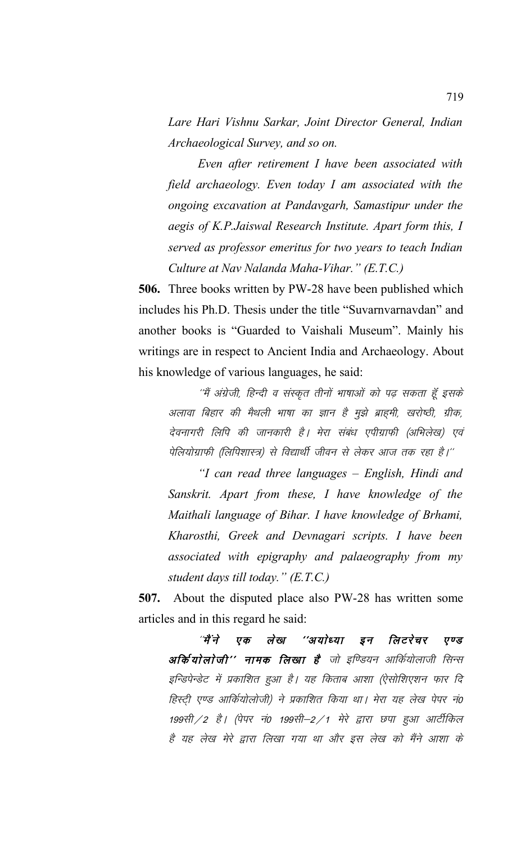*Lare Hari Vishnu Sarkar, Joint Director General, Indian Archaeological Survey, and so on.*

*Even after retirement I have been associated with field archaeology. Even today I am associated with the ongoing excavation at Pandavgarh, Samastipur under the aegis of K.P.Jaiswal Research Institute. Apart form this, I served as professor emeritus for two years to teach Indian Culture at Nav Nalanda Maha-Vihar." (E.T.C.)*

**506.** Three books written by PW-28 have been published which includes his Ph.D. Thesis under the title "Suvarnvarnavdan" and another books is "Guarded to Vaishali Museum". Mainly his writings are in respect to Ancient India and Archaeology. About his knowledge of various languages, he said:

''मैं अंग्रेजी, हिन्दी व संस्कृत तीनों भाषाओं को पढ़ सकता हूँ इसके अलावा बिहार की मैथली भाषा का ज्ञान है मुझे ब्राहमी, खरोष्ठी, ग्रीक, देवनागरी लिपि की जानकारी है। मेरा संबंध एपीग्राफी (अभिलेख) एवं पेलियोग्राफी (लिपिशास्त्र) से विद्यार्थी जीवन से लेकर आज तक रहा है।''

*"I can read three languages – English, Hindi and Sanskrit. Apart from these, I have knowledge of the Maithali language of Bihar. I have knowledge of Brhami, Kharosthi, Greek and Devnagari scripts. I have been associated with epigraphy and palaeography from my student days till today." (E.T.C.)*

**507.** About the disputed place also PW-28 has written some articles and in this regard he said:

"मैंने एक लेख ''अयोध्या इन लिटरेचर एण्ड अर्कियोलोजी'' नामक लिखा है<sup>।</sup> जो इण्डियन आर्कियोलाजी सिन्स इन्डिपेन्डेट में प्रकाशित हुआ है। यह किताब आशा (ऐसोशिएशन फार दि हिस्टी एण्ड आर्कियोलोजी) ने प्रकाशित किया था। मेरा यह लेख पेपर नं0 199सी / 2 है। (पेपर नं0 199सी–2 / 1 मेरे द्वारा छपा हुआ आर्टीकिल है यह लेख मेरे द्वारा लिखा गया था और इस लेख को मैंने आशा के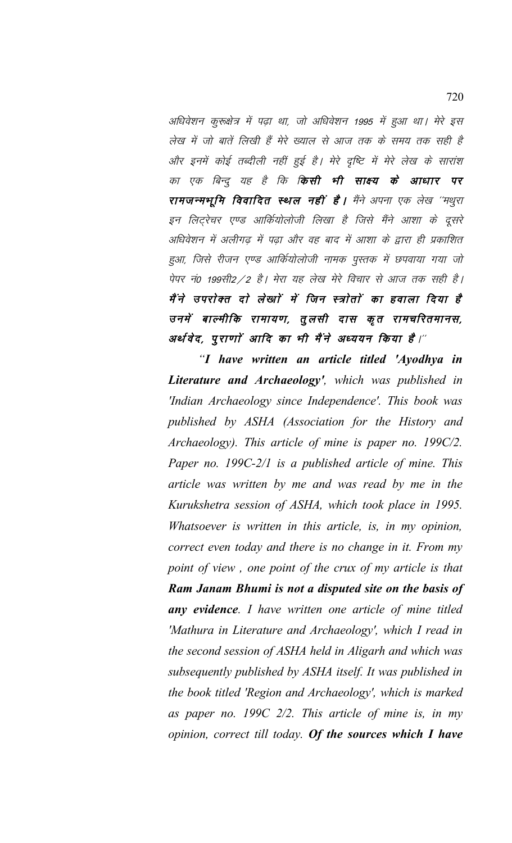अधिवेशन कुरूक्षेत्र में पढ़ा था, जो अधिवेशन 1995 में हुआ था। मेरे इस लेख में जो बातें लिखी हैं मेरे ख्याल से आज तक के समय तक सही है और इनमें कोई तब्दीली नहीं हुई है। मेरे दृष्टि में मेरे लेख के सारांश का एक बिन्दू यह है कि **किसी भी साक्ष्य के आधार पर** रामजन्मभूमि विवादित स्थल नहीं है। मैंने अपना एक लेख "मथुरा इन लिट्रेचर एण्ड आर्कियोलोजी लिखा है जिसे मैंने आशा के दूसरे अधिवेशन में अलीगढ में पढा और वह बाद में आशा के द्वारा ही प्रकाशित हुआ, जिसे रीजन एण्ड आर्कियोलोजी नामक पुस्तक में छपवाया गया जो पेपर नं0 199सी2 / 2 है। मेरा यह लेख मेरे विचार से आज तक सही है। मैंने उपरोक्त दो लेखाों में जिन स्त्रोतों का हवाला दिया है उनमें बाल्मीकि रामायण, तुलसी दास कृत रामचरितमानस, अर्थ वेद, पुराणां आदि का भी मैंने अध्ययन किया है।"

"I have written an article titled 'Ayodhya in **Literature and Archaeology'**, which was published in 'Indian Archaeology since Independence'. This book was published by ASHA (Association for the History and Archaeology). This article of mine is paper no. 199C/2. Paper no. 199C-2/1 is a published article of mine. This article was written by me and was read by me in the Kurukshetra session of ASHA, which took place in 1995. Whatsoever is written in this article, is, in my opinion, correct even today and there is no change in it. From my point of view, one point of the crux of my article is that Ram Janam Bhumi is not a disputed site on the basis of any evidence. I have written one article of mine titled 'Mathura in Literature and Archaeology', which I read in the second session of ASHA held in Aligarh and which was subsequently published by ASHA itself. It was published in the book titled 'Region and Archaeology', which is marked as paper no. 199C  $2/2$ . This article of mine is, in my opinion, correct till today. Of the sources which I have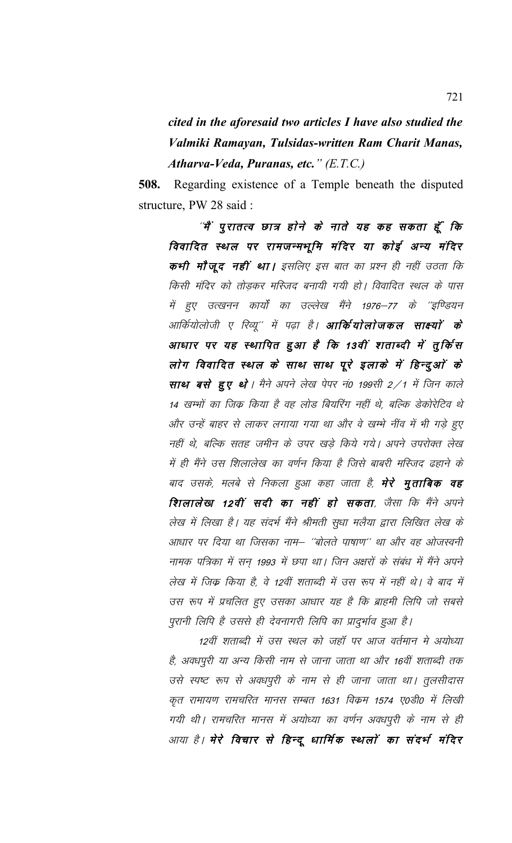cited in the aforesaid two articles I have also studied the Valmiki Ramayan, Tulsidas-written Ram Charit Manas, Atharva-Veda, Puranas, etc." (E.T.C.)

**508.** Regarding existence of a Temple beneath the disputed structure, PW 28 said:

"मैं पुरातत्व छात्र होने के नाते यह कह सकता हूँ कि विवादित स्थल पर रामजन्मभूमि मंदिर या कोई अन्य मंदिर कभी मौजूद नहीं था। इसलिए इस बात का प्रश्न ही नहीं उठता कि किसी मंदिर को तोड़कर मस्जिद बनायी गयी हो। विवादित स्थल के पास में हुए उत्खनन कार्यों का उल्लेख मैंने 1976–77 के ''इण्डियन आर्कियोलोजी ए रिव्यू'' में पढ़ा है। **आर्कियोलोजकल साक्ष्यों के** आधार पर यह स्थापित हुआ है कि 13वीं शताब्दी में तूर्किस लोग विवादित स्थल के साथ साथ पूरे इलाके में हिन्दुओं के साथ बसे हुए थे। मैने अपने लेख पेपर नं0 199सी 2/1 में जिन काले 14 खम्भों का जिक्र किया है वह लोड बियरिंग नहीं थे, बल्कि डेकोरेटिव थे और उन्हें बाहर से लाकर लगाया गया था और वे खम्भे नींव में भी गड़े हुए नहीं थे, बल्कि सतह जमीन के उपर खड़े किये गये। अपने उपरोक्त लेख में ही मैंने उस शिलालेख का वर्णन किया है जिसे बाबरी मस्जिद ढहाने के बाद उसके, मलबे से निकला हुआ कहा जाता है, **मेरे मृताबिक वह** शिलालेखा 12वीं सदी का नहीं हो सकता, जैसा कि मैंने अपने लेख में लिखा है। यह संदर्भ मैंने श्रीमती सूधा मलैया द्वारा लिखित लेख के आधार पर दिया था जिसका नाम– ''बोलते पाषाण'' था और वह ओजस्वनी नामक पत्रिका में सन 1993 में छपा था। जिन अक्षरों के संबंध में मैंने अपने लेख में जिक किया है, वे 12वीं शताब्दी में उस रूप में नहीं थे। वे बाद में उस रूप में प्रचलित हुए उसका आधार यह है कि ब्राहमी लिपि जो सबसे पुरानी लिपि है उससे ही देवनागरी लिपि का प्रादुर्भाव हुआ है।

12वीं शताब्दी में उस स्थल को जहाँ पर आज वर्तमान मे अयोध्या है, अवधपूरी या अन्य किसी नाम से जाना जाता था और 16वीं शताब्दी तक उसे स्पष्ट रूप से अवधपुरी के नाम से ही जाना जाता था। तुलसीदास कृत रामायण रामचरित मानस सम्बत 1631 विक्रम 1574 ए0डी0 में लिखी गयी थी। रामचरित मानस में अयोध्या का वर्णन अवधपूरी के नाम से ही आया है। मेरे विचार से हिन्दू धार्मिक स्थलों का संदर्भ मंदिर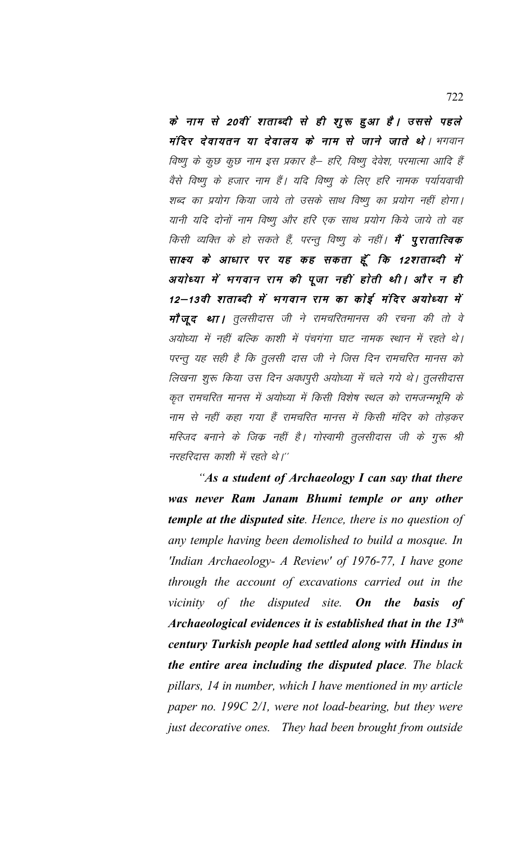के नाम से 20वीं शताब्दी से ही शुरू हुआ है। उससे पहले मंदिर देवायतन या देवालय के नाम से जाने जाते थे। भगवान विष्णु के कुछ कुछ नाम इस प्रकार है– हरि, विष्णु देवेश, परमात्मा आदि हैं वैसे विष्णू के हजार नाम हैं। यदि विष्णू के लिए हरि नामक पर्यायवाची शब्द का प्रयोग किया जाये तो उसके साथ विष्णू का प्रयोग नहीं होगा। यानी यदि दोनों नाम विष्णू और हरि एक साथ प्रयोग किये जाये तो वह किसी व्यक्ति के हो सकते हैं, परन्तु विष्णु के नहीं। **मैं पूरातात्विक** साक्ष्य के आधार पर यह कह सकता हूँ कि 12शताब्दी में अयोध्या में भगवान राम की पूजा नहीं होती थी। और न ही 12–13वी शताब्दी में भगवान राम का कोई मंदिर अयोध्या में मौजूद था। तूलसीदास जी ने रामचरितमानस की रचना की तो वे अयोध्या में नहीं बल्कि काशी में पंचगंगा घाट नामक स्थान में रहते थे। परन्तू यह सही है कि तूलसी दास जी ने जिस दिन रामचरित मानस को लिखना शुरू किया उस दिन अवधपुरी अयोध्या में चले गये थे। तुलसीदास कृत रामचरित मानस में अयोध्या में किसी विशेष स्थल को रामजन्मभूमि के नाम से नहीं कहा गया हैं रामचरित मानस में किसी मंदिर को तोड़कर मस्जिद बनाने के जिक्र नहीं है। गोस्वामी तूलसीदास जी के गुरू श्री नरहरिदास काशी में रहते थे।''

"As a student of Archaeology I can say that there was never Ram Janam Bhumi temple or any other **temple at the disputed site.** Hence, there is no question of any temple having been demolished to build a mosque. In 'Indian Archaeology- A Review' of 1976-77, I have gone through the account of excavations carried out in the vicinity of the disputed site. On the basis  $of$ Archaeological evidences it is established that in the  $13<sup>th</sup>$ century Turkish people had settled along with Hindus in the entire area including the disputed place. The black pillars, 14 in number, which I have mentioned in my article paper no.  $199C$  2/1, were not load-bearing, but they were just decorative ones. They had been brought from outside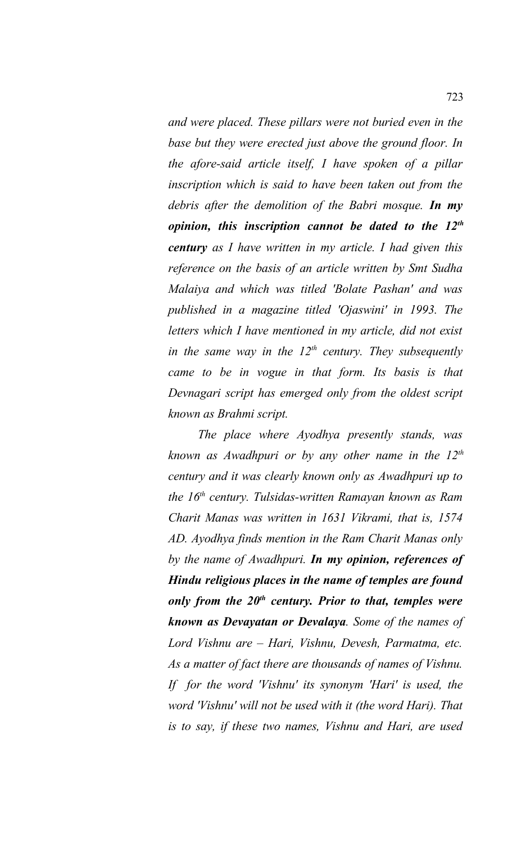*and were placed. These pillars were not buried even in the base but they were erected just above the ground floor. In the afore-said article itself, I have spoken of a pillar inscription which is said to have been taken out from the debris after the demolition of the Babri mosque. In my opinion, this inscription cannot be dated to the 12th century as I have written in my article. I had given this reference on the basis of an article written by Smt Sudha Malaiya and which was titled 'Bolate Pashan' and was published in a magazine titled 'Ojaswini' in 1993. The letters which I have mentioned in my article, did not exist in the same way in the 12th century. They subsequently came to be in vogue in that form. Its basis is that Devnagari script has emerged only from the oldest script known as Brahmi script.*

*The place where Ayodhya presently stands, was known as Awadhpuri or by any other name in the 12th century and it was clearly known only as Awadhpuri up to the 16th century. Tulsidas-written Ramayan known as Ram Charit Manas was written in 1631 Vikrami, that is, 1574 AD. Ayodhya finds mention in the Ram Charit Manas only by the name of Awadhpuri. In my opinion, references of Hindu religious places in the name of temples are found only from the 20th century. Prior to that, temples were known as Devayatan or Devalaya. Some of the names of Lord Vishnu are – Hari, Vishnu, Devesh, Parmatma, etc. As a matter of fact there are thousands of names of Vishnu. If for the word 'Vishnu' its synonym 'Hari' is used, the word 'Vishnu' will not be used with it (the word Hari). That is to say, if these two names, Vishnu and Hari, are used*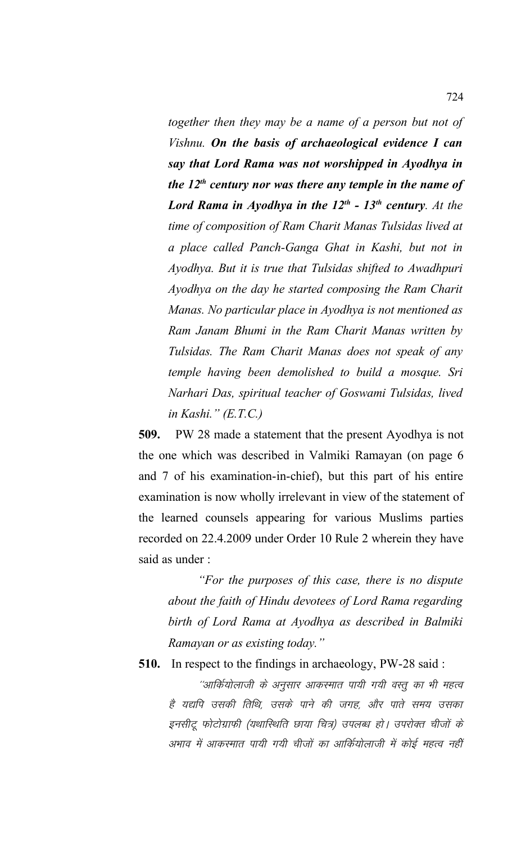*together then they may be a name of a person but not of Vishnu. On the basis of archaeological evidence I can say that Lord Rama was not worshipped in Ayodhya in the 12th century nor was there any temple in the name of Lord Rama in Ayodhya in the 12th - 13th century. At the time of composition of Ram Charit Manas Tulsidas lived at a place called Panch-Ganga Ghat in Kashi, but not in Ayodhya. But it is true that Tulsidas shifted to Awadhpuri Ayodhya on the day he started composing the Ram Charit Manas. No particular place in Ayodhya is not mentioned as Ram Janam Bhumi in the Ram Charit Manas written by Tulsidas. The Ram Charit Manas does not speak of any temple having been demolished to build a mosque. Sri Narhari Das, spiritual teacher of Goswami Tulsidas, lived in Kashi." (E.T.C.)*

**509.** PW 28 made a statement that the present Ayodhya is not the one which was described in Valmiki Ramayan (on page 6 and 7 of his examination-in-chief), but this part of his entire examination is now wholly irrelevant in view of the statement of the learned counsels appearing for various Muslims parties recorded on 22.4.2009 under Order 10 Rule 2 wherein they have said as under :

*"For the purposes of this case, there is no dispute about the faith of Hindu devotees of Lord Rama regarding birth of Lord Rama at Ayodhya as described in Balmiki Ramayan or as existing today."*

**510.** In respect to the findings in archaeology, PW-28 said :

''आर्कियोलाजी के अनुसार आकरमात पायी गयी वस्तू का भी महत्व है यद्यपि उसकी तिथि, उसके पाने की जगह, और पाते समय उसका इनसीटू फोटोग्राफी (यथास्थिति छाया चित्र) उपलब्ध हो। उपरोक्त चीजों के अभाव में आकस्मात पायी गयी चीजों का आर्कियोलाजी में कोई महत्व नहीं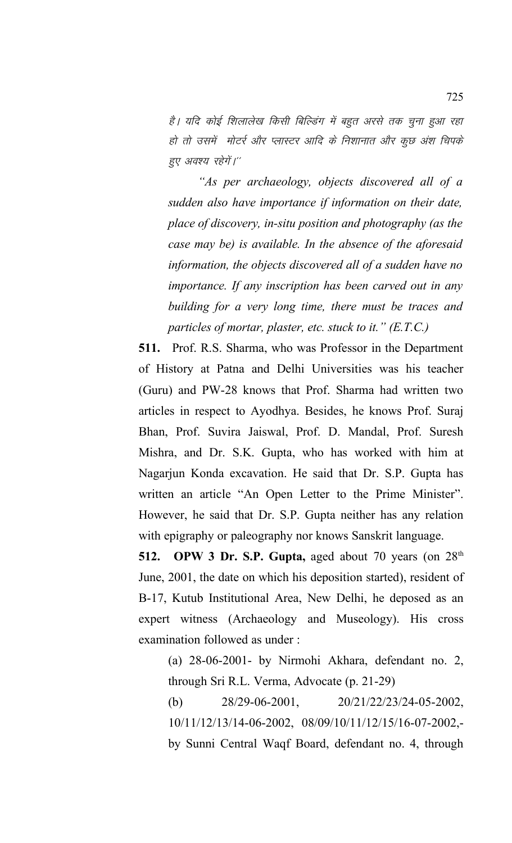है। यदि कोई शिलालेख किसी बिल्डिंग में बहुत अरसे तक चुना हुआ रहा हो तो उसमें मोटर्र और प्लास्टर आदि के निशानात और कुछ अंश चिपके हुए अवश्य रहेगें।''

*"As per archaeology, objects discovered all of a sudden also have importance if information on their date, place of discovery, in-situ position and photography (as the case may be) is available. In the absence of the aforesaid information, the objects discovered all of a sudden have no importance. If any inscription has been carved out in any building for a very long time, there must be traces and particles of mortar, plaster, etc. stuck to it." (E.T.C.)*

**511.** Prof. R.S. Sharma, who was Professor in the Department of History at Patna and Delhi Universities was his teacher (Guru) and PW-28 knows that Prof. Sharma had written two articles in respect to Ayodhya. Besides, he knows Prof. Suraj Bhan, Prof. Suvira Jaiswal, Prof. D. Mandal, Prof. Suresh Mishra, and Dr. S.K. Gupta, who has worked with him at Nagarjun Konda excavation. He said that Dr. S.P. Gupta has written an article "An Open Letter to the Prime Minister". However, he said that Dr. S.P. Gupta neither has any relation with epigraphy or paleography nor knows Sanskrit language.

**512. OPW 3 Dr. S.P. Gupta,** aged about 70 years (on 28th June, 2001, the date on which his deposition started), resident of B-17, Kutub Institutional Area, New Delhi, he deposed as an expert witness (Archaeology and Museology). His cross examination followed as under :

(a) 28-06-2001- by Nirmohi Akhara, defendant no. 2, through Sri R.L. Verma, Advocate (p. 21-29)

(b) 28/29-06-2001, 20/21/22/23/24-05-2002, 10/11/12/13/14-06-2002, 08/09/10/11/12/15/16-07-2002, by Sunni Central Waqf Board, defendant no. 4, through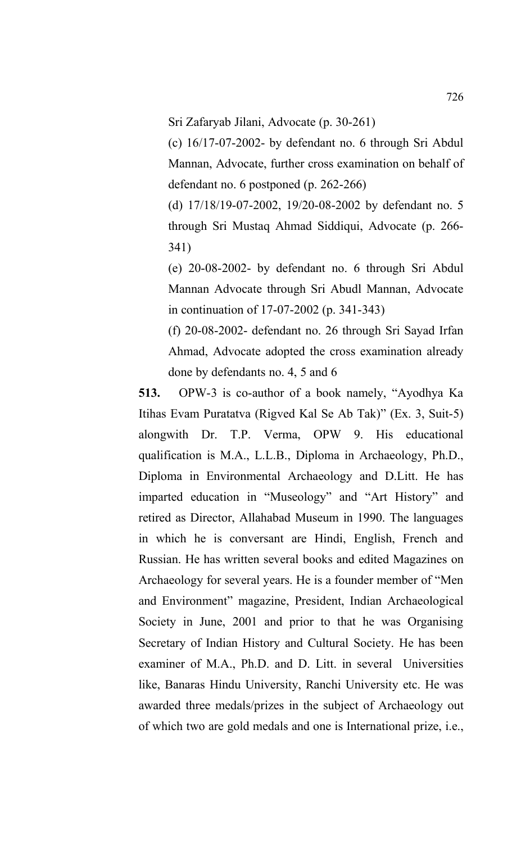Sri Zafaryab Jilani, Advocate (p. 30-261)

(c) 16/17-07-2002- by defendant no. 6 through Sri Abdul Mannan, Advocate, further cross examination on behalf of defendant no. 6 postponed (p. 262-266)

(d) 17/18/19-07-2002, 19/20-08-2002 by defendant no. 5 through Sri Mustaq Ahmad Siddiqui, Advocate (p. 266- 341)

(e) 20-08-2002- by defendant no. 6 through Sri Abdul Mannan Advocate through Sri Abudl Mannan, Advocate in continuation of 17-07-2002 (p. 341-343)

(f) 20-08-2002- defendant no. 26 through Sri Sayad Irfan Ahmad, Advocate adopted the cross examination already done by defendants no. 4, 5 and 6

**513.** OPW-3 is co-author of a book namely, "Ayodhya Ka Itihas Evam Puratatva (Rigved Kal Se Ab Tak)" (Ex. 3, Suit-5) alongwith Dr. T.P. Verma, OPW 9. His educational qualification is M.A., L.L.B., Diploma in Archaeology, Ph.D., Diploma in Environmental Archaeology and D.Litt. He has imparted education in "Museology" and "Art History" and retired as Director, Allahabad Museum in 1990. The languages in which he is conversant are Hindi, English, French and Russian. He has written several books and edited Magazines on Archaeology for several years. He is a founder member of "Men and Environment" magazine, President, Indian Archaeological Society in June, 2001 and prior to that he was Organising Secretary of Indian History and Cultural Society. He has been examiner of M.A., Ph.D. and D. Litt. in several Universities like, Banaras Hindu University, Ranchi University etc. He was awarded three medals/prizes in the subject of Archaeology out of which two are gold medals and one is International prize, i.e.,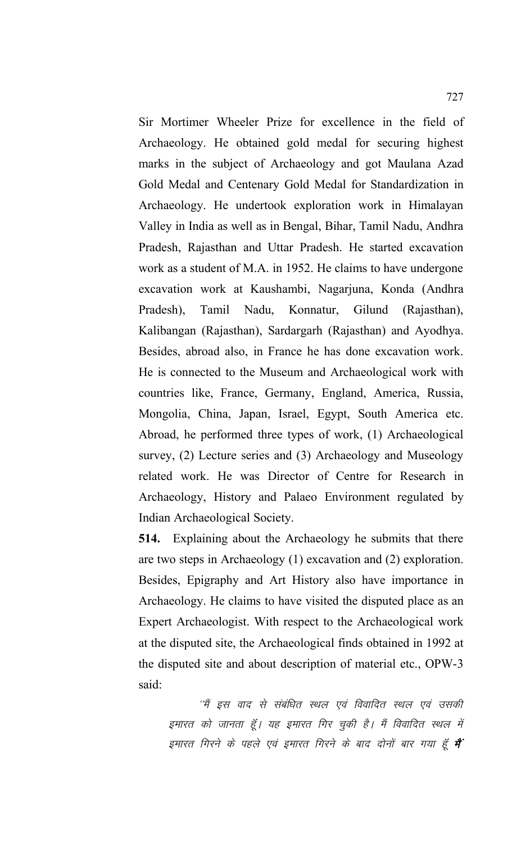Sir Mortimer Wheeler Prize for excellence in the field of Archaeology. He obtained gold medal for securing highest marks in the subject of Archaeology and got Maulana Azad Gold Medal and Centenary Gold Medal for Standardization in Archaeology. He undertook exploration work in Himalayan Valley in India as well as in Bengal, Bihar, Tamil Nadu, Andhra Pradesh, Rajasthan and Uttar Pradesh. He started excavation work as a student of M.A. in 1952. He claims to have undergone excavation work at Kaushambi, Nagarjuna, Konda (Andhra Pradesh), Tamil Nadu, Konnatur, Gilund (Rajasthan), Kalibangan (Rajasthan), Sardargarh (Rajasthan) and Ayodhya. Besides, abroad also, in France he has done excavation work. He is connected to the Museum and Archaeological work with countries like, France, Germany, England, America, Russia, Mongolia, China, Japan, Israel, Egypt, South America etc. Abroad, he performed three types of work, (1) Archaeological survey, (2) Lecture series and (3) Archaeology and Museology related work. He was Director of Centre for Research in Archaeology, History and Palaeo Environment regulated by Indian Archaeological Society.

**514.** Explaining about the Archaeology he submits that there are two steps in Archaeology (1) excavation and (2) exploration. Besides, Epigraphy and Art History also have importance in Archaeology. He claims to have visited the disputed place as an Expert Archaeologist. With respect to the Archaeological work at the disputed site, the Archaeological finds obtained in 1992 at the disputed site and about description of material etc., OPW-3 said:

''मैं इस वाद से संबंधित स्थल एवं विवादित स्थल एवं उसकी इमारत को जानता हूँ। यह इमारत गिर चुकी है। मैं विवादित स्थल में इमारत गिरने के पहले एवं इमारत गिरने के बाद दोनों बार गया हूँ **मैं**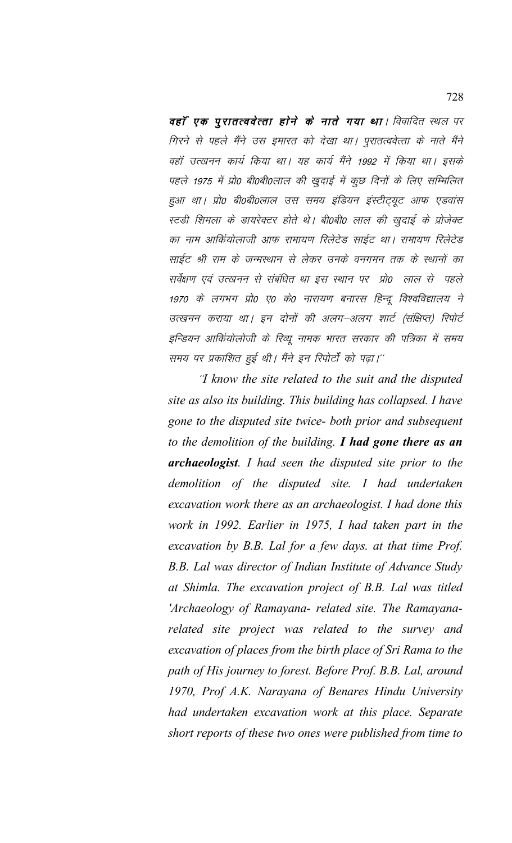वहाँ एक पुरातत्ववेत्ता होने के नाते गया था। विवादित स्थल पर गिरने से पहले मैंने उस इमारत को देखा था। पुरातत्ववेत्ता के नाते मैंने वहाँ उत्खनन कार्य किया था। यह कार्य मैंने 1992 में किया था। इसके पहले 1975 में प्रो0 बी0बी0लाल की खुदाई में कुछ दिनों के लिए सम्मिलित हुआ था। प्रो0 बी0बी0लाल उस समय इंडियन इंस्टीट्यूट आफ एडवांस स्टडी शिमला के डायरेक्टर होते थे। बी0बी0 लाल की खुदाई के प्रोजेक्ट का नाम आर्कियोलाजी आफ रामायण रिलेटेड साईट था। रामायण रिलेटेड साईट श्री राम के जन्मस्थान से लेकर उनके वनगमन तक के स्थानों का सर्वेक्षण एवं उत्खनन से संबंधित था इस स्थान पर प्रो0 लाल से पहले 1970 के लगभग प्रो0 ए0 के0 नारायण बनारस हिन्दू विश्वविद्यालय ने उत्खनन कराया था। इन दोनों की अलग–अलग शार्ट (संक्षिप्त) रिपोर्ट इन्डियन आर्कियोलोजी के रिव्यू नामक भारत सरकार की पत्रिका में समय समय पर प्रकाशित हुई थी। मैंने इन रिपोर्टों को पढ़ा।''

'I know the site related to the suit and the disputed site as also its building. This building has collapsed. I have gone to the disputed site twice- both prior and subsequent to the demolition of the building. I had gone there as an archaeologist. I had seen the disputed site prior to the demolition of the disputed site. I had undertaken excavation work there as an archaeologist. I had done this work in 1992. Earlier in 1975, I had taken part in the excavation by B.B. Lal for a few days. at that time Prof. B.B. Lal was director of Indian Institute of Advance Study at Shimla. The excavation project of B.B. Lal was titled 'Archaeology of Ramayana- related site. The Ramayanarelated site project was related to the survey and excavation of places from the birth place of Sri Rama to the path of His journey to forest. Before Prof. B.B. Lal, around 1970, Prof A.K. Narayana of Benares Hindu University had undertaken excavation work at this place. Separate short reports of these two ones were published from time to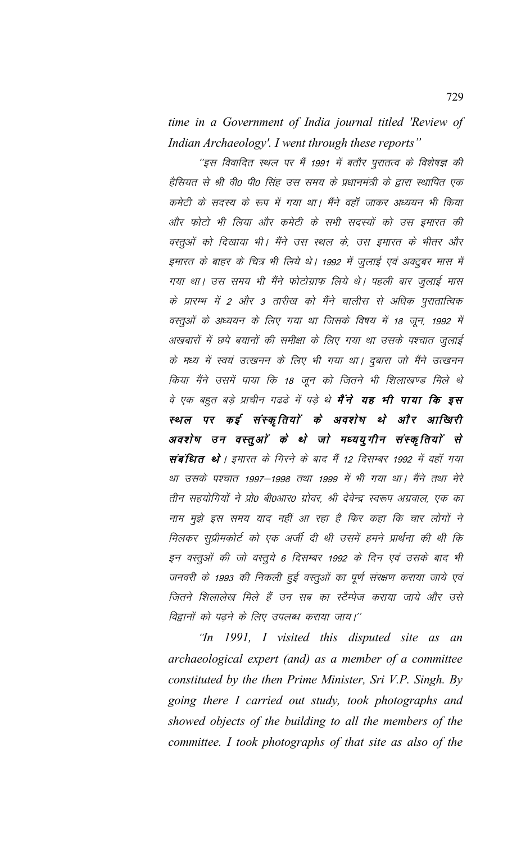time in a Government of India journal titled 'Review of Indian Archaeology'. I went through these reports"

''इस विवादित स्थल पर मैं 1991 में बतौर पुरातत्व के विशेषज्ञ की हैसियत से श्री वी0 पी0 सिंह उस समय के प्रधानमंत्री के द्वारा स्थापित एक कमेटी के सदस्य के रूप में गया था। मैंने वहाँ जाकर अध्ययन भी किया और फोटो भी लिया और कमेटी के सभी सदस्यों को उस इमारत की वस्तुओं को दिखाया भी। मैंने उस स्थल के, उस इमारत के भीतर और इमारत के बाहर के चित्र भी लिये थे। 1992 में जुलाई एवं अक्टूबर मास में गया था। उस समय भी मैंने फोटोग्राफ लिये थे। पहली बार जुलाई मास के प्रारम्भ में 2 और 3 तारीख को मैंने चालीस से अधिक पुरातात्विक वस्तुओं के अध्ययन के लिए गया था जिसके विषय में 18 जून, 1992 में अखबारों में छपे बयानों की समीक्षा के लिए गया था उसके पश्चात जुलाई के मध्य में स्वयं उत्खनन के लिए भी गया था। दुबारा जो मैंने उत्खनन किया मैंने उसमें पाया कि 18 जून को जितने भी शिलाखण्ड मिले थे वे एक बहुत बड़े प्राचीन गढढे में पड़े थे **मैंने यह भी पाया कि इस** स्थल पर कई संस्कृतियों के अवशेष थे और आखिरी अवशेष उन वस्तुओं के थे जो मध्ययुगीन संस्कृतियों से संबंधित थे। इमारत के गिरने के बाद मैं 12 दिसम्बर 1992 में वहाँ गया था उसके पश्चात 1997–1998 तथा 1999 में भी गया था। मैंने तथा मेरे तीन सहयोगियों ने प्रो0 बी0आर0 ग्रोवर, श्री देवेन्द्र स्वरूप अग्रवाल, एक का नाम मुझे इस समय याद नहीं आ रहा है फिर कहा कि चार लोगों ने मिलकर सुप्रीमकोर्ट को एक अर्जी दी थी उसमें हमने प्रार्थना की थी कि इन वस्तुओं की जो वस्तुये 6 दिसम्बर 1992 के दिन एवं उसके बाद भी जनवरी के 1993 की निकली हुई वस्तुओं का पूर्ण संरक्षण कराया जाये एवं जितने शिलालेख मिले हैं उन सब का स्टैम्पेज कराया जाये और उसे विद्वानों को पढ़ने के लिए उपलब्ध कराया जाय।''

"In 1991, I visited this disputed site as an archaeological expert (and) as a member of a committee constituted by the then Prime Minister, Sri V.P. Singh. By going there I carried out study, took photographs and showed objects of the building to all the members of the committee. I took photographs of that site as also of the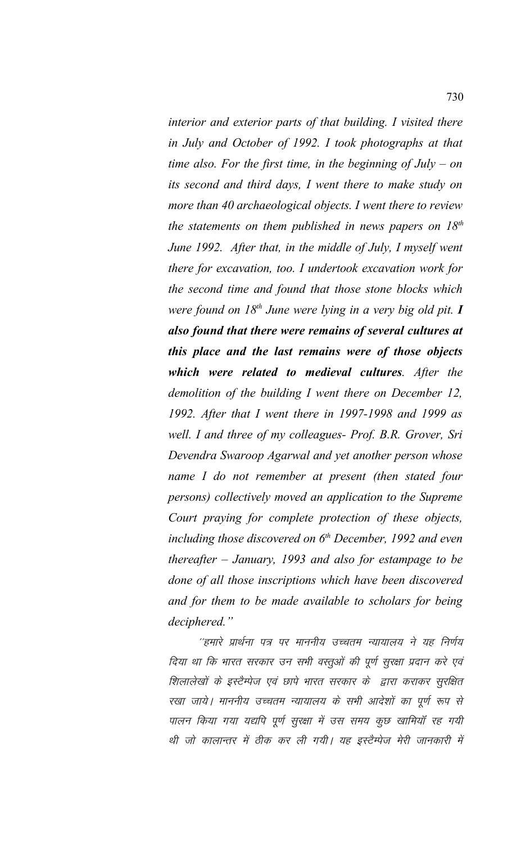*interior and exterior parts of that building. I visited there in July and October of 1992. I took photographs at that time also. For the first time, in the beginning of July – on its second and third days, I went there to make study on more than 40 archaeological objects. I went there to review the statements on them published in news papers on 18th June 1992. After that, in the middle of July, I myself went there for excavation, too. I undertook excavation work for the second time and found that those stone blocks which were found on 18th June were lying in a very big old pit. I also found that there were remains of several cultures at this place and the last remains were of those objects which were related to medieval cultures. After the demolition of the building I went there on December 12, 1992. After that I went there in 1997-1998 and 1999 as well. I and three of my colleagues- Prof. B.R. Grover, Sri Devendra Swaroop Agarwal and yet another person whose name I do not remember at present (then stated four persons) collectively moved an application to the Supreme Court praying for complete protection of these objects, including those discovered on 6th December, 1992 and even thereafter – January, 1993 and also for estampage to be done of all those inscriptions which have been discovered and for them to be made available to scholars for being deciphered."*

''हमारे प्रार्थना पत्र पर माननीय उच्चतम न्यायालय ने यह निर्णय दिया था कि भारत सरकार उन सभी वस्तुओं की पूर्ण सुरक्षा प्रदान करे एवं शिलालेखों के इस्टैम्पेज एवं छापे भारत सरकार के द्वारा कराकर सुरक्षित रखा जाये। माननीय उच्चतम न्यायालय के सभी आदेशों का पूर्ण रूप से पालन किया गया यद्यपि पूर्ण सुरक्षा में उस समय कुछ खामियाँ रह गयी थी जो कालान्तर में ठीक कर ली गयी। यह इस्टैम्पेज मेरी जानकारी में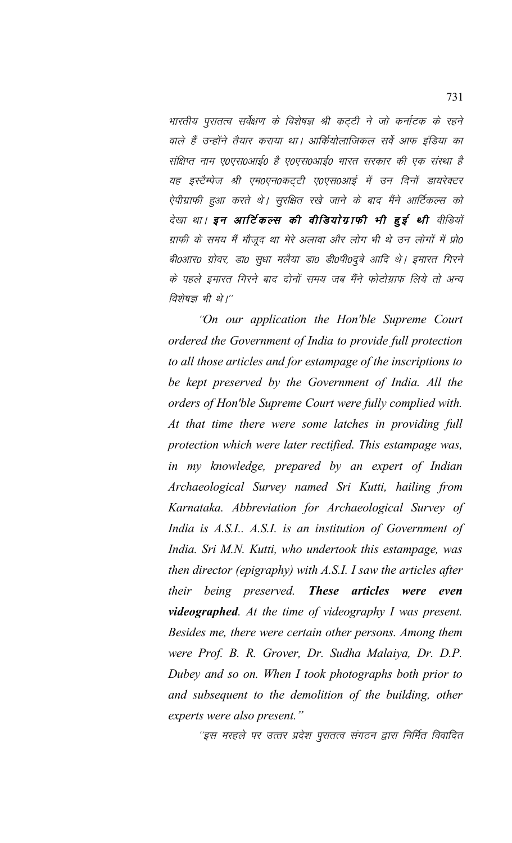भारतीय पुरातत्व सर्वेक्षण के विशेषज्ञ श्री कट्टी ने जो कर्नाटक के रहने वाले हैं उन्होंने तैयार कराया था। आर्कियोलाजिकल सर्वे आफ इंडिया का संक्षिप्त नाम ए०एस०आई० है ए०एस०आई० भारत सरकार की एक संस्था है यह इस्टैम्पेज श्री एम0एन0कट्टी ए0एस0आई में उन दिनों डायरेक्टर ऐपीग्राफी हुआ करते थे। सूरक्षित रखे जाने के बाद मैंने आर्टिकल्स को देखा था। इन आर्टिकल्स की वीडियोग्राफी भी हुई थी वीडियों ग्राफी के समय मैं मौजूद था मेरे अलावा और लोग भी थे उन लोगों में प्रो0 बी0आर0 ग्रोवर, डा0 सुधा मलैया डा0 डी0पी0दुबे आदि थे। इमारत गिरने के पहले इमारत गिरने बाद दोनों समय जब मैंने फोटोग्राफ लिये तो अन्य विशेषज्ञ भी थे।''

"On our application the Hon'ble Supreme Court ordered the Government of India to provide full protection to all those articles and for estampage of the inscriptions to be kept preserved by the Government of India. All the orders of Hon'ble Supreme Court were fully complied with. At that time there were some latches in providing full protection which were later rectified. This estampage was, in my knowledge, prepared by an expert of Indian Archaeological Survey named Sri Kutti, hailing from Karnataka. Abbreviation for Archaeological Survey of India is A.S.I. A.S.I. is an institution of Government of India. Sri M.N. Kutti, who undertook this estampage, was then director (epigraphy) with A.S.I. I saw the articles after their being preserved. *These articles* were even videographed. At the time of videography I was present. Besides me, there were certain other persons. Among them were Prof. B. R. Grover, Dr. Sudha Malaiya, Dr. D.P. Dubey and so on. When I took photographs both prior to and subsequent to the demolition of the building, other experts were also present."

''इस मरहले पर उत्तर प्रदेश पुरातत्व संगठन द्वारा निर्मित विवादित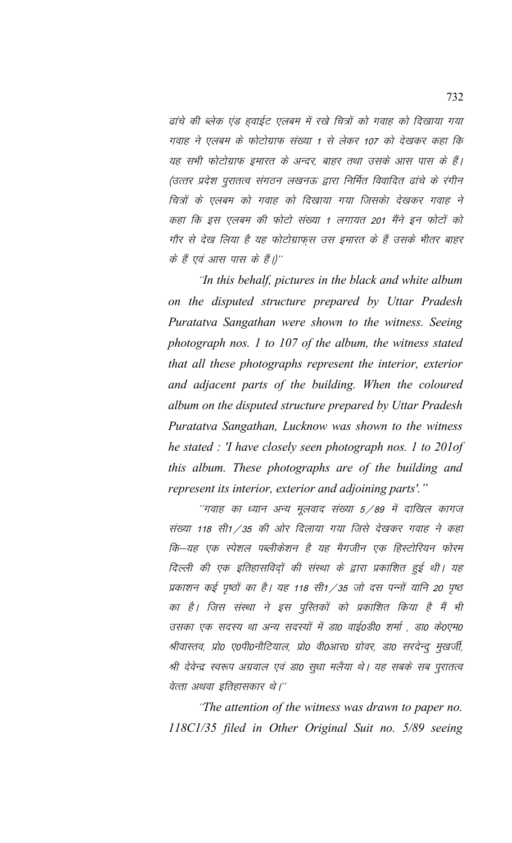ढांचे की ब्लेक एंड हवाईट एलबम में रखे चित्रों को गवाह को दिखाया गया गवाह ने एलबम के फोटोग्राफ संख्या 1 से लेकर 107 को देखकर कहा कि यह सभी फोटोग्राफ इमारत के अन्दर, बाहर तथा उसके आस पास के हैं। (उत्तर प्रदेश पुरातत्व संगठन लखनऊ द्वारा निर्मित विवादित ढांचे के रंगीन चित्रों के एलबम को गवाह को दिखाया गया जिसको देखकर गवाह ने कहा कि इस एलबम की फोटो संख्या 1 लगायत 201 मैंने इन फोटों को गौर से देख लिया है यह फोटोग्राफुस उस इमारत के हैं उसके भीतर बाहर के हैं एवं आस पास के हैं।)''

'*In this behalf, pictures in the black and white album on the disputed structure prepared by Uttar Pradesh Puratatva Sangathan were shown to the witness. Seeing photograph nos. 1 to 107 of the album, the witness stated that all these photographs represent the interior, exterior and adjacent parts of the building. When the coloured album on the disputed structure prepared by Uttar Pradesh Puratatva Sangathan, Lucknow was shown to the witness he stated : 'I have closely seen photograph nos. 1 to 201of this album. These photographs are of the building and represent its interior, exterior and adjoining parts'."*

 $\degree$ गवाह का ध्यान अन्य मूलवाद संख्या 5/89 में दाखिल कागज संख्या 118 सी1/35 की ओर दिलाया गया जिसे देखकर गवाह ने कहा कि—यह एक स्पेशल पब्लीकेशन है यह मैगजीन एक हिस्टोरियन फोरम दिल्ली की एक इतिहासविदों की संस्था के द्वारा प्रकाशित हुई थी। यह प्रकाशन कई पृष्ठों का है। यह 118 सी1/35 जो दस पन्नों यानि 20 पृष्ठ का है। जिस संस्था ने इस पुस्तिकों को प्रकाशित किया है मैं भी उसका एक सदस्य था अन्य सदस्यों में डा0 वाई0डी0 शर्मा , डा0 के0एम0 श्रीवास्तव, प्रो0 ए०पी०नौटियाल, प्रो0 वी०आर० ग्रोवर, डा० सरदेन्द्र मुखर्जी, श्री देवेन्द्र स्वरूप अग्रवाल एवं डा0 सूधा मलैया थे। यह सबके सब पुरातत्व वेत्ता अथवा इतिहासकार थे।''

\*\**The attention of the witness was drawn to paper no. 118C1/35 filed in Other Original Suit no. 5/89 seeing*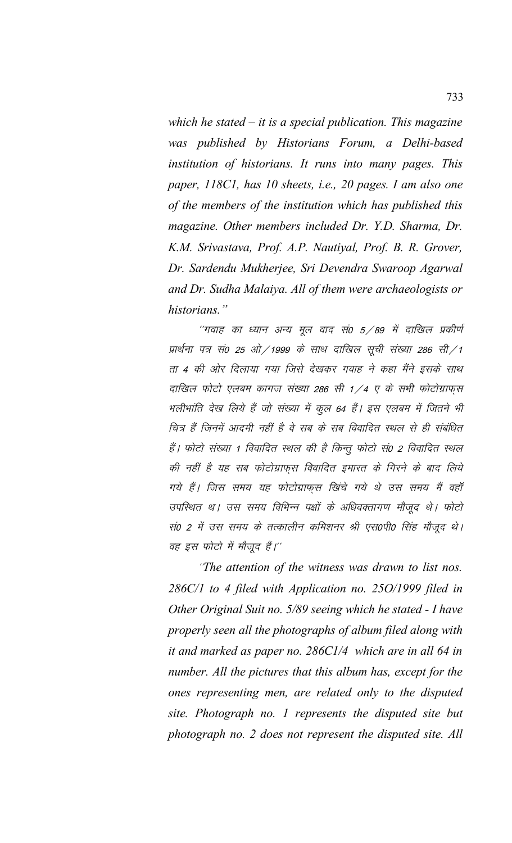which he stated  $-$  it is a special publication. This magazine was published by Historians Forum, a Delhi-based institution of historians. It runs into many pages. This paper, 118C1, has 10 sheets, i.e., 20 pages. I am also one of the members of the institution which has published this magazine. Other members included Dr. Y.D. Sharma, Dr. K.M. Srivastava, Prof. A.P. Nautiyal, Prof. B. R. Grover, Dr. Sardendu Mukherjee, Sri Devendra Swaroop Agarwal and Dr. Sudha Malaiya. All of them were archaeologists or historians."

''गवाह का ध्यान अन्य मूल वाद सं0 5/89 में दाखिल प्रकीर्ण प्रार्थना पत्र सं0 25 ओ/1999 के साथ दाखिल सूची संख्या 286 सी/1 ता 4 की ओर दिलाया गया जिसे देखकर गवाह ने कहा मैंने इसके साथ दाखिल फोटो एलबम कागज संख्या 286 सी 1/4 ए के सभी फोटोग्राफुस भलीभांति देख लिये हैं जो संख्या में कूल 64 हैं। इस एलबम में जितने भी चित्र हैं जिनमें आदमी नहीं है वे सब के सब विवादित स्थल से ही संबंधित हैं। फोटो संख्या 1 विवादित स्थल की है किन्तू फोटो सं0 2 विवादित स्थल की नहीं है यह सब फोटोग्राफुस विवादित इमारत के गिरने के बाद लिये गये हैं। जिस समय यह फोटोग्राफस खिंचे गये थे उस समय मैं वहाँ उपस्थित थ । उस समय विभिन्न पक्षों के अधिवक्तागण मौजूद थे । फोटो सं0 2 में उस समय के तत्कालीन कमिशनर श्री एस0पी0 सिंह मौजूद थे। वह इस फोटो में मौजूद हैं।''

"The attention of the witness was drawn to list nos. 286C/1 to 4 filed with Application no. 25O/1999 filed in Other Original Suit no. 5/89 seeing which he stated - I have properly seen all the photographs of album filed along with it and marked as paper no.  $286C1/4$  which are in all 64 in number. All the pictures that this album has, except for the ones representing men, are related only to the disputed site. Photograph no. 1 represents the disputed site but photograph no. 2 does not represent the disputed site. All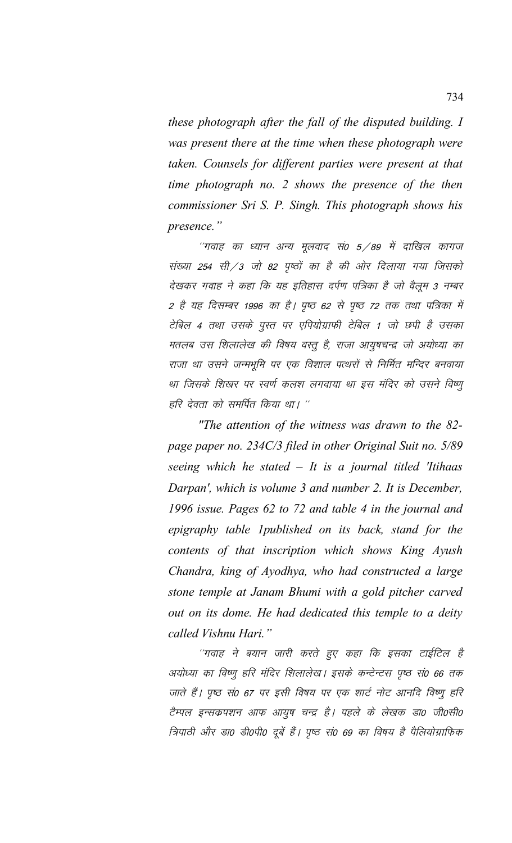*these photograph after the fall of the disputed building. I was present there at the time when these photograph were taken. Counsels for different parties were present at that time photograph no. 2 shows the presence of the then commissioner Sri S. P. Singh. This photograph shows his presence."* 

"गवाह का ध्यान अन्य मुलवाद सं0 5 ⁄ 89 में दाखिल कागज संख्या 254 सी/3 जो 82 पृष्ठों का है की ओर दिलाया गया जिसको देखकर गवाह ने कहा कि यह इतिहास दर्पण पत्रिका है जो वैलूम 3 नम्बर 2 है यह दिसम्बर 1996 का है। पृष्ठ 62 से पृष्ठ 72 तक तथा पत्रिका में टेबिल 4 तथा उसके पुस्त पर एपियोग्राफी टेबिल 1 जो छपी है उसका मतलब उस शिलालेख की विषय वस्तू है, राजा आयुषचन्द्र जो अयोध्या का राजा था उसने जन्मभूमि पर एक विशाल पत्थरों से निर्मित मन्दिर बनवाया था जिसके शिखर पर स्वर्ण कलश लगवाया था इस मंदिर को उसने विष्णू हरि देवता को समर्पित किया था। ''

*"The attention of the witness was drawn to the 82 page paper no. 234C/3 filed in other Original Suit no. 5/89 seeing which he stated – It is a journal titled 'Itihaas Darpan', which is volume 3 and number 2. It is December, 1996 issue. Pages 62 to 72 and table 4 in the journal and epigraphy table 1published on its back, stand for the contents of that inscription which shows King Ayush Chandra, king of Ayodhya, who had constructed a large stone temple at Janam Bhumi with a gold pitcher carved out on its dome. He had dedicated this temple to a deity called Vishnu Hari."*

"गवाह ने बयान जारी करते हुए कहा कि इसका टाईटिल है अयोध्या का विष्णू हरि मंदिर शिलालेख। इसके कन्टेन्टस पृष्ठ सं० 66 तक जाते हैं। पृष्ठ सं0 67 पर इसी विषय पर एक शार्ट नोट आनदि विष्णू हरि टैम्पल इन्सकपशन आफ आयुष चन्द्र है। पहले के लेखक डा0 जी0सी0 त्रिपाठी और डा0 डी0पी0 दूबें हैं। पृष्ठ सं0 69 का विषय है पैलियोग्राफिक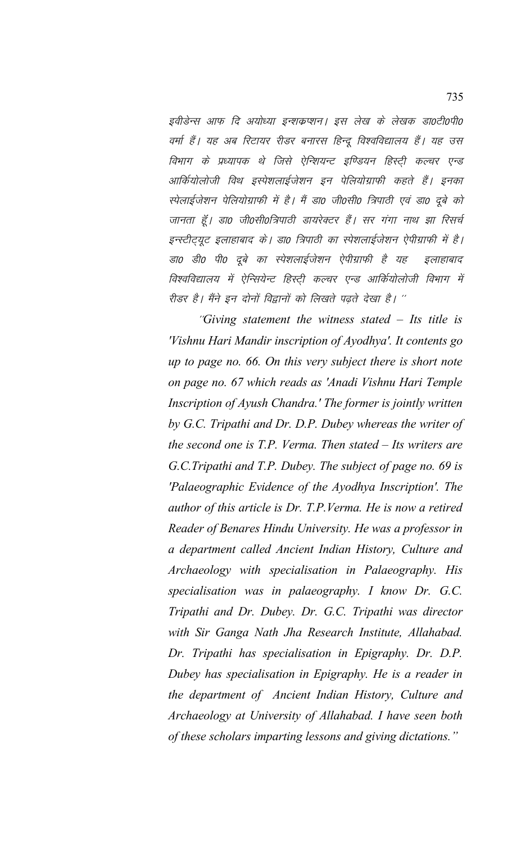इवीडेन्स आफ दि अयोध्या इन्शकप्शन। इस लेख के लेखक डाoटीoपीo वर्मा हैं। यह अब रिटायर रीडर बनारस हिन्दू विश्वविद्यालय हैं। यह उस विभाग के प्रध्यापक थे जिसे ऐन्शियन्ट इण्डियन हिस्ट्री कल्चर एन्ड आर्कियोलोजी विथ इस्पेशलाईजेशन इन पेलियोग्राफी कहते हैं। इनका स्पेलाईजेशन पेलियोग्राफी में है। मैं डा0 जी0सी0 त्रिपाठी एवं डा0 दुबे को जानता हूँ। डा0 जी0सी0त्रिपाठी डायरेक्टर हैं। सर गंगा नाथ झा रिसर्च इन्स्टीट्यूट इलाहाबाद के। डा0 त्रिपाठी का स्पेशलाईजेशन ऐपीग्राफी में है। डा0 डी0 पी0 दूबे का स्पेशलाईजेशन ऐपीग्राफी है यह इलाहाबाद विश्वविद्यालय में ऐन्सियेन्ट हिस्टी कल्चर एन्ड आर्कियोलोजी विभाग में रीडर है। मैंने इन दोनों विद्वानों को लिखते पढते देखा है। "

"Giving statement the witness stated  $-$  Its title is 'Vishnu Hari Mandir inscription of Ayodhya'. It contents go up to page no. 66. On this very subject there is short note on page no. 67 which reads as 'Anadi Vishnu Hari Temple Inscription of Ayush Chandra.' The former is jointly written by G.C. Tripathi and Dr. D.P. Dubey whereas the writer of the second one is  $T.P.$  Verma. Then stated  $-I$ ts writers are G.C.Tripathi and T.P. Dubey. The subject of page no. 69 is 'Palaeographic Evidence of the Ayodhya Inscription'. The author of this article is Dr. T.P. Verma. He is now a retired Reader of Benares Hindu University. He was a professor in a department called Ancient Indian History, Culture and Archaeology with specialisation in Palaeography. His specialisation was in palaeography. I know Dr. G.C. Tripathi and Dr. Dubey. Dr. G.C. Tripathi was director with Sir Ganga Nath Jha Research Institute, Allahabad. Dr. Tripathi has specialisation in Epigraphy. Dr. D.P. Dubey has specialisation in Epigraphy. He is a reader in the department of Ancient Indian History, Culture and Archaeology at University of Allahabad. I have seen both of these scholars imparting lessons and giving dictations."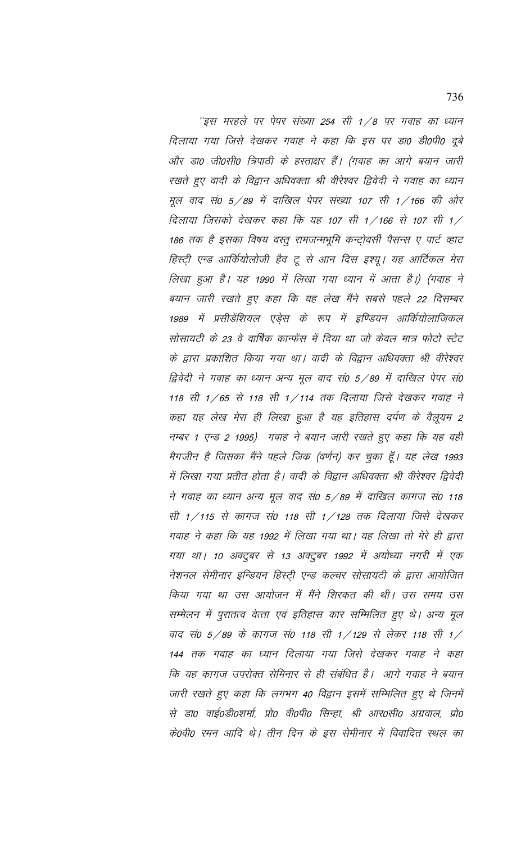''इस मरहले पर पेपर संख्या 254 सी 1/8 पर गवाह का ध्यान दिलाया गया जिसे देखकर गवाह ने कहा कि इस पर डा0 डी0पी0 दूबे और डा0 जी0सी0 त्रिपाठी के हस्ताक्षर हैं। (गवाह का आगे बयान जारी रखते हुए वादी के विद्वान अधिवक्ता श्री वीरेश्वर द्विवेदी ने गवाह का ध्यान मूल वाद सं0 5/89 में दाखिल पेपर संख्या 107 सी 1/166 की ओर दिलाया जिसको देखकर कहा कि यह 107 सी 1/166 से 107 सी 1/ 186 तक है इसका विषय वस्तु रामजन्मभूमि कन्ट्रोवर्सी पैसन्स ए पार्ट व्हाट हिस्ट्री एन्ड आर्कियोलोजी हैव टू से आन दिस इश्यू। यह आर्टिकल मेरा लिखा हुआ है। यह 1990 में लिखा गया ध्यान में आता है।) (गवाह ने बयान जारी रखते हुए कहा कि यह लेख मैंने सबसे पहले 22 दिसम्बर 1989 में प्रसीडेंशियल एड़ेस के रूप में इण्डियन आर्कियोलाजिकल सोसायटी के 23 वे वार्षिक कान्फेंस में दिया था जो केवल मात्र फोटो स्टेट के द्वारा प्रकाशित किया गया था। वादी के विद्वान अधिवक्ता श्री वीरेश्वर द्विवेदी ने गवाह का ध्यान अन्य मूल वाद सं0 5/89 में दाखिल पेपर सं0 118 सी 1/65 से 118 सी 1/114 तक दिलाया जिसे देखकर गवाह ने कहा यह लेख मेरा ही लिखा हुआ है यह इतिहास दर्पण के वैलूयम 2 नम्बर 1 एन्ड 2 1995) गवाह ने बयान जारी रखते हुए कहा कि यह वही मैगजीन है जिसका मैंने पहले जिक्र (वर्णन) कर चुका हूँ। यह लेख 1993 में लिखा गया प्रतीत होता है। वादी के विद्वान अधिवक्ता श्री वीरेश्वर द्विवेदी ने गवाह का ध्यान अन्य मूल वाद सं0 5/89 में दाखिल कागज सं0 118 सी 1/115 से कागज सं0 118 सी 1/128 तक दिलाया जिसे देखकर गवाह ने कहा कि यह 1992 में लिखा गया था। यह लिखा तो मेरे ही द्वारा गया था। 10 अक्टूबर से 13 अक्टूबर 1992 में अयोध्या नगरी में एक नेशनल सेमीनार इन्डियन हिस्ट्री एन्ड कल्चर सोसायटी के द्वारा आयोजित किया गया था उस आयोजन में मैंने शिरकत की थी। उस समय उस सम्मेलन में पुरातत्व वेत्ता एवं इतिहास कार सम्मिलित हुए थे। अन्य मूल वाद सं0 5/89 के कागज सं0 118 सी 1/129 से लेकर 118 सी 1/ 144 तक गवाह का ध्यान दिलाया गया जिसे देखकर गवाह ने कहा कि यह कागज उपरोक्त सेमिनार से ही संबंधित है। आगे गवाह ने बयान जारी रखते हुए कहा कि लगभग 40 विद्वान इसमें सम्मिलित हुए थे जिनमें से डा0 वाई०डी०शर्मा, प्रो0 वी०पी० सिन्हा, श्री आर०सी० अग्रवाल, प्रो0 कें0वी0 रमन आदि थे। तीन दिन के इस सेमीनार में विवादित स्थल का

736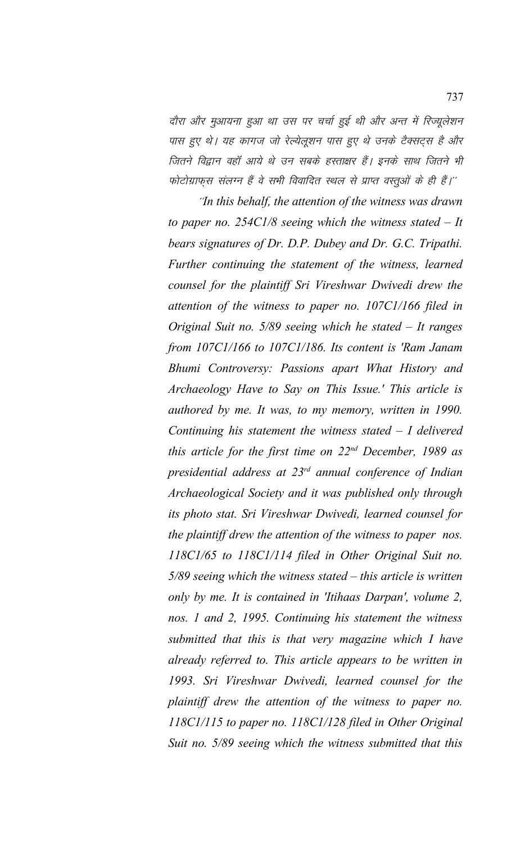दौरा और मुआयना हुआ था उस पर चर्चा हुई थी और अन्त में रिज्यूलेशन पास हुए थे। यह कागज जो रेल्येलुशन पास हुए थे उनके टैक्सट्स है और जितने विद्वान वहाँ आये थे उन सबके हस्ताक्षर हैं। इनके साथ जितने भी फोटोग्राफुस संलग्न हैं वे सभी विवादित स्थल से प्राप्त वस्तूओं के ही हैं।''

"In this behalf, the attention of the witness was drawn *to paper no. 254C1/8 seeing which the witness stated – It bears signatures of Dr. D.P. Dubey and Dr. G.C. Tripathi. Further continuing the statement of the witness, learned counsel for the plaintiff Sri Vireshwar Dwivedi drew the attention of the witness to paper no. 107C1/166 filed in Original Suit no. 5/89 seeing which he stated – It ranges from 107C1/166 to 107C1/186. Its content is 'Ram Janam Bhumi Controversy: Passions apart What History and Archaeology Have to Say on This Issue.' This article is authored by me. It was, to my memory, written in 1990. Continuing his statement the witness stated – I delivered this article for the first time on 22nd December, 1989 as presidential address at 23rd annual conference of Indian Archaeological Society and it was published only through its photo stat. Sri Vireshwar Dwivedi, learned counsel for the plaintiff drew the attention of the witness to paper nos. 118C1/65 to 118C1/114 filed in Other Original Suit no. 5/89 seeing which the witness stated – this article is written only by me. It is contained in 'Itihaas Darpan', volume 2, nos. 1 and 2, 1995. Continuing his statement the witness submitted that this is that very magazine which I have already referred to. This article appears to be written in 1993. Sri Vireshwar Dwivedi, learned counsel for the plaintiff drew the attention of the witness to paper no. 118C1/115 to paper no. 118C1/128 filed in Other Original Suit no. 5/89 seeing which the witness submitted that this*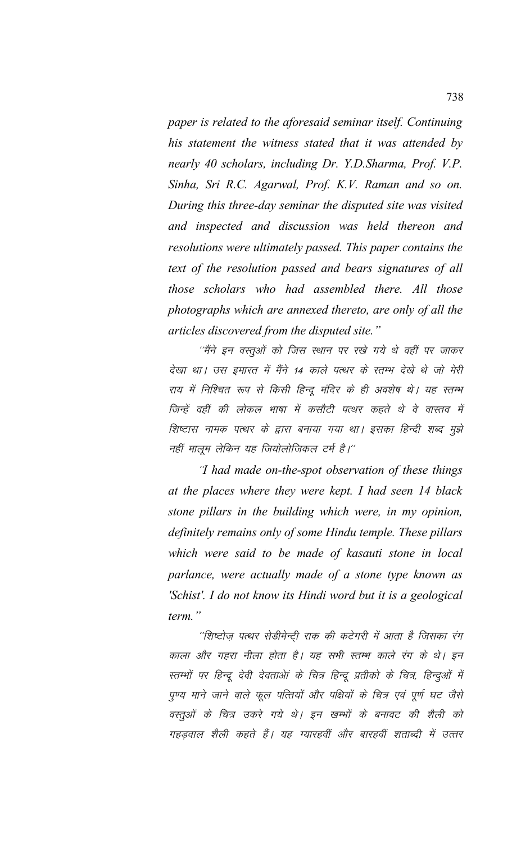*paper is related to the aforesaid seminar itself. Continuing his statement the witness stated that it was attended by nearly 40 scholars, including Dr. Y.D.Sharma, Prof. V.P. Sinha, Sri R.C. Agarwal, Prof. K.V. Raman and so on. During this three-day seminar the disputed site was visited and inspected and discussion was held thereon and resolutions were ultimately passed. This paper contains the text of the resolution passed and bears signatures of all those scholars who had assembled there. All those photographs which are annexed thereto, are only of all the articles discovered from the disputed site."* 

''मैंने इन वस्तुओं को जिस स्थान पर रखे गये थे वहीं पर जाकर देखा था। उस इमारत में मैंने 14 काले पत्थर के स्तम्भ देखे थे जो मेरी राय में निश्चित रूप से किसी हिन्दू मंदिर के ही अवशेष थे। यह स्तम्भ जिन्हें वहीं की लोकल भाषा में कसौटी पत्थर कहते थे वे वास्तव में शिष्टास नामक पत्थर के द्वारा बनाया गया था। इसका हिन्दी शब्द मुझे नहीं मालूम लेकिन यह जियोलोजिकल टर्म है।''

\*\**I had made on-the-spot observation of these things at the places where they were kept. I had seen 14 black stone pillars in the building which were, in my opinion, definitely remains only of some Hindu temple. These pillars which were said to be made of kasauti stone in local parlance, were actually made of a stone type known as 'Schist'. I do not know its Hindi word but it is a geological term."*

''शिष्टोज़ पत्थर सेडीमेन्टी राक की कटेगरी में आता है जिसका रंग काला और गहरा नीला होता है। यह सभी स्तम्भ काले रंग के थे। इन रतम्भों पर हिन्दू देवी देवताओं के चित्र हिन्दू प्रतीको के चित्र, हिन्दुओं में पुण्य माने जाने वाले फूल पत्तियों और पक्षियों के चित्र एवं पूर्ण घट जैसे वस्तुओं के चित्र उकरे गये थे। इन खम्भों के बनावट की शैली को गहडवाल शैली कहते हैं। यह ग्यारहवीं और बारहवीं शताब्दी में उत्तर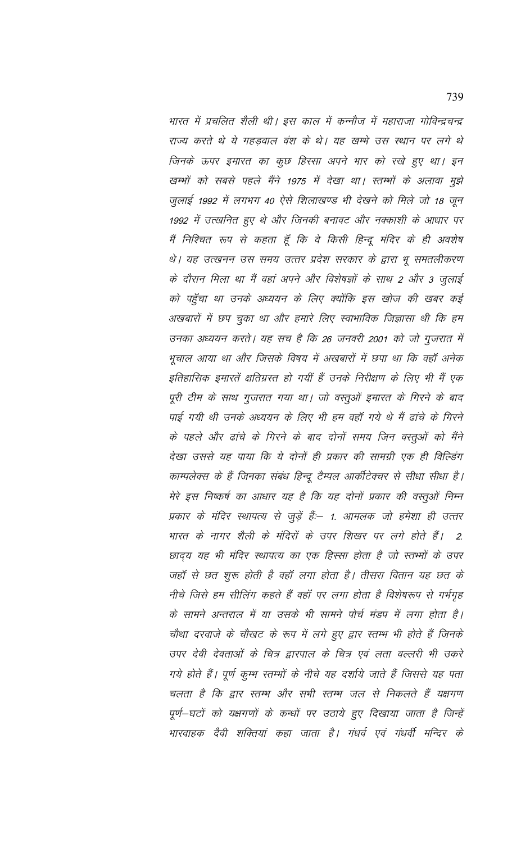भारत में प्रचलित शैली थी। इस काल में कन्नौज में महाराजा गोविन्द्रचन्द्र राज्य करते थे ये गहडवाल वंश के थे। यह खम्भे उस स्थान पर लगे थे जिनके ऊपर इमारत का कुछ हिस्सा अपने भार को रखे हुए था। इन खम्भों को सबसे पहले मैंने 1975 में देखा था। स्तम्भों के अलावा मुझे जुलाई 1992 में लगभग 40 ऐसे शिलाखण्ड भी देखने को मिले जो 18 जून 1992 में उत्खनित हुए थे और जिनकी बनावट और नक्काशी के आधार पर मैं निश्चित रूप से कहता हूँ कि वे किसी हिन्दू मंदिर के ही अवशेष थे। यह उत्खनन उस समय उत्तर प्रदेश सरकार के द्वारा भू समतलीकरण के दौरान मिला था मैं वहां अपने और विशेषज्ञों के साथ 2 और 3 जुलाई को पहुँचा था उनके अध्ययन के लिए क्योंकि इस खोज की खबर कई अखबारों में छप चुका था और हमारे लिए स्वाभाविक जिज्ञासा थी कि हम उनका अध्ययन करते। यह सच है कि 26 जनवरी 2001 को जो गुजरात में भूचाल आया था और जिसके विषय में अखबारों में छपा था कि वहाँ अनेक इतिहासिक इमारतें क्षतिग्रस्त हो गयीं हैं उनके निरीक्षण के लिए भी मैं एक पूरी टीम के साथ गुजरात गया था। जो वस्तूओं इमारत के गिरने के बाद पाई गयी थी उनके अध्ययन के लिए भी हम वहाँ गये थे मैं ढांचे के गिरने के पहले और ढांचे के गिरने के बाद दोनों समय जिन वस्तूओं को मैंने देखा उससे यह पाया कि ये दोनों ही प्रकार की सामग्री एक ही विल्डिंग काम्पलेक्स के हैं जिनका संबंध हिन्दू टैम्पल आर्कीटेक्चर से सीधा सीधा है। मेरे इस निष्कर्ष का आधार यह है कि यह दोनों प्रकार की वस्तूओं निम्न प्रकार के मंदिर स्थापत्य से जुड़ें हैं:– 1. आमलक जो हमेशा ही उत्तर भारत के नागर शैली के मंदिरों के उपर शिखर पर लगे होते हैं।  $\overline{2}$ छादय यह भी मंदिर स्थापत्य का एक हिस्सा होता है जो स्तम्मों के उपर जहॉं से छत शुरू होती है वहॉं लगा होता है। तीसरा वितान यह छत के नीचे जिसे हम सीलिंग कहते हैं वहाँ पर लगा होता है विशेषरूप से गर्भगृह के सामने अन्तराल में या उसके भी सामने पोर्च मंडप में लगा होता है। चौथा दरवाजे के चौखट के रूप में लगे हुए द्वार स्तम्भ भी होते हैं जिनके उपर देवी देवताओं के चित्र द्वारपाल के चित्र एवं लता वल्लरी भी उकरे गये होते हैं। पूर्ण कुम्भ स्तम्भों के नीचे यह दर्शाये जाते हैं जिससे यह पता चलता है कि द्वार स्तम्भ और सभी स्तम्भ जल से निकलते हैं यक्षगण पूर्ण–घटों को यक्षगणों के कन्धों पर उठाये हुए दिखाया जाता है जिन्हें भारवाहक देवी शक्तियां कहा जाता है। गंधर्व एवं गंधर्वी मन्दिर के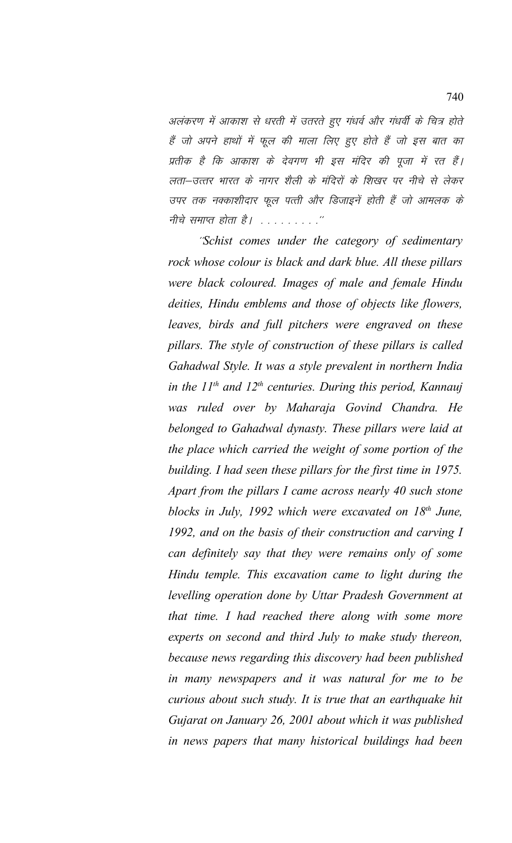अलंकरण में आकाश से धरती में उतरते हुए गंधर्व और गंधर्वी के चित्र होते हैं जो अपने हाथों में फूल की माला लिए हुए होते हैं जो इस बात का प्रतीक है कि आकाश के देवगण भी इस मंदिर की पूजा में रत हैं। लता-उत्तर भारत के नागर शैली के मंदिरों के शिखर पर नीचे से लेकर उपर तक नक्काशीदार फूल पत्ती और डिजाइनें होती हैं जो आमलक के नीचे समाप्त होता है। . . . . . . . . . . "

\*\**Schist comes under the category of sedimentary rock whose colour is black and dark blue. All these pillars were black coloured. Images of male and female Hindu deities, Hindu emblems and those of objects like flowers, leaves, birds and full pitchers were engraved on these pillars. The style of construction of these pillars is called Gahadwal Style. It was a style prevalent in northern India in the 11th and 12th centuries. During this period, Kannauj was ruled over by Maharaja Govind Chandra. He belonged to Gahadwal dynasty. These pillars were laid at the place which carried the weight of some portion of the building. I had seen these pillars for the first time in 1975. Apart from the pillars I came across nearly 40 such stone blocks in July, 1992 which were excavated on 18th June, 1992, and on the basis of their construction and carving I can definitely say that they were remains only of some Hindu temple. This excavation came to light during the levelling operation done by Uttar Pradesh Government at that time. I had reached there along with some more experts on second and third July to make study thereon, because news regarding this discovery had been published in many newspapers and it was natural for me to be curious about such study. It is true that an earthquake hit Gujarat on January 26, 2001 about which it was published in news papers that many historical buildings had been*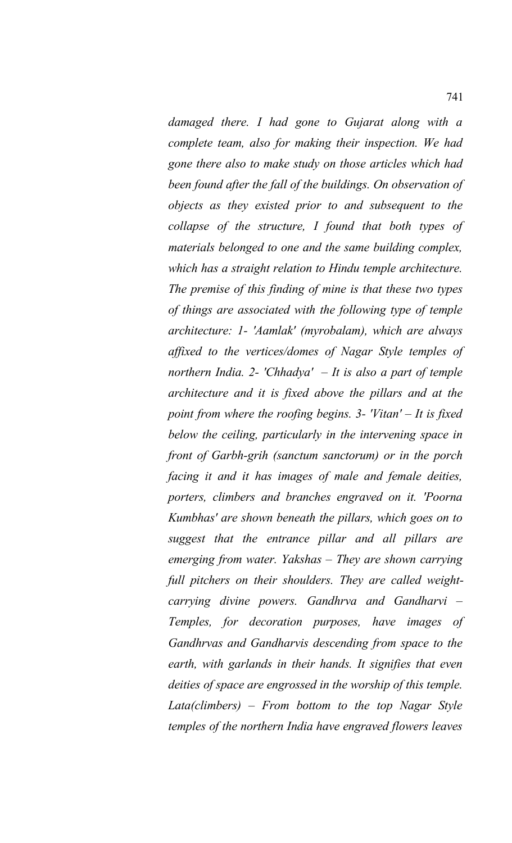*damaged there. I had gone to Gujarat along with a complete team, also for making their inspection. We had gone there also to make study on those articles which had been found after the fall of the buildings. On observation of objects as they existed prior to and subsequent to the collapse of the structure, I found that both types of materials belonged to one and the same building complex, which has a straight relation to Hindu temple architecture. The premise of this finding of mine is that these two types of things are associated with the following type of temple architecture: 1- 'Aamlak' (myrobalam), which are always affixed to the vertices/domes of Nagar Style temples of northern India. 2- 'Chhadya' – It is also a part of temple architecture and it is fixed above the pillars and at the point from where the roofing begins. 3- 'Vitan' – It is fixed below the ceiling, particularly in the intervening space in front of Garbh-grih (sanctum sanctorum) or in the porch facing it and it has images of male and female deities, porters, climbers and branches engraved on it. 'Poorna Kumbhas' are shown beneath the pillars, which goes on to suggest that the entrance pillar and all pillars are emerging from water. Yakshas – They are shown carrying full pitchers on their shoulders. They are called weightcarrying divine powers. Gandhrva and Gandharvi – Temples, for decoration purposes, have images of Gandhrvas and Gandharvis descending from space to the earth, with garlands in their hands. It signifies that even deities of space are engrossed in the worship of this temple. Lata(climbers) – From bottom to the top Nagar Style temples of the northern India have engraved flowers leaves*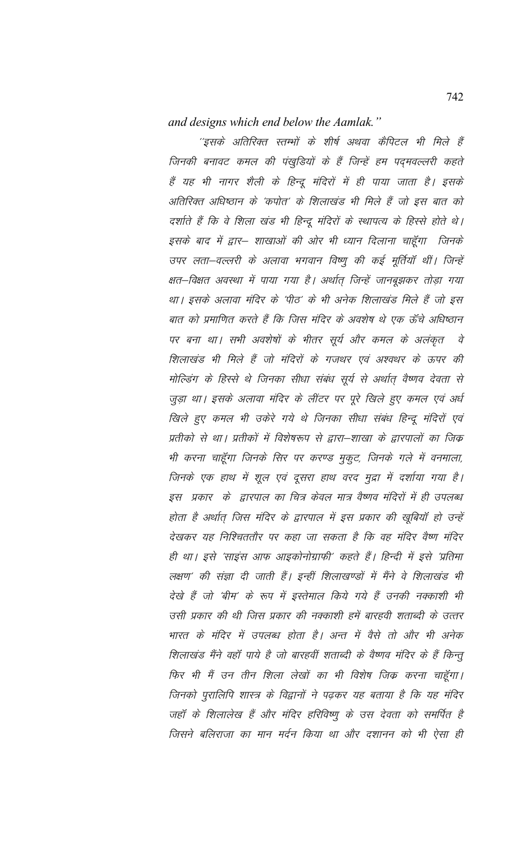and designs which end below the Aamlak."

''इसके अतिरिक्त स्तम्भों के शीर्ष अथवा कैपिटल भी मिले हैं जिनकी बनावट कमल की पंखुडियों के हैं जिन्हें हम पद्मवल्लरी कहते हैं यह भी नागर शैली के हिन्दू मंदिरों में ही पाया जाता है। इसके अतिरिक्त अधिष्ठान के 'कपोत' के शिलाखंड भी मिले हैं जो इस बात को दर्शाते हैं कि वे शिला खंड भी हिन्दू मंदिरों के स्थापत्य के हिस्से होते थे। इसके बाद में द्वार– शाखाओं की ओर भी ध्यान दिलाना चाहूँगा जिनके उपर लता-वल्लरी के अलावा भगवान विष्णु की कई मूर्तियाँ थीं। जिन्हें क्षत–विक्षत अवस्था में पाया गया है। अर्थात् जिन्हें जानबूझकर तोड़ा गया था। इसके अलावा मंदिर के 'पीठ' के भी अनेक शिलाखंड मिले हैं जो इस बात को प्रमाणित करते हैं कि जिस मंदिर के अवशेष थे एक ऊँचे अधिष्ठान पर बना था। सभी अवशेषों के भीतर सूर्य और कमल के अलंकृत वे शिलाखंड भी मिले हैं जो मंदिरों के गजथर एवं अश्वथर के ऊपर की मोल्डिंग के हिस्से थे जिनका सीधा संबंध सूर्य से अर्थात् वैष्णव देवता से जुड़ा था। इसके अलावा मंदिर के लींटर पर पूरे खिले हुए कमल एवं अर्ध खिले हुए कमल भी उकेरे गये थे जिनका सीधा संबंध हिन्दू मंदिरों एवं प्रतीको से था। प्रतीकों में विशेषरूप से द्वारा–शाखा के द्वारपालों का जिक भी करना चाहूँगा जिनके सिर पर करण्ड मुकुट, जिनके गले में वनमाला, जिनके एक हाथ में शूल एवं दूसरा हाथ वरद मुद्रा में दर्शाया गया है। इस प्रकार के द्वारपाल का चित्र केवल मात्र वैष्णव मंदिरों में ही उपलब्ध होता है अर्थात् जिस मंदिर के द्वारपाल में इस प्रकार की खूबियाँ हो उन्हें देखकर यह निश्चिततौर पर कहा जा सकता है कि वह मंदिर वैष्ण मंदिर ही था। इसे 'साइंस आफ आइकोनोग्राफी' कहते हैं। हिन्दी में इसे 'प्रतिमा लक्षण' की संज्ञा दी जाती हैं। इन्हीं शिलाखण्डों में मैंने वे शिलाखंड भी देखे हैं जो 'बीम' के रूप में इस्तेमाल किये गये हैं उनकी नक्काशी भी उसी प्रकार की थी जिस प्रकार की नक्काशी हमें बारहवी शताब्दी के उत्तर भारत के मंदिर में उपलब्ध होता है। अन्त में वैसे तो और भी अनेक शिलाखंड मैंने वहाँ पाये है जो बारहवीं शताब्दी के वैष्णव मंदिर के हैं किन्तू फिर भी मैं उन तीन शिला लेखों का भी विशेष जिक करना चाहूँगा। जिनको पुरालिपि शास्त्र के विद्वानों ने पढ़कर यह बताया है कि यह मंदिर जहाँ के शिलालेख हैं और मंदिर हरिविष्णू के उस देवता को समर्पित है जिसने बलिराजा का मान मर्दन किया था और दशानन को भी ऐसा ही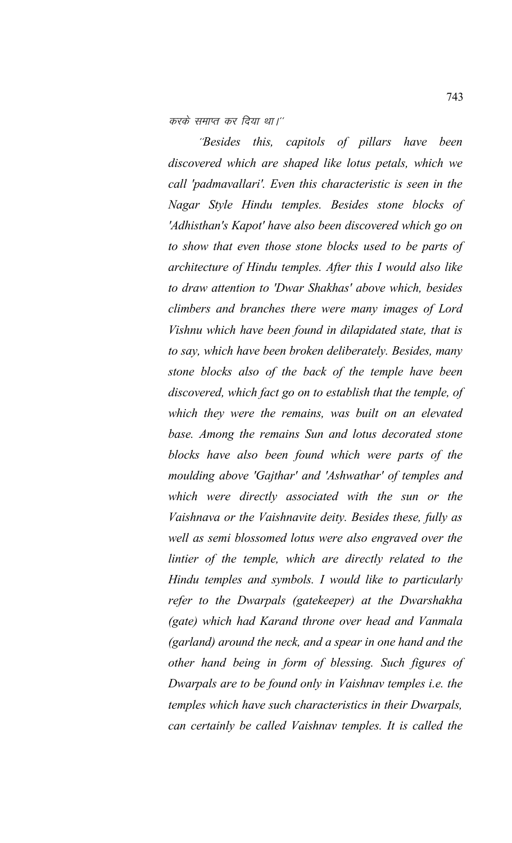करके समाप्त कर दिया था।''

\*\**Besides this, capitols of pillars have been discovered which are shaped like lotus petals, which we call 'padmavallari'. Even this characteristic is seen in the Nagar Style Hindu temples. Besides stone blocks of 'Adhisthan's Kapot' have also been discovered which go on to show that even those stone blocks used to be parts of architecture of Hindu temples. After this I would also like to draw attention to 'Dwar Shakhas' above which, besides climbers and branches there were many images of Lord Vishnu which have been found in dilapidated state, that is to say, which have been broken deliberately. Besides, many stone blocks also of the back of the temple have been discovered, which fact go on to establish that the temple, of which they were the remains, was built on an elevated base. Among the remains Sun and lotus decorated stone blocks have also been found which were parts of the moulding above 'Gajthar' and 'Ashwathar' of temples and which were directly associated with the sun or the Vaishnava or the Vaishnavite deity. Besides these, fully as well as semi blossomed lotus were also engraved over the lintier of the temple, which are directly related to the Hindu temples and symbols. I would like to particularly refer to the Dwarpals (gatekeeper) at the Dwarshakha (gate) which had Karand throne over head and Vanmala (garland) around the neck, and a spear in one hand and the other hand being in form of blessing. Such figures of Dwarpals are to be found only in Vaishnav temples i.e. the temples which have such characteristics in their Dwarpals, can certainly be called Vaishnav temples. It is called the*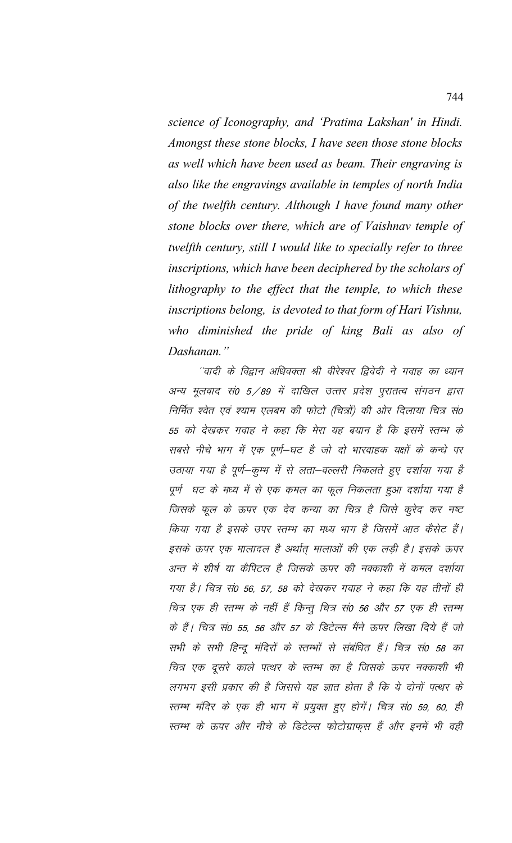science of Iconography, and 'Pratima Lakshan' in Hindi. Amongst these stone blocks, I have seen those stone blocks as well which have been used as beam. Their engraving is also like the engravings available in temples of north India of the twelfth century. Although I have found many other stone blocks over there, which are of Vaishnav temple of twelfth century, still I would like to specially refer to three inscriptions, which have been deciphered by the scholars of lithography to the effect that the temple, to which these inscriptions belong, is devoted to that form of Hari Vishnu, who diminished the pride of king Bali as also of Dashanan."

''वादी के विद्वान अधिवक्ता श्री वीरेश्वर द्विवेदी ने गवाह का ध्यान अन्य मूलवाद सं0 5/89 में दाखिल उत्तर प्रदेश पूरातत्व संगठन द्वारा निर्मित श्वेत एवं श्याम एलबम की फोटो (चित्रों) की ओर दिलाया चित्र सं0 55 को देखकर गवाह ने कहा कि मेरा यह बयान है कि इसमें स्तम्भ के सबसे नीचे भाग में एक पूर्ण-घट है जो दो भारवाहक यक्षों के कन्धे पर उठाया गया है पूर्ण-कूम्भ में से लता-वल्लरी निकलते हुए दर्शाया गया है पूर्ण घट के मध्य में से एक कमल का फूल निकलता हुआ दर्शाया गया है जिसके फूल के ऊपर एक देव कन्या का चित्र है जिसे कूरेद कर नष्ट किया गया है इसके उपर स्तम्भ का मध्य भाग है जिसमें आठ कैसेट हैं। इसके ऊपर एक मालादल है अर्थात मालाओं की एक लड़ी है। इसके ऊपर अन्त में शीर्ष या कैपिटल है जिसके ऊपर की नक्काशी में कमल दर्शाया गया है। चित्र सं0 56, 57, 58 को देखकर गवाह ने कहा कि यह तीनों ही चित्र एक ही स्तम्भ के नहीं हैं किन्तु चित्र सं0 56 और 57 एक ही स्तम्भ के हैं। चित्र सं0 55, 56 और 57 के डिटेल्स मैंने ऊपर लिखा दिये हैं जो सभी के सभी हिन्दू मंदिरों के स्तम्भों से संबंधित हैं। चित्र सं0 58 का चित्र एक दूसरे काले पत्थर के स्तम्भ का है जिसके ऊपर नक्काशी भी लगभग इसी प्रकार की है जिससे यह ज्ञात होता है कि ये दोनों पत्थर के स्तम्भ मंदिर के एक ही भाग में प्रयुक्त हुए होगें। चित्र सं0 59, 60, ही स्तम्भ के ऊपर और नीचे के डिटेल्स फोटोग्राफस हैं और इनमें भी वही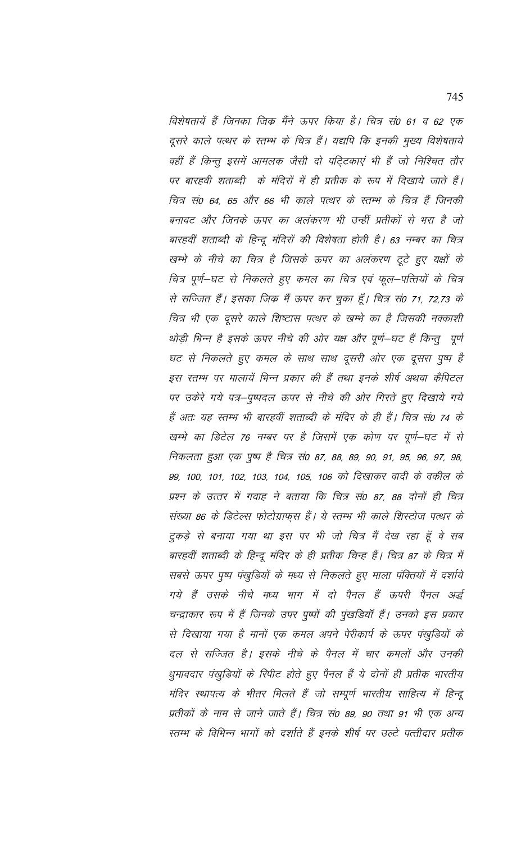विशेषतायें हैं जिनका जिक्र मैंने ऊपर किया है। चित्र सं0 61 व 62 एक दूसरे काले पत्थर के स्तम्भ के चित्र हैं। यद्यपि कि इनकी मुख्य विशेषताये वहीं हैं किन्तु इसमें आमलक जैसी दो पटि्टकाएं भी हैं जो निश्चित तौर पर बारहवी शताब्दी के मंदिरों में ही प्रतीक के रूप में दिखाये जाते हैं। चित्र सं0 64, 65 और 66 भी काले पत्थर के स्तम्भ के चित्र हैं जिनकी बनावट और जिनके ऊपर का अलंकरण भी उन्हीं प्रतीकों से भरा है जो बारहवीं शताब्दी के हिन्दू मंदिरों की विशेषता होती है। 63 नम्बर का चित्र खम्भे के नीचे का चित्र है जिसके ऊपर का अलंकरण टूटे हुए यक्षों के चित्र पूर्ण–घट से निकलते हुए कमल का चित्र एवं फूल–पत्तियों के चित्र से सज्जित हैं। इसका जिक्र मैं ऊपर कर चुका हूँ। चित्र सं0 71, 72,73 के चित्र भी एक दूसरे काले शिष्टास पत्थर के खम्भे का है जिसकी नक्काशी थोड़ी भिन्न है इसके ऊपर नीचे की ओर यक्ष और पूर्ण–घट हैं किन्तु पूर्ण घट से निकलते हुए कमल के साथ साथ दूसरी ओर एक दूसरा पुष्प है इस स्तम्भ पर मालायें भिन्न प्रकार की हैं तथा इनके शीर्ष अथवा कैपिटल पर उकरे गये पत्र–पूष्पदल ऊपर से नीचे की ओर गिरते हुए दिखाये गये हैं अतः यह स्तम्भ भी बारहवीं शताब्दी के मंदिर के ही हैं। चित्र सं0 74 के खम्भे का डिटेल 76 नम्बर पर है जिसमें एक कोण पर पूर्ण-घट में से निकलता हुआ एक पुष्प है चित्र सं0 87, 88, 89, 90, 91, 95, 96, 97, 98, 99, 100, 101, 102, 103, 104, 105, 106 को दिखाकर वादी के वकील के प्रश्न के उत्तर में गवाह ने बताया कि चित्र सं0 87, 88 दोनों ही चित्र संख्या 86 के डिटेल्स फोटोग्राफ़स हैं। ये स्तम्भ भी काले शिस्टोज पत्थर के टुकड़े से बनाया गया था इस पर भी जो चित्र मैं देख रहा हूँ वे सब बारहवीं शताब्दी के हिन्दू मंदिर के ही प्रतीक चिन्ह हैं। चित्र 87 के चित्र में सबसे ऊपर पुष्प पंखुडियों के मध्य से निकलते हुए माला पंक्तियों में दर्शाये गये हैं उसके नीचे मध्य भाग में दो पैनल हैं ऊपरी पैनल अर्द्ध चन्द्राकार रूप में हैं जिनके उपर पूष्पों की पूंखड़ियाँ हैं। उनको इस प्रकार से दिखाया गया है मानों एक कमल अपने पेरीकार्प के ऊपर पंखुडियों के दल से सज्जित है। इसके नीचे के पैनल में चार कमलों और उनकी धुमावदार पंखुडियों के रिपीट होते हुए पैनल हैं ये दोनों ही प्रतीक भारतीय मंदिर स्थापत्य के भीतर मिलते हैं जो सम्पूर्ण भारतीय साहित्य में हिन्दू प्रतीकों के नाम से जाने जाते हैं। चित्र सं0 89, 90 तथा 91 भी एक अन्य स्तम्भ के विभिन्न भागों को दर्शाते हैं इनके शीर्ष पर उल्टे पत्तीदार प्रतीक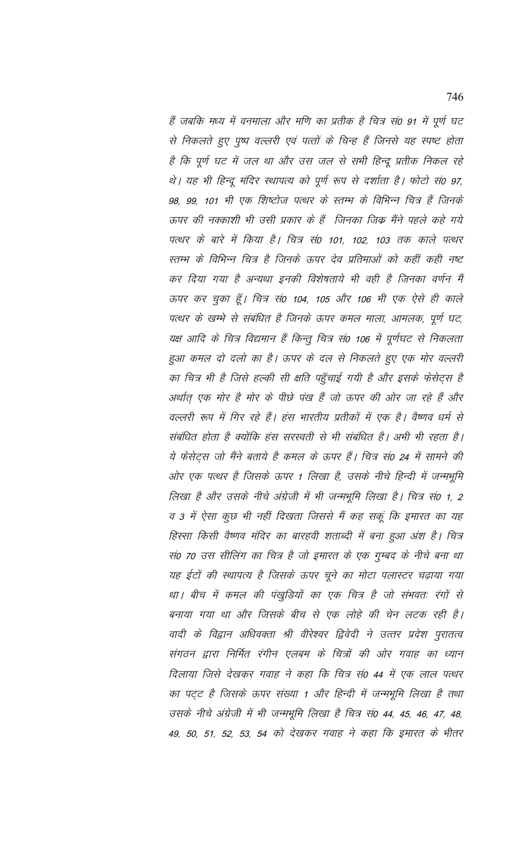हैं जबकि मध्य में वनमाला और मणि का प्रतीक है चित्र सं0 91 में पूर्ण घट से निकलते हुए पुष्प वल्लरी एवं पत्तों के चिन्ह हैं जिनसे यह स्पष्ट होता है कि पूर्ण घट में जल था और उस जल से सभी हिन्दू प्रतीक निकल रहे थे। यह भी हिन्दू मंदिर स्थापत्य को पूर्ण रूप से दर्शाता है। फोटो सं0 97, 98, 99, 101 भी एक शिष्टोज पत्थर के स्तम्भ के विभिन्न चित्र हैं जिनके ऊपर की नक्काशी भी उसी प्रकार के हैं जिनका जिक मैंने पहले कहे गये पत्थर के बारे में किया है। चित्र सं0 101, 102, 103 तक काले पत्थर स्तम्भ के विभिन्न चित्र है जिनके ऊपर देव प्रतिमाओं को कहीं कही नष्ट कर दिया गया है अन्यथा इनकी विशेषताये भी वही है जिनका वर्णन मैं ऊपर कर चुका हूँ। चित्र सं0 104, 105 और 106 भी एक ऐसे ही काले पत्थर के खम्भे से संबंधित है जिनके ऊपर कमल माला, आमलक, पूर्ण घट, यक्ष आदि के चित्र विद्यमान हैं किन्तु चित्र सं0 106 में पूर्णघट से निकलता हुआ कमल दो दलो का है। ऊपर के दल से निकलते हुए एक मोर वल्लरी का चित्र भी है जिसे हल्की सी क्षति पहुँचाई गयी है और इसके फेसेट्स है अर्थात एक मोर है मोर के पीछे पंख हैं जो ऊपर की ओर जा रहे हैं और वल्लरी रूप में गिर रहे हैं। हंस भारतीय प्रतीकों में एक है। वैष्णव धर्म से संबंधित होता है क्योंकि हंस सरस्वती से भी संबंधित है। अभी भी रहता है। ये फेसेट्स जो मैंने बताये है कमल के ऊपर हैं। चित्र सं0 24 में सामने की ओर एक पत्थर है जिसके ऊपर 1 लिखा है, उसके नीचे हिन्दी में जन्मभूमि लिखा है और उसके नीचे अंग्रेजी में भी जन्मभूमि लिखा है। चित्र सं0 1, 2 व 3 में ऐसा कुछ भी नहीं दिखता जिससे मैं कह सकूं कि इमारत का यह हिस्सा किसी वैष्णव मंदिर का बारहवी शताब्दी में बना हुआ अंश है। चित्र सं0 70 उस सीलिंग का चित्र है जो इमारत के एक गुम्बद के नीचे बना था यह ईटों की स्थापत्य है जिसके ऊपर चूने का मोटा पलास्टर चढ़ाया गया था। बीच में कमल की पंखुडियों का एक चित्र है जो संभवतः रंगों से बनाया गया था और जिसके बीच से एक लोहे की चेन लटक रही है। वादी के विद्वान अधिवक्ता श्री वीरेश्वर द्विवेदी ने उत्तर प्रदेश पुरातत्व संगठन द्वारा निर्मित रंगीन एलबम के चित्रों की ओर गवाह का ध्यान दिलाया जिसे देखकर गवाह ने कहा कि चित्र सं0 44 में एक लाल पत्थर का पट्ट है जिसके ऊपर संख्या 1 और हिन्दी में जन्मभूमि लिखा है तथा उसके नीचे अंग्रेजी में भी जन्मभूमि लिखा है चित्र सं0 44, 45, 46, 47, 48, 49, 50, 51, 52, 53, 54 को देखकर गवाह ने कहा कि इमारत के भीतर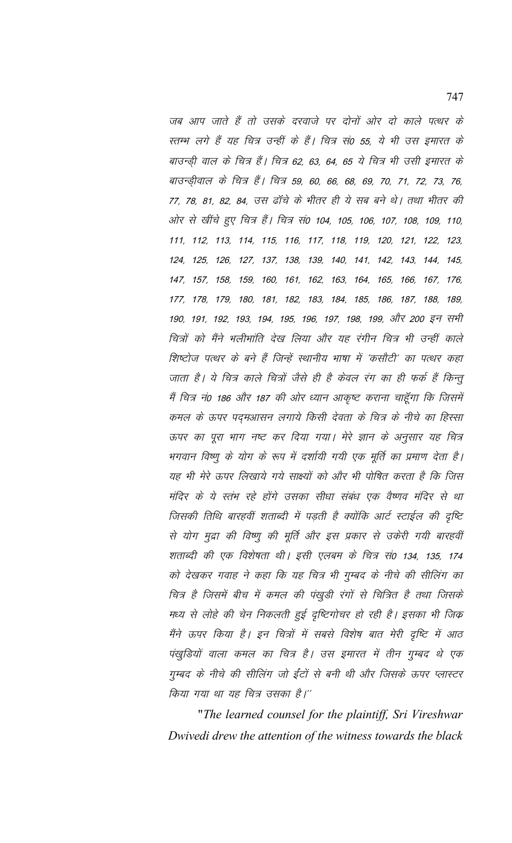जब आप जाते हैं तो उसके दरवाजे पर दोनों ओर दो काले पत्थर के स्तम्भ लगे हैं यह चित्र उन्हीं के हैं। चित्र सं0 55, ये भी उस इमारत के बाउन्ड़ी वाल के चित्र हैं। चित्र 62, 63, 64, 65 ये चित्र भी उसी इ़मारत के बाउन्ड़ीवाल के चित्र हैं। चित्र 59, 60, 66, 68, 69, 70, 71, 72, 73, 76, 77, 78, 81, 82, 84, उस ढॉचे के भीतर ही ये सब बने थे। तथा भीतर की ओर से खींचे हुए चित्र हैं। चित्र सं0 104, 105, 106, 107, 108, 109, 110, 111, 112, 113, 114, 115, 116, 117, 118, 119, 120, 121, 122, 123, 124, 125, 126, 127, 137, 138, 139, 140, 141, 142, 143, 144, 145, 147, 157, 158, 159, 160, 161, 162, 163, 164, 165, 166, 167, 176, 177, 178, 179, 180, 181, 182, 183, 184, 185, 186, 187, 188, 189, 190, 191, 192, 193, 194, 195, 196, 197, 198, 199, और 200 इन सभी चित्रों को मैंने भलीभांति देख लिया और यह रंगीन चित्र भी उन्हीं काले शिष्टोज पत्थर के बने हैं जिन्हें स्थानीय भाषा में 'कसौटी' का पत्थर कहा जाता है। ये चित्र काले चित्रों जैसे ही है केवल रंग का ही फर्क हैं किन्तु मैं चित्र नं0 186 और 187 की ओर ध्यान आकृष्ट कराना चाहूँगा कि जिसमें कमल के ऊपर पद्मआसन लगाये किसी देवता के चित्र के नीचे का हिस्सा ऊपर का पूरा भाग नष्ट कर दिया गया। मेरे ज्ञान के अनुसार यह चित्र भगवान विष्णू के योग के रूप में दर्शायी गयी एक मूर्ति का प्रमाण देता है। यह भी मेरे ऊपर लिखाये गये साक्ष्यों को और भी पोषित करता है कि जिस मंदिर के ये स्तंभ रहे होंगे उसका सीधा संबंध एक वैष्णव मंदिर से था जिसकी तिथि बारहवीं शताब्दी में पड़ती है क्योंकि आर्ट स्टाईल की दृष्टि से योग मुद्रा की विष्णु की मूर्ति और इस प्रकार से उकेरी गयी बारहवीं शताब्दी की एक विशेषता थी। इसी एलबम के चित्र सं0 134, 135, 174 को देखकर गवाह ने कहा कि यह चित्र भी गुम्बद के नीचे की सीलिंग का चित्र है जिसमें बीच में कमल की पंखुडी रंगों से चित्रित है तथा जिसके मध्य से लोहे की चेन निकलती हुई दृष्टिगोचर हो रही है। इसका भी जिक मैंने ऊपर किया है। इन चित्रों में सबसे विशेष बात मेरी दृष्टि में आठ पंखुडियों वाला कमल का चित्र है। उस इमारत में तीन गुम्बद थे एक गुम्बद के नीचे की सीलिंग जो ईंटों से बनी थी और जिसके ऊपर प्लास्टर किया गया था यह चित्र उसका है।''

"*The learned counsel for the plaintiff, Sri Vireshwar Dwivedi drew the attention of the witness towards the black*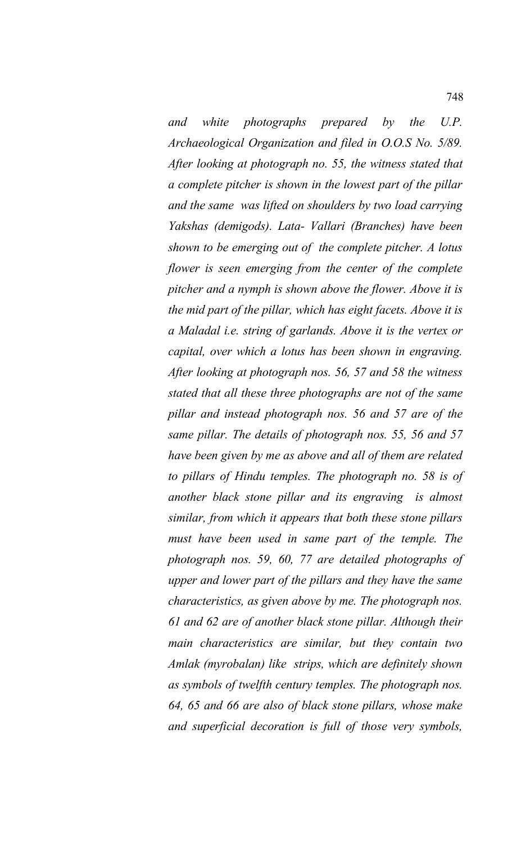*and white photographs prepared by the U.P. Archaeological Organization and filed in O.O.S No. 5/89. After looking at photograph no. 55, the witness stated that a complete pitcher is shown in the lowest part of the pillar and the same was lifted on shoulders by two load carrying Yakshas (demigods). Lata- Vallari (Branches) have been shown to be emerging out of the complete pitcher. A lotus flower is seen emerging from the center of the complete pitcher and a nymph is shown above the flower. Above it is the mid part of the pillar, which has eight facets. Above it is a Maladal i.e. string of garlands. Above it is the vertex or capital, over which a lotus has been shown in engraving. After looking at photograph nos. 56, 57 and 58 the witness stated that all these three photographs are not of the same pillar and instead photograph nos. 56 and 57 are of the same pillar. The details of photograph nos. 55, 56 and 57 have been given by me as above and all of them are related to pillars of Hindu temples. The photograph no. 58 is of another black stone pillar and its engraving is almost similar, from which it appears that both these stone pillars must have been used in same part of the temple. The photograph nos. 59, 60, 77 are detailed photographs of upper and lower part of the pillars and they have the same characteristics, as given above by me. The photograph nos. 61 and 62 are of another black stone pillar. Although their main characteristics are similar, but they contain two Amlak (myrobalan) like strips, which are definitely shown as symbols of twelfth century temples. The photograph nos. 64, 65 and 66 are also of black stone pillars, whose make and superficial decoration is full of those very symbols,*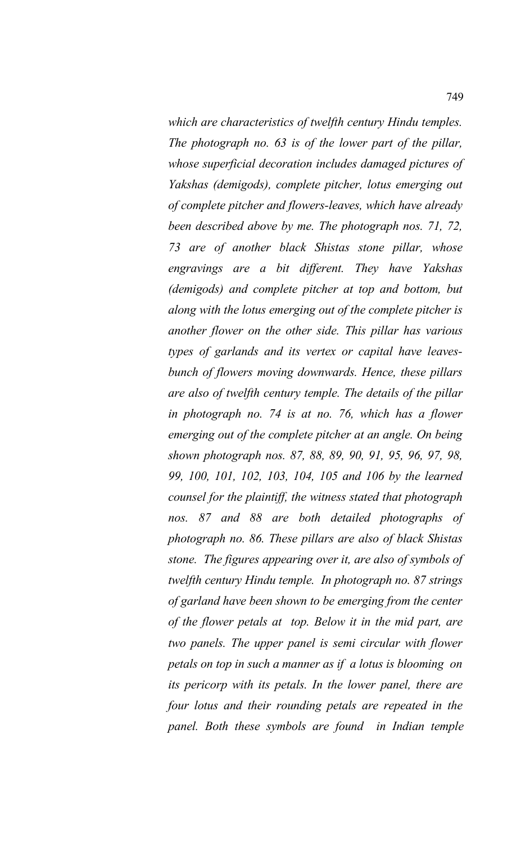*which are characteristics of twelfth century Hindu temples. The photograph no. 63 is of the lower part of the pillar, whose superficial decoration includes damaged pictures of Yakshas (demigods), complete pitcher, lotus emerging out of complete pitcher and flowers-leaves, which have already been described above by me. The photograph nos. 71, 72, 73 are of another black Shistas stone pillar, whose engravings are a bit different. They have Yakshas (demigods) and complete pitcher at top and bottom, but along with the lotus emerging out of the complete pitcher is another flower on the other side. This pillar has various types of garlands and its vertex or capital have leavesbunch of flowers moving downwards. Hence, these pillars are also of twelfth century temple. The details of the pillar in photograph no. 74 is at no. 76, which has a flower emerging out of the complete pitcher at an angle. On being shown photograph nos. 87, 88, 89, 90, 91, 95, 96, 97, 98, 99, 100, 101, 102, 103, 104, 105 and 106 by the learned counsel for the plaintiff, the witness stated that photograph nos. 87 and 88 are both detailed photographs of photograph no. 86. These pillars are also of black Shistas stone. The figures appearing over it, are also of symbols of twelfth century Hindu temple. In photograph no. 87 strings of garland have been shown to be emerging from the center of the flower petals at top. Below it in the mid part, are two panels. The upper panel is semi circular with flower petals on top in such a manner as if a lotus is blooming on its pericorp with its petals. In the lower panel, there are four lotus and their rounding petals are repeated in the panel. Both these symbols are found in Indian temple*